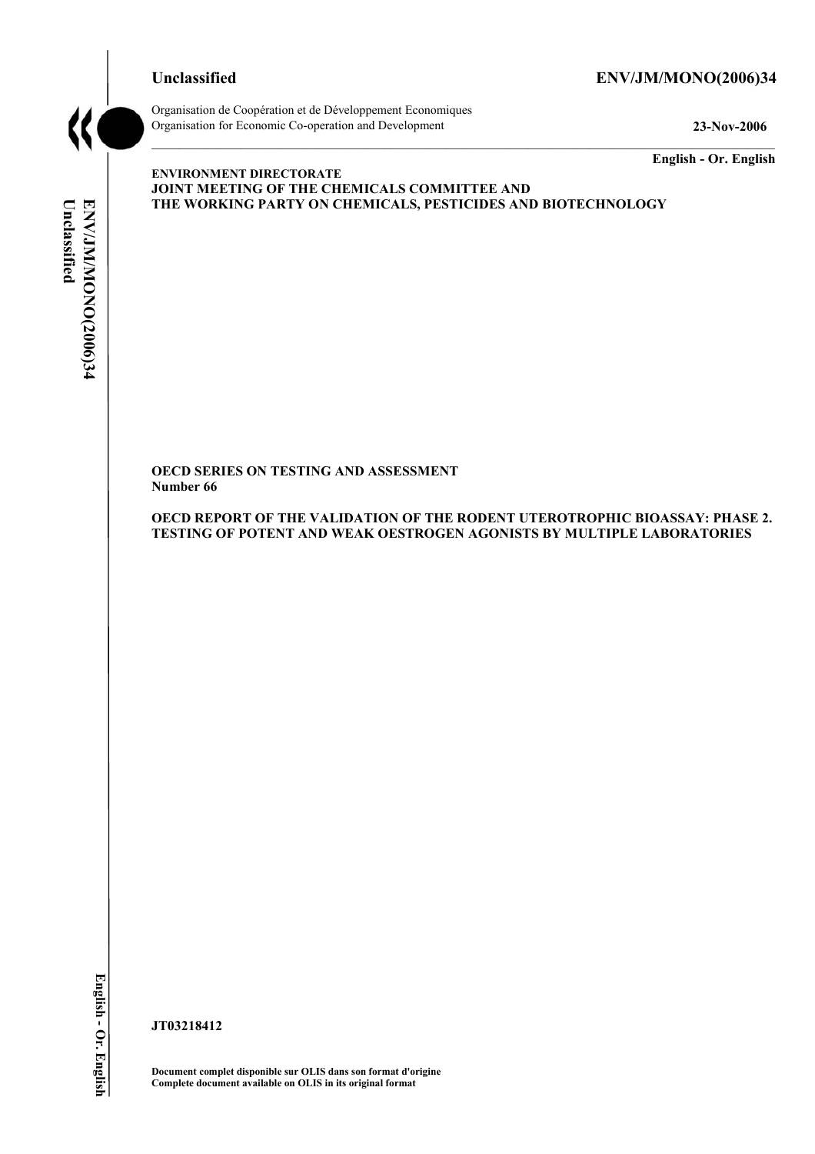# **Unclassified ENV/JM/MONO(2006)34**



Organisation de CoopÈration et de DÈveloppement Economiques Organisation for Economic Co-operation and Development **23-Nov-2006** 

**English - Or. English** 

# Unclassified **Unclassified**  ENV/JM/MONOC2006)34 **ENV/JM/MONO(2006)34 English - Or. English**

**ENVIRONMENT DIRECTORATE JOINT MEETING OF THE CHEMICALS COMMITTEE AND THE WORKING PARTY ON CHEMICALS, PESTICIDES AND BIOTECHNOLOGY** 

**OECD SERIES ON TESTING AND ASSESSMENT Number 66** 

**OECD REPORT OF THE VALIDATION OF THE RODENT UTEROTROPHIC BIOASSAY: PHASE 2. TESTING OF POTENT AND WEAK OESTROGEN AGONISTS BY MULTIPLE LABORATORIES** 

**JT03218412** 

**Document complet disponible sur OLIS dans son format d'origine Complete document available on OLIS in its original format**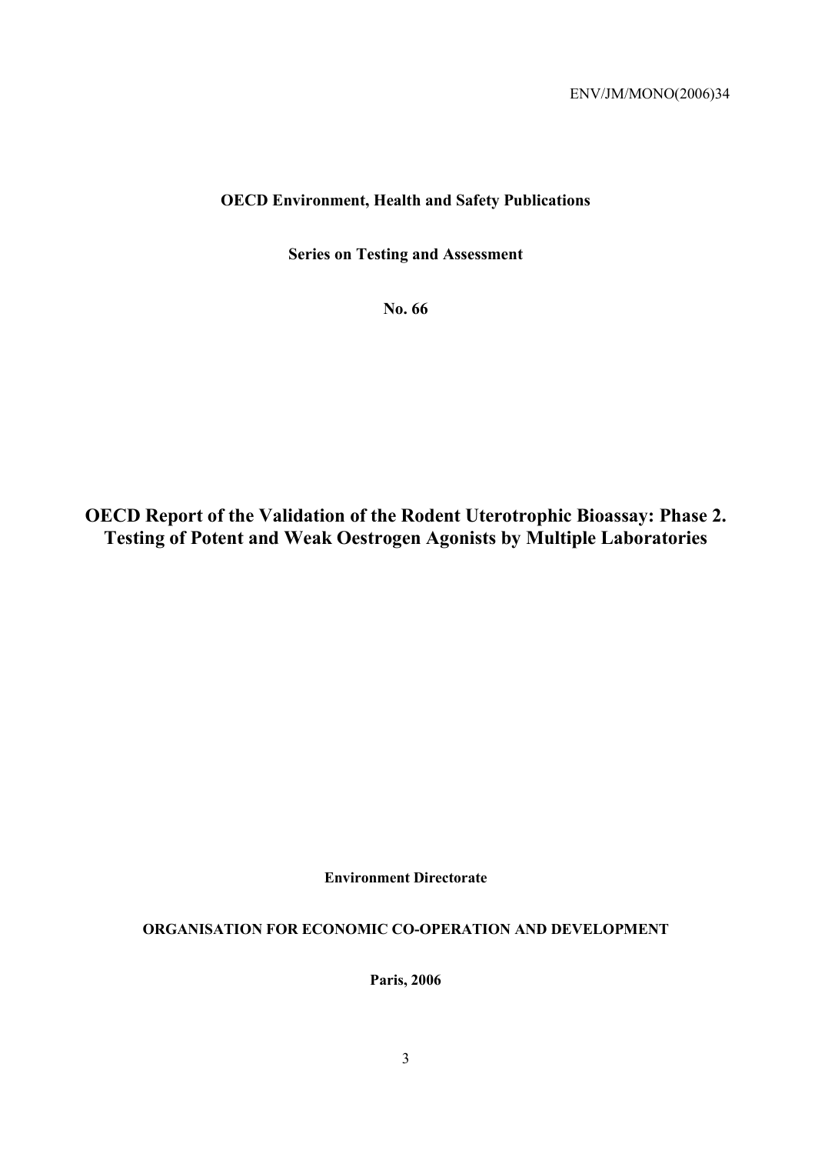# **OECD Environment, Health and Safety Publications**

**Series on Testing and Assessment** 

**No. 66** 

**OECD Report of the Validation of the Rodent Uterotrophic Bioassay: Phase 2. Testing of Potent and Weak Oestrogen Agonists by Multiple Laboratories** 

**Environment Directorate** 

**ORGANISATION FOR ECONOMIC CO-OPERATION AND DEVELOPMENT** 

**Paris, 2006**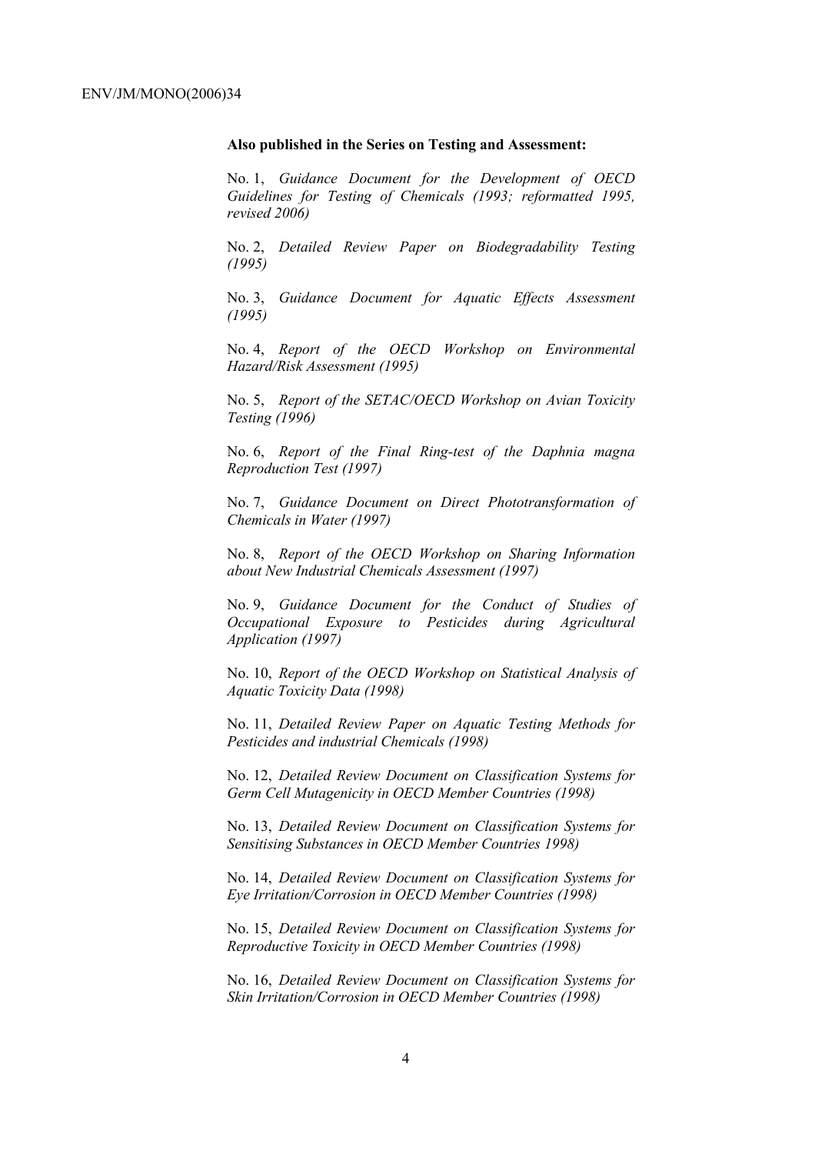#### **Also published in the Series on Testing and Assessment:**

No. 1, *Guidance Document for the Development of OECD Guidelines for Testing of Chemicals (1993; reformatted 1995, revised 2006)*

No. 2, *Detailed Review Paper on Biodegradability Testing (1995)*

No. 3, *Guidance Document for Aquatic Effects Assessment (1995)* 

No. 4, *Report of the OECD Workshop on Environmental Hazard/Risk Assessment (1995)*

No. 5, *Report of the SETAC/OECD Workshop on Avian Toxicity Testing (1996)*

No. 6, *Report of the Final Ring-test of the Daphnia magna Reproduction Test (1997)*

No. 7, *Guidance Document on Direct Phototransformation of Chemicals in Water (1997)* 

No. 8, *Report of the OECD Workshop on Sharing Information about New Industrial Chemicals Assessment (1997)*

No. 9, *Guidance Document for the Conduct of Studies of Occupational Exposure to Pesticides during Agricultural Application (1997)*

No. 10, *Report of the OECD Workshop on Statistical Analysis of Aquatic Toxicity Data (1998)*

No. 11, *Detailed Review Paper on Aquatic Testing Methods for Pesticides and industrial Chemicals (1998)*

No. 12, *Detailed Review Document on Classification Systems for Germ Cell Mutagenicity in OECD Member Countries (1998)*

No. 13, *Detailed Review Document on Classification Systems for Sensitising Substances in OECD Member Countries 1998)*

No. 14, *Detailed Review Document on Classification Systems for Eye Irritation/Corrosion in OECD Member Countries (1998)*

No. 15, *Detailed Review Document on Classification Systems for Reproductive Toxicity in OECD Member Countries (1998)*

No. 16, *Detailed Review Document on Classification Systems for Skin Irritation/Corrosion in OECD Member Countries (1998)*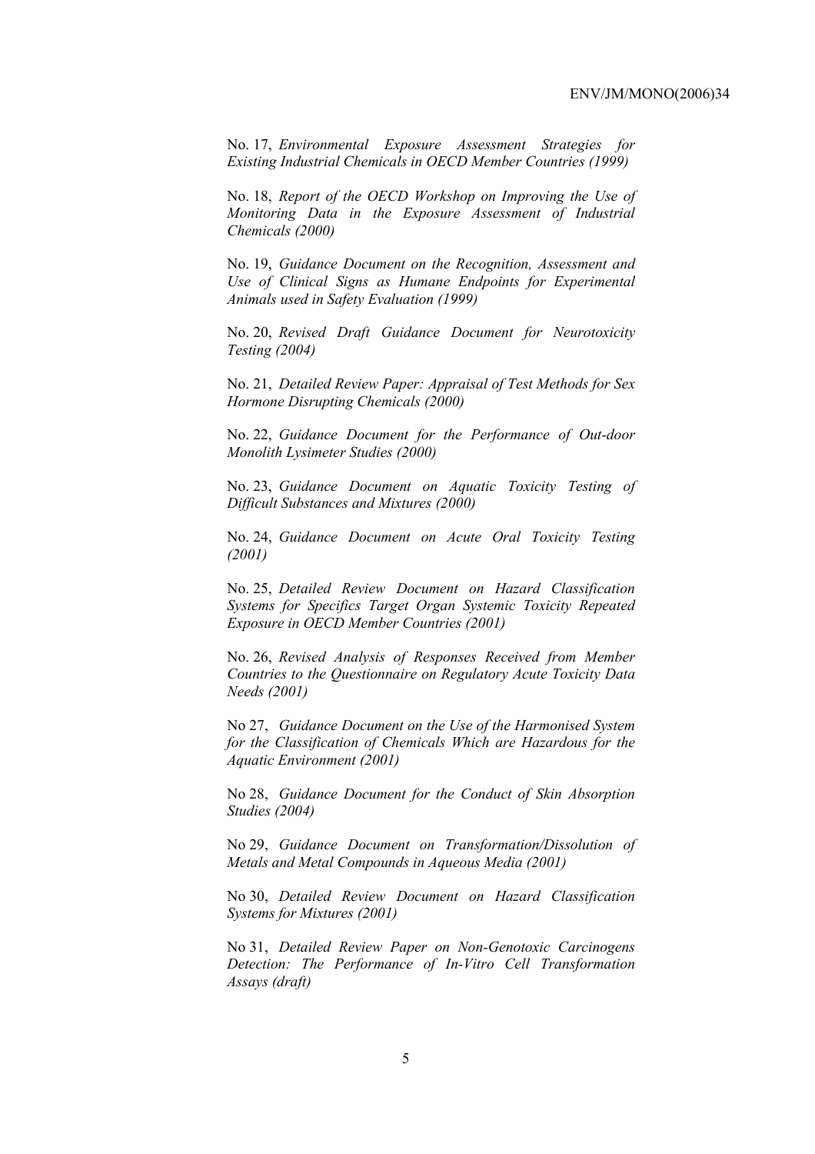No. 17, *Environmental Exposure Assessment Strategies for Existing Industrial Chemicals in OECD Member Countries (1999)*

No. 18, *Report of the OECD Workshop on Improving the Use of Monitoring Data in the Exposure Assessment of Industrial Chemicals (2000)*

No. 19, *Guidance Document on the Recognition, Assessment and Use of Clinical Signs as Humane Endpoints for Experimental Animals used in Safety Evaluation (1999)*

No. 20, *Revised Draft Guidance Document for Neurotoxicity Testing (2004)*

No. 21, *Detailed Review Paper: Appraisal of Test Methods for Sex Hormone Disrupting Chemicals (2000)*

No. 22, *Guidance Document for the Performance of Out-door Monolith Lysimeter Studies (2000)*

No. 23, *Guidance Document on Aquatic Toxicity Testing of Difficult Substances and Mixtures (2000)*

No. 24, *Guidance Document on Acute Oral Toxicity Testing (2001)*

No. 25, *Detailed Review Document on Hazard Classification Systems for Specifics Target Organ Systemic Toxicity Repeated Exposure in OECD Member Countries (2001)*

No. 26, *Revised Analysis of Responses Received from Member Countries to the Questionnaire on Regulatory Acute Toxicity Data Needs (2001)*

No 27, *Guidance Document on the Use of the Harmonised System for the Classification of Chemicals Which are Hazardous for the Aquatic Environment (2001)*

No 28, *Guidance Document for the Conduct of Skin Absorption Studies (2004)*

No 29, *Guidance Document on Transformation/Dissolution of Metals and Metal Compounds in Aqueous Media (2001)*

No 30, *Detailed Review Document on Hazard Classification Systems for Mixtures (2001)*

No 31, *Detailed Review Paper on Non-Genotoxic Carcinogens Detection: The Performance of In-Vitro Cell Transformation Assays (draft)*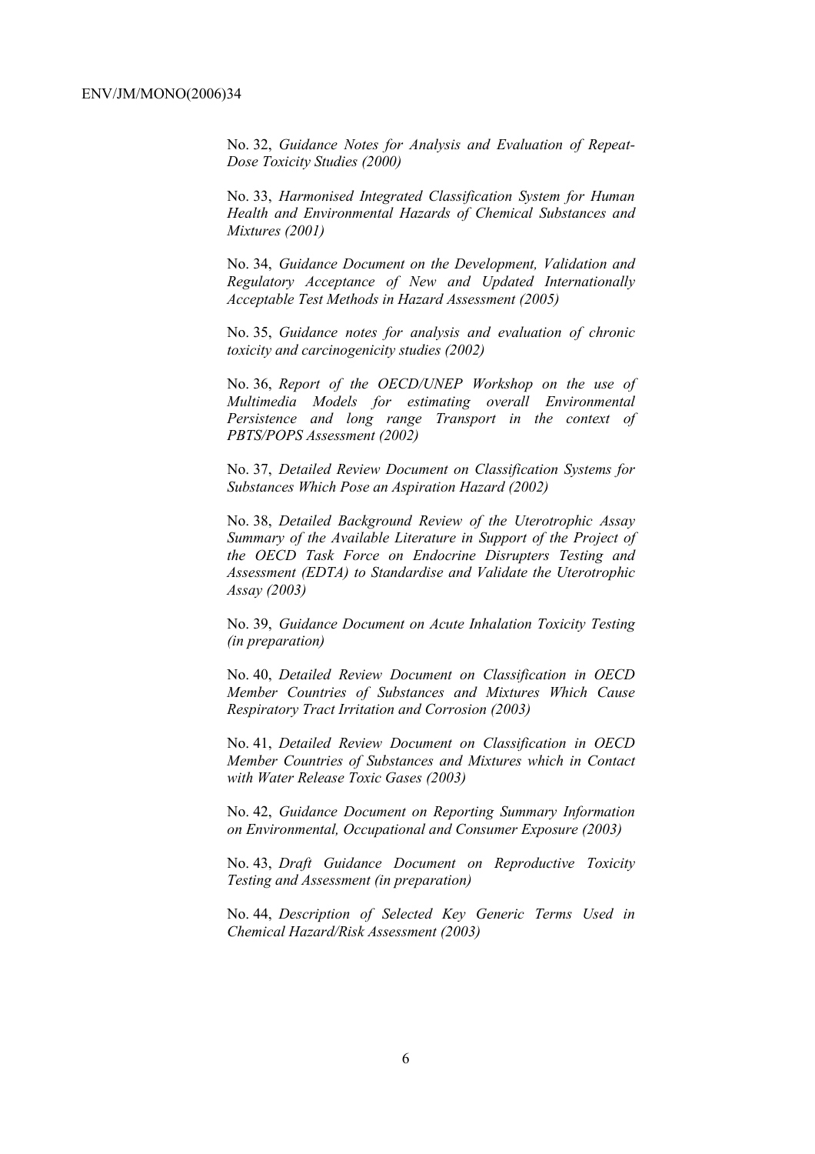No. 32, *Guidance Notes for Analysis and Evaluation of Repeat-Dose Toxicity Studies (2000)*

No. 33, *Harmonised Integrated Classification System for Human Health and Environmental Hazards of Chemical Substances and Mixtures (2001)*

No. 34, *Guidance Document on the Development, Validation and Regulatory Acceptance of New and Updated Internationally Acceptable Test Methods in Hazard Assessment (2005)*

No. 35, *Guidance notes for analysis and evaluation of chronic toxicity and carcinogenicity studies (2002)*

No. 36, *Report of the OECD/UNEP Workshop on the use of Multimedia Models for estimating overall Environmental Persistence and long range Transport in the context of PBTS/POPS Assessment (2002)*

No. 37, *Detailed Review Document on Classification Systems for Substances Which Pose an Aspiration Hazard (2002)*

No. 38, *Detailed Background Review of the Uterotrophic Assay Summary of the Available Literature in Support of the Project of the OECD Task Force on Endocrine Disrupters Testing and Assessment (EDTA) to Standardise and Validate the Uterotrophic Assay (2003)*

No. 39, *Guidance Document on Acute Inhalation Toxicity Testing (in preparation)*

No. 40, *Detailed Review Document on Classification in OECD Member Countries of Substances and Mixtures Which Cause Respiratory Tract Irritation and Corrosion (2003)*

No. 41, *Detailed Review Document on Classification in OECD Member Countries of Substances and Mixtures which in Contact with Water Release Toxic Gases (2003)*

No. 42, *Guidance Document on Reporting Summary Information on Environmental, Occupational and Consumer Exposure (2003)*

No. 43, *Draft Guidance Document on Reproductive Toxicity Testing and Assessment (in preparation)*

No. 44, *Description of Selected Key Generic Terms Used in Chemical Hazard/Risk Assessment (2003)*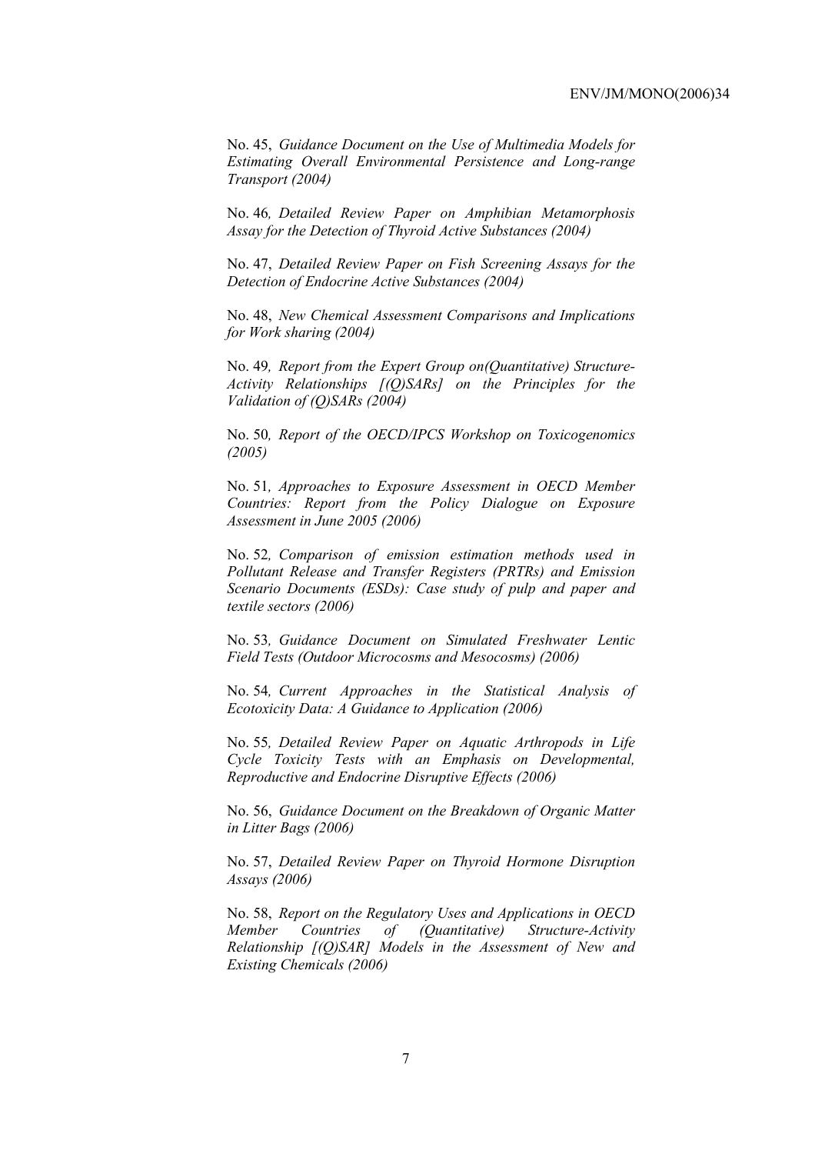No. 45, *Guidance Document on the Use of Multimedia Models for Estimating Overall Environmental Persistence and Long-range Transport (2004)*

No. 46*, Detailed Review Paper on Amphibian Metamorphosis Assay for the Detection of Thyroid Active Substances (2004)* 

No. 47, *Detailed Review Paper on Fish Screening Assays for the Detection of Endocrine Active Substances (2004)* 

No. 48, *New Chemical Assessment Comparisons and Implications for Work sharing (2004)* 

No. 49*, Report from the Expert Group on(Quantitative) Structure-Activity Relationships [(Q)SARs] on the Principles for the Validation of (Q)SARs (2004)* 

No. 50*, Report of the OECD/IPCS Workshop on Toxicogenomics (2005)* 

No. 51*, Approaches to Exposure Assessment in OECD Member Countries: Report from the Policy Dialogue on Exposure Assessment in June 2005 (2006)* 

No. 52*, Comparison of emission estimation methods used in Pollutant Release and Transfer Registers (PRTRs) and Emission Scenario Documents (ESDs): Case study of pulp and paper and textile sectors (2006)* 

No. 53*, Guidance Document on Simulated Freshwater Lentic Field Tests (Outdoor Microcosms and Mesocosms) (2006)* 

No. 54*, Current Approaches in the Statistical Analysis of Ecotoxicity Data: A Guidance to Application (2006)* 

No. 55*, Detailed Review Paper on Aquatic Arthropods in Life Cycle Toxicity Tests with an Emphasis on Developmental, Reproductive and Endocrine Disruptive Effects (2006)* 

No. 56, *Guidance Document on the Breakdown of Organic Matter in Litter Bags (2006)* 

No. 57, *Detailed Review Paper on Thyroid Hormone Disruption Assays (2006)* 

No. 58, *Report on the Regulatory Uses and Applications in OECD Member Countries of (Quantitative) Structure-Activity Relationship [(Q)SAR] Models in the Assessment of New and Existing Chemicals (2006)*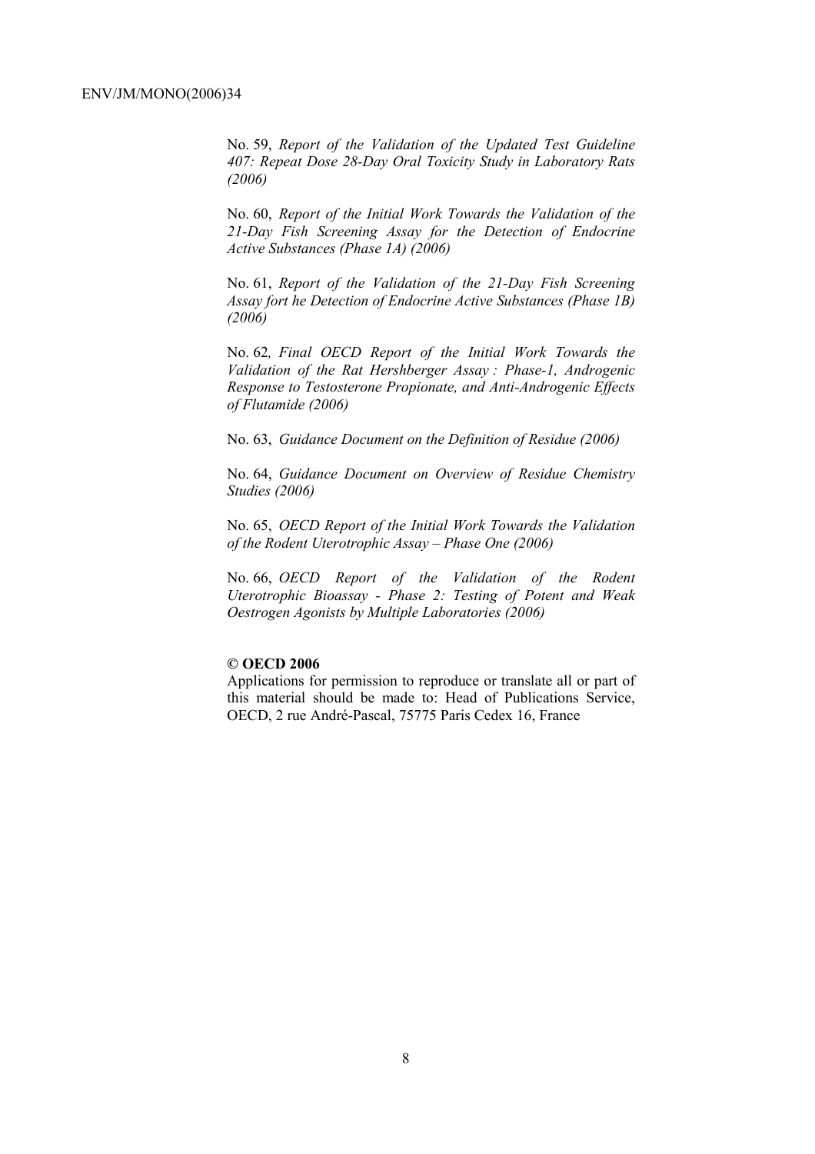No. 59, *Report of the Validation of the Updated Test Guideline 407: Repeat Dose 28-Day Oral Toxicity Study in Laboratory Rats (2006)* 

No. 60, *Report of the Initial Work Towards the Validation of the 21-Day Fish Screening Assay for the Detection of Endocrine Active Substances (Phase 1A) (2006)* 

No. 61, *Report of the Validation of the 21-Day Fish Screening Assay fort he Detection of Endocrine Active Substances (Phase 1B) (2006)* 

No. 62*, Final OECD Report of the Initial Work Towards the Validation of the Rat Hershberger Assay : Phase-1, Androgenic Response to Testosterone Propionate, and Anti-Androgenic Effects of Flutamide (2006)* 

No. 63, *Guidance Document on the Definition of Residue (2006)* 

No. 64, *Guidance Document on Overview of Residue Chemistry Studies (2006)* 

No. 65, *OECD Report of the Initial Work Towards the Validation of the Rodent Uterotrophic Assay – Phase One (2006)* 

No. 66, *OECD Report of the Validation of the Rodent Uterotrophic Bioassay - Phase 2: Testing of Potent and Weak Oestrogen Agonists by Multiple Laboratories (2006)* 

#### **© OECD 2006**

Applications for permission to reproduce or translate all or part of this material should be made to: Head of Publications Service, OECD, 2 rue André-Pascal, 75775 Paris Cedex 16, France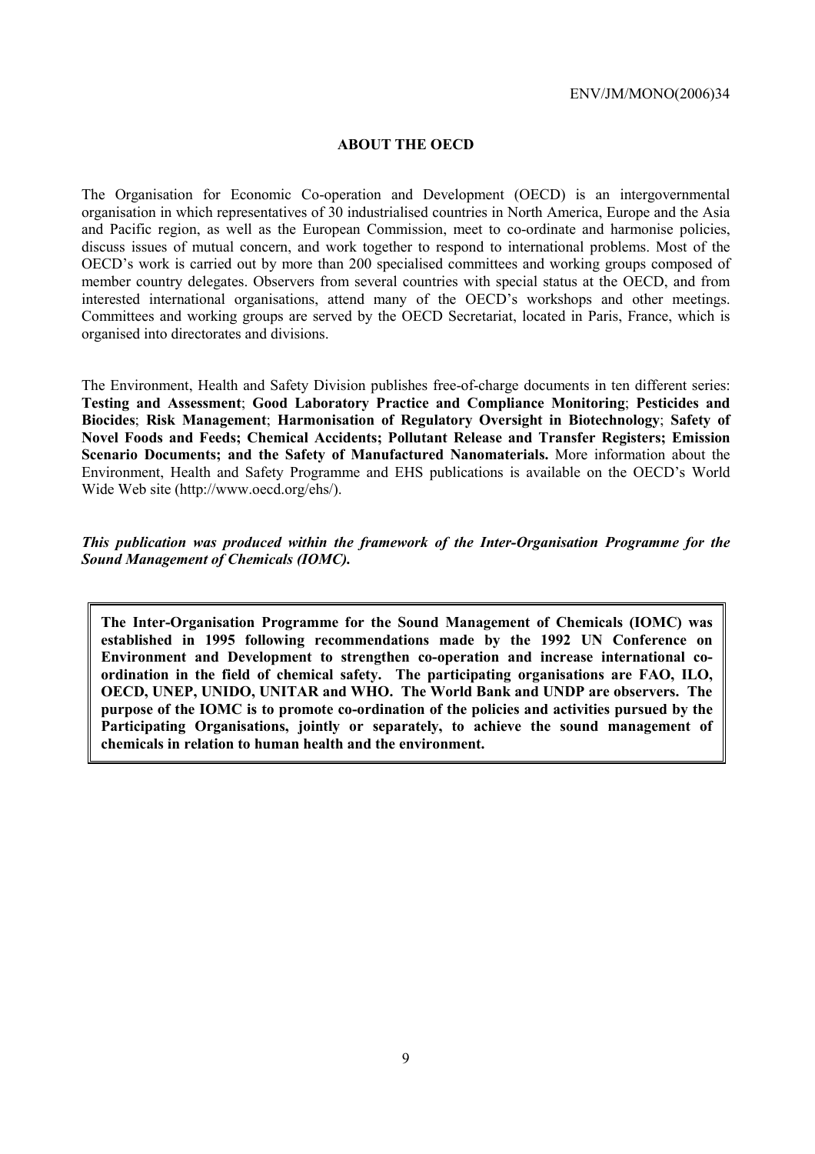# **ABOUT THE OECD**

The Organisation for Economic Co-operation and Development (OECD) is an intergovernmental organisation in which representatives of 30 industrialised countries in North America, Europe and the Asia and Pacific region, as well as the European Commission, meet to co-ordinate and harmonise policies, discuss issues of mutual concern, and work together to respond to international problems. Most of the OECD's work is carried out by more than 200 specialised committees and working groups composed of member country delegates. Observers from several countries with special status at the OECD, and from interested international organisations, attend many of the OECD's workshops and other meetings. Committees and working groups are served by the OECD Secretariat, located in Paris, France, which is organised into directorates and divisions.

The Environment, Health and Safety Division publishes free-of-charge documents in ten different series: **Testing and Assessment**; **Good Laboratory Practice and Compliance Monitoring**; **Pesticides and Biocides**; **Risk Management**; **Harmonisation of Regulatory Oversight in Biotechnology**; **Safety of Novel Foods and Feeds; Chemical Accidents; Pollutant Release and Transfer Registers; Emission Scenario Documents; and the Safety of Manufactured Nanomaterials.** More information about the Environment, Health and Safety Programme and EHS publications is available on the OECD's World Wide Web site (http://www.oecd.org/ehs/).

*This publication was produced within the framework of the Inter-Organisation Programme for the Sound Management of Chemicals (IOMC).* 

**The Inter-Organisation Programme for the Sound Management of Chemicals (IOMC) was established in 1995 following recommendations made by the 1992 UN Conference on Environment and Development to strengthen co-operation and increase international coordination in the field of chemical safety. The participating organisations are FAO, ILO, OECD, UNEP, UNIDO, UNITAR and WHO. The World Bank and UNDP are observers. The purpose of the IOMC is to promote co-ordination of the policies and activities pursued by the Participating Organisations, jointly or separately, to achieve the sound management of chemicals in relation to human health and the environment.**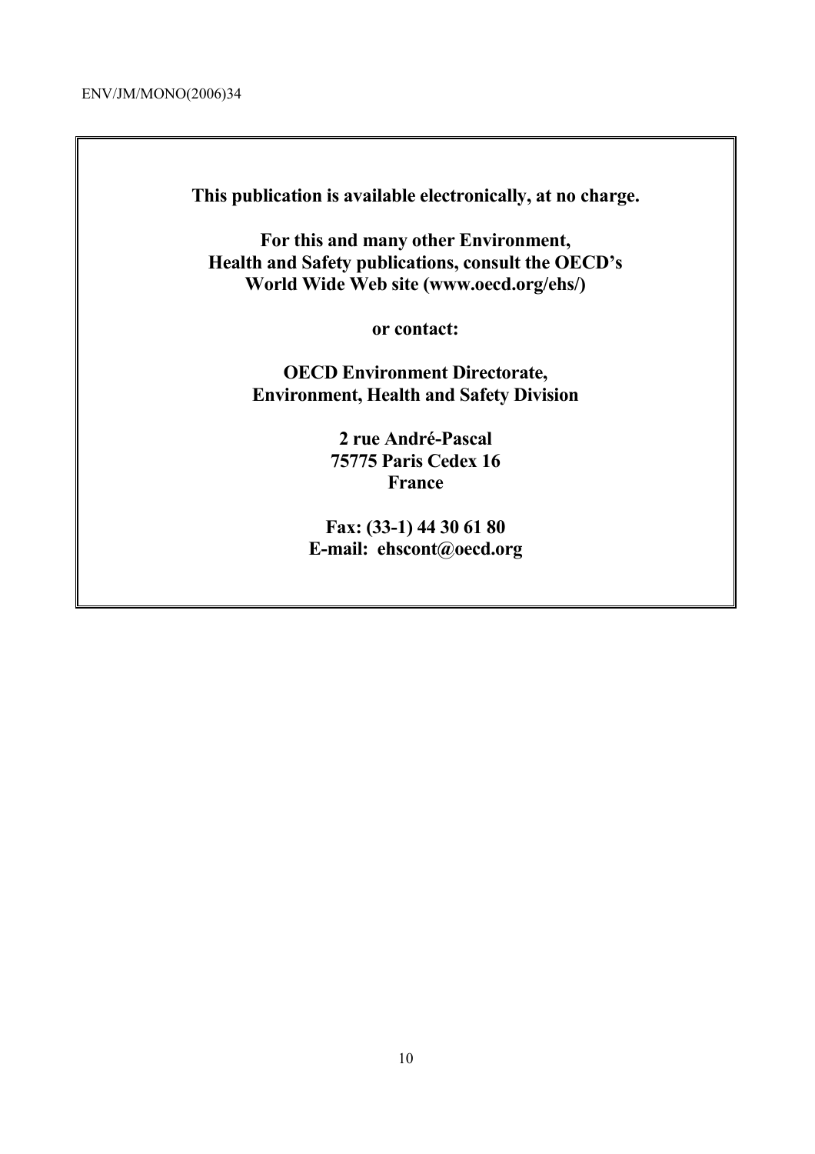**This publication is available electronically, at no charge.** 

**For this and many other Environment,**  Health and Safety publications, consult the OECD's **World Wide Web site (www.oecd.org/ehs/)** 

**or contact:** 

**OECD Environment Directorate, Environment, Health and Safety Division** 

> **2 rue AndrÈ-Pascal 75775 Paris Cedex 16 France**

**Fax: (33-1) 44 30 61 80 E-mail: ehscont@oecd.org**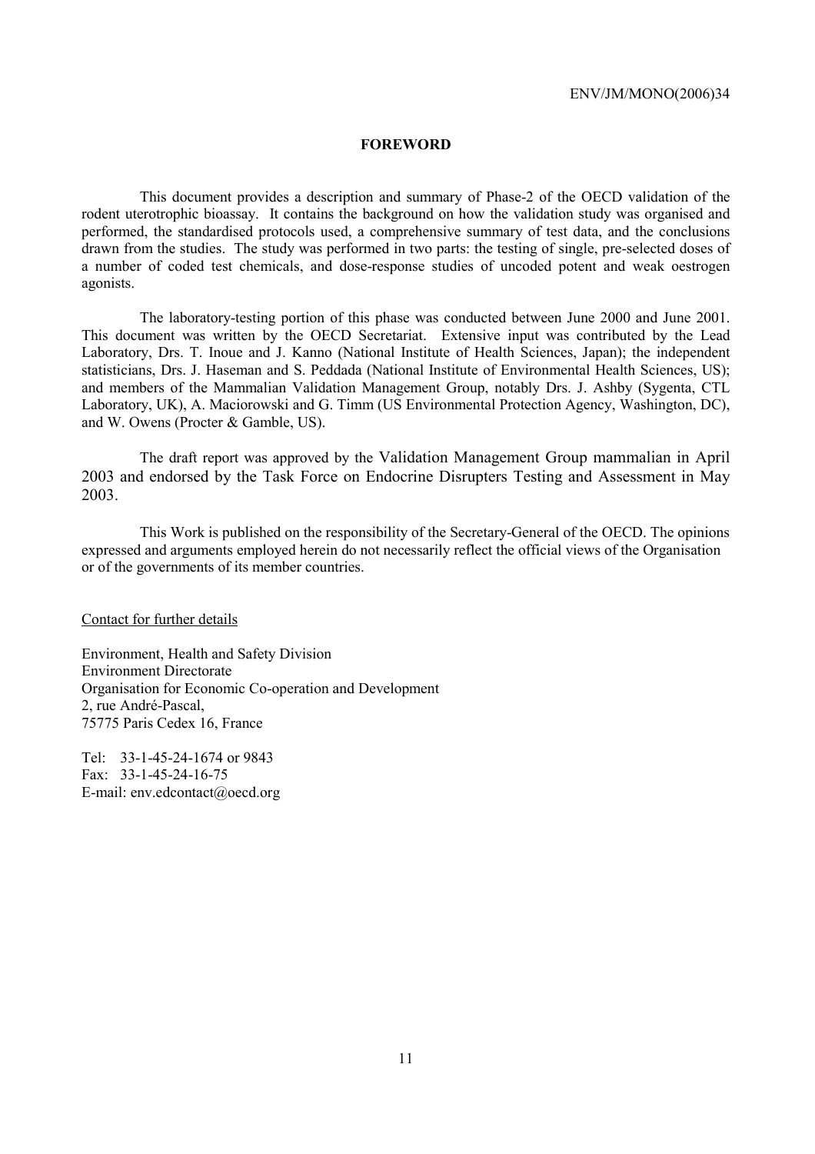#### **FOREWORD**

 This document provides a description and summary of Phase-2 of the OECD validation of the rodent uterotrophic bioassay. It contains the background on how the validation study was organised and performed, the standardised protocols used, a comprehensive summary of test data, and the conclusions drawn from the studies. The study was performed in two parts: the testing of single, pre-selected doses of a number of coded test chemicals, and dose-response studies of uncoded potent and weak oestrogen agonists.

 The laboratory-testing portion of this phase was conducted between June 2000 and June 2001. This document was written by the OECD Secretariat. Extensive input was contributed by the Lead Laboratory, Drs. T. Inoue and J. Kanno (National Institute of Health Sciences, Japan); the independent statisticians, Drs. J. Haseman and S. Peddada (National Institute of Environmental Health Sciences, US); and members of the Mammalian Validation Management Group, notably Drs. J. Ashby (Sygenta, CTL Laboratory, UK), A. Maciorowski and G. Timm (US Environmental Protection Agency, Washington, DC), and W. Owens (Procter & Gamble, US).

 The draft report was approved by the Validation Management Group mammalian in April 2003 and endorsed by the Task Force on Endocrine Disrupters Testing and Assessment in May 2003.

This Work is published on the responsibility of the Secretary-General of the OECD. The opinions expressed and arguments employed herein do not necessarily reflect the official views of the Organisation or of the governments of its member countries.

Contact for further details

Environment, Health and Safety Division Environment Directorate Organisation for Economic Co-operation and Development 2, rue André-Pascal, 75775 Paris Cedex 16, France

Tel: 33-1-45-24-1674 or 9843 Fax: 33-1-45-24-16-75 E-mail: env.edcontact@oecd.org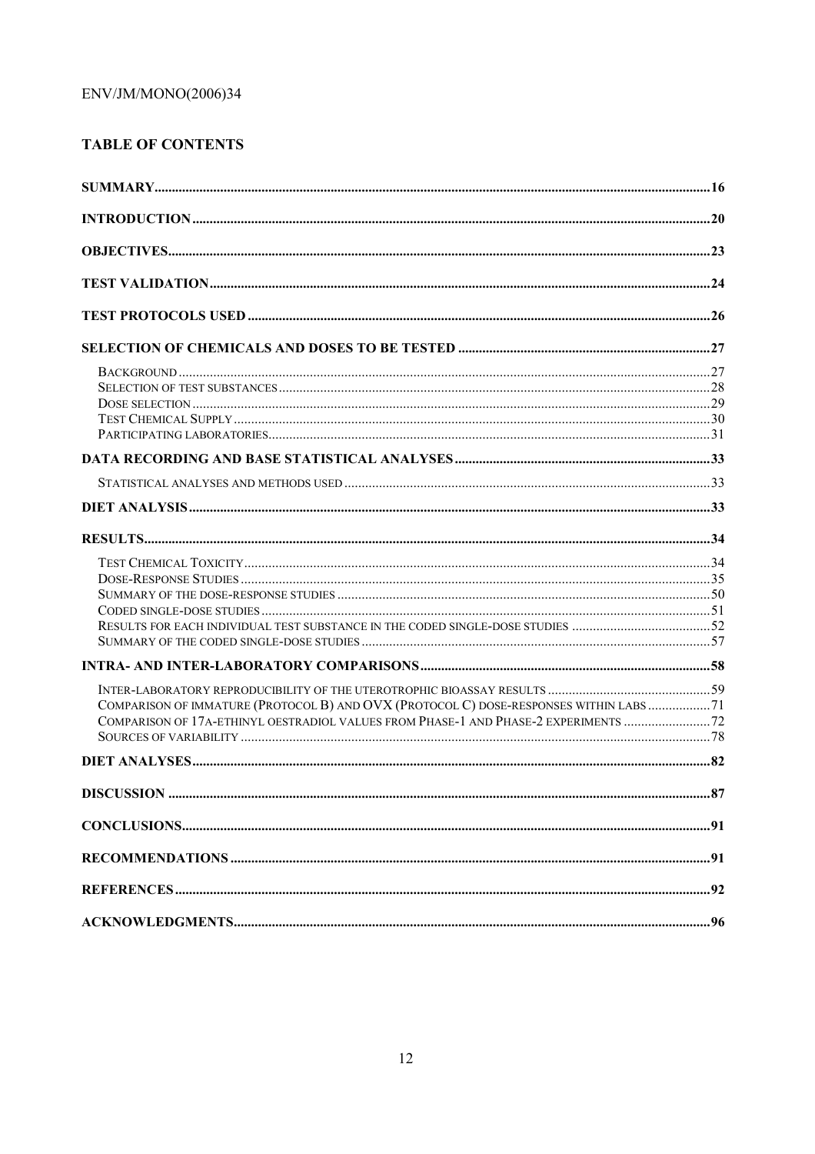# **TABLE OF CONTENTS**

| COMPARISON OF IMMATURE (PROTOCOL B) AND OVX (PROTOCOL C) DOSE-RESPONSES WITHIN LABS 71<br>COMPARISON OF 17A-ETHINYL OESTRADIOL VALUES FROM PHASE-1 AND PHASE-2 EXPERIMENTS |  |
|----------------------------------------------------------------------------------------------------------------------------------------------------------------------------|--|
|                                                                                                                                                                            |  |
|                                                                                                                                                                            |  |
|                                                                                                                                                                            |  |
|                                                                                                                                                                            |  |
|                                                                                                                                                                            |  |
|                                                                                                                                                                            |  |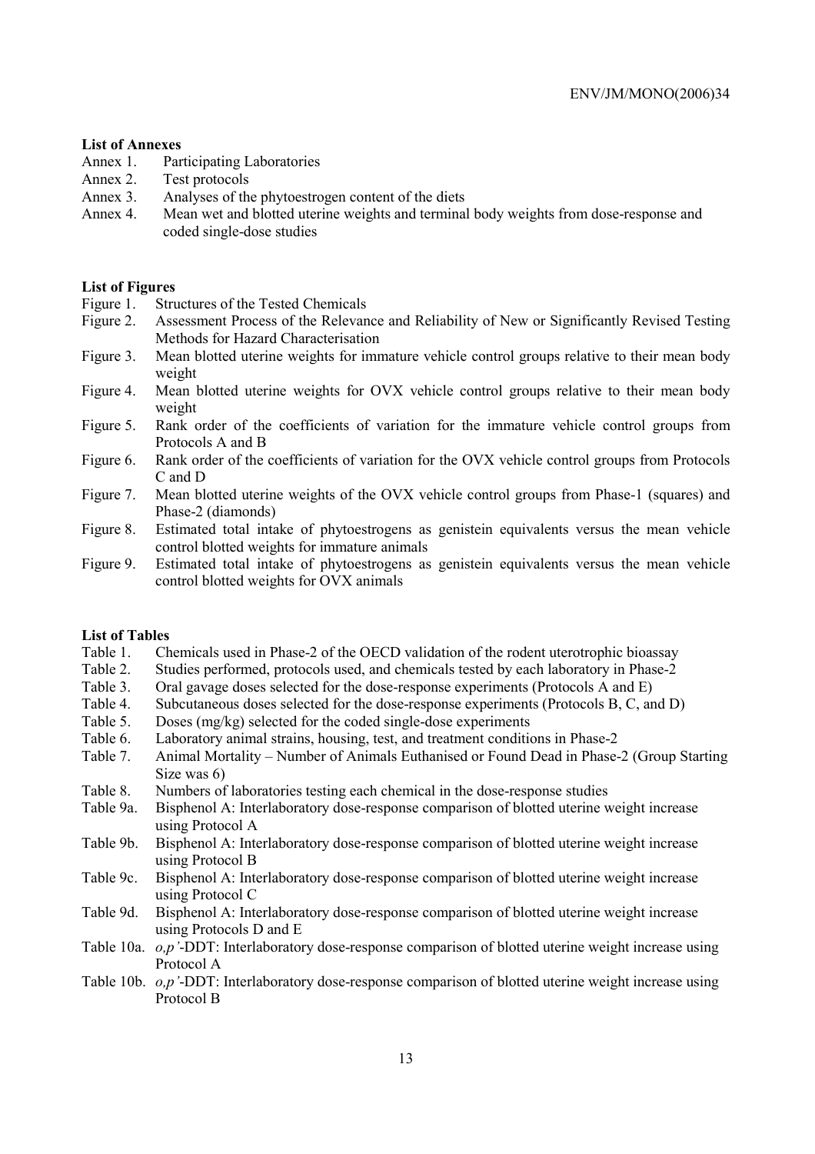# **List of Annexes**

- Annex 1. Participating Laboratories
- Annex 2. Test protocols
- Annex 3. Analyses of the phytoestrogen content of the diets
- Annex 4. Mean wet and blotted uterine weights and terminal body weights from dose-response and coded single-dose studies

## **List of Figures**

- Figure 1. Structures of the Tested Chemicals
- Figure 2. Assessment Process of the Relevance and Reliability of New or Significantly Revised Testing Methods for Hazard Characterisation
- Figure 3. Mean blotted uterine weights for immature vehicle control groups relative to their mean body weight
- Figure 4. Mean blotted uterine weights for OVX vehicle control groups relative to their mean body weight
- Figure 5. Rank order of the coefficients of variation for the immature vehicle control groups from Protocols A and B
- Figure 6. Rank order of the coefficients of variation for the OVX vehicle control groups from Protocols C and D
- Figure 7. Mean blotted uterine weights of the OVX vehicle control groups from Phase-1 (squares) and Phase-2 (diamonds)
- Figure 8. Estimated total intake of phytoestrogens as genistein equivalents versus the mean vehicle control blotted weights for immature animals
- Figure 9. Estimated total intake of phytoestrogens as genistein equivalents versus the mean vehicle control blotted weights for OVX animals

#### **List of Tables**

- Table 1. Chemicals used in Phase-2 of the OECD validation of the rodent uterotrophic bioassay
- Table 2. Studies performed, protocols used, and chemicals tested by each laboratory in Phase-2
- Table 3. Oral gavage doses selected for the dose-response experiments (Protocols A and E)
- Table 4. Subcutaneous doses selected for the dose-response experiments (Protocols B, C, and D)
- Table 5. Doses (mg/kg) selected for the coded single-dose experiments
- Table 6. Laboratory animal strains, housing, test, and treatment conditions in Phase-2
- Table 7. Animal Mortality Number of Animals Euthanised or Found Dead in Phase-2 (Group Starting Size was 6)
- Table 8. Numbers of laboratories testing each chemical in the dose-response studies
- Table 9a. Bisphenol A: Interlaboratory dose-response comparison of blotted uterine weight increase using Protocol A
- Table 9b. Bisphenol A: Interlaboratory dose-response comparison of blotted uterine weight increase using Protocol B
- Table 9c. Bisphenol A: Interlaboratory dose-response comparison of blotted uterine weight increase using Protocol C
- Table 9d. Bisphenol A: Interlaboratory dose-response comparison of blotted uterine weight increase using Protocols D and E
- Table 10a. *o,p*<sup>2</sup>-DDT: Interlaboratory dose-response comparison of blotted uterine weight increase using Protocol A
- Table 10b. *o,p*<sup>2</sup>-DDT: Interlaboratory dose-response comparison of blotted uterine weight increase using Protocol B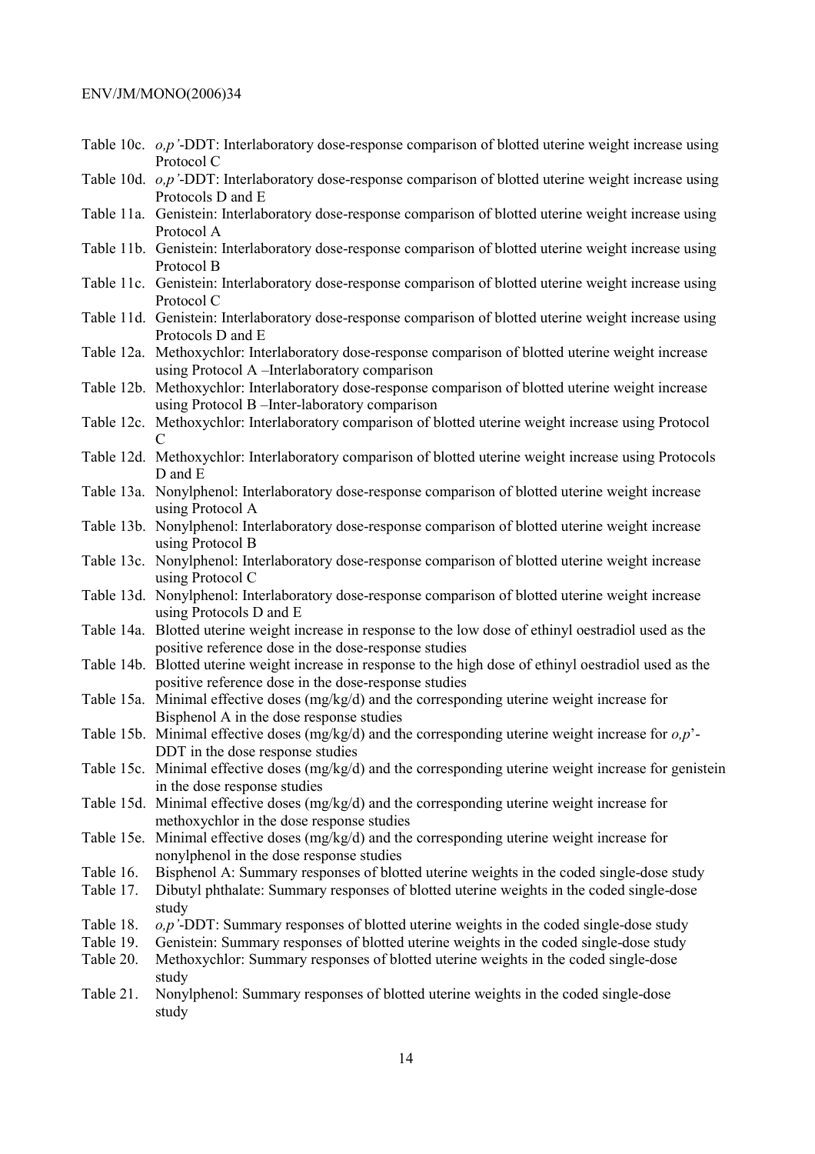- Table 10c. *o,p*<sup>2</sup>-DDT: Interlaboratory dose-response comparison of blotted uterine weight increase using Protocol C
- Table 10d. *o,p*<sup>2</sup>-DDT: Interlaboratory dose-response comparison of blotted uterine weight increase using Protocols D and E
- Table 11a. Genistein: Interlaboratory dose-response comparison of blotted uterine weight increase using Protocol A
- Table 11b. Genistein: Interlaboratory dose-response comparison of blotted uterine weight increase using Protocol B
- Table 11c. Genistein: Interlaboratory dose-response comparison of blotted uterine weight increase using Protocol C
- Table 11d. Genistein: Interlaboratory dose-response comparison of blotted uterine weight increase using Protocols D and E
- Table 12a. Methoxychlor: Interlaboratory dose-response comparison of blotted uterine weight increase using Protocol A -Interlaboratory comparison
- Table 12b. Methoxychlor: Interlaboratory dose-response comparison of blotted uterine weight increase using Protocol B –Inter-laboratory comparison
- Table 12c. Methoxychlor: Interlaboratory comparison of blotted uterine weight increase using Protocol C
- Table 12d. Methoxychlor: Interlaboratory comparison of blotted uterine weight increase using Protocols D and E
- Table 13a. Nonylphenol: Interlaboratory dose-response comparison of blotted uterine weight increase using Protocol A
- Table 13b. Nonylphenol: Interlaboratory dose-response comparison of blotted uterine weight increase using Protocol B
- Table 13c. Nonylphenol: Interlaboratory dose-response comparison of blotted uterine weight increase using Protocol C
- Table 13d. Nonylphenol: Interlaboratory dose-response comparison of blotted uterine weight increase using Protocols D and E
- Table 14a. Blotted uterine weight increase in response to the low dose of ethinyl oestradiol used as the positive reference dose in the dose-response studies
- Table 14b. Blotted uterine weight increase in response to the high dose of ethinyl oestradiol used as the positive reference dose in the dose-response studies
- Table 15a. Minimal effective doses (mg/kg/d) and the corresponding uterine weight increase for Bisphenol A in the dose response studies
- Table 15b. Minimal effective doses (mg/kg/d) and the corresponding uterine weight increase for  $o, p'$ -DDT in the dose response studies
- Table 15c. Minimal effective doses (mg/kg/d) and the corresponding uterine weight increase for genistein in the dose response studies
- Table 15d. Minimal effective doses (mg/kg/d) and the corresponding uterine weight increase for methoxychlor in the dose response studies
- Table 15e. Minimal effective doses (mg/kg/d) and the corresponding uterine weight increase for nonylphenol in the dose response studies
- Table 16. Bisphenol A: Summary responses of blotted uterine weights in the coded single-dose study
- Table 17. Dibutyl phthalate: Summary responses of blotted uterine weights in the coded single-dose study
- Table 18. *o,p*<sup>2</sup>-DDT: Summary responses of blotted uterine weights in the coded single-dose study
- Table 19. Genistein: Summary responses of blotted uterine weights in the coded single-dose study
- Table 20. Methoxychlor: Summary responses of blotted uterine weights in the coded single-dose study
- Table 21. Nonylphenol: Summary responses of blotted uterine weights in the coded single-dose study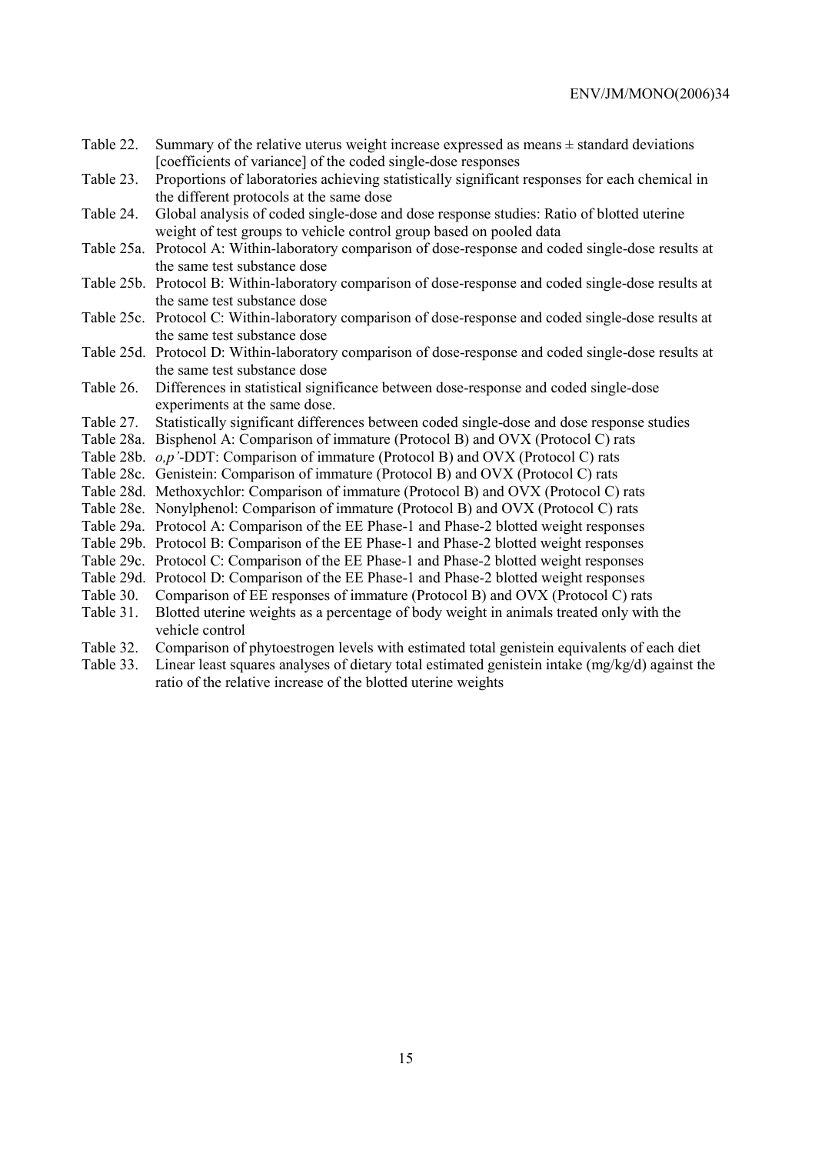- Table 22. Summary of the relative uterus weight increase expressed as means  $\pm$  standard deviations [coefficients of variance] of the coded single-dose responses
- Table 23. Proportions of laboratories achieving statistically significant responses for each chemical in the different protocols at the same dose
- Table 24. Global analysis of coded single-dose and dose response studies: Ratio of blotted uterine weight of test groups to vehicle control group based on pooled data
- Table 25a. Protocol A: Within-laboratory comparison of dose-response and coded single-dose results at the same test substance dose
- Table 25b. Protocol B: Within-laboratory comparison of dose-response and coded single-dose results at the same test substance dose
- Table 25c. Protocol C: Within-laboratory comparison of dose-response and coded single-dose results at the same test substance dose
- Table 25d. Protocol D: Within-laboratory comparison of dose-response and coded single-dose results at the same test substance dose
- Table 26. Differences in statistical significance between dose-response and coded single-dose experiments at the same dose.
- Table 27. Statistically significant differences between coded single-dose and dose response studies
- Table 28a. Bisphenol A: Comparison of immature (Protocol B) and OVX (Protocol C) rats
- Table 28b. *o,p*<sup>2</sup>-DDT: Comparison of immature (Protocol B) and OVX (Protocol C) rats
- Table 28c. Genistein: Comparison of immature (Protocol B) and OVX (Protocol C) rats
- Table 28d. Methoxychlor: Comparison of immature (Protocol B) and OVX (Protocol C) rats
- Table 28e. Nonylphenol: Comparison of immature (Protocol B) and OVX (Protocol C) rats
- Table 29a. Protocol A: Comparison of the EE Phase-1 and Phase-2 blotted weight responses
- Table 29b. Protocol B: Comparison of the EE Phase-1 and Phase-2 blotted weight responses
- Table 29c. Protocol C: Comparison of the EE Phase-1 and Phase-2 blotted weight responses
- Table 29d. Protocol D: Comparison of the EE Phase-1 and Phase-2 blotted weight responses
- Table 30. Comparison of EE responses of immature (Protocol B) and OVX (Protocol C) rats
- Table 31. Blotted uterine weights as a percentage of body weight in animals treated only with the vehicle control
- Table 32. Comparison of phytoestrogen levels with estimated total genistein equivalents of each diet
- Table 33. Linear least squares analyses of dietary total estimated genistein intake (mg/kg/d) against the ratio of the relative increase of the blotted uterine weights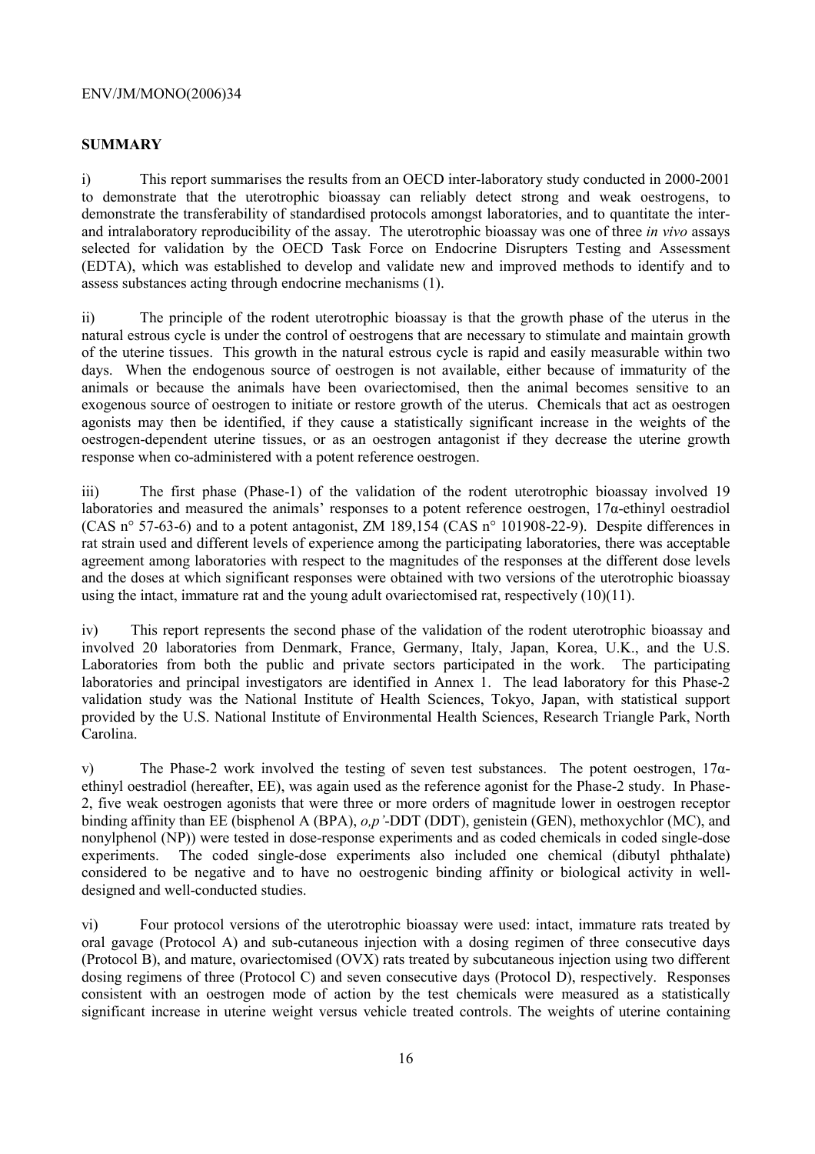# **SUMMARY**

i) This report summarises the results from an OECD inter-laboratory study conducted in 2000-2001 to demonstrate that the uterotrophic bioassay can reliably detect strong and weak oestrogens, to demonstrate the transferability of standardised protocols amongst laboratories, and to quantitate the interand intralaboratory reproducibility of the assay. The uterotrophic bioassay was one of three *in vivo* assays selected for validation by the OECD Task Force on Endocrine Disrupters Testing and Assessment (EDTA), which was established to develop and validate new and improved methods to identify and to assess substances acting through endocrine mechanisms (1).

ii) The principle of the rodent uterotrophic bioassay is that the growth phase of the uterus in the natural estrous cycle is under the control of oestrogens that are necessary to stimulate and maintain growth of the uterine tissues. This growth in the natural estrous cycle is rapid and easily measurable within two days. When the endogenous source of oestrogen is not available, either because of immaturity of the animals or because the animals have been ovariectomised, then the animal becomes sensitive to an exogenous source of oestrogen to initiate or restore growth of the uterus. Chemicals that act as oestrogen agonists may then be identified, if they cause a statistically significant increase in the weights of the oestrogen-dependent uterine tissues, or as an oestrogen antagonist if they decrease the uterine growth response when co-administered with a potent reference oestrogen.

iii) The first phase (Phase-1) of the validation of the rodent uterotrophic bioassay involved 19 laboratories and measured the animals' responses to a potent reference oestrogen, 17α-ethinyl oestradiol (CAS n° 57-63-6) and to a potent antagonist, ZM 189,154 (CAS n° 101908-22-9). Despite differences in rat strain used and different levels of experience among the participating laboratories, there was acceptable agreement among laboratories with respect to the magnitudes of the responses at the different dose levels and the doses at which significant responses were obtained with two versions of the uterotrophic bioassay using the intact, immature rat and the young adult ovariectomised rat, respectively (10)(11).

iv) This report represents the second phase of the validation of the rodent uterotrophic bioassay and involved 20 laboratories from Denmark, France, Germany, Italy, Japan, Korea, U.K., and the U.S. Laboratories from both the public and private sectors participated in the work. The participating laboratories and principal investigators are identified in Annex 1. The lead laboratory for this Phase-2 validation study was the National Institute of Health Sciences, Tokyo, Japan, with statistical support provided by the U.S. National Institute of Environmental Health Sciences, Research Triangle Park, North Carolina.

v) The Phase-2 work involved the testing of seven test substances. The potent oestrogen, 17αethinyl oestradiol (hereafter, EE), was again used as the reference agonist for the Phase-2 study. In Phase-2, five weak oestrogen agonists that were three or more orders of magnitude lower in oestrogen receptor binding affinity than EE (bisphenol A (BPA), *o,p*<sup>2</sup>-DDT (DDT), genistein (GEN), methoxychlor (MC), and nonylphenol (NP)) were tested in dose-response experiments and as coded chemicals in coded single-dose experiments. The coded single-dose experiments also included one chemical (dibutyl phthalate) considered to be negative and to have no oestrogenic binding affinity or biological activity in welldesigned and well-conducted studies.

vi) Four protocol versions of the uterotrophic bioassay were used: intact, immature rats treated by oral gavage (Protocol A) and sub-cutaneous injection with a dosing regimen of three consecutive days (Protocol B), and mature, ovariectomised (OVX) rats treated by subcutaneous injection using two different dosing regimens of three (Protocol C) and seven consecutive days (Protocol D), respectively. Responses consistent with an oestrogen mode of action by the test chemicals were measured as a statistically significant increase in uterine weight versus vehicle treated controls. The weights of uterine containing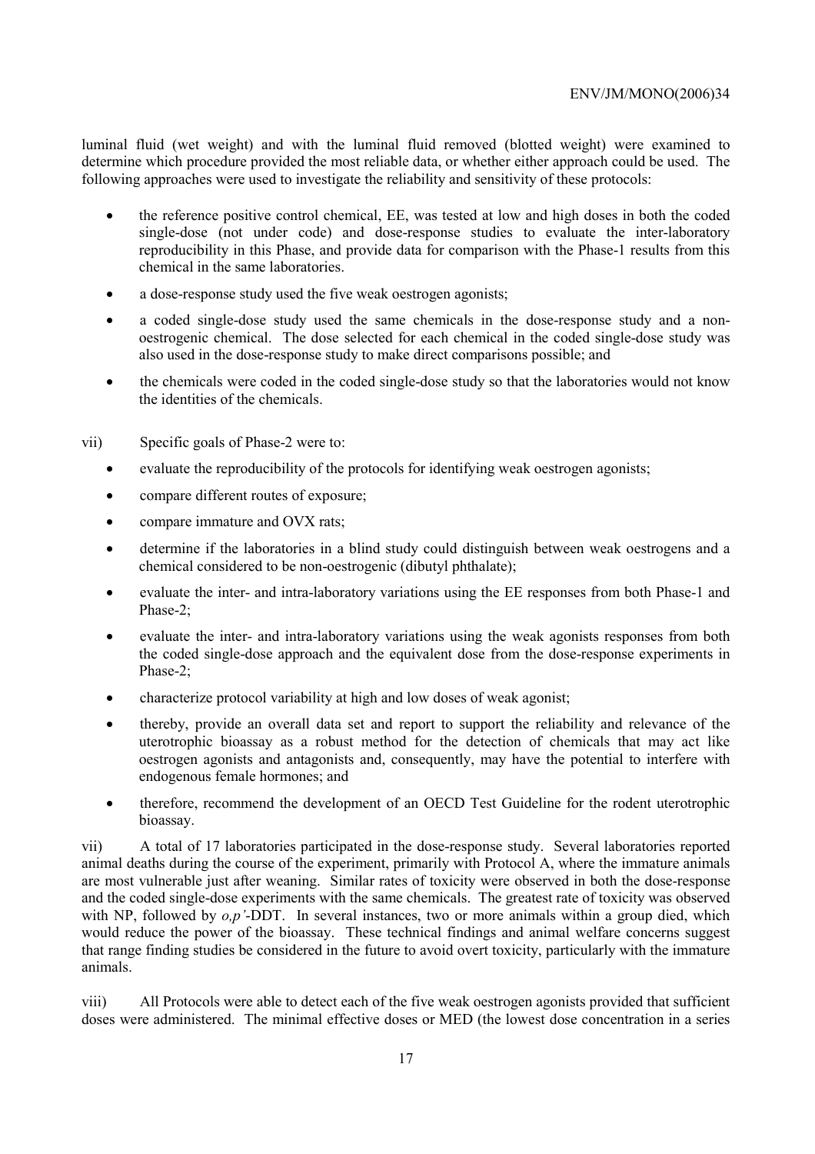luminal fluid (wet weight) and with the luminal fluid removed (blotted weight) were examined to determine which procedure provided the most reliable data, or whether either approach could be used. The following approaches were used to investigate the reliability and sensitivity of these protocols:

- the reference positive control chemical, EE, was tested at low and high doses in both the coded single-dose (not under code) and dose-response studies to evaluate the inter-laboratory reproducibility in this Phase, and provide data for comparison with the Phase-1 results from this chemical in the same laboratories.
- a dose-response study used the five weak oestrogen agonists;
- a coded single-dose study used the same chemicals in the dose-response study and a nonoestrogenic chemical. The dose selected for each chemical in the coded single-dose study was also used in the dose-response study to make direct comparisons possible; and
- the chemicals were coded in the coded single-dose study so that the laboratories would not know the identities of the chemicals.
- vii) Specific goals of Phase-2 were to:
	- evaluate the reproducibility of the protocols for identifying weak oestrogen agonists;
	- compare different routes of exposure;
	- compare immature and OVX rats;
	- determine if the laboratories in a blind study could distinguish between weak oestrogens and a chemical considered to be non-oestrogenic (dibutyl phthalate);
	- evaluate the inter- and intra-laboratory variations using the EE responses from both Phase-1 and Phase-2:
	- evaluate the inter- and intra-laboratory variations using the weak agonists responses from both the coded single-dose approach and the equivalent dose from the dose-response experiments in Phase-2;
	- characterize protocol variability at high and low doses of weak agonist;
	- thereby, provide an overall data set and report to support the reliability and relevance of the uterotrophic bioassay as a robust method for the detection of chemicals that may act like oestrogen agonists and antagonists and, consequently, may have the potential to interfere with endogenous female hormones; and
	- therefore, recommend the development of an OECD Test Guideline for the rodent uterotrophic bioassay.

vii) A total of 17 laboratories participated in the dose-response study. Several laboratories reported animal deaths during the course of the experiment, primarily with Protocol A, where the immature animals are most vulnerable just after weaning. Similar rates of toxicity were observed in both the dose-response and the coded single-dose experiments with the same chemicals. The greatest rate of toxicity was observed with NP, followed by *o,p*<sup>2</sup>-DDT. In several instances, two or more animals within a group died, which would reduce the power of the bioassay. These technical findings and animal welfare concerns suggest that range finding studies be considered in the future to avoid overt toxicity, particularly with the immature animals.

viii) All Protocols were able to detect each of the five weak oestrogen agonists provided that sufficient doses were administered. The minimal effective doses or MED (the lowest dose concentration in a series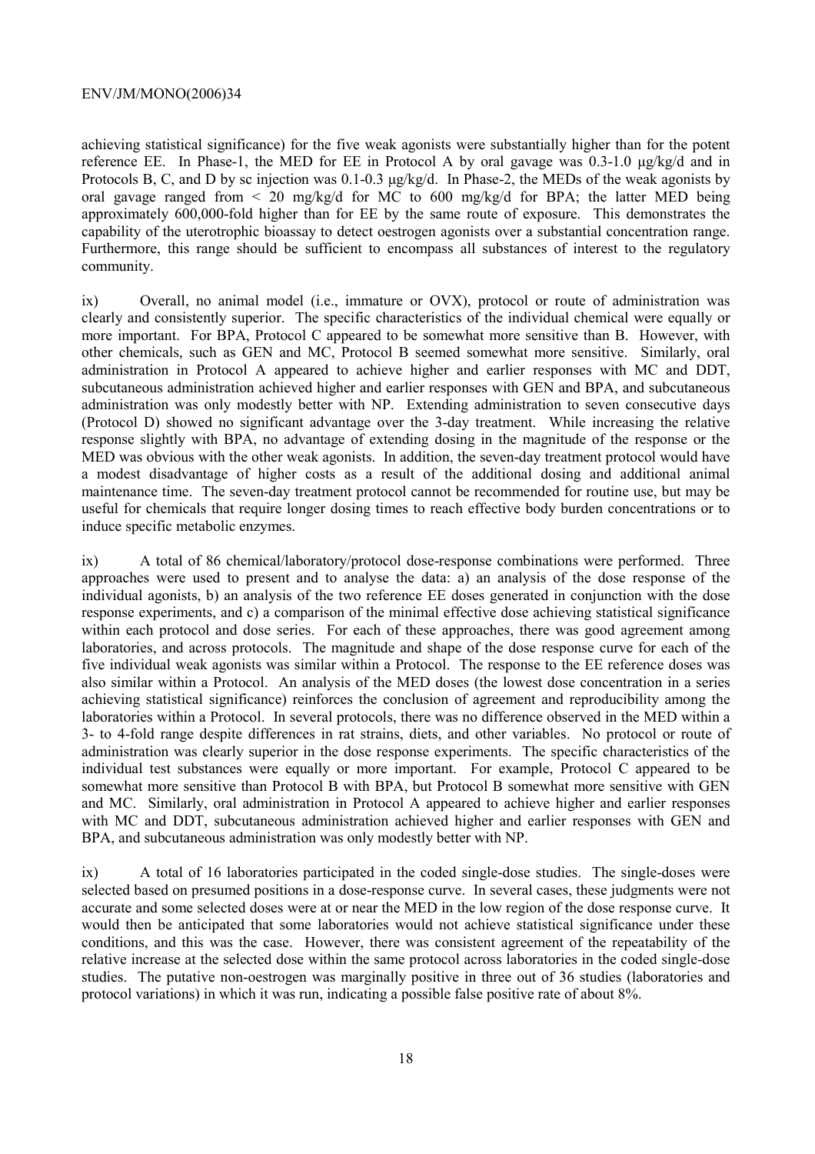achieving statistical significance) for the five weak agonists were substantially higher than for the potent reference EE. In Phase-1, the MED for EE in Protocol A by oral gavage was 0.3-1.0 µg/kg/d and in Protocols B, C, and D by sc injection was 0.1-0.3  $\mu$ g/kg/d. In Phase-2, the MEDs of the weak agonists by oral gavage ranged from  $\leq$  20 mg/kg/d for MC to 600 mg/kg/d for BPA; the latter MED being approximately 600,000-fold higher than for EE by the same route of exposure. This demonstrates the capability of the uterotrophic bioassay to detect oestrogen agonists over a substantial concentration range. Furthermore, this range should be sufficient to encompass all substances of interest to the regulatory community.

ix) Overall, no animal model (i.e., immature or OVX), protocol or route of administration was clearly and consistently superior. The specific characteristics of the individual chemical were equally or more important. For BPA, Protocol C appeared to be somewhat more sensitive than B. However, with other chemicals, such as GEN and MC, Protocol B seemed somewhat more sensitive. Similarly, oral administration in Protocol A appeared to achieve higher and earlier responses with MC and DDT, subcutaneous administration achieved higher and earlier responses with GEN and BPA, and subcutaneous administration was only modestly better with NP. Extending administration to seven consecutive days (Protocol D) showed no significant advantage over the 3-day treatment. While increasing the relative response slightly with BPA, no advantage of extending dosing in the magnitude of the response or the MED was obvious with the other weak agonists. In addition, the seven-day treatment protocol would have a modest disadvantage of higher costs as a result of the additional dosing and additional animal maintenance time. The seven-day treatment protocol cannot be recommended for routine use, but may be useful for chemicals that require longer dosing times to reach effective body burden concentrations or to induce specific metabolic enzymes.

ix) A total of 86 chemical/laboratory/protocol dose-response combinations were performed. Three approaches were used to present and to analyse the data: a) an analysis of the dose response of the individual agonists, b) an analysis of the two reference EE doses generated in conjunction with the dose response experiments, and c) a comparison of the minimal effective dose achieving statistical significance within each protocol and dose series. For each of these approaches, there was good agreement among laboratories, and across protocols. The magnitude and shape of the dose response curve for each of the five individual weak agonists was similar within a Protocol. The response to the EE reference doses was also similar within a Protocol. An analysis of the MED doses (the lowest dose concentration in a series achieving statistical significance) reinforces the conclusion of agreement and reproducibility among the laboratories within a Protocol. In several protocols, there was no difference observed in the MED within a 3- to 4-fold range despite differences in rat strains, diets, and other variables. No protocol or route of administration was clearly superior in the dose response experiments. The specific characteristics of the individual test substances were equally or more important. For example, Protocol C appeared to be somewhat more sensitive than Protocol B with BPA, but Protocol B somewhat more sensitive with GEN and MC. Similarly, oral administration in Protocol A appeared to achieve higher and earlier responses with MC and DDT, subcutaneous administration achieved higher and earlier responses with GEN and BPA, and subcutaneous administration was only modestly better with NP.

ix) A total of 16 laboratories participated in the coded single-dose studies. The single-doses were selected based on presumed positions in a dose-response curve. In several cases, these judgments were not accurate and some selected doses were at or near the MED in the low region of the dose response curve. It would then be anticipated that some laboratories would not achieve statistical significance under these conditions, and this was the case. However, there was consistent agreement of the repeatability of the relative increase at the selected dose within the same protocol across laboratories in the coded single-dose studies. The putative non-oestrogen was marginally positive in three out of 36 studies (laboratories and protocol variations) in which it was run, indicating a possible false positive rate of about 8%.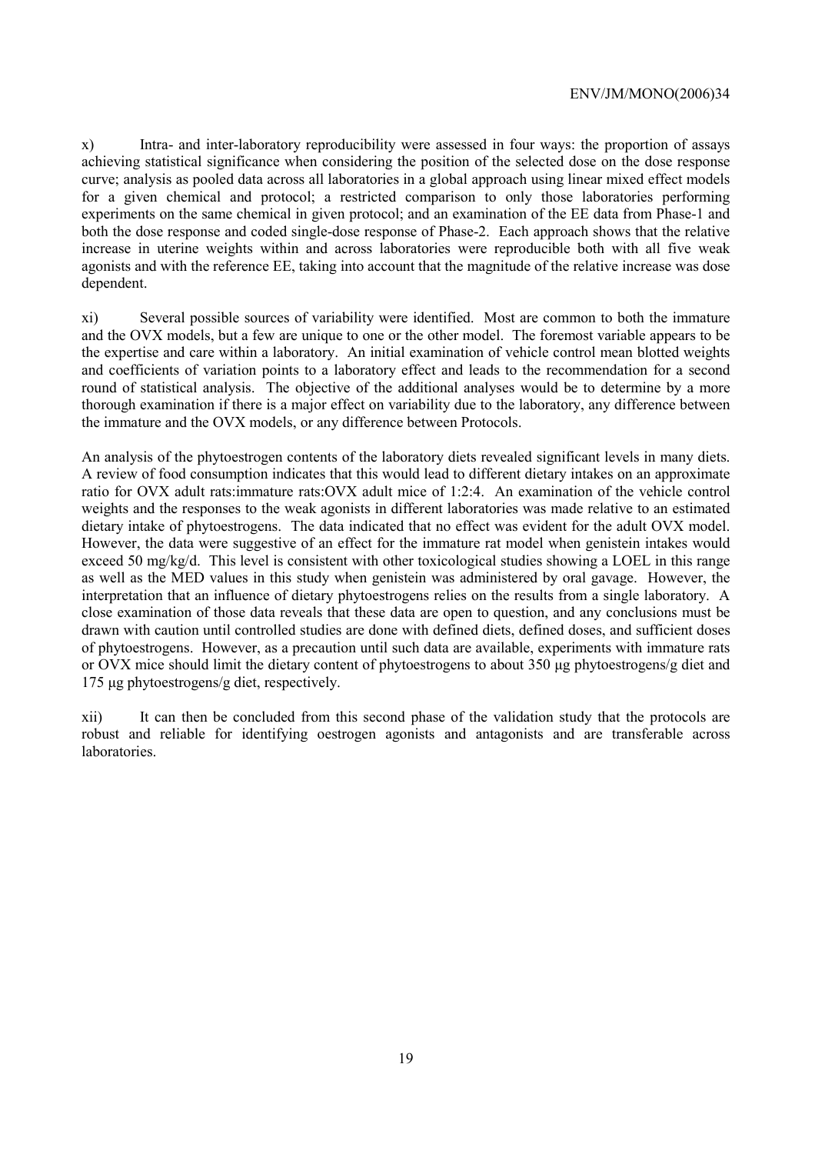x) Intra- and inter-laboratory reproducibility were assessed in four ways: the proportion of assays achieving statistical significance when considering the position of the selected dose on the dose response curve; analysis as pooled data across all laboratories in a global approach using linear mixed effect models for a given chemical and protocol; a restricted comparison to only those laboratories performing experiments on the same chemical in given protocol; and an examination of the EE data from Phase-1 and both the dose response and coded single-dose response of Phase-2. Each approach shows that the relative increase in uterine weights within and across laboratories were reproducible both with all five weak agonists and with the reference EE, taking into account that the magnitude of the relative increase was dose dependent.

xi) Several possible sources of variability were identified. Most are common to both the immature and the OVX models, but a few are unique to one or the other model. The foremost variable appears to be the expertise and care within a laboratory. An initial examination of vehicle control mean blotted weights and coefficients of variation points to a laboratory effect and leads to the recommendation for a second round of statistical analysis. The objective of the additional analyses would be to determine by a more thorough examination if there is a major effect on variability due to the laboratory, any difference between the immature and the OVX models, or any difference between Protocols.

An analysis of the phytoestrogen contents of the laboratory diets revealed significant levels in many diets. A review of food consumption indicates that this would lead to different dietary intakes on an approximate ratio for OVX adult rats:immature rats:OVX adult mice of 1:2:4. An examination of the vehicle control weights and the responses to the weak agonists in different laboratories was made relative to an estimated dietary intake of phytoestrogens. The data indicated that no effect was evident for the adult OVX model. However, the data were suggestive of an effect for the immature rat model when genistein intakes would exceed 50 mg/kg/d. This level is consistent with other toxicological studies showing a LOEL in this range as well as the MED values in this study when genistein was administered by oral gavage. However, the interpretation that an influence of dietary phytoestrogens relies on the results from a single laboratory. A close examination of those data reveals that these data are open to question, and any conclusions must be drawn with caution until controlled studies are done with defined diets, defined doses, and sufficient doses of phytoestrogens. However, as a precaution until such data are available, experiments with immature rats or OVX mice should limit the dietary content of phytoestrogens to about 350 µg phytoestrogens/g diet and 175 µg phytoestrogens/g diet, respectively.

xii) It can then be concluded from this second phase of the validation study that the protocols are robust and reliable for identifying oestrogen agonists and antagonists and are transferable across laboratories.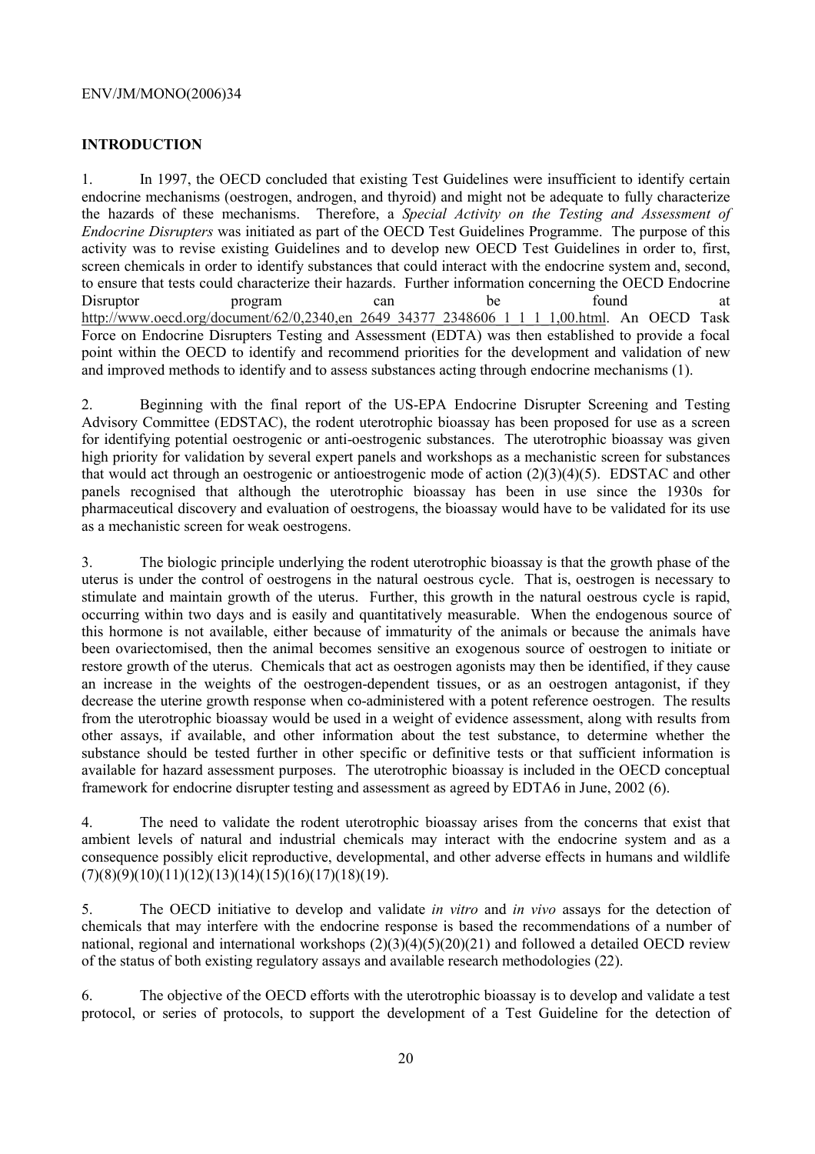# **INTRODUCTION**

1. In 1997, the OECD concluded that existing Test Guidelines were insufficient to identify certain endocrine mechanisms (oestrogen, androgen, and thyroid) and might not be adequate to fully characterize the hazards of these mechanisms. Therefore, a *Special Activity on the Testing and Assessment of Endocrine Disrupters* was initiated as part of the OECD Test Guidelines Programme. The purpose of this activity was to revise existing Guidelines and to develop new OECD Test Guidelines in order to, first, screen chemicals in order to identify substances that could interact with the endocrine system and, second, to ensure that tests could characterize their hazards. Further information concerning the OECD Endocrine Disruptor program can be found at http://www.oecd.org/document/62/0,2340,en\_2649\_34377\_2348606\_1\_1\_1\_1,00.html. An OECD Task Force on Endocrine Disrupters Testing and Assessment (EDTA) was then established to provide a focal point within the OECD to identify and recommend priorities for the development and validation of new and improved methods to identify and to assess substances acting through endocrine mechanisms (1).

2. Beginning with the final report of the US-EPA Endocrine Disrupter Screening and Testing Advisory Committee (EDSTAC), the rodent uterotrophic bioassay has been proposed for use as a screen for identifying potential oestrogenic or anti-oestrogenic substances. The uterotrophic bioassay was given high priority for validation by several expert panels and workshops as a mechanistic screen for substances that would act through an oestrogenic or antioestrogenic mode of action  $(2)(3)(4)(5)$ . EDSTAC and other panels recognised that although the uterotrophic bioassay has been in use since the 1930s for pharmaceutical discovery and evaluation of oestrogens, the bioassay would have to be validated for its use as a mechanistic screen for weak oestrogens.

3. The biologic principle underlying the rodent uterotrophic bioassay is that the growth phase of the uterus is under the control of oestrogens in the natural oestrous cycle. That is, oestrogen is necessary to stimulate and maintain growth of the uterus. Further, this growth in the natural oestrous cycle is rapid, occurring within two days and is easily and quantitatively measurable. When the endogenous source of this hormone is not available, either because of immaturity of the animals or because the animals have been ovariectomised, then the animal becomes sensitive an exogenous source of oestrogen to initiate or restore growth of the uterus. Chemicals that act as oestrogen agonists may then be identified, if they cause an increase in the weights of the oestrogen-dependent tissues, or as an oestrogen antagonist, if they decrease the uterine growth response when co-administered with a potent reference oestrogen. The results from the uterotrophic bioassay would be used in a weight of evidence assessment, along with results from other assays, if available, and other information about the test substance, to determine whether the substance should be tested further in other specific or definitive tests or that sufficient information is available for hazard assessment purposes. The uterotrophic bioassay is included in the OECD conceptual framework for endocrine disrupter testing and assessment as agreed by EDTA6 in June, 2002 (6).

4. The need to validate the rodent uterotrophic bioassay arises from the concerns that exist that ambient levels of natural and industrial chemicals may interact with the endocrine system and as a consequence possibly elicit reproductive, developmental, and other adverse effects in humans and wildlife  $(7)(8)(9)(10)(11)(12)(13)(14)(15)(16)(17)(18)(19).$ 

5. The OECD initiative to develop and validate *in vitro* and *in vivo* assays for the detection of chemicals that may interfere with the endocrine response is based the recommendations of a number of national, regional and international workshops  $(2)(3)(4)(5)(20)(21)$  and followed a detailed OECD review of the status of both existing regulatory assays and available research methodologies (22).

6. The objective of the OECD efforts with the uterotrophic bioassay is to develop and validate a test protocol, or series of protocols, to support the development of a Test Guideline for the detection of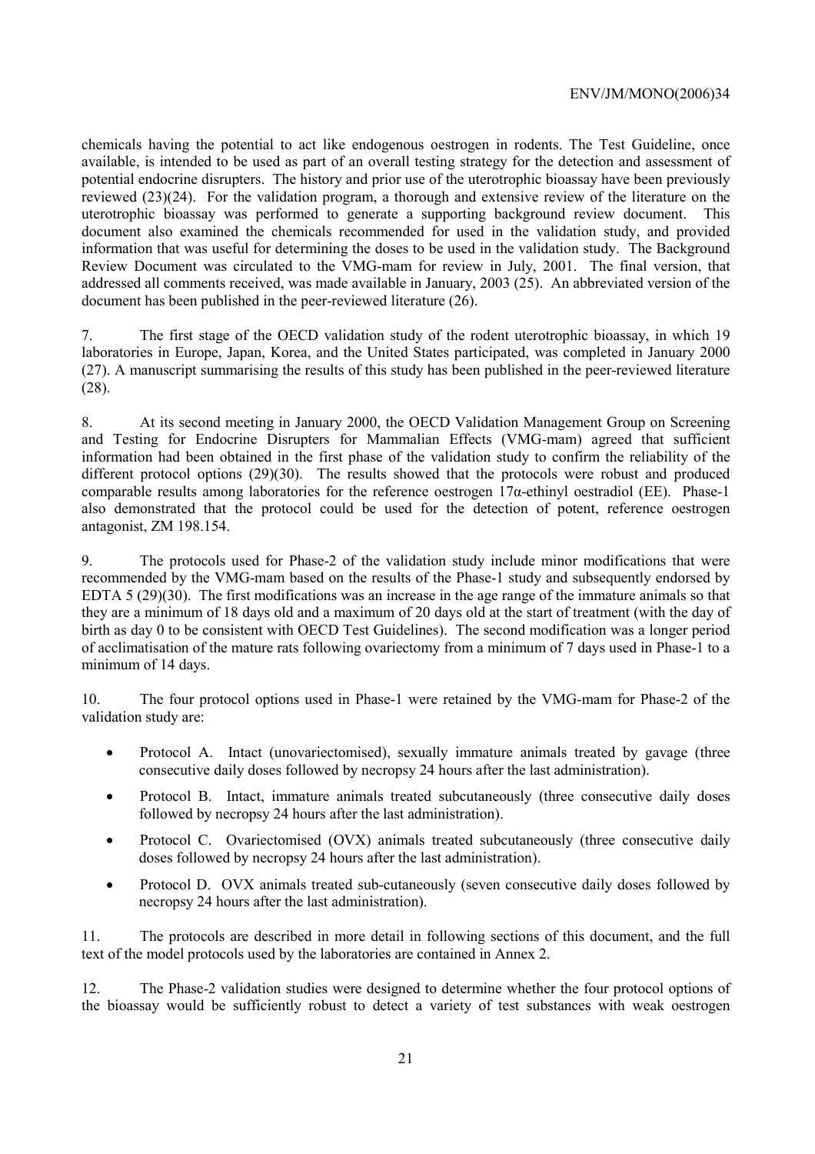chemicals having the potential to act like endogenous oestrogen in rodents. The Test Guideline, once available, is intended to be used as part of an overall testing strategy for the detection and assessment of potential endocrine disrupters. The history and prior use of the uterotrophic bioassay have been previously reviewed (23)(24). For the validation program, a thorough and extensive review of the literature on the uterotrophic bioassay was performed to generate a supporting background review document. This document also examined the chemicals recommended for used in the validation study, and provided information that was useful for determining the doses to be used in the validation study. The Background Review Document was circulated to the VMG-mam for review in July, 2001. The final version, that addressed all comments received, was made available in January, 2003 (25). An abbreviated version of the document has been published in the peer-reviewed literature (26).

7. The first stage of the OECD validation study of the rodent uterotrophic bioassay, in which 19 laboratories in Europe, Japan, Korea, and the United States participated, was completed in January 2000 (27). A manuscript summarising the results of this study has been published in the peer-reviewed literature (28).

8. At its second meeting in January 2000, the OECD Validation Management Group on Screening and Testing for Endocrine Disrupters for Mammalian Effects (VMG-mam) agreed that sufficient information had been obtained in the first phase of the validation study to confirm the reliability of the different protocol options (29)(30). The results showed that the protocols were robust and produced comparable results among laboratories for the reference oestrogen  $17\alpha$ -ethinyl oestradiol (EE). Phase-1 also demonstrated that the protocol could be used for the detection of potent, reference oestrogen antagonist, ZM 198.154.

9. The protocols used for Phase-2 of the validation study include minor modifications that were recommended by the VMG-mam based on the results of the Phase-1 study and subsequently endorsed by EDTA 5 (29)(30). The first modifications was an increase in the age range of the immature animals so that they are a minimum of 18 days old and a maximum of 20 days old at the start of treatment (with the day of birth as day 0 to be consistent with OECD Test Guidelines). The second modification was a longer period of acclimatisation of the mature rats following ovariectomy from a minimum of 7 days used in Phase-1 to a minimum of 14 days.

10. The four protocol options used in Phase-1 were retained by the VMG-mam for Phase-2 of the validation study are:

- Protocol A. Intact (unovariectomised), sexually immature animals treated by gavage (three consecutive daily doses followed by necropsy 24 hours after the last administration).
- Protocol B. Intact, immature animals treated subcutaneously (three consecutive daily doses followed by necropsy 24 hours after the last administration).
- Protocol C. Ovariectomised (OVX) animals treated subcutaneously (three consecutive daily doses followed by necropsy 24 hours after the last administration).
- Protocol D. OVX animals treated sub-cutaneously (seven consecutive daily doses followed by necropsy 24 hours after the last administration).

11. The protocols are described in more detail in following sections of this document, and the full text of the model protocols used by the laboratories are contained in Annex 2.

12. The Phase-2 validation studies were designed to determine whether the four protocol options of the bioassay would be sufficiently robust to detect a variety of test substances with weak oestrogen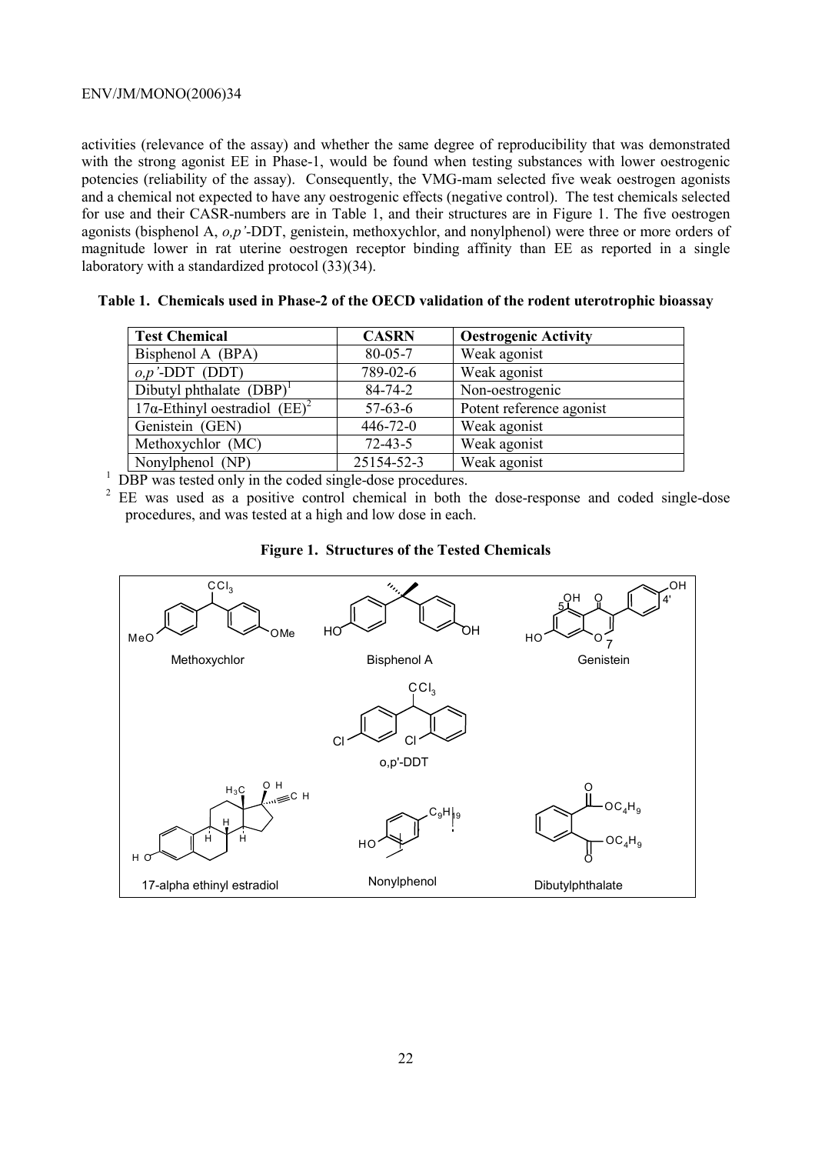activities (relevance of the assay) and whether the same degree of reproducibility that was demonstrated with the strong agonist EE in Phase-1, would be found when testing substances with lower oestrogenic potencies (reliability of the assay). Consequently, the VMG-mam selected five weak oestrogen agonists and a chemical not expected to have any oestrogenic effects (negative control). The test chemicals selected for use and their CASR-numbers are in Table 1, and their structures are in Figure 1. The five oestrogen agonists (bisphenol A, *o,p*<sup>2</sup>-DDT, genistein, methoxychlor, and nonylphenol) were three or more orders of magnitude lower in rat uterine oestrogen receptor binding affinity than EE as reported in a single laboratory with a standardized protocol (33)(34).

|  |  |  |  |  |  |  | Table 1. Chemicals used in Phase-2 of the OECD validation of the rodent uterotrophic bioassay |  |
|--|--|--|--|--|--|--|-----------------------------------------------------------------------------------------------|--|
|--|--|--|--|--|--|--|-----------------------------------------------------------------------------------------------|--|

| <b>Test Chemical</b>                             | <b>CASRN</b>   | <b>Oestrogenic Activity</b> |
|--------------------------------------------------|----------------|-----------------------------|
| Bisphenol A (BPA)                                | $80 - 05 - 7$  | Weak agonist                |
| $o, p'$ -DDT (DDT)                               | 789-02-6       | Weak agonist                |
| Dibutyl phthalate $(DBP)^T$                      | $84 - 74 - 2$  | Non-oestrogenic             |
| $17\alpha$ -Ethinyl oestradiol (EE) <sup>2</sup> | $57-63-6$      | Potent reference agonist    |
| Genistein (GEN)                                  | $446 - 72 - 0$ | Weak agonist                |
| Methoxychlor (MC)                                | $72 - 43 - 5$  | Weak agonist                |
| Nonylphenol (NP)                                 | 25154-52-3     | Weak agonist                |

<sup>1</sup> DBP was tested only in the coded single-dose procedures.

<sup>2</sup> EE was used as a positive control chemical in both the dose-response and coded single-dose procedures, and was tested at a high and low dose in each.



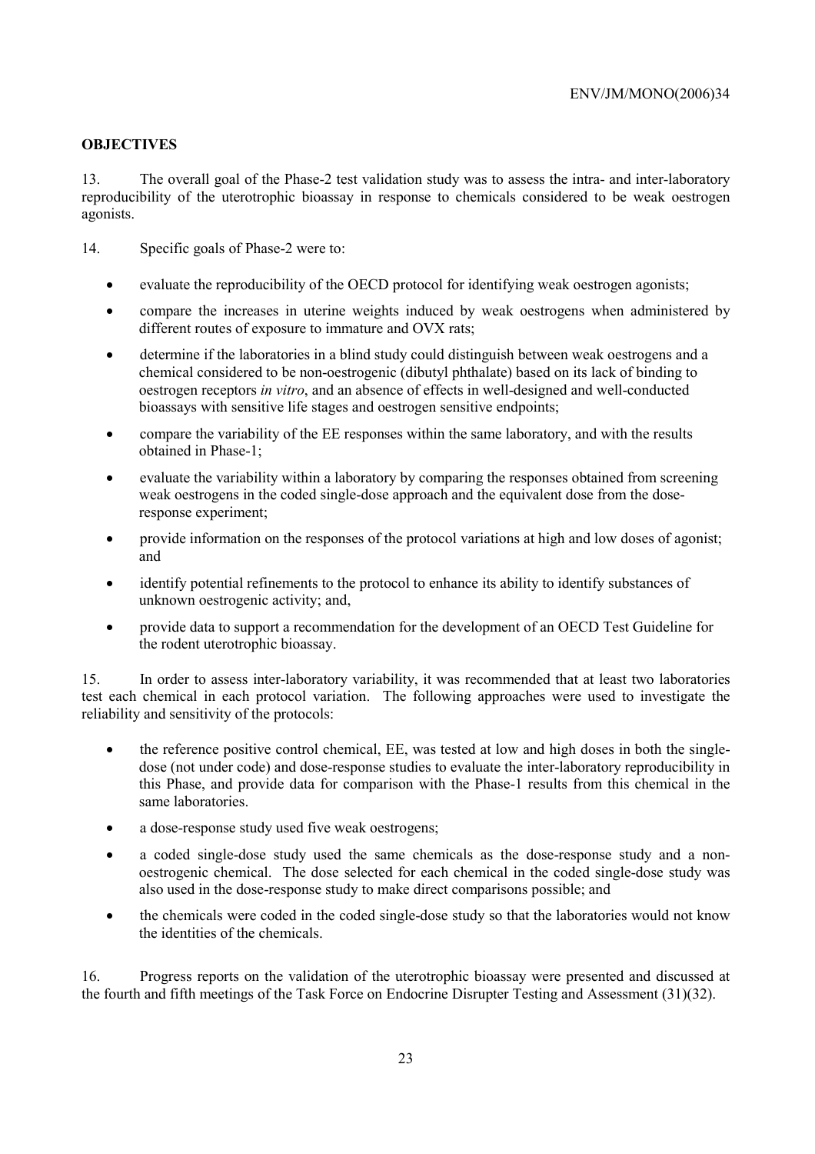# **OBJECTIVES**

13. The overall goal of the Phase-2 test validation study was to assess the intra- and inter-laboratory reproducibility of the uterotrophic bioassay in response to chemicals considered to be weak oestrogen agonists.

- 14. Specific goals of Phase-2 were to:
	- evaluate the reproducibility of the OECD protocol for identifying weak oestrogen agonists;
	- compare the increases in uterine weights induced by weak oestrogens when administered by different routes of exposure to immature and OVX rats;
	- determine if the laboratories in a blind study could distinguish between weak oestrogens and a chemical considered to be non-oestrogenic (dibutyl phthalate) based on its lack of binding to oestrogen receptors *in vitro*, and an absence of effects in well-designed and well-conducted bioassays with sensitive life stages and oestrogen sensitive endpoints;
	- compare the variability of the EE responses within the same laboratory, and with the results obtained in Phase-1;
	- evaluate the variability within a laboratory by comparing the responses obtained from screening weak oestrogens in the coded single-dose approach and the equivalent dose from the doseresponse experiment;
	- provide information on the responses of the protocol variations at high and low doses of agonist; and
	- identify potential refinements to the protocol to enhance its ability to identify substances of unknown oestrogenic activity; and,
	- provide data to support a recommendation for the development of an OECD Test Guideline for the rodent uterotrophic bioassay.

15. In order to assess inter-laboratory variability, it was recommended that at least two laboratories test each chemical in each protocol variation. The following approaches were used to investigate the reliability and sensitivity of the protocols:

- the reference positive control chemical, EE, was tested at low and high doses in both the singledose (not under code) and dose-response studies to evaluate the inter-laboratory reproducibility in this Phase, and provide data for comparison with the Phase-1 results from this chemical in the same laboratories.
- a dose-response study used five weak oestrogens;
- a coded single-dose study used the same chemicals as the dose-response study and a nonoestrogenic chemical. The dose selected for each chemical in the coded single-dose study was also used in the dose-response study to make direct comparisons possible; and
- the chemicals were coded in the coded single-dose study so that the laboratories would not know the identities of the chemicals.

16. Progress reports on the validation of the uterotrophic bioassay were presented and discussed at the fourth and fifth meetings of the Task Force on Endocrine Disrupter Testing and Assessment (31)(32).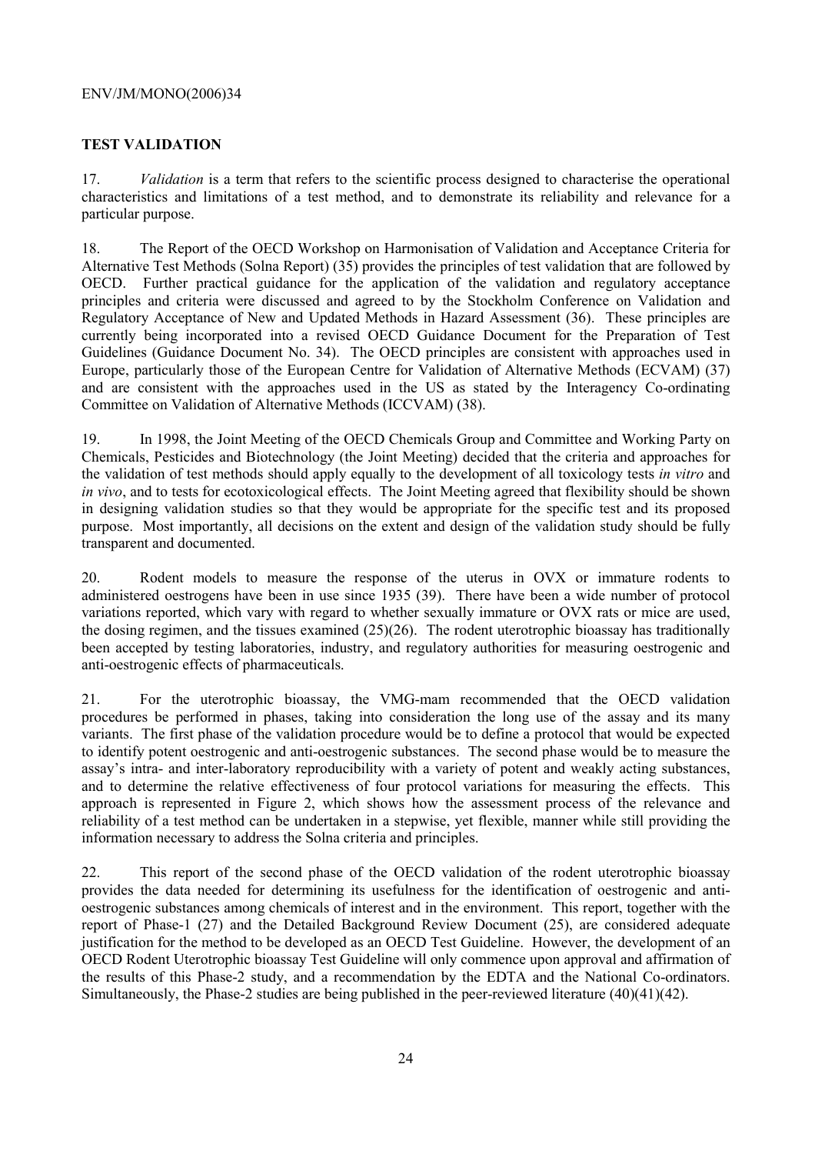# **TEST VALIDATION**

17. *Validation* is a term that refers to the scientific process designed to characterise the operational characteristics and limitations of a test method, and to demonstrate its reliability and relevance for a particular purpose.

18. The Report of the OECD Workshop on Harmonisation of Validation and Acceptance Criteria for Alternative Test Methods (Solna Report) (35) provides the principles of test validation that are followed by OECD. Further practical guidance for the application of the validation and regulatory acceptance principles and criteria were discussed and agreed to by the Stockholm Conference on Validation and Regulatory Acceptance of New and Updated Methods in Hazard Assessment (36). These principles are currently being incorporated into a revised OECD Guidance Document for the Preparation of Test Guidelines (Guidance Document No. 34). The OECD principles are consistent with approaches used in Europe, particularly those of the European Centre for Validation of Alternative Methods (ECVAM) (37) and are consistent with the approaches used in the US as stated by the Interagency Co-ordinating Committee on Validation of Alternative Methods (ICCVAM) (38).

19. In 1998, the Joint Meeting of the OECD Chemicals Group and Committee and Working Party on Chemicals, Pesticides and Biotechnology (the Joint Meeting) decided that the criteria and approaches for the validation of test methods should apply equally to the development of all toxicology tests *in vitro* and *in vivo*, and to tests for ecotoxicological effects. The Joint Meeting agreed that flexibility should be shown in designing validation studies so that they would be appropriate for the specific test and its proposed purpose. Most importantly, all decisions on the extent and design of the validation study should be fully transparent and documented.

20. Rodent models to measure the response of the uterus in OVX or immature rodents to administered oestrogens have been in use since 1935 (39). There have been a wide number of protocol variations reported, which vary with regard to whether sexually immature or OVX rats or mice are used, the dosing regimen, and the tissues examined (25)(26). The rodent uterotrophic bioassay has traditionally been accepted by testing laboratories, industry, and regulatory authorities for measuring oestrogenic and anti-oestrogenic effects of pharmaceuticals.

21. For the uterotrophic bioassay, the VMG-mam recommended that the OECD validation procedures be performed in phases, taking into consideration the long use of the assay and its many variants. The first phase of the validation procedure would be to define a protocol that would be expected to identify potent oestrogenic and anti-oestrogenic substances. The second phase would be to measure the assayís intra- and inter-laboratory reproducibility with a variety of potent and weakly acting substances, and to determine the relative effectiveness of four protocol variations for measuring the effects. This approach is represented in Figure 2, which shows how the assessment process of the relevance and reliability of a test method can be undertaken in a stepwise, yet flexible, manner while still providing the information necessary to address the Solna criteria and principles.

22. This report of the second phase of the OECD validation of the rodent uterotrophic bioassay provides the data needed for determining its usefulness for the identification of oestrogenic and antioestrogenic substances among chemicals of interest and in the environment. This report, together with the report of Phase-1 (27) and the Detailed Background Review Document (25), are considered adequate justification for the method to be developed as an OECD Test Guideline. However, the development of an OECD Rodent Uterotrophic bioassay Test Guideline will only commence upon approval and affirmation of the results of this Phase-2 study, and a recommendation by the EDTA and the National Co-ordinators. Simultaneously, the Phase-2 studies are being published in the peer-reviewed literature (40)(41)(42).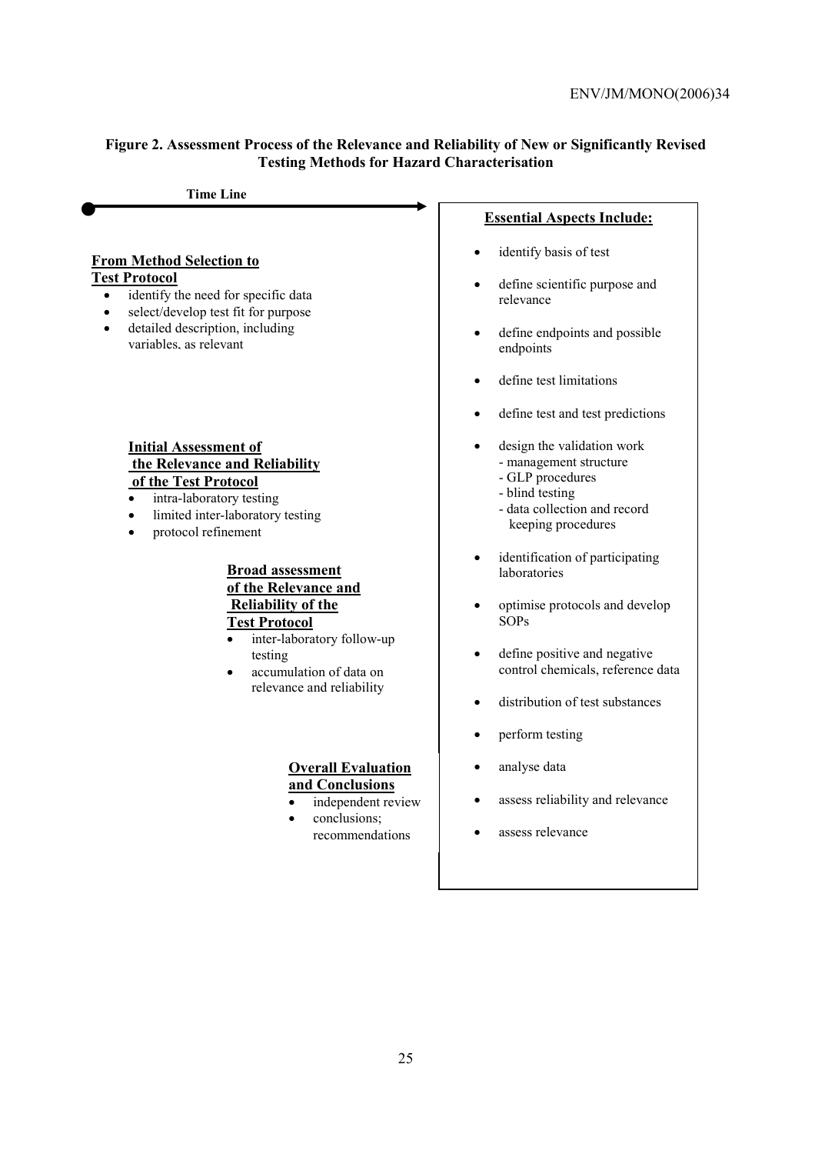# **Figure 2. Assessment Process of the Relevance and Reliability of New or Significantly Revised Testing Methods for Hazard Characterisation**

| <b>Time Line</b>                                                                                                                                                                                                                                                                                                                                                                                                                          |                                                                                                                                                                                                                                                                                                                                                                                                                                                                  |
|-------------------------------------------------------------------------------------------------------------------------------------------------------------------------------------------------------------------------------------------------------------------------------------------------------------------------------------------------------------------------------------------------------------------------------------------|------------------------------------------------------------------------------------------------------------------------------------------------------------------------------------------------------------------------------------------------------------------------------------------------------------------------------------------------------------------------------------------------------------------------------------------------------------------|
|                                                                                                                                                                                                                                                                                                                                                                                                                                           | <b>Essential Aspects Include:</b>                                                                                                                                                                                                                                                                                                                                                                                                                                |
| <b>From Method Selection to</b><br><b>Test Protocol</b><br>identify the need for specific data<br>$\bullet$<br>select/develop test fit for purpose<br>detailed description, including<br>$\bullet$<br>variables, as relevant                                                                                                                                                                                                              | identify basis of test<br>$\bullet$<br>define scientific purpose and<br>$\bullet$<br>relevance<br>define endpoints and possible<br>$\bullet$<br>endpoints<br>define test limitations<br>$\bullet$                                                                                                                                                                                                                                                                |
| <b>Initial Assessment of</b><br>the Relevance and Reliability<br>of the Test Protocol<br>intra-laboratory testing<br>$\bullet$<br>limited inter-laboratory testing<br>$\bullet$<br>protocol refinement<br>$\bullet$<br><b>Broad assessment</b><br>of the Relevance and<br><b>Reliability of the</b><br><b>Test Protocol</b><br>inter-laboratory follow-up<br>$\bullet$<br>testing<br>accumulation of data on<br>relevance and reliability | define test and test predictions<br>$\bullet$<br>design the validation work<br>$\bullet$<br>- management structure<br>- GLP procedures<br>- blind testing<br>- data collection and record<br>keeping procedures<br>identification of participating<br>٠<br>laboratories<br>optimise protocols and develop<br><b>SOPs</b><br>define positive and negative<br>$\bullet$<br>control chemicals, reference data<br>distribution of test substances<br>perform testing |
| <b>Overall Evaluation</b><br>and Conclusions<br>independent review<br>conclusions;<br>recommendations<br>25                                                                                                                                                                                                                                                                                                                               | analyse data<br>assess reliability and relevance<br>assess relevance                                                                                                                                                                                                                                                                                                                                                                                             |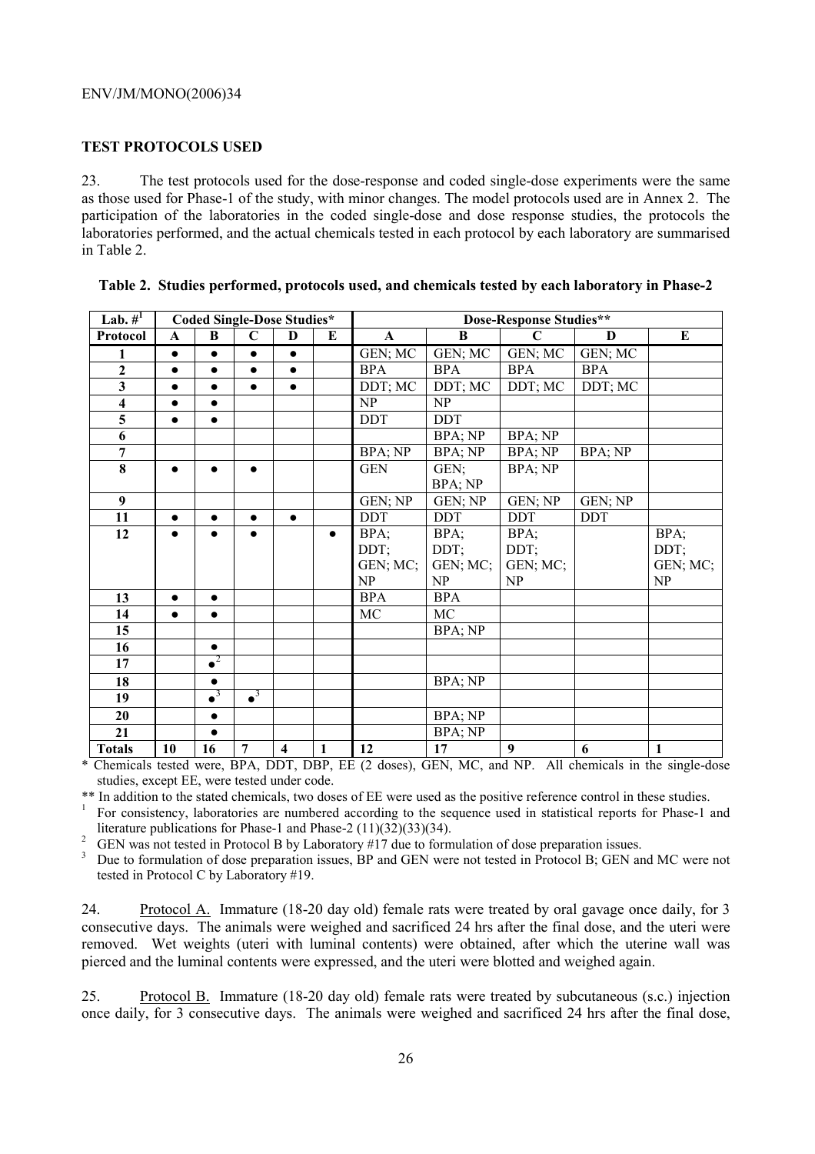#### **TEST PROTOCOLS USED**

23. The test protocols used for the dose-response and coded single-dose experiments were the same as those used for Phase-1 of the study, with minor changes. The model protocols used are in Annex 2. The participation of the laboratories in the coded single-dose and dose response studies, the protocols the laboratories performed, and the actual chemicals tested in each protocol by each laboratory are summarised in Table 2.

| Lab. $\sharp^1$         |           | <b>Coded Single-Dose Studies*</b> |                        |                         |              | <b>Dose-Response Studies**</b> |                        |             |            |              |
|-------------------------|-----------|-----------------------------------|------------------------|-------------------------|--------------|--------------------------------|------------------------|-------------|------------|--------------|
| Protocol                | A         | $\bf{B}$                          | $\mathbf C$            | D                       | Е            | $\mathbf{A}$                   | B                      | $\mathbf C$ | D          | Е            |
| 1                       | $\bullet$ | $\bullet$                         | $\bullet$              | $\bullet$               |              | GEN; MC                        | GEN; MC                | GEN; MC     | GEN; MC    |              |
| $\overline{2}$          | $\bullet$ | $\bullet$                         | $\bullet$              | $\bullet$               |              | <b>BPA</b>                     | <b>BPA</b>             | <b>BPA</b>  | <b>BPA</b> |              |
| $\overline{\mathbf{3}}$ | $\bullet$ | $\bullet$                         | $\bullet$              | $\bullet$               |              | DDT; MC                        | DDT; MC                | DDT; MC     | DDT; MC    |              |
| $\overline{\mathbf{4}}$ | $\bullet$ | $\bullet$                         |                        |                         |              | NP                             | $\overline{\text{NP}}$ |             |            |              |
| 5                       | $\bullet$ | $\bullet$                         |                        |                         |              | <b>DDT</b>                     | <b>DDT</b>             |             |            |              |
| $\overline{6}$          |           |                                   |                        |                         |              |                                | BPA; NP                | BPA; NP     |            |              |
| $\overline{7}$          |           |                                   |                        |                         |              | BPA; NP                        | BPA; NP                | BPA; NP     | BPA; NP    |              |
| $\overline{\mathbf{8}}$ | $\bullet$ | $\bullet$                         | $\bullet$              |                         |              | <b>GEN</b>                     | GEN;                   | BPA; NP     |            |              |
|                         |           |                                   |                        |                         |              |                                | BPA; NP                |             |            |              |
| 9                       |           |                                   |                        |                         |              | GEN; NP                        | GEN; NP                | GEN; NP     | GEN; NP    |              |
| 11                      | $\bullet$ | $\bullet$                         | $\bullet$              | $\bullet$               |              | <b>DDT</b>                     | <b>DDT</b>             | <b>DDT</b>  | <b>DDT</b> |              |
| 12                      | $\bullet$ | $\bullet$                         | $\bullet$              |                         | $\bullet$    | BPA;                           | BPA;                   | BPA;        |            | BPA;         |
|                         |           |                                   |                        |                         |              | DDT;                           | DDT;                   | DDT;        |            | DDT;         |
|                         |           |                                   |                        |                         |              | GEN; MC;                       | GEN; MC;               | GEN; MC;    |            | GEN; MC;     |
|                         |           |                                   |                        |                         |              | NP                             | NP                     | NP          |            | NP           |
| 13                      | $\bullet$ | $\bullet$                         |                        |                         |              | <b>BPA</b>                     | <b>BPA</b>             |             |            |              |
| 14                      | $\bullet$ | $\bullet$                         |                        |                         |              | MC                             | MC                     |             |            |              |
| 15                      |           |                                   |                        |                         |              |                                | BPA; NP                |             |            |              |
| 16                      |           | $\bullet$                         |                        |                         |              |                                |                        |             |            |              |
| 17                      |           | $\bullet^2$                       |                        |                         |              |                                |                        |             |            |              |
| 18                      |           | $\bullet$                         |                        |                         |              |                                | BPA; NP                |             |            |              |
| 19                      |           | $\bullet^3$                       | $\overline{\bullet^3}$ |                         |              |                                |                        |             |            |              |
| 20                      |           | $\bullet$                         |                        |                         |              |                                | BPA; NP                |             |            |              |
| 21                      |           |                                   |                        |                         |              |                                | BPA; NP                |             |            |              |
| <b>Totals</b>           | 10        | 16                                | $\overline{7}$         | $\overline{\mathbf{4}}$ | $\mathbf{1}$ | 12                             | 17                     | 9           | 6          | $\mathbf{1}$ |

|  |  | Table 2. Studies performed, protocols used, and chemicals tested by each laboratory in Phase-2 |  |  |  |  |
|--|--|------------------------------------------------------------------------------------------------|--|--|--|--|
|--|--|------------------------------------------------------------------------------------------------|--|--|--|--|

\* Chemicals tested were, BPA, DDT, DBP, EE (2 doses), GEN, MC, and NP. All chemicals in the single-dose studies, except EE, were tested under code.

\*\* In addition to the stated chemicals, two doses of EE were used as the positive reference control in these studies.

<sup>1</sup> For consistency, laboratories are numbered according to the sequence used in statistical reports for Phase-1 and literature publications for Phase-1 and Phase-2 (11)(32)(33)(34).

GEN was not tested in Protocol B by Laboratory #17 due to formulation of dose preparation issues.

3 Due to formulation of dose preparation issues, BP and GEN were not tested in Protocol B; GEN and MC were not tested in Protocol C by Laboratory #19.

24. Protocol A. Immature (18-20 day old) female rats were treated by oral gavage once daily, for 3 consecutive days. The animals were weighed and sacrificed 24 hrs after the final dose, and the uteri were removed. Wet weights (uteri with luminal contents) were obtained, after which the uterine wall was pierced and the luminal contents were expressed, and the uteri were blotted and weighed again.

25. Protocol B. Immature (18-20 day old) female rats were treated by subcutaneous (s.c.) injection once daily, for 3 consecutive days. The animals were weighed and sacrificed 24 hrs after the final dose,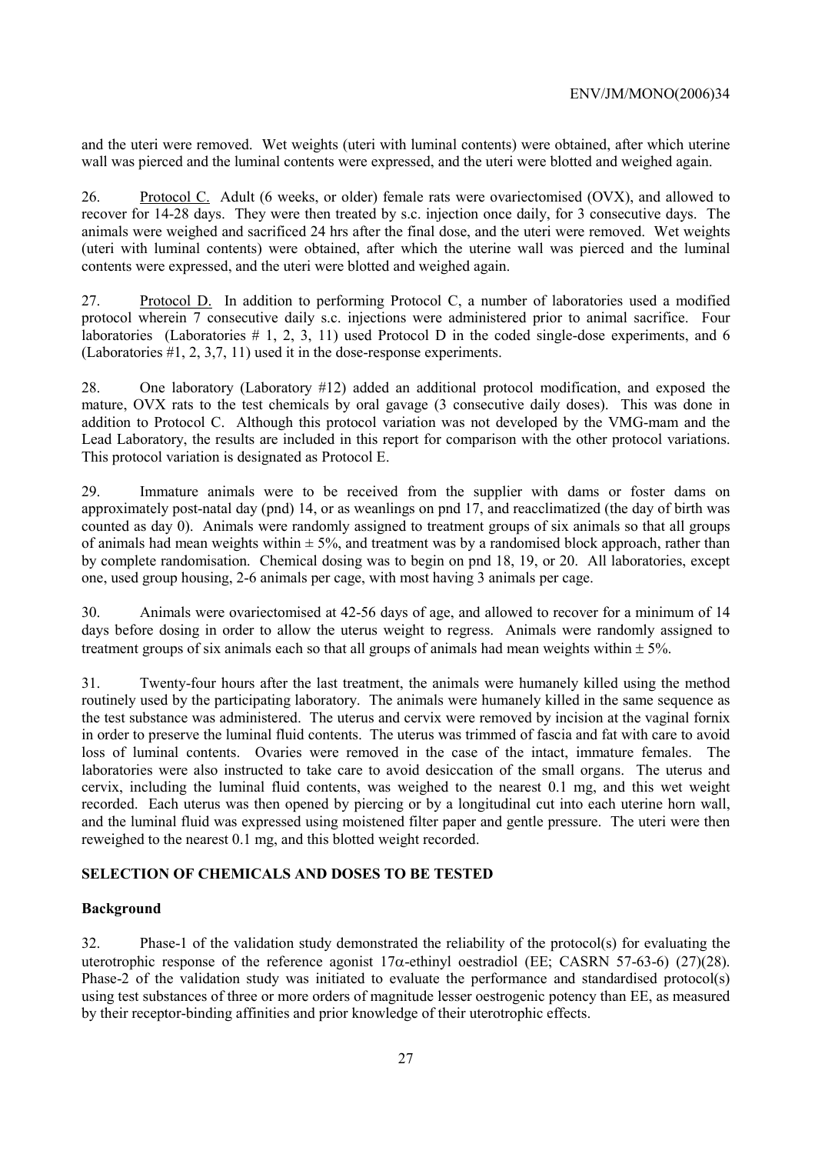and the uteri were removed. Wet weights (uteri with luminal contents) were obtained, after which uterine wall was pierced and the luminal contents were expressed, and the uteri were blotted and weighed again.

26. Protocol C. Adult (6 weeks, or older) female rats were ovariectomised (OVX), and allowed to recover for 14-28 days. They were then treated by s.c. injection once daily, for 3 consecutive days. The animals were weighed and sacrificed 24 hrs after the final dose, and the uteri were removed. Wet weights (uteri with luminal contents) were obtained, after which the uterine wall was pierced and the luminal contents were expressed, and the uteri were blotted and weighed again.

27. Protocol D. In addition to performing Protocol C, a number of laboratories used a modified protocol wherein 7 consecutive daily s.c. injections were administered prior to animal sacrifice. Four laboratories (Laboratories  $\# 1, 2, 3, 11$ ) used Protocol D in the coded single-dose experiments, and 6 (Laboratories #1, 2, 3,7, 11) used it in the dose-response experiments.

28. One laboratory (Laboratory #12) added an additional protocol modification, and exposed the mature, OVX rats to the test chemicals by oral gavage (3 consecutive daily doses). This was done in addition to Protocol C. Although this protocol variation was not developed by the VMG-mam and the Lead Laboratory, the results are included in this report for comparison with the other protocol variations. This protocol variation is designated as Protocol E.

29. Immature animals were to be received from the supplier with dams or foster dams on approximately post-natal day (pnd) 14, or as weanlings on pnd 17, and reacclimatized (the day of birth was counted as day 0). Animals were randomly assigned to treatment groups of six animals so that all groups of animals had mean weights within  $\pm$  5%, and treatment was by a randomised block approach, rather than by complete randomisation. Chemical dosing was to begin on pnd 18, 19, or 20. All laboratories, except one, used group housing, 2-6 animals per cage, with most having 3 animals per cage.

30. Animals were ovariectomised at 42-56 days of age, and allowed to recover for a minimum of 14 days before dosing in order to allow the uterus weight to regress. Animals were randomly assigned to treatment groups of six animals each so that all groups of animals had mean weights within  $\pm$  5%.

31. Twenty-four hours after the last treatment, the animals were humanely killed using the method routinely used by the participating laboratory. The animals were humanely killed in the same sequence as the test substance was administered. The uterus and cervix were removed by incision at the vaginal fornix in order to preserve the luminal fluid contents. The uterus was trimmed of fascia and fat with care to avoid loss of luminal contents. Ovaries were removed in the case of the intact, immature females. The laboratories were also instructed to take care to avoid desiccation of the small organs. The uterus and cervix, including the luminal fluid contents, was weighed to the nearest 0.1 mg, and this wet weight recorded. Each uterus was then opened by piercing or by a longitudinal cut into each uterine horn wall, and the luminal fluid was expressed using moistened filter paper and gentle pressure. The uteri were then reweighed to the nearest 0.1 mg, and this blotted weight recorded.

# **SELECTION OF CHEMICALS AND DOSES TO BE TESTED**

#### **Background**

32. Phase-1 of the validation study demonstrated the reliability of the protocol(s) for evaluating the uterotrophic response of the reference agonist  $17\alpha$ -ethinyl oestradiol (EE; CASRN 57-63-6) (27)(28). Phase-2 of the validation study was initiated to evaluate the performance and standardised protocol(s) using test substances of three or more orders of magnitude lesser oestrogenic potency than EE, as measured by their receptor-binding affinities and prior knowledge of their uterotrophic effects.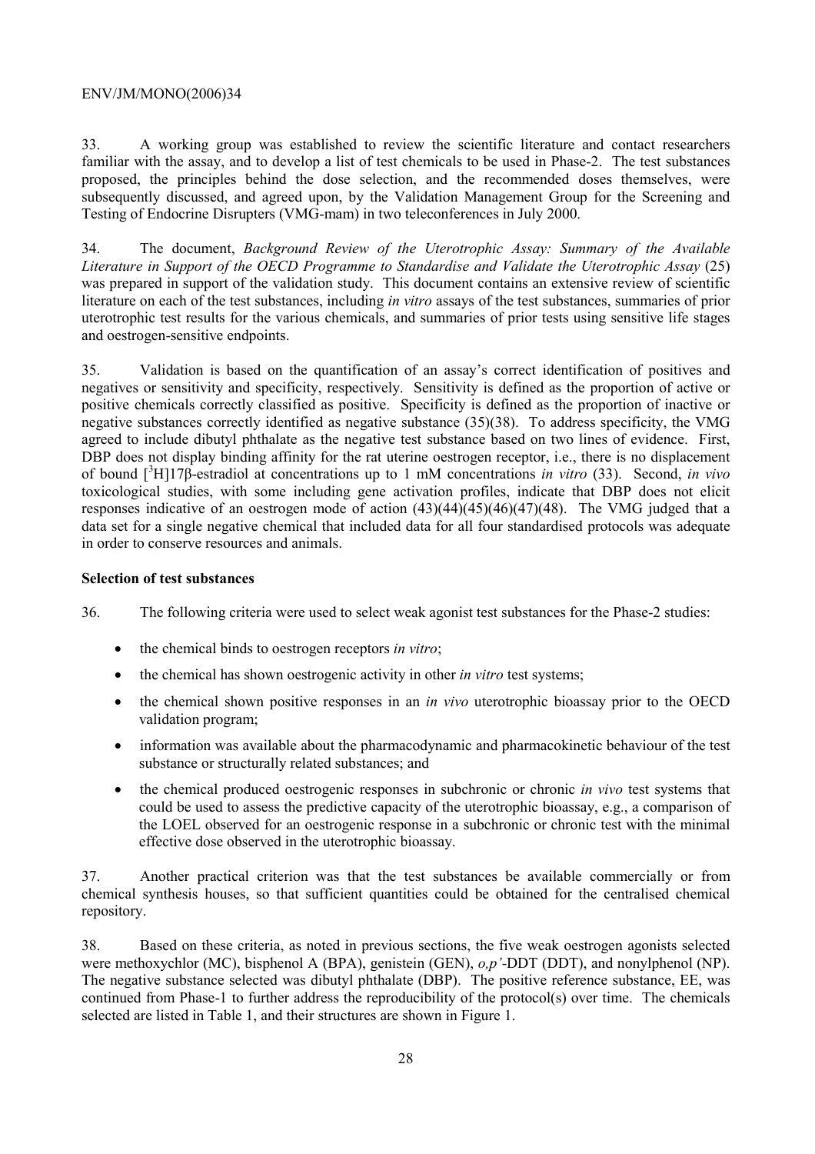33. A working group was established to review the scientific literature and contact researchers familiar with the assay, and to develop a list of test chemicals to be used in Phase-2. The test substances proposed, the principles behind the dose selection, and the recommended doses themselves, were subsequently discussed, and agreed upon, by the Validation Management Group for the Screening and Testing of Endocrine Disrupters (VMG-mam) in two teleconferences in July 2000.

34. The document, *Background Review of the Uterotrophic Assay: Summary of the Available Literature in Support of the OECD Programme to Standardise and Validate the Uterotrophic Assay* (25) was prepared in support of the validation study. This document contains an extensive review of scientific literature on each of the test substances, including *in vitro* assays of the test substances, summaries of prior uterotrophic test results for the various chemicals, and summaries of prior tests using sensitive life stages and oestrogen-sensitive endpoints.

35. Validation is based on the quantification of an assayís correct identification of positives and negatives or sensitivity and specificity, respectively. Sensitivity is defined as the proportion of active or positive chemicals correctly classified as positive. Specificity is defined as the proportion of inactive or negative substances correctly identified as negative substance (35)(38). To address specificity, the VMG agreed to include dibutyl phthalate as the negative test substance based on two lines of evidence. First, DBP does not display binding affinity for the rat uterine oestrogen receptor, i.e., there is no displacement of bound [<sup>3</sup> H]17β-estradiol at concentrations up to 1 mM concentrations *in vitro* (33). Second, *in vivo* toxicological studies, with some including gene activation profiles, indicate that DBP does not elicit responses indicative of an oestrogen mode of action (43)(44)(45)(46)(47)(48). The VMG judged that a data set for a single negative chemical that included data for all four standardised protocols was adequate in order to conserve resources and animals.

# **Selection of test substances**

36. The following criteria were used to select weak agonist test substances for the Phase-2 studies:

- the chemical binds to oestrogen receptors *in vitro*;
- the chemical has shown oestrogenic activity in other *in vitro* test systems;
- the chemical shown positive responses in an *in vivo* uterotrophic bioassay prior to the OECD validation program;
- information was available about the pharmacodynamic and pharmacokinetic behaviour of the test substance or structurally related substances; and
- the chemical produced oestrogenic responses in subchronic or chronic *in vivo* test systems that could be used to assess the predictive capacity of the uterotrophic bioassay, e.g., a comparison of the LOEL observed for an oestrogenic response in a subchronic or chronic test with the minimal effective dose observed in the uterotrophic bioassay.

37. Another practical criterion was that the test substances be available commercially or from chemical synthesis houses, so that sufficient quantities could be obtained for the centralised chemical repository.

38. Based on these criteria, as noted in previous sections, the five weak oestrogen agonists selected were methoxychlor (MC), bisphenol A (BPA), genistein (GEN), *o,p*<sup>2</sup>-DDT (DDT), and nonylphenol (NP). The negative substance selected was dibutyl phthalate (DBP). The positive reference substance, EE, was continued from Phase-1 to further address the reproducibility of the protocol(s) over time. The chemicals selected are listed in Table 1, and their structures are shown in Figure 1.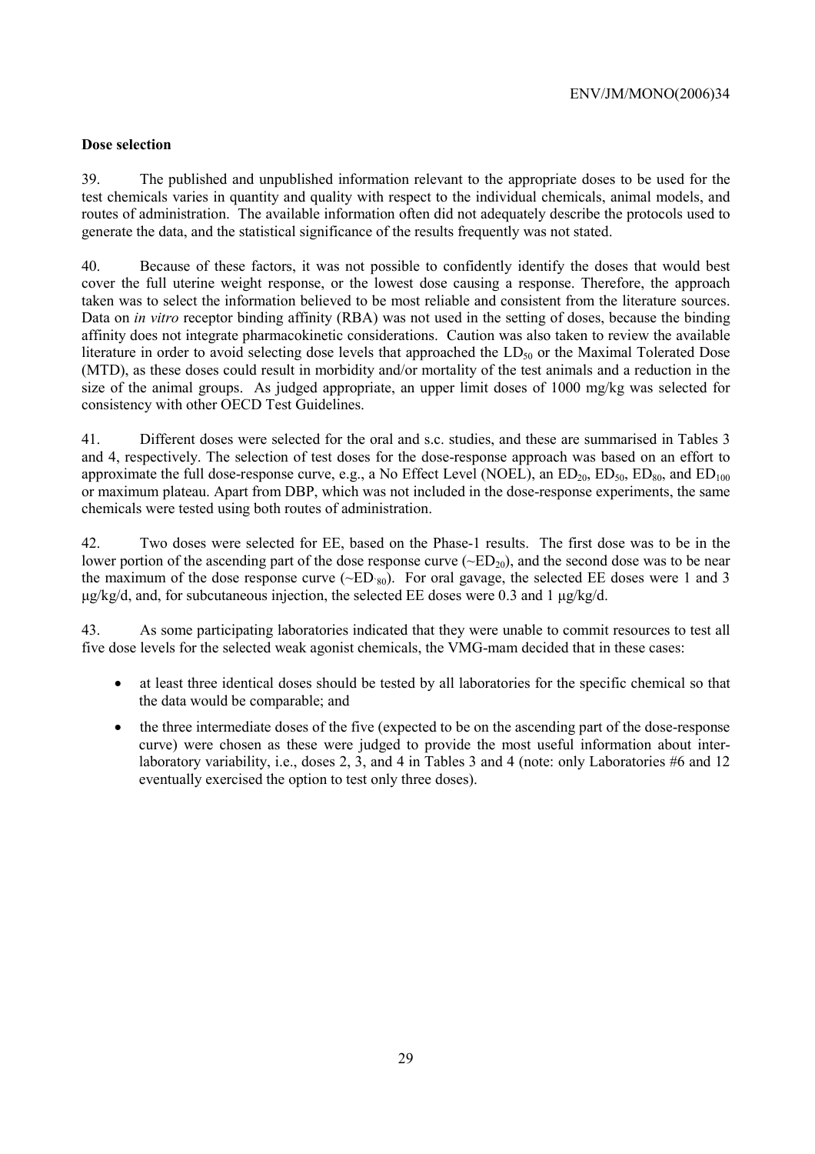# **Dose selection**

39. The published and unpublished information relevant to the appropriate doses to be used for the test chemicals varies in quantity and quality with respect to the individual chemicals, animal models, and routes of administration. The available information often did not adequately describe the protocols used to generate the data, and the statistical significance of the results frequently was not stated.

40. Because of these factors, it was not possible to confidently identify the doses that would best cover the full uterine weight response, or the lowest dose causing a response. Therefore, the approach taken was to select the information believed to be most reliable and consistent from the literature sources. Data on *in vitro* receptor binding affinity (RBA) was not used in the setting of doses, because the binding affinity does not integrate pharmacokinetic considerations. Caution was also taken to review the available literature in order to avoid selecting dose levels that approached the  $LD_{50}$  or the Maximal Tolerated Dose (MTD), as these doses could result in morbidity and/or mortality of the test animals and a reduction in the size of the animal groups. As judged appropriate, an upper limit doses of 1000 mg/kg was selected for consistency with other OECD Test Guidelines.

41. Different doses were selected for the oral and s.c. studies, and these are summarised in Tables 3 and 4, respectively. The selection of test doses for the dose-response approach was based on an effort to approximate the full dose-response curve, e.g., a No Effect Level (NOEL), an  $ED_{20}$ ,  $ED_{50}$ ,  $ED_{80}$ , and  $ED_{100}$ or maximum plateau. Apart from DBP, which was not included in the dose-response experiments, the same chemicals were tested using both routes of administration.

42. Two doses were selected for EE, based on the Phase-1 results. The first dose was to be in the lower portion of the ascending part of the dose response curve  $(\sim ED_{20})$ , and the second dose was to be near the maximum of the dose response curve  $(\sim ED_{80})$ . For oral gavage, the selected EE doses were 1 and 3  $\mu$ g/kg/d, and, for subcutaneous injection, the selected EE doses were 0.3 and 1  $\mu$ g/kg/d.

43. As some participating laboratories indicated that they were unable to commit resources to test all five dose levels for the selected weak agonist chemicals, the VMG-mam decided that in these cases:

- at least three identical doses should be tested by all laboratories for the specific chemical so that the data would be comparable; and
- the three intermediate doses of the five (expected to be on the ascending part of the dose-response curve) were chosen as these were judged to provide the most useful information about interlaboratory variability, i.e., doses 2, 3, and 4 in Tables 3 and 4 (note: only Laboratories #6 and 12) eventually exercised the option to test only three doses).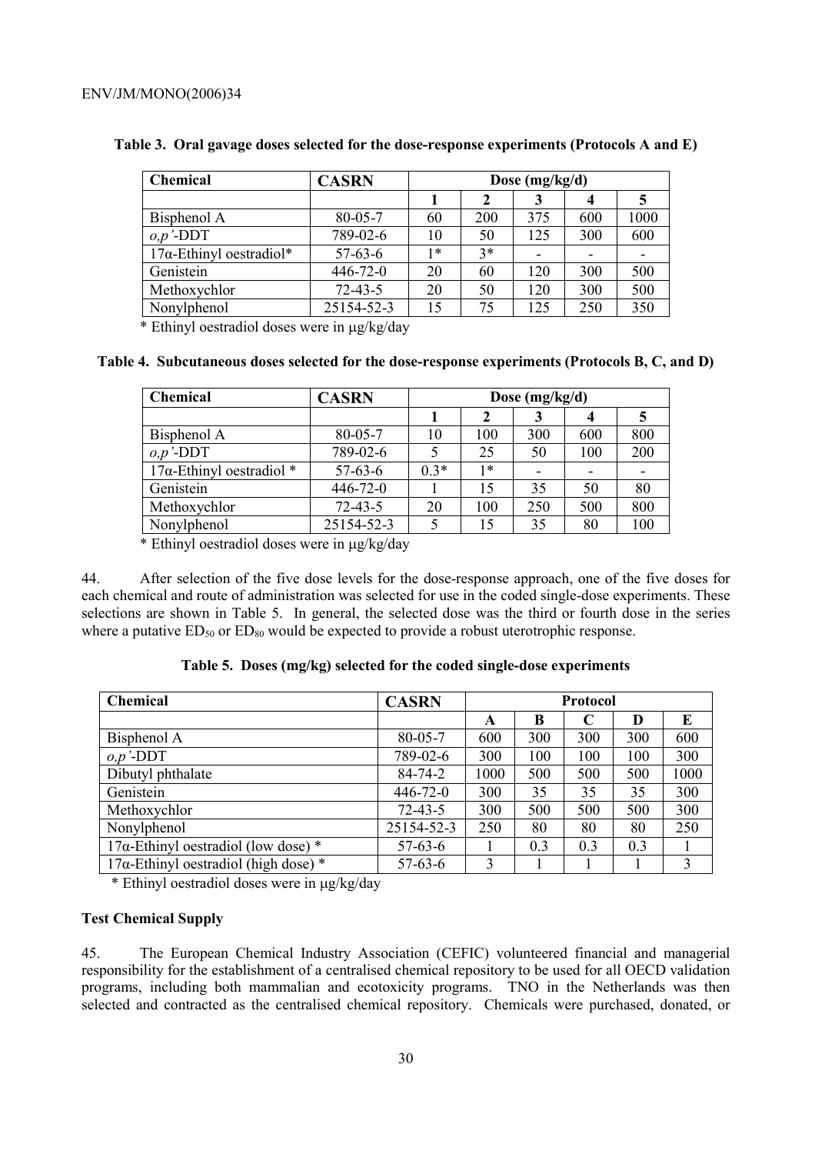| <b>Chemical</b>                 | <b>CASRN</b>   | Dose $(mg/kg/d)$ |            |     |     |      |  |  |
|---------------------------------|----------------|------------------|------------|-----|-----|------|--|--|
|                                 |                |                  |            |     |     |      |  |  |
| Bisphenol A                     | $80 - 05 - 7$  | 60               | <b>200</b> | 375 | 600 | 1000 |  |  |
| $o, p'$ -DDT                    | 789-02-6       | 10               | 50         | 125 | 300 | 600  |  |  |
| $17\alpha$ -Ethinyl oestradiol* | $57-63-6$      | *                | $3*$       |     |     |      |  |  |
| Genistein                       | $446 - 72 - 0$ | 20               | 60         | 120 | 300 | 500  |  |  |
| Methoxychlor                    | $72 - 43 - 5$  | 20               | 50         | 120 | 300 | 500  |  |  |
| Nonylphenol                     | 25154-52-3     | 15               | 75         | 125 | 250 | 350  |  |  |

**Table 3. Oral gavage doses selected for the dose-response experiments (Protocols A and E)** 

\* Ethinyl oestradiol doses were in µg/kg/day

# **Table 4. Subcutaneous doses selected for the dose-response experiments (Protocols B, C, and D)**

| <b>Chemical</b>             | <b>CASRN</b>   | Dose $(mg/kg/d)$ |             |     |     |     |
|-----------------------------|----------------|------------------|-------------|-----|-----|-----|
|                             |                |                  | $\mathbf 2$ |     |     |     |
| Bisphenol A                 | $80 - 05 - 7$  | 10               | 100         | 300 | 600 | 800 |
| $o, p'$ -DDT                | 789-02-6       |                  | 25          | 50  | 100 | 200 |
| $17α$ -Ethinyl oestradiol * | $57-63-6$      | $0.3*$           | $1*$        |     |     |     |
| Genistein                   | $446 - 72 - 0$ |                  | 15          | 35  | 50  | 80  |
| Methoxychlor                | $72 - 43 - 5$  | 20               | 100         | 250 | 500 | 800 |
| Nonylphenol                 | 25154-52-3     |                  | 15          | 35  | 80  | 100 |

\* Ethinyl oestradiol doses were in µg/kg/day

44. After selection of the five dose levels for the dose-response approach, one of the five doses for each chemical and route of administration was selected for use in the coded single-dose experiments. These selections are shown in Table 5. In general, the selected dose was the third or fourth dose in the series where a putative  $ED_{50}$  or  $ED_{80}$  would be expected to provide a robust uterotrophic response.

| Table 5. Doses (mg/kg) selected for the coded single-dose experiments |  |  |
|-----------------------------------------------------------------------|--|--|
|                                                                       |  |  |

| <b>Chemical</b>                              | <b>CASRN</b>   | <b>Protocol</b> |     |     |     |      |  |
|----------------------------------------------|----------------|-----------------|-----|-----|-----|------|--|
|                                              |                | A               | B   | C   | D   | E    |  |
| Bisphenol A                                  | $80 - 05 - 7$  | 600             | 300 | 300 | 300 | 600  |  |
| $o, p'$ -DDT                                 | 789-02-6       | 300             | 100 | 100 | 100 | 300  |  |
| Dibutyl phthalate                            | $84 - 74 - 2$  | 1000            | 500 | 500 | 500 | 1000 |  |
| Genistein                                    | $446 - 72 - 0$ | 300             | 35  | 35  | 35  | 300  |  |
| Methoxychlor                                 | $72 - 43 - 5$  | 300             | 500 | 500 | 500 | 300  |  |
| Nonylphenol                                  | 25154-52-3     | 250             | 80  | 80  | 80  | 250  |  |
| $17\alpha$ -Ethinyl oestradiol (low dose) *  | $57-63-6$      |                 | 0.3 | 0.3 | 0.3 |      |  |
| $17\alpha$ -Ethinyl oestradiol (high dose) * | $57-63-6$      | 3               |     |     |     | 3    |  |

\* Ethinyl oestradiol doses were in µg/kg/day

# **Test Chemical Supply**

45. The European Chemical Industry Association (CEFIC) volunteered financial and managerial responsibility for the establishment of a centralised chemical repository to be used for all OECD validation programs, including both mammalian and ecotoxicity programs. TNO in the Netherlands was then selected and contracted as the centralised chemical repository. Chemicals were purchased, donated, or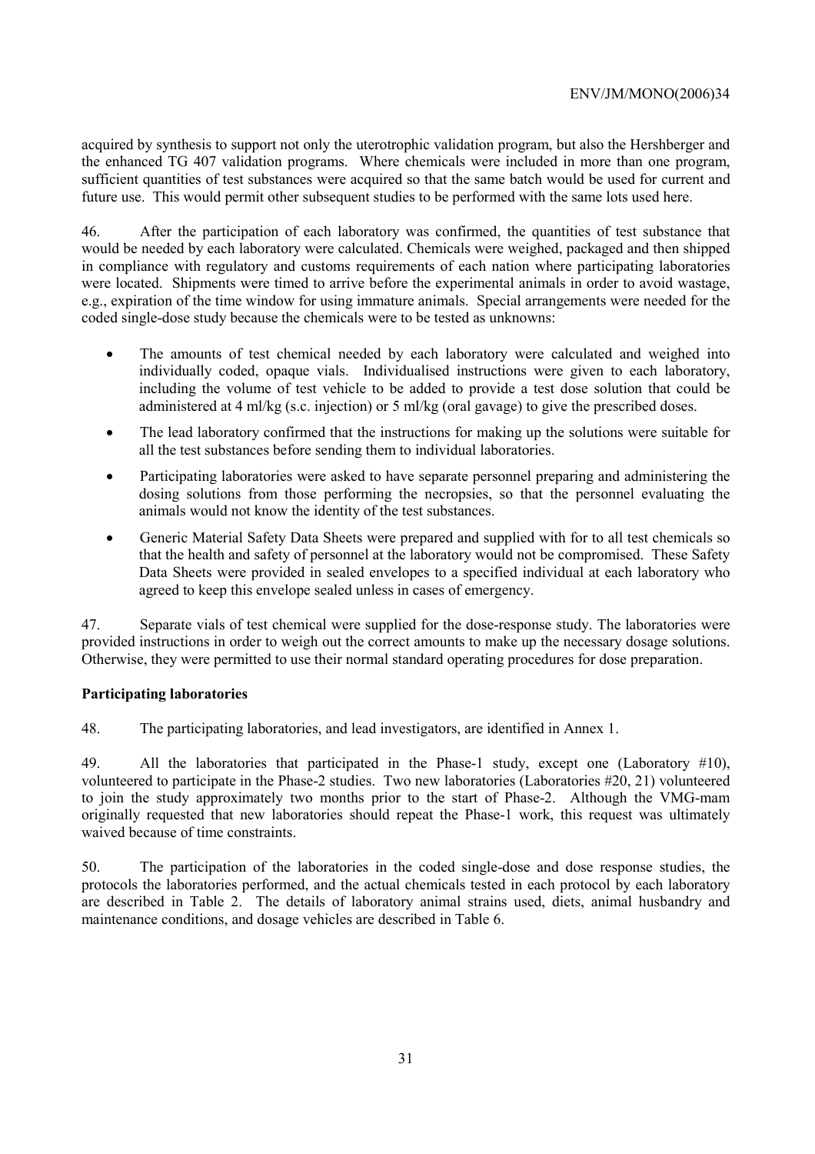acquired by synthesis to support not only the uterotrophic validation program, but also the Hershberger and the enhanced TG 407 validation programs. Where chemicals were included in more than one program, sufficient quantities of test substances were acquired so that the same batch would be used for current and future use. This would permit other subsequent studies to be performed with the same lots used here.

46. After the participation of each laboratory was confirmed, the quantities of test substance that would be needed by each laboratory were calculated. Chemicals were weighed, packaged and then shipped in compliance with regulatory and customs requirements of each nation where participating laboratories were located. Shipments were timed to arrive before the experimental animals in order to avoid wastage, e.g., expiration of the time window for using immature animals. Special arrangements were needed for the coded single-dose study because the chemicals were to be tested as unknowns:

- The amounts of test chemical needed by each laboratory were calculated and weighed into individually coded, opaque vials. Individualised instructions were given to each laboratory, including the volume of test vehicle to be added to provide a test dose solution that could be administered at 4 ml/kg (s.c. injection) or 5 ml/kg (oral gavage) to give the prescribed doses.
- The lead laboratory confirmed that the instructions for making up the solutions were suitable for all the test substances before sending them to individual laboratories.
- Participating laboratories were asked to have separate personnel preparing and administering the dosing solutions from those performing the necropsies, so that the personnel evaluating the animals would not know the identity of the test substances.
- Generic Material Safety Data Sheets were prepared and supplied with for to all test chemicals so that the health and safety of personnel at the laboratory would not be compromised. These Safety Data Sheets were provided in sealed envelopes to a specified individual at each laboratory who agreed to keep this envelope sealed unless in cases of emergency.

47. Separate vials of test chemical were supplied for the dose-response study. The laboratories were provided instructions in order to weigh out the correct amounts to make up the necessary dosage solutions. Otherwise, they were permitted to use their normal standard operating procedures for dose preparation.

# **Participating laboratories**

48. The participating laboratories, and lead investigators, are identified in Annex 1.

49. All the laboratories that participated in the Phase-1 study, except one (Laboratory #10), volunteered to participate in the Phase-2 studies. Two new laboratories (Laboratories #20, 21) volunteered to join the study approximately two months prior to the start of Phase-2. Although the VMG-mam originally requested that new laboratories should repeat the Phase-1 work, this request was ultimately waived because of time constraints.

50. The participation of the laboratories in the coded single-dose and dose response studies, the protocols the laboratories performed, and the actual chemicals tested in each protocol by each laboratory are described in Table 2. The details of laboratory animal strains used, diets, animal husbandry and maintenance conditions, and dosage vehicles are described in Table 6.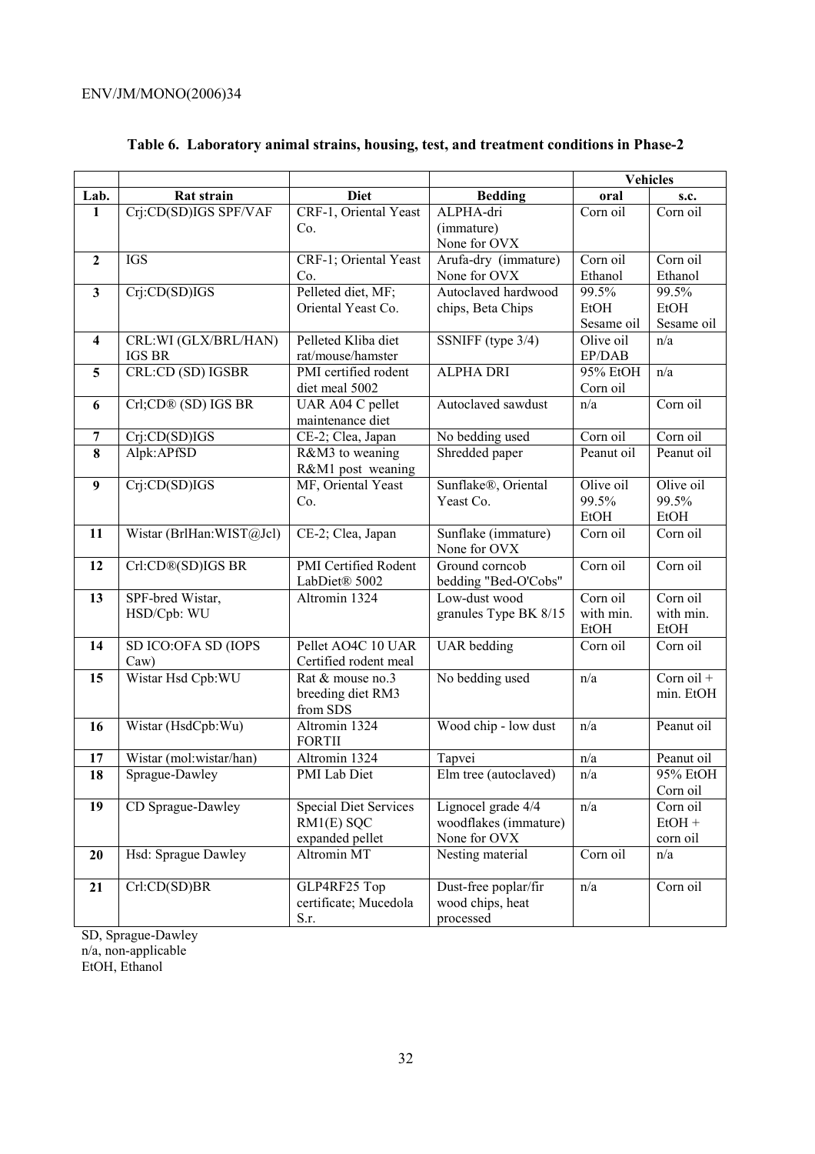|                         |                                    |                                       |                       |                         | <b>Vehicles</b> |
|-------------------------|------------------------------------|---------------------------------------|-----------------------|-------------------------|-----------------|
| Lab.                    | Rat strain                         | <b>Diet</b>                           | <b>Bedding</b>        | oral                    | s.c.            |
| $\mathbf{1}$            | Crj:CD(SD)IGS SPF/VAF              | CRF-1, Oriental Yeast                 | ALPHA-dri             | Corn oil                | Corn oil        |
|                         |                                    | Co.                                   | (immature)            |                         |                 |
|                         |                                    |                                       | None for OVX          |                         |                 |
| $\overline{2}$          | <b>IGS</b>                         | CRF-1; Oriental Yeast                 | Arufa-dry (immature)  | Corn oil                | Corn oil        |
|                         |                                    | Co.                                   | None for OVX          | Ethanol                 | Ethanol         |
| $\overline{\mathbf{3}}$ | Crj:CD(SD)IGS                      | Pelleted diet, MF;                    | Autoclaved hardwood   | 99.5%                   | 99.5%           |
|                         |                                    | Oriental Yeast Co.                    | chips, Beta Chips     | <b>EtOH</b>             | EtOH            |
|                         |                                    | Pelleted Kliba diet                   |                       | Sesame oil<br>Olive oil | Sesame oil      |
| $\overline{\mathbf{4}}$ | CRL:WI (GLX/BRL/HAN)               | rat/mouse/hamster                     | SSNIFF (type 3/4)     |                         | n/a             |
| 5                       | <b>IGS BR</b><br>CRL:CD (SD) IGSBR | PMI certified rodent                  | <b>ALPHA DRI</b>      | EP/DAB<br>95% EtOH      | n/a             |
|                         |                                    | diet meal 5002                        |                       | Corn oil                |                 |
| 6                       | Crl;CD® (SD) IGS BR                | <b>UAR A04 C pellet</b>               | Autoclaved sawdust    | n/a                     | Corn oil        |
|                         |                                    | maintenance diet                      |                       |                         |                 |
| 7                       | Crj:CD(SD)IGS                      | CE-2; Clea, Japan                     | No bedding used       | Corn oil                | Corn oil        |
| 8                       | Alpk: APfSD                        | R&M3 to weaning                       | Shredded paper        | Peanut oil              | Peanut oil      |
|                         |                                    | R&M1 post weaning                     |                       |                         |                 |
| 9                       | Crj:CD(SD)IGS                      | MF, Oriental Yeast                    | Sunflake®, Oriental   | Olive oil               | Olive oil       |
|                         |                                    | Co.                                   | Yeast Co.             | 99.5%                   | 99.5%           |
|                         |                                    |                                       |                       | <b>EtOH</b>             | EtOH            |
| 11                      | Wistar (BrlHan: WIST@Jcl)          | CE-2; Clea, Japan                     | Sunflake (immature)   | Corn oil                | Corn oil        |
|                         |                                    |                                       | None for OVX          |                         |                 |
| 12                      | Crl:CD®(SD)IGS BR                  | PMI Certified Rodent                  | Ground corneob        | Corn oil                | Corn oil        |
|                         |                                    | LabDiet® 5002                         | bedding "Bed-O'Cobs"  |                         |                 |
| 13                      | SPF-bred Wistar,                   | Altromin 1324                         | Low-dust wood         | Corn oil                | Corn oil        |
|                         | HSD/Cpb: WU                        |                                       | granules Type BK 8/15 | with min.               | with min.       |
|                         |                                    |                                       |                       | EtOH                    | EtOH            |
| 14                      | SD ICO:OFA SD (IOPS                | Pellet AO4C 10 UAR                    | <b>UAR</b> bedding    | Corn oil                | Corn oil        |
|                         | Caw                                | Certified rodent meal                 |                       | n/a                     | Corn oil +      |
| 15                      | Wistar Hsd Cpb: WU                 | Rat & mouse no.3<br>breeding diet RM3 | No bedding used       |                         | min. EtOH       |
|                         |                                    | from SDS                              |                       |                         |                 |
| 16                      | Wistar (HsdCpb:Wu)                 | Altromin 1324                         | Wood chip - low dust  | n/a                     | Peanut oil      |
|                         |                                    | <b>FORTII</b>                         |                       |                         |                 |
| 17                      | Wistar (mol:wistar/han)            | Altromin 1324                         | Tapvei                | n/a                     | Peanut oil      |
| 18                      | Sprague-Dawley                     | PMI Lab Diet                          | Elm tree (autoclaved) | $\bar{n}/a$             | 95% EtOH        |
|                         |                                    |                                       |                       |                         | Corn oil        |
| 19                      | CD Sprague-Dawley                  | <b>Special Diet Services</b>          | Lignocel grade 4/4    | n/a                     | Corn oil        |
|                         |                                    | $RM1(E)$ SQC                          | woodflakes (immature) |                         | $EtOH +$        |
|                         |                                    | expanded pellet                       | None for OVX          |                         | corn oil        |
| <b>20</b>               | Hsd: Sprague Dawley                | Altromin MT                           | Nesting material      | Corn oil                | n/a             |
|                         |                                    |                                       |                       |                         |                 |
| 21                      | Crl:CD(SD)BR                       | GLP4RF25 Top                          | Dust-free poplar/fir  | n/a                     | Corn oil        |
|                         |                                    | certificate; Mucedola                 | wood chips, heat      |                         |                 |
|                         |                                    | S.r.                                  | processed             |                         |                 |

# **Table 6. Laboratory animal strains, housing, test, and treatment conditions in Phase-2**

SD, Sprague-Dawley

n/a, non-applicable

EtOH, Ethanol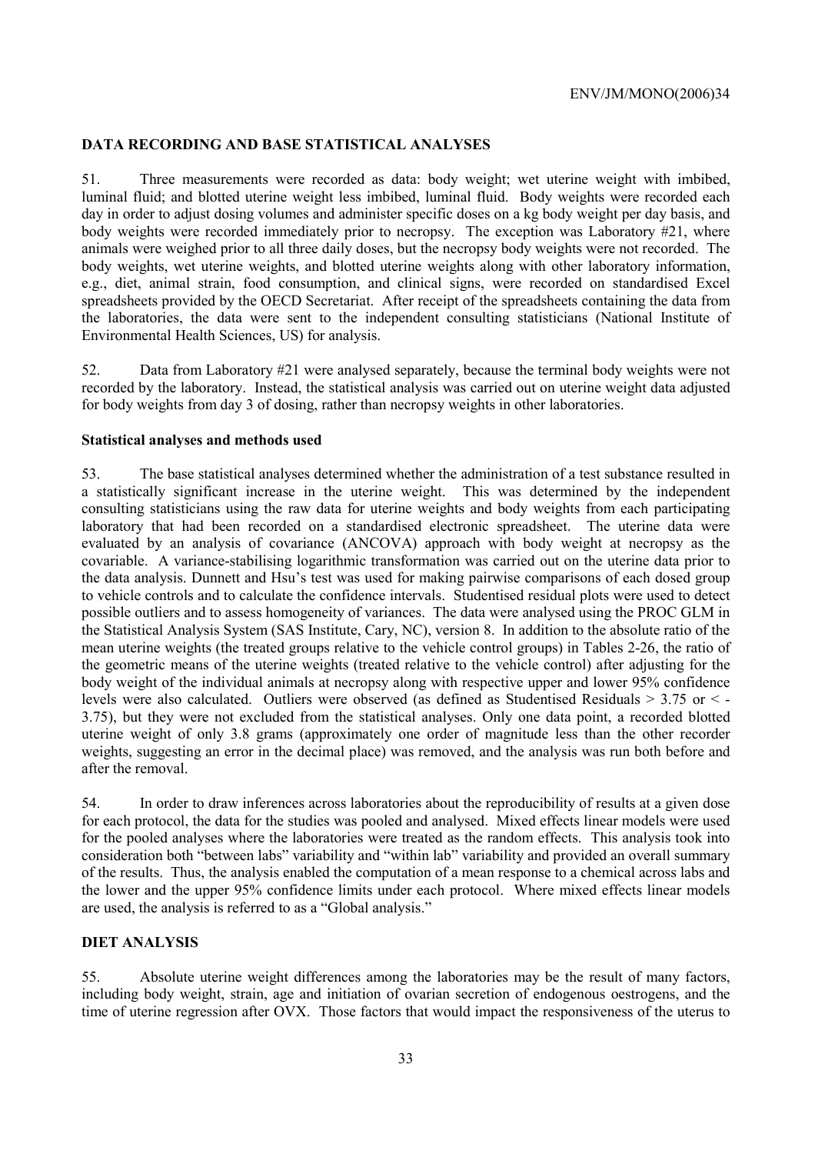# **DATA RECORDING AND BASE STATISTICAL ANALYSES**

51. Three measurements were recorded as data: body weight; wet uterine weight with imbibed, luminal fluid; and blotted uterine weight less imbibed, luminal fluid. Body weights were recorded each day in order to adjust dosing volumes and administer specific doses on a kg body weight per day basis, and body weights were recorded immediately prior to necropsy. The exception was Laboratory #21, where animals were weighed prior to all three daily doses, but the necropsy body weights were not recorded. The body weights, wet uterine weights, and blotted uterine weights along with other laboratory information, e.g., diet, animal strain, food consumption, and clinical signs, were recorded on standardised Excel spreadsheets provided by the OECD Secretariat. After receipt of the spreadsheets containing the data from the laboratories, the data were sent to the independent consulting statisticians (National Institute of Environmental Health Sciences, US) for analysis.

52. Data from Laboratory #21 were analysed separately, because the terminal body weights were not recorded by the laboratory. Instead, the statistical analysis was carried out on uterine weight data adjusted for body weights from day 3 of dosing, rather than necropsy weights in other laboratories.

# **Statistical analyses and methods used**

53. The base statistical analyses determined whether the administration of a test substance resulted in a statistically significant increase in the uterine weight. This was determined by the independent consulting statisticians using the raw data for uterine weights and body weights from each participating laboratory that had been recorded on a standardised electronic spreadsheet. The uterine data were evaluated by an analysis of covariance (ANCOVA) approach with body weight at necropsy as the covariable. A variance-stabilising logarithmic transformation was carried out on the uterine data prior to the data analysis. Dunnett and Hsu's test was used for making pairwise comparisons of each dosed group to vehicle controls and to calculate the confidence intervals. Studentised residual plots were used to detect possible outliers and to assess homogeneity of variances. The data were analysed using the PROC GLM in the Statistical Analysis System (SAS Institute, Cary, NC), version 8. In addition to the absolute ratio of the mean uterine weights (the treated groups relative to the vehicle control groups) in Tables 2-26, the ratio of the geometric means of the uterine weights (treated relative to the vehicle control) after adjusting for the body weight of the individual animals at necropsy along with respective upper and lower 95% confidence levels were also calculated. Outliers were observed (as defined as Studentised Residuals  $> 3.75$  or  $\leq$ 3.75), but they were not excluded from the statistical analyses. Only one data point, a recorded blotted uterine weight of only 3.8 grams (approximately one order of magnitude less than the other recorder weights, suggesting an error in the decimal place) was removed, and the analysis was run both before and after the removal.

54. In order to draw inferences across laboratories about the reproducibility of results at a given dose for each protocol, the data for the studies was pooled and analysed. Mixed effects linear models were used for the pooled analyses where the laboratories were treated as the random effects. This analysis took into consideration both "between labs" variability and "within lab" variability and provided an overall summary of the results. Thus, the analysis enabled the computation of a mean response to a chemical across labs and the lower and the upper 95% confidence limits under each protocol. Where mixed effects linear models are used, the analysis is referred to as a "Global analysis."

# **DIET ANALYSIS**

55. Absolute uterine weight differences among the laboratories may be the result of many factors, including body weight, strain, age and initiation of ovarian secretion of endogenous oestrogens, and the time of uterine regression after OVX. Those factors that would impact the responsiveness of the uterus to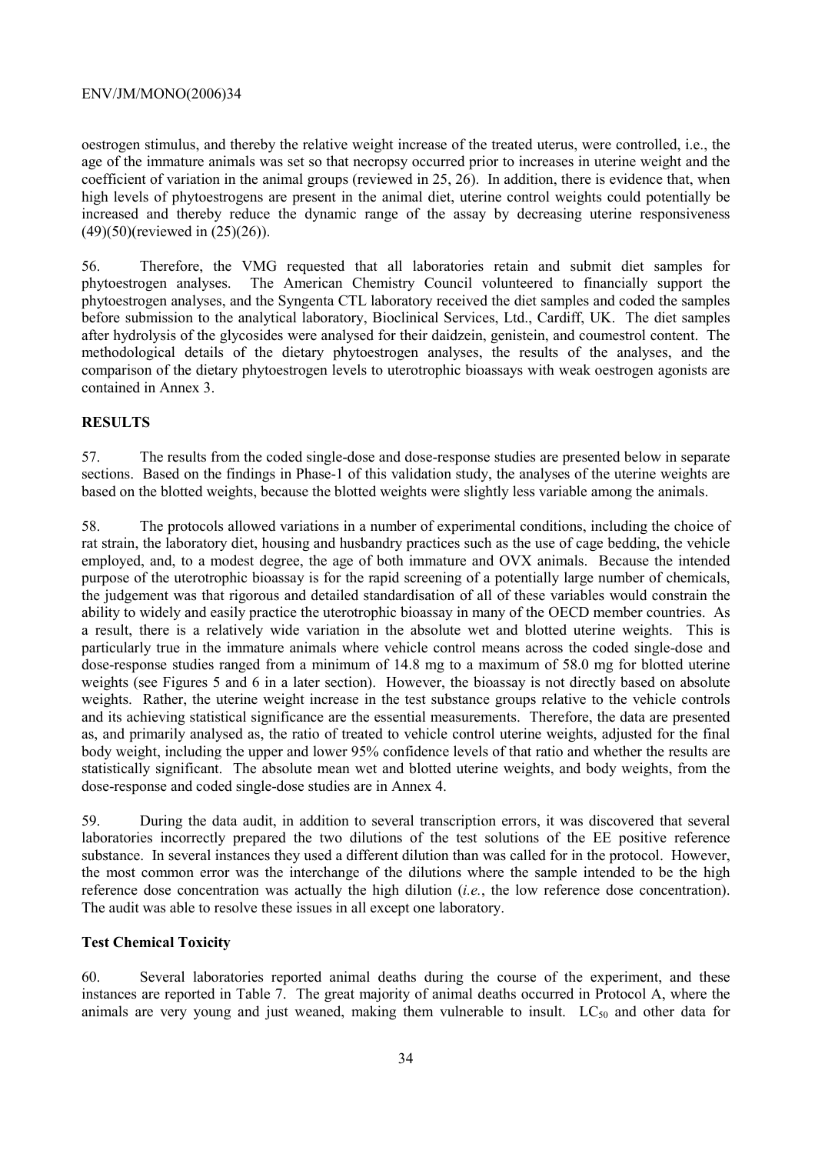oestrogen stimulus, and thereby the relative weight increase of the treated uterus, were controlled, i.e., the age of the immature animals was set so that necropsy occurred prior to increases in uterine weight and the coefficient of variation in the animal groups (reviewed in 25, 26). In addition, there is evidence that, when high levels of phytoestrogens are present in the animal diet, uterine control weights could potentially be increased and thereby reduce the dynamic range of the assay by decreasing uterine responsiveness (49)(50)(reviewed in (25)(26)).

56. Therefore, the VMG requested that all laboratories retain and submit diet samples for phytoestrogen analyses. The American Chemistry Council volunteered to financially support the phytoestrogen analyses, and the Syngenta CTL laboratory received the diet samples and coded the samples before submission to the analytical laboratory, Bioclinical Services, Ltd., Cardiff, UK. The diet samples after hydrolysis of the glycosides were analysed for their daidzein, genistein, and coumestrol content. The methodological details of the dietary phytoestrogen analyses, the results of the analyses, and the comparison of the dietary phytoestrogen levels to uterotrophic bioassays with weak oestrogen agonists are contained in Annex 3.

# **RESULTS**

57. The results from the coded single-dose and dose-response studies are presented below in separate sections. Based on the findings in Phase-1 of this validation study, the analyses of the uterine weights are based on the blotted weights, because the blotted weights were slightly less variable among the animals.

58. The protocols allowed variations in a number of experimental conditions, including the choice of rat strain, the laboratory diet, housing and husbandry practices such as the use of cage bedding, the vehicle employed, and, to a modest degree, the age of both immature and OVX animals. Because the intended purpose of the uterotrophic bioassay is for the rapid screening of a potentially large number of chemicals, the judgement was that rigorous and detailed standardisation of all of these variables would constrain the ability to widely and easily practice the uterotrophic bioassay in many of the OECD member countries. As a result, there is a relatively wide variation in the absolute wet and blotted uterine weights. This is particularly true in the immature animals where vehicle control means across the coded single-dose and dose-response studies ranged from a minimum of 14.8 mg to a maximum of 58.0 mg for blotted uterine weights (see Figures 5 and 6 in a later section). However, the bioassay is not directly based on absolute weights. Rather, the uterine weight increase in the test substance groups relative to the vehicle controls and its achieving statistical significance are the essential measurements. Therefore, the data are presented as, and primarily analysed as, the ratio of treated to vehicle control uterine weights, adjusted for the final body weight, including the upper and lower 95% confidence levels of that ratio and whether the results are statistically significant. The absolute mean wet and blotted uterine weights, and body weights, from the dose-response and coded single-dose studies are in Annex 4.

59. During the data audit, in addition to several transcription errors, it was discovered that several laboratories incorrectly prepared the two dilutions of the test solutions of the EE positive reference substance. In several instances they used a different dilution than was called for in the protocol. However, the most common error was the interchange of the dilutions where the sample intended to be the high reference dose concentration was actually the high dilution (*i.e.*, the low reference dose concentration). The audit was able to resolve these issues in all except one laboratory.

#### **Test Chemical Toxicity**

60. Several laboratories reported animal deaths during the course of the experiment, and these instances are reported in Table 7. The great majority of animal deaths occurred in Protocol A, where the animals are very young and just weaned, making them vulnerable to insult.  $LC_{50}$  and other data for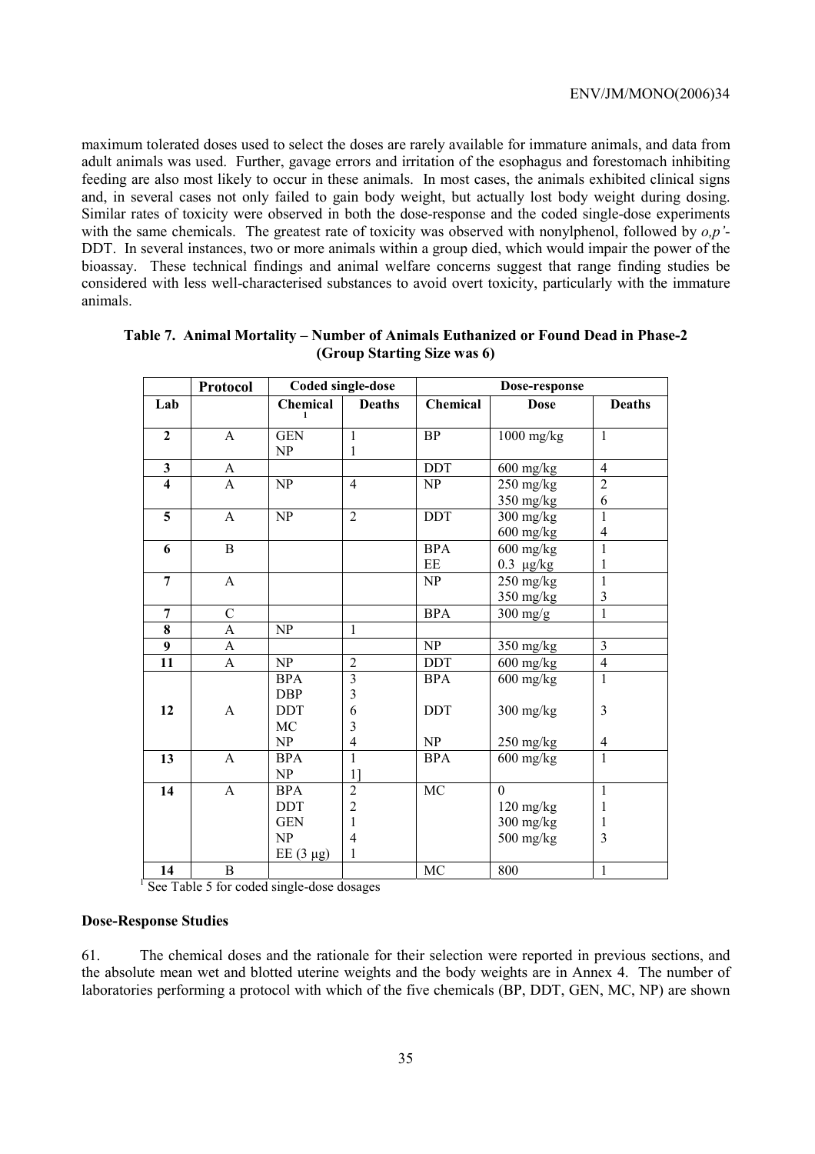maximum tolerated doses used to select the doses are rarely available for immature animals, and data from adult animals was used. Further, gavage errors and irritation of the esophagus and forestomach inhibiting feeding are also most likely to occur in these animals. In most cases, the animals exhibited clinical signs and, in several cases not only failed to gain body weight, but actually lost body weight during dosing. Similar rates of toxicity were observed in both the dose-response and the coded single-dose experiments with the same chemicals. The greatest rate of toxicity was observed with nonylphenol, followed by  $\rho, p'$ -DDT. In several instances, two or more animals within a group died, which would impair the power of the bioassay. These technical findings and animal welfare concerns suggest that range finding studies be considered with less well-characterised substances to avoid overt toxicity, particularly with the immature animals.

|                         | Protocol       |                                           | <b>Coded single-dose</b> | Dose-response |                         |                         |  |  |
|-------------------------|----------------|-------------------------------------------|--------------------------|---------------|-------------------------|-------------------------|--|--|
| Lab                     |                | Chemical<br>1                             | <b>Deaths</b>            | Chemical      | <b>Dose</b>             | <b>Deaths</b>           |  |  |
| $\overline{2}$          | $\mathbf{A}$   | <b>GEN</b>                                | 1                        | <b>BP</b>     | $\overline{1000}$ mg/kg | $\mathbf{1}$            |  |  |
|                         |                | NP                                        | $\mathbf{1}$             |               |                         |                         |  |  |
| $\mathbf{3}$            | $\mathbf{A}$   |                                           |                          | <b>DDT</b>    | $600$ mg/kg             | $\overline{4}$          |  |  |
| $\overline{\mathbf{4}}$ | A              | NP                                        | $\overline{4}$           | NP            | 250 mg/kg               | $\overline{2}$          |  |  |
|                         |                |                                           |                          |               | 350 mg/kg               | 6                       |  |  |
| $\overline{5}$          | A              | $\overline{\text{NP}}$                    | $\overline{2}$           | <b>DDT</b>    | $300$ mg/kg             | $\mathbf{1}$            |  |  |
|                         |                |                                           |                          |               | $600$ mg/kg             | $\overline{4}$          |  |  |
| 6                       | $\, {\bf B}$   |                                           |                          | <b>BPA</b>    | $\overline{600}$ mg/kg  | $\mathbf{1}$            |  |  |
|                         |                |                                           |                          | $\rm EE$      | $0.3 \mu g/kg$          | 1                       |  |  |
| $\overline{7}$          | $\mathbf{A}$   |                                           |                          | NP            | $250$ mg/kg             | $\mathbf{1}$            |  |  |
|                         |                |                                           |                          |               | 350 mg/kg               | $\overline{3}$          |  |  |
| $\overline{7}$          | $\mathcal{C}$  |                                           |                          | <b>BPA</b>    | $300 \text{ mg/g}$      | $\mathbf{1}$            |  |  |
| 8                       | A              | NP                                        | $\mathbf{1}$             |               |                         |                         |  |  |
| 9                       | $\overline{A}$ |                                           |                          | NP            | $350$ mg/kg             | $\overline{\mathbf{3}}$ |  |  |
| 11                      | $\overline{A}$ | NP                                        | $\overline{2}$           | <b>DDT</b>    | $600$ mg/kg             | $\overline{4}$          |  |  |
|                         |                | <b>BPA</b>                                | $\overline{3}$           | <b>BPA</b>    | $600$ mg/kg             | $\mathbf{1}$            |  |  |
|                         |                | <b>DBP</b>                                | $\overline{\mathbf{3}}$  |               |                         |                         |  |  |
| 12                      | A              | <b>DDT</b>                                | 6                        | DDT           | 300 mg/kg               | $\overline{3}$          |  |  |
|                         |                | <b>MC</b>                                 | $\overline{\mathbf{3}}$  |               |                         |                         |  |  |
|                         |                | NP                                        | $\overline{4}$           | NP            | 250 mg/kg               | $\overline{4}$          |  |  |
| 13                      | $\overline{A}$ | <b>BPA</b>                                | $\mathbf{1}$             | <b>BPA</b>    | $600$ mg/kg             | $\overline{1}$          |  |  |
|                         |                | NP                                        | 11                       |               |                         |                         |  |  |
| 14                      | $\mathbf{A}$   | <b>BPA</b>                                | $\overline{2}$           | MC            | $\theta$                | $\overline{1}$          |  |  |
|                         |                | <b>DDT</b>                                | $\overline{c}$           |               | $120$ mg/kg             | 1                       |  |  |
|                         |                | <b>GEN</b>                                | $\mathbf{1}$             |               | 300 mg/kg               | 1                       |  |  |
|                         |                | NP                                        | $\overline{4}$           |               | 500 mg/kg               | 3                       |  |  |
|                         |                | EE $(3 \mu g)$                            | $\mathbf{1}$             |               |                         |                         |  |  |
| 14                      | B              |                                           |                          | MC            | 800                     | $\mathbf{1}$            |  |  |
|                         |                | See Table 5 for coded single-dose dosages |                          |               |                         |                         |  |  |

| Table 7. Animal Mortality – Number of Animals Euthanized or Found Dead in Phase-2 |                             |  |  |
|-----------------------------------------------------------------------------------|-----------------------------|--|--|
|                                                                                   | (Group Starting Size was 6) |  |  |

# **Dose-Response Studies**

61. The chemical doses and the rationale for their selection were reported in previous sections, and the absolute mean wet and blotted uterine weights and the body weights are in Annex 4. The number of laboratories performing a protocol with which of the five chemicals (BP, DDT, GEN, MC, NP) are shown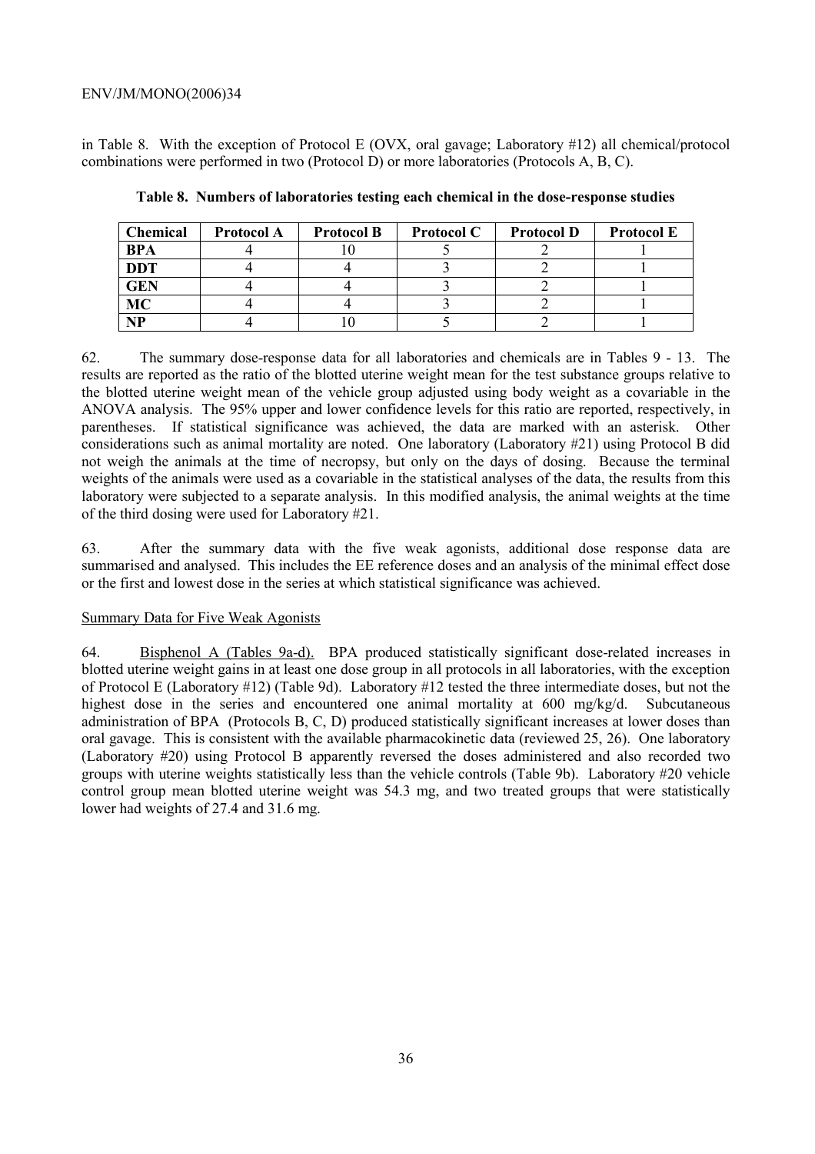in Table 8. With the exception of Protocol E (OVX, oral gavage; Laboratory #12) all chemical/protocol combinations were performed in two (Protocol D) or more laboratories (Protocols A, B, C).

| Chemical   | Protocol A | <b>Protocol B</b> | <b>Protocol C</b> | <b>Protocol D</b> | <b>Protocol E</b> |
|------------|------------|-------------------|-------------------|-------------------|-------------------|
| <b>BPA</b> |            |                   |                   |                   |                   |
| <b>DDT</b> |            |                   |                   |                   |                   |
| <b>GEN</b> |            |                   |                   |                   |                   |
| МC         |            |                   |                   |                   |                   |
| NP         |            |                   |                   |                   |                   |

**Table 8. Numbers of laboratories testing each chemical in the dose-response studies** 

62. The summary dose-response data for all laboratories and chemicals are in Tables 9 - 13. The results are reported as the ratio of the blotted uterine weight mean for the test substance groups relative to the blotted uterine weight mean of the vehicle group adjusted using body weight as a covariable in the ANOVA analysis. The 95% upper and lower confidence levels for this ratio are reported, respectively, in parentheses. If statistical significance was achieved, the data are marked with an asterisk. Other considerations such as animal mortality are noted. One laboratory (Laboratory #21) using Protocol B did not weigh the animals at the time of necropsy, but only on the days of dosing. Because the terminal weights of the animals were used as a covariable in the statistical analyses of the data, the results from this laboratory were subjected to a separate analysis. In this modified analysis, the animal weights at the time of the third dosing were used for Laboratory #21.

63. After the summary data with the five weak agonists, additional dose response data are summarised and analysed. This includes the EE reference doses and an analysis of the minimal effect dose or the first and lowest dose in the series at which statistical significance was achieved.

# Summary Data for Five Weak Agonists

64. Bisphenol A (Tables 9a-d). BPA produced statistically significant dose-related increases in blotted uterine weight gains in at least one dose group in all protocols in all laboratories, with the exception of Protocol E (Laboratory #12) (Table 9d). Laboratory #12 tested the three intermediate doses, but not the highest dose in the series and encountered one animal mortality at 600 mg/kg/d. Subcutaneous administration of BPA (Protocols B, C, D) produced statistically significant increases at lower doses than oral gavage. This is consistent with the available pharmacokinetic data (reviewed 25, 26). One laboratory (Laboratory #20) using Protocol B apparently reversed the doses administered and also recorded two groups with uterine weights statistically less than the vehicle controls (Table 9b). Laboratory #20 vehicle control group mean blotted uterine weight was 54.3 mg, and two treated groups that were statistically lower had weights of 27.4 and 31.6 mg.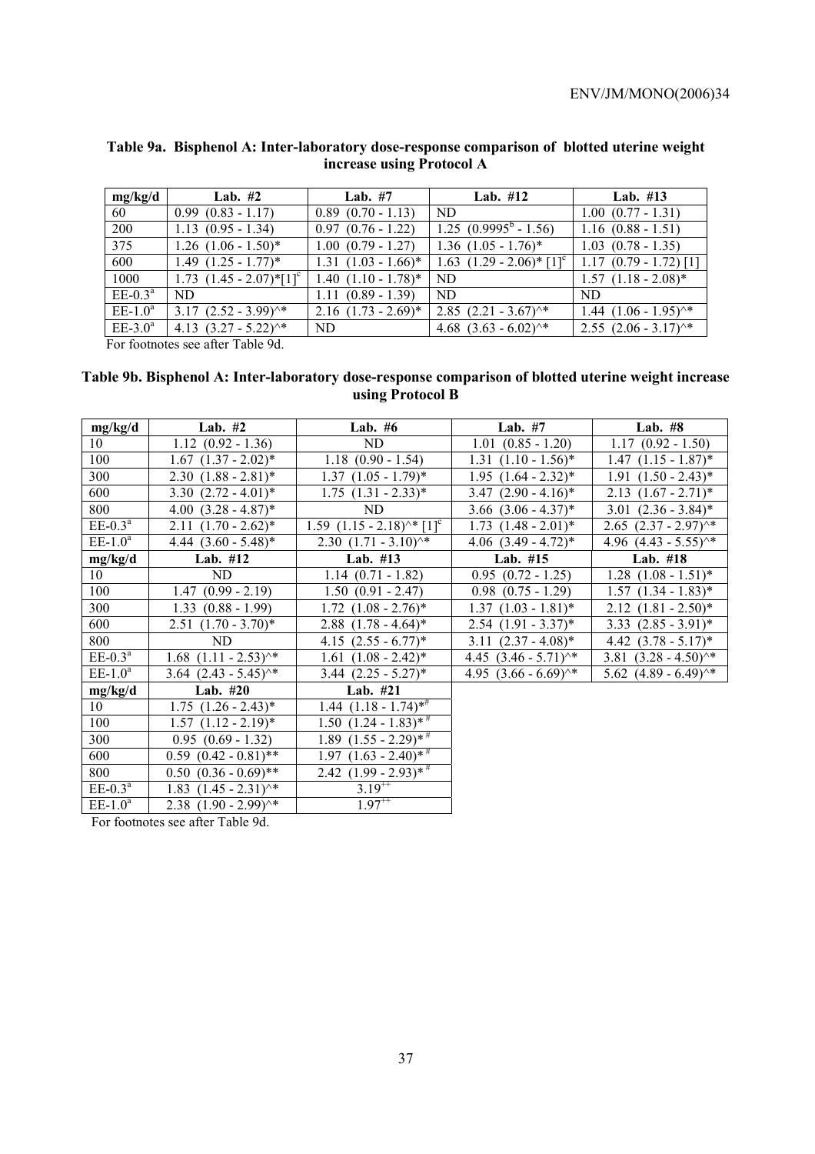| mg/kg/d          | Lab. $#2$                   | Lab. #7                  | Lab. $#12$                              | Lab. $#13$                 |
|------------------|-----------------------------|--------------------------|-----------------------------------------|----------------------------|
| 60               | $0.99$ $(0.83 - 1.17)$      | $0.89$ $(0.70 - 1.13)$   | ND                                      | $1.00$ $(0.77 - 1.31)$     |
| 200              | $1.13(0.95 - 1.34)$         | $0.97$ $(0.76 - 1.22)$   | 1.25 $(0.9995^b - 1.56)$                | $1.16$ $(0.88 - 1.51)$     |
| $\overline{375}$ | $1.26$ $(1.06 - 1.50)^*$    | $1.00 (0.79 - 1.27)$     | $1.36$ $(1.05 - 1.76)^*$                | $1.03$ $(0.78 - 1.35)$     |
| 600              | $1.49$ $(1.25 - 1.77)*$     | $1.31(1.03 - 1.66)^*$    | 1.63 $(1.29 - 2.06)^*$ [1] <sup>c</sup> | $1.17$ $(0.79 - 1.72)$ [1] |
| 1000             | 1.73 $(1.45 - 2.07)^*[1]^c$ | $1.40$ $(1.10 - 1.78)^*$ | ND                                      | $1.57$ $(1.18 - 2.08)^*$   |
| $EE-0.3a$        | ND.                         | $1.11(0.89 - 1.39)$      | ND                                      | ND                         |
| $EE-1.0a$        | $3.17$ $(2.52 - 3.99)^{4}$  | $2.16$ $(1.73 - 2.69)^*$ | 2.85 $(2.21 - 3.67)^{4}$                | 1.44 $(1.06 - 1.95)^{(*)}$ |
| $EE-3.0a$        | 4.13 $(3.27 - 5.22)^{4}$    | ND                       | 4.68 $(3.63 - 6.02)^{4}$                | $2.55$ $(2.06 - 3.17)^{4}$ |

# **Table 9a. Bisphenol A: Inter-laboratory dose-response comparison of blotted uterine weight increase using Protocol A**

For footnotes see after Table 9d.

# **Table 9b. Bisphenol A: Inter-laboratory dose-response comparison of blotted uterine weight increase using Protocol B**

| mg/kg/d                 | Lab. #2                    | Lab. $#6$                                 | Lab. #7                    | Lab. #8                    |
|-------------------------|----------------------------|-------------------------------------------|----------------------------|----------------------------|
| 10                      | $1.12$ $(0.92 - 1.36)$     | ND                                        | $1.01 (0.85 - 1.20)$       | $(0.92 - 1.50)$<br>1.17    |
| 100                     | $1.67$ $(1.37 - 2.02)^*$   | $1.18$ $(0.90 - 1.54)$                    | $1.31$ $(1.10 - 1.56)^*$   | $1.47$ $(1.15 - 1.87)^*$   |
| 300                     | $2.30(1.88 - 2.81)^*$      | $1.37$ $(1.05 - 1.79)^*$                  | $(1.64 - 2.32)^*$<br>1.95  | $(1.50 - 2.43)^*$<br>1.91  |
| 600                     | 3.30 $(2.72 - 4.01)^*$     | $1.75$ $(1.31 - 2.33)*$                   | $(2.90 - 4.16)^*$<br>3.47  | $(1.67 - 2.71)^*$<br>2.13  |
| 800                     | $4.00(3.28 - 4.87)^*$      | ND                                        | $(3.06 - 4.37)^*$<br>3.66  | $3.01$ $(2.36 - 3.84)^*$   |
| $EE-0.3a$               | $2.11 (1.70 - 2.62)^*$     | 1.59 $(1.15 - 2.18)^{4}$ [1] <sup>c</sup> | $(1.48 - 2.01)^*$<br>1.73  | $2.65$ $(2.37 - 2.97)^{4}$ |
| $EE-1.0a$               | 4.44 $(3.60 - 5.48)^*$     | 2.30 $(1.71 - 3.10)^{4}$                  | $4.06$ $(3.49 - 4.72)^*$   | 4.96 $(4.43 - 5.55)^{4}$   |
| mg/kg/d                 | Lab. #12                   | Lab. #13                                  | Lab. #15                   | Lab. $#18$                 |
| 10                      | ND.                        | $1.14(0.71 - 1.82)$                       | $0.95$ $(0.72 - 1.25)$     | $1.28$ $(1.08 - 1.51)^*$   |
| 100                     | $(0.99 - 2.19)$<br>1.47    | $1.50(0.91 - 2.47)$                       | $0.98$ $(0.75 - 1.29)$     | $1.57$ $(1.34 - 1.83)^*$   |
| 300                     | $(0.88 - 1.99)$<br>1.33    | $1.72$ $(1.08 - 2.76)^*$                  | $1.37$ $(1.03 - 1.81)^*$   | $2.12$ $(1.81 - 2.50)^*$   |
| 600                     | $2.51$ $(1.70 - 3.70)^*$   | $2.88$ $(1.78 - 4.64)^*$                  | $2.54$ $(1.91 - 3.37)^*$   | $3.33$ $(2.85 - 3.91)^*$   |
| 800                     | ND.                        | $4.15(2.55 - 6.77)^*$                     | $3.11 (2.37 - 4.08)^*$     | 4.42 $(3.78 - 5.17)^*$     |
| $EE-0.3^{\overline{a}}$ | $1.68$ $(1.11 - 2.53)^{4}$ | $1.61 (1.08 - 2.42)^*$                    | 4.45 $(3.46 - 5.71)^{4}$   | 3.81 $(3.28 - 4.50)^{4}$   |
| $EE-1.0a$               | $3.64$ $(2.43 - 5.45)^{4}$ | $3.44$ $(2.25 - 5.27)^*$                  | 4.95 $(3.66 - 6.69)^{(*)}$ | 5.62 $(4.89 - 6.49)^{4}$   |
| mg/kg/d                 | Lab. $#20$                 | Lab. #21                                  |                            |                            |
| 10                      | $1.75$ $(1.26 - 2.43)^*$   | 1.44 $(1.18 - 1.74)$ <sup>**</sup>        |                            |                            |
| 100                     | $1.57$ $(1.12 - 2.19)^*$   | $1.50$ $(1.24 - 1.83)^{1/4}$              |                            |                            |
| 300                     | $0.95$ $(0.69 - 1.32)$     | $(1.55 - 2.29)^{**}$<br>1.89              |                            |                            |
| 600                     | $0.59$ $(0.42 - 0.81)$ **  | $(1.63 - 2.40)*$<br>1.97                  |                            |                            |
| 800                     | $0.50$ $(0.36 - 0.69)$ **  | $2.42 \overline{(1.99-2.93)^{**}}$        |                            |                            |
| $EE-0.3a$               | 1.83 $(1.45 - 2.31)^{4}$   | $3.19^{++}$                               |                            |                            |
| $EE-1.0a$               | $2.38$ $(1.90 - 2.99)^{4}$ | $1.97^{++}$                               |                            |                            |

For footnotes see after Table 9d.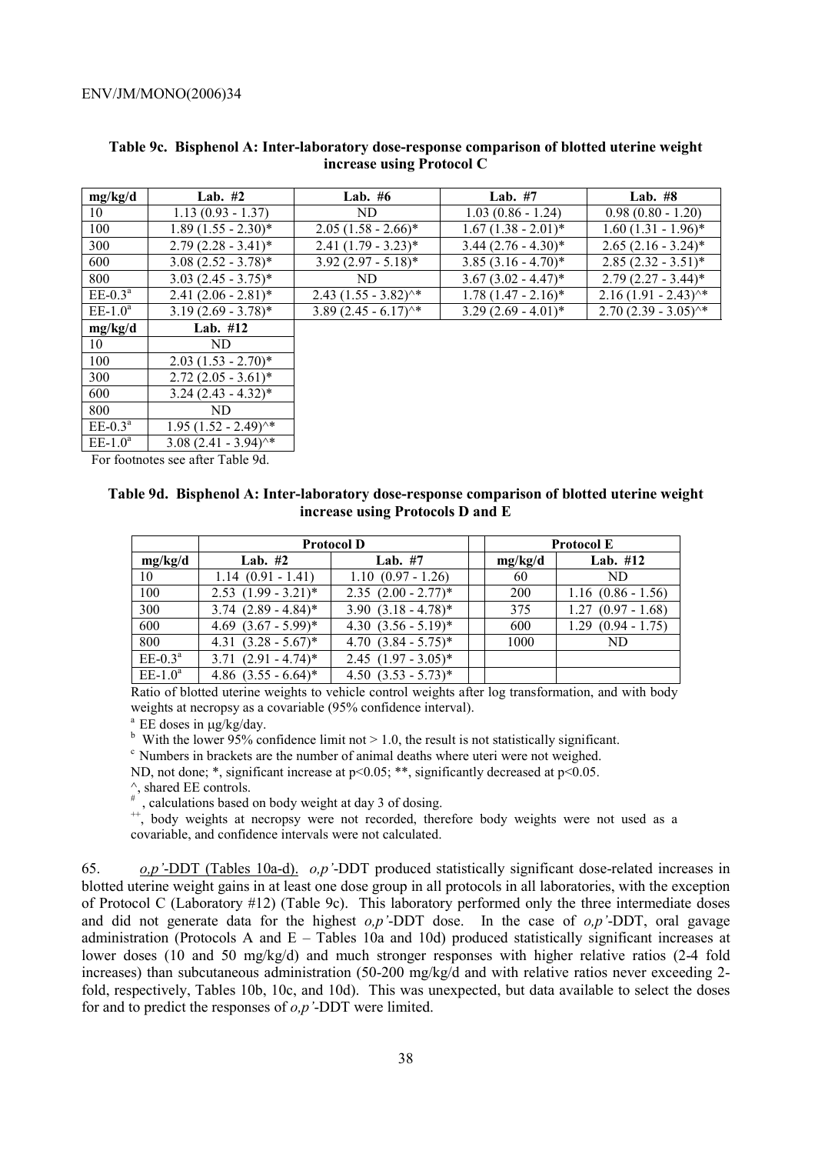| mg/kg/d   | Lab. $#2$             | Lab. $#6$                | Lab. $#7$             | Lab. $#8$               |
|-----------|-----------------------|--------------------------|-----------------------|-------------------------|
| 10        | $1.13(0.93 - 1.37)$   | ND.                      | $1.03(0.86 - 1.24)$   | $0.98(0.80 - 1.20)$     |
| 100       | $1.89(1.55 - 2.30)^*$ | $2.05(1.58 - 2.66)^*$    | $1.67(1.38 - 2.01)^*$ | $1.60(1.31 - 1.96)^*$   |
| 300       | $2.79(2.28 - 3.41)^*$ | $2.41(1.79 - 3.23)*$     | $3.44(2.76 - 4.30)^*$ | $2.65(2.16 - 3.24)^*$   |
| 600       | $3.08(2.52 - 3.78)^*$ | $3.92(2.97 - 5.18)^*$    | $3.85(3.16 - 4.70)*$  | $2.85(2.32 - 3.51)^*$   |
| 800       | $3.03(2.45 - 3.75)^*$ | ND.                      | $3.67(3.02 - 4.47)^*$ | $2.79(2.27 - 3.44)^*$   |
| $EE-0.3a$ | $2.41(2.06 - 2.81)^*$ | $2.43(1.55 - 3.82)^{4}$  | $1.78(1.47 - 2.16)^*$ | $2.16(1.91 - 2.43)^{4}$ |
| $EE-1.0a$ | $3.19(2.69 - 3.78)^*$ | $3.89(2.45 - 6.17)^{4*}$ | $3.29(2.69 - 4.01)^*$ | $2.70(2.39 - 3.05)^{4}$ |
| mg/kg/d   | Lab. $#12$            |                          |                       |                         |

| Table 9c. Bisphenol A: Inter-laboratory dose-response comparison of blotted uterine weight |
|--------------------------------------------------------------------------------------------|
| increase using Protocol C                                                                  |

For footnotes see after Table 9d.

 $1.95 (1.52 - 2.49)^{4*}$ 

 $3.08 (2.41 - 3.94)^{4*}$ 

10 ND 100 2.03  $(1.53 - 2.70)^*$ 300 2.72 (2.05 - 3.61)\* 600  $3.24 (2.43 - 4.32)^*$ 800 ND

 $EE-0.3<sup>a</sup>$ 

 $EE-1.0<sup>a</sup>$ 

#### **Table 9d. Bisphenol A: Inter-laboratory dose-response comparison of blotted uterine weight increase using Protocols D and E**

|           | <b>Protocol D</b>        |                          |         | <b>Protocol E</b>      |
|-----------|--------------------------|--------------------------|---------|------------------------|
| mg/kg/d   | Lab. $#2$                | Lab. $#7$                | mg/kg/d | Lab. $#12$             |
| 10        | $1.14(0.91 - 1.41)$      | $1.10(0.97 - 1.26)$      | 60      | ND.                    |
| 100       | $2.53$ $(1.99 - 3.21)^*$ | $2.35$ $(2.00 - 2.77)^*$ | 200     | $1.16$ $(0.86 - 1.56)$ |
| 300       | $3.74$ $(2.89 - 4.84)^*$ | $3.90(3.18 - 4.78)*$     | 375     | $1.27$ $(0.97 - 1.68)$ |
| 600       | 4.69 $(3.67 - 5.99)^*$   | 4.30 $(3.56 - 5.19)^*$   | 600     | $1.29$ $(0.94 - 1.75)$ |
| 800       | 4.31 $(3.28 - 5.67)^*$   | $4.70$ $(3.84 - 5.75)^*$ | 1000    | ND                     |
| $EE-0.3a$ | $3.71(2.91 - 4.74)^*$    | $2.45$ $(1.97 - 3.05)^*$ |         |                        |
| $EE-1.0a$ | 4.86 $(3.55 - 6.64)^*$   | $4.50$ $(3.53 - 5.73)*$  |         |                        |

Ratio of blotted uterine weights to vehicle control weights after log transformation, and with body weights at necropsy as a covariable (95% confidence interval).

 $a$  EE doses in  $\mu$ g/kg/day.

<sup>b</sup> With the lower 95% confidence limit not  $> 1.0$ , the result is not statistically significant.

c Numbers in brackets are the number of animal deaths where uteri were not weighed.

ND, not done; \*, significant increase at p<0.05; \*\*, significantly decreased at p<0.05.

^, shared EE controls.

 $*$ , calculations based on body weight at day 3 of dosing.

<sup>++</sup>, body weights at necropsy were not recorded, therefore body weights were not used as a covariable, and confidence intervals were not calculated.

65. *o,pí*-DDT (Tables 10a-d). *o,pí*-DDT produced statistically significant dose-related increases in blotted uterine weight gains in at least one dose group in all protocols in all laboratories, with the exception of Protocol C (Laboratory #12) (Table 9c). This laboratory performed only the three intermediate doses and did not generate data for the highest  $o, p'$ -DDT dose. In the case of  $o, p'$ -DDT, oral gavage administration (Protocols A and  $E -$  Tables 10a and 10d) produced statistically significant increases at lower doses (10 and 50 mg/kg/d) and much stronger responses with higher relative ratios (2-4 fold increases) than subcutaneous administration (50-200 mg/kg/d and with relative ratios never exceeding 2 fold, respectively, Tables 10b, 10c, and 10d). This was unexpected, but data available to select the doses for and to predict the responses of *o,p*<sup>2</sup>-DDT</sup> were limited.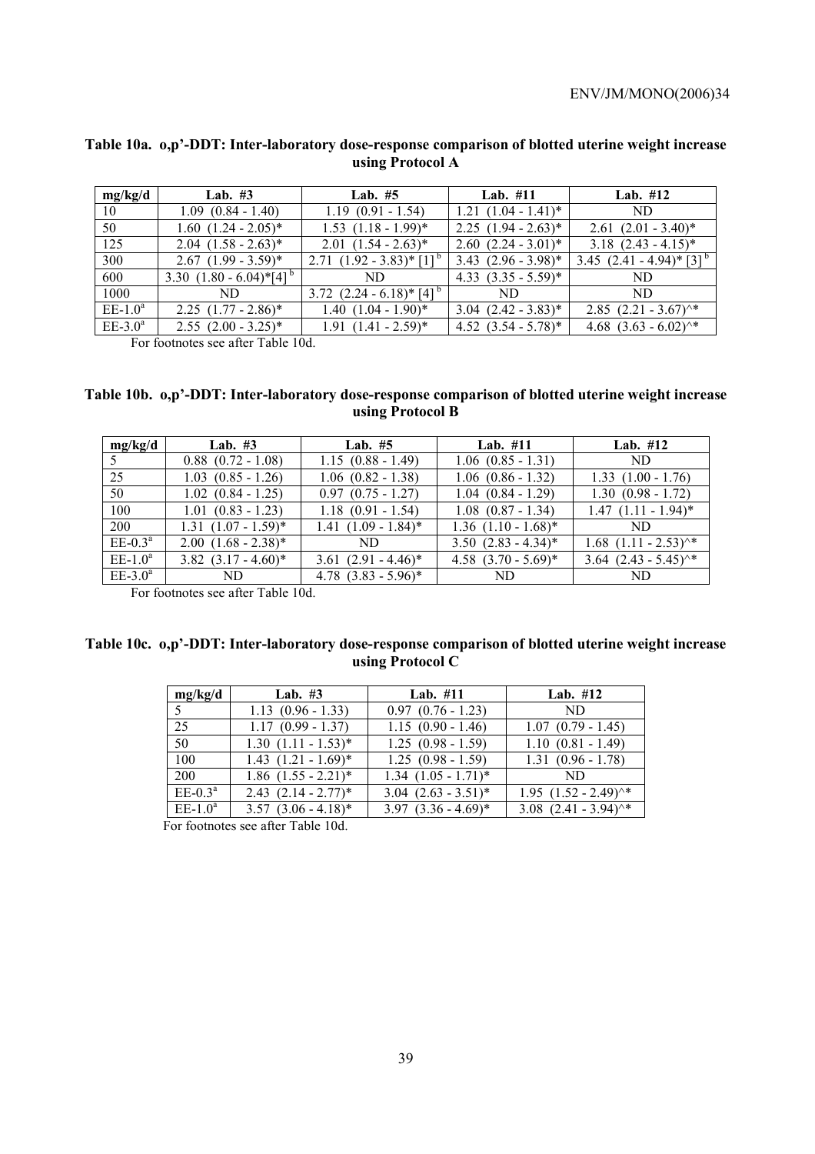| mg/kg/d   | Lab. $#3$                   | Lab. $#5$                               | Lab. $#11$               | Lab. $#12$                              |
|-----------|-----------------------------|-----------------------------------------|--------------------------|-----------------------------------------|
| 10        | $1.09$ $(0.84 - 1.40)$      | $1.19$ (0.91 - 1.54)                    | $1.21$ $(1.04 - 1.41)^*$ | ND                                      |
| 50        | $1.60$ $(1.24 - 2.05)^*$    | $1.53$ $(1.18 - 1.99)^*$                | $2.25$ $(1.94 - 2.63)^*$ | $2.61$ $(2.01 - 3.40)^*$                |
| 125       | $2.04$ $(1.58 - 2.63)^*$    | $2.01$ $(1.54 - 2.63)^*$                | $2.60$ $(2.24 - 3.01)^*$ | $3.18$ $(2.43 - 4.15)^*$                |
| 300       | $2.67$ $(1.99 - 3.59)^*$    | 2.71 $(1.92 - 3.83)^*$ [1] <sup>b</sup> | $3.43$ $(2.96 - 3.98)^*$ | 3.45 $(2.41 - 4.94)^*$ [3] <sup>b</sup> |
| 600       | 3.30 $(1.80 - 6.04)^*[4]^b$ | ND.                                     | 4.33 $(3.35 - 5.59)^*$   | ND                                      |
| 1000      | ND.                         | 3.72 $(2.24 - 6.18)^*$ [4] <sup>b</sup> | ND                       | ND.                                     |
| $EE-1.0a$ | $2.25$ $(1.77 - 2.86)^*$    | $1.40$ $(1.04 - 1.90)^*$                | $3.04$ $(2.42 - 3.83)^*$ | 2.85 $(2.21 - 3.67)^{4}$                |
| $EE-3.0a$ | $2.55$ $(2.00 - 3.25)^*$    | $1.91 (1.41 - 2.59)^*$                  | 4.52 $(3.54 - 5.78)^*$   | 4.68 $(3.63 - 6.02)^{4}$                |

# Table 10a. o<sub>,</sub>p<sup>2</sup>-DDT: Inter-laboratory dose-response comparison of blotted uterine weight increase **using Protocol A**

For footnotes see after Table 10d.

# Table 10b. o,p'-DDT: Inter-laboratory dose-response comparison of blotted uterine weight increase **using Protocol B**

| mg/kg/d   | Lab. $#3$                | Lab. $#5$                | Lab. $#11$               | Lab. $#12$                 |
|-----------|--------------------------|--------------------------|--------------------------|----------------------------|
|           | $0.88$ $(0.72 - 1.08)$   | $1.15(0.88 - 1.49)$      | $1.06$ $(0.85 - 1.31)$   | ND.                        |
| 25        | $1.03$ $(0.85 - 1.26)$   | $1.06$ $(0.82 - 1.38)$   | $1.06$ $(0.86 - 1.32)$   | $1.33$ $(1.00 - 1.76)$     |
| 50        | $1.02$ $(0.84 - 1.25)$   | $0.97$ $(0.75 - 1.27)$   | $1.04$ $(0.84 - 1.29)$   | $1.30(0.98 - 1.72)$        |
| 100       | $1.01 (0.83 - 1.23)$     | $1.18$ $(0.91 - 1.54)$   | $1.08$ $(0.87 - 1.34)$   | $1.47$ $(1.11 - 1.94)^*$   |
| 200       | $1.31(1.07 - 1.59)^*$    | $1.41(1.09 - 1.84)^*$    | $1.36$ $(1.10 - 1.68)^*$ | ND.                        |
| $EE-0.3a$ | $2.00$ $(1.68 - 2.38)^*$ | ND.                      | $3.50$ $(2.83 - 4.34)^*$ | $1.68$ $(1.11 - 2.53)^{4}$ |
| $EE-1.0a$ | $3.82$ $(3.17 - 4.60)^*$ | $3.61$ $(2.91 - 4.46)^*$ | 4.58 $(3.70 - 5.69)^*$   | 3.64 $(2.43 - 5.45)^{4}$   |
| $EE-3.0a$ | ND.                      | $4.78$ $(3.83 - 5.96)^*$ | ND                       | ND.                        |

For footnotes see after Table 10d.

# Table 10c. o,p'-DDT: Inter-laboratory dose-response comparison of blotted uterine weight increase **using Protocol C**

| mg/kg/d   | Lab. $#3$                | Lab. $#11$               | Lab. $#12$                 |
|-----------|--------------------------|--------------------------|----------------------------|
|           | $1.13$ $(0.96 - 1.33)$   | $0.97$ $(0.76 - 1.23)$   | ND.                        |
| 25        | $1.17(0.99 - 1.37)$      | $1.15(0.90 - 1.46)$      | $1.07$ $(0.79 - 1.45)$     |
| 50        | $1.30$ $(1.11 - 1.53)*$  | $1.25$ $(0.98 - 1.59)$   | $1.10(0.81 - 1.49)$        |
| 100       | $1.43$ $(1.21 - 1.69)^*$ | $1.25(0.98 - 1.59)$      | $1.31 (0.96 - 1.78)$       |
| 200       | $1.86$ $(1.55 - 2.21)^*$ | $1.34$ $(1.05 - 1.71)^*$ | ND.                        |
| $EE-0.3a$ | $2.43$ $(2.14 - 2.77)*$  | $3.04$ $(2.63 - 3.51)^*$ | $1.95$ $(1.52 - 2.49)^{4}$ |
| $EE-1.0a$ | $3.57$ $(3.06 - 4.18)*$  | $3.97$ $(3.36 - 4.69)^*$ | 3.08 $(2.41 - 3.94)^{4}$   |

For footnotes see after Table 10d.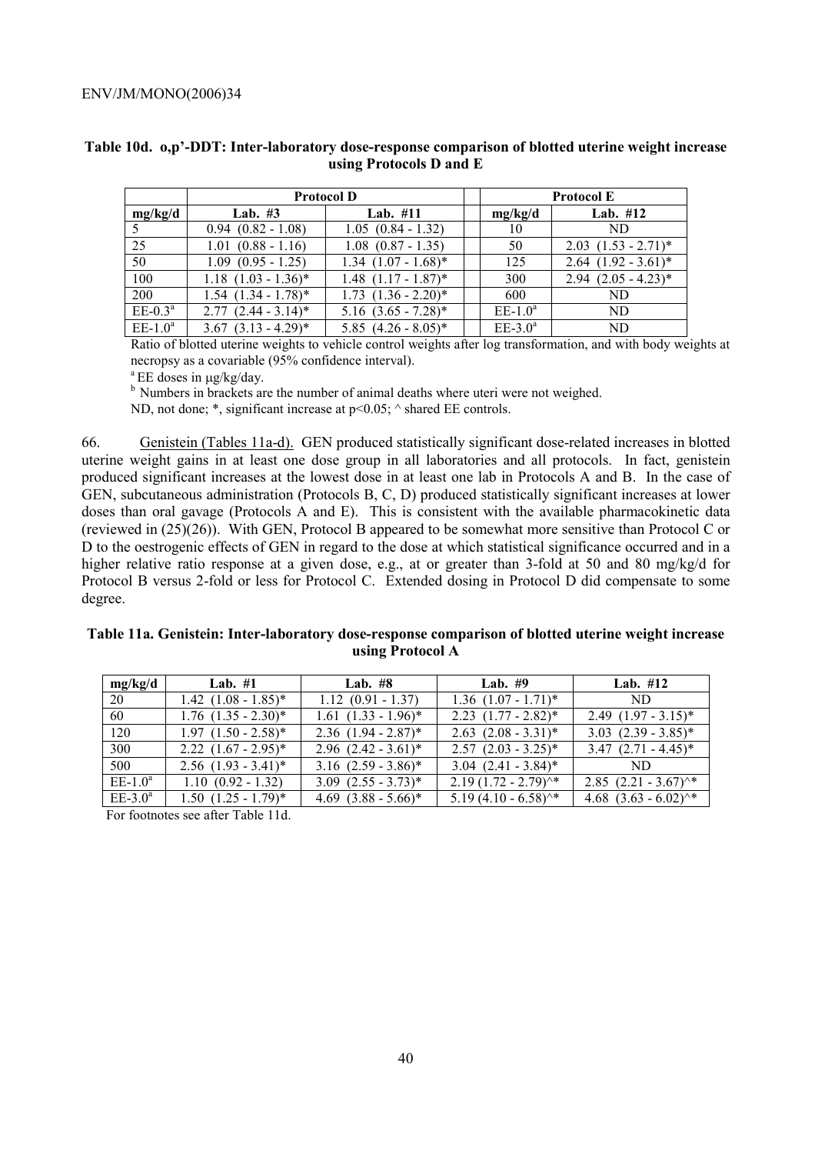|           | <b>Protocol D</b>        |                          |           | <b>Protocol E</b>        |
|-----------|--------------------------|--------------------------|-----------|--------------------------|
| mg/kg/d   | Lab. $#3$                | Lab. $#11$               | mg/kg/d   | Lab. $#12$               |
|           | $0.94$ $(0.82 - 1.08)$   | $1.05(0.84 - 1.32)$      | 10        | ND                       |
| 25        | $1.01 (0.88 - 1.16)$     | $1.08$ $(0.87 - 1.35)$   | 50        | $2.03$ $(1.53 - 2.71)^*$ |
| 50        | $1.09$ $(0.95 - 1.25)$   | $1.34$ $(1.07 - 1.68)^*$ | 125       | $2.64$ $(1.92 - 3.61)^*$ |
| 100       | $1.18$ $(1.03 - 1.36)^*$ | $1.48$ $(1.17 - 1.87)^*$ | 300       | $2.94$ $(2.05 - 4.23)*$  |
| 200       | $1.54$ $(1.34 - 1.78)^*$ | $1.73$ $(1.36 - 2.20)^*$ | 600       | ND.                      |
| $EE-0.3a$ | $2.77$ $(2.44 - 3.14)^*$ | $5.16$ $(3.65 - 7.28)^*$ | $EE-1.0a$ | ND.                      |
| $EE-1.0a$ | $3.67$ $(3.13 - 4.29)^*$ | $5.85$ $(4.26 - 8.05)^*$ | $EE-3.0a$ | ND.                      |

# Table 10d. o<sub>,</sub>p<sup>2</sup>-DDT: Inter-laboratory dose-response comparison of blotted uterine weight increase **using Protocols D and E**

Ratio of blotted uterine weights to vehicle control weights after log transformation, and with body weights at necropsy as a covariable (95% confidence interval).

 $^a$ EE doses in  $\mu$ g/kg/day.

<sup>b</sup> Numbers in brackets are the number of animal deaths where uteri were not weighed.

ND, not done; \*, significant increase at p<0.05;  $\land$  shared EE controls.

66. Genistein (Tables 11a-d). GEN produced statistically significant dose-related increases in blotted uterine weight gains in at least one dose group in all laboratories and all protocols. In fact, genistein produced significant increases at the lowest dose in at least one lab in Protocols A and B. In the case of GEN, subcutaneous administration (Protocols B, C, D) produced statistically significant increases at lower doses than oral gavage (Protocols A and E). This is consistent with the available pharmacokinetic data (reviewed in (25)(26)). With GEN, Protocol B appeared to be somewhat more sensitive than Protocol C or D to the oestrogenic effects of GEN in regard to the dose at which statistical significance occurred and in a higher relative ratio response at a given dose, e.g., at or greater than 3-fold at 50 and 80 mg/kg/d for Protocol B versus 2-fold or less for Protocol C. Extended dosing in Protocol D did compensate to some degree.

# **Table 11a. Genistein: Inter-laboratory dose-response comparison of blotted uterine weight increase using Protocol A**

| mg/kg/d       | Lab. $#1$                | Lab. $#8$                | Lab. $#9$                      | Lab. $#12$               |
|---------------|--------------------------|--------------------------|--------------------------------|--------------------------|
| <sup>20</sup> | $1.42$ $(1.08 - 1.85)^*$ | $1.12(0.91 - 1.37)$      | $1.36$ $(1.07 - 1.71)^*$       | ND.                      |
| 60            | $1.76$ $(1.35 - 2.30)^*$ | $1.61$ $(1.33 - 1.96)^*$ | $2.23$ $(1.77 - 2.82)^*$       | $2.49$ $(1.97 - 3.15)^*$ |
| 120           | $1.97$ $(1.50 - 2.58)^*$ | $2.36$ $(1.94 - 2.87)^*$ | $2.63$ $(2.08 - 3.31)^*$       | $3.03$ $(2.39 - 3.85)^*$ |
| 300           | $2.22$ $(1.67 - 2.95)^*$ | $2.96$ $(2.42 - 3.61)^*$ | $2.57$ $(2.03 - 3.25)^*$       | $3.47$ $(2.71 - 4.45)^*$ |
| 500           | $2.56$ $(1.93 - 3.41)^*$ | $3.16$ $(2.59 - 3.86)^*$ | $3.04$ $(2.41 - 3.84)^*$       | ND.                      |
| $EE-1.0a$     | $1.10(0.92 - 1.32)$      | $3.09$ $(2.55 - 3.73)^*$ | $2.19(1.72 - 2.79)^{4}$        | 2.85 $(2.21 - 3.67)^{4}$ |
| $EE-3.0a$     | $1.50$ $(1.25 - 1.79)^*$ | 4.69 $(3.88 - 5.66)^*$   | 5.19 (4.10 - 6.58) $\lambda$ * | 4.68 $(3.63 - 6.02)^{4}$ |

For footnotes see after Table 11d.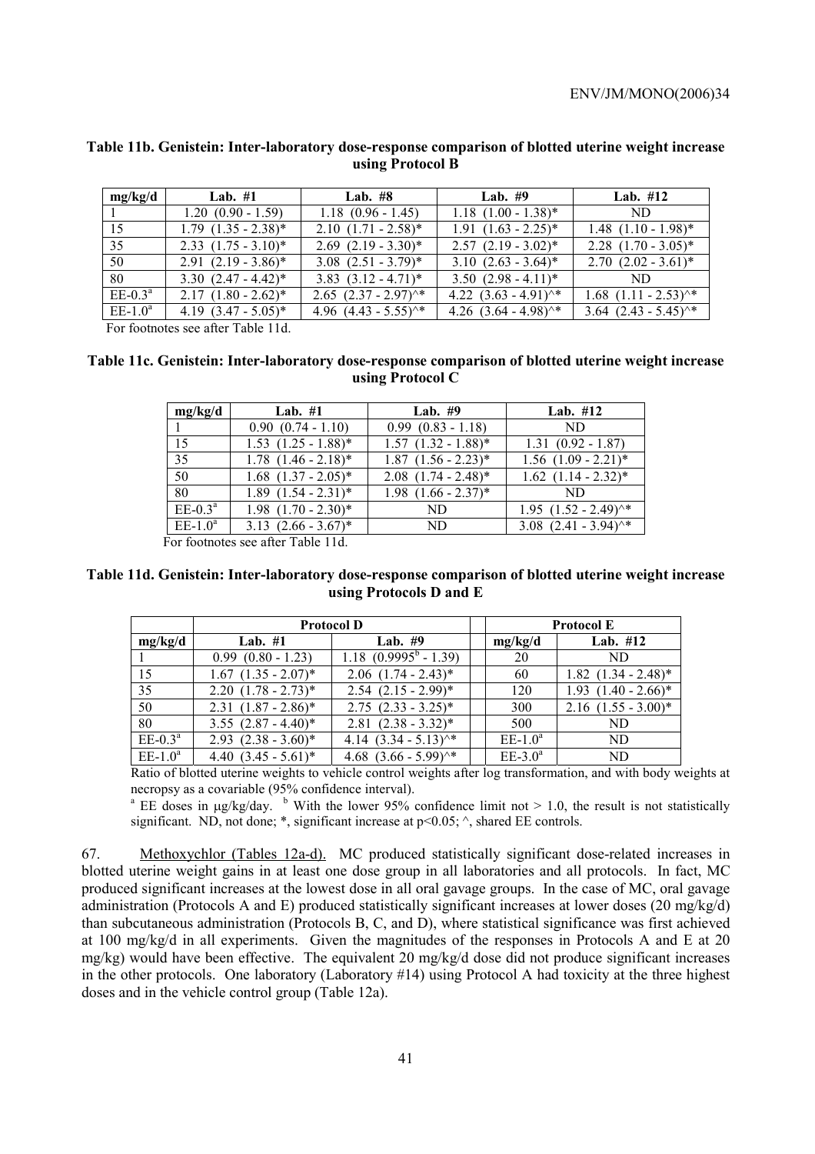| mg/kg/d   | Lab. $#1$                | Lab. #8                    | Lab. $#9$                | Lab. $#12$               |
|-----------|--------------------------|----------------------------|--------------------------|--------------------------|
|           | $1.20(0.90 - 1.59)$      | $1.18$ $(0.96 - 1.45)$     | $1.18$ $(1.00 - 1.38)^*$ | ND.                      |
| 15        | $1.79$ $(1.35 - 2.38)^*$ | $2.10$ $(1.71 - 2.58)^*$   | $1.91 (1.63 - 2.25)^*$   | $1.48$ $(1.10 - 1.98)^*$ |
| 35        | $2.33$ $(1.75 - 3.10)^*$ | $2.69$ $(2.19 - 3.30)^*$   | $2.57$ $(2.19 - 3.02)^*$ | $2.28$ $(1.70 - 3.05)^*$ |
| 50        | $2.91$ $(2.19 - 3.86)^*$ | $3.08$ $(2.51 - 3.79)^*$   | $3.10 (2.63 - 3.64)^*$   | $2.70$ $(2.02 - 3.61)^*$ |
| 80        | $3.30 (2.47 - 4.42)^*$   | $3.83$ $(3.12 - 4.71)^*$   | 3.50 $(2.98 - 4.11)^*$   | ND.                      |
| $EE-0.3a$ | $2.17$ $(1.80 - 2.62)^*$ | $2.65$ $(2.37 - 2.97)^{4}$ | 4.22 $(3.63 - 4.91)^{4}$ | 1.68 $(1.11 - 2.53)^{4}$ |
| $EE-1.0a$ | 4.19 $(3.47 - 5.05)^*$   | 4.96 $(4.43 - 5.55)^{4}$   | 4.26 $(3.64 - 4.98)^{4}$ | 3.64 $(2.43 - 5.45)^{4}$ |

# **Table 11b. Genistein: Inter-laboratory dose-response comparison of blotted uterine weight increase using Protocol B**

For footnotes see after Table 11d.

# **Table 11c. Genistein: Inter-laboratory dose-response comparison of blotted uterine weight increase using Protocol C**

| mg/kg/d   | Lab. $#1$                | Lab. $#9$                | Lab. $#12$               |
|-----------|--------------------------|--------------------------|--------------------------|
|           | $0.90(0.74 - 1.10)$      | $0.99$ $(0.83 - 1.18)$   | ND.                      |
| 15        | $1.53$ $(1.25 - 1.88)^*$ | $1.57$ $(1.32 - 1.88)*$  | $1.31 (0.92 - 1.87)$     |
| 35        | $1.78$ $(1.46 - 2.18)^*$ | $1.87$ $(1.56 - 2.23)*$  | $1.56$ $(1.09 - 2.21)^*$ |
| 50        | $1.68$ $(1.37 - 2.05)^*$ | $2.08$ $(1.74 - 2.48)*$  | $1.62$ $(1.14 - 2.32)^*$ |
| 80        | $1.89$ $(1.54 - 2.31)^*$ | $1.98$ $(1.66 - 2.37)^*$ | ND                       |
| $EE-0.3a$ | $1.98$ $(1.70 - 2.30)^*$ | ND                       | 1.95 $(1.52 - 2.49)^{4}$ |
| $EE-1.0a$ | $3.13$ $(2.66 - 3.67)^*$ | ND.                      | 3.08 $(2.41 - 3.94)^{4}$ |

For footnotes see after Table 11d.

### **Table 11d. Genistein: Inter-laboratory dose-response comparison of blotted uterine weight increase using Protocols D and E**

|           | <b>Protocol D</b>        |                           |           | <b>Protocol E</b>        |
|-----------|--------------------------|---------------------------|-----------|--------------------------|
| mg/kg/d   | Lab. $#1$                | Lab. $#9$                 | mg/kg/d   | Lab. $#12$               |
|           | $0.99$ $(0.80 - 1.23)$   | 1.18 $(0.9995^b - 1.39)$  | 20        | ND                       |
| 15        | $1.67$ $(1.35 - 2.07)^*$ | $2.06$ $(1.74 - 2.43)*$   | 60        | $1.82$ $(1.34 - 2.48)^*$ |
| 35        | $2.20$ $(1.78 - 2.73)*$  | $2.54$ $(2.15 - 2.99)^*$  | 120       | $1.93$ $(1.40 - 2.66)^*$ |
| -50       | $2.31(1.87 - 2.86)^*$    | $2.75$ $(2.33 - 3.25)^*$  | 300       | $2.16$ $(1.55 - 3.00)^*$ |
| -80       | 3.55 $(2.87 - 4.40)^*$   | $2.81$ $(2.38 - 3.32)^*$  | 500       | ND                       |
| $EE-0.3a$ | $2.93$ $(2.38 - 3.60)^*$ | 4.14 $(3.34 - 5.13)^{4}$  | $EE-1.0a$ | ND                       |
| $EE-1.0a$ | 4.40 $(3.45 - 5.61)^*$   | 4.68 $(3.66 - 5.99)^{4*}$ | $EE-3.0a$ | ND                       |

Ratio of blotted uterine weights to vehicle control weights after log transformation, and with body weights at necropsy as a covariable (95% confidence interval).

<sup>a</sup> EE doses in  $\mu$ g/kg/day. <sup>b</sup> With the lower 95% confidence limit not > 1.0, the result is not statistically significant. ND, not done; \*, significant increase at  $p<0.05$ ;  $\land$ , shared EE controls.

67. Methoxychlor (Tables 12a-d). MC produced statistically significant dose-related increases in blotted uterine weight gains in at least one dose group in all laboratories and all protocols. In fact, MC produced significant increases at the lowest dose in all oral gavage groups. In the case of MC, oral gavage administration (Protocols A and E) produced statistically significant increases at lower doses (20 mg/kg/d) than subcutaneous administration (Protocols B, C, and D), where statistical significance was first achieved at 100 mg/kg/d in all experiments. Given the magnitudes of the responses in Protocols A and E at 20 mg/kg) would have been effective. The equivalent 20 mg/kg/d dose did not produce significant increases in the other protocols. One laboratory (Laboratory #14) using Protocol A had toxicity at the three highest doses and in the vehicle control group (Table 12a).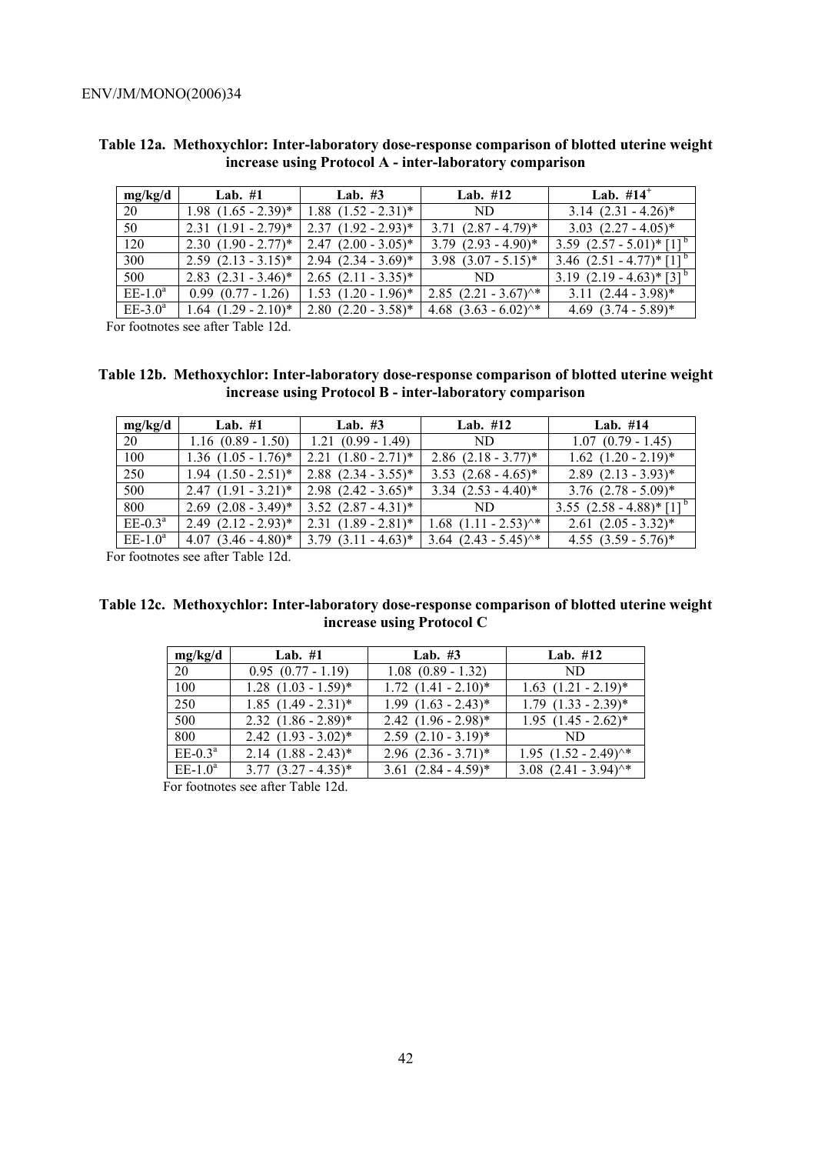| Lab. $#1$                | Lab. $#3$                | Lab. $#12$               | Lab. $#14^+$                                         |
|--------------------------|--------------------------|--------------------------|------------------------------------------------------|
| $1.98$ $(1.65 - 2.39)^*$ | $1.88$ $(1.52 - 2.31)^*$ | ND.                      | $3.14$ $(2.31 - 4.26)^*$                             |
| $2.31(1.91 - 2.79)^*$    | $2.37$ $(1.92 - 2.93)^*$ | $3.71$ $(2.87 - 4.79)^*$ | $3.03$ $(2.27 - 4.05)^*$                             |
| $2.30(1.90 - 2.77)^*$    | $2.47$ $(2.00 - 3.05)^*$ | $3.79$ $(2.93 - 4.90)^*$ | $\overline{3.59}$ $(2.57 - 5.01)^*$ [1] <sup>b</sup> |
| $2.59$ $(2.13 - 3.15)^*$ | $2.94$ $(2.34 - 3.69)^*$ | $3.98$ $(3.07 - 5.15)^*$ | 3.46 $(2.51 - 4.77)^*$ [1] <sup>b</sup>              |
| $2.83$ $(2.31 - 3.46)^*$ | $2.65$ $(2.11 - 3.35)^*$ | ND.                      | 3.19 $(2.19 - 4.63)^*$ [3] <sup>b</sup>              |
| $0.99$ $(0.77 - 1.26)$   | $1.53$ $(1.20 - 1.96)^*$ | 2.85 $(2.21 - 3.67)^{4}$ | $3.11 (2.44 - 3.98)^*$                               |
| $1.64$ $(1.29 - 2.10)^*$ | $2.80$ $(2.20 - 3.58)*$  | 4.68 $(3.63 - 6.02)^{4}$ | 4.69 $(3.74 - 5.89)^*$                               |
|                          |                          |                          |                                                      |

| Table 12a. Methoxychlor: Inter-laboratory dose-response comparison of blotted uterine weight |
|----------------------------------------------------------------------------------------------|
| increase using Protocol A - inter-laboratory comparison                                      |

For footnotes see after Table 12d.

# **Table 12b. Methoxychlor: Inter-laboratory dose-response comparison of blotted uterine weight increase using Protocol B - inter-laboratory comparison**

| mg/kg/d   | Lab. $#1$                | Lab. $#3$                | Lab. $#12$                 | Lab. $#14$                              |
|-----------|--------------------------|--------------------------|----------------------------|-----------------------------------------|
| 20        | $1.16$ $(0.89 - 1.50)$   | $1.21(0.99 - 1.49)$      | ND                         | $1.07$ $(0.79 - 1.45)$                  |
| 100       | $1.36$ $(1.05 - 1.76)^*$ | $2.21$ $(1.80 - 2.71)^*$ | $2.86$ $(2.18 - 3.77)^*$   | $1.62$ $(1.20 - 2.19)^*$                |
| 250       | $1.94$ $(1.50 - 2.51)^*$ | $2.88$ $(2.34 - 3.55)^*$ | 3.53 $(2.68 - 4.65)^*$     | $2.89$ $(2.13 - 3.93)^*$                |
| 500       | $2.47(1.91 - 3.21)^*$    | $2.98$ $(2.42 - 3.65)^*$ | $3.34$ $(2.53 - 4.40)^*$   | $3.76$ $(2.78 - 5.09)^*$                |
| 800       | $2.69$ $(2.08 - 3.49)^*$ | $3.52$ $(2.87 - 4.31)^*$ | ND                         | 3.55 $(2.58 - 4.88)^*$ [1] <sup>b</sup> |
| $EE-0.3a$ | $2.49$ $(2.12 - 2.93)^*$ | $2.31$ $(1.89 - 2.81)^*$ | $1.68$ $(1.11 - 2.53)^{4}$ | $2.61$ $(2.05 - 3.32)^*$                |
| $EE-1.0a$ | $4.07$ $(3.46 - 4.80)^*$ | $3.79$ $(3.11 - 4.63)^*$ | $3.64$ $(2.43 - 5.45)^{4}$ | $4.55$ $(3.59 - 5.76)^*$                |

For footnotes see after Table 12d.

# **Table 12c. Methoxychlor: Inter-laboratory dose-response comparison of blotted uterine weight increase using Protocol C**

| mg/kg/d   | Lab. $#1$                | Lab. $#3$                | Lab. $#12$                 |
|-----------|--------------------------|--------------------------|----------------------------|
| 20        | $0.95$ $(0.77 - 1.19)$   | $1.08$ $(0.89 - 1.32)$   | ND.                        |
| 100       | $1.28$ $(1.03 - 1.59)^*$ | $1.72$ $(1.41 - 2.10)^*$ | $1.63$ $(1.21 - 2.19)^*$   |
| 250       | $1.85$ $(1.49 - 2.31)^*$ | $1.99$ $(1.63 - 2.43)^*$ | $1.79$ $(1.33 - 2.39)^*$   |
| 500       | $2.32$ $(1.86 - 2.89)^*$ | $2.42$ $(1.96 - 2.98)*$  | $1.95$ $(1.45 - 2.62)^*$   |
| 800       | $2.42$ $(1.93 - 3.02)^*$ | $2.59$ $(2.10 - 3.19)^*$ | ND.                        |
| $EE-0.3a$ | $2.14$ $(1.88 - 2.43)^*$ | $2.96$ $(2.36 - 3.71)^*$ | $1.95$ $(1.52 - 2.49)^{4}$ |
| $EE-1.0a$ | $3.77$ $(3.27 - 4.35)^*$ | $3.61$ $(2.84 - 4.59)^*$ | 3.08 $(2.41 - 3.94)^{4}$   |

For footnotes see after Table 12d.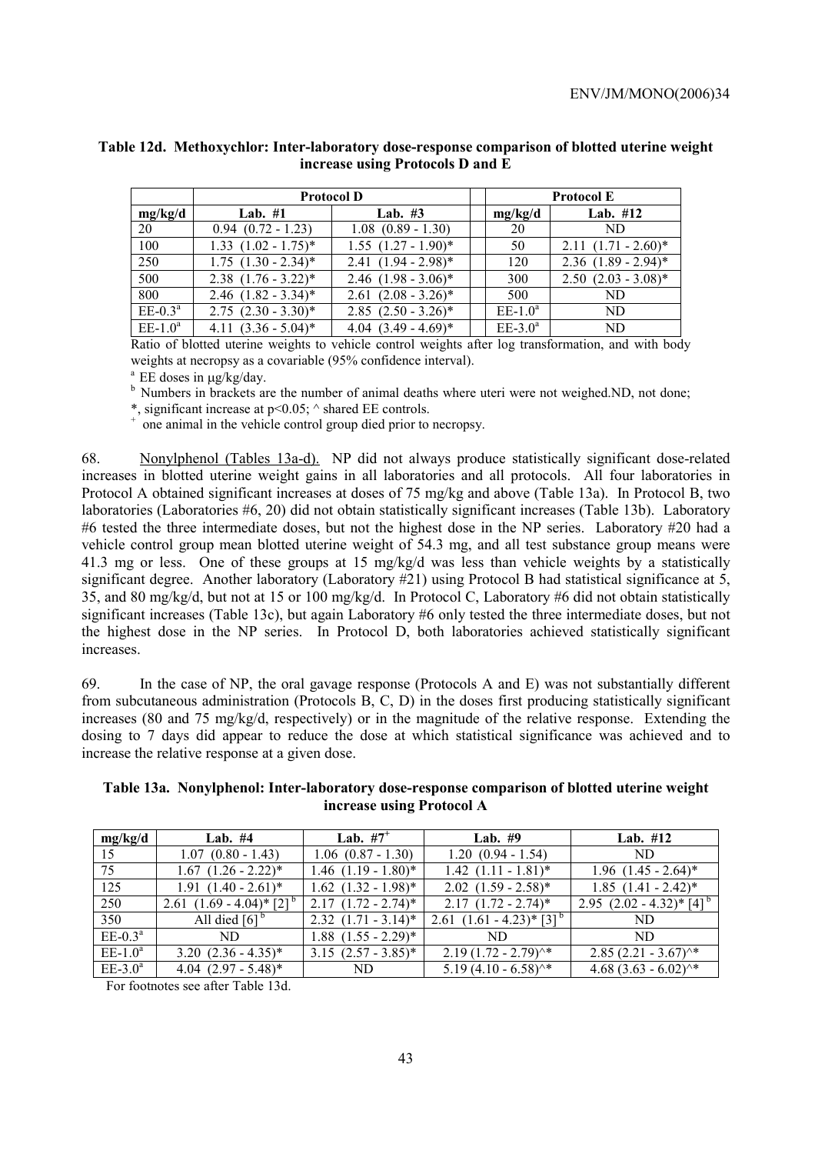|           | <b>Protocol D</b>        |                          |           | <b>Protocol E</b>        |
|-----------|--------------------------|--------------------------|-----------|--------------------------|
| mg/kg/d   | Lab. $#1$                | Lab. $#3$                | mg/kg/d   | Lab. $#12$               |
| 20        | $0.94$ $(0.72 - 1.23)$   | $1.08$ $(0.89 - 1.30)$   | 20        | ND.                      |
| 100       | $1.33$ $(1.02 - 1.75)^*$ | $1.55$ $(1.27 - 1.90)^*$ | 50        | $2.11(1.71-2.60)$ *      |
| 250       | $1.75$ $(1.30 - 2.34)^*$ | $2.41$ $(1.94 - 2.98)^*$ | 120       | $2.36$ $(1.89 - 2.94)^*$ |
| 500       | $2.38$ $(1.76 - 3.22)^*$ | $2.46$ $(1.98 - 3.06)^*$ | 300       | $2.50$ $(2.03 - 3.08)*$  |
| 800       | $2.46$ $(1.82 - 3.34)^*$ | $2.61$ $(2.08 - 3.26)^*$ | 500       | ND.                      |
| $EE-0.3a$ | $2.75$ $(2.30 - 3.30)^*$ | $2.85$ $(2.50 - 3.26)^*$ | $EE-1.0a$ | ND.                      |
| $EE-1.0a$ | 4.11 $(3.36 - 5.04)^*$   | $4.04$ $(3.49 - 4.69)^*$ | $EE-3.0a$ | ND                       |

## **Table 12d. Methoxychlor: Inter-laboratory dose-response comparison of blotted uterine weight increase using Protocols D and E**

Ratio of blotted uterine weights to vehicle control weights after log transformation, and with body weights at necropsy as a covariable (95% confidence interval).

 $^{\circ}$  EE doses in  $\mu$ g/kg/day.

b Numbers in brackets are the number of animal deaths where uteri were not weighed.ND, not done;

\*, significant increase at p<0.05; ^ shared EE controls.

+ one animal in the vehicle control group died prior to necropsy.

68. Nonylphenol (Tables 13a-d). NP did not always produce statistically significant dose-related increases in blotted uterine weight gains in all laboratories and all protocols. All four laboratories in Protocol A obtained significant increases at doses of 75 mg/kg and above (Table 13a). In Protocol B, two laboratories (Laboratories #6, 20) did not obtain statistically significant increases (Table 13b). Laboratory #6 tested the three intermediate doses, but not the highest dose in the NP series. Laboratory #20 had a vehicle control group mean blotted uterine weight of 54.3 mg, and all test substance group means were 41.3 mg or less. One of these groups at 15 mg/kg/d was less than vehicle weights by a statistically significant degree. Another laboratory (Laboratory #21) using Protocol B had statistical significance at 5, 35, and 80 mg/kg/d, but not at 15 or 100 mg/kg/d. In Protocol C, Laboratory #6 did not obtain statistically significant increases (Table 13c), but again Laboratory #6 only tested the three intermediate doses, but not the highest dose in the NP series. In Protocol D, both laboratories achieved statistically significant increases.

69. In the case of NP, the oral gavage response (Protocols A and E) was not substantially different from subcutaneous administration (Protocols B, C, D) in the doses first producing statistically significant increases (80 and 75 mg/kg/d, respectively) or in the magnitude of the relative response. Extending the dosing to 7 days did appear to reduce the dose at which statistical significance was achieved and to increase the relative response at a given dose.

| Table 13a. Nonylphenol: Inter-laboratory dose-response comparison of blotted uterine weight |                           |  |  |
|---------------------------------------------------------------------------------------------|---------------------------|--|--|
|                                                                                             | increase using Protocol A |  |  |

| mg/kg/d   | Lab. $#4$                               | <b>Lab.</b> $#7^+$       | Lab. $#9$                               | Lab. $#12$                              |
|-----------|-----------------------------------------|--------------------------|-----------------------------------------|-----------------------------------------|
| 15        | $1.07$ $(0.80 - 1.43)$                  | $1.06$ $(0.87 - 1.30)$   | $1.20(0.94 - 1.54)$                     | ND                                      |
| 75        | $1.67$ $(1.26 - 2.22)^*$                | $1.46$ $(1.19 - 1.80)^*$ | $1.42$ $(1.11 - 1.81)^*$                | $1.96$ $(1.45 - 2.64)^*$                |
| 125       | $1.91 (1.40 - 2.61)^*$                  | $1.62$ $(1.32 - 1.98)^*$ | $2.02$ $(1.59 - 2.58)^*$                | $1.85$ $(1.41 - 2.42)^*$                |
| 250       | 2.61 $(1.69 - 4.04)^*$ [2] <sup>b</sup> | $2.17$ $(1.72 - 2.74)^*$ | $2.17$ $(1.72 - 2.74)^*$                | 2.95 $(2.02 - 4.32)^*$ [4] <sup>b</sup> |
| 350       | All died $[6]$ <sup>b</sup>             | $2.32$ $(1.71 - 3.14)^*$ | 2.61 $(1.61 - 4.23)^*$ [3] <sup>b</sup> | ND                                      |
| $EE-0.3a$ | ND                                      | $1.88$ $(1.55 - 2.29)^*$ | ND                                      | ND.                                     |
| $EE-1.0a$ | $3.20$ $(2.36 - 4.35)^*$                | $3.15$ $(2.57 - 3.85)^*$ | $2.19(1.72 - 2.79)^{4}$                 | $2.85(2.21 - 3.67)^{4}$                 |
| $EE-3.0a$ | 4.04 $(2.97 - 5.48)^*$                  | ND                       | 5.19 (4.10 - 6.58) $\lambda$ *          | 4.68 $(3.63 - 6.02)^{4}$                |

For footnotes see after Table 13d.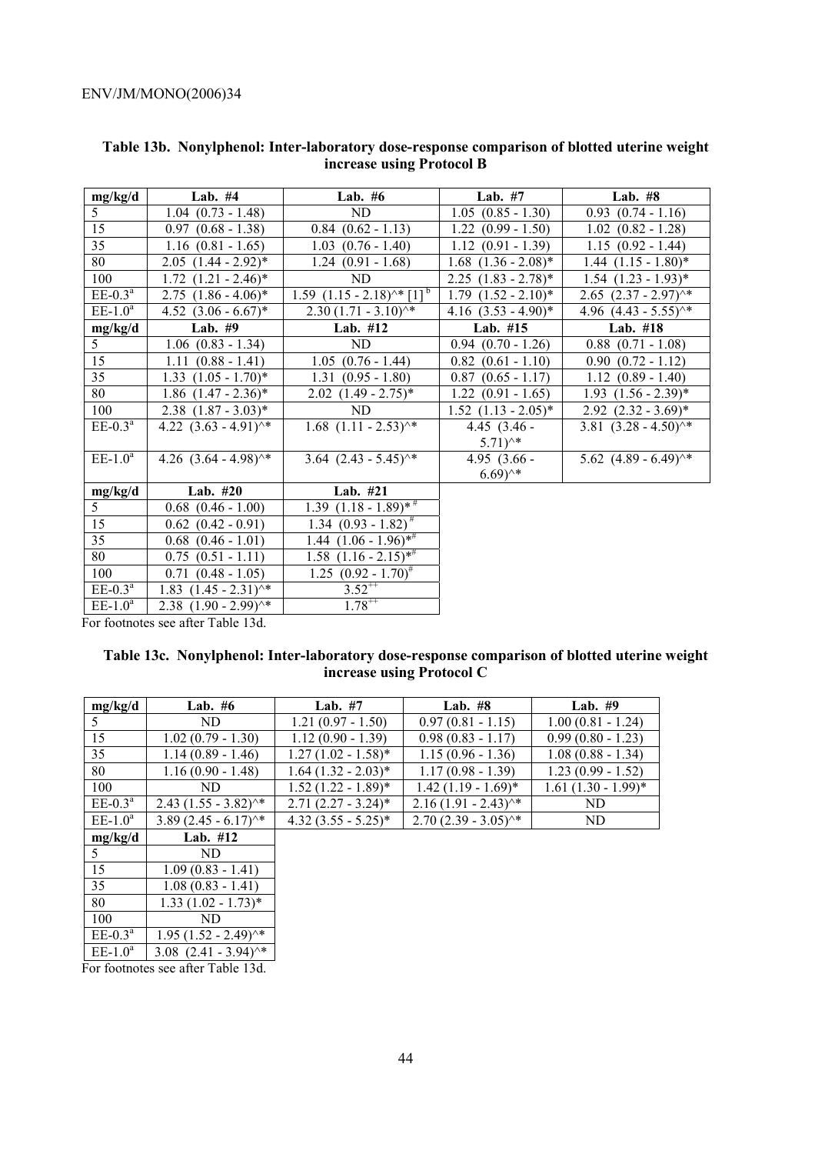| mg/kg/d        | Lab. #4                  | Lab. $#6$                                 | Lab. #7                  | Lab. #8                     |
|----------------|--------------------------|-------------------------------------------|--------------------------|-----------------------------|
| $\overline{5}$ | $1.04$ $(0.73 - 1.48)$   | ND.                                       | $1.05$ $(0.85 - 1.30)$   | $0.93$ $(0.74 - 1.16)$      |
| 15             | $0.97$ $(0.68 - 1.38)$   | $0.84$ $(0.62 - 1.13)$                    | $1.22$ $(0.99 - 1.50)$   | $1.02$ $(0.82 - 1.28)$      |
| 35             | $1.16$ $(0.81 - 1.65)$   | $1.03$ $(0.76 - 1.40)$                    | $1.12(0.91 - 1.39)$      | $1.15(0.92 - 1.44)$         |
| 80             | $2.05$ $(1.44 - 2.92)^*$ | $1.24(0.91 - 1.68)$                       | $1.68$ $(1.36 - 2.08)^*$ | $1.44$ $(1.15 - 1.80)^*$    |
| 100            | $1.72$ $(1.21 - 2.46)^*$ | ND                                        | $2.25$ $(1.83 - 2.78)^*$ | $1.54$ $(1.23 - 1.93)^*$    |
| $EE-0.3a$      | $2.75$ $(1.86 - 4.06)^*$ | 1.59 $(1.15 - 2.18)^{4}$ [1] <sup>b</sup> | $1.79$ $(1.52 - 2.10)^*$ | $2.65$ $(2.37 - 2.97)^{4*}$ |
| $EE-1.0a$      | 4.52 $(3.06 - 6.67)^*$   | $2.30(1.71 - 3.10)^{4}$                   | $4.16$ $(3.53 - 4.90)^*$ | 4.96 $(4.43 - 5.55)^{4*}$   |
| mg/kg/d        | Lab. #9                  | Lab. #12                                  | Lab. #15                 | Lab. #18                    |
| $\overline{5}$ | $1.06$ $(0.83 - 1.34)$   | ND.                                       | $0.94$ $(0.70 - 1.26)$   | $0.88$ $(0.71 - 1.08)$      |
| 15             | $1.11(0.88 - 1.41)$      | $1.05$ $(0.76 - 1.44)$                    | $0.82$ $(0.61 - 1.10)$   | $0.90 (0.72 - 1.12)$        |
| 35             | $1.33$ $(1.05 - 1.70)^*$ | $1.31(0.95 - 1.80)$                       | $0.87$ $(0.65 - 1.17)$   | $1.12(0.89 - 1.40)$         |
| 80             | $1.86$ $(1.47 - 2.36)^*$ | $2.02$ $(1.49 - 2.75)^*$                  | $1.22$ $(0.91 - 1.65)$   | $1.93$ $(1.56 - 2.39)^*$    |
| 100            | $2.38$ $(1.87 - 3.03)^*$ | ND                                        | $1.52$ $(1.13 - 2.05)^*$ | $2.92$ $(2.32 - 3.69)^*$    |
| $EE-0.3a$      | 4.22 $(3.63 - 4.91)^{4}$ | $1.68$ $(1.11 - 2.53)^{4}$                | $4.45(3.46 -$            | 3.81 $(3.28 - 4.50)^{4}$    |
|                |                          |                                           | $5.71$ <sup>*</sup>      |                             |
| $EE-1.0a$      | 4.26 $(3.64 - 4.98)^{4}$ | 3.64 $(2.43 - 5.45)^{4}$                  | $4.95(3.66 -$            | 5.62 $(4.89 - 6.49)^{4}$    |
|                |                          |                                           | $6.69)^{4*}$             |                             |
| mg/kg/d        | Lab. #20                 | Lab. #21                                  |                          |                             |
| 5 <sup>1</sup> | $0.68$ $(0.46 - 1.00)$   | $1.39$ $(1.18 - 1.89)^{\frac{1}{8}+1}$    |                          |                             |
| 15             | $0.62$ $(0.42 - 0.91)$   | 1.34 $(0.93 - 1.82)^{#}$                  |                          |                             |
| 35             | $0.68$ $(0.46 - 1.01)$   | $(1.06 - 1.96)$ * <sup>#</sup><br>1.44    |                          |                             |
| 80             | $0.75$ $(0.51 - 1.11)$   | 1.58 $(1.16 - 2.15)^{1/7}$                |                          |                             |
| 100            | $0.71$ $(0.48 - 1.05)$   | $1.25$ $(0.92 - 1.70)^{\#}$               |                          |                             |

| Table 13b. Nonylphenol: Inter-laboratory dose-response comparison of blotted uterine weight |
|---------------------------------------------------------------------------------------------|
| increase using Protocol B                                                                   |

For footnotes see after Table 13d.

 $\frac{1.83 \cdot (1.45 - 2.31)^{4}}{2.38 \cdot (1.90 - 2.99)^{4}}$   $\frac{3.52^{+4}}{1.78^{+4}}$ 

EE-1.0<sup>a</sup> 2.38  $(1.90 - 2.99)^{4}$  1.78<sup>++</sup>

 $EE-0.3<sup>a</sup>$ 

| Table 13c. Nonylphenol: Inter-laboratory dose-response comparison of blotted uterine weight |                           |  |
|---------------------------------------------------------------------------------------------|---------------------------|--|
|                                                                                             | increase using Protocol C |  |

| mg/kg/d     | Lab. $#6$                | Lab. $#7$             | Lab. $#8$               | Lab. $#9$              |
|-------------|--------------------------|-----------------------|-------------------------|------------------------|
| $5^{\circ}$ | ND                       | $1.21(0.97 - 1.50)$   | $0.97(0.81 - 1.15)$     | $1.00(0.81 - 1.24)$    |
| 15          | $1.02(0.79 - 1.30)$      | $1.12(0.90 - 1.39)$   | $0.98(0.83 - 1.17)$     | $0.99(0.80 - 1.23)$    |
| 35          | $1.14(0.89 - 1.46)$      | $1.27(1.02 - 1.58)*$  | $1.15(0.96 - 1.36)$     | $1.08(0.88 - 1.34)$    |
| 80          | $1.16(0.90 - 1.48)$      | $1.64$ (1.32 - 2.03)* | $1.17(0.98 - 1.39)$     | $1.23(0.99 - 1.52)$    |
| 100         | ND.                      | $1.52(1.22 - 1.89)^*$ | $1.42(1.19 - 1.69)*$    | $1.61 (1.30 - 1.99)^*$ |
| $EE-0.3a$   | $2.43 (1.55 - 3.82)^{4}$ | $2.71(2.27 - 3.24)^*$ | $2.16(1.91 - 2.43)^{4}$ | ND.                    |
| $EE-1.0a$   | 3.89 $(2.45 - 6.17)^{4}$ | $4.32(3.55 - 5.25)^*$ | $2.70(2.39 - 3.05)^{4}$ | ND                     |
| mg/kg/d     | Lab. $#12$               |                       |                         |                        |
| 5           | ND.                      |                       |                         |                        |
| 15          | $1.09(0.83 - 1.41)$      |                       |                         |                        |
| 35          | $1.08(0.83 - 1.41)$      |                       |                         |                        |
| 80          | $1.33(1.02 - 1.73)^*$    |                       |                         |                        |
| 100         | ND                       |                       |                         |                        |

 $EE-1.0^a$  3.08  $(2.41 - 3.94)^{4*}$ For footnotes see after Table 13d.

 $1.95 (1.52 - 2.49)^{4*}$ 

 $EE-0.3<sup>a</sup>$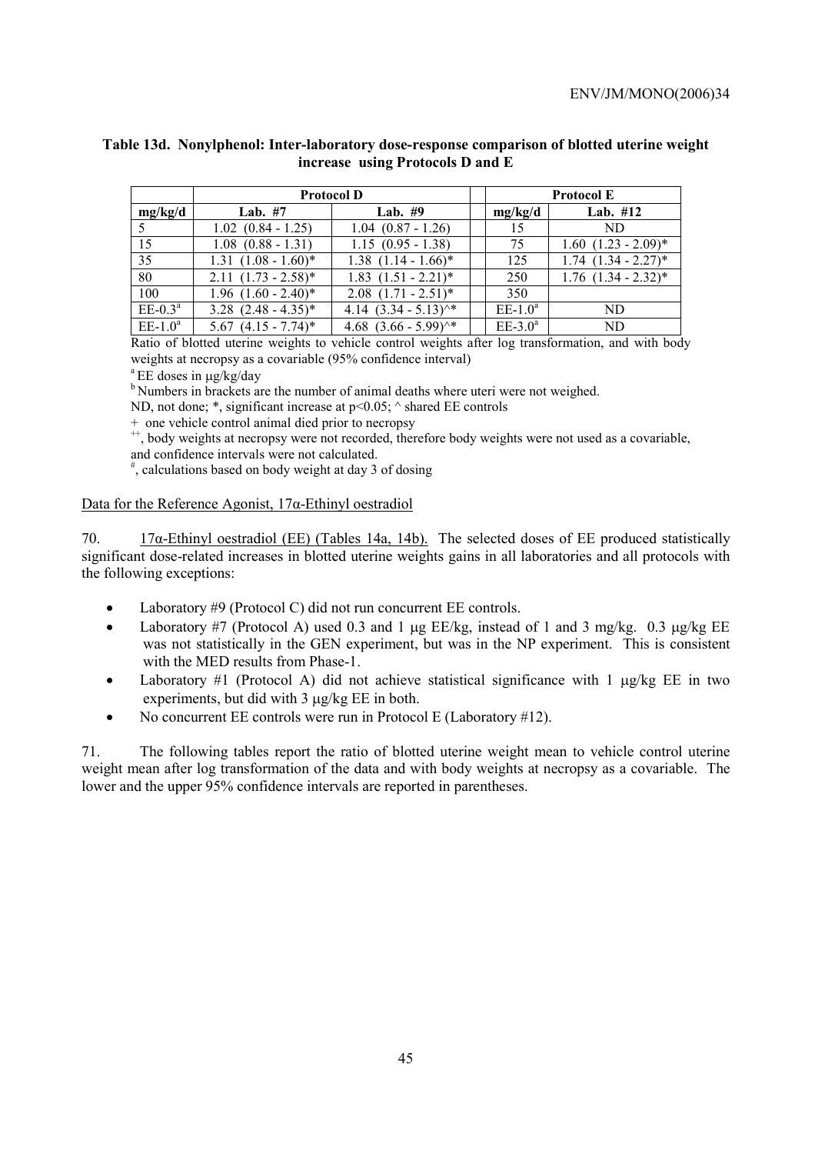|           | <b>Protocol D</b>        |                          |           | <b>Protocol E</b>        |
|-----------|--------------------------|--------------------------|-----------|--------------------------|
| mg/kg/d   | Lab. $#7$                | Lab. $#9$                | mg/kg/d   | Lab. $#12$               |
|           | $1.02$ $(0.84 - 1.25)$   | $1.04$ $(0.87 - 1.26)$   | 15        | ND                       |
| 15        | $1.08$ $(0.88 - 1.31)$   | $1.15(0.95 - 1.38)$      | 75        | $1.60$ $(1.23 - 2.09)^*$ |
| 35        | $1.31$ $(1.08 - 1.60)$ * | $1.38$ $(1.14 - 1.66)^*$ | 125       | $1.74$ $(1.34 - 2.27)^*$ |
| 80        | $2.11(1.73-2.58)^*$      | $1.83$ $(1.51 - 2.21)^*$ | 250       | $1.76$ $(1.34 - 2.32)^*$ |
| 100       | $1.96$ $(1.60 - 2.40)^*$ | $2.08$ $(1.71 - 2.51)^*$ | 350       |                          |
| $EE-0.3a$ | $3.28$ $(2.48 - 4.35)^*$ | 4.14 $(3.34 - 5.13)^{4}$ | $EE-1.0a$ | ND                       |
| $EE-1.0a$ | $5.67$ $(4.15 - 7.74)^*$ | 4.68 $(3.66 - 5.99)^{4}$ | $EE-3.0a$ | ND                       |

# **Table 13d. Nonylphenol: Inter-laboratory dose-response comparison of blotted uterine weight increase using Protocols D and E**

Ratio of blotted uterine weights to vehicle control weights after log transformation, and with body weights at necropsy as a covariable (95% confidence interval)

 $^{\circ}$  EE doses in  $\mu$ g/kg/day

<sup>b</sup> Numbers in brackets are the number of animal deaths where uteri were not weighed.

ND, not done; \*, significant increase at  $p<0.05$ ; ^ shared EE controls

+ one vehicle control animal died prior to necropsy

<sup>++</sup>, body weights at necropsy were not recorded, therefore body weights were not used as a covariable,

and confidence intervals were not calculated.

# , calculations based on body weight at day 3 of dosing

# Data for the Reference Agonist, 17α-Ethinyl oestradiol

70.  $17\alpha$ -Ethinyl oestradiol (EE) (Tables 14a, 14b). The selected doses of EE produced statistically significant dose-related increases in blotted uterine weights gains in all laboratories and all protocols with the following exceptions:

- Laboratory #9 (Protocol C) did not run concurrent EE controls.
- Laboratory #7 (Protocol A) used 0.3 and 1  $\mu$ g EE/kg, instead of 1 and 3 mg/kg. 0.3  $\mu$ g/kg EE was not statistically in the GEN experiment, but was in the NP experiment. This is consistent with the MED results from Phase-1.
- Laboratory #1 (Protocol A) did not achieve statistical significance with 1  $\mu$ g/kg EE in two experiments, but did with 3 ug/kg EE in both.
- No concurrent EE controls were run in Protocol E (Laboratory #12).

71. The following tables report the ratio of blotted uterine weight mean to vehicle control uterine weight mean after log transformation of the data and with body weights at necropsy as a covariable. The lower and the upper 95% confidence intervals are reported in parentheses.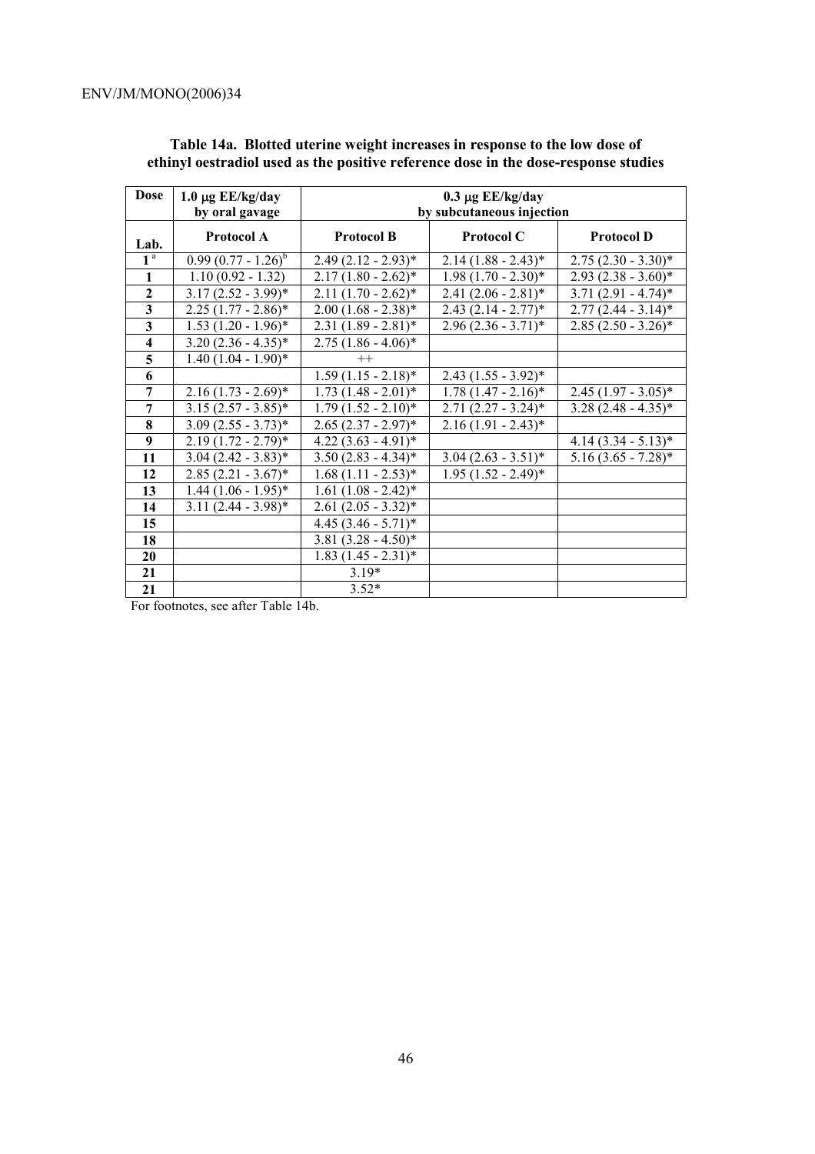| <b>Dose</b>             | $1.0 \mu g$ EE/kg/day<br>by oral gavage | $0.3 \mu g$ EE/kg/day<br>by subcutaneous injection |                          |                         |
|-------------------------|-----------------------------------------|----------------------------------------------------|--------------------------|-------------------------|
| Lab.                    | Protocol A                              | <b>Protocol B</b>                                  | <b>Protocol C</b>        | <b>Protocol D</b>       |
| 1 <sup>a</sup>          | $0.99 (0.77 - 1.26)^{b}$                | $2.49(2.12 - 2.93)*$                               | $2.14(1.88 - 2.43)*$     | $2.75(2.30 - 3.30)*$    |
| $\mathbf{1}$            | $1.10(0.92 - 1.32)$                     | $2.17(1.80 - 2.62)*$                               | $1.98(1.70 - 2.30)*$     | $2.93$ $(2.38 - 3.60)*$ |
| $\mathbf{2}$            | $3.17(2.52 - 3.99)*$                    | $2.11(1.70 - 2.62)^*$                              | $2.41(2.06 - 2.81)*$     | $3.71(2.91 - 4.74)^*$   |
| $\overline{\mathbf{3}}$ | $2.25(1.77 - 2.86)^*$                   | $2.00(1.68 - 2.38)*$                               | $2.43$ $(2.14 - 2.77)*$  | $2.77(2.44 - 3.14)^*$   |
| $\overline{\mathbf{3}}$ | $1.53$ $(1.20 - 1.96)^*$                | $2.31(1.89 - 2.81)^*$                              | $2.96(2.36 - 3.71)^*$    | $2.85(2.50 - 3.26)^*$   |
| $\overline{\mathbf{4}}$ | $3.20(2.36 - 4.35)*$                    | $2.75(1.86 - 4.06)^*$                              |                          |                         |
| 5                       | $1.40(1.04 - 1.90)*$                    | $++$                                               |                          |                         |
| 6                       |                                         | $1.59(1.15 - 2.18)^*$                              | $2.43$ $(1.55 - 3.92)^*$ |                         |
| $\overline{7}$          | $2.16(1.73 - 2.69)*$                    | $1.73$ $(1.48 - 2.01)^*$                           | $1.78(1.47 - 2.16)^*$    | $2.45(1.97 - 3.05)^*$   |
| $\overline{7}$          | $3.15(2.57 - 3.85)^*$                   | $1.79(1.52 - 2.10)*$                               | $2.71(2.27 - 3.24)^*$    | $3.28$ (2.48 - 4.35)*   |
| 8                       | $3.09$ $(2.55 - 3.73)*$                 | $2.65(2.37 - 2.97)^*$                              | $2.16(1.91 - 2.43)*$     |                         |
| 9                       | $2.19(1.72 - 2.79)*$                    | $4.22$ $(3.63 - 4.91)$ *                           |                          | $4.14(3.34 - 5.13)*$    |
| 11                      | $3.04 (2.42 - 3.83)^*$                  | $3.50(2.83 - 4.34)^*$                              | $3.04(2.63 - 3.51)^*$    | $5.16(3.65 - 7.28)$ *   |
| 12                      | $2.85(2.21 - 3.67)^*$                   | $1.68(1.11 - 2.53)^*$                              | $1.95(1.52 - 2.49)^*$    |                         |
| 13                      | $1.44$ (1.06 - 1.95)*                   | $1.61 (1.08 - 2.42)^*$                             |                          |                         |
| 14                      | $3.11(2.44 - 3.98)*$                    | $2.61 (2.05 - 3.32)^*$                             |                          |                         |
| 15                      |                                         | $4.45(3.46 - 5.71)*$                               |                          |                         |
| 18                      |                                         | $3.81 (3.28 - 4.50)^*$                             |                          |                         |
| 20                      |                                         | $1.83 (1.45 - 2.31)^*$                             |                          |                         |
| 21                      |                                         | $3.19*$                                            |                          |                         |
| 21                      |                                         | $3.52*$                                            |                          |                         |
|                         | For footnotes see after Table 14h       |                                                    |                          |                         |

#### **Table 14a. Blotted uterine weight increases in response to the low dose of ethinyl oestradiol used as the positive reference dose in the dose-response studies**

For footnotes, see after Table 14b.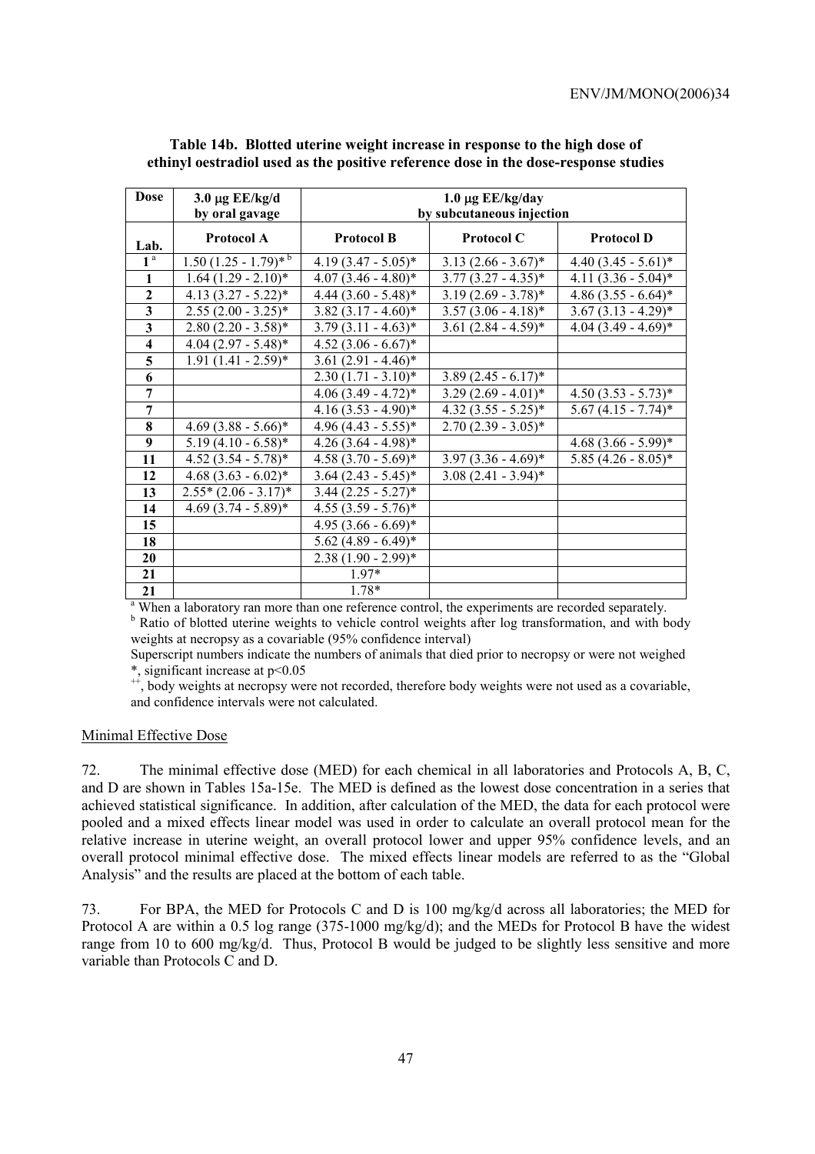| <b>Dose</b>             | $3.0 \mu g$ EE/kg/d<br>by oral gavage                                                           | $1.0 \mu g$ EE/kg/day<br>by subcutaneous injection |                          |                         |  |
|-------------------------|-------------------------------------------------------------------------------------------------|----------------------------------------------------|--------------------------|-------------------------|--|
| Lab.                    | Protocol A                                                                                      | <b>Protocol B</b>                                  | <b>Protocol C</b>        | <b>Protocol D</b>       |  |
| 1 <sup>a</sup>          | $1.50(1.25 - 1.79)*b$                                                                           | $4.19(3.47 - 5.05)^*$                              | $3.13(2.66 - 3.67)*$     | $4.40(3.45 - 5.61)^*$   |  |
| $\mathbf{1}$            | $1.64$ $(1.29 - 2.10)*$                                                                         | $4.07(3.46 - 4.80)*$                               | $3.77(3.27 - 4.35)^*$    | $4.11(3.36 - 5.04)^*$   |  |
| $\mathbf 2$             | $4.13(3.27 - 5.22)*$                                                                            | $4.44$ $(3.60 - 5.48)*$                            | $3.19(2.69 - 3.78)$ *    | $4.86$ (3.55 - 6.64)*   |  |
| $\overline{\mathbf{3}}$ | $2.55(2.00 - 3.25)*$                                                                            | $3.82(3.17 - 4.60)*$                               | $3.57(3.06 - 4.18)*$     | $3.67(3.13 - 4.29)$ *   |  |
| $\overline{\mathbf{3}}$ | $2.80(2.20 - 3.58)*$                                                                            | $3.79(3.11 - 4.63)*$                               | $3.61(2.84 - 4.59)*$     | $4.04$ $(3.49 - 4.69)*$ |  |
| $\overline{\mathbf{4}}$ | $4.04$ (2.97 - 5.48)*                                                                           | $4.52$ (3.06 - 6.67)*                              |                          |                         |  |
| 5                       | $1.91 (1.41 - 2.59)^*$                                                                          | $3.61(2.91 - 4.46)^*$                              |                          |                         |  |
| 6                       |                                                                                                 | $2.30(1.71 - 3.10)*$                               | $3.89(2.45 - 6.17)^*$    |                         |  |
| 7                       |                                                                                                 | $4.06(3.49 - 4.72)*$                               | $3.29(2.69 - 4.01)*$     | $4.50(3.53 - 5.73)*$    |  |
| 7                       |                                                                                                 | $4.16(3.53 - 4.90)$ *                              | $4.32$ $(3.55 - 5.25)^*$ | $5.67(4.15 - 7.74)^*$   |  |
| 8                       | $4.69(3.88 - 5.66)*$                                                                            | $4.96 (4.43 - 5.55)^*$                             | $2.70(2.39 - 3.05)*$     |                         |  |
| 9                       | $5.19(4.10 - 6.58)*$                                                                            | $4.26$ (3.64 - 4.98)*                              |                          | $4.68(3.66 - 5.99)*$    |  |
| 11                      | $4.52$ $(3.54 - 5.78)*$                                                                         | $4.58(3.70 - 5.69)*$                               | $3.97(3.36 - 4.69)*$     | $5.85 (4.26 - 8.05)^*$  |  |
| 12                      | $4.68$ $(3.63 - 6.02)*$                                                                         | $3.64$ (2.43 - 5.45)*                              | $3.08(2.41 - 3.94)$ *    |                         |  |
| 13                      | $2.55*(2.06 - 3.17)*$                                                                           | $3.44$ (2.25 - 5.27)*                              |                          |                         |  |
| 14                      | $4.69(3.74 - 5.89)*$                                                                            | $4.55$ $(3.59 - 5.76)$ *                           |                          |                         |  |
| 15                      |                                                                                                 | $4.95(3.66 - 6.69)*$                               |                          |                         |  |
| 18                      |                                                                                                 | $5.62$ (4.89 - 6.49)*                              |                          |                         |  |
| 20                      |                                                                                                 | $2.38(1.90 - 2.99)*$                               |                          |                         |  |
| 21                      |                                                                                                 | $1.97*$                                            |                          |                         |  |
| 21                      |                                                                                                 | $1.78*$                                            |                          |                         |  |
|                         | When a laboratory ran more than one reference control, the experiments are recorded separately. |                                                    |                          |                         |  |

**Table 14b. Blotted uterine weight increase in response to the high dose of ethinyl oestradiol used as the positive reference dose in the dose-response studies** 

<sup>b</sup> Ratio of blotted uterine weights to vehicle control weights after log transformation, and with body weights at necropsy as a covariable (95% confidence interval)

Superscript numbers indicate the numbers of animals that died prior to necropsy or were not weighed \*, significant increase at  $p<0.05$ <br> $\pm$  body weight

 $+$ , body weights at necropsy were not recorded, therefore body weights were not used as a covariable, and confidence intervals were not calculated.

#### Minimal Effective Dose

72. The minimal effective dose (MED) for each chemical in all laboratories and Protocols A, B, C, and D are shown in Tables 15a-15e. The MED is defined as the lowest dose concentration in a series that achieved statistical significance. In addition, after calculation of the MED, the data for each protocol were pooled and a mixed effects linear model was used in order to calculate an overall protocol mean for the relative increase in uterine weight, an overall protocol lower and upper 95% confidence levels, and an overall protocol minimal effective dose. The mixed effects linear models are referred to as the "Global" Analysis" and the results are placed at the bottom of each table.

73. For BPA, the MED for Protocols C and D is 100 mg/kg/d across all laboratories; the MED for Protocol A are within a 0.5 log range (375-1000 mg/kg/d); and the MEDs for Protocol B have the widest range from 10 to 600 mg/kg/d. Thus, Protocol B would be judged to be slightly less sensitive and more variable than Protocols C and D.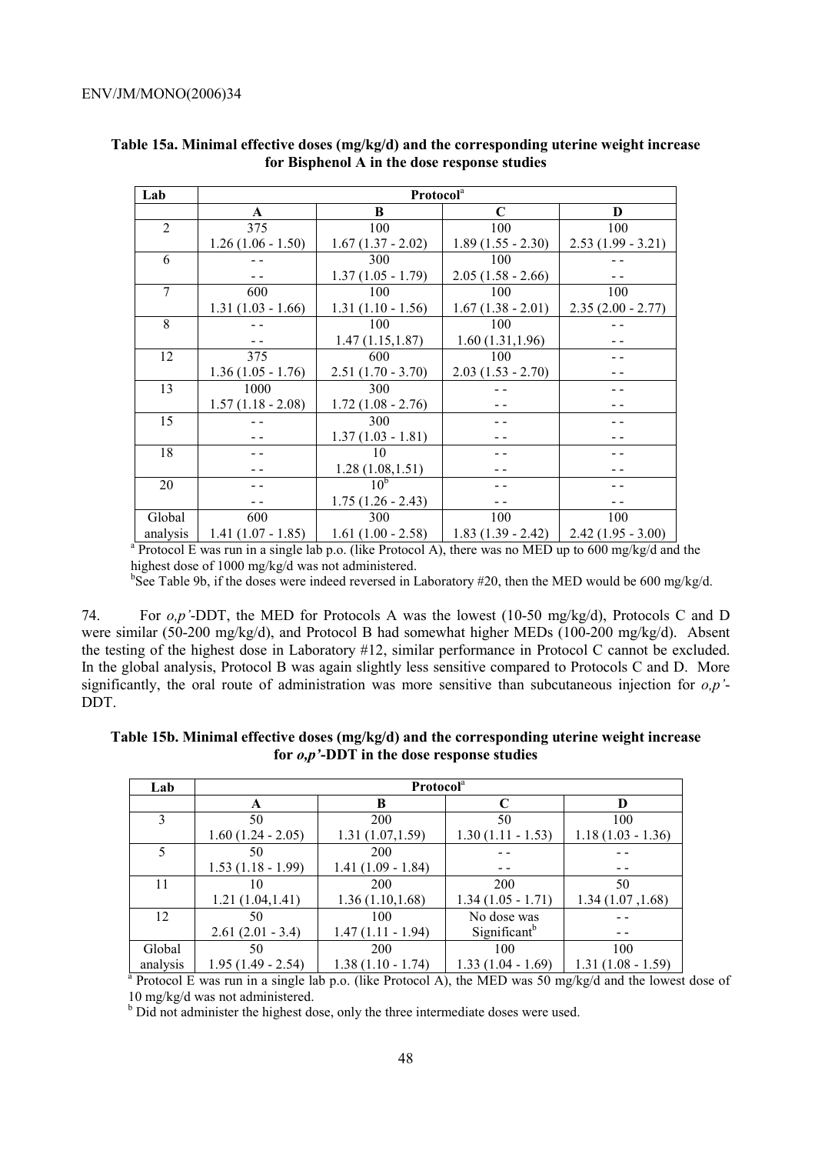| Lab            | <b>Protocol</b> <sup>a</sup> |                     |                     |                     |  |
|----------------|------------------------------|---------------------|---------------------|---------------------|--|
|                | $\mathbf{A}$                 | B                   | $\mathbf C$         | D                   |  |
| $\overline{2}$ | 375                          | 100                 | 100                 | 100                 |  |
|                | $1.26(1.06 - 1.50)$          | $1.67(1.37 - 2.02)$ | $1.89(1.55 - 2.30)$ | $2.53(1.99 - 3.21)$ |  |
| 6              |                              | 300                 | 100                 |                     |  |
|                |                              | $1.37(1.05 - 1.79)$ | $2.05(1.58 - 2.66)$ |                     |  |
| 7              | 600                          | 100                 | 100                 | 100                 |  |
|                | $1.31(1.03 - 1.66)$          | $1.31(1.10 - 1.56)$ | $1.67(1.38 - 2.01)$ | $2.35(2.00 - 2.77)$ |  |
| 8              |                              | 100                 | 100                 |                     |  |
|                |                              | 1.47(1.15, 1.87)    | 1.60(1.31, 1.96)    |                     |  |
| 12             | 375                          | 600                 | 100                 |                     |  |
|                | $1.36(1.05 - 1.76)$          | $2.51(1.70 - 3.70)$ | $2.03(1.53 - 2.70)$ |                     |  |
| 13             | 1000                         | 300                 |                     |                     |  |
|                | $1.57(1.18 - 2.08)$          | $1.72(1.08 - 2.76)$ |                     |                     |  |
| 15             |                              | 300                 |                     |                     |  |
|                |                              | $1.37(1.03 - 1.81)$ |                     |                     |  |
| 18             |                              | 10                  |                     |                     |  |
|                |                              | 1.28(1.08, 1.51)    |                     |                     |  |
| 20             |                              | 10 <sup>b</sup>     |                     |                     |  |
|                |                              | $1.75(1.26 - 2.43)$ |                     |                     |  |
| Global         | 600                          | 300                 | 100                 | 100                 |  |
| analysis       | $1.41(1.07 - 1.85)$          | $1.61(1.00 - 2.58)$ | $1.83(1.39 - 2.42)$ | $2.42(1.95 - 3.00)$ |  |

# **Table 15a. Minimal effective doses (mg/kg/d) and the corresponding uterine weight increase for Bisphenol A in the dose response studies**

| analysis | 1.41 (1.07 - 1.85) | 1.61 (1.00 - 2.58) | 1.83 (1.39 - 2.42) | 2.42 (1.95 - 3.00) | a Protocol E was run in a single lab p.o. (like Protocol A), there was no MED up to 600 mg/kg/d and the highest dose of 1000 mg/kg/d was not administered.

<sup>b</sup>See Table 9b, if the doses were indeed reversed in Laboratory #20, then the MED would be 600 mg/kg/d.

74. For *o,p*<sup>2</sup>-DDT, the MED for Protocols A was the lowest (10-50 mg/kg/d), Protocols C and D were similar (50-200 mg/kg/d), and Protocol B had somewhat higher MEDs (100-200 mg/kg/d). Absent the testing of the highest dose in Laboratory #12, similar performance in Protocol C cannot be excluded. In the global analysis, Protocol B was again slightly less sensitive compared to Protocols C and D. More significantly, the oral route of administration was more sensitive than subcutaneous injection for  $o, p'$ -DDT.

**Table 15b. Minimal effective doses (mg/kg/d) and the corresponding uterine weight increase**  for *o,p*'-DDT in the dose response studies

| Lab      | Protocol <sup>a</sup> |                     |                          |                     |  |
|----------|-----------------------|---------------------|--------------------------|---------------------|--|
|          | A                     | B                   | C                        | D                   |  |
| 3        | 50                    | 200                 | 50                       | 100                 |  |
|          | $1.60(1.24 - 2.05)$   | 1.31(1.07, 1.59)    | $1.30(1.11 - 1.53)$      | $1.18(1.03 - 1.36)$ |  |
| 5        | 50                    | 200                 |                          |                     |  |
|          | $1.53(1.18 - 1.99)$   | $1.41(1.09 - 1.84)$ |                          |                     |  |
| 11       | 10                    | 200                 | 200                      | 50                  |  |
|          | 1.21(1.04, 1.41)      | 1.36(1.10, 1.68)    | $1.34(1.05 - 1.71)$      | 1.34(1.07, 1.68)    |  |
| 12       | 50                    | 100                 | No dose was              |                     |  |
|          | $2.61(2.01 - 3.4)$    | $1.47(1.11 - 1.94)$ | Significant <sup>b</sup> |                     |  |
| Global   | 50                    | 200                 | 100                      | 100                 |  |
| analysis | 1.95 (1.49 - 2.54)    | 1.38 (1.10 - 1.74)  | 1.33 (1.04 - 1.69)       | $1.31(1.08 - 1.59)$ |  |

| analysis | 1.95 (1.49 - 2.54) | 1.38 (1.10 - 1.74) | 1.33 (1.04 - 1.69) | 1.31 (1.08 - 1.59) | a Protocol E was run in a single lab p.o. (like Protocol A), the MED was 50 mg/kg/d and the lowest dose of 10 mg/kg/d was not administered.

<sup>b</sup> Did not administer the highest dose, only the three intermediate doses were used.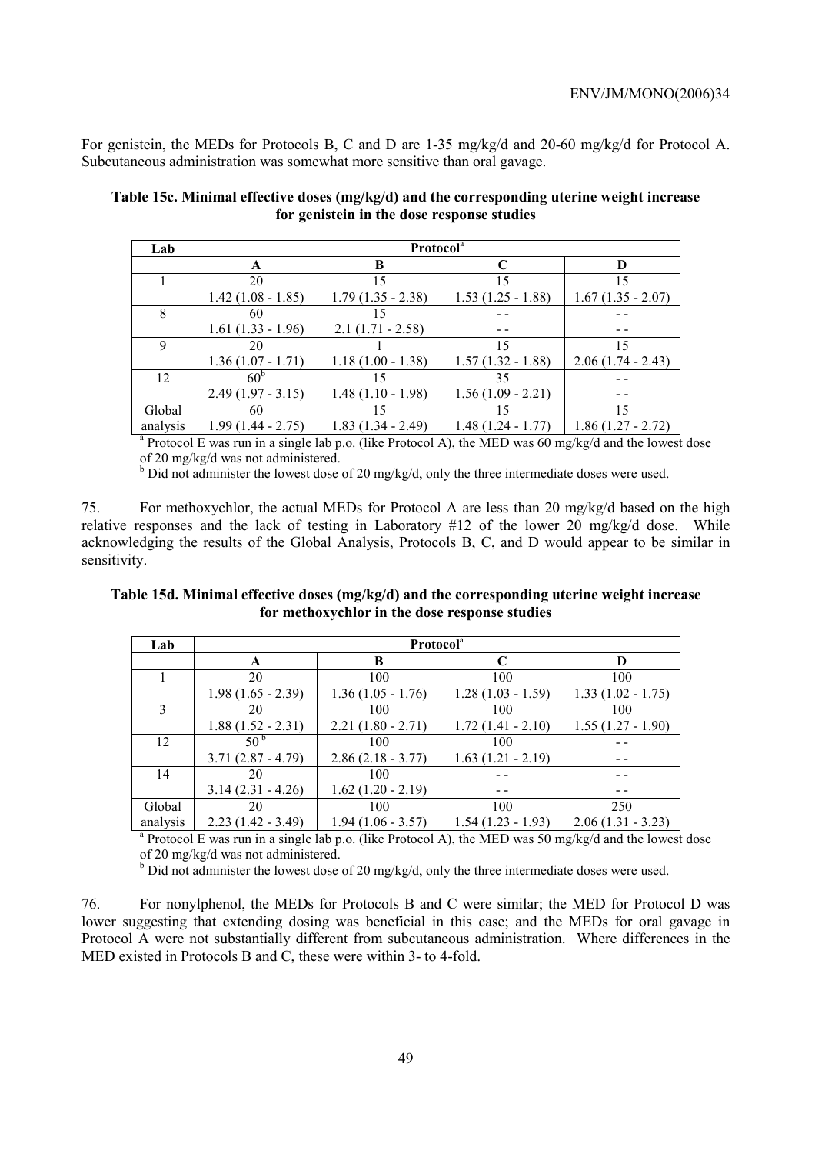For genistein, the MEDs for Protocols B, C and D are 1-35 mg/kg/d and 20-60 mg/kg/d for Protocol A. Subcutaneous administration was somewhat more sensitive than oral gavage.

| Table 15c. Minimal effective doses $(mg/kg/d)$ and the corresponding uterine weight increase |
|----------------------------------------------------------------------------------------------|
| for genistein in the dose response studies                                                   |

| Lab      | Protocol <sup>a</sup> |                     |                     |                     |  |
|----------|-----------------------|---------------------|---------------------|---------------------|--|
|          | A                     | B                   | $\mathsf{C}$        | D                   |  |
|          | 20                    | 15                  | 15                  | 15                  |  |
|          | $1.42(1.08 - 1.85)$   | $1.79(1.35 - 2.38)$ | $1.53(1.25 - 1.88)$ | $1.67(1.35 - 2.07)$ |  |
| 8        | 60                    | 15                  |                     |                     |  |
|          | $1.61(1.33 - 1.96)$   | $2.1(1.71 - 2.58)$  |                     |                     |  |
| 9        | 20                    |                     | 15                  | 15                  |  |
|          | $1.36(1.07 - 1.71)$   | $1.18(1.00 - 1.38)$ | $1.57(1.32 - 1.88)$ | $2.06(1.74 - 2.43)$ |  |
| 12       | $60^{\circ}$          | 15                  | 35                  |                     |  |
|          | $2.49(1.97 - 3.15)$   | $1.48(1.10 - 1.98)$ | $1.56(1.09 - 2.21)$ |                     |  |
| Global   | 60                    | 15                  | 15                  | 15                  |  |
| analysis | $1.99(1.44 - 2.75)$   | $1.83(1.34 - 2.49)$ | $1.48(1.24 - 1.77)$ | $1.86(1.27 - 2.72)$ |  |

<sup>a</sup> Protocol E was run in a single lab p.o. (like Protocol A), the MED was 60 mg/kg/d and the lowest dose of 20 mg/kg/d was not administered.

<sup>b</sup> Did not administer the lowest dose of 20 mg/kg/d, only the three intermediate doses were used.

75. For methoxychlor, the actual MEDs for Protocol A are less than 20 mg/kg/d based on the high relative responses and the lack of testing in Laboratory #12 of the lower 20 mg/kg/d dose. While acknowledging the results of the Global Analysis, Protocols B, C, and D would appear to be similar in sensitivity.

**Table 15d. Minimal effective doses (mg/kg/d) and the corresponding uterine weight increase for methoxychlor in the dose response studies** 

| Lab      | Protocol <sup>a</sup> |                     |                             |                     |  |
|----------|-----------------------|---------------------|-----------------------------|---------------------|--|
|          | A                     | B                   | $\mathcal{C}_{\mathcal{C}}$ | D                   |  |
|          | 20                    | 100                 | 100                         | 100                 |  |
|          | $1.98(1.65 - 2.39)$   | $1.36(1.05 - 1.76)$ | $1.28(1.03 - 1.59)$         | $1.33(1.02 - 1.75)$ |  |
|          | 20                    | 100                 | 100                         | 100                 |  |
|          | $1.88(1.52 - 2.31)$   | $2.21(1.80 - 2.71)$ | $1.72(1.41 - 2.10)$         | $1.55(1.27 - 1.90)$ |  |
| 12       | 50 <sup>b</sup>       | 100                 | 100                         |                     |  |
|          | $3.71(2.87 - 4.79)$   | $2.86(2.18 - 3.77)$ | $1.63(1.21 - 2.19)$         |                     |  |
| 14       | 20                    | 100                 |                             |                     |  |
|          | $3.14(2.31 - 4.26)$   | $1.62(1.20 - 2.19)$ |                             |                     |  |
| Global   | 20                    | 100                 | 100                         | 250                 |  |
| analysis | $2.23(1.42 - 3.49)$   | $1.94(1.06 - 3.57)$ | $1.54(1.23 - 1.93)$         | $2.06(1.31 - 3.23)$ |  |

<sup>a</sup> Protocol E was run in a single lab p.o. (like Protocol A), the MED was 50 mg/kg/d and the lowest dose of 20 mg/kg/d was not administered.<br><sup>b</sup> Did not administer the lowest dose of 20 mg/kg/d, only the three intermediate doses were used.

76. For nonylphenol, the MEDs for Protocols B and C were similar; the MED for Protocol D was lower suggesting that extending dosing was beneficial in this case; and the MEDs for oral gavage in Protocol A were not substantially different from subcutaneous administration. Where differences in the MED existed in Protocols B and C, these were within 3- to 4-fold.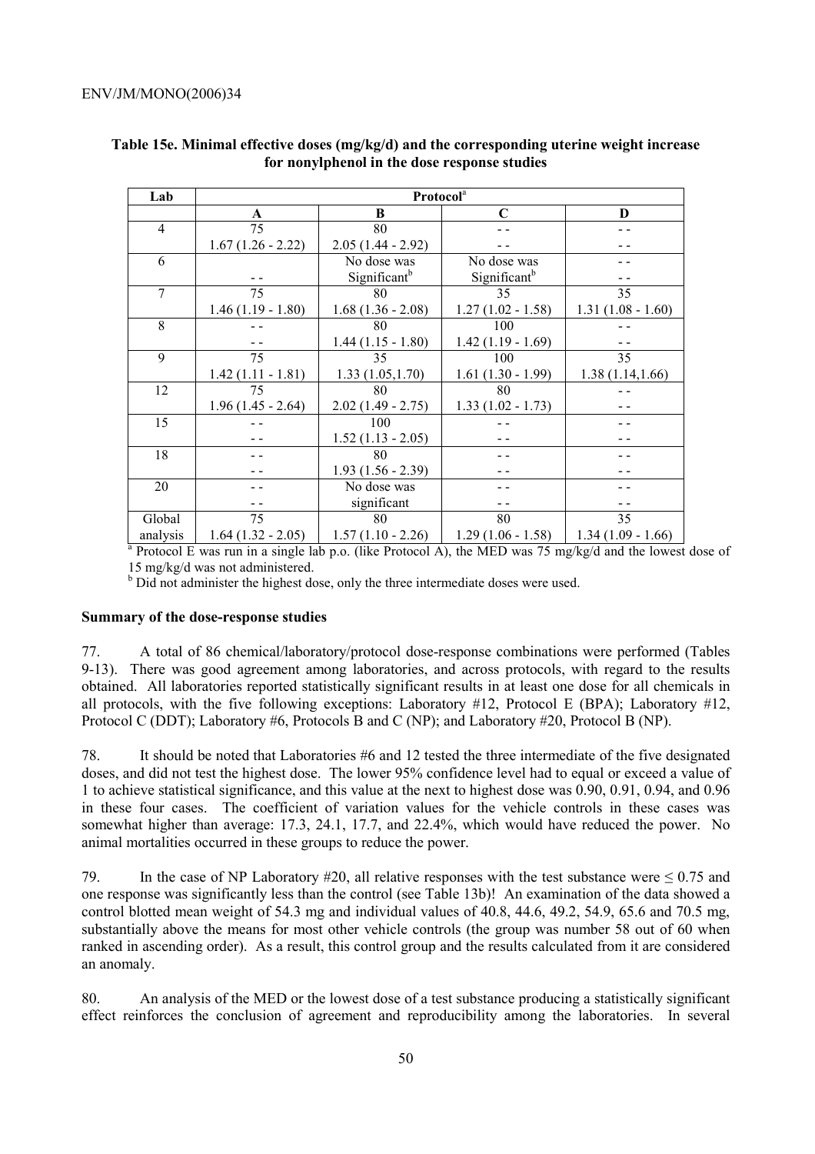| Lab            | Protocol <sup>a</sup> |                          |                          |                     |  |
|----------------|-----------------------|--------------------------|--------------------------|---------------------|--|
|                | A                     | B                        | $\mathbf C$              | D                   |  |
| $\overline{4}$ | 75                    | 80                       |                          |                     |  |
|                | $1.67(1.26 - 2.22)$   | $2.05(1.44 - 2.92)$      |                          |                     |  |
| 6              |                       | No dose was              | No dose was              |                     |  |
|                |                       | Significant <sup>b</sup> | Significant <sup>b</sup> |                     |  |
| 7              | 75                    | 80                       | 35                       | 35                  |  |
|                | $1.46(1.19 - 1.80)$   | $1.68(1.36 - 2.08)$      | $1.27(1.02 - 1.58)$      | $1.31(1.08 - 1.60)$ |  |
| 8              |                       | 80                       | 100                      |                     |  |
|                |                       | $1.44(1.15 - 1.80)$      | $1.42(1.19 - 1.69)$      |                     |  |
| 9              | 75                    | 35                       | 100                      | 35                  |  |
|                | $1.42(1.11 - 1.81)$   | 1.33(1.05, 1.70)         | $1.61(1.30 - 1.99)$      | 1.38(1.14, 1.66)    |  |
| 12             | 75                    | 80                       | 80                       |                     |  |
|                | $1.96(1.45 - 2.64)$   | $2.02(1.49 - 2.75)$      | $1.33(1.02 - 1.73)$      |                     |  |
| 15             |                       | 100                      |                          |                     |  |
|                |                       | $1.52(1.13 - 2.05)$      |                          |                     |  |
| 18             |                       | 80                       |                          |                     |  |
|                |                       | $1.93(1.56 - 2.39)$      |                          |                     |  |
| 20             |                       | No dose was              |                          |                     |  |
|                |                       | significant              |                          |                     |  |
| Global         | 75                    | 80                       | 80                       | 35                  |  |
| analysis       | $1.64(1.32 - 2.05)$   | $1.57(1.10 - 2.26)$      | $.29(1.06 - 1.58)$       | $1.34(1.09 - 1.66)$ |  |

# **Table 15e. Minimal effective doses (mg/kg/d) and the corresponding uterine weight increase for nonylphenol in the dose response studies**

analysis 1.64 (1.32 - 2.05) 1.57 (1.10 - 2.26) 1.29 (1.06 - 1.58) 1.34 (1.09 - 1.66)<br><sup>a</sup> Protocol E was run in a single lab p.o. (like Protocol A), the MED was 75 mg/kg/d and the lowest dose of 15 mg/kg/d was not administered.

<sup>b</sup> Did not administer the highest dose, only the three intermediate doses were used.

#### **Summary of the dose-response studies**

77. A total of 86 chemical/laboratory/protocol dose-response combinations were performed (Tables 9-13). There was good agreement among laboratories, and across protocols, with regard to the results obtained. All laboratories reported statistically significant results in at least one dose for all chemicals in all protocols, with the five following exceptions: Laboratory  $\#12$ . Protocol E (BPA): Laboratory  $\#12$ . Protocol C (DDT); Laboratory #6, Protocols B and C (NP); and Laboratory #20, Protocol B (NP).

78. It should be noted that Laboratories #6 and 12 tested the three intermediate of the five designated doses, and did not test the highest dose. The lower 95% confidence level had to equal or exceed a value of 1 to achieve statistical significance, and this value at the next to highest dose was 0.90, 0.91, 0.94, and 0.96 in these four cases. The coefficient of variation values for the vehicle controls in these cases was somewhat higher than average: 17.3, 24.1, 17.7, and 22.4%, which would have reduced the power. No animal mortalities occurred in these groups to reduce the power.

79. In the case of NP Laboratory #20, all relative responses with the test substance were  $\leq 0.75$  and one response was significantly less than the control (see Table 13b)! An examination of the data showed a control blotted mean weight of 54.3 mg and individual values of 40.8, 44.6, 49.2, 54.9, 65.6 and 70.5 mg, substantially above the means for most other vehicle controls (the group was number 58 out of 60 when ranked in ascending order). As a result, this control group and the results calculated from it are considered an anomaly.

80. An analysis of the MED or the lowest dose of a test substance producing a statistically significant effect reinforces the conclusion of agreement and reproducibility among the laboratories. In several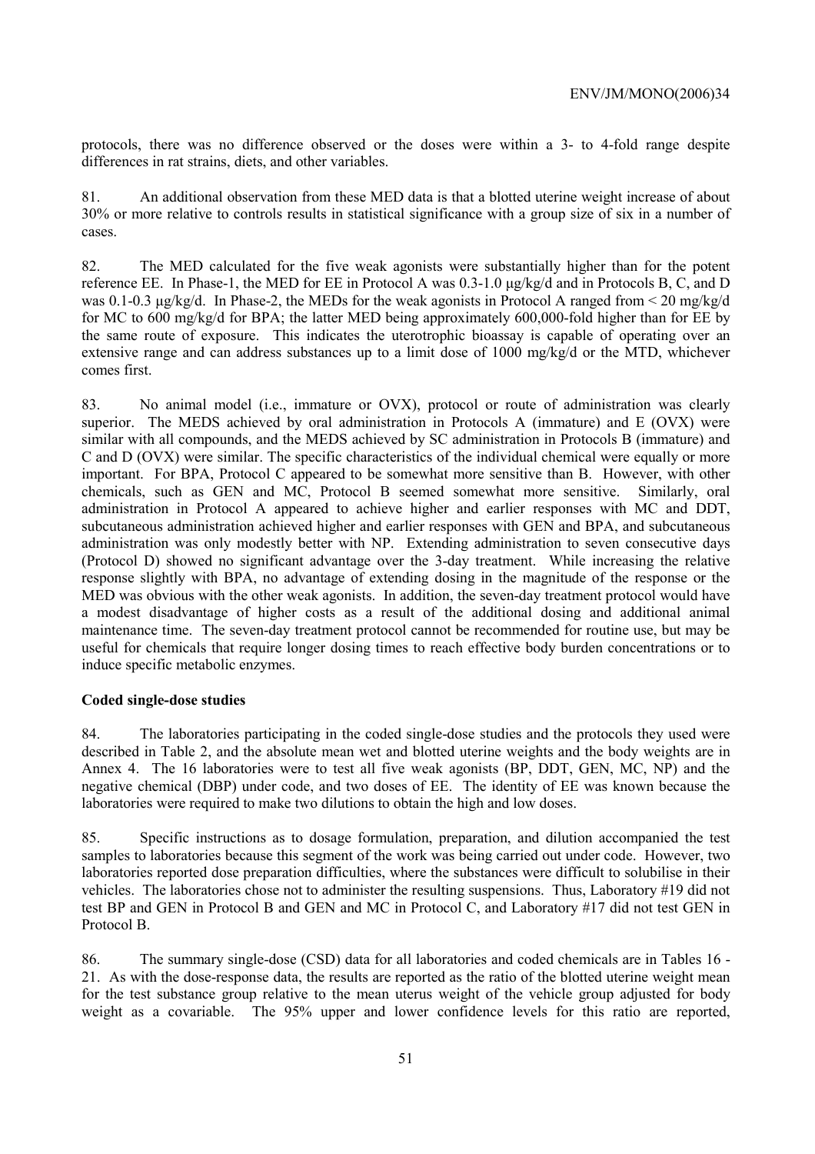protocols, there was no difference observed or the doses were within a 3- to 4-fold range despite differences in rat strains, diets, and other variables.

81. An additional observation from these MED data is that a blotted uterine weight increase of about 30% or more relative to controls results in statistical significance with a group size of six in a number of cases.

82. The MED calculated for the five weak agonists were substantially higher than for the potent reference EE. In Phase-1, the MED for EE in Protocol A was 0.3-1.0 µg/kg/d and in Protocols B, C, and D was 0.1-0.3  $\mu$ g/kg/d. In Phase-2, the MEDs for the weak agonists in Protocol A ranged from < 20 mg/kg/d for MC to 600 mg/kg/d for BPA; the latter MED being approximately 600,000-fold higher than for EE by the same route of exposure. This indicates the uterotrophic bioassay is capable of operating over an extensive range and can address substances up to a limit dose of 1000 mg/kg/d or the MTD, whichever comes first.

83. No animal model (i.e., immature or OVX), protocol or route of administration was clearly superior. The MEDS achieved by oral administration in Protocols A (immature) and E (OVX) were similar with all compounds, and the MEDS achieved by SC administration in Protocols B (immature) and C and D (OVX) were similar. The specific characteristics of the individual chemical were equally or more important. For BPA, Protocol C appeared to be somewhat more sensitive than B. However, with other chemicals, such as GEN and MC, Protocol B seemed somewhat more sensitive. Similarly, oral administration in Protocol A appeared to achieve higher and earlier responses with MC and DDT, subcutaneous administration achieved higher and earlier responses with GEN and BPA, and subcutaneous administration was only modestly better with NP. Extending administration to seven consecutive days (Protocol D) showed no significant advantage over the 3-day treatment. While increasing the relative response slightly with BPA, no advantage of extending dosing in the magnitude of the response or the MED was obvious with the other weak agonists. In addition, the seven-day treatment protocol would have a modest disadvantage of higher costs as a result of the additional dosing and additional animal maintenance time. The seven-day treatment protocol cannot be recommended for routine use, but may be useful for chemicals that require longer dosing times to reach effective body burden concentrations or to induce specific metabolic enzymes.

# **Coded single-dose studies**

84. The laboratories participating in the coded single-dose studies and the protocols they used were described in Table 2, and the absolute mean wet and blotted uterine weights and the body weights are in Annex 4. The 16 laboratories were to test all five weak agonists (BP, DDT, GEN, MC, NP) and the negative chemical (DBP) under code, and two doses of EE. The identity of EE was known because the laboratories were required to make two dilutions to obtain the high and low doses.

85. Specific instructions as to dosage formulation, preparation, and dilution accompanied the test samples to laboratories because this segment of the work was being carried out under code. However, two laboratories reported dose preparation difficulties, where the substances were difficult to solubilise in their vehicles. The laboratories chose not to administer the resulting suspensions. Thus, Laboratory #19 did not test BP and GEN in Protocol B and GEN and MC in Protocol C, and Laboratory #17 did not test GEN in Protocol B.

86. The summary single-dose (CSD) data for all laboratories and coded chemicals are in Tables 16 - 21. As with the dose-response data, the results are reported as the ratio of the blotted uterine weight mean for the test substance group relative to the mean uterus weight of the vehicle group adjusted for body weight as a covariable. The 95% upper and lower confidence levels for this ratio are reported,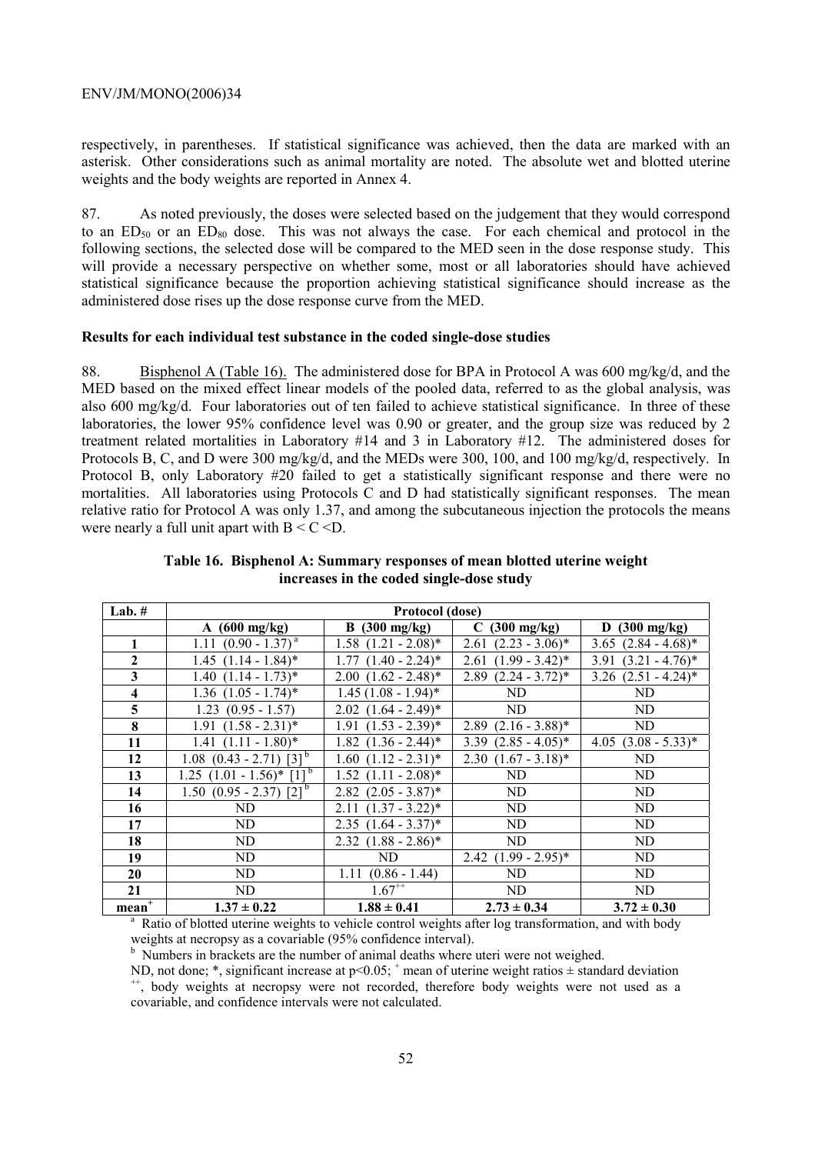respectively, in parentheses. If statistical significance was achieved, then the data are marked with an asterisk. Other considerations such as animal mortality are noted. The absolute wet and blotted uterine weights and the body weights are reported in Annex 4.

87. As noted previously, the doses were selected based on the judgement that they would correspond to an  $ED_{50}$  or an  $ED_{80}$  dose. This was not always the case. For each chemical and protocol in the following sections, the selected dose will be compared to the MED seen in the dose response study. This will provide a necessary perspective on whether some, most or all laboratories should have achieved statistical significance because the proportion achieving statistical significance should increase as the administered dose rises up the dose response curve from the MED.

### **Results for each individual test substance in the coded single-dose studies**

88. Bisphenol A (Table 16). The administered dose for BPA in Protocol A was 600 mg/kg/d, and the MED based on the mixed effect linear models of the pooled data, referred to as the global analysis, was also 600 mg/kg/d. Four laboratories out of ten failed to achieve statistical significance. In three of these laboratories, the lower 95% confidence level was 0.90 or greater, and the group size was reduced by 2 treatment related mortalities in Laboratory #14 and 3 in Laboratory #12. The administered doses for Protocols B, C, and D were 300 mg/kg/d, and the MEDs were 300, 100, and 100 mg/kg/d, respectively. In Protocol B, only Laboratory #20 failed to get a statistically significant response and there were no mortalities. All laboratories using Protocols C and D had statistically significant responses. The mean relative ratio for Protocol A was only 1.37, and among the subcutaneous injection the protocols the means were nearly a full unit apart with  $B \leq C \leq D$ .

| Lab. $#$                | Protocol (dose)                         |                           |                           |                           |  |
|-------------------------|-----------------------------------------|---------------------------|---------------------------|---------------------------|--|
|                         | $A(600 \text{ mg/kg})$                  | B $(300 \text{ mg/kg})$   | $C(300 \text{ mg/kg})$    | D $(300 \text{ mg/kg})$   |  |
| 1                       | 1.11 $(0.90 - 1.37)^a$                  | $1.58$ $(1.21 - 2.08)^*$  | 2.61<br>$(2.23 - 3.06)^*$ | $3.65$ $(2.84 - 4.68)*$   |  |
| $\mathbf{2}$            | $1.45$ $(1.14 - 1.84)^*$                | $1.77$ $(1.40 - 2.24)^*$  | $(1.99 - 3.42)^*$<br>2.61 | $(3.21 - 4.76)^*$<br>3.91 |  |
| 3                       | $1.40$ $(1.14 - 1.73)*$                 | $2.00$ $(1.62 - 2.48)*$   | $(2.24 - 3.72)^*$<br>2.89 | $3.26$ $(2.51 - 4.24)^*$  |  |
| $\overline{\mathbf{4}}$ | $1.36$ $(1.05 - 1.74)^*$                | $1.45(1.08 - 1.94)$ *     | ND                        | ND                        |  |
| 5                       | $1.23$ $(0.95 - 1.57)$                  | $2.02$ $(1.64 - 2.49)^*$  | ND                        | ND                        |  |
| 8                       | $1.91 (1.58 - 2.31)^*$                  | $1.91 (1.53 - 2.39)^*$    | 2.89<br>$(2.16 - 3.88)^*$ | ND                        |  |
| 11                      | $1.41(1.11 - 1.80)^*$                   | $1.82$ $(1.36 - 2.44)^*$  | 3.39<br>$(2.85 - 4.05)^*$ | 4.05<br>$(3.08 - 5.33)^*$ |  |
| 12                      | 1.08 $(0.43 - 2.71)$ [3] <sup>b</sup>   | $1.60$ $(1.12 - 2.31)^*$  | $(1.67 - 3.18)^*$<br>2.30 | ND                        |  |
| 13                      | 1.25 $(1.01 - 1.56)^*$ [1] <sup>b</sup> | $1.52$ $(1.11 - 2.08)^*$  | ND                        | ND                        |  |
| 14                      | 1.50 $(0.95 - 2.37)$ [2] <sup>b</sup>   | $2.82$ $(2.05 - 3.87)^*$  | ND                        | ND                        |  |
| 16                      | ND                                      | $(1.37 - 3.22)^*$<br>2.11 | ND                        | ND                        |  |
| 17                      | ND                                      | $2.35$ $(1.64 - 3.37)^*$  | ND                        | ND                        |  |
| 18                      | ND                                      | $(1.88 - 2.86)^*$<br>2.32 | ND                        | ND                        |  |
| 19                      | ND                                      | ND                        | $(1.99 - 2.95)^*$<br>2.42 | ND                        |  |
| 20                      | ND                                      | $(0.86 - 1.44)$<br>1.11   | ND                        | ND                        |  |
| 21                      | ND.                                     | $1.67^{++}$               | ND.                       | ND                        |  |
| $+$<br>mean             | $1.37 \pm 0.22$                         | $1.88 \pm 0.41$           | $2.73 \pm 0.34$           | $3.72 \pm 0.30$           |  |

**Table 16. Bisphenol A: Summary responses of mean blotted uterine weight increases in the coded single-dose study** 

<sup>a</sup> Ratio of blotted uterine weights to vehicle control weights after log transformation, and with body weights at necropsy as a covariable (95% confidence interval).

<sup>b</sup> Numbers in brackets are the number of animal deaths where uteri were not weighed.

ND, not done; \*, significant increase at  $p<0.05$ ; \* mean of uterine weight ratios  $\pm$  standard deviation <sup>++</sup>, body weights at necropsy were not recorded, therefore body weights were not used as a covariable, and confidence intervals were not calculated.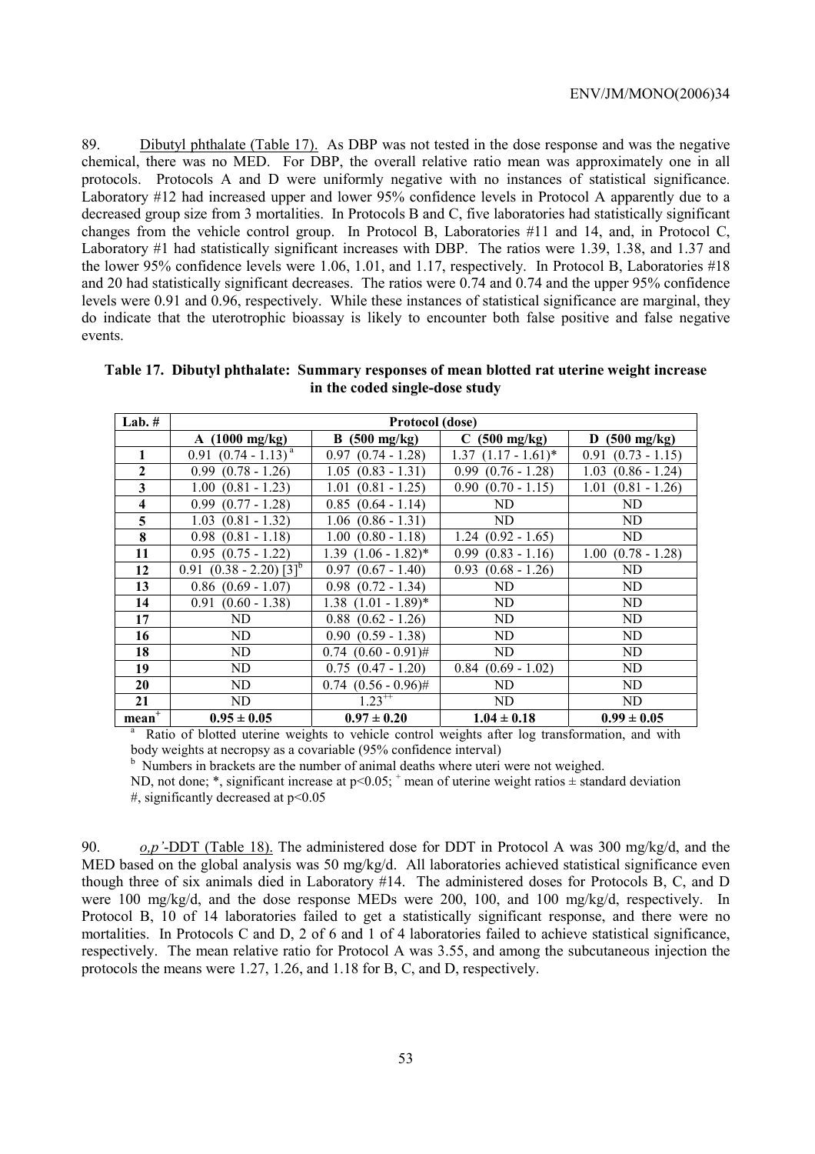89. Dibutyl phthalate (Table 17). As DBP was not tested in the dose response and was the negative chemical, there was no MED. For DBP, the overall relative ratio mean was approximately one in all protocols. Protocols A and D were uniformly negative with no instances of statistical significance. Laboratory #12 had increased upper and lower 95% confidence levels in Protocol A apparently due to a decreased group size from 3 mortalities. In Protocols B and C, five laboratories had statistically significant changes from the vehicle control group. In Protocol B, Laboratories #11 and 14, and, in Protocol C, Laboratory #1 had statistically significant increases with DBP. The ratios were 1.39, 1.38, and 1.37 and the lower 95% confidence levels were 1.06, 1.01, and 1.17, respectively. In Protocol B, Laboratories #18 and 20 had statistically significant decreases. The ratios were 0.74 and 0.74 and the upper 95% confidence levels were 0.91 and 0.96, respectively. While these instances of statistical significance are marginal, they do indicate that the uterotrophic bioassay is likely to encounter both false positive and false negative events.

| Lab. $#$                | Protocol (dose)                       |                          |                           |                         |  |
|-------------------------|---------------------------------------|--------------------------|---------------------------|-------------------------|--|
|                         | A(1000 mg/kg)                         | B $(500 \text{ mg/kg})$  | $C(500 \text{ mg/kg})$    | $D(500 \text{ mg/kg})$  |  |
| 1                       | $0.91$ $(0.74 - 1.13)^{a}$            | $0.97$ $(0.74 - 1.28)$   | $(1.17 - 1.61)^*$<br>1.37 | $(0.73 - 1.15)$<br>0.91 |  |
| $\mathbf{2}$            | $0.99$ $(0.78 - 1.26)$                | $1.05(0.83 - 1.31)$      | $(0.76 - 1.28)$<br>0.99   | $(0.86 - 1.24)$<br>1.03 |  |
| 3                       | $1.00$ $(0.81 - 1.23)$                | $1.01 (0.81 - 1.25)$     | $0.90 (0.70 - 1.15)$      | $(0.81 - 1.26)$<br>1.01 |  |
| $\overline{\mathbf{4}}$ | $(0.77 - 1.28)$<br>0.99               | $0.85$ $(0.64 - 1.14)$   | ND                        | ND                      |  |
| 5                       | $1.03$ $(0.81 - 1.32)$                | $1.06$ $(0.86 - 1.31)$   | ND                        | ND                      |  |
| 8                       | $0.98$ $(0.81 - 1.18)$                | $1.00$ $(0.80 - 1.18)$   | $(0.92 - 1.65)$<br>1.24   | ND                      |  |
| 11                      | $0.95$ $(0.75 - 1.22)$                | $1.39$ $(1.06 - 1.82)^*$ | 0.99<br>$(0.83 - 1.16)$   | $(0.78 - 1.28)$<br>1.00 |  |
| 12                      | 0.91 $(0.38 - 2.20)$ [3] <sup>b</sup> | $0.97$ $(0.67 - 1.40)$   | $(0.68 - 1.26)$<br>0.93   | ND                      |  |
| 13                      | $0.86$ $(0.69 - 1.07)$                | $0.98$ $(0.72 - 1.34)$   | ND                        | ND                      |  |
| 14                      | $0.91$ $(0.60 - 1.38)$                | $1.38$ $(1.01 - 1.89)^*$ | ND                        | ND                      |  |
| 17                      | ND                                    | $0.88$ $(0.62 - 1.26)$   | ND                        | ND                      |  |
| 16                      | ND                                    | $0.90 (0.59 - 1.38)$     | ND                        | ND                      |  |
| 18                      | ND                                    | $0.74$ $(0.60 - 0.91)$ # | ND                        | ND                      |  |
| 19                      | ND                                    | $0.75$ $(0.47 - 1.20)$   | $(0.69 - 1.02)$<br>0.84   | ND                      |  |
| 20                      | ND                                    | $0.74$ $(0.56 - 0.96)$ # | ND                        | ND                      |  |
| 21                      | ND                                    | $1.23^{++}$              | ND                        | ND                      |  |
| $mean+$                 | $0.95 \pm 0.05$                       | $0.97 \pm 0.20$          | $1.04 \pm 0.18$           | $0.99 \pm 0.05$         |  |

**Table 17. Dibutyl phthalate: Summary responses of mean blotted rat uterine weight increase in the coded single-dose study** 

a Ratio of blotted uterine weights to vehicle control weights after log transformation, and with body weights at necropsy as a covariable (95% confidence interval)

<sup>b</sup> Numbers in brackets are the number of animal deaths where uteri were not weighed.

ND, not done; \*, significant increase at  $p<0.05$ ;  $^+$  mean of uterine weight ratios  $\pm$  standard deviation  $\#$ , significantly decreased at  $p<0.05$ 

90. *o,p*<sup>2</sup>-DDT (Table 18). The administered dose for DDT in Protocol A was 300 mg/kg/d, and the MED based on the global analysis was 50 mg/kg/d. All laboratories achieved statistical significance even though three of six animals died in Laboratory #14. The administered doses for Protocols B, C, and D were 100 mg/kg/d, and the dose response MEDs were 200, 100, and 100 mg/kg/d, respectively. In Protocol B, 10 of 14 laboratories failed to get a statistically significant response, and there were no mortalities. In Protocols C and D, 2 of 6 and 1 of 4 laboratories failed to achieve statistical significance, respectively. The mean relative ratio for Protocol A was 3.55, and among the subcutaneous injection the protocols the means were 1.27, 1.26, and 1.18 for B, C, and D, respectively.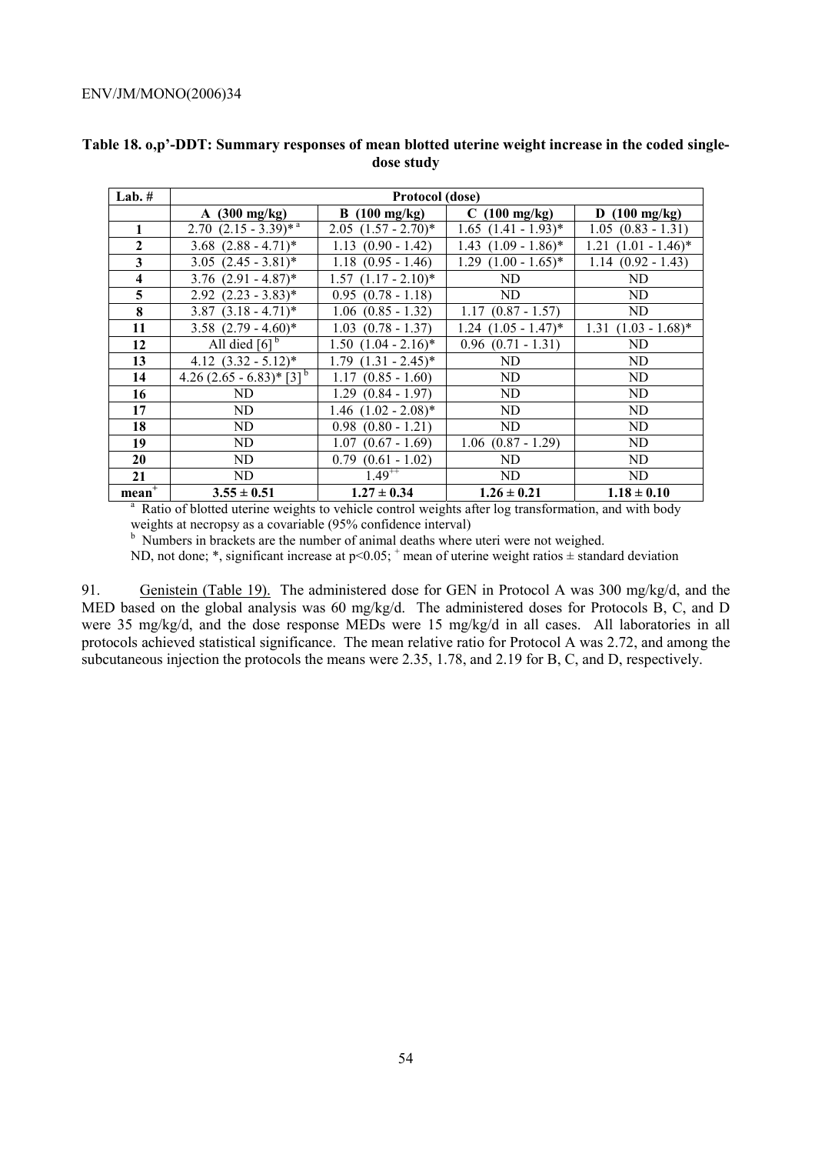| Lab. $#$     | Protocol (dose)                      |                          |                           |                           |  |
|--------------|--------------------------------------|--------------------------|---------------------------|---------------------------|--|
|              | A $(300 \text{ mg/kg})$              | B $(100 \text{ mg/kg})$  | $C(100 \text{ mg/kg})$    | D $(100 \text{ mg/kg})$   |  |
| 1            | $2.70$ $(2.15 - 3.39)*$ <sup>a</sup> | $2.05$ $(1.57 - 2.70)^*$ | $(1.41 - 1.93)^*$<br>1.65 | $(0.83 - 1.31)$<br>1.05   |  |
| $\mathbf{2}$ | $3.68$ $(2.88 - 4.71)^*$             | $1.13(0.90 - 1.42)$      | $(1.09 - 1.86)^*$<br>1.43 | $(1.01 - 1.46)^*$<br>1.21 |  |
| 3            | $3.05$ $(2.45 - 3.81)^*$             | $1.18$ $(0.95 - 1.46)$   | $1.29$ $(1.00 - 1.65)^*$  | $(0.92 - 1.43)$<br>1.14   |  |
| 4            | $3.76$ $(2.91 - 4.87)^*$             | $1.57$ $(1.17 - 2.10)^*$ | ND                        | ND                        |  |
| 5            | $2.92$ $(2.23 - 3.83)^*$             | $0.95$ $(0.78 - 1.18)$   | ND                        | ND                        |  |
| 8            | $3.87$ $(3.18 - 4.71)^*$             | $1.06$ $(0.85 - 1.32)$   | $(0.87 - 1.57)$<br>1.17   | ND                        |  |
| 11           | $3.58$ $(2.79 - 4.60)$ *             | $1.03$ $(0.78 - 1.37)$   | $(1.05 - 1.47)^*$<br>1.24 | 1.31<br>$(1.03 - 1.68)^*$ |  |
| 12           | All died $\lceil 6 \rceil^b$         | $1.50$ $(1.04 - 2.16)^*$ | $(0.71 - 1.31)$<br>0.96   | ND                        |  |
| 13           | $4.12$ $(3.32 - 5.12)^*$             | $1.79$ $(1.31 - 2.45)^*$ | ND                        | ND                        |  |
| 14           | $4.26(2.65 - 6.83)*[3]$              | $1.17(0.85 - 1.60)$      | ND                        | ND                        |  |
| 16           | ND                                   | $1.29$ $(0.84 - 1.97)$   | ND                        | ND                        |  |
| 17           | ND                                   | $1.46$ $(1.02 - 2.08)*$  | ND                        | ND                        |  |
| 18           | ND                                   | $0.98$ $(0.80 - 1.21)$   | ND                        | ND                        |  |
| 19           | ND                                   | $1.07(0.67 - 1.69)$      | $(0.87 - 1.29)$<br>1.06   | ND                        |  |
| 20           | ND                                   | $0.79$ $(0.61 - 1.02)$   | ND                        | ND                        |  |
| 21           | ND                                   | $1.49^{++}$              | ND                        | ND.                       |  |
| mean         | $3.55 \pm 0.51$                      | $1.27 \pm 0.34$          | $1.26 \pm 0.21$           | $1.18 \pm 0.10$           |  |

# Table 18. o,p<sup>2</sup>-DDT: Summary responses of mean blotted uterine weight increase in the coded single**dose study**

<sup>a</sup> Ratio of blotted uterine weights to vehicle control weights after log transformation, and with body weights at necropsy as a covariable (95% confidence interval)

<sup>b</sup> Numbers in brackets are the number of animal deaths where uteri were not weighed.

ND, not done; \*, significant increase at  $p<0.05$ ;  $^+$  mean of uterine weight ratios  $\pm$  standard deviation

91. Genistein (Table 19). The administered dose for GEN in Protocol A was 300 mg/kg/d, and the MED based on the global analysis was 60 mg/kg/d. The administered doses for Protocols B, C, and D were 35 mg/kg/d, and the dose response MEDs were 15 mg/kg/d in all cases. All laboratories in all protocols achieved statistical significance. The mean relative ratio for Protocol A was 2.72, and among the subcutaneous injection the protocols the means were 2.35, 1.78, and 2.19 for B, C, and D, respectively.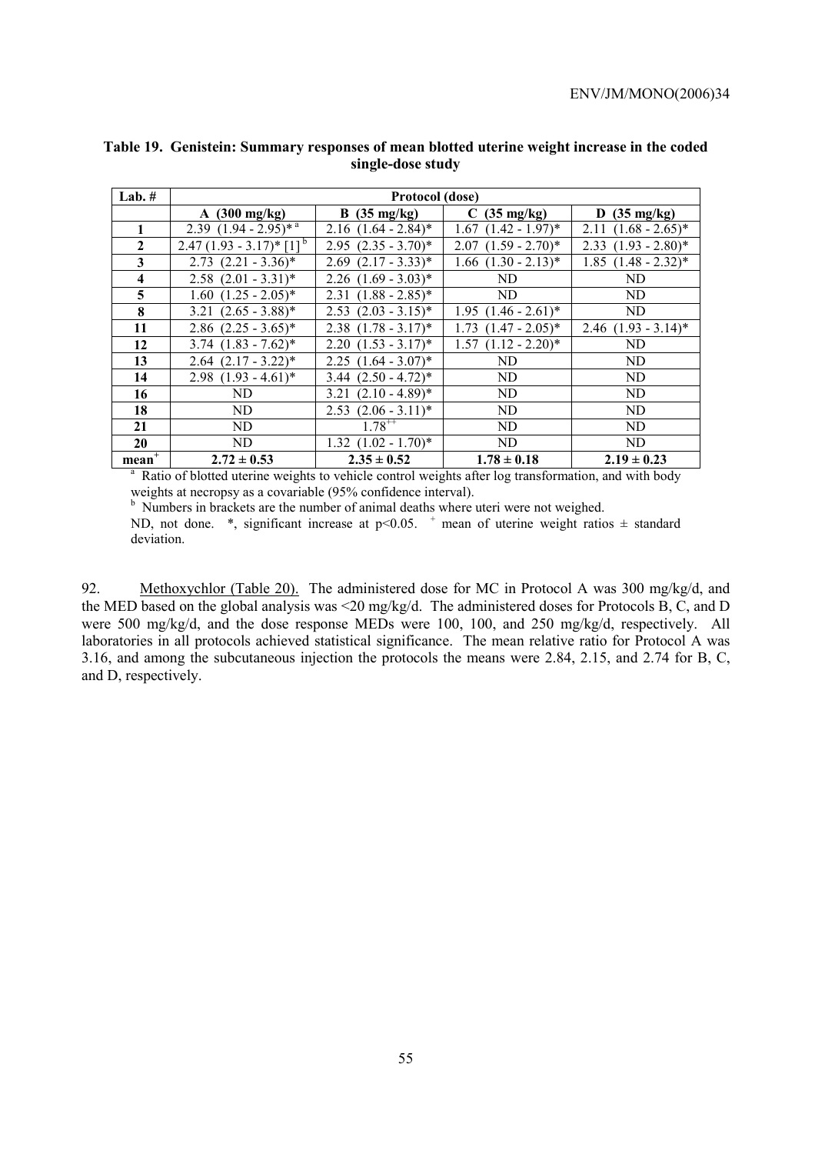| Lab. $#$                |                                         | Protocol (dose)          |                           |                           |  |
|-------------------------|-----------------------------------------|--------------------------|---------------------------|---------------------------|--|
|                         | $A$ (300 mg/kg)                         | $B(35 \text{ mg/kg})$    | $C(35 \text{ mg/kg})$     | D $(35 \text{ mg/kg})$    |  |
| 1                       | $2.39$ $(1.94 - 2.95)^{*}$ <sup>a</sup> | $2.16$ $(1.64 - 2.84)^*$ | $1.67$ $(1.42 - 1.97)^*$  | $2.11 (1.68 - 2.65)^*$    |  |
| $\mathbf{2}$            | $2.47(1.93 - 3.17)^{*}[1]^{b}$          | $2.95$ $(2.35 - 3.70)^*$ | $2.07$ $(1.59 - 2.70)^*$  | $2.33$ $(1.93 - 2.80)^*$  |  |
| 3                       | $2.73$ $(2.21 - 3.36)^*$                | $2.69$ $(2.17 - 3.33)*$  | $1.66$ $(1.30 - 2.13)^*$  | $1.85$ $(1.48 - 2.32)^*$  |  |
| $\overline{\mathbf{4}}$ | $2.58$ $(2.01 - 3.31)^*$                | $2.26$ $(1.69 - 3.03)*$  | ND                        | ND.                       |  |
| 5                       | $1.60$ $(1.25 - 2.05)^*$                | $2.31$ $(1.88 - 2.85)^*$ | ND                        | ND                        |  |
| 8                       | $3.21$ $(2.65 - 3.88)^*$                | $2.53$ $(2.03 - 3.15)^*$ | $1.95$ $(1.46 - 2.61)^*$  | ND                        |  |
| 11                      | $2.86$ $(2.25 - 3.65)^*$                | $2.38$ $(1.78 - 3.17)^*$ | $(1.47 - 2.05)^*$<br>1.73 | $(1.93 - 3.14)^*$<br>2.46 |  |
| 12                      | $3.74$ $(1.83 - 7.62)^*$                | $2.20$ $(1.53 - 3.17)^*$ | $1.57$ $(1.12 - 2.20)^*$  | ND.                       |  |
| 13                      | $2.64$ $(2.17 - 3.22)^*$                | $2.25$ $(1.64 - 3.07)^*$ | ND                        | ND.                       |  |
| 14                      | $2.98$ $(1.93 - 4.61)^*$                | $3.44$ $(2.50 - 4.72)*$  | ND                        | ND                        |  |
| 16                      | ND                                      | $3.21$ $(2.10 - 4.89)^*$ | ND                        | ND                        |  |
| 18                      | ND                                      | $2.53$ $(2.06 - 3.11)^*$ | ND                        | ND.                       |  |
| 21                      | ND                                      | $1.78^{++}$              | ND                        | ND.                       |  |
| 20                      | ND.                                     | $1.32$ $(1.02 - 1.70)^*$ | ND                        | ND.                       |  |
| $mean+$                 | $2.72 \pm 0.53$                         | $2.35 \pm 0.52$          | $1.78 \pm 0.18$           | $2.19 \pm 0.23$           |  |

**Table 19. Genistein: Summary responses of mean blotted uterine weight increase in the coded single-dose study** 

<sup>a</sup> Ratio of blotted uterine weights to vehicle control weights after log transformation, and with body weights at necropsy as a covariable (95% confidence interval).

<sup>b</sup> Numbers in brackets are the number of animal deaths where uteri were not weighed.

ND, not done.  $*$ , significant increase at p<0.05. <sup>+</sup> mean of uterine weight ratios  $\pm$  standard deviation.

92. Methoxychlor (Table 20). The administered dose for MC in Protocol A was 300 mg/kg/d, and the MED based on the global analysis was <20 mg/kg/d. The administered doses for Protocols B, C, and D were 500 mg/kg/d, and the dose response MEDs were 100, 100, and 250 mg/kg/d, respectively. All laboratories in all protocols achieved statistical significance. The mean relative ratio for Protocol A was 3.16, and among the subcutaneous injection the protocols the means were 2.84, 2.15, and 2.74 for B, C, and D, respectively.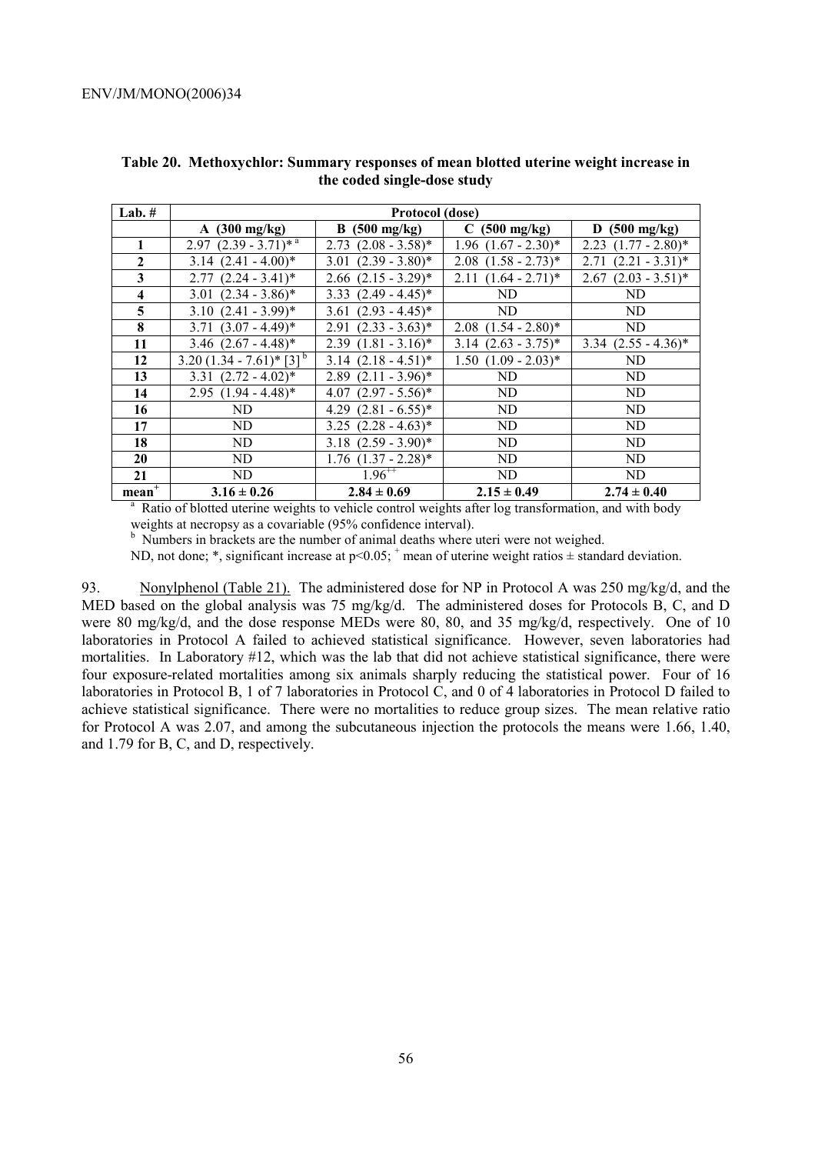| Lab. $#$     |                                | Protocol (dose)                                     |                           |                            |  |
|--------------|--------------------------------|-----------------------------------------------------|---------------------------|----------------------------|--|
|              | A $(300 \text{ mg/kg})$        | $(500 \text{ mg/kg})$<br>В                          | $C(500 \text{ mg/kg})$    | $(500 \text{ mg/kg})$<br>D |  |
| 1            | $2.97$ $(2.39 - 3.71)^{* a}$   | $2.73$ $(2.08 - 3.58)*$<br>$1.96$ $(1.67 - 2.30)^*$ |                           | 2.23<br>$(1.77 - 2.80)^*$  |  |
| $\mathbf{2}$ | $3.14$ $(2.41 - 4.00)*$        | $3.01$ $(2.39 - 3.80)$ *                            | $2.08$ $(1.58 - 2.73)^*$  | $(2.21 - 3.31)^*$<br>2.71  |  |
| 3            | $2.77$ $(2.24 - 3.41)^*$       | $2.66$ $(2.15 - 3.29)^*$                            | $(1.64 - 2.71)^*$<br>2.11 | $(2.03 - 3.51)^*$<br>2.67  |  |
| 4            | $3.01$ $(2.34 - 3.86)^*$       | $3.33$ $(2.49 - 4.45)^*$                            | ND                        | ND                         |  |
| 5            | $3.10 (2.41 - 3.99)^*$         | $3.61$ $(2.93 - 4.45)^*$                            | ND                        | ND                         |  |
| 8            | $3.71$ $(3.07 - 4.49)^*$       | $2.91$ $(2.33 - 3.63)^*$                            | $2.08$ $(1.54 - 2.80)^*$  | ND                         |  |
| 11           | 3.46 $(2.67 - 4.48)^*$         | $2.39$ $(1.81 - 3.16)^*$                            | $(2.63 - 3.75)^*$<br>3.14 | $3.34$ $(2.55 - 4.36)^*$   |  |
| 12           | $3.20(1.34 - 7.61)^{*}[3]^{b}$ | $3.14$ $(2.18 - 4.51)^*$                            | $(1.09 - 2.03)^*$<br>1.50 | ND                         |  |
| 13           | $3.31 (2.72 - 4.02)^*$         | $2.89$ $(2.11 - 3.96)^*$                            | ND                        | ND                         |  |
| 14           | $2.95$ $(1.94 - 4.48)*$        | 4.07 $(2.97 - 5.56)^*$                              | ND                        | ND                         |  |
| 16           | ND                             | 4.29 $(2.81 - 6.55)^*$                              | ND                        | ND                         |  |
| 17           | ND                             | $3.25$ $(2.28 - 4.63)*$                             | ND                        | ND                         |  |
| 18           | ND                             | $3.18$ $(2.59 - 3.90)^*$                            | ND                        | ND                         |  |
| 20           | ND                             | $1.76$ $(1.37 - 2.28)^*$                            | ND                        | ND                         |  |
| 21           | ND.                            | $1.96^{++}$                                         | ND.                       | ND.                        |  |
| mean         | $3.16 \pm 0.26$                | $2.84 \pm 0.69$                                     | $2.15 \pm 0.49$           | $2.74 \pm 0.40$            |  |

**Table 20. Methoxychlor: Summary responses of mean blotted uterine weight increase in the coded single-dose study** 

<sup>a</sup> Ratio of blotted uterine weights to vehicle control weights after log transformation, and with body weights at necropsy as a covariable (95% confidence interval).

<sup>b</sup> Numbers in brackets are the number of animal deaths where uteri were not weighed.

ND, not done; \*, significant increase at  $p<0.05$ ;  $^+$  mean of uterine weight ratios  $\pm$  standard deviation.

93. Nonylphenol (Table 21). The administered dose for NP in Protocol A was 250 mg/kg/d, and the MED based on the global analysis was 75 mg/kg/d. The administered doses for Protocols B, C, and D were 80 mg/kg/d, and the dose response MEDs were 80, 80, and 35 mg/kg/d, respectively. One of 10 laboratories in Protocol A failed to achieved statistical significance. However, seven laboratories had mortalities. In Laboratory #12, which was the lab that did not achieve statistical significance, there were four exposure-related mortalities among six animals sharply reducing the statistical power. Four of 16 laboratories in Protocol B, 1 of 7 laboratories in Protocol C, and 0 of 4 laboratories in Protocol D failed to achieve statistical significance. There were no mortalities to reduce group sizes. The mean relative ratio for Protocol A was 2.07, and among the subcutaneous injection the protocols the means were 1.66, 1.40, and 1.79 for B, C, and D, respectively.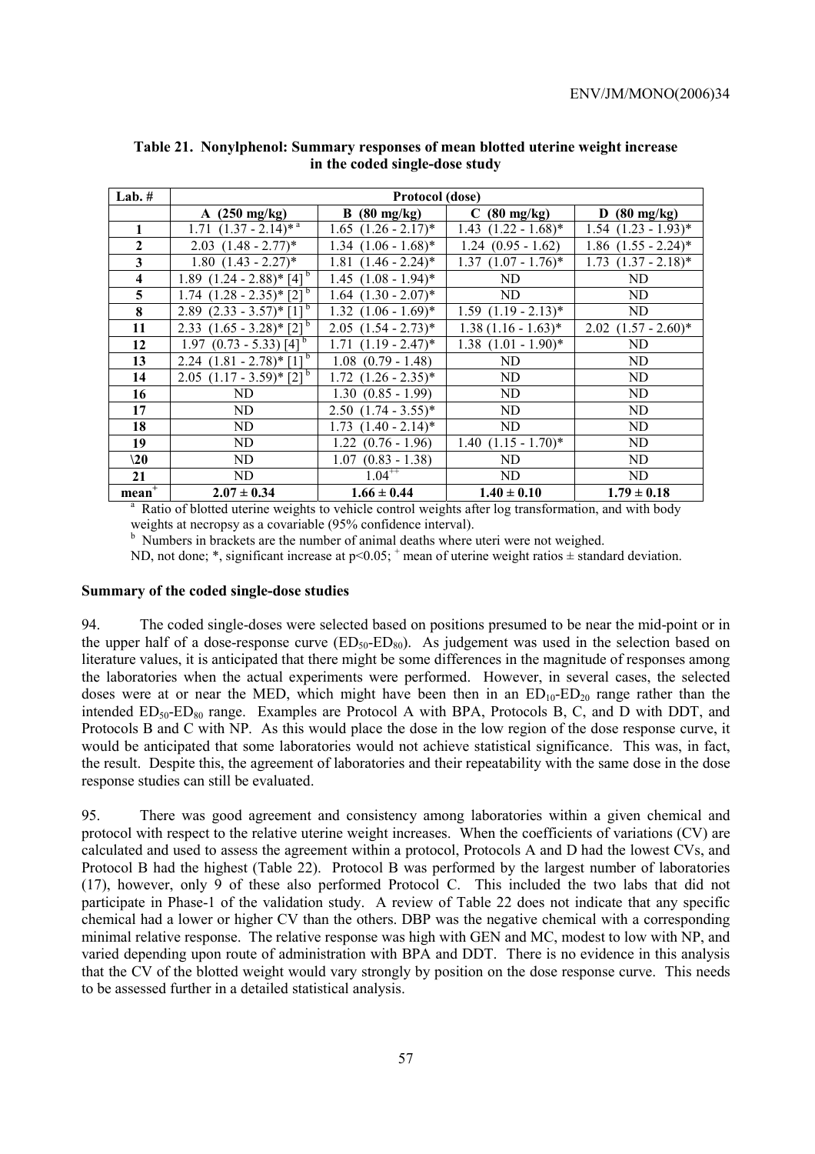| Lab. $#$                | Protocol (dose)                                     |                          |                          |                           |  |  |  |  |  |
|-------------------------|-----------------------------------------------------|--------------------------|--------------------------|---------------------------|--|--|--|--|--|
|                         | A $(250 \text{ mg/kg})$                             | $B(80 \text{ mg/kg})$    | $C(80 \text{ mg/kg})$    | $D(80 \text{ mg/kg})$     |  |  |  |  |  |
| 1                       | 1.71 $(1.37 - 2.14)^{*a}$                           | $1.65$ $(1.26 - 2.17)^*$ | $1.43$ $(1.22 - 1.68)^*$ | $1.54$ $(1.23 - 1.93)^*$  |  |  |  |  |  |
| $\mathbf{2}$            | $2.03$ $(1.48 - 2.77)^*$                            | $1.34$ $(1.06 - 1.68)^*$ | $1.24$ $(0.95 - 1.62)$   | $1.86$ $(1.55 - 2.24)^*$  |  |  |  |  |  |
| 3                       | $1.80$ $(1.43 - 2.27)^*$                            | $1.81 (1.46 - 2.24)^*$   | $1.37$ $(1.07 - 1.76)^*$ | $1.73$ $(1.37 - 2.18)*$   |  |  |  |  |  |
| $\overline{\mathbf{4}}$ | 1.89 $(1.24 - 2.88)^*$ [4] <sup>b</sup>             | $1.45$ $(1.08 - 1.94)^*$ | ND                       | ND                        |  |  |  |  |  |
| 5                       | 1.74 $(1.28 - 2.35)^*$ [2] <sup>b</sup>             | $1.64$ $(1.30 - 2.07)^*$ | ND                       | ND                        |  |  |  |  |  |
| 8                       | 2.89 $(2.33 - 3.57)^{\frac{1}{8}}$ [1] <sup>b</sup> | $1.32$ $(1.06 - 1.69)^*$ | $1.59$ $(1.19 - 2.13)*$  | ND.                       |  |  |  |  |  |
| 11                      | 2.33 $(1.65 - 3.28)^* [2]^{b}$                      | $2.05$ $(1.54 - 2.73)^*$ | $1.38(1.16 - 1.63)^*$    | 2.02<br>$(1.57 - 2.60)^*$ |  |  |  |  |  |
| 12                      | 1.97 $(0.73 - 5.33)$ [4] <sup>b</sup>               | $1.71(1.19 - 2.47)^*$    | $1.38$ $(1.01 - 1.90)^*$ | ND                        |  |  |  |  |  |
| 13                      | 2.24 $(1.81 - 2.78)^*$ [1] <sup>b</sup>             | $1.08$ $(0.79 - 1.48)$   | ND                       | ND                        |  |  |  |  |  |
| 14                      | 2.05 $(1.17 - 3.59)^*$ [2] <sup>b</sup>             | $1.72$ $(1.26 - 2.35)^*$ | ND                       | ND                        |  |  |  |  |  |
| 16                      | ND                                                  | $1.30(0.85 - 1.99)$      | ND                       | ND                        |  |  |  |  |  |
| 17                      | ND                                                  | $2.50$ $(1.74 - 3.55)^*$ | ND                       | ND.                       |  |  |  |  |  |
| 18                      | ND                                                  | $1.73$ $(1.40 - 2.14)^*$ | ND                       | ND.                       |  |  |  |  |  |
| 19                      | ND                                                  | $1.22(0.76-1.96)$        | $1.40$ $(1.15 - 1.70)^*$ | ND.                       |  |  |  |  |  |
| $\sqrt{20}$             | ND                                                  | $1.07$ $(0.83 - 1.38)$   | ND                       | ND                        |  |  |  |  |  |
| 21                      | ND                                                  | $1.04^{++}$              | ND                       | ND                        |  |  |  |  |  |
| $mean+$                 | $2.07 \pm 0.34$                                     | $1.66 \pm 0.44$          | $1.40 \pm 0.10$          | $1.79 \pm 0.18$           |  |  |  |  |  |

**Table 21. Nonylphenol: Summary responses of mean blotted uterine weight increase in the coded single-dose study** 

<sup>a</sup> Ratio of blotted uterine weights to vehicle control weights after log transformation, and with body weights at necropsy as a covariable (95% confidence interval).

<sup>b</sup> Numbers in brackets are the number of animal deaths where uteri were not weighed.

ND, not done; \*, significant increase at  $p<0.05$ ;  $^+$  mean of uterine weight ratios  $\pm$  standard deviation.

#### **Summary of the coded single-dose studies**

94. The coded single-doses were selected based on positions presumed to be near the mid-point or in the upper half of a dose-response curve  $(ED<sub>50</sub>-ED<sub>80</sub>)$ . As judgement was used in the selection based on literature values, it is anticipated that there might be some differences in the magnitude of responses among the laboratories when the actual experiments were performed. However, in several cases, the selected doses were at or near the MED, which might have been then in an  $ED_{10}-ED_{20}$  range rather than the intended  $ED_{50}$ - $ED_{80}$  range. Examples are Protocol A with BPA, Protocols B, C, and D with DDT, and Protocols B and C with NP. As this would place the dose in the low region of the dose response curve, it would be anticipated that some laboratories would not achieve statistical significance. This was, in fact, the result. Despite this, the agreement of laboratories and their repeatability with the same dose in the dose response studies can still be evaluated.

95. There was good agreement and consistency among laboratories within a given chemical and protocol with respect to the relative uterine weight increases. When the coefficients of variations (CV) are calculated and used to assess the agreement within a protocol, Protocols A and D had the lowest CVs, and Protocol B had the highest (Table 22). Protocol B was performed by the largest number of laboratories (17), however, only 9 of these also performed Protocol C. This included the two labs that did not participate in Phase-1 of the validation study. A review of Table 22 does not indicate that any specific chemical had a lower or higher CV than the others. DBP was the negative chemical with a corresponding minimal relative response. The relative response was high with GEN and MC, modest to low with NP, and varied depending upon route of administration with BPA and DDT. There is no evidence in this analysis that the CV of the blotted weight would vary strongly by position on the dose response curve. This needs to be assessed further in a detailed statistical analysis.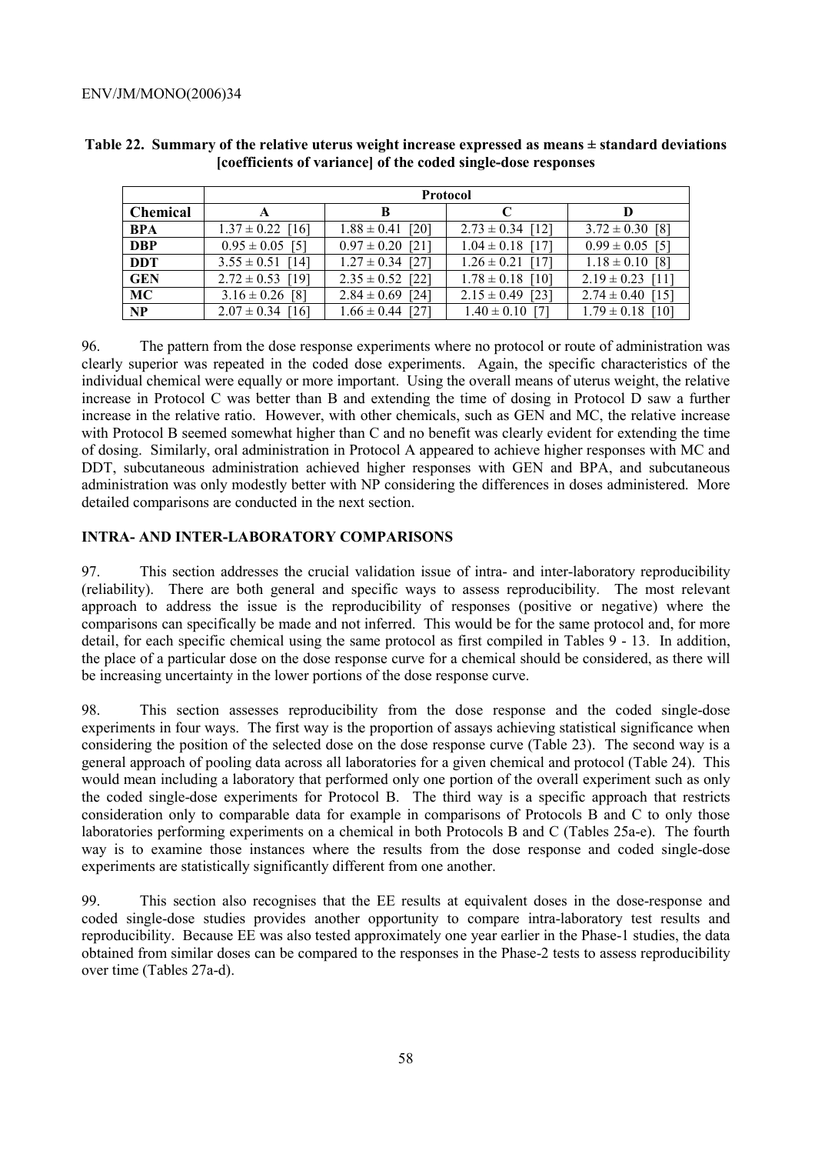|                 | <b>Protocol</b>      |                      |                      |                      |  |  |  |  |  |  |
|-----------------|----------------------|----------------------|----------------------|----------------------|--|--|--|--|--|--|
| <b>Chemical</b> |                      | B                    |                      |                      |  |  |  |  |  |  |
| <b>BPA</b>      | $1.37 \pm 0.22$ [16] | $1.88 \pm 0.41$ [20] | $2.73 \pm 0.34$ [12] | $3.72 \pm 0.30$ [8]  |  |  |  |  |  |  |
| <b>DBP</b>      | $0.95 \pm 0.05$ [5]  | $0.97 \pm 0.20$ [21] | $1.04 \pm 0.18$ [17] | $0.99 \pm 0.05$ [5]  |  |  |  |  |  |  |
| <b>DDT</b>      | $3.55 \pm 0.51$ [14] | $1.27 \pm 0.34$ [27] | $1.26 \pm 0.21$ [17] | $1.18 \pm 0.10$ [8]  |  |  |  |  |  |  |
| <b>GEN</b>      | $2.72 \pm 0.53$ [19] | $2.35 \pm 0.52$ [22] | $1.78 \pm 0.18$ [10] | $2.19 \pm 0.23$ [11] |  |  |  |  |  |  |
| MC              | $3.16 \pm 0.26$ [8]  | $2.84 \pm 0.69$ [24] | $2.15 \pm 0.49$ [23] | $2.74 \pm 0.40$ [15] |  |  |  |  |  |  |
| <b>NP</b>       | $2.07 \pm 0.34$ [16] | $1.66 \pm 0.44$ [27] | $1.40 \pm 0.10$ [7]  | $1.79 \pm 0.18$ [10] |  |  |  |  |  |  |

| Table 22. Summary of the relative uterus weight increase expressed as means $\pm$ standard deviations |
|-------------------------------------------------------------------------------------------------------|
| [coefficients of variance] of the coded single-dose responses                                         |

96. The pattern from the dose response experiments where no protocol or route of administration was clearly superior was repeated in the coded dose experiments. Again, the specific characteristics of the individual chemical were equally or more important. Using the overall means of uterus weight, the relative increase in Protocol C was better than B and extending the time of dosing in Protocol D saw a further increase in the relative ratio. However, with other chemicals, such as GEN and MC, the relative increase with Protocol B seemed somewhat higher than C and no benefit was clearly evident for extending the time of dosing. Similarly, oral administration in Protocol A appeared to achieve higher responses with MC and DDT, subcutaneous administration achieved higher responses with GEN and BPA, and subcutaneous administration was only modestly better with NP considering the differences in doses administered. More detailed comparisons are conducted in the next section.

# **INTRA- AND INTER-LABORATORY COMPARISONS**

97. This section addresses the crucial validation issue of intra- and inter-laboratory reproducibility (reliability). There are both general and specific ways to assess reproducibility. The most relevant approach to address the issue is the reproducibility of responses (positive or negative) where the comparisons can specifically be made and not inferred. This would be for the same protocol and, for more detail, for each specific chemical using the same protocol as first compiled in Tables 9 - 13. In addition, the place of a particular dose on the dose response curve for a chemical should be considered, as there will be increasing uncertainty in the lower portions of the dose response curve.

98. This section assesses reproducibility from the dose response and the coded single-dose experiments in four ways. The first way is the proportion of assays achieving statistical significance when considering the position of the selected dose on the dose response curve (Table 23). The second way is a general approach of pooling data across all laboratories for a given chemical and protocol (Table 24). This would mean including a laboratory that performed only one portion of the overall experiment such as only the coded single-dose experiments for Protocol B. The third way is a specific approach that restricts consideration only to comparable data for example in comparisons of Protocols B and C to only those laboratories performing experiments on a chemical in both Protocols B and C (Tables 25a-e). The fourth way is to examine those instances where the results from the dose response and coded single-dose experiments are statistically significantly different from one another.

99. This section also recognises that the EE results at equivalent doses in the dose-response and coded single-dose studies provides another opportunity to compare intra-laboratory test results and reproducibility. Because EE was also tested approximately one year earlier in the Phase-1 studies, the data obtained from similar doses can be compared to the responses in the Phase-2 tests to assess reproducibility over time (Tables 27a-d).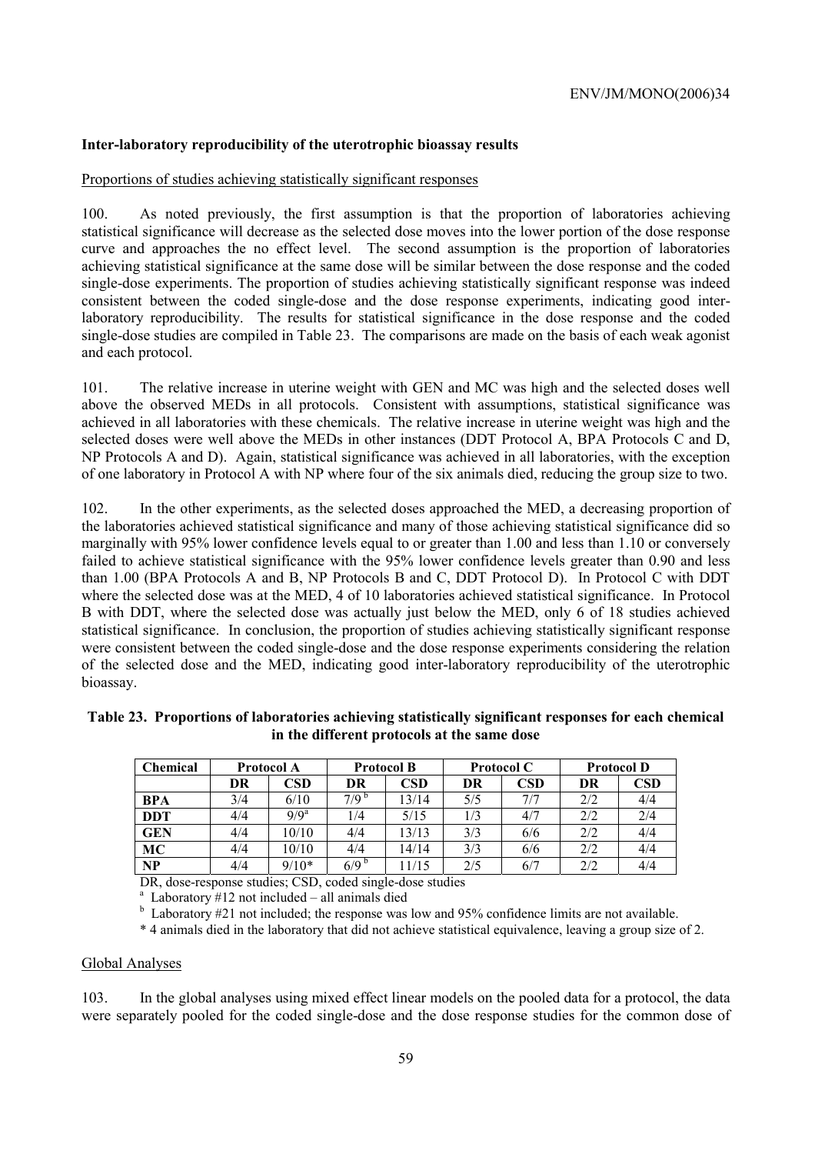# **Inter-laboratory reproducibility of the uterotrophic bioassay results**

#### Proportions of studies achieving statistically significant responses

100. As noted previously, the first assumption is that the proportion of laboratories achieving statistical significance will decrease as the selected dose moves into the lower portion of the dose response curve and approaches the no effect level. The second assumption is the proportion of laboratories achieving statistical significance at the same dose will be similar between the dose response and the coded single-dose experiments. The proportion of studies achieving statistically significant response was indeed consistent between the coded single-dose and the dose response experiments, indicating good interlaboratory reproducibility. The results for statistical significance in the dose response and the coded single-dose studies are compiled in Table 23. The comparisons are made on the basis of each weak agonist and each protocol.

101. The relative increase in uterine weight with GEN and MC was high and the selected doses well above the observed MEDs in all protocols. Consistent with assumptions, statistical significance was achieved in all laboratories with these chemicals. The relative increase in uterine weight was high and the selected doses were well above the MEDs in other instances (DDT Protocol A, BPA Protocols C and D, NP Protocols A and D). Again, statistical significance was achieved in all laboratories, with the exception of one laboratory in Protocol A with NP where four of the six animals died, reducing the group size to two.

102. In the other experiments, as the selected doses approached the MED, a decreasing proportion of the laboratories achieved statistical significance and many of those achieving statistical significance did so marginally with 95% lower confidence levels equal to or greater than 1.00 and less than 1.10 or conversely failed to achieve statistical significance with the 95% lower confidence levels greater than 0.90 and less than 1.00 (BPA Protocols A and B, NP Protocols B and C, DDT Protocol D). In Protocol C with DDT where the selected dose was at the MED, 4 of 10 laboratories achieved statistical significance. In Protocol B with DDT, where the selected dose was actually just below the MED, only 6 of 18 studies achieved statistical significance. In conclusion, the proportion of studies achieving statistically significant response were consistent between the coded single-dose and the dose response experiments considering the relation of the selected dose and the MED, indicating good inter-laboratory reproducibility of the uterotrophic bioassay.

| Table 23. Proportions of laboratories achieving statistically significant responses for each chemical |
|-------------------------------------------------------------------------------------------------------|
| in the different protocols at the same dose                                                           |

| <b>Chemical</b> | Protocol A |            | <b>Protocol B</b> |            | <b>Protocol C</b> |     | <b>Protocol D</b> |            |
|-----------------|------------|------------|-------------------|------------|-------------------|-----|-------------------|------------|
|                 | DR         | <b>CSD</b> | DR                | <b>CSD</b> | DR                | CSD | DR                | <b>CSD</b> |
| <b>BPA</b>      | 3/4        | 6/10       | $7/9^{o}$         | 13/14      | 5/5               | 7/7 | 2/2               | 4/4        |
| <b>DDT</b>      | 4/4        | $9/9^a$    | 1/4               | 5/15       | 1/3               | 4/7 | 2/2               | 2/4        |
| <b>GEN</b>      | 4/4        | 10/10      | 4/4               | 13/13      | 3/3               | 6/6 | 2/2               | 4/4        |
| MC              | 4/4        | 10/10      | 4/4               | 14/14      | 3/3               | 6/6 | 2/2               | 4/4        |
| <b>NP</b>       | 4/4        | $9/10*$    | $6/9^b$           | 11/15      | 2/5               | 6/7 | 2/2               | 4/4        |

DR, dose-response studies; CSD, coded single-dose studies

<sup>a</sup> Laboratory #12 not included  $-$  all animals died

 $b$  Laboratory #21 not included; the response was low and 95% confidence limits are not available.

\* 4 animals died in the laboratory that did not achieve statistical equivalence, leaving a group size of 2.

#### Global Analyses

103. In the global analyses using mixed effect linear models on the pooled data for a protocol, the data were separately pooled for the coded single-dose and the dose response studies for the common dose of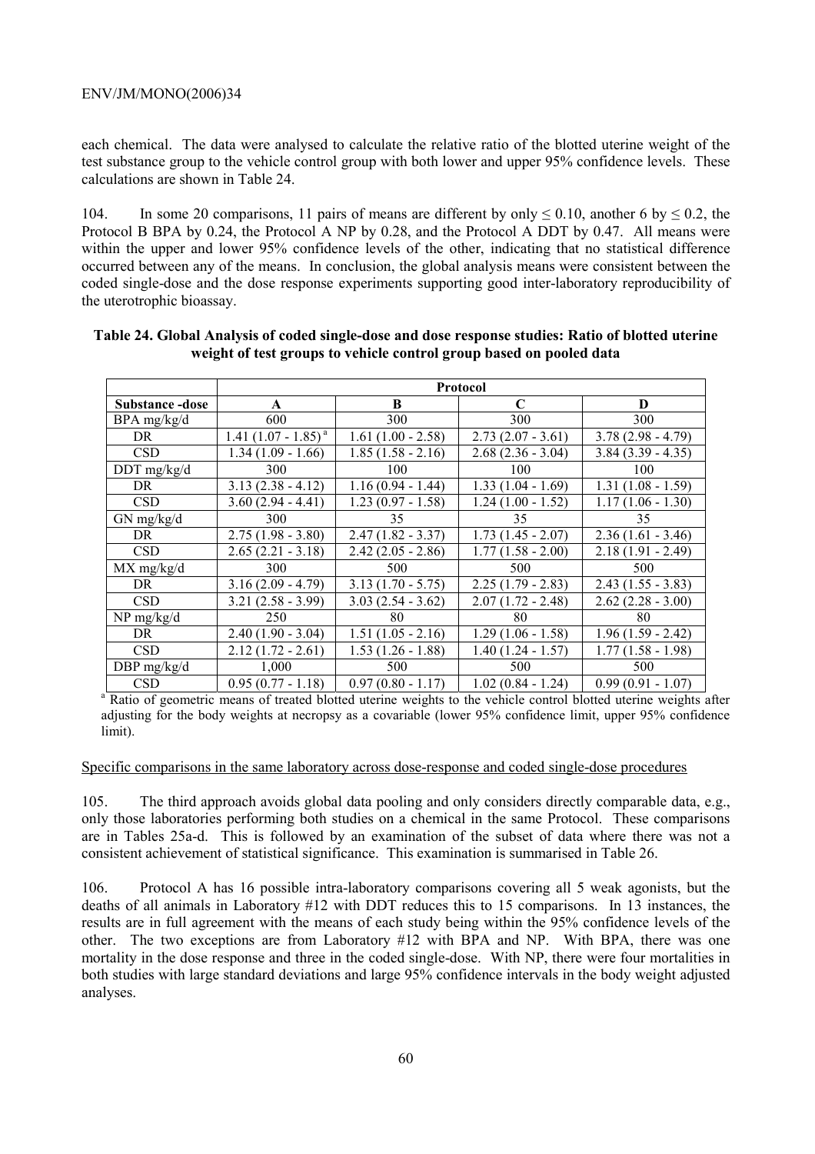each chemical. The data were analysed to calculate the relative ratio of the blotted uterine weight of the test substance group to the vehicle control group with both lower and upper 95% confidence levels. These calculations are shown in Table 24.

104. In some 20 comparisons, 11 pairs of means are different by only  $\leq$  0.10, another 6 by  $\leq$  0.2, the Protocol B BPA by 0.24, the Protocol A NP by 0.28, and the Protocol A DDT by 0.47. All means were within the upper and lower 95% confidence levels of the other, indicating that no statistical difference occurred between any of the means. In conclusion, the global analysis means were consistent between the coded single-dose and the dose response experiments supporting good inter-laboratory reproducibility of the uterotrophic bioassay.

|                 |                          |                     | <b>Protocol</b>     |                     |
|-----------------|--------------------------|---------------------|---------------------|---------------------|
| Substance -dose | A                        | B                   | C                   | D                   |
| $BPA$ mg/kg/d   | 600                      | 300                 | 300                 | 300                 |
| DR              | 1.41 $(1.07 - 1.85)^{a}$ | $1.61(1.00 - 2.58)$ | $2.73(2.07 - 3.61)$ | $3.78(2.98 - 4.79)$ |
| <b>CSD</b>      | $1.34(1.09 - 1.66)$      | $1.85(1.58 - 2.16)$ | $2.68(2.36 - 3.04)$ | $3.84(3.39 - 4.35)$ |
| DDT $mg/kg/d$   | 300                      | 100                 | 100                 | 100                 |
| DR              | $3.13(2.38 - 4.12)$      | $1.16(0.94 - 1.44)$ | $1.33(1.04 - 1.69)$ | $1.31(1.08 - 1.59)$ |
| <b>CSD</b>      | $3.60(2.94 - 4.41)$      | $1.23(0.97 - 1.58)$ | $1.24(1.00 - 1.52)$ | $1.17(1.06 - 1.30)$ |
| $GN$ mg/kg/d    | 300                      | 35                  | 35                  | 35                  |
| DR              | $2.75(1.98 - 3.80)$      | $2.47(1.82 - 3.37)$ | $1.73(1.45 - 2.07)$ | $2.36(1.61 - 3.46)$ |
| <b>CSD</b>      | $2.65(2.21 - 3.18)$      | $2.42(2.05 - 2.86)$ | $1.77(1.58 - 2.00)$ | $2.18(1.91 - 2.49)$ |
| MX mg/kg/d      | 300                      | 500                 | 500                 | 500                 |
| DR              | $3.16(2.09 - 4.79)$      | $3.13(1.70 - 5.75)$ | $2.25(1.79 - 2.83)$ | $2.43(1.55 - 3.83)$ |
| <b>CSD</b>      | $3.21(2.58 - 3.99)$      | $3.03(2.54 - 3.62)$ | $2.07(1.72 - 2.48)$ | $2.62(2.28 - 3.00)$ |
| $NP$ mg/kg/d    | 250                      | 80                  | 80                  | 80                  |
| DR              | $2.40(1.90 - 3.04)$      | $1.51(1.05 - 2.16)$ | $1.29(1.06 - 1.58)$ | $1.96(1.59 - 2.42)$ |
| <b>CSD</b>      | $2.12(1.72 - 2.61)$      | $1.53(1.26 - 1.88)$ | $1.40(1.24 - 1.57)$ | $1.77(1.58 - 1.98)$ |
| DBP $mg/kg/d$   | 1.000                    | 500                 | 500                 | 500                 |
| CCD             | $0.05(0.77 - 1.19)$      | $0.07(0.90 - 1.17)$ | $1.02(0.91 - 1.24)$ | 0.00(0.01)<br>1.07  |

#### **Table 24. Global Analysis of coded single-dose and dose response studies: Ratio of blotted uterine weight of test groups to vehicle control group based on pooled data**

CSD 0.95  $(0.77 - 1.18)$  0.97  $(0.80 - 1.17)$  1.02  $(0.84 - 1.24)$  0.99  $(0.91 - 1.07)$ <br>a Ratio of geometric means of treated blotted uterine weights to the vehicle control blotted uterine weights after adjusting for the body weights at necropsy as a covariable (lower 95% confidence limit, upper 95% confidence limit).

#### Specific comparisons in the same laboratory across dose-response and coded single-dose procedures

105. The third approach avoids global data pooling and only considers directly comparable data, e.g., only those laboratories performing both studies on a chemical in the same Protocol. These comparisons are in Tables 25a-d. This is followed by an examination of the subset of data where there was not a consistent achievement of statistical significance. This examination is summarised in Table 26.

106. Protocol A has 16 possible intra-laboratory comparisons covering all 5 weak agonists, but the deaths of all animals in Laboratory #12 with DDT reduces this to 15 comparisons. In 13 instances, the results are in full agreement with the means of each study being within the 95% confidence levels of the other. The two exceptions are from Laboratory #12 with BPA and NP. With BPA, there was one mortality in the dose response and three in the coded single-dose. With NP, there were four mortalities in both studies with large standard deviations and large 95% confidence intervals in the body weight adjusted analyses.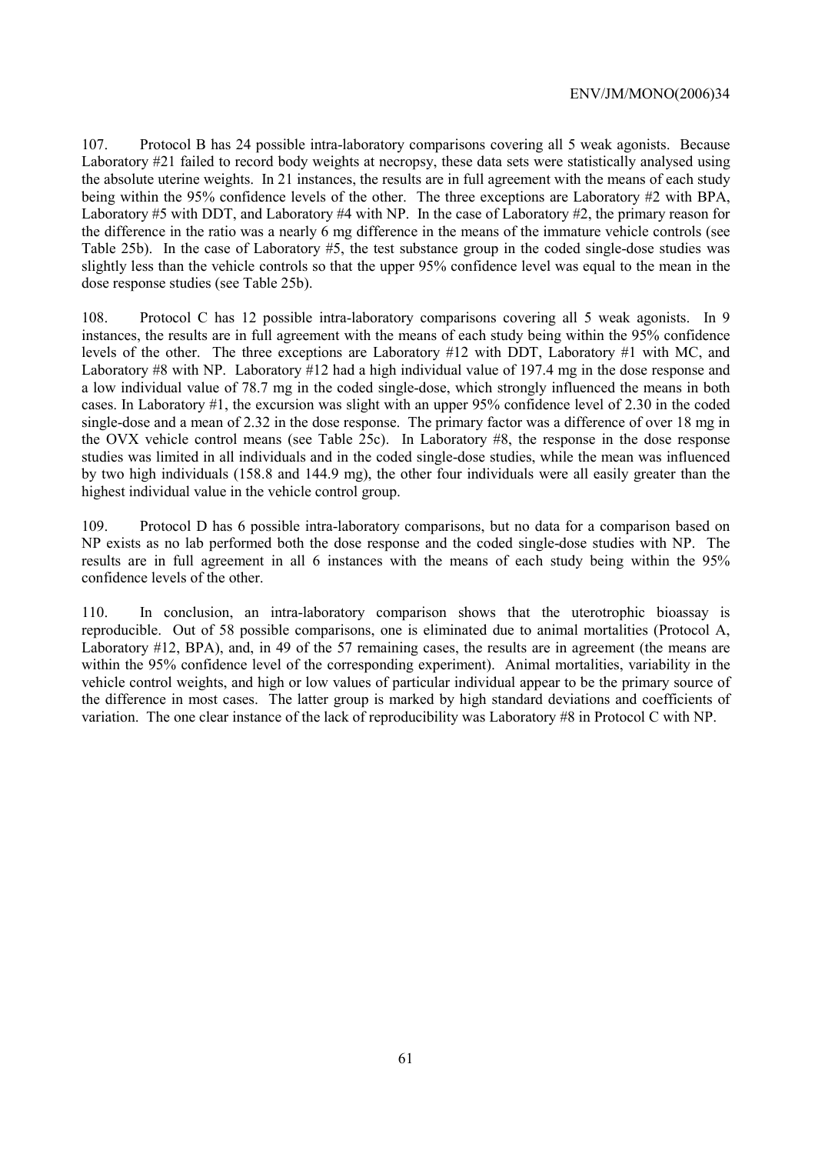107. Protocol B has 24 possible intra-laboratory comparisons covering all 5 weak agonists. Because Laboratory #21 failed to record body weights at necropsy, these data sets were statistically analysed using the absolute uterine weights. In 21 instances, the results are in full agreement with the means of each study being within the 95% confidence levels of the other. The three exceptions are Laboratory #2 with BPA, Laboratory #5 with DDT, and Laboratory #4 with NP. In the case of Laboratory #2, the primary reason for the difference in the ratio was a nearly 6 mg difference in the means of the immature vehicle controls (see Table 25b). In the case of Laboratory #5, the test substance group in the coded single-dose studies was slightly less than the vehicle controls so that the upper 95% confidence level was equal to the mean in the dose response studies (see Table 25b).

108. Protocol C has 12 possible intra-laboratory comparisons covering all 5 weak agonists. In 9 instances, the results are in full agreement with the means of each study being within the 95% confidence levels of the other. The three exceptions are Laboratory #12 with DDT, Laboratory #1 with MC, and Laboratory #8 with NP. Laboratory  $\frac{1}{2}$  had a high individual value of 197.4 mg in the dose response and a low individual value of 78.7 mg in the coded single-dose, which strongly influenced the means in both cases. In Laboratory #1, the excursion was slight with an upper 95% confidence level of 2.30 in the coded single-dose and a mean of 2.32 in the dose response. The primary factor was a difference of over 18 mg in the OVX vehicle control means (see Table 25c). In Laboratory #8, the response in the dose response studies was limited in all individuals and in the coded single-dose studies, while the mean was influenced by two high individuals (158.8 and 144.9 mg), the other four individuals were all easily greater than the highest individual value in the vehicle control group.

109. Protocol D has 6 possible intra-laboratory comparisons, but no data for a comparison based on NP exists as no lab performed both the dose response and the coded single-dose studies with NP. The results are in full agreement in all 6 instances with the means of each study being within the 95% confidence levels of the other.

110. In conclusion, an intra-laboratory comparison shows that the uterotrophic bioassay is reproducible. Out of 58 possible comparisons, one is eliminated due to animal mortalities (Protocol A, Laboratory #12, BPA), and, in 49 of the 57 remaining cases, the results are in agreement (the means are within the 95% confidence level of the corresponding experiment). Animal mortalities, variability in the vehicle control weights, and high or low values of particular individual appear to be the primary source of the difference in most cases. The latter group is marked by high standard deviations and coefficients of variation. The one clear instance of the lack of reproducibility was Laboratory #8 in Protocol C with NP.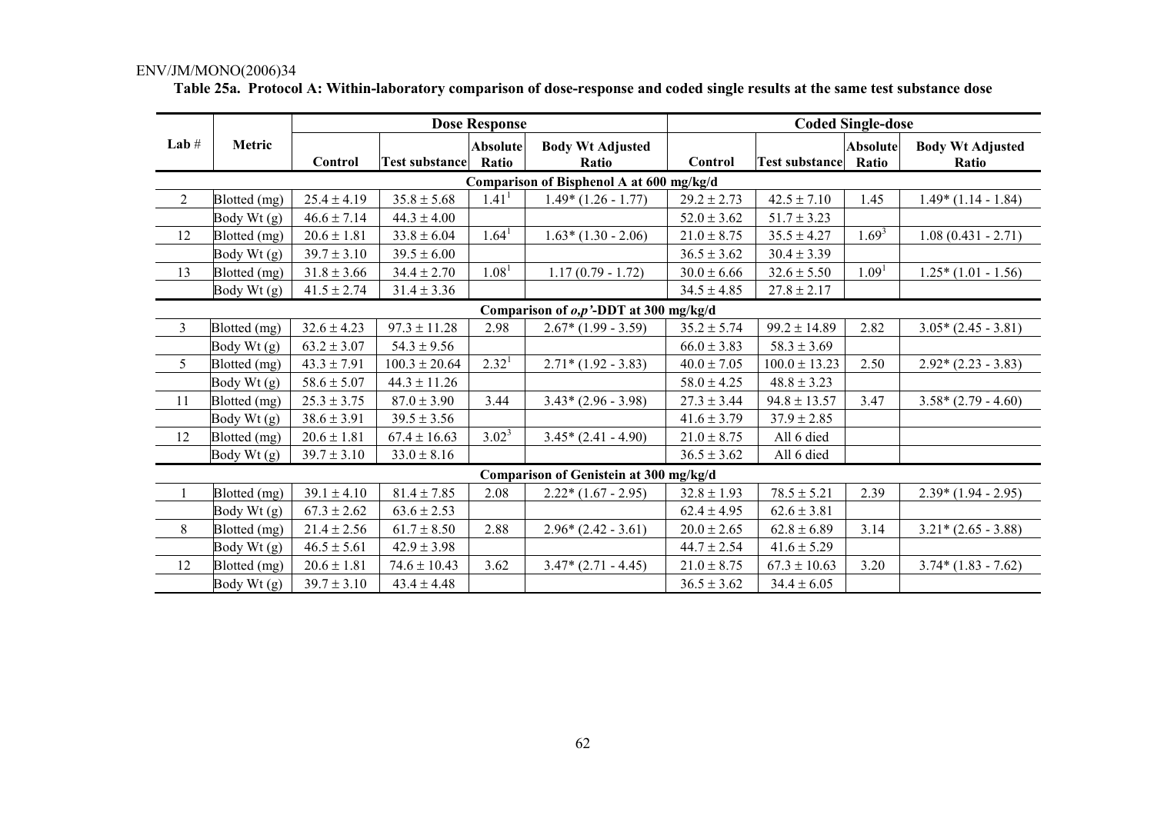**Table 25a. Protocol A: Within-laboratory comparison of dose-response and coded single results at the same test substance dose** 

|                                          |              |                 |                       | <b>Dose Response</b> |                                           |                 |                       | <b>Coded Single-dose</b> |                         |  |
|------------------------------------------|--------------|-----------------|-----------------------|----------------------|-------------------------------------------|-----------------|-----------------------|--------------------------|-------------------------|--|
| Lab#                                     | Metric       |                 |                       | <b>Absolute</b>      | <b>Body Wt Adjusted</b>                   |                 |                       | <b>Absolute</b>          | <b>Body Wt Adjusted</b> |  |
|                                          |              | Control         | <b>Test substance</b> | Ratio                | Ratio                                     | Control         | <b>Test substance</b> | Ratio                    | Ratio                   |  |
| Comparison of Bisphenol A at 600 mg/kg/d |              |                 |                       |                      |                                           |                 |                       |                          |                         |  |
| $\overline{2}$                           | Blotted (mg) | $25.4 \pm 4.19$ | $35.8 \pm 5.68$       | 1.41 <sup>1</sup>    | $1.49*(1.26 - 1.77)$                      | $29.2 \pm 2.73$ | $42.5 \pm 7.10$       | 1.45                     | $1.49*(1.14 - 1.84)$    |  |
|                                          | Body Wt(g)   | $46.6 \pm 7.14$ | $44.3 \pm 4.00$       |                      |                                           | $52.0 \pm 3.62$ | $51.7 \pm 3.23$       |                          |                         |  |
| 12                                       | Blotted (mg) | $20.6 \pm 1.81$ | $33.8 \pm 6.04$       | 1.64 <sup>1</sup>    | $1.63*(1.30 - 2.06)$                      | $21.0 \pm 8.75$ | $35.5 \pm 4.27$       | $1.69^{3}$               | $1.08(0.431 - 2.71)$    |  |
|                                          | Body Wt(g)   | $39.7 \pm 3.10$ | $39.5 \pm 6.00$       |                      |                                           | $36.5 \pm 3.62$ | $30.4 \pm 3.39$       |                          |                         |  |
| 13                                       | Blotted (mg) | $31.8 \pm 3.66$ | $34.4 \pm 2.70$       | $1.08^{1}$           | $1.17(0.79 - 1.72)$                       | $30.0 \pm 6.66$ | $32.6 \pm 5.50$       | 1.09 <sup>1</sup>        | $1.25*(1.01 - 1.56)$    |  |
|                                          | Body Wt(g)   | $41.5 \pm 2.74$ | $31.4 \pm 3.36$       |                      |                                           | $34.5 \pm 4.85$ | $27.8 \pm 2.17$       |                          |                         |  |
|                                          |              |                 |                       |                      | Comparison of $o, p'$ -DDT at 300 mg/kg/d |                 |                       |                          |                         |  |
| $\overline{3}$                           | Blotted (mg) | $32.6 \pm 4.23$ | $97.3 \pm 11.28$      | 2.98                 | $2.67*(1.99 - 3.59)$                      | $35.2 \pm 5.74$ | $99.2 \pm 14.89$      | 2.82                     | $3.05*(2.45 - 3.81)$    |  |
|                                          | Body $Wt(g)$ | $63.2 \pm 3.07$ | $54.3 \pm 9.56$       |                      |                                           | $66.0 \pm 3.83$ | $58.3 \pm 3.69$       |                          |                         |  |
| 5                                        | Blotted (mg) | $43.3 \pm 7.91$ | $100.3 \pm 20.64$     | 2.32 <sup>1</sup>    | $2.71*(1.92 - 3.83)$                      | $40.0 \pm 7.05$ | $100.0 \pm 13.23$     | 2.50                     | $2.92*(2.23 - 3.83)$    |  |
|                                          | Body Wt(g)   | $58.6 \pm 5.07$ | $44.3 \pm 11.26$      |                      |                                           | $58.0 \pm 4.25$ | $48.8 \pm 3.23$       |                          |                         |  |
| 11                                       | Blotted (mg) | $25.3 \pm 3.75$ | $87.0 \pm 3.90$       | 3.44                 | $3.43*(2.96 - 3.98)$                      | $27.3 \pm 3.44$ | $94.8 \pm 13.57$      | 3.47                     | $3.58*(2.79 - 4.60)$    |  |
|                                          | Body Wt(g)   | $38.6 \pm 3.91$ | $39.5 \pm 3.56$       |                      |                                           | $41.6 \pm 3.79$ | $37.9 \pm 2.85$       |                          |                         |  |
| 12                                       | Blotted (mg) | $20.6 \pm 1.81$ | $67.4 \pm 16.63$      | $3.02^3$             | $3.45*(2.41 - 4.90)$                      | $21.0 \pm 8.75$ | All 6 died            |                          |                         |  |
|                                          | Body Wt(g)   | $39.7 \pm 3.10$ | $33.0 \pm 8.16$       |                      |                                           | $36.5 \pm 3.62$ | All 6 died            |                          |                         |  |
|                                          |              |                 |                       |                      | Comparison of Genistein at 300 mg/kg/d    |                 |                       |                          |                         |  |
|                                          | Blotted (mg) | $39.1 \pm 4.10$ | $81.4 \pm 7.85$       | 2.08                 | $2.22*(1.67 - 2.95)$                      | $32.8 \pm 1.93$ | $78.5 \pm 5.21$       | 2.39                     | $2.39*(1.94 - 2.95)$    |  |
|                                          | Body Wt(g)   | $67.3 \pm 2.62$ | $63.6 \pm 2.53$       |                      |                                           | $62.4 \pm 4.95$ | $62.6 \pm 3.81$       |                          |                         |  |
| $8\,$                                    | Blotted (mg) | $21.4 \pm 2.56$ | $61.7 \pm 8.50$       | 2.88                 | $2.96*(2.42 - 3.61)$                      | $20.0 \pm 2.65$ | $62.8 \pm 6.89$       | 3.14                     | $3.21*(2.65 - 3.88)$    |  |
|                                          | Body Wt(g)   | $46.5 \pm 5.61$ | $42.9 \pm 3.98$       |                      |                                           | $44.7 \pm 2.54$ | $41.6 \pm 5.29$       |                          |                         |  |
| 12                                       | Blotted (mg) | $20.6 \pm 1.81$ | $74.6 \pm 10.43$      | 3.62                 | $3.47*(2.71 - 4.45)$                      | $21.0\pm8.75$   | $67.3 \pm 10.63$      | 3.20                     | $3.74*(1.83 - 7.62)$    |  |
|                                          | Body Wt(g)   | $39.7 \pm 3.10$ | $43.4 \pm 4.48$       |                      |                                           | $36.5 \pm 3.62$ | $34.4 \pm 6.05$       |                          |                         |  |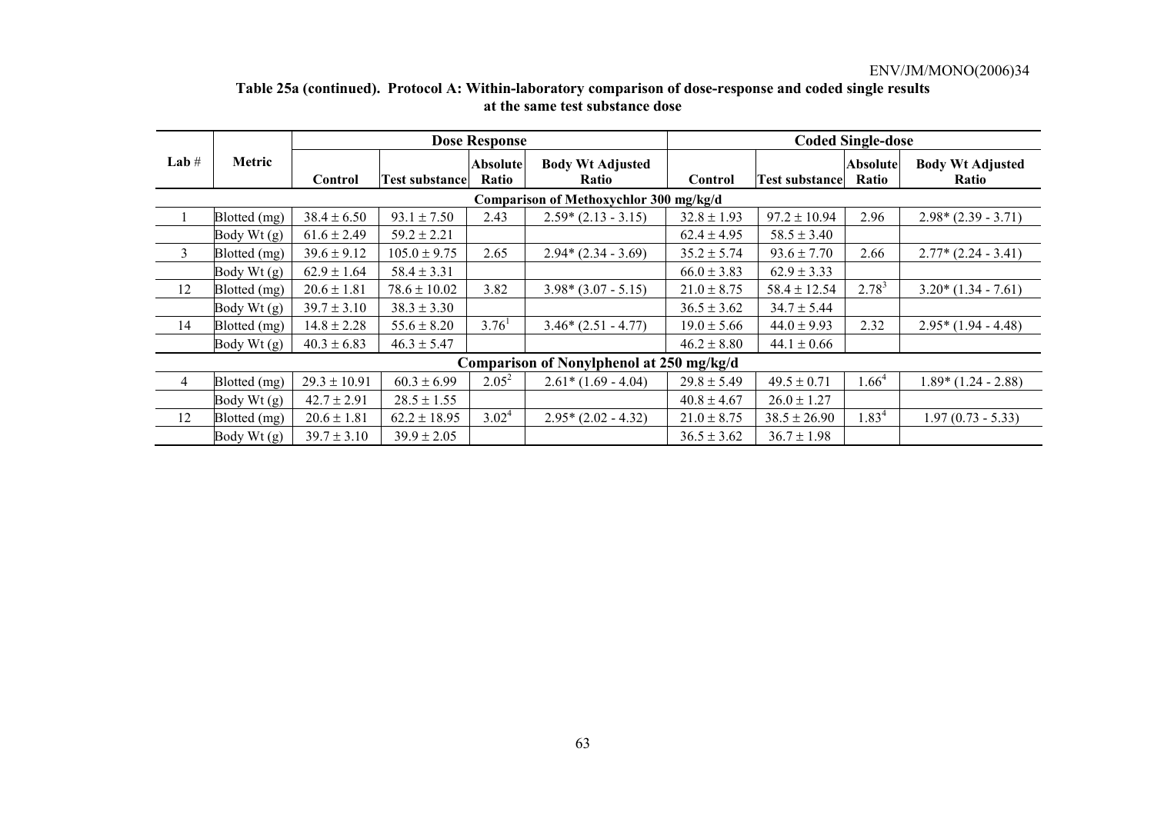#### **Table 25a (continued). Protocol A: Within-laboratory comparison of dose-response and coded single results at the same test substance dose**

|                |               |                  | <b>Dose Response</b>  |                   |                                          | <b>Coded Single-dose</b> |                       |                          |                                  |
|----------------|---------------|------------------|-----------------------|-------------------|------------------------------------------|--------------------------|-----------------------|--------------------------|----------------------------------|
| Lab $#$        | Metric        | <b>Control</b>   | <b>Test substance</b> | Absolute<br>Ratio | <b>Body Wt Adjusted</b><br>Ratio         | Control                  | <b>Test substance</b> | <b>Absolute</b><br>Ratio | <b>Body Wt Adjusted</b><br>Ratio |
|                |               |                  |                       |                   | Comparison of Methoxychlor 300 mg/kg/d   |                          |                       |                          |                                  |
|                | Blotted (mg)  | $38.4 \pm 6.50$  | $93.1 \pm 7.50$       | 2.43              | $2.59*(2.13 - 3.15)$                     | $32.8 \pm 1.93$          | $97.2 \pm 10.94$      | 2.96                     | $2.98*(2.39 - 3.71)$             |
|                | Body Wt $(g)$ | $61.6 \pm 2.49$  | $59.2 \pm 2.21$       |                   |                                          | $62.4 \pm 4.95$          | $58.5 \pm 3.40$       |                          |                                  |
| $\overline{3}$ | Blotted (mg)  | $39.6 \pm 9.12$  | $105.0 \pm 9.75$      | 2.65              | $2.94*(2.34 - 3.69)$                     | $35.2 \pm 5.74$          | $93.6 \pm 7.70$       | 2.66                     | $2.77*(2.24 - 3.41)$             |
|                | Body Wt(g)    | $62.9 \pm 1.64$  | $58.4 \pm 3.31$       |                   |                                          | $66.0 \pm 3.83$          | $62.9 \pm 3.33$       |                          |                                  |
| 12             | Blotted (mg)  | $20.6 \pm 1.81$  | $78.6 \pm 10.02$      | 3.82              | $3.98*(3.07 - 5.15)$                     | $21.0 \pm 8.75$          | $58.4 \pm 12.54$      | $2.78^{3}$               | $3.20*(1.34 - 7.61)$             |
|                | Body Wt(g)    | $39.7 \pm 3.10$  | $38.3 \pm 3.30$       |                   |                                          | $36.5 \pm 3.62$          | $34.7 \pm 5.44$       |                          |                                  |
| 14             | Blotted (mg)  | $14.8 \pm 2.28$  | $55.6 \pm 8.20$       | 3.76 <sup>1</sup> | $3.46*(2.51 - 4.77)$                     | $19.0 \pm 5.66$          | $44.0 \pm 9.93$       | 2.32                     | $2.95*(1.94 - 4.48)$             |
|                | Body Wt(g)    | $40.3 \pm 6.83$  | $46.3 \pm 5.47$       |                   |                                          | $46.2 \pm 8.80$          | $44.1 \pm 0.66$       |                          |                                  |
|                |               |                  |                       |                   | Comparison of Nonylphenol at 250 mg/kg/d |                          |                       |                          |                                  |
| 4              | Blotted (mg)  | $29.3 \pm 10.91$ | $60.3 \pm 6.99$       | $2.05^2$          | $2.61*(1.69 - 4.04)$                     | $29.8 \pm 5.49$          | $49.5 \pm 0.71$       | $1.66^{4}$               | $1.89*(1.24 - 2.88)$             |
|                | Body Wt $(g)$ | $42.7 \pm 2.91$  | $28.5 \pm 1.55$       |                   |                                          | $40.8 \pm 4.67$          | $26.0 \pm 1.27$       |                          |                                  |
| 12             | Blotted (mg)  | $20.6 \pm 1.81$  | $62.2 \pm 18.95$      | 3.02 <sup>4</sup> | $2.95*(2.02 - 4.32)$                     | $21.0 \pm 8.75$          | $38.5 \pm 26.90$      | 1.83 <sup>4</sup>        | $1.97(0.73 - 5.33)$              |
|                | Body Wt(g)    | $39.7 \pm 3.10$  | $39.9 \pm 2.05$       |                   |                                          | $36.5 \pm 3.62$          | $36.7 \pm 1.98$       |                          |                                  |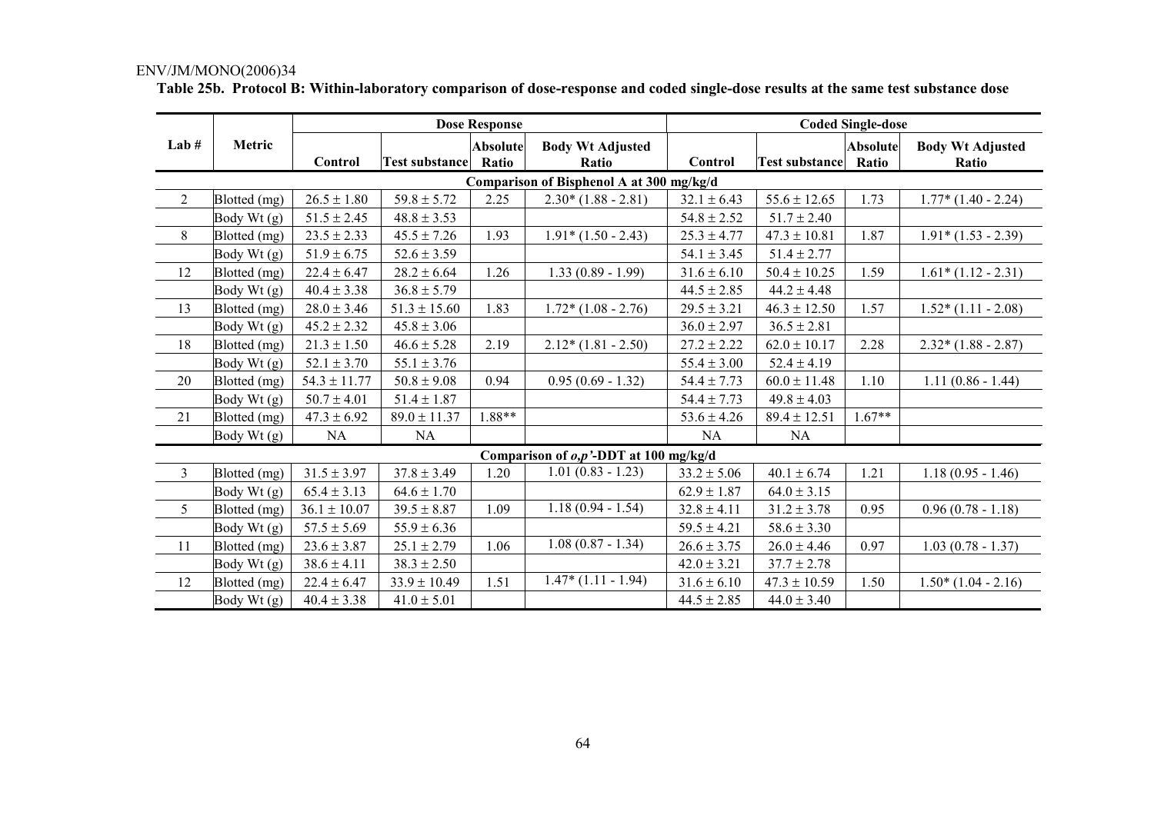**Table 25b. Protocol B: Within-laboratory comparison of dose-response and coded single-dose results at the same test substance dose** 

|                |               |                  |                       | <b>Dose Response</b>     |                                           |                 |                       | <b>Coded Single-dose</b> |                                  |
|----------------|---------------|------------------|-----------------------|--------------------------|-------------------------------------------|-----------------|-----------------------|--------------------------|----------------------------------|
| Lab#           | Metric        | Control          | <b>Test substance</b> | <b>Absolute</b><br>Ratio | <b>Body Wt Adjusted</b><br>Ratio          | Control         | <b>Test substance</b> | <b>Absolute</b><br>Ratio | <b>Body Wt Adjusted</b><br>Ratio |
|                |               |                  |                       |                          | Comparison of Bisphenol A at 300 mg/kg/d  |                 |                       |                          |                                  |
| $\overline{2}$ | Blotted (mg)  | $26.5 \pm 1.80$  | $59.8 \pm 5.72$       | 2.25                     | $2.30*(1.88 - 2.81)$                      | $32.1 \pm 6.43$ | $55.6 \pm 12.65$      | 1.73                     | $1.77*(1.40 - 2.24)$             |
|                | Body Wt $(g)$ | $51.5 \pm 2.45$  | $48.8 \pm 3.53$       |                          |                                           | $54.8 \pm 2.52$ | $51.7 \pm 2.40$       |                          |                                  |
| $8\,$          | Blotted (mg)  | $23.5 \pm 2.33$  | $45.5 \pm 7.26$       | 1.93                     | $1.91*(1.50 - 2.43)$                      | $25.3 \pm 4.77$ | $47.3 \pm 10.81$      | 1.87                     | $1.91*(1.53 - 2.39)$             |
|                | Body Wt $(g)$ | $51.9 \pm 6.75$  | $52.6 \pm 3.59$       |                          |                                           | $54.1 \pm 3.45$ | $51.4 \pm 2.77$       |                          |                                  |
| 12             | Blotted (mg)  | $22.4 \pm 6.47$  | $28.2 \pm 6.64$       | 1.26                     | $1.33(0.89 - 1.99)$                       | $31.6 \pm 6.10$ | $50.4 \pm 10.25$      | 1.59                     | $1.61*(1.12 - 2.31)$             |
|                | Body Wt(g)    | $40.4 \pm 3.38$  | $36.8 \pm 5.79$       |                          |                                           | $44.5 \pm 2.85$ | $44.2 \pm 4.48$       |                          |                                  |
| 13             | Blotted (mg)  | $28.0 \pm 3.46$  | $51.3 \pm 15.60$      | 1.83                     | $1.72*(1.08 - 2.76)$                      | $29.5 \pm 3.21$ | $46.3 \pm 12.50$      | 1.57                     | $1.52*(1.11 - 2.08)$             |
|                | Body Wt(g)    | $45.2 \pm 2.32$  | $45.8 \pm 3.06$       |                          |                                           | $36.0 \pm 2.97$ | $36.5 \pm 2.81$       |                          |                                  |
| 18             | Blotted (mg)  | $21.3 \pm 1.50$  | $46.6 \pm 5.28$       | 2.19                     | $2.12*(1.81 - 2.50)$                      | $27.2 \pm 2.22$ | $62.0 \pm 10.17$      | 2.28                     | $2.32*(1.88 - 2.87)$             |
|                | Body Wt(g)    | $52.1 \pm 3.70$  | $55.1 \pm 3.76$       |                          |                                           | $55.4 \pm 3.00$ | $52.4 \pm 4.19$       |                          |                                  |
| 20             | Blotted (mg)  | $54.3 \pm 11.77$ | $50.8 \pm 9.08$       | 0.94                     | $0.95(0.69 - 1.32)$                       | $54.4 \pm 7.73$ | $60.0 \pm 11.48$      | 1.10                     | $1.11(0.86 - 1.44)$              |
|                | Body Wt $(g)$ | $50.7 \pm 4.01$  | $51.4 \pm 1.87$       |                          |                                           | $54.4 \pm 7.73$ | $49.8 \pm 4.03$       |                          |                                  |
| 21             | Blotted (mg)  | $47.3 \pm 6.92$  | $89.0 \pm 11.37$      | 1.88**                   |                                           | $53.6 \pm 4.26$ | $89.4 \pm 12.51$      | $1.67**$                 |                                  |
|                | Body Wt(g)    | <b>NA</b>        | <b>NA</b>             |                          |                                           | <b>NA</b>       | <b>NA</b>             |                          |                                  |
|                |               |                  |                       |                          | Comparison of $o, p$ '-DDT at 100 mg/kg/d |                 |                       |                          |                                  |
| 3              | Blotted (mg)  | $31.5 \pm 3.97$  | $37.8 \pm 3.49$       | 1.20                     | $1.01(0.83 - 1.23)$                       | $33.2 \pm 5.06$ | $40.1 \pm 6.74$       | 1.21                     | $1.18(0.95 - 1.46)$              |
|                | Body Wt(g)    | $65.4 \pm 3.13$  | $64.6 \pm 1.70$       |                          |                                           | $62.9 \pm 1.87$ | $64.0 \pm 3.15$       |                          |                                  |
| 5              | Blotted (mg)  | $36.1 \pm 10.07$ | $39.5 \pm 8.87$       | 1.09                     | $1.18(0.94 - 1.54)$                       | $32.8 \pm 4.11$ | $31.2 \pm 3.78$       | 0.95                     | $0.96(0.78 - 1.18)$              |
|                | Body Wt(g)    | $57.5 \pm 5.69$  | $55.9 \pm 6.36$       |                          |                                           | $59.5 \pm 4.21$ | $58.6 \pm 3.30$       |                          |                                  |
| 11             | Blotted (mg)  | $23.6 \pm 3.87$  | $25.1 \pm 2.79$       | 1.06                     | $1.08(0.87 - 1.34)$                       | $26.6 \pm 3.75$ | $26.0 \pm 4.46$       | 0.97                     | $1.03(0.78 - 1.37)$              |
|                | Body Wt(g)    | $38.6 \pm 4.11$  | $38.3 \pm 2.50$       |                          |                                           | $42.0 \pm 3.21$ | $37.7 \pm 2.78$       |                          |                                  |
| 12             | Blotted (mg)  | $22.4 \pm 6.47$  | $33.9 \pm 10.49$      | 1.51                     | $1.47*(1.11 - 1.94)$                      | $31.6 \pm 6.10$ | $47.3 \pm 10.59$      | 1.50                     | $1.50*(1.04 - 2.16)$             |
|                | Body Wt $(g)$ | $40.4 \pm 3.38$  | $41.0 \pm 5.01$       |                          |                                           | $44.5 \pm 2.85$ | $44.0 \pm 3.40$       |                          |                                  |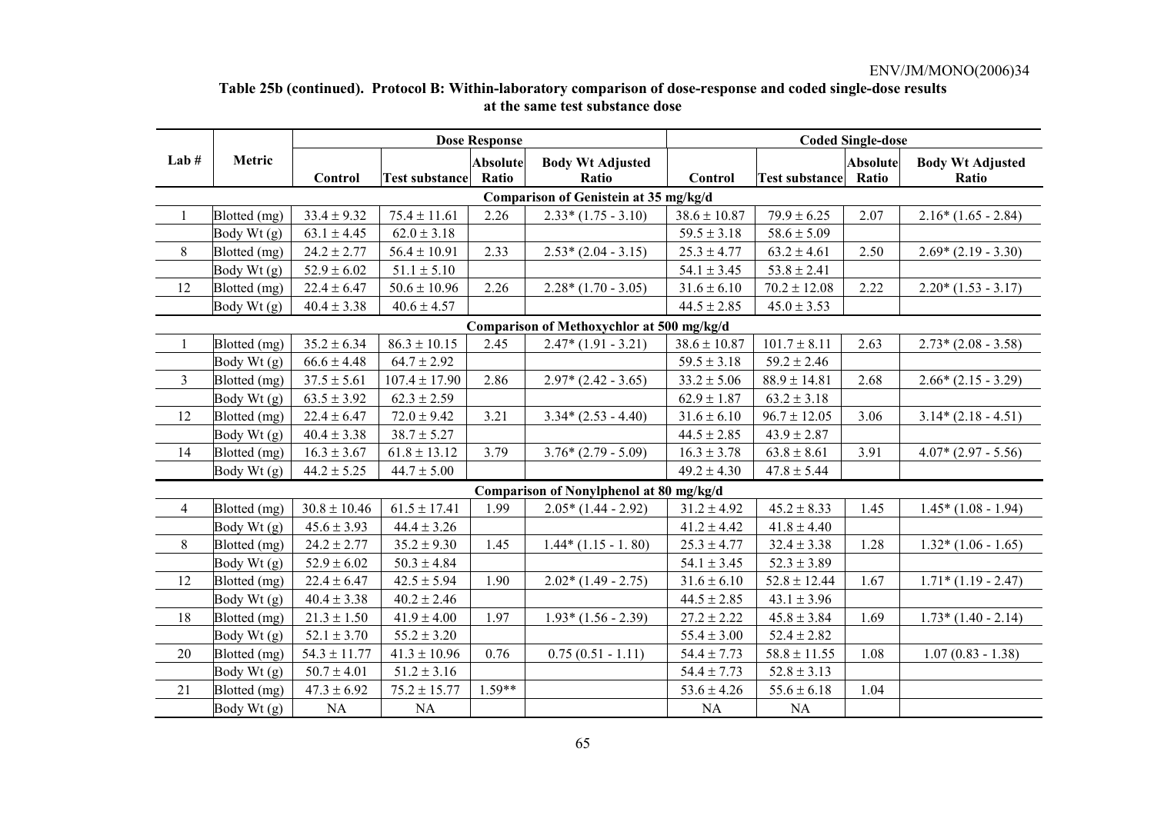**Table 25b (continued). Protocol B: Within-laboratory comparison of dose-response and coded single-dose results at the same test substance dose** 

|                                       |               |                  |                       | <b>Dose Response</b> |                                           | <b>Coded Single-dose</b> |                       |                 |                         |  |  |
|---------------------------------------|---------------|------------------|-----------------------|----------------------|-------------------------------------------|--------------------------|-----------------------|-----------------|-------------------------|--|--|
| Lab#                                  | Metric        |                  |                       | <b>Absolute</b>      | <b>Body Wt Adjusted</b>                   |                          |                       | <b>Absolute</b> | <b>Body Wt Adjusted</b> |  |  |
|                                       |               | Control          | <b>Test substance</b> | Ratio                | Ratio                                     | Control                  | <b>Test substance</b> | Ratio           | Ratio                   |  |  |
| Comparison of Genistein at 35 mg/kg/d |               |                  |                       |                      |                                           |                          |                       |                 |                         |  |  |
| $\overline{1}$                        | Blotted (mg)  | $33.4 \pm 9.32$  | $75.4 \pm 11.61$      | 2.26                 | $2.33*(1.75 - 3.10)$                      | $38.6 \pm 10.87$         | $79.9 \pm 6.25$       | 2.07            | $2.16*(1.65 - 2.84)$    |  |  |
|                                       | Body Wt $(g)$ | $63.1 \pm 4.45$  | $62.0 \pm 3.18$       |                      |                                           | $59.5 \pm 3.18$          | $58.6 \pm 5.09$       |                 |                         |  |  |
| $8\,$                                 | Blotted (mg)  | $24.2 \pm 2.77$  | $56.4 \pm 10.91$      | 2.33                 | $2.53*(2.04 - 3.15)$                      | $25.3 \pm 4.77$          | $63.2 \pm 4.61$       | 2.50            | $2.69*(2.19 - 3.30)$    |  |  |
|                                       | Body Wt $(g)$ | $52.9 \pm 6.02$  | $51.1 \pm 5.10$       |                      |                                           | $54.1 \pm 3.45$          | $53.8 \pm 2.41$       |                 |                         |  |  |
| 12                                    | Blotted (mg)  | $22.4 \pm 6.47$  | $50.6 \pm 10.96$      | 2.26                 | $2.28*(1.70 - 3.05)$                      | $31.6 \pm 6.10$          | $70.2 \pm 12.08$      | 2.22            | $2.20*(1.53 - 3.17)$    |  |  |
|                                       | Body Wt $(g)$ | $40.4 \pm 3.38$  | $40.6 \pm 4.57$       |                      |                                           | $44.5 \pm 2.85$          | $45.0 \pm 3.53$       |                 |                         |  |  |
|                                       |               |                  |                       |                      | Comparison of Methoxychlor at 500 mg/kg/d |                          |                       |                 |                         |  |  |
| -1                                    | Blotted (mg)  | $35.2 \pm 6.34$  | $86.3 \pm 10.15$      | 2.45                 | $2.47*(1.91 - 3.21)$                      | $38.6 \pm 10.87$         | $101.7 \pm 8.11$      | 2.63            | $2.73*(2.08 - 3.58)$    |  |  |
|                                       | Body Wt $(g)$ | $66.6 \pm 4.48$  | $64.7 \pm 2.92$       |                      |                                           | $59.5 \pm 3.18$          | $59.2 \pm 2.46$       |                 |                         |  |  |
| $\overline{3}$                        | Blotted (mg)  | $37.5 \pm 5.61$  | $107.4 \pm 17.90$     | 2.86                 | $2.97*(2.42 - 3.65)$                      | $33.2 \pm 5.06$          | $88.9 \pm 14.81$      | 2.68            | $2.66*(2.15 - 3.29)$    |  |  |
|                                       | Body Wt(g)    | $63.5 \pm 3.92$  | $62.3 \pm 2.59$       |                      |                                           | $62.9 \pm 1.87$          | $63.2 \pm 3.18$       |                 |                         |  |  |
| 12                                    | Blotted (mg)  | $22.4 \pm 6.47$  | $72.0 \pm 9.42$       | 3.21                 | $3.34*(2.53 - 4.40)$                      | $31.6 \pm 6.10$          | $96.7 \pm 12.05$      | 3.06            | $3.14*(2.18 - 4.51)$    |  |  |
|                                       | Body Wt(g)    | $40.4 \pm 3.38$  | $38.7 \pm 5.27$       |                      |                                           | $44.5 \pm 2.85$          | $43.9 \pm 2.87$       |                 |                         |  |  |
| 14                                    | Blotted (mg)  | $16.3 \pm 3.67$  | $61.8 \pm 13.12$      | 3.79                 | $3.76*(2.79 - 5.09)$                      | $16.3 \pm 3.78$          | $63.8 \pm 8.61$       | 3.91            | $4.07*(2.97 - 5.56)$    |  |  |
|                                       | Body Wt $(g)$ | $44.2 \pm 5.25$  | $44.7 \pm 5.00$       |                      |                                           | $49.2 \pm 4.30$          | $47.8 \pm 5.44$       |                 |                         |  |  |
|                                       |               |                  |                       |                      | Comparison of Nonylphenol at 80 mg/kg/d   |                          |                       |                 |                         |  |  |
| $\overline{4}$                        | Blotted (mg)  | $30.8 \pm 10.46$ | $61.5 \pm 17.41$      | 1.99                 | $2.05*(1.44 - 2.92)$                      | $31.2 \pm 4.92$          | $45.2 \pm 8.33$       | 1.45            | $1.45*(1.08 - 1.94)$    |  |  |
|                                       | Body Wt $(g)$ | $45.6 \pm 3.93$  | $44.4 \pm 3.26$       |                      |                                           | $41.2 \pm 4.42$          | $41.8 \pm 4.40$       |                 |                         |  |  |
| 8                                     | Blotted (mg)  | $24.2 \pm 2.77$  | $35.2 \pm 9.30$       | 1.45                 | $1.44*(1.15 - 1.80)$                      | $25.3 \pm 4.77$          | $32.4 \pm 3.38$       | 1.28            | $1.32*(1.06 - 1.65)$    |  |  |
|                                       | Body Wt $(g)$ | $52.9 \pm 6.02$  | $50.3 \pm 4.84$       |                      |                                           | $54.1 \pm 3.45$          | $52.3 \pm 3.89$       |                 |                         |  |  |
| 12                                    | Blotted (mg)  | $22.4 \pm 6.47$  | $42.5 \pm 5.94$       | 1.90                 | $2.02*(1.49 - 2.75)$                      | $31.6 \pm 6.10$          | $52.8 \pm 12.44$      | 1.67            | $1.71*(1.19 - 2.47)$    |  |  |
|                                       | Body Wt $(g)$ | $40.4 \pm 3.38$  | $40.2 \pm 2.46$       |                      |                                           | $44.5 \pm 2.85$          | $43.1 \pm 3.96$       |                 |                         |  |  |
| 18                                    | Blotted (mg)  | $21.3 \pm 1.50$  | $41.9 \pm 4.00$       | 1.97                 | $1.93*(1.56 - 2.39)$                      | $27.2 \pm 2.22$          | $45.8 \pm 3.84$       | 1.69            | $1.73*(1.40 - 2.14)$    |  |  |
|                                       | Body Wt $(g)$ | $52.1 \pm 3.70$  | $55.2 \pm 3.20$       |                      |                                           | $55.4 \pm 3.00$          | $52.4 \pm 2.82$       |                 |                         |  |  |
| 20                                    | Blotted (mg)  | $54.3 \pm 11.77$ | $41.3 \pm 10.96$      | 0.76                 | $0.75(0.51 - 1.11)$                       | $54.4 \pm 7.73$          | $58.8 \pm 11.55$      | 1.08            | $1.07(0.83 - 1.38)$     |  |  |
|                                       | Body Wt $(g)$ | $50.7 \pm 4.01$  | $51.2 \pm 3.16$       |                      |                                           | $54.4 \pm 7.73$          | $52.8 \pm 3.13$       |                 |                         |  |  |
| 21                                    | Blotted (mg)  | $47.3 \pm 6.92$  | $75.2 \pm 15.77$      | $1.59**$             |                                           | $53.6 \pm 4.26$          | $55.6 \pm 6.18$       | 1.04            |                         |  |  |
|                                       | Body Wt(g)    | NA               | NA                    |                      |                                           | <b>NA</b>                | NA                    |                 |                         |  |  |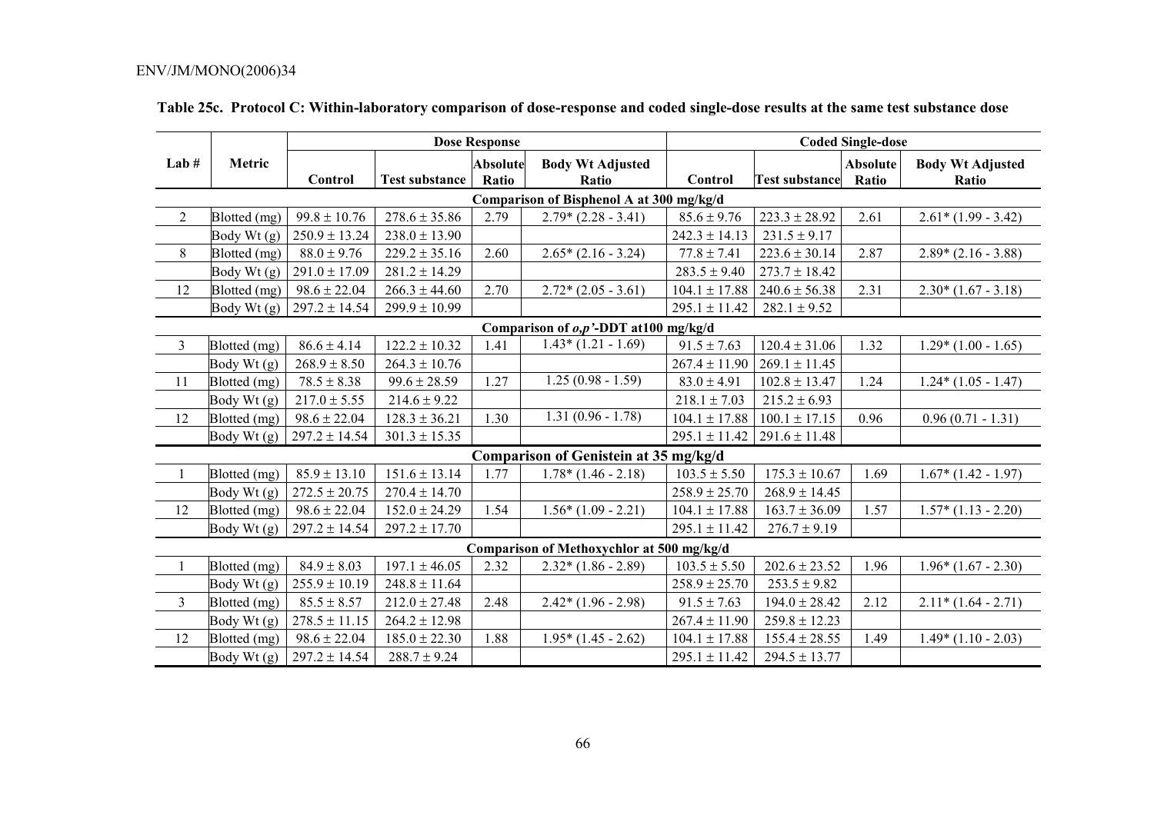|                |               |                   |                       | <b>Dose Response</b>     |                                           | <b>Coded Single-dose</b> |                       |                   |                                  |  |
|----------------|---------------|-------------------|-----------------------|--------------------------|-------------------------------------------|--------------------------|-----------------------|-------------------|----------------------------------|--|
| Lab#           | Metric        | Control           | <b>Test substance</b> | <b>Absolute</b><br>Ratio | <b>Body Wt Adjusted</b><br>Ratio          | Control                  | <b>Test substance</b> | Absolute<br>Ratio | <b>Body Wt Adjusted</b><br>Ratio |  |
|                |               |                   |                       |                          | Comparison of Bisphenol A at 300 mg/kg/d  |                          |                       |                   |                                  |  |
| $\sqrt{2}$     | Blotted (mg)  | $99.8 \pm 10.76$  | $278.6 \pm 35.86$     | 2.79                     | $2.79*(2.28 - 3.41)$                      | $85.6 \pm 9.76$          | $223.3 \pm 28.92$     | 2.61              | $2.61*(1.99 - 3.42)$             |  |
|                | Body Wt(g)    | $250.9 \pm 13.24$ | $238.0 \pm 13.90$     |                          |                                           | $242.3 \pm 14.13$        | $231.5 \pm 9.17$      |                   |                                  |  |
| $8\,$          | Blotted (mg)  | $88.0 \pm 9.76$   | $229.2 \pm 35.16$     | 2.60                     | $2.65*(2.16 - 3.24)$                      | $77.8 \pm 7.41$          | $223.6 \pm 30.14$     | 2.87              | $2.89*(2.16 - 3.88)$             |  |
|                | Body Wt $(g)$ | $291.0 \pm 17.09$ | $281.2 \pm 14.29$     |                          |                                           | $283.5 \pm 9.40$         | $273.7 \pm 18.42$     |                   |                                  |  |
| 12             | Blotted (mg)  | $98.6 \pm 22.04$  | $266.3 \pm 44.60$     | 2.70                     | $2.72*(2.05 - 3.61)$                      | $104.1 \pm 17.88$        | $240.6 \pm 56.38$     | 2.31              | $2.30*(1.67 - 3.18)$             |  |
|                | Body Wt(g)    | $297.2 \pm 14.54$ | $299.9 \pm 10.99$     |                          |                                           | $295.1 \pm 11.42$        | $282.1 \pm 9.52$      |                   |                                  |  |
|                |               |                   |                       |                          | Comparison of $o, p'$ -DDT at 100 mg/kg/d |                          |                       |                   |                                  |  |
| $\overline{3}$ | Blotted (mg)  | $86.6 \pm 4.14$   | $122.2 \pm 10.32$     | 1.41                     | $1.43*(1.21 - 1.69)$                      | $91.5 \pm 7.63$          | $120.4 \pm 31.06$     | 1.32              | $1.29*(1.00 - 1.65)$             |  |
|                | Body Wt(g)    | $268.9 \pm 8.50$  | $264.3 \pm 10.76$     |                          |                                           | $267.4 \pm 11.90$        | $269.1 \pm 11.45$     |                   |                                  |  |
| 11             | Blotted (mg)  | $78.5 \pm 8.38$   | $99.6 \pm 28.59$      | 1.27                     | $1.25(0.98 - 1.59)$                       | $83.0 \pm 4.91$          | $102.8 \pm 13.47$     | 1.24              | $1.24*(1.05 - 1.47)$             |  |
|                | Body Wt(g)    | $217.0 \pm 5.55$  | $214.6 \pm 9.22$      |                          |                                           | $218.1 \pm 7.03$         | $215.2 \pm 6.93$      |                   |                                  |  |
| 12             | Blotted (mg)  | $98.6 \pm 22.04$  | $128.3 \pm 36.21$     | 1.30                     | $1.31(0.96 - 1.78)$                       | $104.1 \pm 17.88$        | $100.1 \pm 17.15$     | 0.96              | $0.96(0.71 - 1.31)$              |  |
|                | Body Wt(g)    | $297.2 \pm 14.54$ | $301.3 \pm 15.35$     |                          |                                           | $295.1 \pm 11.42$        | $291.6 \pm 11.48$     |                   |                                  |  |
|                |               |                   |                       |                          | Comparison of Genistein at 35 mg/kg/d     |                          |                       |                   |                                  |  |
|                | Blotted (mg)  | $85.9 \pm 13.10$  | $151.6 \pm 13.14$     | 1.77                     | $1.78*(1.46 - 2.18)$                      | $103.5 \pm 5.50$         | $175.3 \pm 10.67$     | 1.69              | $1.67*(1.42 - 1.97)$             |  |
|                | Body Wt(g)    | $272.5 \pm 20.75$ | $270.4 \pm 14.70$     |                          |                                           | $258.9 \pm 25.70$        | $268.9 \pm 14.45$     |                   |                                  |  |
| 12             | Blotted (mg)  | $98.6 \pm 22.04$  | $152.0 \pm 24.29$     | 1.54                     | $1.56*(1.09 - 2.21)$                      | $104.1 \pm 17.88$        | $163.7 \pm 36.09$     | 1.57              | $1.57*(1.13 - 2.20)$             |  |
|                | Body Wt $(g)$ | $297.2 \pm 14.54$ | $297.2 \pm 17.70$     |                          |                                           | $295.1 \pm 11.42$        | $276.7 \pm 9.19$      |                   |                                  |  |
|                |               |                   |                       |                          | Comparison of Methoxychlor at 500 mg/kg/d |                          |                       |                   |                                  |  |
| $\overline{1}$ | Blotted (mg)  | $84.9 \pm 8.03$   | $197.1 \pm 46.05$     | 2.32                     | $2.32*(1.86 - 2.89)$                      | $103.5 \pm 5.50$         | $202.6 \pm 23.52$     | 1.96              | $1.96*(1.67 - 2.30)$             |  |
|                | Body Wt $(g)$ | $255.9 \pm 10.19$ | $248.8 \pm 11.64$     |                          |                                           | $258.9 \pm 25.70$        | $253.5 \pm 9.82$      |                   |                                  |  |
| $\overline{3}$ | Blotted (mg)  | $85.5 \pm 8.57$   | $212.0 \pm 27.48$     | 2.48                     | $2.42*(1.96 - 2.98)$                      | $91.5 \pm 7.63$          | $194.0 \pm 28.42$     | 2.12              | $2.11*(1.64 - 2.71)$             |  |
|                | Body Wt $(g)$ | $278.5 \pm 11.15$ | $264.2 \pm 12.98$     |                          |                                           | $267.4 \pm 11.90$        | $259.8 \pm 12.23$     |                   |                                  |  |
| 12             | Blotted (mg)  | $98.6 \pm 22.04$  | $185.0 \pm 22.30$     | 1.88                     | $1.95*(1.45 - 2.62)$                      | $104.1 \pm 17.88$        | $155.4 \pm 28.55$     | 1.49              | $1.49*(1.10 - 2.03)$             |  |
|                | Body Wt $(g)$ | $297.2 \pm 14.54$ | $288.7 \pm 9.24$      |                          |                                           | $295.1 \pm 11.42$        | $294.5 \pm 13.77$     |                   |                                  |  |

| Table 25c. Protocol C: Within-laboratory comparison of dose-response and coded single-dose results at the same test substance dose |  |  |  |  |  |  |  |  |  |
|------------------------------------------------------------------------------------------------------------------------------------|--|--|--|--|--|--|--|--|--|
|------------------------------------------------------------------------------------------------------------------------------------|--|--|--|--|--|--|--|--|--|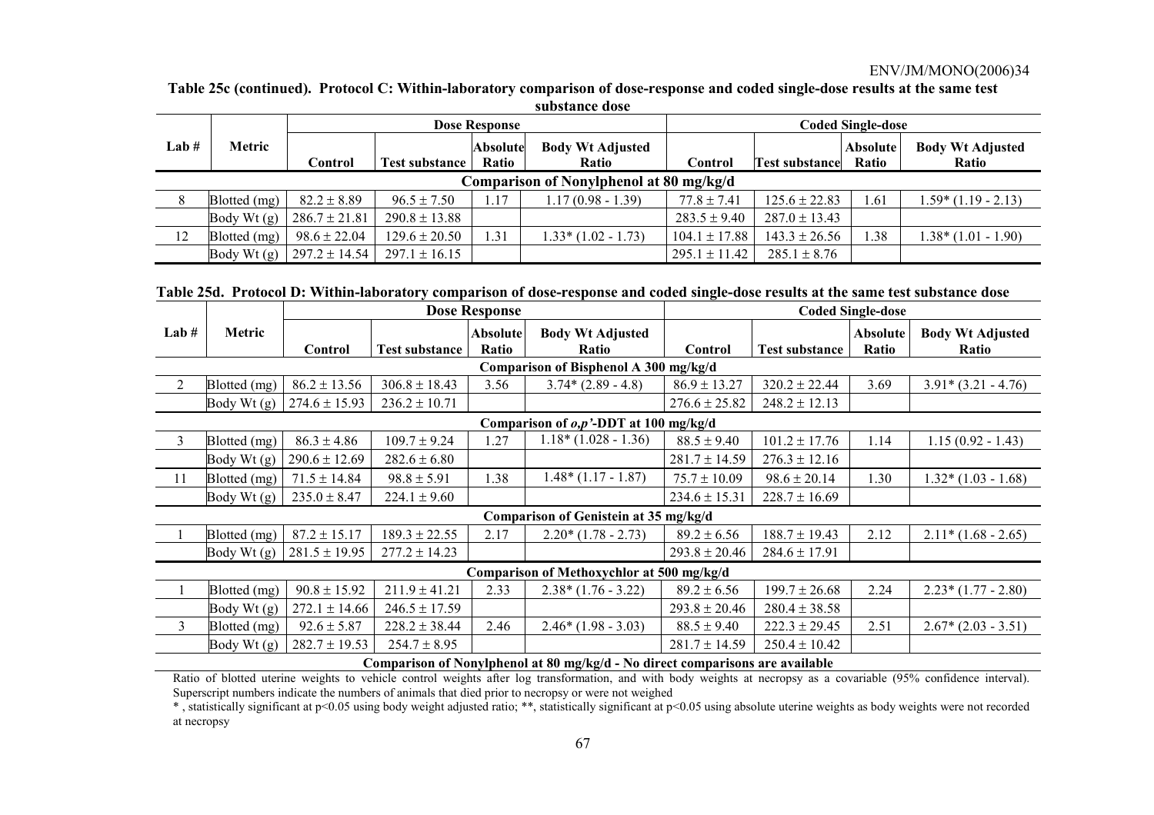**Table 25c (continued). Protocol C: Within-laboratory comparison of dose-response and coded single-dose results at the same test** 

|      |               |                   |                       | <b>Dose Response</b> |                                         | <b>Coded Single-dose</b> |                       |                 |                         |
|------|---------------|-------------------|-----------------------|----------------------|-----------------------------------------|--------------------------|-----------------------|-----------------|-------------------------|
| Lab# | Metric        |                   |                       | Absolute             | <b>Body Wt Adjusted</b>                 |                          |                       | <b>Absolute</b> | <b>Body Wt Adjusted</b> |
|      |               | Control           | <b>Test substance</b> | Ratio                | <b>Ratio</b>                            | Control                  | <b>Test substance</b> | Ratio           | Ratio                   |
|      |               |                   |                       |                      | Comparison of Nonylphenol at 80 mg/kg/d |                          |                       |                 |                         |
| 8    | Blotted (mg)  | $82.2 \pm 8.89$   | $96.5 \pm 7.50$       | 1.17                 | $1.17(0.98 - 1.39)$                     | $77.8 \pm 7.41$          | $125.6 \pm 22.83$     | 1.61            | $1.59*(1.19 - 2.13)$    |
|      | Body Wt $(g)$ | $286.7 \pm 21.81$ | $290.8 \pm 13.88$     |                      |                                         | $283.5 \pm 9.40$         | $287.0 \pm 13.43$     |                 |                         |
| 12   | Blotted (mg)  | $98.6 \pm 22.04$  | $129.6 \pm 20.50$     | 1.31                 | $1.33*(1.02 - 1.73)$                    | $104.1 \pm 17.88$        | $143.3 \pm 26.56$     | 1.38            | $1.38*(1.01 - 1.90)$    |
|      | Body Wt $(g)$ | $297.2 \pm 14.54$ | $297.1 \pm 16.15$     |                      |                                         | $295.1 \pm 11.42$        | $285.1 \pm 8.76$      |                 |                         |

#### **substance dose**

#### **Table 25d. Protocol D: Within-laboratory comparison of dose-response and coded single-dose results at the same test substance dose**

|                |               |                   |                       | <b>Dose Response</b>     |                                                                               |                   | <b>Coded Single-dose</b> |                   |                                  |  |
|----------------|---------------|-------------------|-----------------------|--------------------------|-------------------------------------------------------------------------------|-------------------|--------------------------|-------------------|----------------------------------|--|
| Lab#           | <b>Metric</b> | Control           | <b>Test substance</b> | <b>Absolute</b><br>Ratio | <b>Body Wt Adjusted</b><br>Ratio                                              | Control           | <b>Test substance</b>    | Absolute<br>Ratio | <b>Body Wt Adjusted</b><br>Ratio |  |
|                |               |                   |                       |                          | Comparison of Bisphenol A 300 mg/kg/d                                         |                   |                          |                   |                                  |  |
| 2              | Blotted (mg)  | $86.2 \pm 13.56$  | $306.8 \pm 18.43$     | 3.56                     | $3.74*(2.89 - 4.8)$                                                           | $86.9 \pm 13.27$  | $320.2 \pm 22.44$        | 3.69              | $3.91*(3.21 - 4.76)$             |  |
|                | Body Wt(g)    | $274.6 \pm 15.93$ | $236.2 \pm 10.71$     |                          |                                                                               | $276.6 \pm 25.82$ | $248.2 \pm 12.13$        |                   |                                  |  |
|                |               |                   |                       |                          | Comparison of $o, p'$ -DDT at 100 mg/kg/d                                     |                   |                          |                   |                                  |  |
| 3              | Blotted (mg)  | $86.3 \pm 4.86$   | $109.7 \pm 9.24$      | 1.27                     | $1.18*(1.028 - 1.36)$                                                         | $88.5 \pm 9.40$   | $101.2 \pm 17.76$        | 1.14              | $1.15(0.92 - 1.43)$              |  |
|                | Body Wt(g)    | $290.6 \pm 12.69$ | $282.6 \pm 6.80$      |                          |                                                                               | $281.7 \pm 14.59$ | $276.3 \pm 12.16$        |                   |                                  |  |
| -11            | Blotted (mg)  | $71.5 \pm 14.84$  | $98.8 \pm 5.91$       | 1.38                     | $1.48*(1.17 - 1.87)$                                                          | $75.7 \pm 10.09$  | $98.6 \pm 20.14$         | 1.30              | $1.32*(1.03 - 1.68)$             |  |
|                | Body Wt(g)    | $235.0 \pm 8.47$  | $224.1 \pm 9.60$      |                          |                                                                               | $234.6 \pm 15.31$ | $228.7 \pm 16.69$        |                   |                                  |  |
|                |               |                   |                       |                          | Comparison of Genistein at 35 mg/kg/d                                         |                   |                          |                   |                                  |  |
|                | Blotted (mg)  | $87.2 \pm 15.17$  | $189.3 \pm 22.55$     | 2.17                     | $2.20*(1.78 - 2.73)$                                                          | $89.2 \pm 6.56$   | $188.7 \pm 19.43$        | 2.12              | $2.11*(1.68 - 2.65)$             |  |
|                | Body Wt $(g)$ | $281.5 \pm 19.95$ | $277.2 \pm 14.23$     |                          |                                                                               | $293.8 \pm 20.46$ | $284.6 \pm 17.91$        |                   |                                  |  |
|                |               |                   |                       |                          | Comparison of Methoxychlor at 500 mg/kg/d                                     |                   |                          |                   |                                  |  |
|                | Blotted (mg)  | $90.8 \pm 15.92$  | $211.9 \pm 41.21$     | 2.33                     | $2.38*(1.76 - 3.22)$                                                          | $89.2 \pm 6.56$   | $199.7 \pm 26.68$        | 2.24              | $2.23*(1.77-2.80)$               |  |
|                | Body Wt $(g)$ | $272.1 \pm 14.66$ | $246.5 \pm 17.59$     |                          |                                                                               | $293.8 \pm 20.46$ | $280.4 \pm 38.58$        |                   |                                  |  |
| $\mathfrak{Z}$ | Blotted (mg)  | $92.6 \pm 5.87$   | $228.2 \pm 38.44$     | 2.46                     | $2.46*(1.98 - 3.03)$                                                          | $88.5 \pm 9.40$   | $222.3 \pm 29.45$        | 2.51              | $2.67*(2.03 - 3.51)$             |  |
|                | Body Wt(g)    | $282.7 \pm 19.53$ | $254.7 \pm 8.95$      |                          |                                                                               | $281.7 \pm 14.59$ | $250.4 \pm 10.42$        |                   |                                  |  |
|                |               |                   |                       |                          | Comparison of Monetakonal at 00 mo/lea/d. No diment comparisons are acceleble |                   |                          |                   |                                  |  |

#### **Comparison of Nonylphenol at 80 mg/kg/d - No direct comparisons are available**

Ratio of blotted uterine weights to vehicle control weights after log transformation, and with body weights at necropsy as a covariable (95% confidence interval). Superscript numbers indicate the numbers of animals that died prior to necropsy or were not weighed

\* , statistically significant at p<0.05 using body weight adjusted ratio; \*\*, statistically significant at p<0.05 using absolute uterine weights as body weights were not recorded at necropsy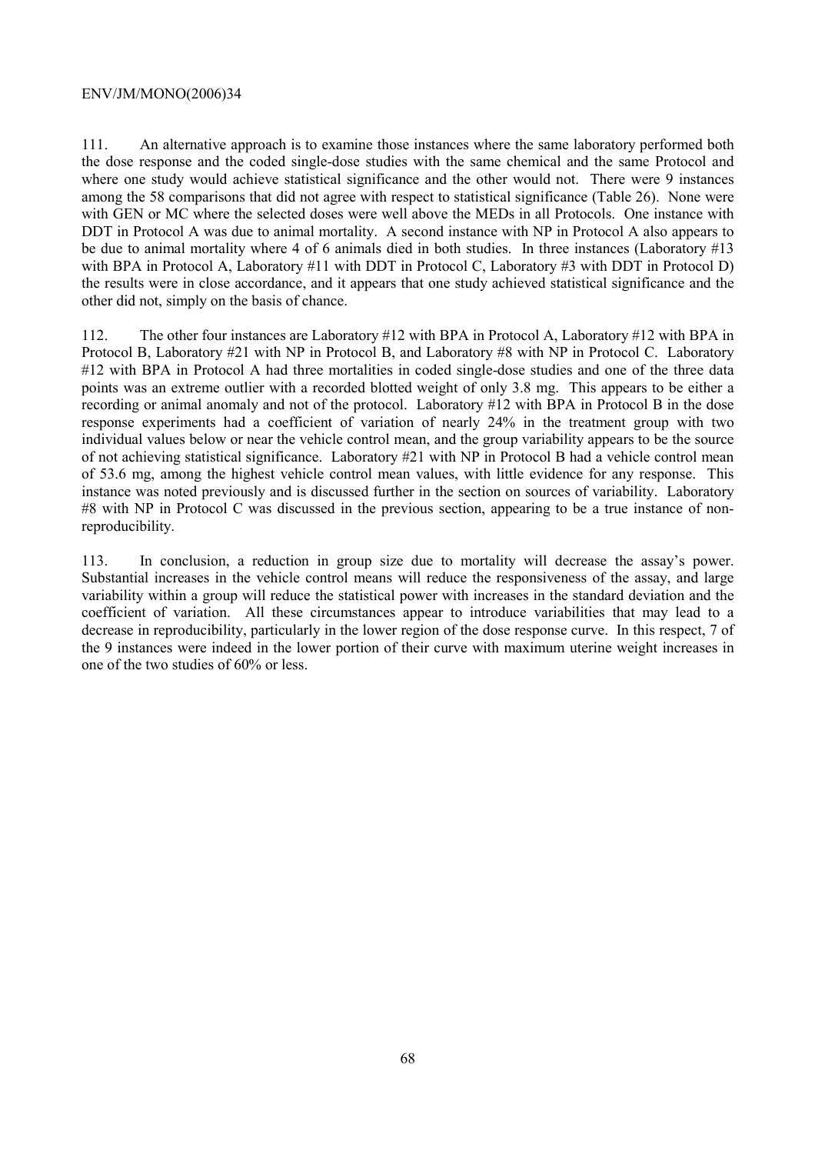111. An alternative approach is to examine those instances where the same laboratory performed both the dose response and the coded single-dose studies with the same chemical and the same Protocol and where one study would achieve statistical significance and the other would not. There were 9 instances among the 58 comparisons that did not agree with respect to statistical significance (Table 26). None were with GEN or MC where the selected doses were well above the MEDs in all Protocols. One instance with DDT in Protocol A was due to animal mortality. A second instance with NP in Protocol A also appears to be due to animal mortality where 4 of 6 animals died in both studies. In three instances (Laboratory #13 with BPA in Protocol A, Laboratory #11 with DDT in Protocol C, Laboratory #3 with DDT in Protocol D) the results were in close accordance, and it appears that one study achieved statistical significance and the other did not, simply on the basis of chance.

112. The other four instances are Laboratory #12 with BPA in Protocol A, Laboratory #12 with BPA in Protocol B, Laboratory #21 with NP in Protocol B, and Laboratory #8 with NP in Protocol C. Laboratory #12 with BPA in Protocol A had three mortalities in coded single-dose studies and one of the three data points was an extreme outlier with a recorded blotted weight of only 3.8 mg. This appears to be either a recording or animal anomaly and not of the protocol. Laboratory #12 with BPA in Protocol B in the dose response experiments had a coefficient of variation of nearly 24% in the treatment group with two individual values below or near the vehicle control mean, and the group variability appears to be the source of not achieving statistical significance. Laboratory #21 with NP in Protocol B had a vehicle control mean of 53.6 mg, among the highest vehicle control mean values, with little evidence for any response. This instance was noted previously and is discussed further in the section on sources of variability. Laboratory #8 with NP in Protocol C was discussed in the previous section, appearing to be a true instance of nonreproducibility.

113. In conclusion, a reduction in group size due to mortality will decrease the assay's power. Substantial increases in the vehicle control means will reduce the responsiveness of the assay, and large variability within a group will reduce the statistical power with increases in the standard deviation and the coefficient of variation. All these circumstances appear to introduce variabilities that may lead to a decrease in reproducibility, particularly in the lower region of the dose response curve. In this respect, 7 of the 9 instances were indeed in the lower portion of their curve with maximum uterine weight increases in one of the two studies of 60% or less.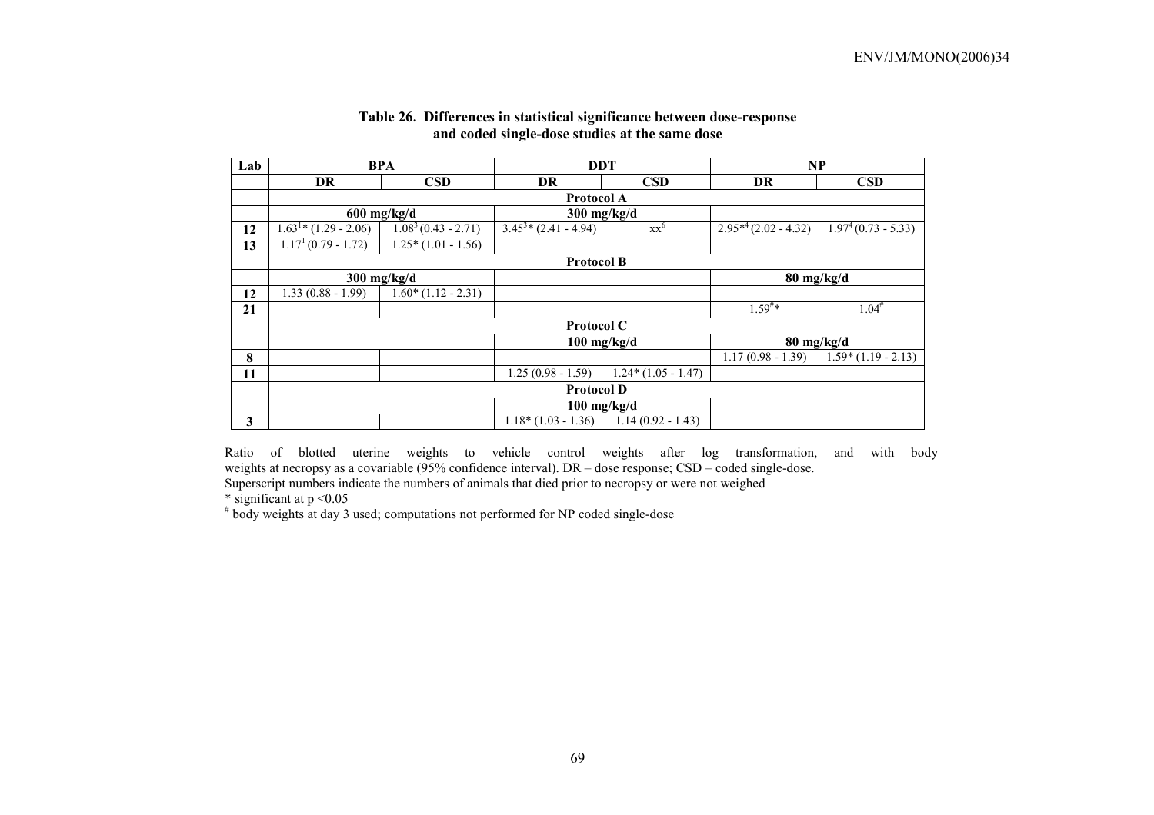| Lab |                          | <b>BPA</b>                    | <b>DDT</b>               |                      | <b>NP</b>                |                                |  |  |  |  |
|-----|--------------------------|-------------------------------|--------------------------|----------------------|--------------------------|--------------------------------|--|--|--|--|
|     | DR                       | <b>CSD</b>                    | <b>DR</b>                | $\mathbf{CSD}$       | DR                       | <b>CSD</b>                     |  |  |  |  |
|     |                          |                               | <b>Protocol A</b>        |                      |                          |                                |  |  |  |  |
|     |                          | $600$ mg/kg/d                 | $300$ mg/kg/d            |                      |                          |                                |  |  |  |  |
| 12  | $1.63^{1*}(1.29 - 2.06)$ | $1.08^{3}(0.43 - 2.71)$       | $3.45^{3}*(2.41 - 4.94)$ | $XX^6$               | $2.95*^{4}(2.02 - 4.32)$ | $\overline{1.97^4(0.73-5.33)}$ |  |  |  |  |
| 13  | $1.17^{1}(0.79 - 1.72)$  | $1.25*(1.01 - 1.56)$          |                          |                      |                          |                                |  |  |  |  |
|     |                          |                               | <b>Protocol B</b>        |                      |                          |                                |  |  |  |  |
|     |                          | $80$ mg/kg/d<br>$300$ mg/kg/d |                          |                      |                          |                                |  |  |  |  |
| 12  | $1.33(0.88 - 1.99)$      | $1.60*(1.12 - 2.31)$          |                          |                      |                          |                                |  |  |  |  |
| 21  |                          |                               |                          |                      | $1.59^{\text{*}}*$       | $1.04^{\#}$                    |  |  |  |  |
|     |                          |                               | <b>Protocol C</b>        |                      |                          |                                |  |  |  |  |
|     |                          |                               | $100$ mg/kg/d            |                      | $80 \text{ mg/kg/d}$     |                                |  |  |  |  |
| 8   |                          |                               |                          |                      | $1.17(0.98 - 1.39)$      | $1.59*(1.19 - 2.13)$           |  |  |  |  |
| 11  |                          |                               | $1.25(0.98 - 1.59)$      | $1.24*(1.05 - 1.47)$ |                          |                                |  |  |  |  |
|     |                          | <b>Protocol D</b>             |                          |                      |                          |                                |  |  |  |  |
|     |                          |                               | $100$ mg/kg/d            |                      |                          |                                |  |  |  |  |
| 3   |                          |                               | $1.18*(1.03 - 1.36)$     | $1.14(0.92 - 1.43)$  |                          |                                |  |  |  |  |

#### **Table 26. Differences in statistical significance between dose-response and coded single-dose studies at the same dose**

 Ratio of blotted uterine weights to vehicle control weights after log transformation, and with body weights at necropsy as a covariable (95% confidence interval).  $DR -$  dose response;  $CSD -$  coded single-dose.

Superscript numbers indicate the numbers of animals that died prior to necropsy or were not weighed

 $*$  significant at p < 0.05

# body weights at day 3 used; computations not performed for NP coded single-dose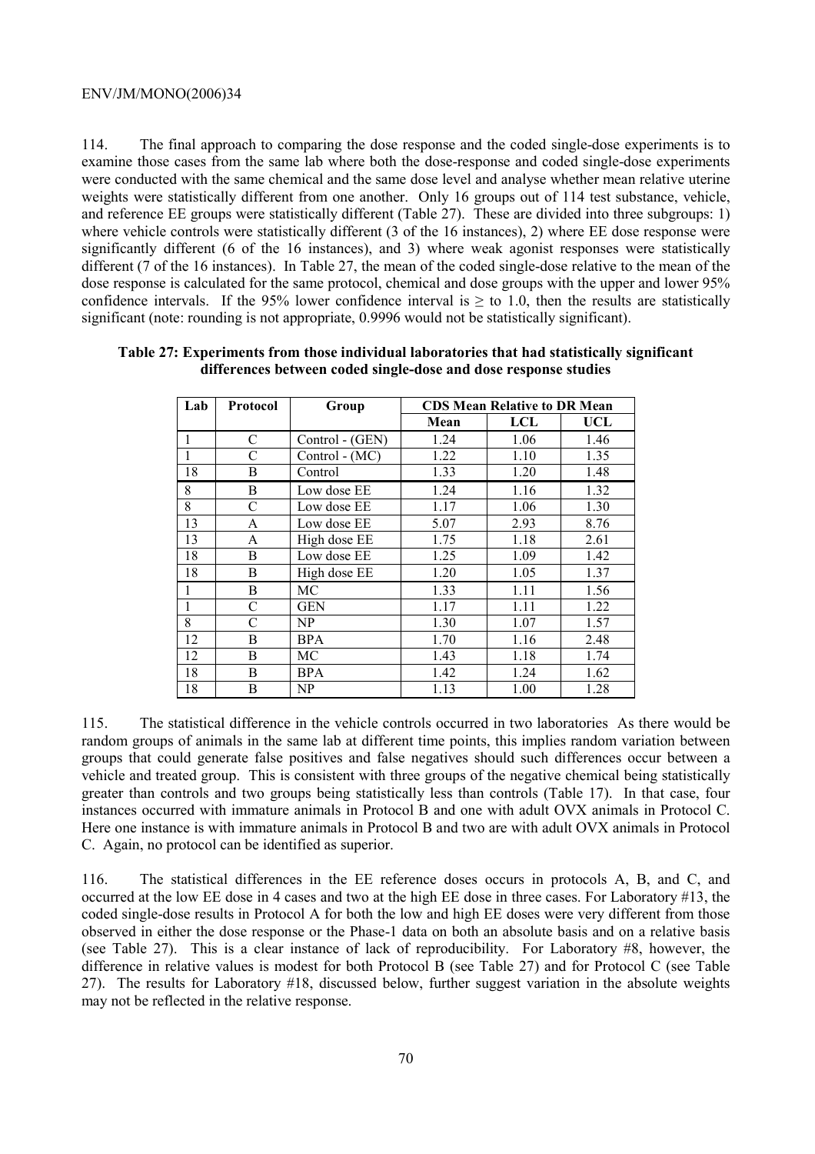114. The final approach to comparing the dose response and the coded single-dose experiments is to examine those cases from the same lab where both the dose-response and coded single-dose experiments were conducted with the same chemical and the same dose level and analyse whether mean relative uterine weights were statistically different from one another. Only 16 groups out of 114 test substance, vehicle, and reference EE groups were statistically different (Table 27). These are divided into three subgroups: 1) where vehicle controls were statistically different (3 of the 16 instances), 2) where EE dose response were significantly different (6 of the 16 instances), and 3) where weak agonist responses were statistically different (7 of the 16 instances). In Table 27, the mean of the coded single-dose relative to the mean of the dose response is calculated for the same protocol, chemical and dose groups with the upper and lower 95% confidence intervals. If the 95% lower confidence interval is  $\geq$  to 1.0, then the results are statistically significant (note: rounding is not appropriate, 0.9996 would not be statistically significant).

| Lab | Protocol      | Group           |      | <b>CDS Mean Relative to DR Mean</b> |            |
|-----|---------------|-----------------|------|-------------------------------------|------------|
|     |               |                 | Mean | LCL                                 | <b>UCL</b> |
|     | C             | Control - (GEN) | 1.24 | 1.06                                | 1.46       |
|     | C             | Control - (MC)  | 1.22 | 1.10                                | 1.35       |
| 18  | B             | Control         | 1.33 | 1.20                                | 1.48       |
| 8   | B             | Low dose EE     | 1.24 | 1.16                                | 1.32       |
| 8   | $\mathcal{C}$ | Low dose EE     | 1.17 | 1.06                                | 1.30       |
| 13  | A             | Low dose EE     | 5.07 | 2.93                                | 8.76       |
| 13  | A             | High dose EE    | 1.75 | 1.18                                | 2.61       |
| 18  | B             | Low dose EE     | 1.25 | 1.09                                | 1.42       |
| 18  | B             | High dose EE    | 1.20 | 1.05                                | 1.37       |
|     | B             | MC              | 1.33 | 1.11                                | 1.56       |
|     | $\mathbf C$   | <b>GEN</b>      | 1.17 | 1.11                                | 1.22       |
| 8   | $\mathcal{C}$ | NP              | 1.30 | 1.07                                | 1.57       |
| 12  | B             | <b>BPA</b>      | 1.70 | 1.16                                | 2.48       |
| 12  | B             | МC              | 1.43 | 1.18                                | 1.74       |
| 18  | B             | <b>BPA</b>      | 1.42 | 1.24                                | 1.62       |
| 18  | B             | NP              | 1.13 | 1.00                                | 1.28       |

**Table 27: Experiments from those individual laboratories that had statistically significant differences between coded single-dose and dose response studies** 

115. The statistical difference in the vehicle controls occurred in two laboratories As there would be random groups of animals in the same lab at different time points, this implies random variation between groups that could generate false positives and false negatives should such differences occur between a vehicle and treated group. This is consistent with three groups of the negative chemical being statistically greater than controls and two groups being statistically less than controls (Table 17). In that case, four instances occurred with immature animals in Protocol B and one with adult OVX animals in Protocol C. Here one instance is with immature animals in Protocol B and two are with adult OVX animals in Protocol C. Again, no protocol can be identified as superior.

116. The statistical differences in the EE reference doses occurs in protocols A, B, and C, and occurred at the low EE dose in 4 cases and two at the high EE dose in three cases. For Laboratory #13, the coded single-dose results in Protocol A for both the low and high EE doses were very different from those observed in either the dose response or the Phase-1 data on both an absolute basis and on a relative basis (see Table 27). This is a clear instance of lack of reproducibility. For Laboratory #8, however, the difference in relative values is modest for both Protocol B (see Table 27) and for Protocol C (see Table 27). The results for Laboratory #18, discussed below, further suggest variation in the absolute weights may not be reflected in the relative response.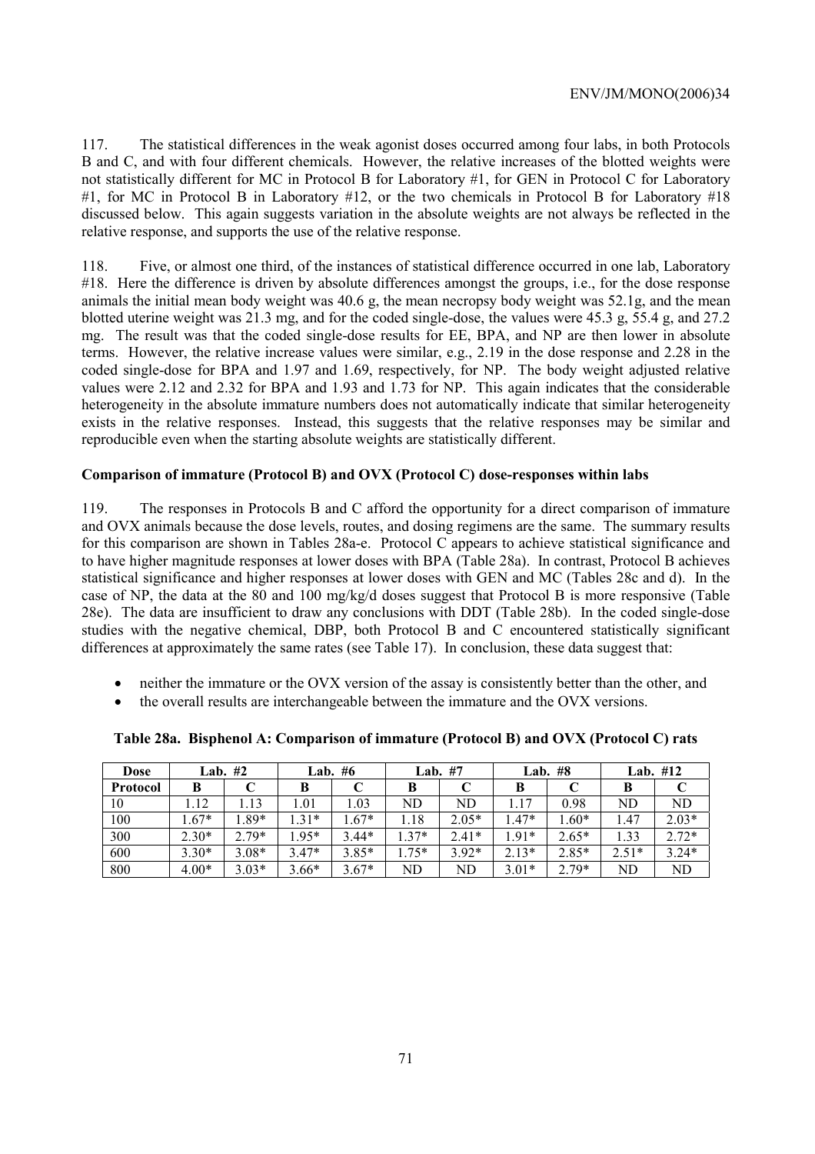117. The statistical differences in the weak agonist doses occurred among four labs, in both Protocols B and C, and with four different chemicals. However, the relative increases of the blotted weights were not statistically different for MC in Protocol B for Laboratory #1, for GEN in Protocol C for Laboratory #1, for MC in Protocol B in Laboratory #12, or the two chemicals in Protocol B for Laboratory #18 discussed below. This again suggests variation in the absolute weights are not always be reflected in the relative response, and supports the use of the relative response.

118. Five, or almost one third, of the instances of statistical difference occurred in one lab, Laboratory #18. Here the difference is driven by absolute differences amongst the groups, i.e., for the dose response animals the initial mean body weight was 40.6 g, the mean necropsy body weight was 52.1g, and the mean blotted uterine weight was 21.3 mg, and for the coded single-dose, the values were 45.3 g, 55.4 g, and 27.2 mg. The result was that the coded single-dose results for EE, BPA, and NP are then lower in absolute terms. However, the relative increase values were similar, e.g., 2.19 in the dose response and 2.28 in the coded single-dose for BPA and 1.97 and 1.69, respectively, for NP. The body weight adjusted relative values were 2.12 and 2.32 for BPA and 1.93 and 1.73 for NP. This again indicates that the considerable heterogeneity in the absolute immature numbers does not automatically indicate that similar heterogeneity exists in the relative responses. Instead, this suggests that the relative responses may be similar and reproducible even when the starting absolute weights are statistically different.

# **Comparison of immature (Protocol B) and OVX (Protocol C) dose-responses within labs**

119. The responses in Protocols B and C afford the opportunity for a direct comparison of immature and OVX animals because the dose levels, routes, and dosing regimens are the same. The summary results for this comparison are shown in Tables 28a-e. Protocol C appears to achieve statistical significance and to have higher magnitude responses at lower doses with BPA (Table 28a). In contrast, Protocol B achieves statistical significance and higher responses at lower doses with GEN and MC (Tables 28c and d). In the case of NP, the data at the 80 and 100 mg/kg/d doses suggest that Protocol B is more responsive (Table 28e). The data are insufficient to draw any conclusions with DDT (Table 28b). In the coded single-dose studies with the negative chemical, DBP, both Protocol B and C encountered statistically significant differences at approximately the same rates (see Table 17). In conclusion, these data suggest that:

- neither the immature or the OVX version of the assay is consistently better than the other, and
- the overall results are interchangeable between the immature and the OVX versions.

| Dose            |         | Lab. $#2$ |         | Lab. #6          | Lab.    | #7      |         | Lab. $#8$ |         | Lab. $#12$ |
|-----------------|---------|-----------|---------|------------------|---------|---------|---------|-----------|---------|------------|
| <b>Protocol</b> | B       |           | В       |                  | B       |         | B       |           |         |            |
| 10              | l.12    | 1.13      | 1.01    | L <sub>0</sub> 3 | ND      | ND      | 1.17    | 0.98      | ND      | ND         |
| 100             | $.67*$  | l.89*     | $.31*$  | $.67*$           | 1.18    | $2.05*$ | $.47*$  | $.60*$    | 1.47    | $2.03*$    |
| 300             | $2.30*$ | $2.79*$   | $.95*$  | $3.44*$          | $1.37*$ | $2.41*$ | $1.91*$ | $2.65*$   | 1.33    | $2.72*$    |
| 600             | $3.30*$ | $3.08*$   | $3.47*$ | $3.85*$          | $1.75*$ | $3.92*$ | $2.13*$ | $2.85*$   | $2.51*$ | $3.24*$    |
| 800             | $4.00*$ | $3.03*$   | $3.66*$ | $3.67*$          | ND      | ND      | $3.01*$ | $2.79*$   | ND      | ND         |

**Table 28a. Bisphenol A: Comparison of immature (Protocol B) and OVX (Protocol C) rats**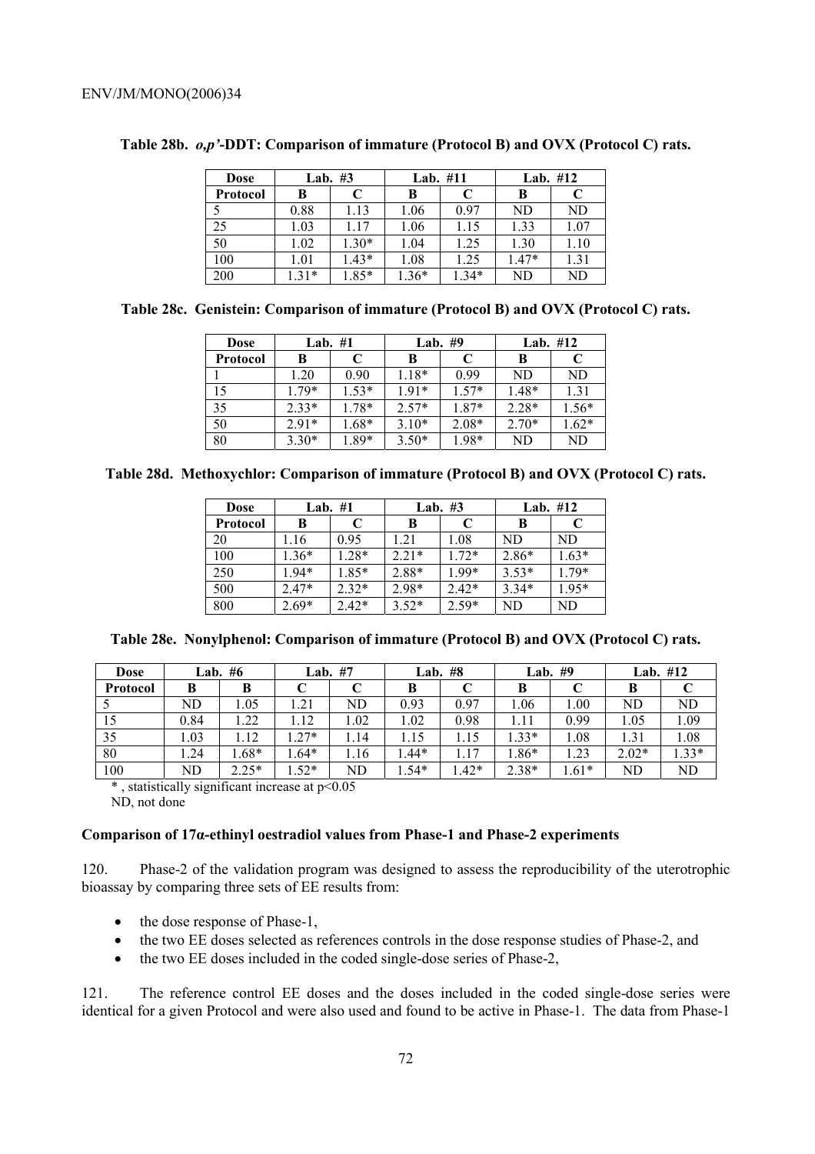| <b>Dose</b>     | Lab. $#3$ |         | Lab. $#11$ |        |         | Lab. $#12$ |
|-----------------|-----------|---------|------------|--------|---------|------------|
| <b>Protocol</b> | В         | C       | В          |        | В       |            |
|                 | 0.88      | 1.13    | 1.06       | 0.97   | ND      | ND         |
| 25              | 1.03      | 1.17    | 1.06       | 1.15   | 1.33    | 1.07       |
| 50              | 1.02      | $1.30*$ | 1.04       | 1.25   | 1.30    | 1.10       |
| 100             | 1.01      | $1.43*$ | 1.08       | 1.25   | $1.47*$ | 1.31       |
| 200             | $1.31*$   | 1.85*   | $1.36*$    | $.34*$ | ND      | ND         |

Table 28b.  $\rho$ ,  $\rho$ <sup>2</sup>-DDT: Comparison of immature (Protocol B) and OVX (Protocol C) rats.

|  |  |  | Table 28c. Genistein: Comparison of immature (Protocol B) and OVX (Protocol C) rats. |  |  |  |  |
|--|--|--|--------------------------------------------------------------------------------------|--|--|--|--|
|--|--|--|--------------------------------------------------------------------------------------|--|--|--|--|

| <b>Dose</b> | Lab. $#1$ |         |         | Lab. $#9$ | Lab. $#12$ |         |
|-------------|-----------|---------|---------|-----------|------------|---------|
| Protocol    | в         | C       | В       |           | В          |         |
|             | 1.20      | 0.90    | $1.18*$ | 0.99      | ND         | ND      |
| 15          | $1.79*$   | $1.53*$ | $1.91*$ | $1.57*$   | $1.48*$    | 1.31    |
| 35          | $2.33*$   | $1.78*$ | $2.57*$ | 1.87*     | $2.28*$    | $1.56*$ |
| 50          | $2.91*$   | 1.68*   | $3.10*$ | $2.08*$   | $2.70*$    | $1.62*$ |
| 80          | $3.30*$   | 1.89*   | $3.50*$ | 1.98*     | ND         | ND      |

| Table 28d. Methoxychlor: Comparison of immature (Protocol B) and OVX (Protocol C) rats. |  |  |  |
|-----------------------------------------------------------------------------------------|--|--|--|
|                                                                                         |  |  |  |

| Dose     |         | Lab. $#1$ |         | Lab. $#3$ |         | Lab. $#12$ |
|----------|---------|-----------|---------|-----------|---------|------------|
| Protocol | B       | C         | в       |           | В       |            |
| 20       | 1.16    | 0.95      | 1.21    | 1.08      | ND      | ND         |
| 100      | $1.36*$ | $1.28*$   | $2.21*$ | $1.72*$   | 2.86*   | $1.63*$    |
| 250      | 1.94*   | 1.85*     | 2.88*   | $1.99*$   | $3.53*$ | $1.79*$    |
| 500      | $2.47*$ | $2.32*$   | $2.98*$ | $2.42*$   | $3.34*$ | $1.95*$    |
| 800      | $2.69*$ | $2.42*$   | $3.52*$ | $2.59*$   | ND      | ND         |

**Table 28e. Nonylphenol: Comparison of immature (Protocol B) and OVX (Protocol C) rats.** 

| Dose     | <b>Lab.</b> #6 |         | <b>Lab.</b> #7 |      | Lab. $#8$ |         | Lab. #9 |          | Lab. $#12$ |         |
|----------|----------------|---------|----------------|------|-----------|---------|---------|----------|------------|---------|
| Protocol | B              | B       |                |      | B         |         | В       |          | B          |         |
|          | ND             | 1.05    | 1.21           | ND   | 0.93      | 0.97    | 0.06    | $1.00\,$ | ND         | ND      |
| 15       | 0.84           | .22     | 1.12           | 1.02 | 1.02      | 0.98    | 1.11    | 0.99     | 1.05       | 1.09    |
| 35       | 1.03           | .12     | $.27*$         | .14  | 1.15      | 1.15    | $.33*$  | 1.08     | 1.31       | 1.08    |
| 80       | .24            | $.68*$  | $.64*$         | 1.16 | $.44*$    | 1.17    | $.86*$  | 1.23     | $2.02*$    | $1.33*$ |
| 100      | ND             | $2.25*$ | $.52*$         | ND   | $1.54*$   | $4.42*$ | $2.38*$ | $1.61*$  | ND         | ND      |

 $*$ , statistically significant increase at  $p<0.05$ ND, not done

#### **Comparison of 17α-ethinyl oestradiol values from Phase-1 and Phase-2 experiments**

120. Phase-2 of the validation program was designed to assess the reproducibility of the uterotrophic bioassay by comparing three sets of EE results from:

- the dose response of Phase-1,
- the two EE doses selected as references controls in the dose response studies of Phase-2, and
- the two EE doses included in the coded single-dose series of Phase-2,

121. The reference control EE doses and the doses included in the coded single-dose series were identical for a given Protocol and were also used and found to be active in Phase-1. The data from Phase-1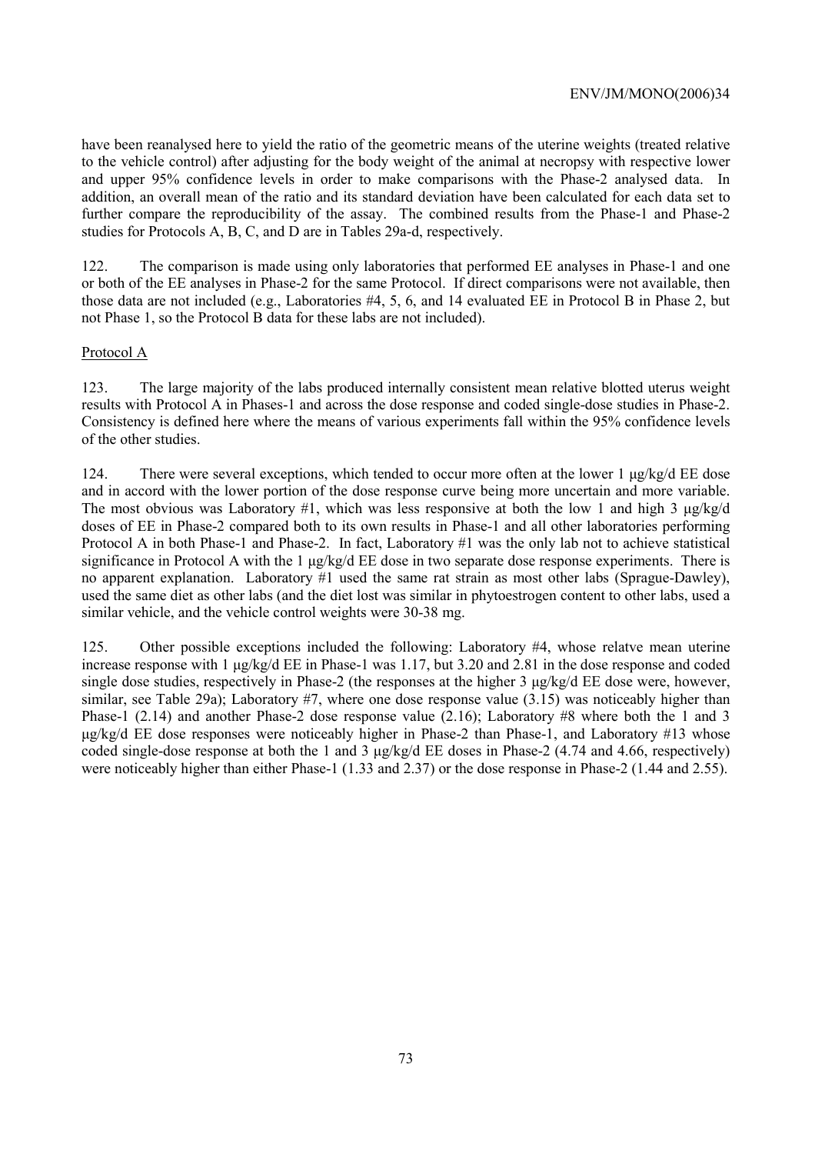have been reanalysed here to yield the ratio of the geometric means of the uterine weights (treated relative to the vehicle control) after adjusting for the body weight of the animal at necropsy with respective lower and upper 95% confidence levels in order to make comparisons with the Phase-2 analysed data. In addition, an overall mean of the ratio and its standard deviation have been calculated for each data set to further compare the reproducibility of the assay. The combined results from the Phase-1 and Phase-2 studies for Protocols A, B, C, and D are in Tables 29a-d, respectively.

122. The comparison is made using only laboratories that performed EE analyses in Phase-1 and one or both of the EE analyses in Phase-2 for the same Protocol. If direct comparisons were not available, then those data are not included (e.g., Laboratories #4, 5, 6, and 14 evaluated EE in Protocol B in Phase 2, but not Phase 1, so the Protocol B data for these labs are not included).

## Protocol A

123. The large majority of the labs produced internally consistent mean relative blotted uterus weight results with Protocol A in Phases-1 and across the dose response and coded single-dose studies in Phase-2. Consistency is defined here where the means of various experiments fall within the 95% confidence levels of the other studies.

124. There were several exceptions, which tended to occur more often at the lower 1 µg/kg/d EE dose and in accord with the lower portion of the dose response curve being more uncertain and more variable. The most obvious was Laboratory #1, which was less responsive at both the low 1 and high 3  $\mu$ g/kg/d doses of EE in Phase-2 compared both to its own results in Phase-1 and all other laboratories performing Protocol A in both Phase-1 and Phase-2. In fact, Laboratory #1 was the only lab not to achieve statistical significance in Protocol A with the  $1 \mu g/kg/d$  EE dose in two separate dose response experiments. There is no apparent explanation. Laboratory #1 used the same rat strain as most other labs (Sprague-Dawley), used the same diet as other labs (and the diet lost was similar in phytoestrogen content to other labs, used a similar vehicle, and the vehicle control weights were 30-38 mg.

125. Other possible exceptions included the following: Laboratory #4, whose relatve mean uterine increase response with 1 µg/kg/d EE in Phase-1 was 1.17, but 3.20 and 2.81 in the dose response and coded single dose studies, respectively in Phase-2 (the responses at the higher 3 µg/kg/d EE dose were, however, similar, see Table 29a); Laboratory  $#7$ , where one dose response value (3.15) was noticeably higher than Phase-1 (2.14) and another Phase-2 dose response value (2.16); Laboratory #8 where both the 1 and 3 µg/kg/d EE dose responses were noticeably higher in Phase-2 than Phase-1, and Laboratory #13 whose coded single-dose response at both the 1 and 3 µg/kg/d EE doses in Phase-2 (4.74 and 4.66, respectively) were noticeably higher than either Phase-1 (1.33 and 2.37) or the dose response in Phase-2 (1.44 and 2.55).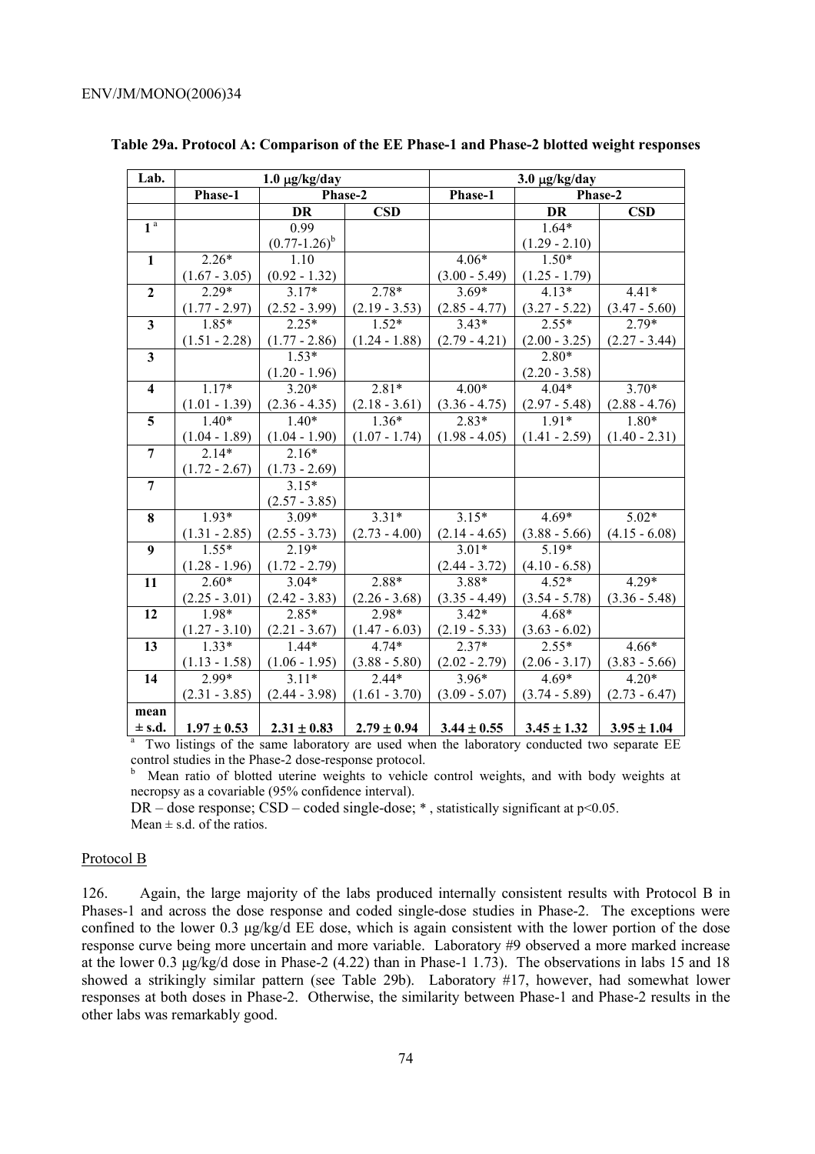| Lab.                    |                               | $1.0 \mu g/kg/day$                                          |                                                                                                         | $3.0 \mu g/kg/day$                                          |                                                               |                                  |  |
|-------------------------|-------------------------------|-------------------------------------------------------------|---------------------------------------------------------------------------------------------------------|-------------------------------------------------------------|---------------------------------------------------------------|----------------------------------|--|
|                         | Phase-1                       | Phase-2                                                     |                                                                                                         | Phase-1                                                     | Phase-2                                                       |                                  |  |
|                         |                               | DR                                                          | <b>CSD</b>                                                                                              |                                                             | DR                                                            | <b>CSD</b>                       |  |
| 1 <sup>a</sup>          |                               | 0.99                                                        |                                                                                                         |                                                             | $1.64*$                                                       |                                  |  |
|                         |                               | $(0.77-1.26)^{b}$                                           |                                                                                                         |                                                             | $(1.29 - 2.10)$                                               |                                  |  |
| $\mathbf{1}$            | $2.26*$                       | 1.10                                                        |                                                                                                         | $4.06*$                                                     | $1.50*$                                                       |                                  |  |
|                         | $(1.67 - 3.05)$               | $(0.92 - 1.32)$                                             |                                                                                                         | $\frac{(3.00 - 5.49)}{3.69*}$                               | $\frac{(1.25 - 1.79)}{4.13*}$                                 |                                  |  |
| $\overline{2}$          | $2.29*$                       | $3.17*$                                                     | $2.78*$                                                                                                 |                                                             |                                                               | $4.41*$                          |  |
|                         | $\frac{(1.77 - 2.97)}{1.85*}$ | $\frac{(2.52 - 3.99)}{2.25^*}$                              | $\frac{(2.19 - 3.53)}{1.52^*}$                                                                          | $\frac{(2.85 - 4.77)}{3.43*}$                               | $\frac{(3.27 - 5.22)}{2.55*}$                                 | $\frac{(3.47 - 5.60)}{2.79^{*}}$ |  |
| $\mathbf{3}$            |                               |                                                             |                                                                                                         |                                                             |                                                               |                                  |  |
|                         | $(1.51 - 2.28)$               | $\frac{(1.77 - 2.86)}{1.53*}$                               | $(1.24 - 1.88)$                                                                                         | $(2.79 - 4.21)$                                             | $\frac{(2.00 - 3.25)}{2.80*}$                                 | $(2.27 - 3.44)$                  |  |
| $\overline{\mathbf{3}}$ |                               |                                                             |                                                                                                         |                                                             |                                                               |                                  |  |
|                         |                               | $\frac{(1.20 - 1.96)}{3.20^*}$                              |                                                                                                         |                                                             | $(2.20 - 3.58)$                                               |                                  |  |
| $\overline{\mathbf{4}}$ | $1.17*$                       |                                                             | $2.81*$                                                                                                 | $4.00*$                                                     | $4.04*$                                                       | $3.70*$                          |  |
|                         | $(1.01 - 1.39)$               | $\frac{(2.36 - 4.35)}{1.40*}$                               |                                                                                                         | $(2.18 - 3.61)$ $(3.36 - 4.75)$                             | $\frac{(2.97 - 5.48)}{1.91*}$                                 | $(2.88 - 4.76)$                  |  |
| 5                       | $1.40*$                       |                                                             | $1.36*$                                                                                                 | $2.83*$                                                     |                                                               | $1.80*$                          |  |
|                         | $\frac{(1.04 - 1.89)}{2.14*}$ | $\frac{(1.04 - 1.90)}{2.16*}$                               | $(1.07 - 1.74)$                                                                                         | $(1.98 - 4.05)$                                             | $(1.41 - 2.59)$                                               | $(1.40 - 2.31)$                  |  |
| $\overline{7}$          |                               |                                                             |                                                                                                         |                                                             |                                                               |                                  |  |
|                         | $(1.72 - 2.67)$               | $\frac{(1.73 - 2.69)}{3.15*}$                               |                                                                                                         |                                                             |                                                               |                                  |  |
| $\overline{7}$          |                               |                                                             |                                                                                                         |                                                             |                                                               |                                  |  |
|                         |                               | $\frac{(2.57 - 3.85)}{3.09*}$                               |                                                                                                         |                                                             |                                                               |                                  |  |
| 8                       | $1.93*$                       |                                                             | $3.31*$                                                                                                 | $3.15*$                                                     | $4.69*$                                                       | $5.02*$                          |  |
|                         |                               | $\frac{(1.31 - 2.85)}{1.55*}$ $\frac{(2.55 - 3.73)}{2.19*}$ | $(2.73 - 4.00)$                                                                                         | $\frac{(2.14 - 4.65)}{3.01*}$ $\frac{(3.88 - 5.66)}{5.19*}$ |                                                               | $(4.15 - 6.08)$                  |  |
| 9                       |                               |                                                             |                                                                                                         |                                                             |                                                               |                                  |  |
|                         |                               | $\frac{(1.28 - 1.96)}{2.60*}$ $\frac{(1.72 - 2.79)}{3.04*}$ |                                                                                                         | $\frac{(2.44 - 3.72)}{3.88*}$ $\frac{(4.10 - 6.58)}{4.52*}$ |                                                               |                                  |  |
| 11                      |                               |                                                             | $2.88*$                                                                                                 |                                                             |                                                               | $4.29*$                          |  |
|                         |                               | $\frac{(2.25 - 3.01)}{1.98*}$ $\frac{(2.42 - 3.83)}{2.85*}$ | $\frac{(2.26-3.68)}{2.98*}$                                                                             |                                                             | $\frac{(3.35 - 4.49)}{3.42^*}$ $\frac{(3.54 - 5.78)}{4.68^*}$ | $(3.36 - 5.48)$                  |  |
| 12                      |                               |                                                             |                                                                                                         |                                                             |                                                               |                                  |  |
|                         |                               | $\frac{(1.27 - 3.10)}{1.33*}$ $\frac{(2.21 - 3.67)}{1.44*}$ | $\frac{(1.47 - 6.03)}{4.74*}$                                                                           | $\frac{(2.19 - 5.33)}{2.37*}$ $\frac{(3.63 - 6.02)}{2.55*}$ |                                                               |                                  |  |
| 13                      |                               |                                                             |                                                                                                         |                                                             |                                                               | $4.66*$                          |  |
|                         | $(1.13 - 1.58)$               | $\frac{(1.06-1.95)}{3.11*}$                                 | $(3.88 - 5.80)$                                                                                         | $(2.02 - 2.79)$                                             | $(2.06 - 3.17)$                                               | $(3.83 - 5.66)$                  |  |
| 14                      | $2.99*$                       |                                                             | $2.44*$                                                                                                 | $3.96*$                                                     | $4.69*$                                                       | $4.20*$                          |  |
|                         |                               | $(2.31 - 3.85)$ $(2.44 - 3.98)$                             | $(1.61 - 3.70)$                                                                                         |                                                             | $(3.09 - 5.07)$ $(3.74 - 5.89)$                               | $(2.73 - 6.47)$                  |  |
| mean                    |                               |                                                             |                                                                                                         |                                                             |                                                               |                                  |  |
| $\pm$ s.d.              | $1.97 \pm 0.53$               | $2.31 \pm 0.83$                                             | $2.79 \pm 0.94$                                                                                         | $3.44 \pm 0.55$                                             | $3.45 \pm 1.32$                                               | $3.95 \pm 1.04$                  |  |
|                         |                               |                                                             | <sup>a</sup> Two listings of the same laboratory are used when the laboratory conducted two separate EE |                                                             |                                                               |                                  |  |

**Table 29a. Protocol A: Comparison of the EE Phase-1 and Phase-2 blotted weight responses** 

control studies in the Phase-2 dose-response protocol.

b Mean ratio of blotted uterine weights to vehicle control weights, and with body weights at necropsy as a covariable (95% confidence interval).

DR – dose response; CSD – coded single-dose;  $*$ , statistically significant at  $p<0.05$ . Mean  $\pm$  s.d. of the ratios.

#### Protocol B

126. Again, the large majority of the labs produced internally consistent results with Protocol B in Phases-1 and across the dose response and coded single-dose studies in Phase-2. The exceptions were confined to the lower 0.3 µg/kg/d EE dose, which is again consistent with the lower portion of the dose response curve being more uncertain and more variable. Laboratory #9 observed a more marked increase at the lower 0.3 µg/kg/d dose in Phase-2 (4.22) than in Phase-1 1.73). The observations in labs 15 and 18 showed a strikingly similar pattern (see Table 29b). Laboratory #17, however, had somewhat lower responses at both doses in Phase-2. Otherwise, the similarity between Phase-1 and Phase-2 results in the other labs was remarkably good.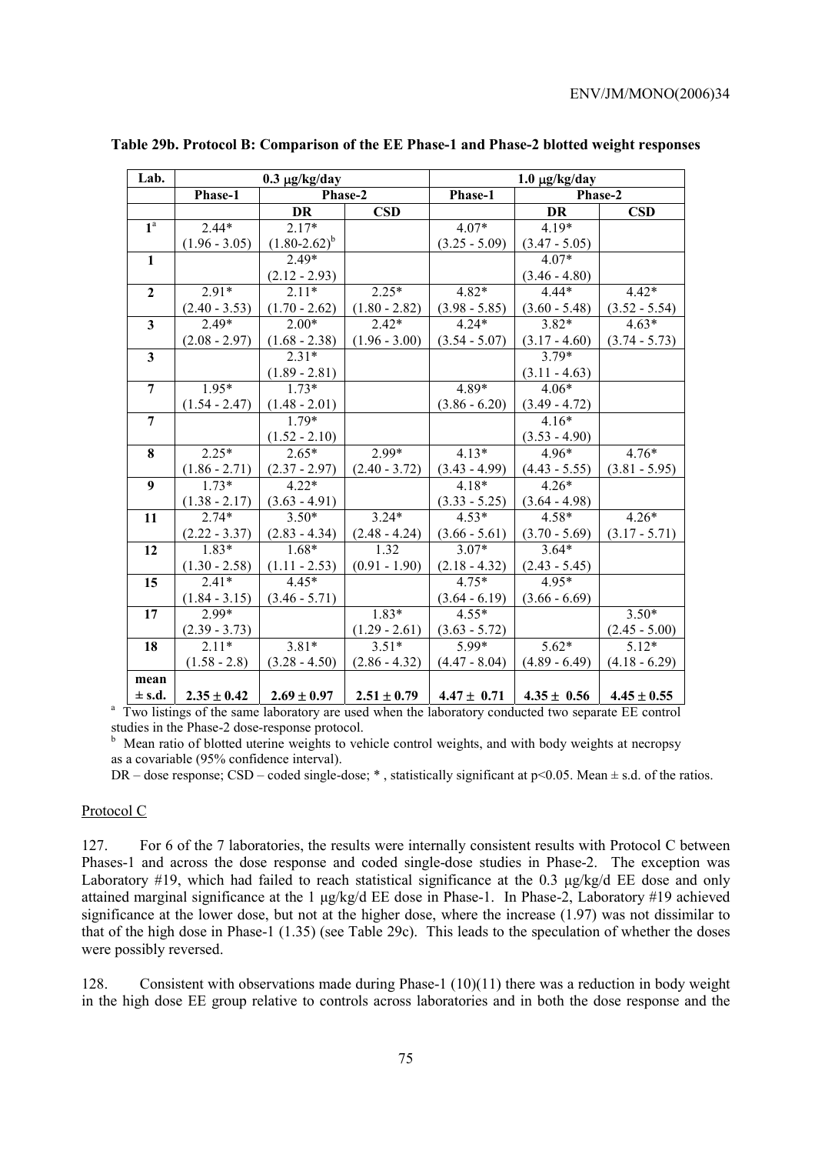| Lab.                    |                               | $0.3 \mu g/kg/day$             |                               | $1.0 \mu g/kg/day$                                      |                               |                 |  |  |
|-------------------------|-------------------------------|--------------------------------|-------------------------------|---------------------------------------------------------|-------------------------------|-----------------|--|--|
|                         | Phase-1                       | Phase-2                        |                               | Phase-1                                                 |                               | Phase-2         |  |  |
|                         |                               | <b>DR</b>                      | $\mathbf{CSD}$                |                                                         | DR                            | <b>CSD</b>      |  |  |
| $1^a$                   | $2.44*$                       | $2.17*$                        |                               | $4.07*$                                                 | $4.19*$                       |                 |  |  |
|                         | $(1.96 - 3.05)$               | $(1.80-2.62)^{b}$              |                               | $(3.25 - 5.09)$                                         | $(3.47 - 5.05)$               |                 |  |  |
| $\mathbf{1}$            |                               | $2.49*$                        |                               |                                                         | $4.07*$                       |                 |  |  |
|                         |                               | $(2.12 - 2.93)$                |                               |                                                         | $(3.46 - 4.80)$               |                 |  |  |
| $\overline{2}$          | $2.91*$                       | $2.11*$                        | $2.25*$                       | $4.82*$                                                 | $4.44*$                       | $4.42*$         |  |  |
|                         | $(2.40 - 3.53)$               | $(1.70 - 2.62)$                | $(1.80 - 2.82)$               | $(3.98 - 5.85)$                                         | $(3.60 - 5.48)$               | $(3.52 - 5.54)$ |  |  |
| $\mathbf{3}$            | $2.49*$                       | $2.00*$                        | $2.42*$                       | $4.24*$                                                 | $3.82*$                       | $4.63*$         |  |  |
|                         | $(2.08 - 2.97)$               | $\frac{(1.68 - 2.38)}{2.31*}$  | $(1.96 - 3.00)$               | $(3.54 - 5.07)$                                         | $(3.17 - 4.60)$               | $(3.74 - 5.73)$ |  |  |
| $\overline{\mathbf{3}}$ |                               |                                |                               |                                                         | $3.79*$                       |                 |  |  |
|                         |                               | $\frac{(1.89 - 2.81)}{1.73*}$  |                               |                                                         | $(3.11 - 4.63)$               |                 |  |  |
| $\overline{7}$          | $1.95*$                       |                                |                               | $4.89*$                                                 | $4.06*$                       |                 |  |  |
|                         | $(1.54 - 2.47)$               | $(1.48 - 2.01)$                |                               | $(3.86 - 6.20)$                                         | $\frac{(3.49 - 4.72)}{4.16*}$ |                 |  |  |
| $\overline{7}$          |                               | $179*$                         |                               |                                                         |                               |                 |  |  |
|                         |                               | $\frac{(1.52 - 2.10)}{2.65*}$  |                               |                                                         | $\frac{(3.53 - 4.90)}{4.96*}$ |                 |  |  |
| 8                       | $2.25*$                       |                                | $2.99*$                       | $4.13*$                                                 |                               | $4.76*$         |  |  |
|                         | $\frac{(1.86 - 2.71)}{1.73*}$ | $\frac{(2.37 - 2.97)}{4.22^*}$ | $(2.40 - 3.72)$               | $\frac{(3.43 - 4.99)}{4.18*}$                           | $\frac{(4.43 - 5.55)}{4.26*}$ | $(3.81 - 5.95)$ |  |  |
| 9                       |                               |                                |                               |                                                         |                               |                 |  |  |
|                         | $(1.38 - 2.17)$               | $(3.63 - 4.91)$                |                               | $(3.33 - 5.25)$                                         | $\frac{(3.64 - 4.98)}{4.58*}$ |                 |  |  |
| 11                      | $2.74*$                       | $3.50*$                        | $3.24*$                       | $4.53*$                                                 |                               | $4.26*$         |  |  |
|                         | $(2.22 - 3.37)$               | $(2.83 - 4.34)$                | $(2.48 - 4.24)$               | $(3.66 - 5.61)$                                         | $(3.70 - 5.69)$               | $(3.17 - 5.71)$ |  |  |
| 12                      | $1.83*$                       | $1.68*$                        | 1.32                          | $3.07*$                                                 | $3.64*$                       |                 |  |  |
|                         | $(1.30 - 2.58)$               | $(1.11 - 2.53)$                | $(0.91 - 1.90)$               | $(2.18 - 4.32)$                                         | $(2.43 - 5.45)$               |                 |  |  |
| 15                      | $2.41*$                       | $4.45*$                        |                               | $4.75*$                                                 | $4.95*$                       |                 |  |  |
|                         | $(1.84 - 3.15)$               | $(3.46 - 5.71)$                |                               | $\frac{(3.64 - 6.19)}{4.55*}$                           | $(3.66 - 6.69)$               |                 |  |  |
| 17                      | $2.99*$                       |                                | $1.83*$                       |                                                         |                               | $3.50*$         |  |  |
|                         | $(2.39 - 3.73)$               |                                | $\frac{(1.29 - 2.61)}{3.51*}$ | $(3.63 - 5.72)$                                         |                               | $(2.45 - 5.00)$ |  |  |
| 18                      | $2.11*$                       | $3.81*$                        |                               | $5.99*$                                                 | $5.62*$                       | $5.12*$         |  |  |
|                         | $(1.58 - 2.8)$                | $(3.28 - 4.50)$                | $(2.86 - 4.32)$               | $(4.47 - 8.04)$                                         | $(4.89 - 6.49)$               | $(4.18 - 6.29)$ |  |  |
| mean                    |                               |                                |                               |                                                         |                               |                 |  |  |
| $\pm$ s.d.              | $2.35 + 0.42$                 | $1.2.69 + 0.97$                |                               | $2.51 + 0.79$ $4.47 + 0.71$ $4.35 + 0.56$ $4.45 + 0.55$ |                               |                 |  |  |

**Table 29b. Protocol B: Comparison of the EE Phase-1 and Phase-2 blotted weight responses** 

 $\frac{\pm \text{s.d.}}{\pm \text{v.}}$  2.35  $\pm$  0.42  $\pm$  2.69  $\pm$  0.97  $\pm$  2.51  $\pm$  0.79  $\pm$  4.47  $\pm$  0.71  $\pm$  4.35  $\pm$  0.56  $\pm$  4.45  $\pm$  0.55 studies in the Phase-2 dose-response protocol.

<sup>b</sup> Mean ratio of blotted uterine weights to vehicle control weights, and with body weights at necropsy as a covariable (95% confidence interval).

DR – dose response; CSD – coded single-dose; \*, statistically significant at  $p$  <0.05. Mean  $\pm$  s.d. of the ratios.

#### Protocol C

127. For 6 of the 7 laboratories, the results were internally consistent results with Protocol C between Phases-1 and across the dose response and coded single-dose studies in Phase-2. The exception was Laboratory #19, which had failed to reach statistical significance at the 0.3 µg/kg/d EE dose and only attained marginal significance at the 1 µg/kg/d EE dose in Phase-1. In Phase-2, Laboratory #19 achieved significance at the lower dose, but not at the higher dose, where the increase (1.97) was not dissimilar to that of the high dose in Phase-1 (1.35) (see Table 29c). This leads to the speculation of whether the doses were possibly reversed.

128. Consistent with observations made during Phase-1 (10)(11) there was a reduction in body weight in the high dose EE group relative to controls across laboratories and in both the dose response and the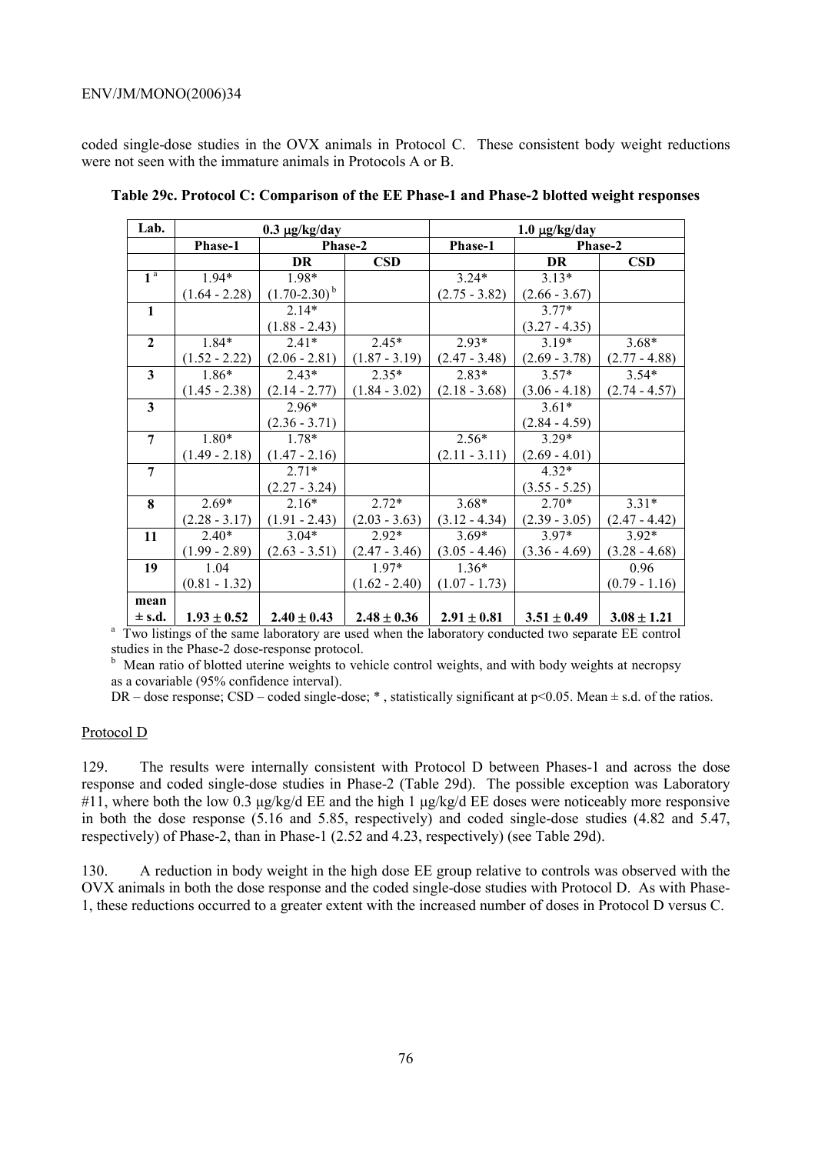coded single-dose studies in the OVX animals in Protocol C. These consistent body weight reductions were not seen with the immature animals in Protocols A or B.

| Lab.                    |                 | $0.3 \mu g/kg/day$ |                 | $1.0 \mu g/kg/day$ |                 |                 |  |
|-------------------------|-----------------|--------------------|-----------------|--------------------|-----------------|-----------------|--|
|                         | Phase-1         |                    | Phase-2         | Phase-1            |                 | Phase-2         |  |
|                         |                 | DR                 | <b>CSD</b>      |                    | DR              | <b>CSD</b>      |  |
| 1 <sup>a</sup>          | $1.94*$         | $1.98*$            |                 | $3.24*$            | $3.13*$         |                 |  |
|                         | $(1.64 - 2.28)$ | $(1.70-2.30)^{b}$  |                 | $(2.75 - 3.82)$    | $(2.66 - 3.67)$ |                 |  |
| $\mathbf{1}$            |                 | $2.14*$            |                 |                    | $3.77*$         |                 |  |
|                         |                 | $(1.88 - 2.43)$    |                 |                    | $(3.27 - 4.35)$ |                 |  |
| $\mathbf{2}$            | 1.84*           | $2.41*$            | $2.45*$         | $2.93*$            | $3.19*$         | $3.68*$         |  |
|                         | $(1.52 - 2.22)$ | $(2.06 - 2.81)$    | $(1.87 - 3.19)$ | $(2.47 - 3.48)$    | $(2.69 - 3.78)$ | $(2.77 - 4.88)$ |  |
| $\overline{\mathbf{3}}$ | $1.86*$         | $2.43*$            | $2.35*$         | $2.83*$            | $3.57*$         | $3.54*$         |  |
|                         | $(1.45 - 2.38)$ | $(2.14 - 2.77)$    | $(1.84 - 3.02)$ | $(2.18 - 3.68)$    | $(3.06 - 4.18)$ | $(2.74 - 4.57)$ |  |
| 3                       |                 | $2.96*$            |                 |                    | $3.61*$         |                 |  |
|                         |                 | $(2.36 - 3.71)$    |                 |                    | $(2.84 - 4.59)$ |                 |  |
| 7                       | $1.80*$         | $1.78*$            |                 | $2.56*$            | $3.29*$         |                 |  |
|                         | $(1.49 - 2.18)$ | $(1.47 - 2.16)$    |                 | $(2.11 - 3.11)$    | $(2.69 - 4.01)$ |                 |  |
| 7                       |                 | $2.71*$            |                 |                    | $4.32*$         |                 |  |
|                         |                 | $(2.27 - 3.24)$    |                 |                    | $(3.55 - 5.25)$ |                 |  |
| 8                       | $2.69*$         | $2.16*$            | $2.72*$         | $3.68*$            | $2.70*$         | $3.31*$         |  |
|                         | $(2.28 - 3.17)$ | $(1.91 - 2.43)$    | $(2.03 - 3.63)$ | $(3.12 - 4.34)$    | $(2.39 - 3.05)$ | $(2.47 - 4.42)$ |  |
| 11                      | $2.40*$         | $3.04*$            | $2.92*$         | $3.69*$            | $3.97*$         | $3.92*$         |  |
|                         | $(1.99 - 2.89)$ | $(2.63 - 3.51)$    | $(2.47 - 3.46)$ | $(3.05 - 4.46)$    | $(3.36 - 4.69)$ | $(3.28 - 4.68)$ |  |
| 19                      | 1.04            |                    | $1.97*$         | $1.36*$            |                 | 0.96            |  |
|                         | $(0.81 - 1.32)$ |                    | $(1.62 - 2.40)$ | $(1.07 - 1.73)$    |                 | $(0.79 - 1.16)$ |  |
| mean                    |                 |                    |                 |                    |                 |                 |  |
| $\pm$ s.d.              | $1.93 \pm 0.52$ | $2.40 \pm 0.43$    | $2.48 \pm 0.36$ | $2.91 \pm 0.81$    | $3.51 \pm 0.49$ | $3.08 \pm 1.21$ |  |

**Table 29c. Protocol C: Comparison of the EE Phase-1 and Phase-2 blotted weight responses** 

studies in the Phase-2 dose-response protocol.

b Mean ratio of blotted uterine weights to vehicle control weights, and with body weights at necropsy as a covariable (95% confidence interval).

DR – dose response; CSD – coded single-dose; \*, statistically significant at  $p$  <0.05. Mean  $\pm$  s.d. of the ratios.

### Protocol D

129. The results were internally consistent with Protocol D between Phases-1 and across the dose response and coded single-dose studies in Phase-2 (Table 29d). The possible exception was Laboratory #11, where both the low 0.3 µg/kg/d EE and the high 1 µg/kg/d EE doses were noticeably more responsive in both the dose response (5.16 and 5.85, respectively) and coded single-dose studies (4.82 and 5.47, respectively) of Phase-2, than in Phase-1 (2.52 and 4.23, respectively) (see Table 29d).

130. A reduction in body weight in the high dose EE group relative to controls was observed with the OVX animals in both the dose response and the coded single-dose studies with Protocol D. As with Phase-1, these reductions occurred to a greater extent with the increased number of doses in Protocol D versus C.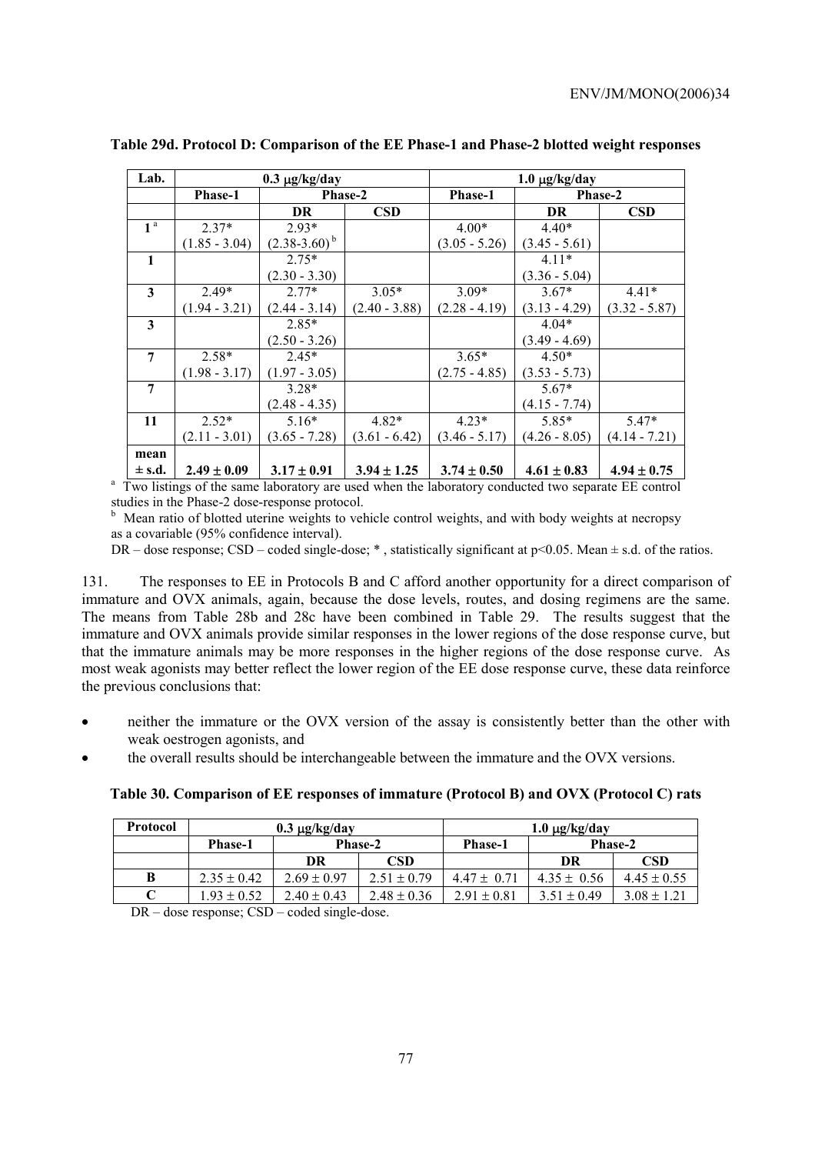| Lab.           |                 | $0.3 \mu g/kg/day$ |                 |                 | $1.0 \mu g/kg/day$ |                 |  |  |  |
|----------------|-----------------|--------------------|-----------------|-----------------|--------------------|-----------------|--|--|--|
|                | Phase-1         |                    | Phase-2         | Phase-1         |                    | Phase-2         |  |  |  |
|                |                 | DR                 | <b>CSD</b>      |                 | DR                 | <b>CSD</b>      |  |  |  |
| 1 <sup>a</sup> | $2.37*$         | $2.93*$            |                 | $4.00*$         | $4.40*$            |                 |  |  |  |
|                | $(1.85 - 3.04)$ | $(2.38-3.60)^{b}$  |                 | $(3.05 - 5.26)$ | $(3.45 - 5.61)$    |                 |  |  |  |
| 1              |                 | $2.75*$            |                 |                 | $4.11*$            |                 |  |  |  |
|                |                 | $(2.30 - 3.30)$    |                 |                 | $(3.36 - 5.04)$    |                 |  |  |  |
| 3              | $2.49*$         | $2.77*$            | $3.05*$         | $3.09*$         | $3.67*$            | $4.41*$         |  |  |  |
|                | $(1.94 - 3.21)$ | $(2.44 - 3.14)$    | $(2.40 - 3.88)$ | $(2.28 - 4.19)$ | $(3.13 - 4.29)$    | $(3.32 - 5.87)$ |  |  |  |
| 3              |                 | $2.85*$            |                 |                 | $4.04*$            |                 |  |  |  |
|                |                 | $(2.50 - 3.26)$    |                 |                 | $(3.49 - 4.69)$    |                 |  |  |  |
| 7              | $2.58*$         | $2.45*$            |                 | $3.65*$         | $4.50*$            |                 |  |  |  |
|                | $(1.98 - 3.17)$ | $(1.97 - 3.05)$    |                 | $(2.75 - 4.85)$ | $(3.53 - 5.73)$    |                 |  |  |  |
| 7              |                 | $3.28*$            |                 |                 | $5.67*$            |                 |  |  |  |
|                |                 | $(2.48 - 4.35)$    |                 |                 | $(4.15 - 7.74)$    |                 |  |  |  |
| 11             | $2.52*$         | $5.16*$            | $4.82*$         | $4.23*$         | $5.85*$            | $5.47*$         |  |  |  |
|                | $(2.11 - 3.01)$ | $(3.65 - 7.28)$    | $(3.61 - 6.42)$ | $(3.46 - 5.17)$ | $(4.26 - 8.05)$    | $(4.14 - 7.21)$ |  |  |  |
| mean           |                 |                    |                 |                 |                    |                 |  |  |  |
| $\pm$ s.d.     | $2.49 \pm 0.09$ | $3.17 \pm 0.91$    | $3.94 \pm 1.25$ | $3.74 \pm 0.50$ | $4.61 \pm 0.83$    | $4.94 \pm 0.75$ |  |  |  |

**Table 29d. Protocol D: Comparison of the EE Phase-1 and Phase-2 blotted weight responses** 

<sup>a</sup> Two listings of the same laboratory are used when the laboratory conducted two separate EE control studies in the Phase-2 dose-response protocol.

<sup>b</sup> Mean ratio of blotted uterine weights to vehicle control weights, and with body weights at necropsy as a covariable (95% confidence interval).

DR – dose response; CSD – coded single-dose; \* , statistically significant at  $p \le 0.05$ . Mean  $\pm$  s.d. of the ratios.

131. The responses to EE in Protocols B and C afford another opportunity for a direct comparison of immature and OVX animals, again, because the dose levels, routes, and dosing regimens are the same. The means from Table 28b and 28c have been combined in Table 29. The results suggest that the immature and OVX animals provide similar responses in the lower regions of the dose response curve, but that the immature animals may be more responses in the higher regions of the dose response curve. As most weak agonists may better reflect the lower region of the EE dose response curve, these data reinforce the previous conclusions that:

- neither the immature or the OVX version of the assay is consistently better than the other with weak oestrogen agonists, and
- the overall results should be interchangeable between the immature and the OVX versions.

## **Table 30. Comparison of EE responses of immature (Protocol B) and OVX (Protocol C) rats**

| Protocol |                 | $0.3 \mu$ g/kg/day |                 | $1.0 \mu g/kg/day$ |                 |                 |  |
|----------|-----------------|--------------------|-----------------|--------------------|-----------------|-----------------|--|
|          | <b>Phase-1</b>  | Phase-2            |                 | <b>Phase-1</b>     | Phase-2         |                 |  |
|          |                 | DR                 | <b>CSD</b>      |                    | DR              | CSD             |  |
| B        | $2.35 \pm 0.42$ | $2.69 \pm 0.97$    | $2.51 \pm 0.79$ | $4.47 \pm 0.71$    | $4.35 \pm 0.56$ | $4.45 \pm 0.55$ |  |
|          | $1.93 \pm 0.52$ | $2.40 \pm 0.43$    | $2.48 \pm 0.36$ | $2.91 \pm 0.81$    | $3.51 \pm 0.49$ | $3.08 \pm 1.21$ |  |

 $DR - dose$  response;  $CSD - coded$  single-dose.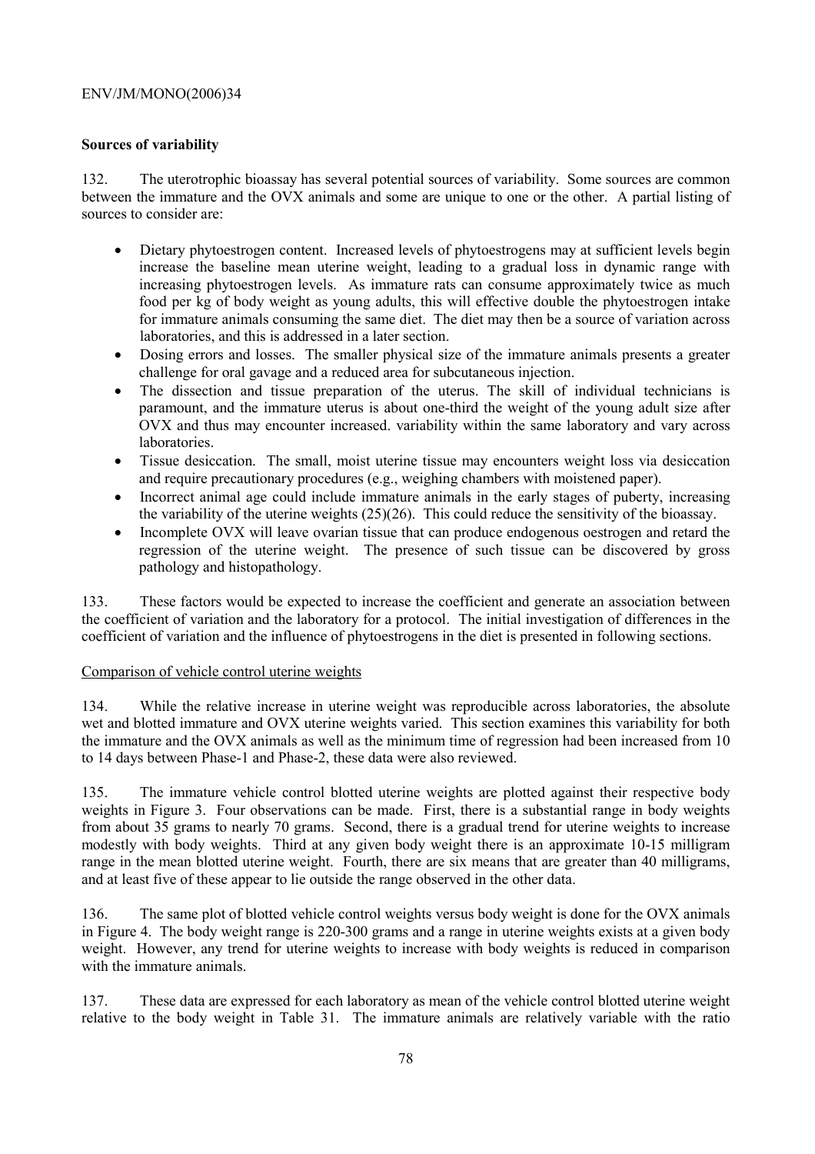## **Sources of variability**

132. The uterotrophic bioassay has several potential sources of variability. Some sources are common between the immature and the OVX animals and some are unique to one or the other. A partial listing of sources to consider are:

- Dietary phytoestrogen content. Increased levels of phytoestrogens may at sufficient levels begin increase the baseline mean uterine weight, leading to a gradual loss in dynamic range with increasing phytoestrogen levels. As immature rats can consume approximately twice as much food per kg of body weight as young adults, this will effective double the phytoestrogen intake for immature animals consuming the same diet. The diet may then be a source of variation across laboratories, and this is addressed in a later section.
- Dosing errors and losses. The smaller physical size of the immature animals presents a greater challenge for oral gavage and a reduced area for subcutaneous injection.
- The dissection and tissue preparation of the uterus. The skill of individual technicians is paramount, and the immature uterus is about one-third the weight of the young adult size after OVX and thus may encounter increased. variability within the same laboratory and vary across laboratories.
- Tissue desiccation. The small, moist uterine tissue may encounters weight loss via desiccation and require precautionary procedures (e.g., weighing chambers with moistened paper).
- Incorrect animal age could include immature animals in the early stages of puberty, increasing the variability of the uterine weights (25)(26). This could reduce the sensitivity of the bioassay.
- Incomplete OVX will leave ovarian tissue that can produce endogenous oestrogen and retard the regression of the uterine weight. The presence of such tissue can be discovered by gross pathology and histopathology.

133. These factors would be expected to increase the coefficient and generate an association between the coefficient of variation and the laboratory for a protocol. The initial investigation of differences in the coefficient of variation and the influence of phytoestrogens in the diet is presented in following sections.

## Comparison of vehicle control uterine weights

134. While the relative increase in uterine weight was reproducible across laboratories, the absolute wet and blotted immature and OVX uterine weights varied. This section examines this variability for both the immature and the OVX animals as well as the minimum time of regression had been increased from 10 to 14 days between Phase-1 and Phase-2, these data were also reviewed.

135. The immature vehicle control blotted uterine weights are plotted against their respective body weights in Figure 3. Four observations can be made. First, there is a substantial range in body weights from about 35 grams to nearly 70 grams. Second, there is a gradual trend for uterine weights to increase modestly with body weights. Third at any given body weight there is an approximate 10-15 milligram range in the mean blotted uterine weight. Fourth, there are six means that are greater than 40 milligrams, and at least five of these appear to lie outside the range observed in the other data.

136. The same plot of blotted vehicle control weights versus body weight is done for the OVX animals in Figure 4. The body weight range is 220-300 grams and a range in uterine weights exists at a given body weight. However, any trend for uterine weights to increase with body weights is reduced in comparison with the immature animals.

137. These data are expressed for each laboratory as mean of the vehicle control blotted uterine weight relative to the body weight in Table 31. The immature animals are relatively variable with the ratio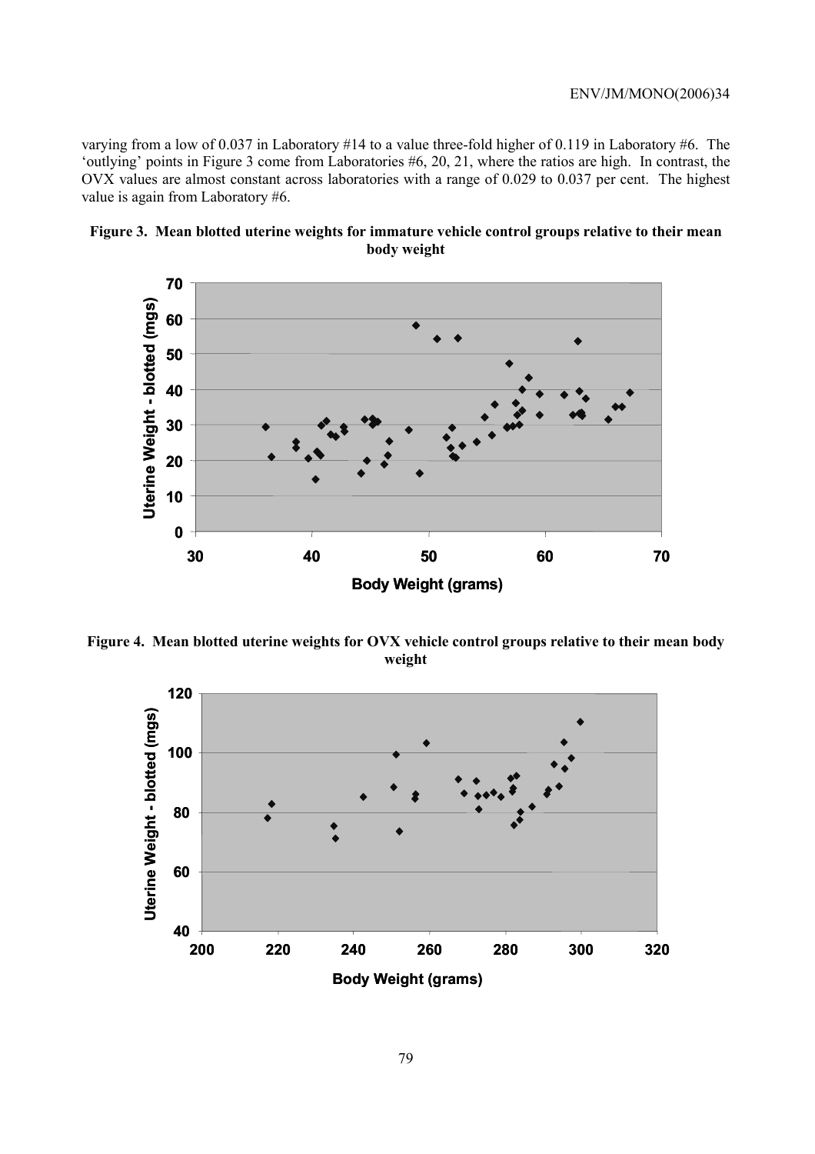varying from a low of 0.037 in Laboratory #14 to a value three-fold higher of 0.119 in Laboratory #6. The 'outlying' points in Figure 3 come from Laboratories  $#6$ , 20, 21, where the ratios are high. In contrast, the OVX values are almost constant across laboratories with a range of 0.029 to 0.037 per cent. The highest value is again from Laboratory #6.





**Figure 4. Mean blotted uterine weights for OVX vehicle control groups relative to their mean body weight** 

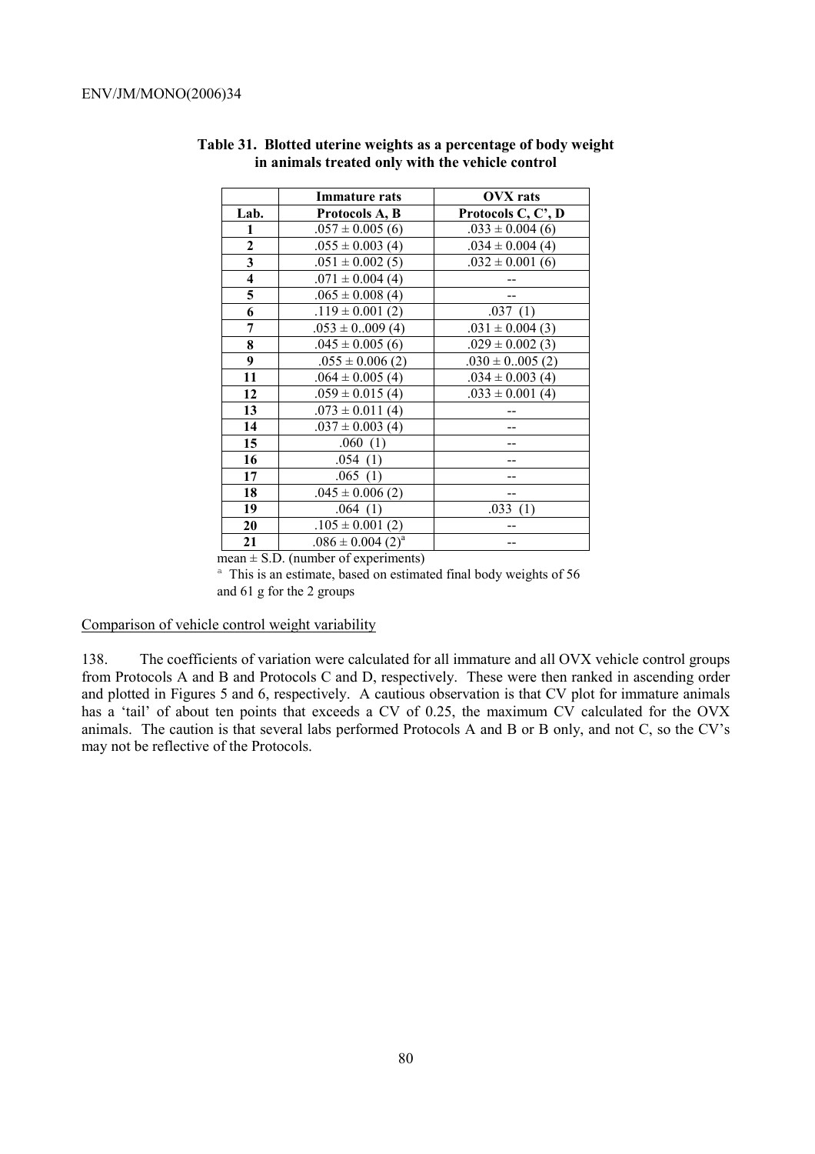|                         | <b>Immature rats</b>              | <b>OVX</b> rats      |
|-------------------------|-----------------------------------|----------------------|
| Lab.                    | Protocols A, B                    | Protocols C, C', D   |
| 1                       | $.057 \pm 0.005(6)$               | $.033 \pm 0.004$ (6) |
| $\mathbf{2}$            | $.055 \pm 0.003(4)$               | $.034 \pm 0.004(4)$  |
| 3                       | $.051 \pm 0.002(5)$               | $.032 \pm 0.001(6)$  |
| $\overline{\mathbf{4}}$ | $.071 \pm 0.004(4)$               |                      |
| 5                       | $.065 \pm 0.008(4)$               |                      |
| 6                       | $.119 \pm 0.001(2)$               | .037(1)              |
| 7                       | $.053 \pm 0.009(4)$               | $.031 \pm 0.004(3)$  |
| 8                       | $.045 \pm 0.005(6)$               | $.029 \pm 0.002(3)$  |
| 9                       | $.055 \pm 0.006(2)$               | $.030 \pm 0.005(2)$  |
| 11                      | $.064 \pm 0.005(4)$               | $.034 \pm 0.003(4)$  |
| 12                      | $.059 \pm 0.015(4)$               | $.033 \pm 0.001(4)$  |
| 13                      | $.073 \pm 0.011(4)$               |                      |
| 14                      | $.037 \pm 0.003$ (4)              |                      |
| 15                      | .060(1)                           |                      |
| 16                      | .054(1)                           |                      |
| 17                      | .065(1)                           |                      |
| 18                      | $.045 \pm 0.006$ (2)              |                      |
| 19                      | .064(1)                           | .033<br>(1)          |
| 20                      | $.105 \pm 0.001(2)$               |                      |
| 21                      | $.086 \pm 0.004$ (2) <sup>a</sup> |                      |

## **Table 31. Blotted uterine weights as a percentage of body weight in animals treated only with the vehicle control**

 $mean \pm S.D.$  (number of experiments)

<sup>a</sup> This is an estimate, based on estimated final body weights of 56 and 61 g for the 2 groups

## Comparison of vehicle control weight variability

138. The coefficients of variation were calculated for all immature and all OVX vehicle control groups from Protocols A and B and Protocols C and D, respectively. These were then ranked in ascending order and plotted in Figures 5 and 6, respectively. A cautious observation is that CV plot for immature animals has a 'tail' of about ten points that exceeds a CV of 0.25, the maximum CV calculated for the OVX animals. The caution is that several labs performed Protocols A and B or B only, and not C, so the CV's may not be reflective of the Protocols.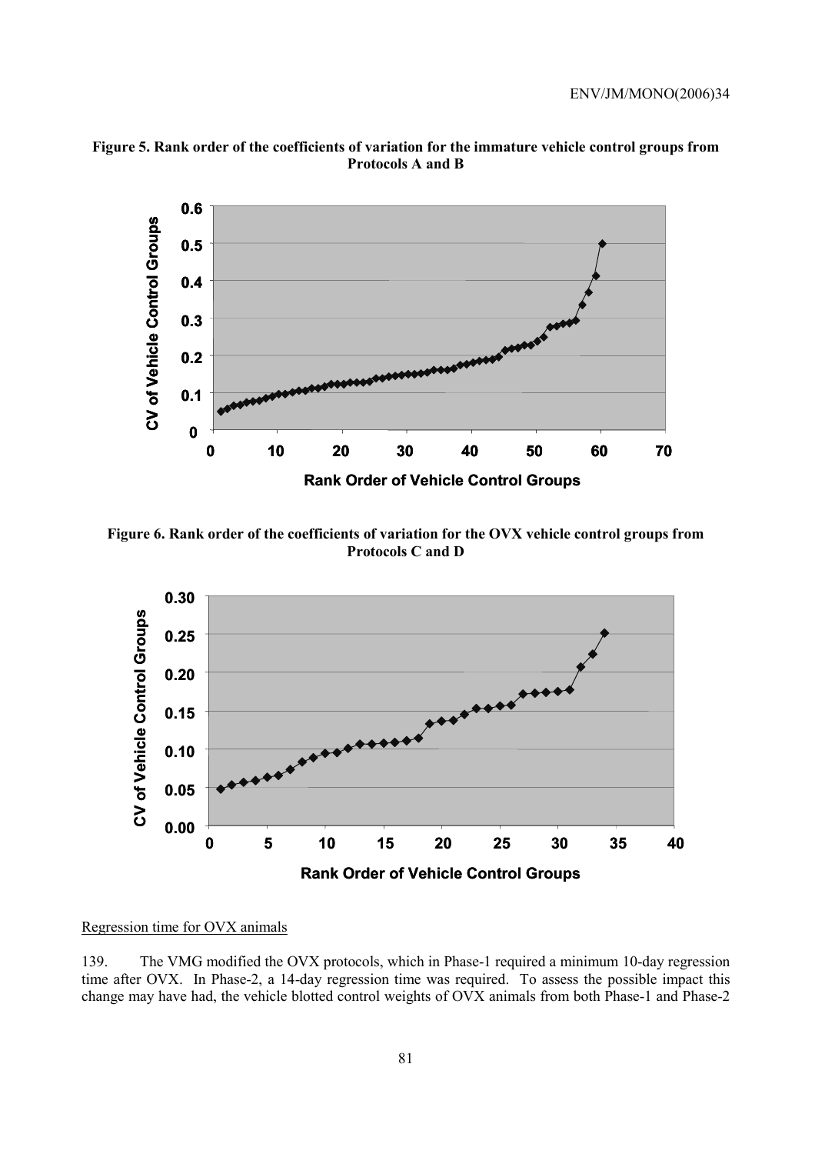

**Figure 5. Rank order of the coefficients of variation for the immature vehicle control groups from Protocols A and B** 

**Figure 6. Rank order of the coefficients of variation for the OVX vehicle control groups from Protocols C and D** 



#### Regression time for OVX animals

139. The VMG modified the OVX protocols, which in Phase-1 required a minimum 10-day regression time after OVX. In Phase-2, a 14-day regression time was required. To assess the possible impact this change may have had, the vehicle blotted control weights of OVX animals from both Phase-1 and Phase-2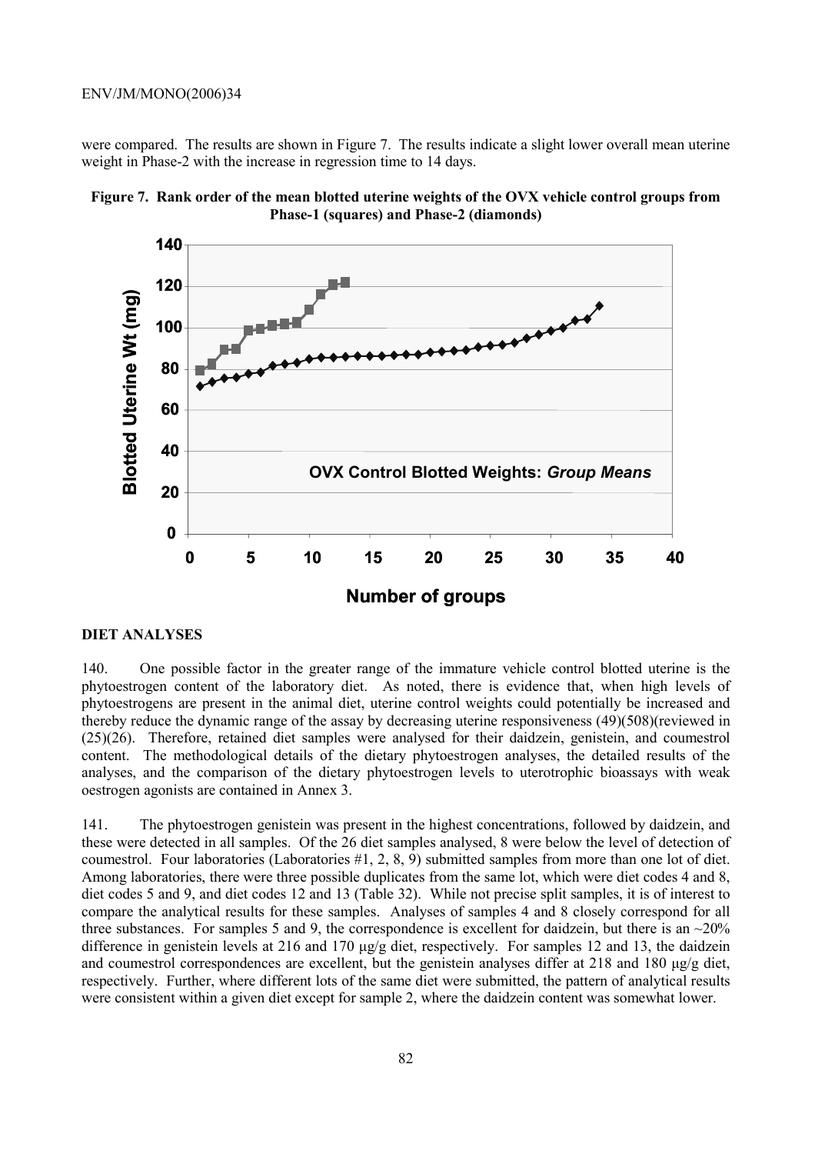were compared. The results are shown in Figure 7. The results indicate a slight lower overall mean uterine weight in Phase-2 with the increase in regression time to 14 days.





#### **DIET ANALYSES**

140. One possible factor in the greater range of the immature vehicle control blotted uterine is the phytoestrogen content of the laboratory diet. As noted, there is evidence that, when high levels of phytoestrogens are present in the animal diet, uterine control weights could potentially be increased and thereby reduce the dynamic range of the assay by decreasing uterine responsiveness (49)(508)(reviewed in (25)(26). Therefore, retained diet samples were analysed for their daidzein, genistein, and coumestrol content. The methodological details of the dietary phytoestrogen analyses, the detailed results of the analyses, and the comparison of the dietary phytoestrogen levels to uterotrophic bioassays with weak oestrogen agonists are contained in Annex 3.

141. The phytoestrogen genistein was present in the highest concentrations, followed by daidzein, and these were detected in all samples. Of the 26 diet samples analysed, 8 were below the level of detection of coumestrol. Four laboratories (Laboratories #1, 2, 8, 9) submitted samples from more than one lot of diet. Among laboratories, there were three possible duplicates from the same lot, which were diet codes 4 and 8, diet codes 5 and 9, and diet codes 12 and 13 (Table 32). While not precise split samples, it is of interest to compare the analytical results for these samples. Analyses of samples 4 and 8 closely correspond for all three substances. For samples 5 and 9, the correspondence is excellent for daidzein, but there is an  $\sim$ 20% difference in genistein levels at 216 and 170  $\mu$ g/g diet, respectively. For samples 12 and 13, the daidzein and coumestrol correspondences are excellent, but the genistein analyses differ at 218 and 180 µg/g diet, respectively. Further, where different lots of the same diet were submitted, the pattern of analytical results were consistent within a given diet except for sample 2, where the daidzein content was somewhat lower.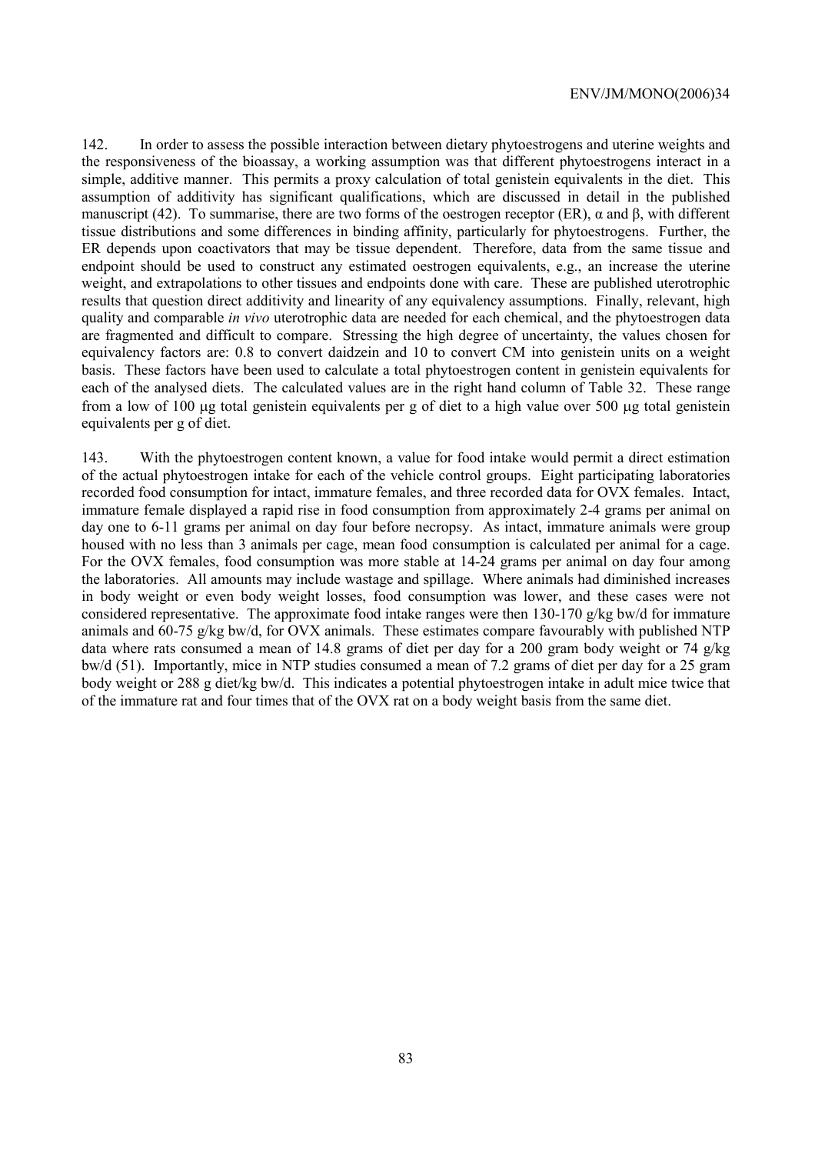142. In order to assess the possible interaction between dietary phytoestrogens and uterine weights and the responsiveness of the bioassay, a working assumption was that different phytoestrogens interact in a simple, additive manner. This permits a proxy calculation of total genistein equivalents in the diet. This assumption of additivity has significant qualifications, which are discussed in detail in the published manuscript (42). To summarise, there are two forms of the oestrogen receptor (ER),  $\alpha$  and  $\beta$ , with different tissue distributions and some differences in binding affinity, particularly for phytoestrogens. Further, the ER depends upon coactivators that may be tissue dependent. Therefore, data from the same tissue and endpoint should be used to construct any estimated oestrogen equivalents, e.g., an increase the uterine weight, and extrapolations to other tissues and endpoints done with care. These are published uterotrophic results that question direct additivity and linearity of any equivalency assumptions. Finally, relevant, high quality and comparable *in vivo* uterotrophic data are needed for each chemical, and the phytoestrogen data are fragmented and difficult to compare. Stressing the high degree of uncertainty, the values chosen for equivalency factors are: 0.8 to convert daidzein and 10 to convert CM into genistein units on a weight basis. These factors have been used to calculate a total phytoestrogen content in genistein equivalents for each of the analysed diets. The calculated values are in the right hand column of Table 32. These range from a low of 100 µg total genistein equivalents per g of diet to a high value over 500 µg total genistein equivalents per g of diet.

143. With the phytoestrogen content known, a value for food intake would permit a direct estimation of the actual phytoestrogen intake for each of the vehicle control groups. Eight participating laboratories recorded food consumption for intact, immature females, and three recorded data for OVX females. Intact, immature female displayed a rapid rise in food consumption from approximately 2-4 grams per animal on day one to 6-11 grams per animal on day four before necropsy. As intact, immature animals were group housed with no less than 3 animals per cage, mean food consumption is calculated per animal for a cage. For the OVX females, food consumption was more stable at 14-24 grams per animal on day four among the laboratories. All amounts may include wastage and spillage. Where animals had diminished increases in body weight or even body weight losses, food consumption was lower, and these cases were not considered representative. The approximate food intake ranges were then 130-170 g/kg bw/d for immature animals and 60-75 g/kg bw/d, for OVX animals. These estimates compare favourably with published NTP data where rats consumed a mean of 14.8 grams of diet per day for a 200 gram body weight or 74 g/kg bw/d (51). Importantly, mice in NTP studies consumed a mean of 7.2 grams of diet per day for a 25 gram body weight or 288 g diet/kg bw/d. This indicates a potential phytoestrogen intake in adult mice twice that of the immature rat and four times that of the OVX rat on a body weight basis from the same diet.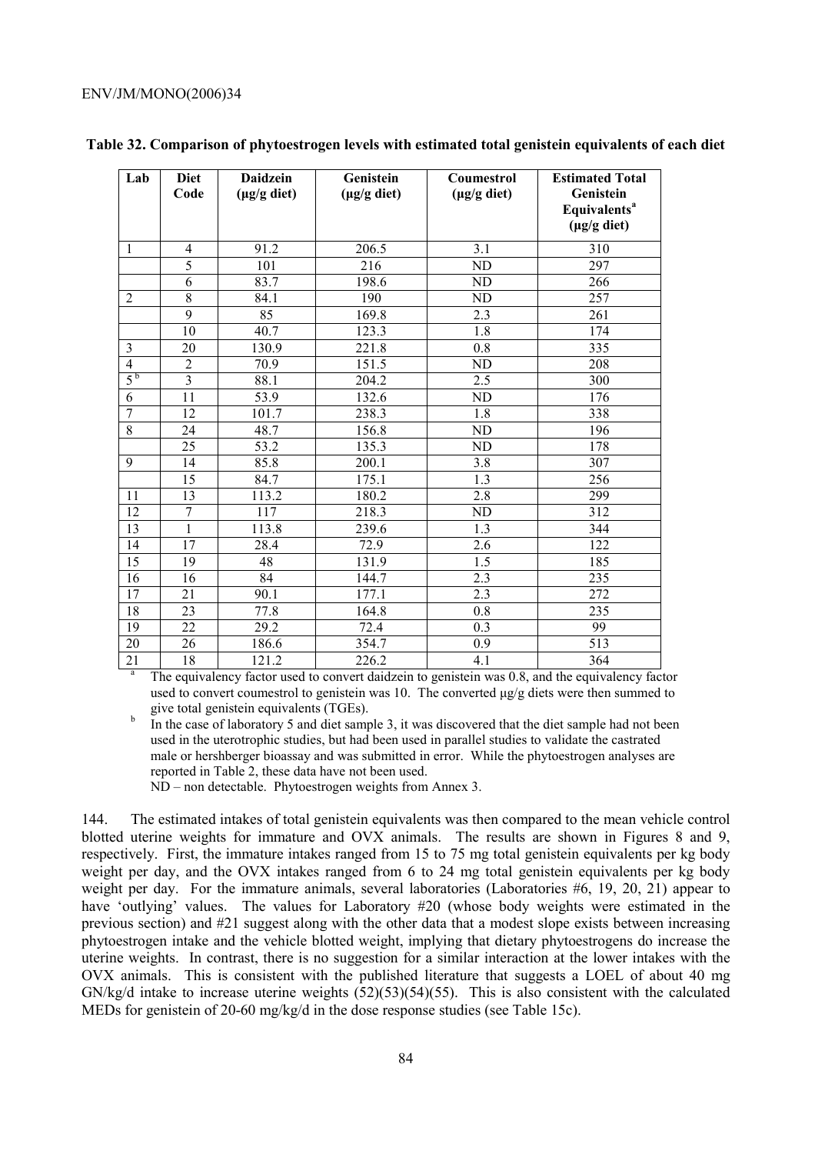| Lab              | <b>Diet</b>    | <b>Daidzein</b> | Genistein   | <b>Coumestrol</b>        | <b>Estimated Total</b>         |
|------------------|----------------|-----------------|-------------|--------------------------|--------------------------------|
|                  | Code           | (µg/g diet)     | (µg/g diet) | $(\mu g/g \text{ diet})$ | Genistein                      |
|                  |                |                 |             |                          | <b>Equivalents<sup>a</sup></b> |
|                  |                |                 |             |                          | (µg/g diet)                    |
| $\mathbf{1}$     | $\overline{4}$ | 91.2            | 206.5       | 3.1                      | 310                            |
|                  | 5              | 101             | 216         | <b>ND</b>                | 297                            |
|                  | 6              | 83.7            | 198.6       | ND                       | 266                            |
| $\overline{2}$   | 8              | 84.1            | 190         | <b>ND</b>                | 257                            |
|                  | 9              | 85              | 169.8       | 2.3                      | 261                            |
|                  | 10             | 40.7            | 123.3       | 1.8                      | 174                            |
| 3                | 20             | 130.9           | 221.8       | 0.8                      | 335                            |
| $\overline{4}$   | $\overline{2}$ | 70.9            | 151.5       | <b>ND</b>                | 208                            |
| $5^{\mathrm{b}}$ | $\overline{3}$ | 88.1            | 204.2       | 2.5                      | 300                            |
| 6                | 11             | 53.9            | 132.6       | <b>ND</b>                | 176                            |
| $\overline{7}$   | 12             | 101.7           | 238.3       | 1.8                      | 338                            |
| 8                | 24             | 48.7            | 156.8       | <b>ND</b>                | 196                            |
|                  | 25             | 53.2            | 135.3       | ND                       | 178                            |
| 9                | 14             | 85.8            | 200.1       | 3.8                      | 307                            |
|                  | 15             | 84.7            | 175.1       | 1.3                      | 256                            |
| 11               | 13             | 113.2           | 180.2       | 2.8                      | 299                            |
| 12               | $\overline{7}$ | 117             | 218.3       | <b>ND</b>                | 312                            |
| 13               | 1              | 113.8           | 239.6       | 1.3                      | 344                            |
| 14               | 17             | 28.4            | 72.9        | 2.6                      | 122                            |
| 15               | 19             | 48              | 131.9       | 1.5                      | 185                            |
| 16               | 16             | 84              | 144.7       | 2.3                      | 235                            |
| 17               | 21             | 90.1            | 177.1       | $\overline{2.3}$         | 272                            |
| 18               | 23             | 77.8            | 164.8       | 0.8                      | 235                            |
| 19               | 22             | 29.2            | 72.4        | 0.3                      | 99                             |
| 20               | 26             | 186.6           | 354.7       | 0.9                      | 513                            |
| 21               | 18             | 121.2           | 226.2       | 4.1                      | 364                            |

#### **Table 32. Comparison of phytoestrogen levels with estimated total genistein equivalents of each diet**

a The equivalency factor used to convert daidzein to genistein was 0.8, and the equivalency factor used to convert coumestrol to genistein was 10. The converted  $\mu$ g/g diets were then summed to give total genistein equivalents (TGEs).

b In the case of laboratory 5 and diet sample 3, it was discovered that the diet sample had not been used in the uterotrophic studies, but had been used in parallel studies to validate the castrated male or hershberger bioassay and was submitted in error. While the phytoestrogen analyses are reported in Table 2, these data have not been used.

ND – non detectable. Phytoestrogen weights from Annex 3.

144. The estimated intakes of total genistein equivalents was then compared to the mean vehicle control blotted uterine weights for immature and OVX animals. The results are shown in Figures 8 and 9, respectively. First, the immature intakes ranged from 15 to 75 mg total genistein equivalents per kg body weight per day, and the OVX intakes ranged from 6 to 24 mg total genistein equivalents per kg body weight per day. For the immature animals, several laboratories (Laboratories #6, 19, 20, 21) appear to have 'outlying' values. The values for Laboratory #20 (whose body weights were estimated in the previous section) and #21 suggest along with the other data that a modest slope exists between increasing phytoestrogen intake and the vehicle blotted weight, implying that dietary phytoestrogens do increase the uterine weights. In contrast, there is no suggestion for a similar interaction at the lower intakes with the OVX animals. This is consistent with the published literature that suggests a LOEL of about 40 mg GN/kg/d intake to increase uterine weights (52)(53)(54)(55). This is also consistent with the calculated MEDs for genistein of 20-60 mg/kg/d in the dose response studies (see Table 15c).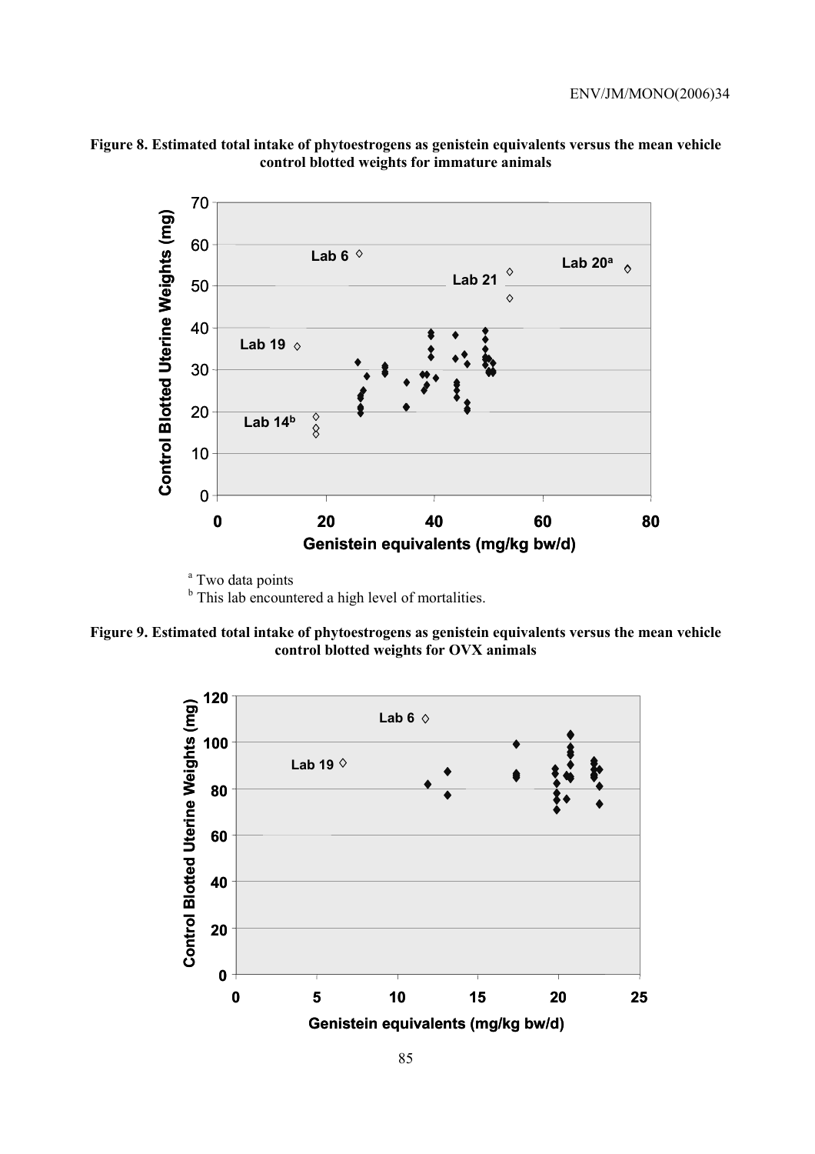

## **Figure 8. Estimated total intake of phytoestrogens as genistein equivalents versus the mean vehicle control blotted weights for immature animals**

<sup>a</sup> Two data points <sup>b</sup> This lab encountered a high level of mortalities.

**Figure 9. Estimated total intake of phytoestrogens as genistein equivalents versus the mean vehicle control blotted weights for OVX animals** 

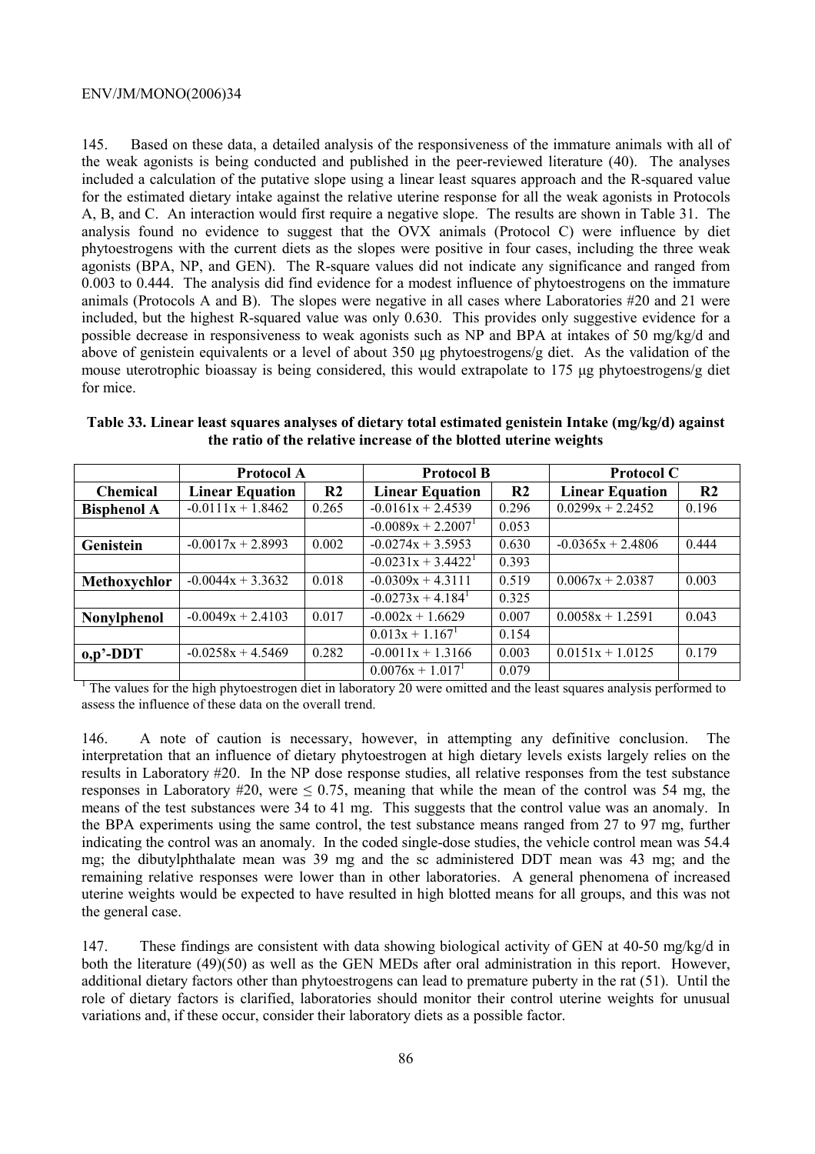145. Based on these data, a detailed analysis of the responsiveness of the immature animals with all of the weak agonists is being conducted and published in the peer-reviewed literature (40). The analyses included a calculation of the putative slope using a linear least squares approach and the R-squared value for the estimated dietary intake against the relative uterine response for all the weak agonists in Protocols A, B, and C. An interaction would first require a negative slope. The results are shown in Table 31. The analysis found no evidence to suggest that the OVX animals (Protocol C) were influence by diet phytoestrogens with the current diets as the slopes were positive in four cases, including the three weak agonists (BPA, NP, and GEN). The R-square values did not indicate any significance and ranged from 0.003 to 0.444. The analysis did find evidence for a modest influence of phytoestrogens on the immature animals (Protocols A and B). The slopes were negative in all cases where Laboratories #20 and 21 were included, but the highest R-squared value was only 0.630. This provides only suggestive evidence for a possible decrease in responsiveness to weak agonists such as NP and BPA at intakes of 50 mg/kg/d and above of genistein equivalents or a level of about 350 µg phytoestrogens/g diet. As the validation of the mouse uterotrophic bioassay is being considered, this would extrapolate to  $175 \text{ µg}$  phytoestrogens/g diet for mice.

|                    | <b>Protocol A</b>      |                | <b>Protocol B</b>                |                | <b>Protocol C</b>      |                |  |
|--------------------|------------------------|----------------|----------------------------------|----------------|------------------------|----------------|--|
| <b>Chemical</b>    | <b>Linear Equation</b> | R <sub>2</sub> | <b>Linear Equation</b>           | R <sub>2</sub> | <b>Linear Equation</b> | R <sub>2</sub> |  |
| <b>Bisphenol A</b> | $-0.0111x + 1.8462$    | 0.265          | $-0.0161x + 2.4539$              | 0.296          | $0.0299x + 2.2452$     | 0.196          |  |
|                    |                        |                | $-0.0089x + 2.2007$ <sup>1</sup> | 0.053          |                        |                |  |
| Genistein          | $-0.0017x + 2.8993$    | 0.002          | $-0.0274x + 3.5953$              | 0.630          | $-0.0365x + 2.4806$    | 0.444          |  |
|                    |                        |                | $-0.0231x + 3.4422^1$            | 0.393          |                        |                |  |
| Methoxychlor       | $-0.0044x + 3.3632$    | 0.018          | $-0.0309x + 4.3111$              | 0.519          | $0.0067x + 2.0387$     | 0.003          |  |
|                    |                        |                | $-0.0273x + 4.184$               | 0.325          |                        |                |  |
| <b>Nonylphenol</b> | $-0.0049x + 2.4103$    | 0.017          | $-0.002x + 1.6629$               | 0.007          | $0.0058x + 1.2591$     | 0.043          |  |
|                    |                        |                | $0.013x + 1.167$                 | 0.154          |                        |                |  |
| $0, p'$ -DDT       | $-0.0258x + 4.5469$    | 0.282          | $-0.0011x + 1.3166$              | 0.003          | $0.0151x + 1.0125$     | 0.179          |  |
|                    |                        |                | $0.0076x + 1.0171$               | 0.079          |                        |                |  |

**Table 33. Linear least squares analyses of dietary total estimated genistein Intake (mg/kg/d) against the ratio of the relative increase of the blotted uterine weights** 

 $\frac{1}{1}$  The values for the high phytoestrogen diet in laboratory 20 were omitted and the least squares analysis performed to assess the influence of these data on the overall trend.

146. A note of caution is necessary, however, in attempting any definitive conclusion. The interpretation that an influence of dietary phytoestrogen at high dietary levels exists largely relies on the results in Laboratory #20. In the NP dose response studies, all relative responses from the test substance responses in Laboratory #20, were  $\leq 0.75$ , meaning that while the mean of the control was 54 mg, the means of the test substances were 34 to 41 mg. This suggests that the control value was an anomaly. In the BPA experiments using the same control, the test substance means ranged from 27 to 97 mg, further indicating the control was an anomaly. In the coded single-dose studies, the vehicle control mean was 54.4 mg; the dibutylphthalate mean was 39 mg and the sc administered DDT mean was 43 mg; and the remaining relative responses were lower than in other laboratories. A general phenomena of increased uterine weights would be expected to have resulted in high blotted means for all groups, and this was not the general case.

147. These findings are consistent with data showing biological activity of GEN at 40-50 mg/kg/d in both the literature (49)(50) as well as the GEN MEDs after oral administration in this report. However, additional dietary factors other than phytoestrogens can lead to premature puberty in the rat (51). Until the role of dietary factors is clarified, laboratories should monitor their control uterine weights for unusual variations and, if these occur, consider their laboratory diets as a possible factor.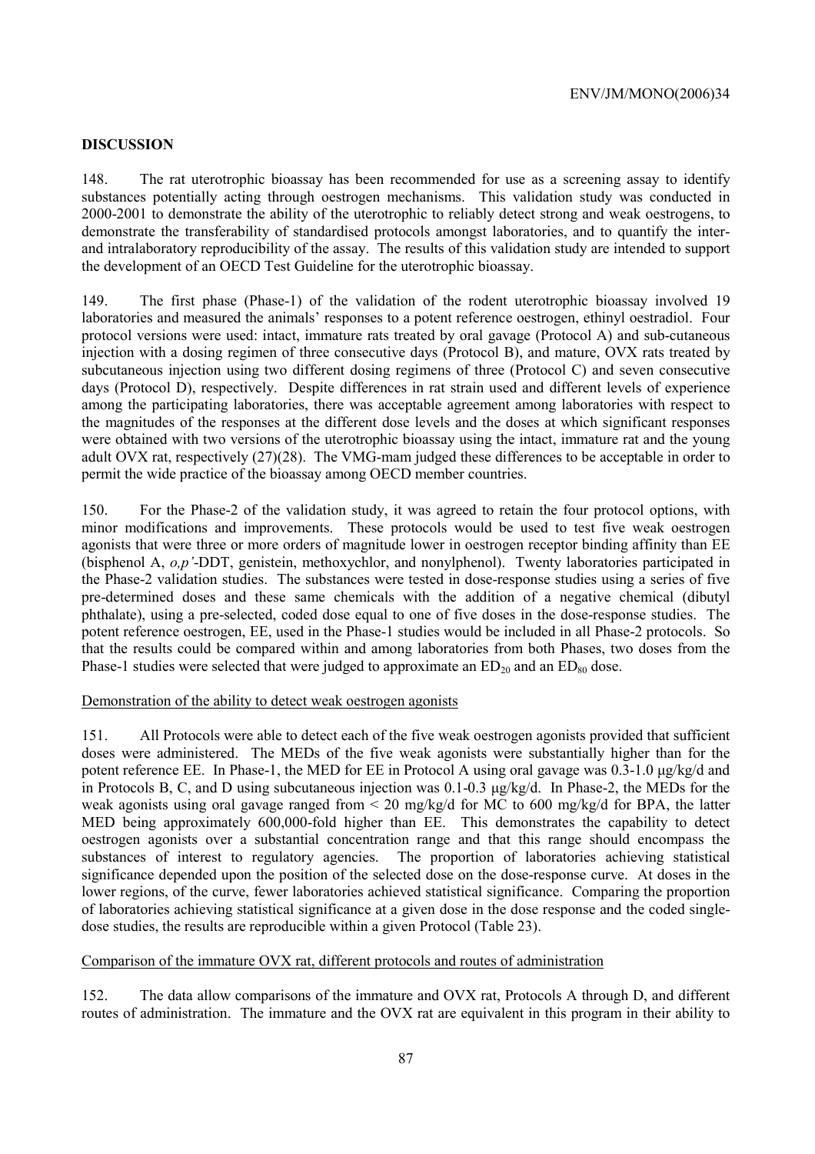## **DISCUSSION**

148. The rat uterotrophic bioassay has been recommended for use as a screening assay to identify substances potentially acting through oestrogen mechanisms. This validation study was conducted in 2000-2001 to demonstrate the ability of the uterotrophic to reliably detect strong and weak oestrogens, to demonstrate the transferability of standardised protocols amongst laboratories, and to quantify the interand intralaboratory reproducibility of the assay. The results of this validation study are intended to support the development of an OECD Test Guideline for the uterotrophic bioassay.

149. The first phase (Phase-1) of the validation of the rodent uterotrophic bioassay involved 19 laboratories and measured the animals' responses to a potent reference oestrogen, ethinyl oestradiol. Four protocol versions were used: intact, immature rats treated by oral gavage (Protocol A) and sub-cutaneous injection with a dosing regimen of three consecutive days (Protocol B), and mature, OVX rats treated by subcutaneous injection using two different dosing regimens of three (Protocol C) and seven consecutive days (Protocol D), respectively. Despite differences in rat strain used and different levels of experience among the participating laboratories, there was acceptable agreement among laboratories with respect to the magnitudes of the responses at the different dose levels and the doses at which significant responses were obtained with two versions of the uterotrophic bioassay using the intact, immature rat and the young adult OVX rat, respectively (27)(28). The VMG-mam judged these differences to be acceptable in order to permit the wide practice of the bioassay among OECD member countries.

150. For the Phase-2 of the validation study, it was agreed to retain the four protocol options, with minor modifications and improvements. These protocols would be used to test five weak oestrogen agonists that were three or more orders of magnitude lower in oestrogen receptor binding affinity than EE (bisphenol A, *o,p*<sup>2</sup>-DDT, genistein, methoxychlor, and nonylphenol). Twenty laboratories participated in the Phase-2 validation studies. The substances were tested in dose-response studies using a series of five pre-determined doses and these same chemicals with the addition of a negative chemical (dibutyl phthalate), using a pre-selected, coded dose equal to one of five doses in the dose-response studies. The potent reference oestrogen, EE, used in the Phase-1 studies would be included in all Phase-2 protocols. So that the results could be compared within and among laboratories from both Phases, two doses from the Phase-1 studies were selected that were judged to approximate an  $ED_{20}$  and an  $ED_{80}$  dose.

### Demonstration of the ability to detect weak oestrogen agonists

151. All Protocols were able to detect each of the five weak oestrogen agonists provided that sufficient doses were administered. The MEDs of the five weak agonists were substantially higher than for the potent reference EE. In Phase-1, the MED for EE in Protocol A using oral gavage was 0.3-1.0 µg/kg/d and in Protocols B, C, and D using subcutaneous injection was 0.1-0.3 µg/kg/d. In Phase-2, the MEDs for the weak agonists using oral gavage ranged from < 20 mg/kg/d for MC to 600 mg/kg/d for BPA, the latter MED being approximately 600,000-fold higher than EE. This demonstrates the capability to detect oestrogen agonists over a substantial concentration range and that this range should encompass the substances of interest to regulatory agencies. The proportion of laboratories achieving statistical significance depended upon the position of the selected dose on the dose-response curve. At doses in the lower regions, of the curve, fewer laboratories achieved statistical significance. Comparing the proportion of laboratories achieving statistical significance at a given dose in the dose response and the coded singledose studies, the results are reproducible within a given Protocol (Table 23).

## Comparison of the immature OVX rat, different protocols and routes of administration

152. The data allow comparisons of the immature and OVX rat, Protocols A through D, and different routes of administration. The immature and the OVX rat are equivalent in this program in their ability to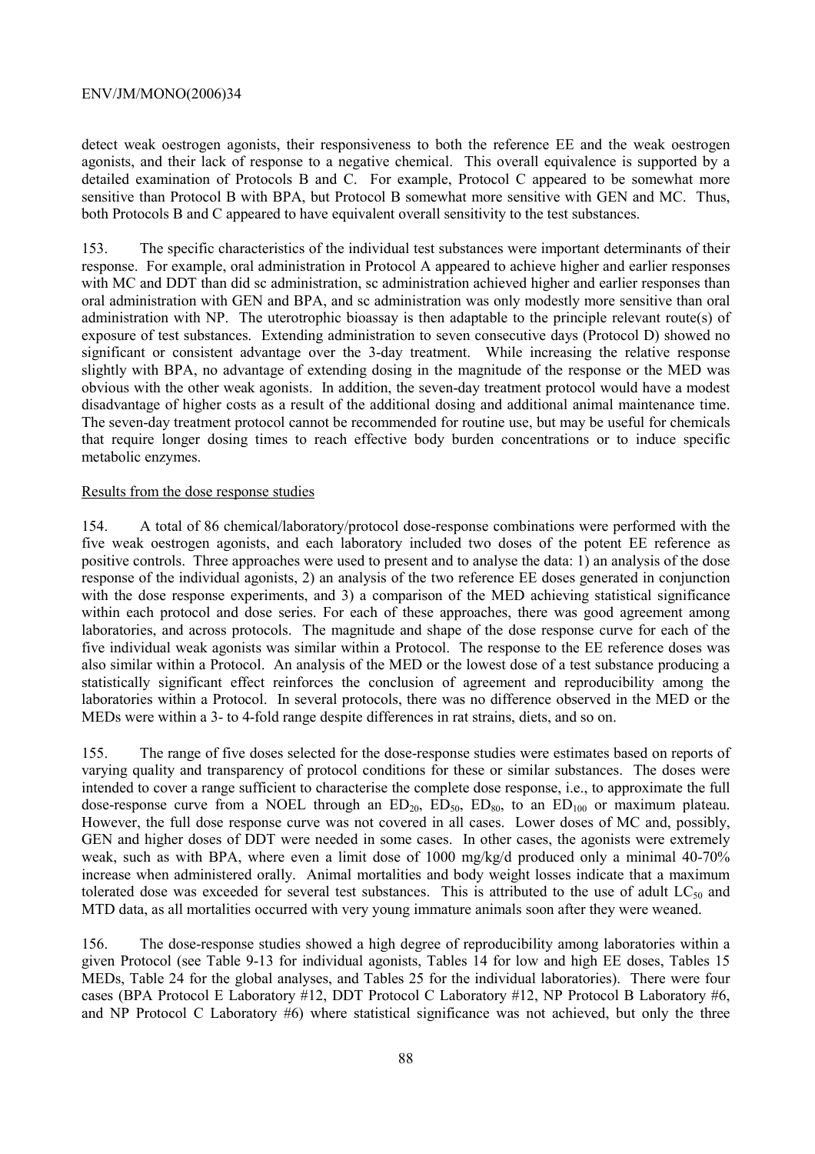detect weak oestrogen agonists, their responsiveness to both the reference EE and the weak oestrogen agonists, and their lack of response to a negative chemical. This overall equivalence is supported by a detailed examination of Protocols B and C. For example, Protocol C appeared to be somewhat more sensitive than Protocol B with BPA, but Protocol B somewhat more sensitive with GEN and MC. Thus, both Protocols B and C appeared to have equivalent overall sensitivity to the test substances.

153. The specific characteristics of the individual test substances were important determinants of their response. For example, oral administration in Protocol A appeared to achieve higher and earlier responses with MC and DDT than did sc administration, sc administration achieved higher and earlier responses than oral administration with GEN and BPA, and sc administration was only modestly more sensitive than oral administration with NP. The uterotrophic bioassay is then adaptable to the principle relevant route(s) of exposure of test substances. Extending administration to seven consecutive days (Protocol D) showed no significant or consistent advantage over the 3-day treatment. While increasing the relative response slightly with BPA, no advantage of extending dosing in the magnitude of the response or the MED was obvious with the other weak agonists. In addition, the seven-day treatment protocol would have a modest disadvantage of higher costs as a result of the additional dosing and additional animal maintenance time. The seven-day treatment protocol cannot be recommended for routine use, but may be useful for chemicals that require longer dosing times to reach effective body burden concentrations or to induce specific metabolic enzymes.

### Results from the dose response studies

154. A total of 86 chemical/laboratory/protocol dose-response combinations were performed with the five weak oestrogen agonists, and each laboratory included two doses of the potent EE reference as positive controls. Three approaches were used to present and to analyse the data: 1) an analysis of the dose response of the individual agonists, 2) an analysis of the two reference EE doses generated in conjunction with the dose response experiments, and 3) a comparison of the MED achieving statistical significance within each protocol and dose series. For each of these approaches, there was good agreement among laboratories, and across protocols. The magnitude and shape of the dose response curve for each of the five individual weak agonists was similar within a Protocol. The response to the EE reference doses was also similar within a Protocol. An analysis of the MED or the lowest dose of a test substance producing a statistically significant effect reinforces the conclusion of agreement and reproducibility among the laboratories within a Protocol. In several protocols, there was no difference observed in the MED or the MEDs were within a 3- to 4-fold range despite differences in rat strains, diets, and so on.

155. The range of five doses selected for the dose-response studies were estimates based on reports of varying quality and transparency of protocol conditions for these or similar substances. The doses were intended to cover a range sufficient to characterise the complete dose response, i.e., to approximate the full dose-response curve from a NOEL through an  $ED_{20}$ ,  $ED_{50}$ ,  $ED_{80}$ , to an  $ED_{100}$  or maximum plateau. However, the full dose response curve was not covered in all cases. Lower doses of MC and, possibly, GEN and higher doses of DDT were needed in some cases. In other cases, the agonists were extremely weak, such as with BPA, where even a limit dose of 1000 mg/kg/d produced only a minimal 40-70% increase when administered orally. Animal mortalities and body weight losses indicate that a maximum tolerated dose was exceeded for several test substances. This is attributed to the use of adult  $LC_{50}$  and MTD data, as all mortalities occurred with very young immature animals soon after they were weaned.

156. The dose-response studies showed a high degree of reproducibility among laboratories within a given Protocol (see Table 9-13 for individual agonists, Tables 14 for low and high EE doses, Tables 15 MEDs, Table 24 for the global analyses, and Tables 25 for the individual laboratories). There were four cases (BPA Protocol E Laboratory #12, DDT Protocol C Laboratory #12, NP Protocol B Laboratory #6, and NP Protocol C Laboratory #6) where statistical significance was not achieved, but only the three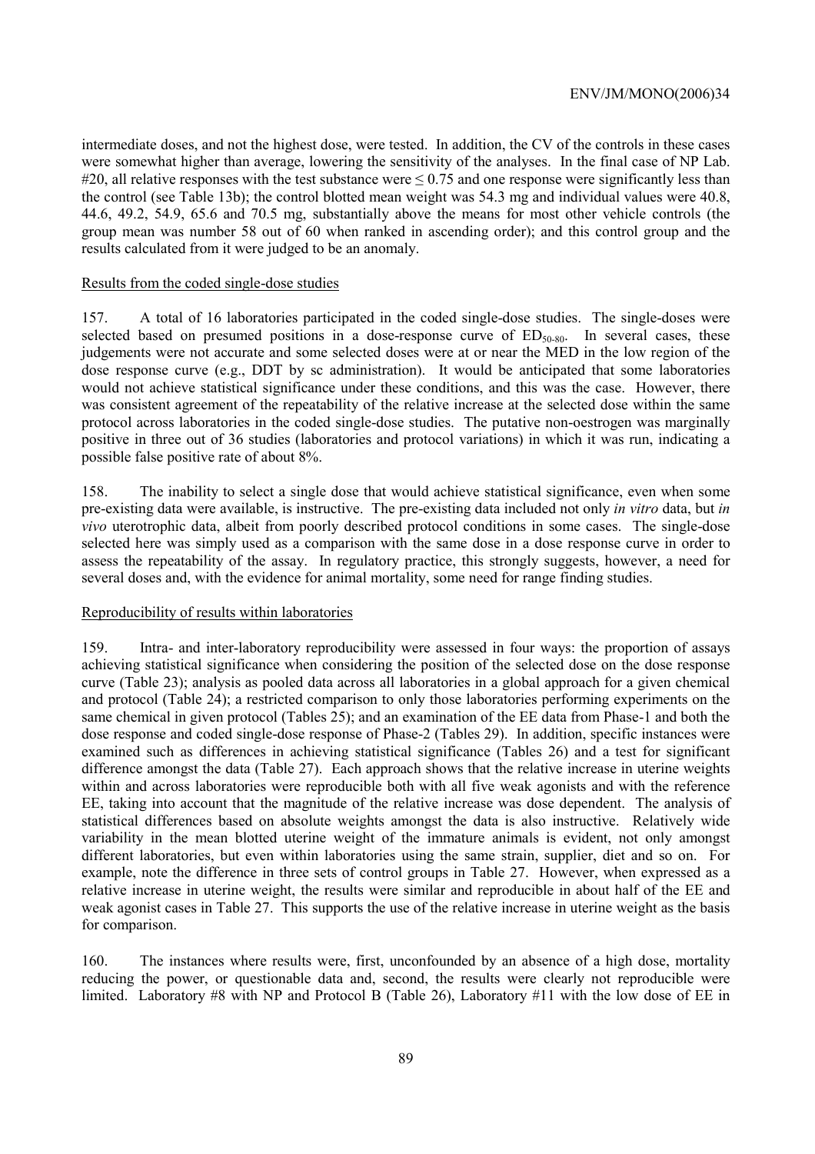intermediate doses, and not the highest dose, were tested. In addition, the CV of the controls in these cases were somewhat higher than average, lowering the sensitivity of the analyses. In the final case of NP Lab. #20, all relative responses with the test substance were  $\leq 0.75$  and one response were significantly less than the control (see Table 13b); the control blotted mean weight was 54.3 mg and individual values were 40.8, 44.6, 49.2, 54.9, 65.6 and 70.5 mg, substantially above the means for most other vehicle controls (the group mean was number 58 out of 60 when ranked in ascending order); and this control group and the results calculated from it were judged to be an anomaly.

### Results from the coded single-dose studies

157. A total of 16 laboratories participated in the coded single-dose studies. The single-doses were selected based on presumed positions in a dose-response curve of  $ED<sub>50-80</sub>$ . In several cases, these judgements were not accurate and some selected doses were at or near the MED in the low region of the dose response curve (e.g., DDT by sc administration). It would be anticipated that some laboratories would not achieve statistical significance under these conditions, and this was the case. However, there was consistent agreement of the repeatability of the relative increase at the selected dose within the same protocol across laboratories in the coded single-dose studies. The putative non-oestrogen was marginally positive in three out of 36 studies (laboratories and protocol variations) in which it was run, indicating a possible false positive rate of about 8%.

158. The inability to select a single dose that would achieve statistical significance, even when some pre-existing data were available, is instructive. The pre-existing data included not only *in vitro* data, but *in vivo* uterotrophic data, albeit from poorly described protocol conditions in some cases. The single-dose selected here was simply used as a comparison with the same dose in a dose response curve in order to assess the repeatability of the assay. In regulatory practice, this strongly suggests, however, a need for several doses and, with the evidence for animal mortality, some need for range finding studies.

## Reproducibility of results within laboratories

159. Intra- and inter-laboratory reproducibility were assessed in four ways: the proportion of assays achieving statistical significance when considering the position of the selected dose on the dose response curve (Table 23); analysis as pooled data across all laboratories in a global approach for a given chemical and protocol (Table 24); a restricted comparison to only those laboratories performing experiments on the same chemical in given protocol (Tables 25); and an examination of the EE data from Phase-1 and both the dose response and coded single-dose response of Phase-2 (Tables 29). In addition, specific instances were examined such as differences in achieving statistical significance (Tables 26) and a test for significant difference amongst the data (Table 27). Each approach shows that the relative increase in uterine weights within and across laboratories were reproducible both with all five weak agonists and with the reference EE, taking into account that the magnitude of the relative increase was dose dependent. The analysis of statistical differences based on absolute weights amongst the data is also instructive. Relatively wide variability in the mean blotted uterine weight of the immature animals is evident, not only amongst different laboratories, but even within laboratories using the same strain, supplier, diet and so on. For example, note the difference in three sets of control groups in Table 27. However, when expressed as a relative increase in uterine weight, the results were similar and reproducible in about half of the EE and weak agonist cases in Table 27. This supports the use of the relative increase in uterine weight as the basis for comparison.

160. The instances where results were, first, unconfounded by an absence of a high dose, mortality reducing the power, or questionable data and, second, the results were clearly not reproducible were limited. Laboratory #8 with NP and Protocol B (Table 26), Laboratory #11 with the low dose of EE in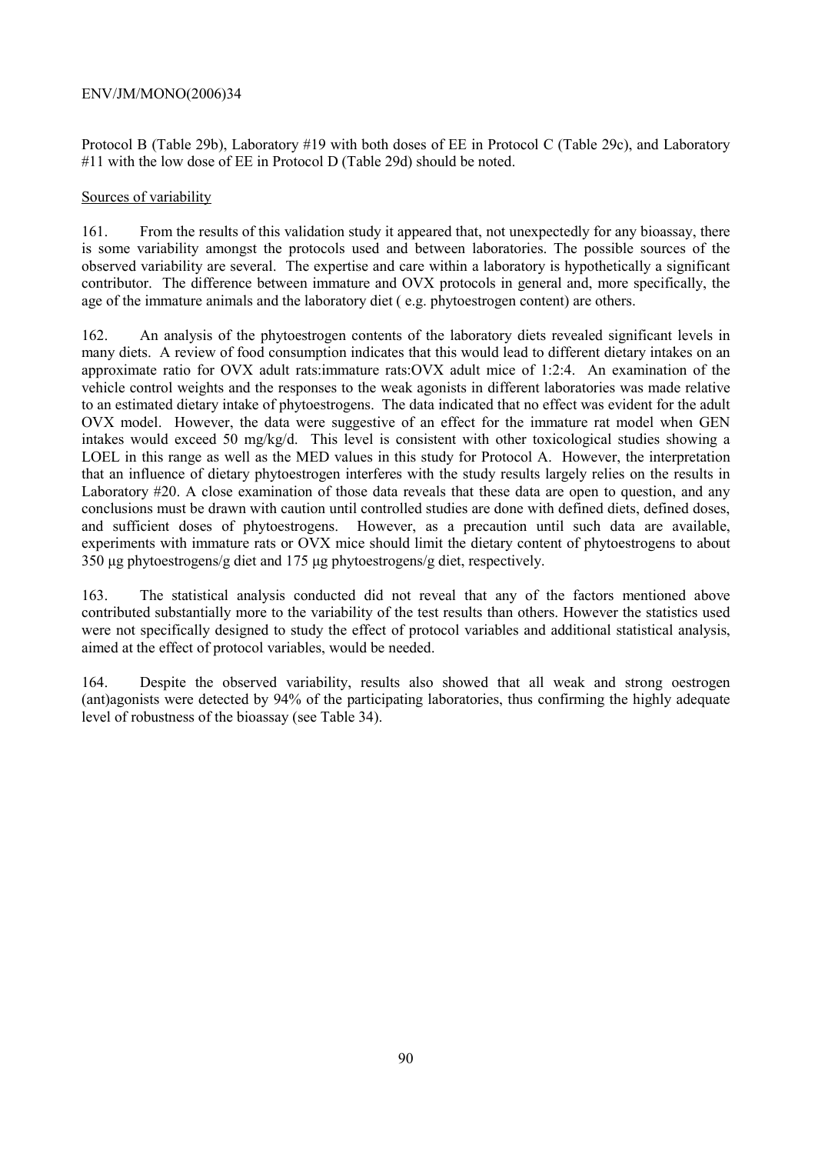Protocol B (Table 29b), Laboratory #19 with both doses of EE in Protocol C (Table 29c), and Laboratory #11 with the low dose of EE in Protocol D (Table 29d) should be noted.

## Sources of variability

161. From the results of this validation study it appeared that, not unexpectedly for any bioassay, there is some variability amongst the protocols used and between laboratories. The possible sources of the observed variability are several. The expertise and care within a laboratory is hypothetically a significant contributor. The difference between immature and OVX protocols in general and, more specifically, the age of the immature animals and the laboratory diet ( e.g. phytoestrogen content) are others.

162. An analysis of the phytoestrogen contents of the laboratory diets revealed significant levels in many diets. A review of food consumption indicates that this would lead to different dietary intakes on an approximate ratio for OVX adult rats:immature rats:OVX adult mice of 1:2:4. An examination of the vehicle control weights and the responses to the weak agonists in different laboratories was made relative to an estimated dietary intake of phytoestrogens. The data indicated that no effect was evident for the adult OVX model. However, the data were suggestive of an effect for the immature rat model when GEN intakes would exceed 50 mg/kg/d. This level is consistent with other toxicological studies showing a LOEL in this range as well as the MED values in this study for Protocol A. However, the interpretation that an influence of dietary phytoestrogen interferes with the study results largely relies on the results in Laboratory #20. A close examination of those data reveals that these data are open to question, and any conclusions must be drawn with caution until controlled studies are done with defined diets, defined doses, and sufficient doses of phytoestrogens. However, as a precaution until such data are available, experiments with immature rats or OVX mice should limit the dietary content of phytoestrogens to about 350 µg phytoestrogens/g diet and 175 µg phytoestrogens/g diet, respectively.

163. The statistical analysis conducted did not reveal that any of the factors mentioned above contributed substantially more to the variability of the test results than others. However the statistics used were not specifically designed to study the effect of protocol variables and additional statistical analysis, aimed at the effect of protocol variables, would be needed.

164. Despite the observed variability, results also showed that all weak and strong oestrogen (ant)agonists were detected by 94% of the participating laboratories, thus confirming the highly adequate level of robustness of the bioassay (see Table 34).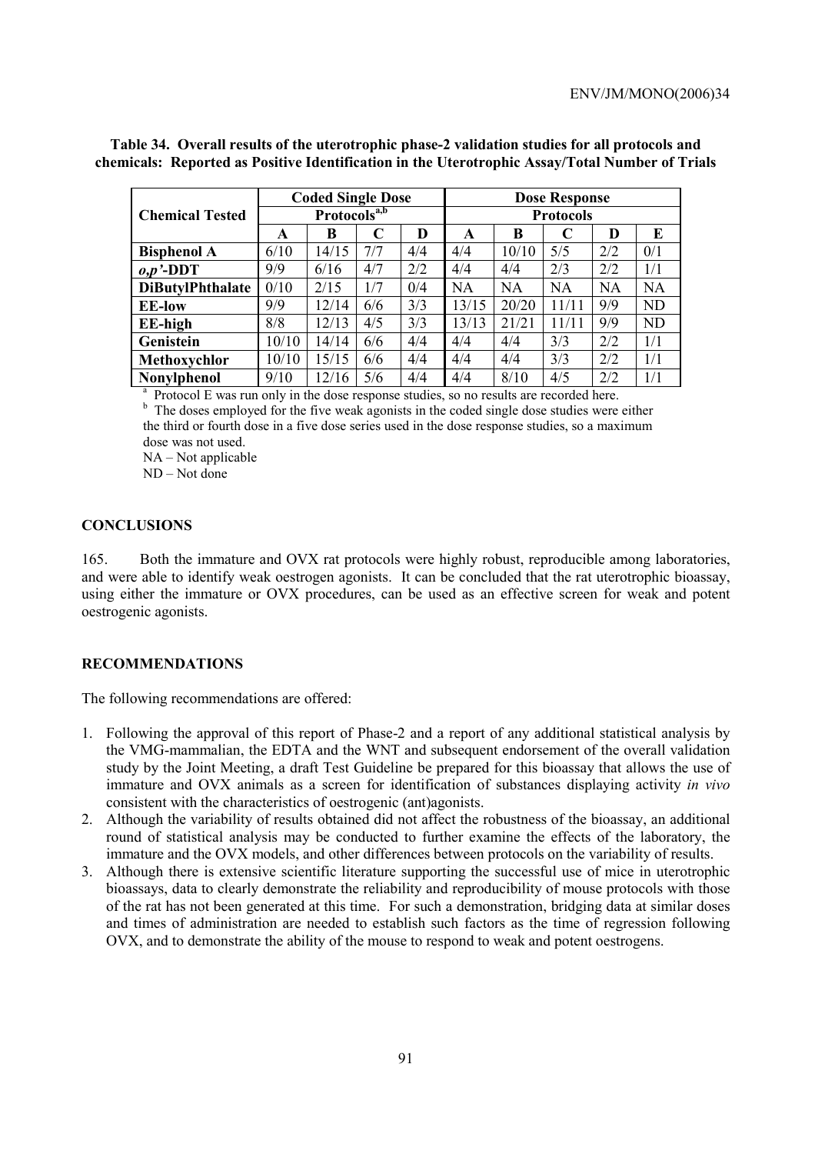|                         | <b>Coded Single Dose</b> |       |     |     | <b>Dose Response</b> |       |                  |           |           |  |
|-------------------------|--------------------------|-------|-----|-----|----------------------|-------|------------------|-----------|-----------|--|
| <b>Chemical Tested</b>  | Protocols <sup>a,b</sup> |       |     |     |                      |       | <b>Protocols</b> |           |           |  |
|                         | A                        | B     | C   | D   | A                    | B     |                  | D         | E         |  |
| <b>Bisphenol A</b>      | 6/10                     | 14/15 | 7/7 | 4/4 | 4/4                  | 10/10 | 5/5              | 2/2       | 0/1       |  |
| $o, p'$ -DDT            | 9/9                      | 6/16  | 4/7 | 2/2 | 4/4                  | 4/4   | 2/3              | 2/2       | 1/1       |  |
| <b>DiButylPhthalate</b> | 0/10                     | 2/15  | 1/7 | 0/4 | <b>NA</b>            | NA    | NA               | <b>NA</b> | <b>NA</b> |  |
| <b>EE-low</b>           | 9/9                      | 12/14 | 6/6 | 3/3 | 13/15                | 20/20 | 11/11            | 9/9       | ND        |  |
| <b>EE-high</b>          | 8/8                      | 12/13 | 4/5 | 3/3 | 13/13                | 21/21 | 11/11            | 9/9       | ND        |  |
| Genistein               | 10/10                    | 14/14 | 6/6 | 4/4 | 4/4                  | 4/4   | 3/3              | 2/2       | 1/1       |  |
| Methoxychlor            | 10/10                    | 15/15 | 6/6 | 4/4 | 4/4                  | 4/4   | 3/3              | 2/2       | 1/1       |  |
| <b>Nonylphenol</b>      | 9/10                     | 12/16 | 5/6 | 4/4 | 4/4                  | 8/10  | 4/5              | 2/2       | 1/1       |  |

**Table 34. Overall results of the uterotrophic phase-2 validation studies for all protocols and chemicals: Reported as Positive Identification in the Uterotrophic Assay/Total Number of Trials** 

<sup>a</sup> Protocol E was run only in the dose response studies, so no results are recorded here. <sup>b</sup> The doses employed for the five weak agonists in the coded single dose studies were either the third or fourth dose in a five dose series used in the dose response studies, so a maximum dose was not used.

 $NA - Not applicable$ 

 $ND - Not$  done

### **CONCLUSIONS**

165. Both the immature and OVX rat protocols were highly robust, reproducible among laboratories, and were able to identify weak oestrogen agonists. It can be concluded that the rat uterotrophic bioassay, using either the immature or OVX procedures, can be used as an effective screen for weak and potent oestrogenic agonists.

### **RECOMMENDATIONS**

The following recommendations are offered:

- 1. Following the approval of this report of Phase-2 and a report of any additional statistical analysis by the VMG-mammalian, the EDTA and the WNT and subsequent endorsement of the overall validation study by the Joint Meeting, a draft Test Guideline be prepared for this bioassay that allows the use of immature and OVX animals as a screen for identification of substances displaying activity *in vivo* consistent with the characteristics of oestrogenic (ant)agonists.
- 2. Although the variability of results obtained did not affect the robustness of the bioassay, an additional round of statistical analysis may be conducted to further examine the effects of the laboratory, the immature and the OVX models, and other differences between protocols on the variability of results.
- 3. Although there is extensive scientific literature supporting the successful use of mice in uterotrophic bioassays, data to clearly demonstrate the reliability and reproducibility of mouse protocols with those of the rat has not been generated at this time. For such a demonstration, bridging data at similar doses and times of administration are needed to establish such factors as the time of regression following OVX, and to demonstrate the ability of the mouse to respond to weak and potent oestrogens.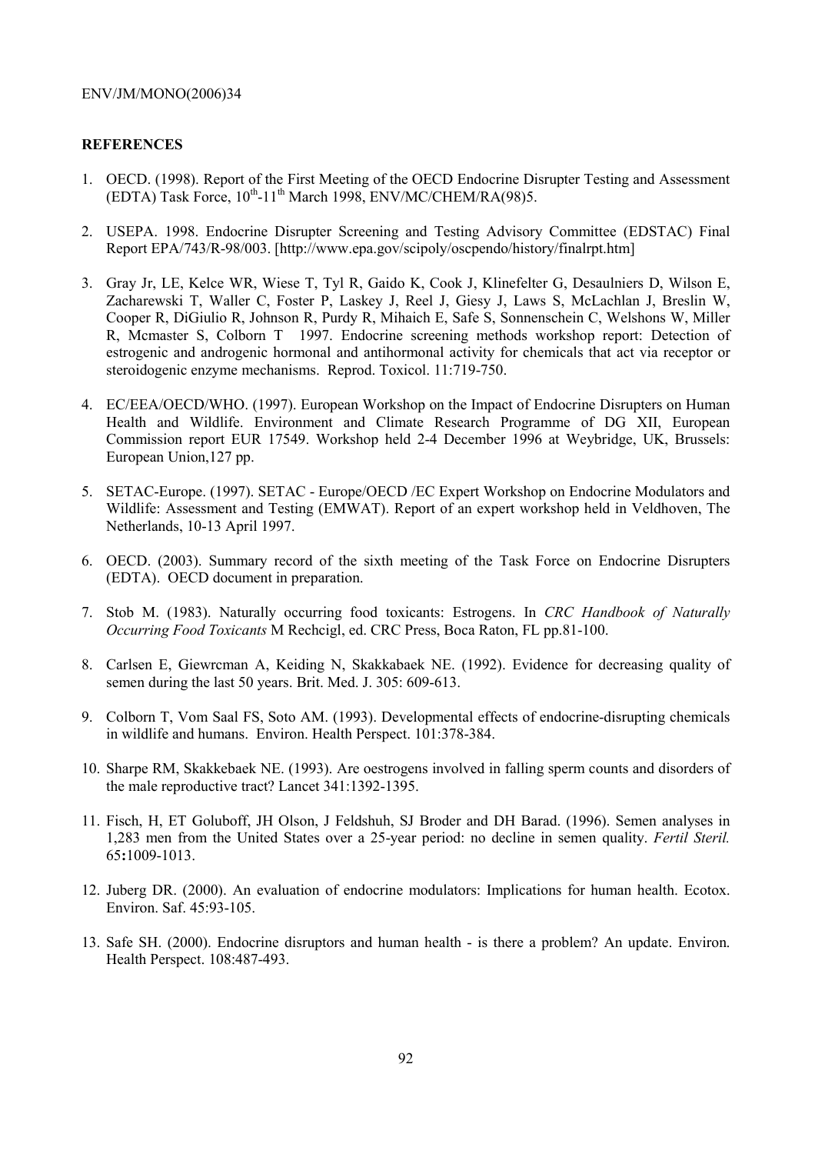## **REFERENCES**

- 1. OECD. (1998). Report of the First Meeting of the OECD Endocrine Disrupter Testing and Assessment  $(EDTA)$  Task Force,  $10^{th}$ -11<sup>th</sup> March 1998, ENV/MC/CHEM/RA(98)5.
- 2. USEPA. 1998. Endocrine Disrupter Screening and Testing Advisory Committee (EDSTAC) Final Report EPA/743/R-98/003. [http://www.epa.gov/scipoly/oscpendo/history/finalrpt.htm]
- 3. Gray Jr, LE, Kelce WR, Wiese T, Tyl R, Gaido K, Cook J, Klinefelter G, Desaulniers D, Wilson E, Zacharewski T, Waller C, Foster P, Laskey J, Reel J, Giesy J, Laws S, McLachlan J, Breslin W, Cooper R, DiGiulio R, Johnson R, Purdy R, Mihaich E, Safe S, Sonnenschein C, Welshons W, Miller R, Mcmaster S, Colborn T 1997. Endocrine screening methods workshop report: Detection of estrogenic and androgenic hormonal and antihormonal activity for chemicals that act via receptor or steroidogenic enzyme mechanisms. Reprod. Toxicol. 11:719-750.
- 4. EC/EEA/OECD/WHO. (1997). European Workshop on the Impact of Endocrine Disrupters on Human Health and Wildlife. Environment and Climate Research Programme of DG XII, European Commission report EUR 17549. Workshop held 2-4 December 1996 at Weybridge, UK, Brussels: European Union,127 pp.
- 5. SETAC-Europe. (1997). SETAC Europe/OECD /EC Expert Workshop on Endocrine Modulators and Wildlife: Assessment and Testing (EMWAT). Report of an expert workshop held in Veldhoven, The Netherlands, 10-13 April 1997.
- 6. OECD. (2003). Summary record of the sixth meeting of the Task Force on Endocrine Disrupters (EDTA). OECD document in preparation.
- 7. Stob M. (1983). Naturally occurring food toxicants: Estrogens. In *CRC Handbook of Naturally Occurring Food Toxicants* M Rechcigl, ed. CRC Press, Boca Raton, FL pp.81-100.
- 8. Carlsen E, Giewrcman A, Keiding N, Skakkabaek NE. (1992). Evidence for decreasing quality of semen during the last 50 years. Brit. Med. J. 305: 609-613.
- 9. Colborn T, Vom Saal FS, Soto AM. (1993). Developmental effects of endocrine-disrupting chemicals in wildlife and humans. Environ. Health Perspect. 101:378-384.
- 10. Sharpe RM, Skakkebaek NE. (1993). Are oestrogens involved in falling sperm counts and disorders of the male reproductive tract? Lancet 341:1392-1395.
- 11. Fisch, H, ET Goluboff, JH Olson, J Feldshuh, SJ Broder and DH Barad. (1996). Semen analyses in 1,283 men from the United States over a 25-year period: no decline in semen quality. *Fertil Steril.*  65**:**1009-1013.
- 12. Juberg DR. (2000). An evaluation of endocrine modulators: Implications for human health. Ecotox. Environ. Saf. 45:93-105.
- 13. Safe SH. (2000). Endocrine disruptors and human health is there a problem? An update. Environ. Health Perspect. 108:487-493.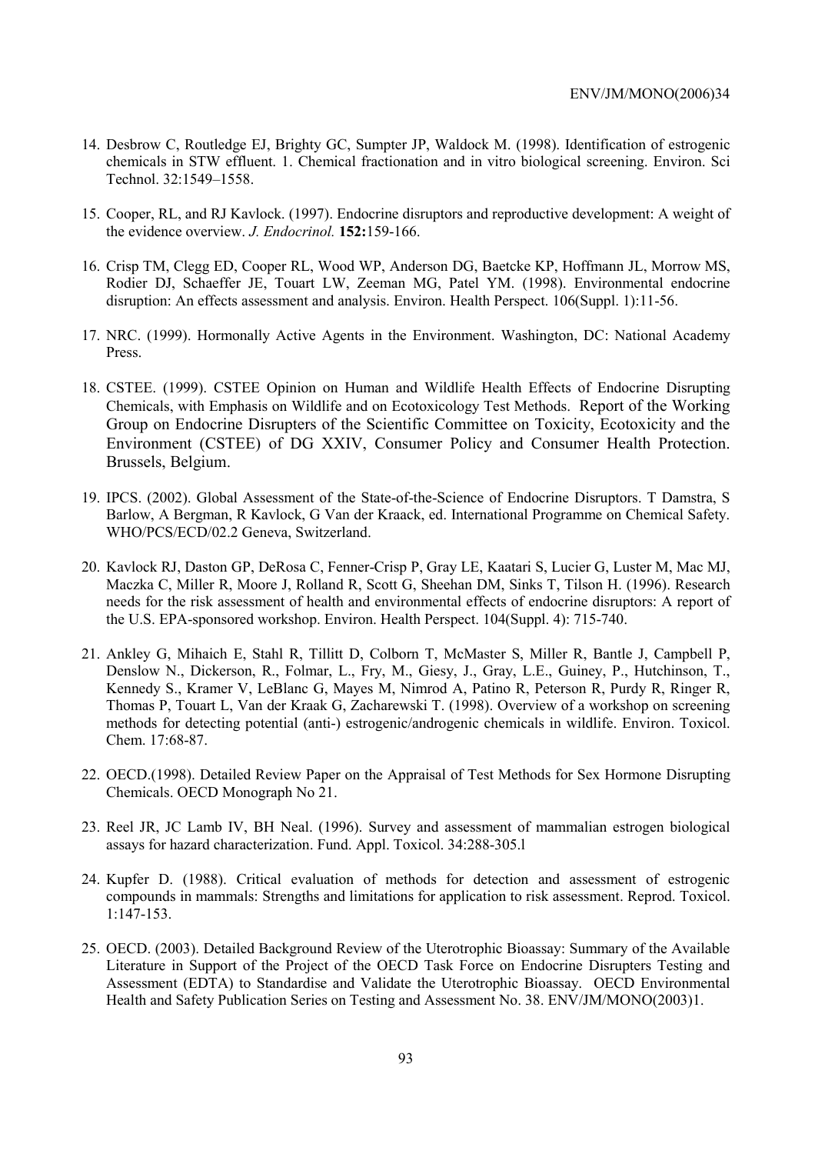- 14. Desbrow C, Routledge EJ, Brighty GC, Sumpter JP, Waldock M. (1998). Identification of estrogenic chemicals in STW effluent. 1. Chemical fractionation and in vitro biological screening. Environ. Sci Technol. 32:1549-1558.
- 15. Cooper, RL, and RJ Kavlock. (1997). Endocrine disruptors and reproductive development: A weight of the evidence overview. *J. Endocrinol.* **152:**159-166.
- 16. Crisp TM, Clegg ED, Cooper RL, Wood WP, Anderson DG, Baetcke KP, Hoffmann JL, Morrow MS, Rodier DJ, Schaeffer JE, Touart LW, Zeeman MG, Patel YM. (1998). Environmental endocrine disruption: An effects assessment and analysis. Environ. Health Perspect. 106(Suppl. 1):11-56.
- 17. NRC. (1999). Hormonally Active Agents in the Environment. Washington, DC: National Academy Press.
- 18. CSTEE. (1999). CSTEE Opinion on Human and Wildlife Health Effects of Endocrine Disrupting Chemicals, with Emphasis on Wildlife and on Ecotoxicology Test Methods. Report of the Working Group on Endocrine Disrupters of the Scientific Committee on Toxicity, Ecotoxicity and the Environment (CSTEE) of DG XXIV, Consumer Policy and Consumer Health Protection. Brussels, Belgium.
- 19. IPCS. (2002). Global Assessment of the State-of-the-Science of Endocrine Disruptors. T Damstra, S Barlow, A Bergman, R Kavlock, G Van der Kraack, ed. International Programme on Chemical Safety. WHO/PCS/ECD/02.2 Geneva, Switzerland.
- 20. Kavlock RJ, Daston GP, DeRosa C, Fenner-Crisp P, Gray LE, Kaatari S, Lucier G, Luster M, Mac MJ, Maczka C, Miller R, Moore J, Rolland R, Scott G, Sheehan DM, Sinks T, Tilson H. (1996). Research needs for the risk assessment of health and environmental effects of endocrine disruptors: A report of the U.S. EPA-sponsored workshop. Environ. Health Perspect. 104(Suppl. 4): 715-740.
- 21. Ankley G, Mihaich E, Stahl R, Tillitt D, Colborn T, McMaster S, Miller R, Bantle J, Campbell P, Denslow N., Dickerson, R., Folmar, L., Fry, M., Giesy, J., Gray, L.E., Guiney, P., Hutchinson, T., Kennedy S., Kramer V, LeBlanc G, Mayes M, Nimrod A, Patino R, Peterson R, Purdy R, Ringer R, Thomas P, Touart L, Van der Kraak G, Zacharewski T. (1998). Overview of a workshop on screening methods for detecting potential (anti-) estrogenic/androgenic chemicals in wildlife. Environ. Toxicol. Chem. 17:68-87.
- 22. OECD.(1998). Detailed Review Paper on the Appraisal of Test Methods for Sex Hormone Disrupting Chemicals. OECD Monograph No 21.
- 23. Reel JR, JC Lamb IV, BH Neal. (1996). Survey and assessment of mammalian estrogen biological assays for hazard characterization. Fund. Appl. Toxicol. 34:288-305.l
- 24. Kupfer D. (1988). Critical evaluation of methods for detection and assessment of estrogenic compounds in mammals: Strengths and limitations for application to risk assessment. Reprod. Toxicol. 1:147-153.
- 25. OECD. (2003). Detailed Background Review of the Uterotrophic Bioassay: Summary of the Available Literature in Support of the Project of the OECD Task Force on Endocrine Disrupters Testing and Assessment (EDTA) to Standardise and Validate the Uterotrophic Bioassay. OECD Environmental Health and Safety Publication Series on Testing and Assessment No. 38. ENV/JM/MONO(2003)1.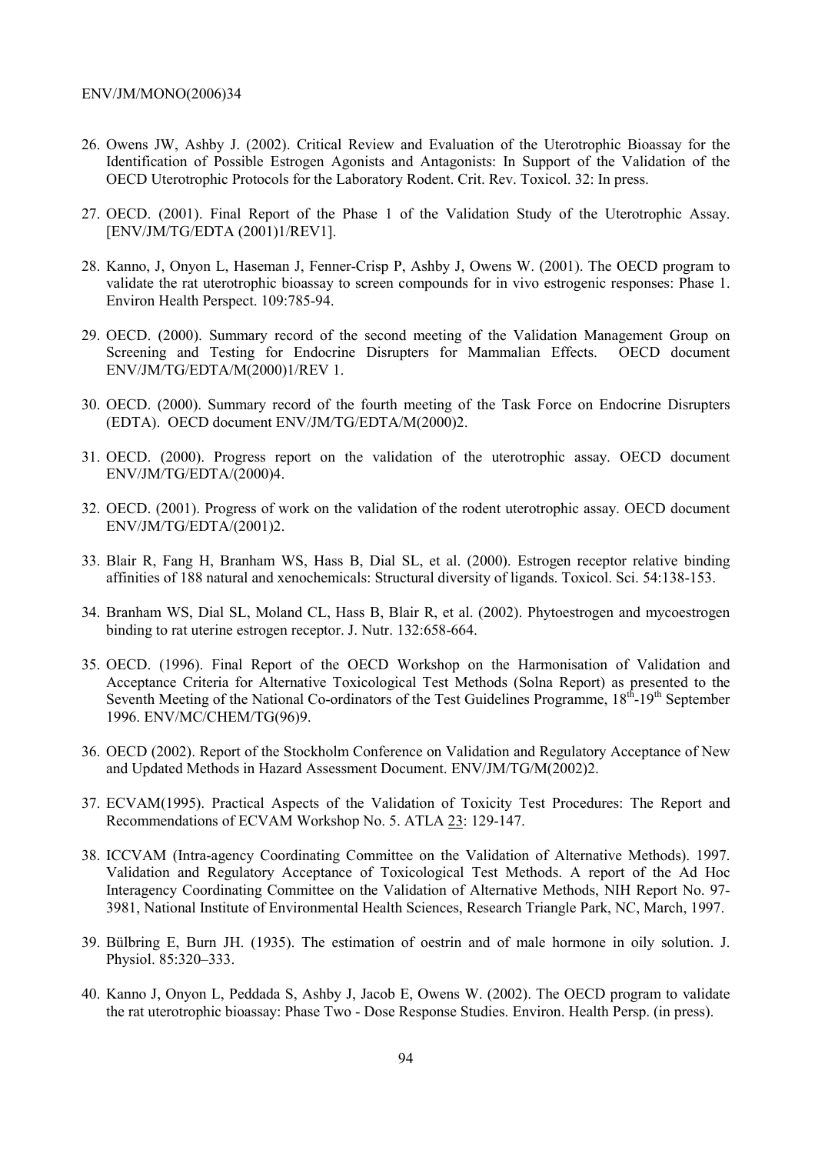- 26. Owens JW, Ashby J. (2002). Critical Review and Evaluation of the Uterotrophic Bioassay for the Identification of Possible Estrogen Agonists and Antagonists: In Support of the Validation of the OECD Uterotrophic Protocols for the Laboratory Rodent. Crit. Rev. Toxicol. 32: In press.
- 27. OECD. (2001). Final Report of the Phase 1 of the Validation Study of the Uterotrophic Assay. [ENV/JM/TG/EDTA (2001)1/REV1].
- 28. Kanno, J, Onyon L, Haseman J, Fenner-Crisp P, Ashby J, Owens W. (2001). The OECD program to validate the rat uterotrophic bioassay to screen compounds for in vivo estrogenic responses: Phase 1. Environ Health Perspect. 109:785-94.
- 29. OECD. (2000). Summary record of the second meeting of the Validation Management Group on Screening and Testing for Endocrine Disrupters for Mammalian Effects. OECD document ENV/JM/TG/EDTA/M(2000)1/REV 1.
- 30. OECD. (2000). Summary record of the fourth meeting of the Task Force on Endocrine Disrupters (EDTA). OECD document ENV/JM/TG/EDTA/M(2000)2.
- 31. OECD. (2000). Progress report on the validation of the uterotrophic assay. OECD document ENV/JM/TG/EDTA/(2000)4.
- 32. OECD. (2001). Progress of work on the validation of the rodent uterotrophic assay. OECD document ENV/JM/TG/EDTA/(2001)2.
- 33. Blair R, Fang H, Branham WS, Hass B, Dial SL, et al. (2000). Estrogen receptor relative binding affinities of 188 natural and xenochemicals: Structural diversity of ligands. Toxicol. Sci. 54:138-153.
- 34. Branham WS, Dial SL, Moland CL, Hass B, Blair R, et al. (2002). Phytoestrogen and mycoestrogen binding to rat uterine estrogen receptor. J. Nutr. 132:658-664.
- 35. OECD. (1996). Final Report of the OECD Workshop on the Harmonisation of Validation and Acceptance Criteria for Alternative Toxicological Test Methods (Solna Report) as presented to the Seventh Meeting of the National Co-ordinators of the Test Guidelines Programme, 18<sup>th</sup>-19<sup>th</sup> September 1996. ENV/MC/CHEM/TG(96)9.
- 36. OECD (2002). Report of the Stockholm Conference on Validation and Regulatory Acceptance of New and Updated Methods in Hazard Assessment Document. ENV/JM/TG/M(2002)2.
- 37. ECVAM(1995). Practical Aspects of the Validation of Toxicity Test Procedures: The Report and Recommendations of ECVAM Workshop No. 5. ATLA 23: 129-147.
- 38. ICCVAM (Intra-agency Coordinating Committee on the Validation of Alternative Methods). 1997. Validation and Regulatory Acceptance of Toxicological Test Methods. A report of the Ad Hoc Interagency Coordinating Committee on the Validation of Alternative Methods, NIH Report No. 97- 3981, National Institute of Environmental Health Sciences, Research Triangle Park, NC, March, 1997.
- 39. Bülbring E, Burn JH. (1935). The estimation of oestrin and of male hormone in oily solution. J. Physiol. 85:320-333.
- 40. Kanno J, Onyon L, Peddada S, Ashby J, Jacob E, Owens W. (2002). The OECD program to validate the rat uterotrophic bioassay: Phase Two - Dose Response Studies. Environ. Health Persp. (in press).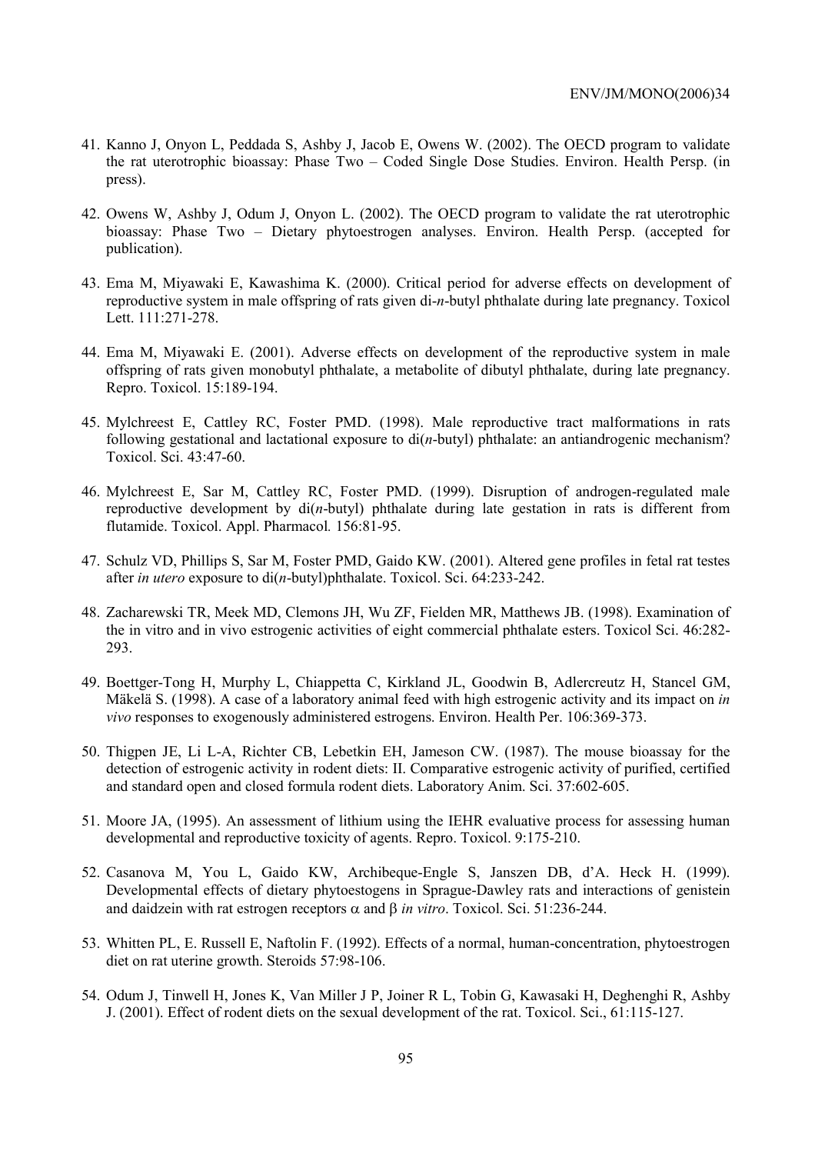- 41. Kanno J, Onyon L, Peddada S, Ashby J, Jacob E, Owens W. (2002). The OECD program to validate the rat uterotrophic bioassay: Phase  $Two - Code$ d Single Dose Studies. Environ. Health Persp. (in press).
- 42. Owens W, Ashby J, Odum J, Onyon L. (2002). The OECD program to validate the rat uterotrophic bioassay: Phase Two – Dietary phytoestrogen analyses. Environ. Health Persp. (accepted for publication).
- 43. Ema M, Miyawaki E, Kawashima K. (2000). Critical period for adverse effects on development of reproductive system in male offspring of rats given di-*n*-butyl phthalate during late pregnancy. Toxicol Lett. 111:271-278.
- 44. Ema M, Miyawaki E. (2001). Adverse effects on development of the reproductive system in male offspring of rats given monobutyl phthalate, a metabolite of dibutyl phthalate, during late pregnancy. Repro. Toxicol. 15:189-194.
- 45. Mylchreest E, Cattley RC, Foster PMD. (1998). Male reproductive tract malformations in rats following gestational and lactational exposure to di(*n*-butyl) phthalate: an antiandrogenic mechanism? Toxicol. Sci. 43:47-60.
- 46. Mylchreest E, Sar M, Cattley RC, Foster PMD. (1999). Disruption of androgen-regulated male reproductive development by di(*n*-butyl) phthalate during late gestation in rats is different from flutamide. Toxicol. Appl. Pharmacol*.* 156:81-95.
- 47. Schulz VD, Phillips S, Sar M, Foster PMD, Gaido KW. (2001). Altered gene profiles in fetal rat testes after *in utero* exposure to di(*n*-butyl)phthalate. Toxicol. Sci. 64:233-242.
- 48. Zacharewski TR, Meek MD, Clemons JH, Wu ZF, Fielden MR, Matthews JB. (1998). Examination of the in vitro and in vivo estrogenic activities of eight commercial phthalate esters. Toxicol Sci. 46:282- 293.
- 49. Boettger-Tong H, Murphy L, Chiappetta C, Kirkland JL, Goodwin B, Adlercreutz H, Stancel GM, Mäkelä S. (1998). A case of a laboratory animal feed with high estrogenic activity and its impact on *in vivo* responses to exogenously administered estrogens. Environ. Health Per. 106:369-373.
- 50. Thigpen JE, Li L-A, Richter CB, Lebetkin EH, Jameson CW. (1987). The mouse bioassay for the detection of estrogenic activity in rodent diets: II. Comparative estrogenic activity of purified, certified and standard open and closed formula rodent diets. Laboratory Anim. Sci. 37:602-605.
- 51. Moore JA, (1995). An assessment of lithium using the IEHR evaluative process for assessing human developmental and reproductive toxicity of agents. Repro. Toxicol. 9:175-210.
- 52. Casanova M, You L, Gaido KW, Archibeque-Engle S, Janszen DB, díA. Heck H. (1999). Developmental effects of dietary phytoestogens in Sprague-Dawley rats and interactions of genistein and daidzein with rat estrogen receptors α and β *in vitro*. Toxicol. Sci. 51:236-244.
- 53. Whitten PL, E. Russell E, Naftolin F. (1992). Effects of a normal, human-concentration, phytoestrogen diet on rat uterine growth. Steroids 57:98-106.
- 54. Odum J, Tinwell H, Jones K, Van Miller J P, Joiner R L, Tobin G, Kawasaki H, Deghenghi R, Ashby J. (2001). Effect of rodent diets on the sexual development of the rat. Toxicol. Sci., 61:115-127.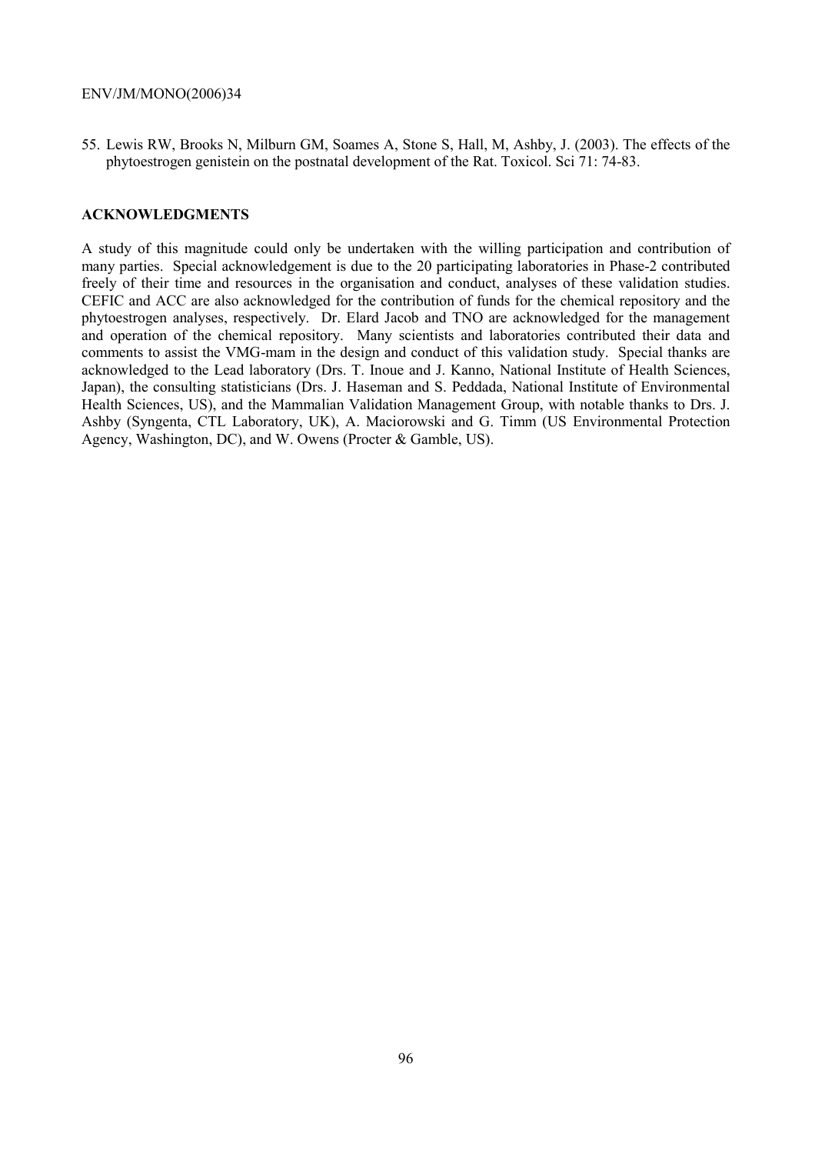55. Lewis RW, Brooks N, Milburn GM, Soames A, Stone S, Hall, M, Ashby, J. (2003). The effects of the phytoestrogen genistein on the postnatal development of the Rat. Toxicol. Sci 71: 74-83.

### **ACKNOWLEDGMENTS**

A study of this magnitude could only be undertaken with the willing participation and contribution of many parties. Special acknowledgement is due to the 20 participating laboratories in Phase-2 contributed freely of their time and resources in the organisation and conduct, analyses of these validation studies. CEFIC and ACC are also acknowledged for the contribution of funds for the chemical repository and the phytoestrogen analyses, respectively. Dr. Elard Jacob and TNO are acknowledged for the management and operation of the chemical repository. Many scientists and laboratories contributed their data and comments to assist the VMG-mam in the design and conduct of this validation study. Special thanks are acknowledged to the Lead laboratory (Drs. T. Inoue and J. Kanno, National Institute of Health Sciences, Japan), the consulting statisticians (Drs. J. Haseman and S. Peddada, National Institute of Environmental Health Sciences, US), and the Mammalian Validation Management Group, with notable thanks to Drs. J. Ashby (Syngenta, CTL Laboratory, UK), A. Maciorowski and G. Timm (US Environmental Protection Agency, Washington, DC), and W. Owens (Procter & Gamble, US).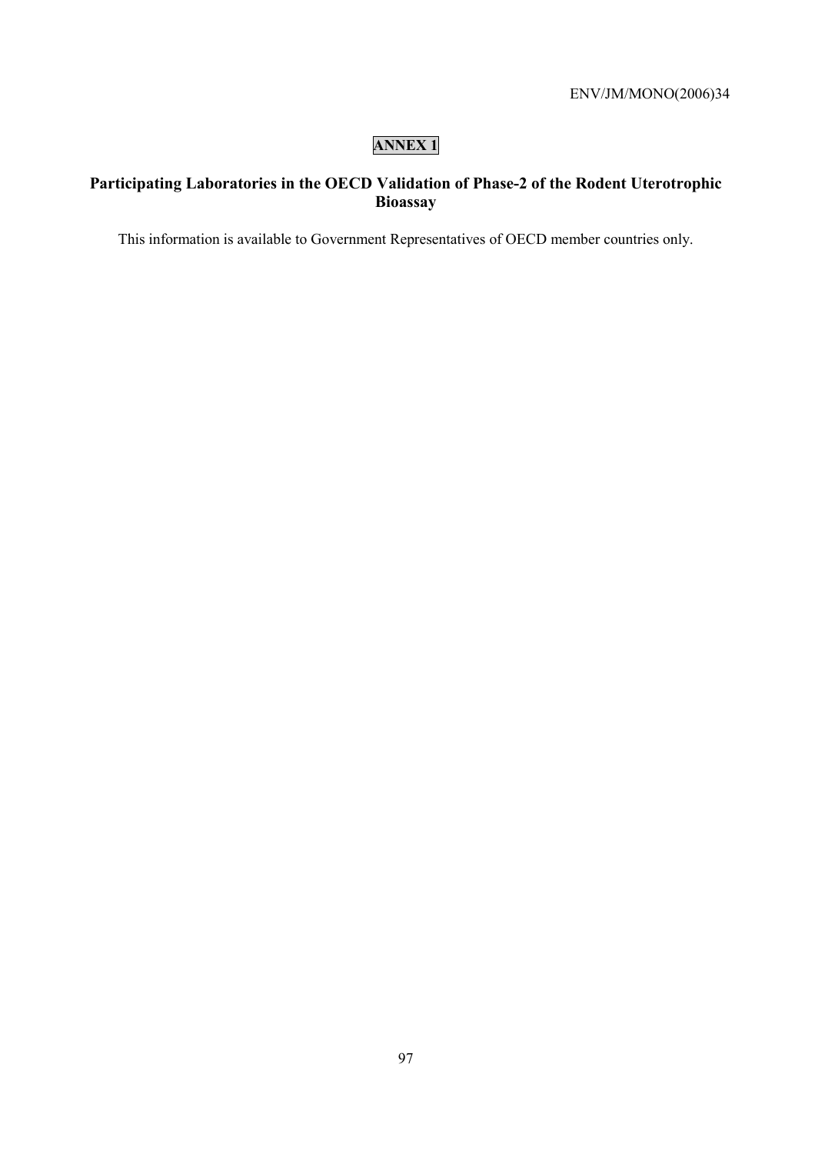# **ANNEX 1**

## **Participating Laboratories in the OECD Validation of Phase-2 of the Rodent Uterotrophic Bioassay**

This information is available to Government Representatives of OECD member countries only.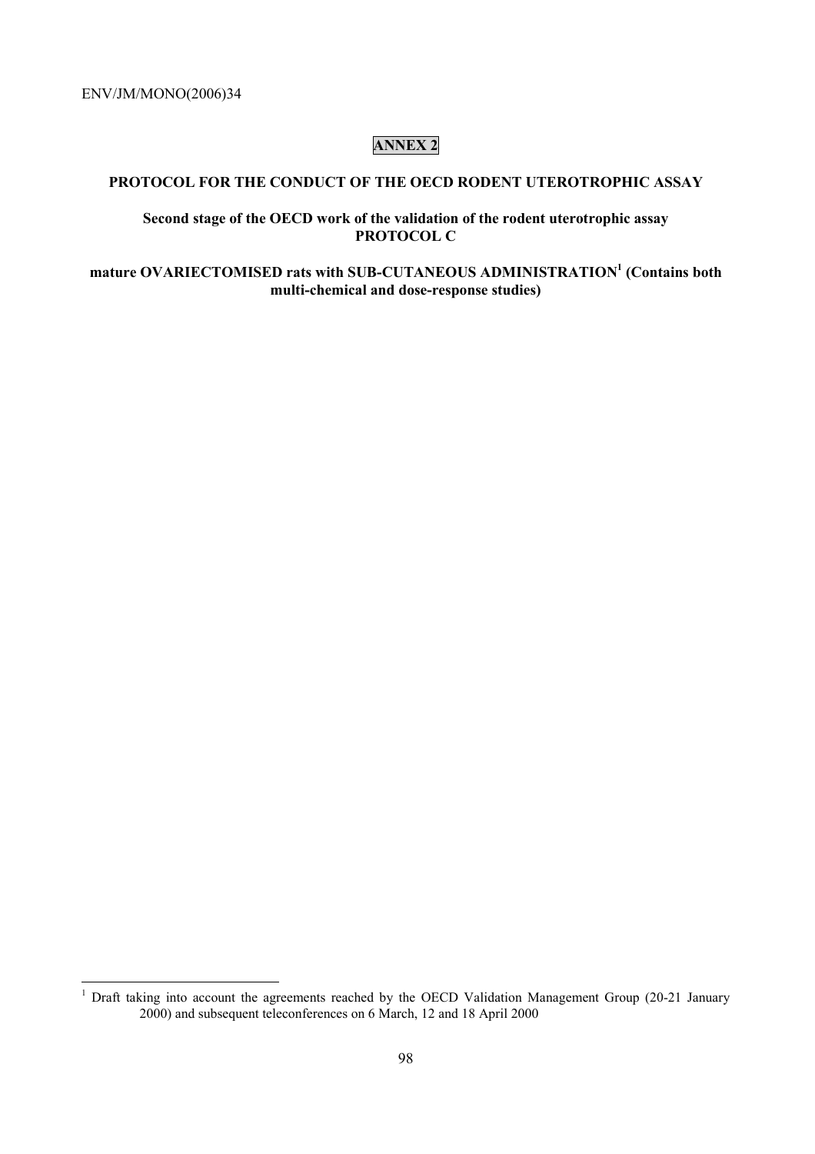# **ANNEX 2**

## **PROTOCOL FOR THE CONDUCT OF THE OECD RODENT UTEROTROPHIC ASSAY**

## **Second stage of the OECD work of the validation of the rodent uterotrophic assay PROTOCOL C**

**mature OVARIECTOMISED rats with SUB-CUTANEOUS ADMINISTRATION1 (Contains both multi-chemical and dose-response studies)** 

<sup>&</sup>lt;sup>1</sup> Draft taking into account the agreements reached by the OECD Validation Management Group (20-21 January 2000) and subsequent teleconferences on 6 March, 12 and 18 April 2000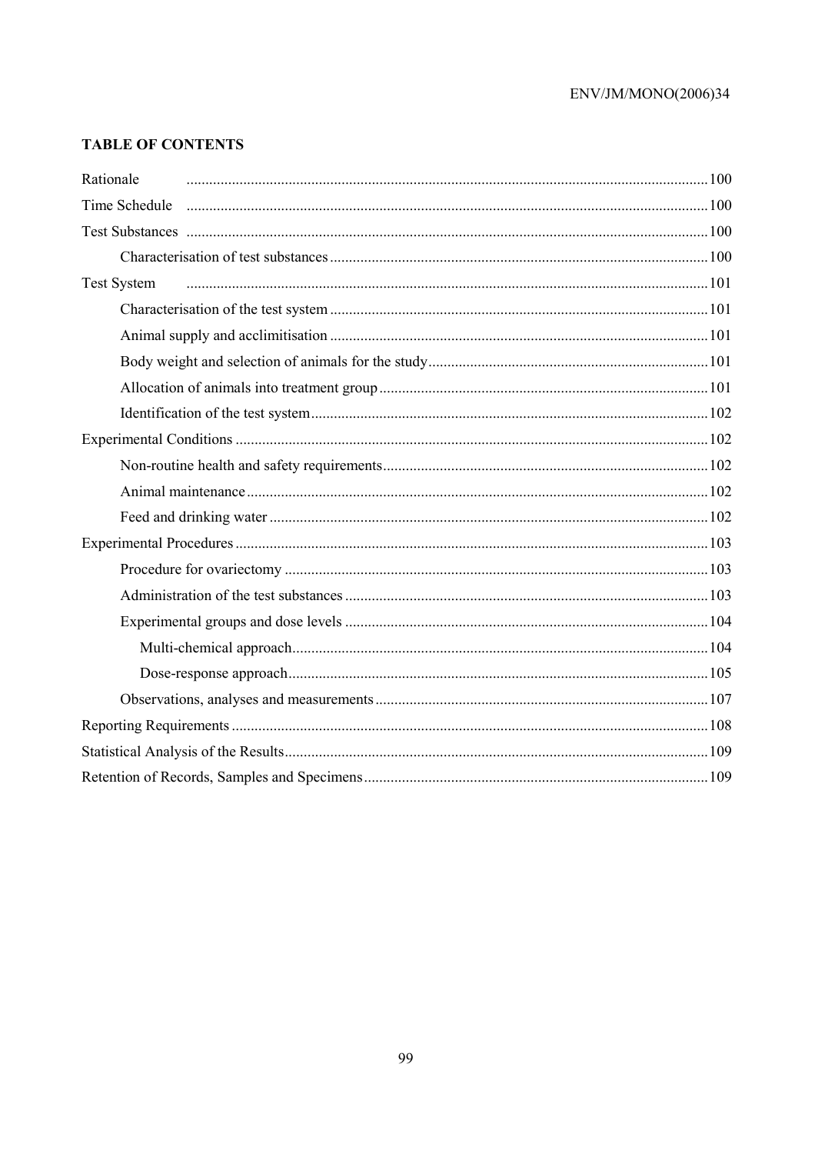# **TABLE OF CONTENTS**

| Rationale          |  |
|--------------------|--|
| Time Schedule      |  |
|                    |  |
|                    |  |
| <b>Test System</b> |  |
|                    |  |
|                    |  |
|                    |  |
|                    |  |
|                    |  |
|                    |  |
|                    |  |
|                    |  |
|                    |  |
|                    |  |
|                    |  |
|                    |  |
|                    |  |
|                    |  |
|                    |  |
|                    |  |
|                    |  |
|                    |  |
|                    |  |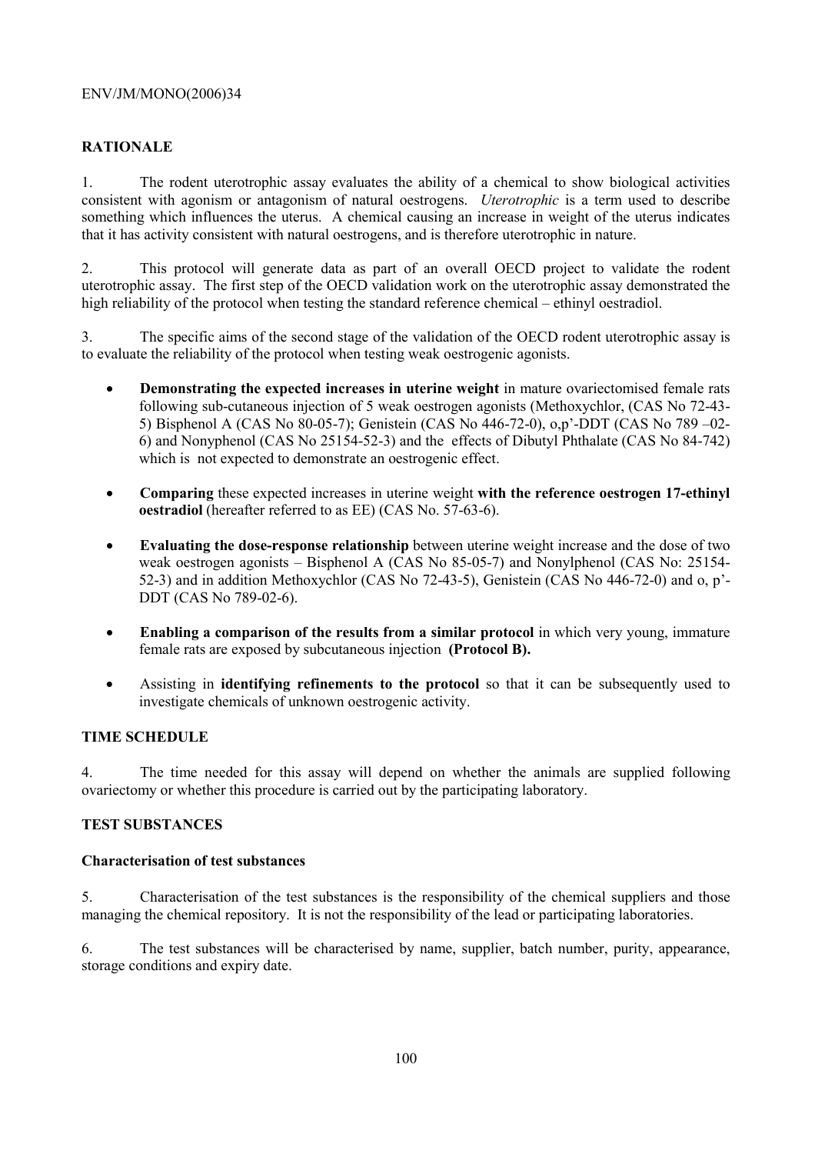## **RATIONALE**

1. The rodent uterotrophic assay evaluates the ability of a chemical to show biological activities consistent with agonism or antagonism of natural oestrogens. *Uterotrophic* is a term used to describe something which influences the uterus. A chemical causing an increase in weight of the uterus indicates that it has activity consistent with natural oestrogens, and is therefore uterotrophic in nature.

2. This protocol will generate data as part of an overall OECD project to validate the rodent uterotrophic assay. The first step of the OECD validation work on the uterotrophic assay demonstrated the high reliability of the protocol when testing the standard reference chemical – ethinyl oestradiol.

3. The specific aims of the second stage of the validation of the OECD rodent uterotrophic assay is to evaluate the reliability of the protocol when testing weak oestrogenic agonists.

- **Demonstrating the expected increases in uterine weight** in mature ovariectomised female rats following sub-cutaneous injection of 5 weak oestrogen agonists (Methoxychlor, (CAS No 72-43- 5) Bisphenol A (CAS No 80-05-7); Genistein (CAS No 446-72-0), o.p<sup>2</sup>-DDT (CAS No 789 -02-6) and Nonyphenol (CAS No 25154-52-3) and the effects of Dibutyl Phthalate (CAS No 84-742) which is not expected to demonstrate an oestrogenic effect.
- **Comparing** these expected increases in uterine weight **with the reference oestrogen 17-ethinyl oestradiol** (hereafter referred to as EE) (CAS No. 57-63-6).
- **Evaluating the dose-response relationship** between uterine weight increase and the dose of two weak oestrogen agonists – Bisphenol A (CAS No  $85-05-7$ ) and Nonylphenol (CAS No: 25154-52-3) and in addition Methoxychlor (CAS No 72-43-5), Genistein (CAS No 446-72-0) and o, p<sup>2</sup>-DDT (CAS No 789-02-6).
- **Enabling a comparison of the results from a similar protocol** in which very young, immature female rats are exposed by subcutaneous injection **(Protocol B).**
- Assisting in **identifying refinements to the protocol** so that it can be subsequently used to investigate chemicals of unknown oestrogenic activity.

## **TIME SCHEDULE**

4. The time needed for this assay will depend on whether the animals are supplied following ovariectomy or whether this procedure is carried out by the participating laboratory.

## **TEST SUBSTANCES**

## **Characterisation of test substances**

5. Characterisation of the test substances is the responsibility of the chemical suppliers and those managing the chemical repository. It is not the responsibility of the lead or participating laboratories.

6. The test substances will be characterised by name, supplier, batch number, purity, appearance, storage conditions and expiry date.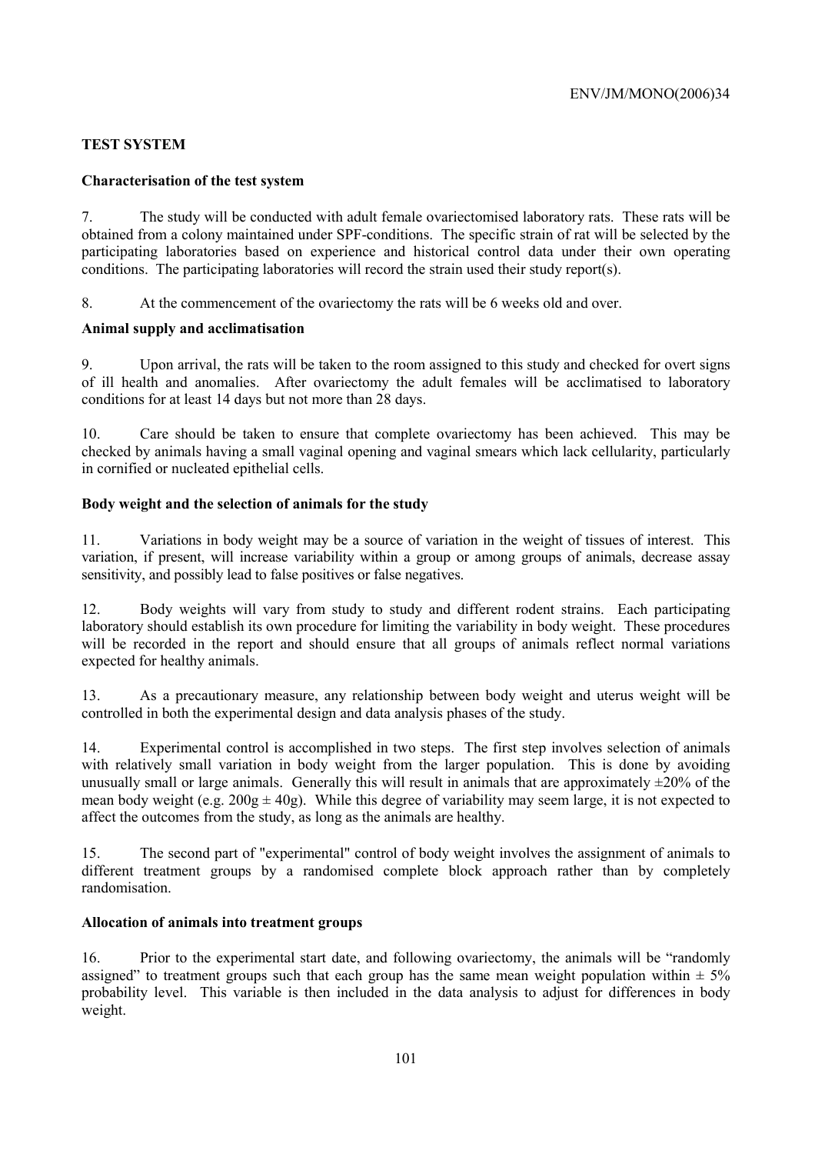## **TEST SYSTEM**

## **Characterisation of the test system**

7. The study will be conducted with adult female ovariectomised laboratory rats. These rats will be obtained from a colony maintained under SPF-conditions. The specific strain of rat will be selected by the participating laboratories based on experience and historical control data under their own operating conditions. The participating laboratories will record the strain used their study report(s).

8. At the commencement of the ovariectomy the rats will be 6 weeks old and over.

## **Animal supply and acclimatisation**

9. Upon arrival, the rats will be taken to the room assigned to this study and checked for overt signs of ill health and anomalies. After ovariectomy the adult females will be acclimatised to laboratory conditions for at least 14 days but not more than 28 days.

10. Care should be taken to ensure that complete ovariectomy has been achieved. This may be checked by animals having a small vaginal opening and vaginal smears which lack cellularity, particularly in cornified or nucleated epithelial cells.

## **Body weight and the selection of animals for the study**

11. Variations in body weight may be a source of variation in the weight of tissues of interest. This variation, if present, will increase variability within a group or among groups of animals, decrease assay sensitivity, and possibly lead to false positives or false negatives.

12. Body weights will vary from study to study and different rodent strains. Each participating laboratory should establish its own procedure for limiting the variability in body weight. These procedures will be recorded in the report and should ensure that all groups of animals reflect normal variations expected for healthy animals.

13. As a precautionary measure, any relationship between body weight and uterus weight will be controlled in both the experimental design and data analysis phases of the study.

14. Experimental control is accomplished in two steps. The first step involves selection of animals with relatively small variation in body weight from the larger population. This is done by avoiding unusually small or large animals. Generally this will result in animals that are approximately  $\pm 20\%$  of the mean body weight (e.g.  $200g \pm 40g$ ). While this degree of variability may seem large, it is not expected to affect the outcomes from the study, as long as the animals are healthy.

15. The second part of "experimental" control of body weight involves the assignment of animals to different treatment groups by a randomised complete block approach rather than by completely randomisation.

## **Allocation of animals into treatment groups**

16. Prior to the experimental start date, and following ovariectomy, the animals will be "randomly" assigned" to treatment groups such that each group has the same mean weight population within  $\pm$  5% probability level. This variable is then included in the data analysis to adjust for differences in body weight.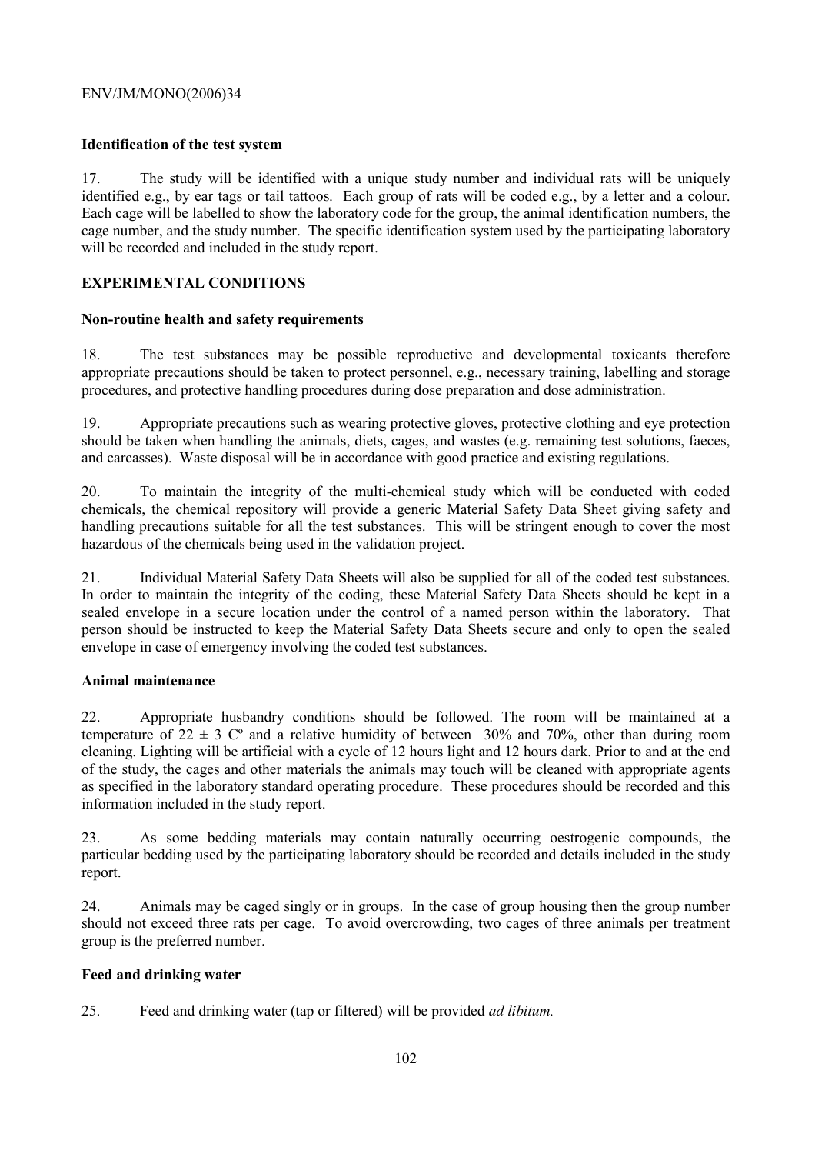## **Identification of the test system**

17. The study will be identified with a unique study number and individual rats will be uniquely identified e.g., by ear tags or tail tattoos. Each group of rats will be coded e.g., by a letter and a colour. Each cage will be labelled to show the laboratory code for the group, the animal identification numbers, the cage number, and the study number. The specific identification system used by the participating laboratory will be recorded and included in the study report.

## **EXPERIMENTAL CONDITIONS**

## **Non-routine health and safety requirements**

18. The test substances may be possible reproductive and developmental toxicants therefore appropriate precautions should be taken to protect personnel, e.g., necessary training, labelling and storage procedures, and protective handling procedures during dose preparation and dose administration.

19. Appropriate precautions such as wearing protective gloves, protective clothing and eye protection should be taken when handling the animals, diets, cages, and wastes (e.g. remaining test solutions, faeces, and carcasses). Waste disposal will be in accordance with good practice and existing regulations.

20. To maintain the integrity of the multi-chemical study which will be conducted with coded chemicals, the chemical repository will provide a generic Material Safety Data Sheet giving safety and handling precautions suitable for all the test substances. This will be stringent enough to cover the most hazardous of the chemicals being used in the validation project.

21. Individual Material Safety Data Sheets will also be supplied for all of the coded test substances. In order to maintain the integrity of the coding, these Material Safety Data Sheets should be kept in a sealed envelope in a secure location under the control of a named person within the laboratory. That person should be instructed to keep the Material Safety Data Sheets secure and only to open the sealed envelope in case of emergency involving the coded test substances.

## **Animal maintenance**

22. Appropriate husbandry conditions should be followed. The room will be maintained at a temperature of 22  $\pm$  3 C° and a relative humidity of between 30% and 70%, other than during room cleaning. Lighting will be artificial with a cycle of 12 hours light and 12 hours dark. Prior to and at the end of the study, the cages and other materials the animals may touch will be cleaned with appropriate agents as specified in the laboratory standard operating procedure. These procedures should be recorded and this information included in the study report.

23. As some bedding materials may contain naturally occurring oestrogenic compounds, the particular bedding used by the participating laboratory should be recorded and details included in the study report.

24. Animals may be caged singly or in groups. In the case of group housing then the group number should not exceed three rats per cage. To avoid overcrowding, two cages of three animals per treatment group is the preferred number.

## **Feed and drinking water**

25. Feed and drinking water (tap or filtered) will be provided *ad libitum.*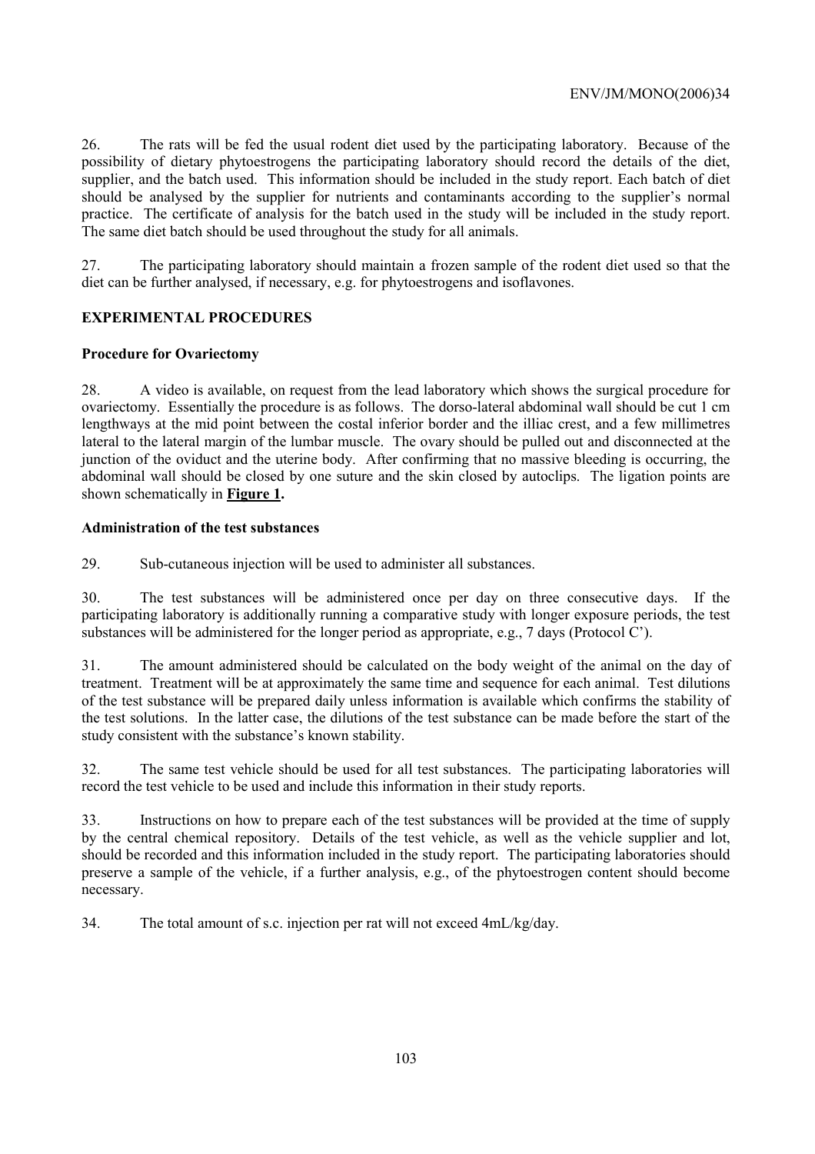26. The rats will be fed the usual rodent diet used by the participating laboratory. Because of the possibility of dietary phytoestrogens the participating laboratory should record the details of the diet, supplier, and the batch used. This information should be included in the study report. Each batch of diet should be analysed by the supplier for nutrients and contaminants according to the supplier's normal practice. The certificate of analysis for the batch used in the study will be included in the study report. The same diet batch should be used throughout the study for all animals.

27. The participating laboratory should maintain a frozen sample of the rodent diet used so that the diet can be further analysed, if necessary, e.g. for phytoestrogens and isoflavones.

## **EXPERIMENTAL PROCEDURES**

### **Procedure for Ovariectomy**

28. A video is available, on request from the lead laboratory which shows the surgical procedure for ovariectomy. Essentially the procedure is as follows. The dorso-lateral abdominal wall should be cut 1 cm lengthways at the mid point between the costal inferior border and the illiac crest, and a few millimetres lateral to the lateral margin of the lumbar muscle. The ovary should be pulled out and disconnected at the junction of the oviduct and the uterine body. After confirming that no massive bleeding is occurring, the abdominal wall should be closed by one suture and the skin closed by autoclips. The ligation points are shown schematically in **Figure 1.**

### **Administration of the test substances**

29. Sub-cutaneous injection will be used to administer all substances.

30. The test substances will be administered once per day on three consecutive days. If the participating laboratory is additionally running a comparative study with longer exposure periods, the test substances will be administered for the longer period as appropriate, e.g., 7 days (Protocol C').

31. The amount administered should be calculated on the body weight of the animal on the day of treatment. Treatment will be at approximately the same time and sequence for each animal. Test dilutions of the test substance will be prepared daily unless information is available which confirms the stability of the test solutions. In the latter case, the dilutions of the test substance can be made before the start of the study consistent with the substance's known stability.

32. The same test vehicle should be used for all test substances. The participating laboratories will record the test vehicle to be used and include this information in their study reports.

33. Instructions on how to prepare each of the test substances will be provided at the time of supply by the central chemical repository. Details of the test vehicle, as well as the vehicle supplier and lot, should be recorded and this information included in the study report. The participating laboratories should preserve a sample of the vehicle, if a further analysis, e.g., of the phytoestrogen content should become necessary.

34. The total amount of s.c. injection per rat will not exceed 4mL/kg/day.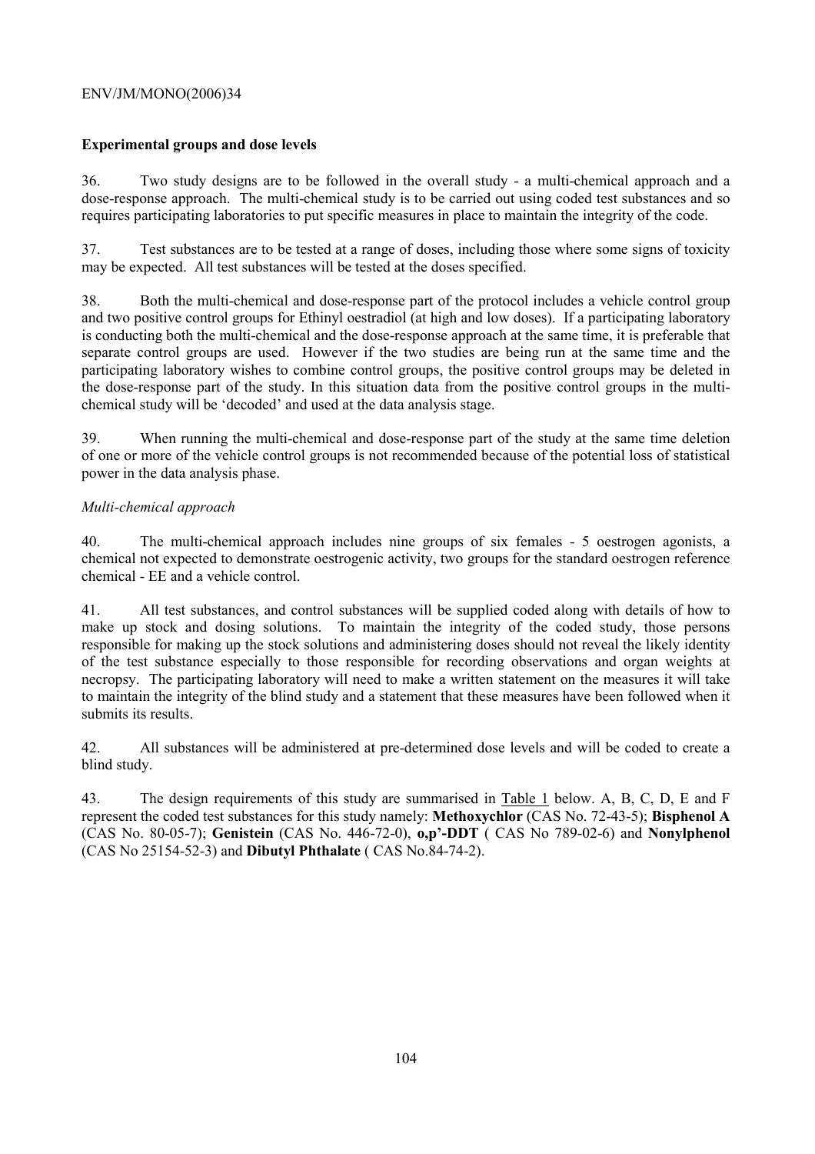## **Experimental groups and dose levels**

36. Two study designs are to be followed in the overall study - a multi-chemical approach and a dose-response approach. The multi-chemical study is to be carried out using coded test substances and so requires participating laboratories to put specific measures in place to maintain the integrity of the code.

37. Test substances are to be tested at a range of doses, including those where some signs of toxicity may be expected. All test substances will be tested at the doses specified.

38. Both the multi-chemical and dose-response part of the protocol includes a vehicle control group and two positive control groups for Ethinyl oestradiol (at high and low doses). If a participating laboratory is conducting both the multi-chemical and the dose-response approach at the same time, it is preferable that separate control groups are used. However if the two studies are being run at the same time and the participating laboratory wishes to combine control groups, the positive control groups may be deleted in the dose-response part of the study. In this situation data from the positive control groups in the multichemical study will be 'decoded' and used at the data analysis stage.

39. When running the multi-chemical and dose-response part of the study at the same time deletion of one or more of the vehicle control groups is not recommended because of the potential loss of statistical power in the data analysis phase.

## *Multi-chemical approach*

40. The multi-chemical approach includes nine groups of six females - 5 oestrogen agonists, a chemical not expected to demonstrate oestrogenic activity, two groups for the standard oestrogen reference chemical - EE and a vehicle control.

41. All test substances, and control substances will be supplied coded along with details of how to make up stock and dosing solutions. To maintain the integrity of the coded study, those persons responsible for making up the stock solutions and administering doses should not reveal the likely identity of the test substance especially to those responsible for recording observations and organ weights at necropsy. The participating laboratory will need to make a written statement on the measures it will take to maintain the integrity of the blind study and a statement that these measures have been followed when it submits its results.

42. All substances will be administered at pre-determined dose levels and will be coded to create a blind study.

43. The design requirements of this study are summarised in Table 1 below. A, B, C, D, E and F represent the coded test substances for this study namely: **Methoxychlor** (CAS No. 72-43-5); **Bisphenol A** (CAS No. 80-05-7); **Genistein** (CAS No. 446-72-0), **o,pí-DDT** ( CAS No 789-02-6) and **Nonylphenol**  (CAS No 25154-52-3) and **Dibutyl Phthalate** ( CAS No.84-74-2).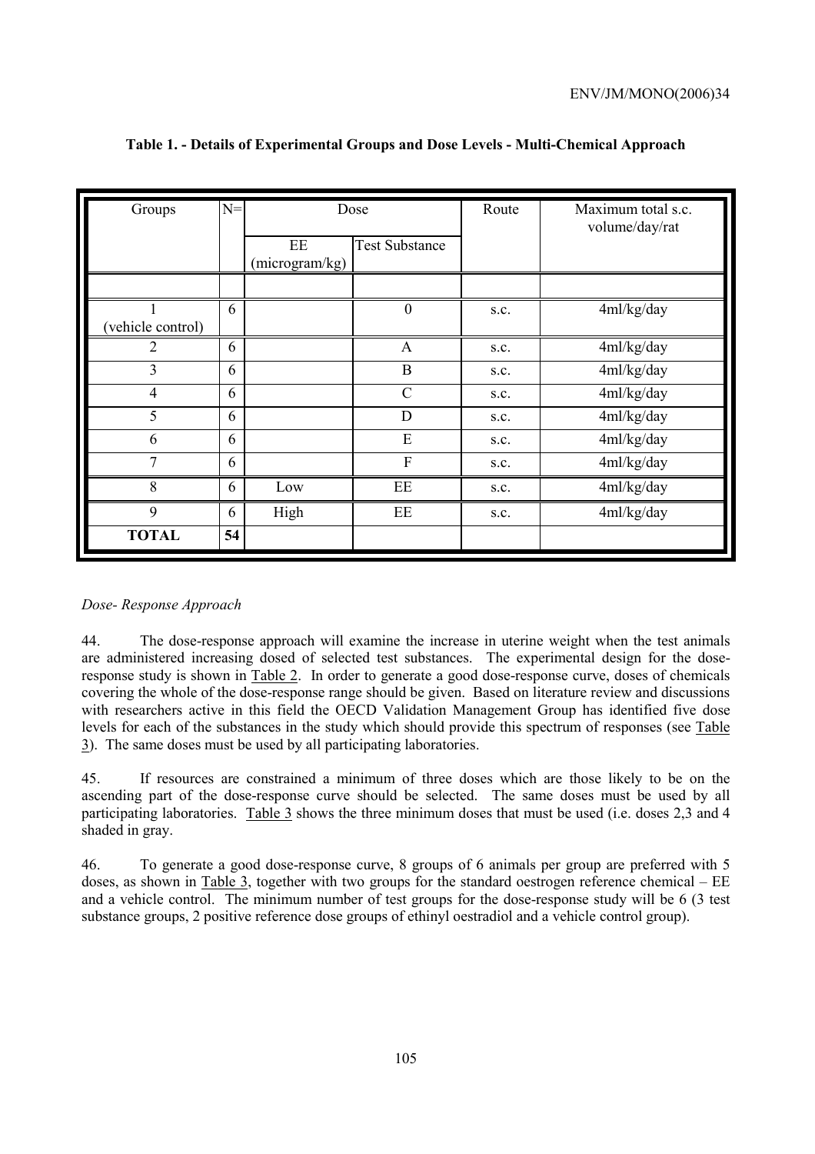| Groups            | $N=$ |                      | Dose                  | Route | Maximum total s.c.<br>volume/day/rat |
|-------------------|------|----------------------|-----------------------|-------|--------------------------------------|
|                   |      | EE<br>(microgram/kg) | <b>Test Substance</b> |       |                                      |
|                   |      |                      |                       |       |                                      |
| (vehicle control) | 6    |                      | $\mathbf{0}$          | S.C.  | 4ml/kg/day                           |
| 2                 | 6    |                      | $\mathbf{A}$          | S.C.  | 4ml/kg/day                           |
| $\overline{3}$    | 6    |                      | B                     | S.C.  | 4ml/kg/day                           |
| $\overline{4}$    | 6    |                      | $\mathcal{C}$         | S.C.  | 4ml/kg/day                           |
| 5                 | 6    |                      | D                     | S.C.  | 4ml/kg/day                           |
| 6                 | 6    |                      | E                     | S.C.  | 4ml/kg/day                           |
| 7                 | 6    |                      | ${\bf F}$             | S.C.  | 4ml/kg/day                           |
| 8                 | 6    | Low                  | EE                    | S.C.  | 4ml/kg/day                           |
| 9                 | 6    | High                 | EE                    | S.C.  | 4ml/kg/day                           |
| <b>TOTAL</b>      | 54   |                      |                       |       |                                      |

## **Table 1. - Details of Experimental Groups and Dose Levels - Multi-Chemical Approach**

## *Dose- Response Approach*

44. The dose-response approach will examine the increase in uterine weight when the test animals are administered increasing dosed of selected test substances. The experimental design for the doseresponse study is shown in Table 2. In order to generate a good dose-response curve, doses of chemicals covering the whole of the dose-response range should be given. Based on literature review and discussions with researchers active in this field the OECD Validation Management Group has identified five dose levels for each of the substances in the study which should provide this spectrum of responses (see Table 3). The same doses must be used by all participating laboratories.

45. If resources are constrained a minimum of three doses which are those likely to be on the ascending part of the dose-response curve should be selected. The same doses must be used by all participating laboratories. Table 3 shows the three minimum doses that must be used (i.e. doses 2,3 and 4 shaded in gray.

46. To generate a good dose-response curve, 8 groups of 6 animals per group are preferred with 5 doses, as shown in <u>Table 3</u>, together with two groups for the standard oestrogen reference chemical  $-EE$ and a vehicle control. The minimum number of test groups for the dose-response study will be 6 (3 test substance groups, 2 positive reference dose groups of ethinyl oestradiol and a vehicle control group).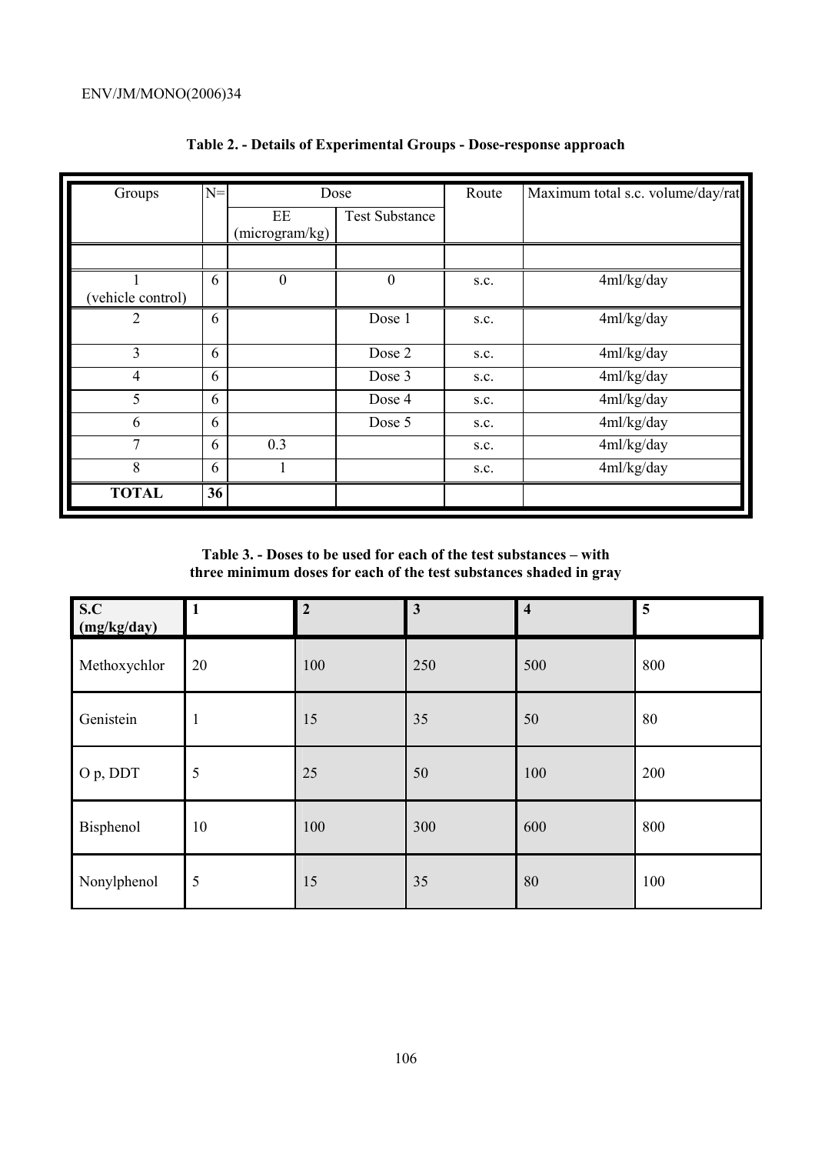| Groups            | $N =$ | Dose           |                       | Route | Maximum total s.c. volume/day/rat |
|-------------------|-------|----------------|-----------------------|-------|-----------------------------------|
|                   |       | EE             | <b>Test Substance</b> |       |                                   |
|                   |       | (microgram/kg) |                       |       |                                   |
|                   |       |                |                       |       |                                   |
|                   | 6     | $\overline{0}$ | 0                     | S.C.  | 4ml/kg/day                        |
| (vehicle control) |       |                |                       |       |                                   |
|                   | 6     |                | Dose 1                | S.C.  | 4ml/kg/day                        |
| 3                 | 6     |                | Dose 2                | S.C.  | 4ml/kg/day                        |
| 4                 | 6     |                | Dose 3                | S.C.  | 4ml/kg/day                        |
| 5                 | 6     |                | Dose 4                | S.C.  | 4ml/kg/day                        |
| 6                 | 6     |                | Dose 5                | S.C.  | 4ml/kg/day                        |
| 7                 | 6     | 0.3            |                       | S.C.  | 4ml/kg/day                        |
| 8                 | 6     | 1              |                       | S.C.  | 4ml/kg/day                        |
| <b>TOTAL</b>      | 36    |                |                       |       |                                   |

# **Table 2. - Details of Experimental Groups - Dose-response approach**

Table 3. - Doses to be used for each of the test substances – with **three minimum doses for each of the test substances shaded in gray** 

| S.C<br>(mg/kg/day) |              | $\overline{2}$ | $\mathbf{3}$ | $\overline{\mathbf{4}}$ | 5   |
|--------------------|--------------|----------------|--------------|-------------------------|-----|
| Methoxychlor       | 20           | 100            | 250          | 500                     | 800 |
| Genistein          | $\mathbf{1}$ | 15             | 35           | 50                      | 80  |
| O p, DDT           | 5            | 25             | 50           | 100                     | 200 |
| Bisphenol          | 10           | 100            | 300          | 600                     | 800 |
| Nonylphenol        | 5            | 15             | 35           | 80                      | 100 |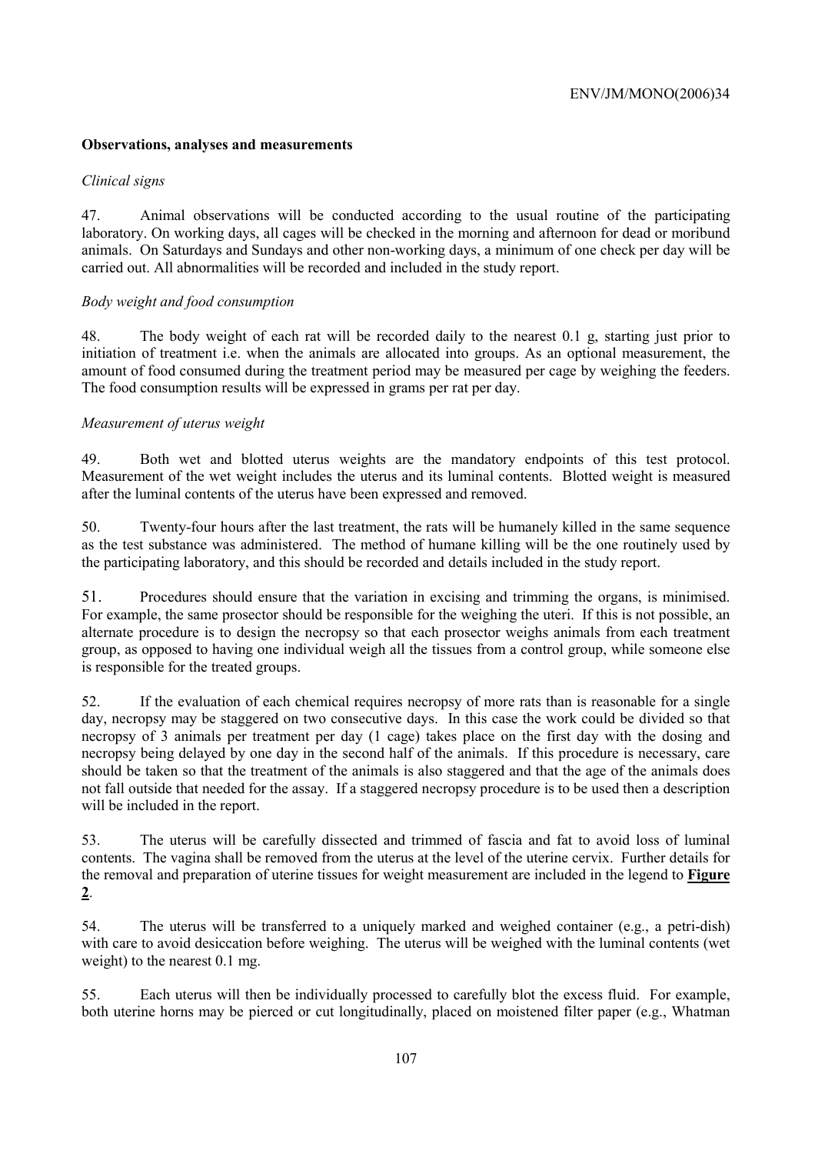## **Observations, analyses and measurements**

### *Clinical signs*

47. Animal observations will be conducted according to the usual routine of the participating laboratory. On working days, all cages will be checked in the morning and afternoon for dead or moribund animals. On Saturdays and Sundays and other non-working days, a minimum of one check per day will be carried out. All abnormalities will be recorded and included in the study report.

### *Body weight and food consumption*

48. The body weight of each rat will be recorded daily to the nearest 0.1 g, starting just prior to initiation of treatment i.e. when the animals are allocated into groups. As an optional measurement, the amount of food consumed during the treatment period may be measured per cage by weighing the feeders. The food consumption results will be expressed in grams per rat per day.

### *Measurement of uterus weight*

49. Both wet and blotted uterus weights are the mandatory endpoints of this test protocol. Measurement of the wet weight includes the uterus and its luminal contents. Blotted weight is measured after the luminal contents of the uterus have been expressed and removed.

50. Twenty-four hours after the last treatment, the rats will be humanely killed in the same sequence as the test substance was administered. The method of humane killing will be the one routinely used by the participating laboratory, and this should be recorded and details included in the study report.

51. Procedures should ensure that the variation in excising and trimming the organs, is minimised. For example, the same prosector should be responsible for the weighing the uteri. If this is not possible, an alternate procedure is to design the necropsy so that each prosector weighs animals from each treatment group, as opposed to having one individual weigh all the tissues from a control group, while someone else is responsible for the treated groups.

52. If the evaluation of each chemical requires necropsy of more rats than is reasonable for a single day, necropsy may be staggered on two consecutive days. In this case the work could be divided so that necropsy of 3 animals per treatment per day (1 cage) takes place on the first day with the dosing and necropsy being delayed by one day in the second half of the animals. If this procedure is necessary, care should be taken so that the treatment of the animals is also staggered and that the age of the animals does not fall outside that needed for the assay. If a staggered necropsy procedure is to be used then a description will be included in the report.

53. The uterus will be carefully dissected and trimmed of fascia and fat to avoid loss of luminal contents. The vagina shall be removed from the uterus at the level of the uterine cervix. Further details for the removal and preparation of uterine tissues for weight measurement are included in the legend to **Figure 2**.

54. The uterus will be transferred to a uniquely marked and weighed container (e.g., a petri-dish) with care to avoid desiccation before weighing. The uterus will be weighed with the luminal contents (wet weight) to the nearest 0.1 mg.

55. Each uterus will then be individually processed to carefully blot the excess fluid. For example, both uterine horns may be pierced or cut longitudinally, placed on moistened filter paper (e.g., Whatman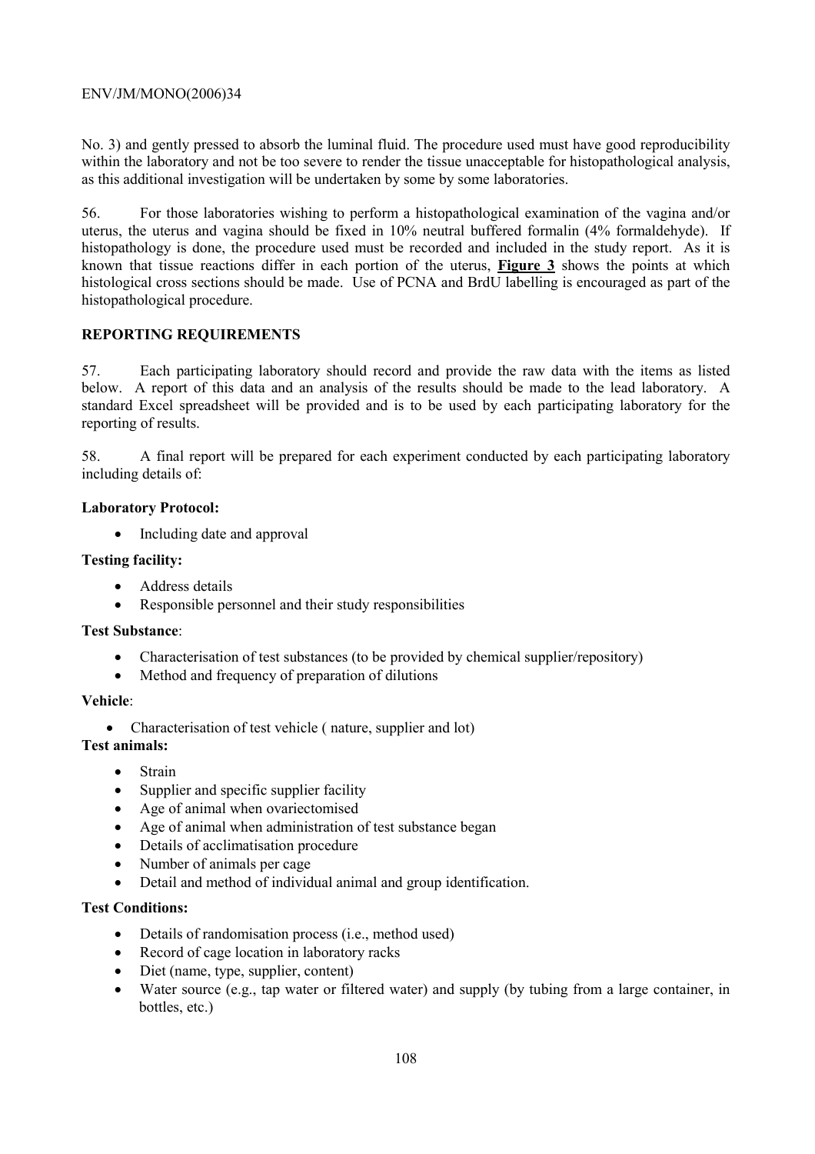No. 3) and gently pressed to absorb the luminal fluid. The procedure used must have good reproducibility within the laboratory and not be too severe to render the tissue unacceptable for histopathological analysis, as this additional investigation will be undertaken by some by some laboratories.

56. For those laboratories wishing to perform a histopathological examination of the vagina and/or uterus, the uterus and vagina should be fixed in 10% neutral buffered formalin (4% formaldehyde). If histopathology is done, the procedure used must be recorded and included in the study report. As it is known that tissue reactions differ in each portion of the uterus, **Figure 3** shows the points at which histological cross sections should be made. Use of PCNA and BrdU labelling is encouraged as part of the histopathological procedure.

## **REPORTING REQUIREMENTS**

57. Each participating laboratory should record and provide the raw data with the items as listed below. A report of this data and an analysis of the results should be made to the lead laboratory. A standard Excel spreadsheet will be provided and is to be used by each participating laboratory for the reporting of results.

58. A final report will be prepared for each experiment conducted by each participating laboratory including details of:

## **Laboratory Protocol:**

• Including date and approval

## **Testing facility:**

- Address details
- Responsible personnel and their study responsibilities

## **Test Substance**:

- Characterisation of test substances (to be provided by chemical supplier/repository)
- Method and frequency of preparation of dilutions

## **Vehicle**:

- Characterisation of test vehicle (nature, supplier and lot) **Test animals:** 
	- Strain
	- Supplier and specific supplier facility
	- Age of animal when ovariectomised
	- Age of animal when administration of test substance began
	- Details of acclimatisation procedure
	- Number of animals per cage
	- Detail and method of individual animal and group identification.

## **Test Conditions:**

- Details of randomisation process (i.e., method used)
- Record of cage location in laboratory racks
- Diet (name, type, supplier, content)
- Water source (e.g., tap water or filtered water) and supply (by tubing from a large container, in bottles, etc.)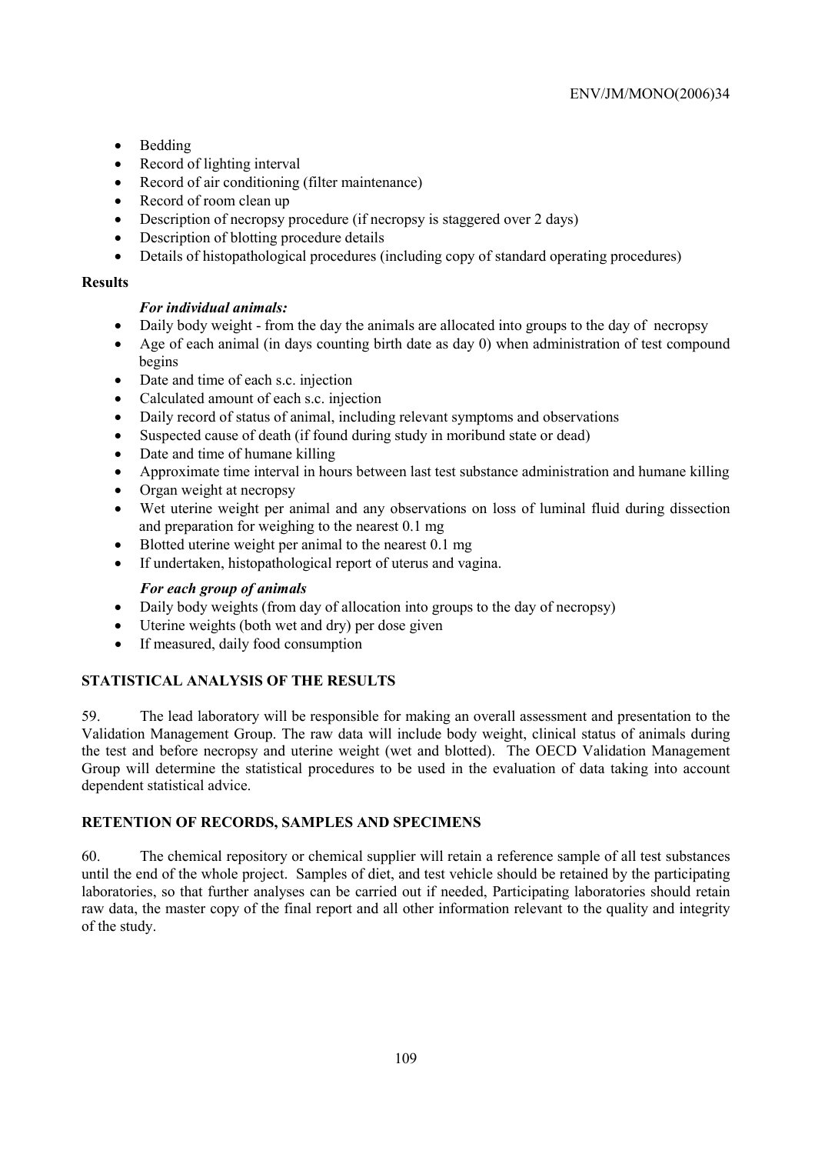- Bedding
- Record of lighting interval
- Record of air conditioning (filter maintenance)
- Record of room clean up
- Description of necropsy procedure (if necropsy is staggered over 2 days)
- Description of blotting procedure details
- Details of histopathological procedures (including copy of standard operating procedures)

# **Results**

# *For individual animals:*

- Daily body weight from the day the animals are allocated into groups to the day of necropsy
- Age of each animal (in days counting birth date as day 0) when administration of test compound begins
- Date and time of each s.c. injection
- Calculated amount of each s.c. injection
- Daily record of status of animal, including relevant symptoms and observations
- Suspected cause of death (if found during study in moribund state or dead)
- Date and time of humane killing
- Approximate time interval in hours between last test substance administration and humane killing
- Organ weight at necropsy
- Wet uterine weight per animal and any observations on loss of luminal fluid during dissection and preparation for weighing to the nearest 0.1 mg
- Blotted uterine weight per animal to the nearest 0.1 mg
- If undertaken, histopathological report of uterus and vagina.

# *For each group of animals*

- Daily body weights (from day of allocation into groups to the day of necropsy)
- Uterine weights (both wet and dry) per dose given
- If measured, daily food consumption

# **STATISTICAL ANALYSIS OF THE RESULTS**

59. The lead laboratory will be responsible for making an overall assessment and presentation to the Validation Management Group. The raw data will include body weight, clinical status of animals during the test and before necropsy and uterine weight (wet and blotted). The OECD Validation Management Group will determine the statistical procedures to be used in the evaluation of data taking into account dependent statistical advice.

# **RETENTION OF RECORDS, SAMPLES AND SPECIMENS**

60. The chemical repository or chemical supplier will retain a reference sample of all test substances until the end of the whole project. Samples of diet, and test vehicle should be retained by the participating laboratories, so that further analyses can be carried out if needed, Participating laboratories should retain raw data, the master copy of the final report and all other information relevant to the quality and integrity of the study.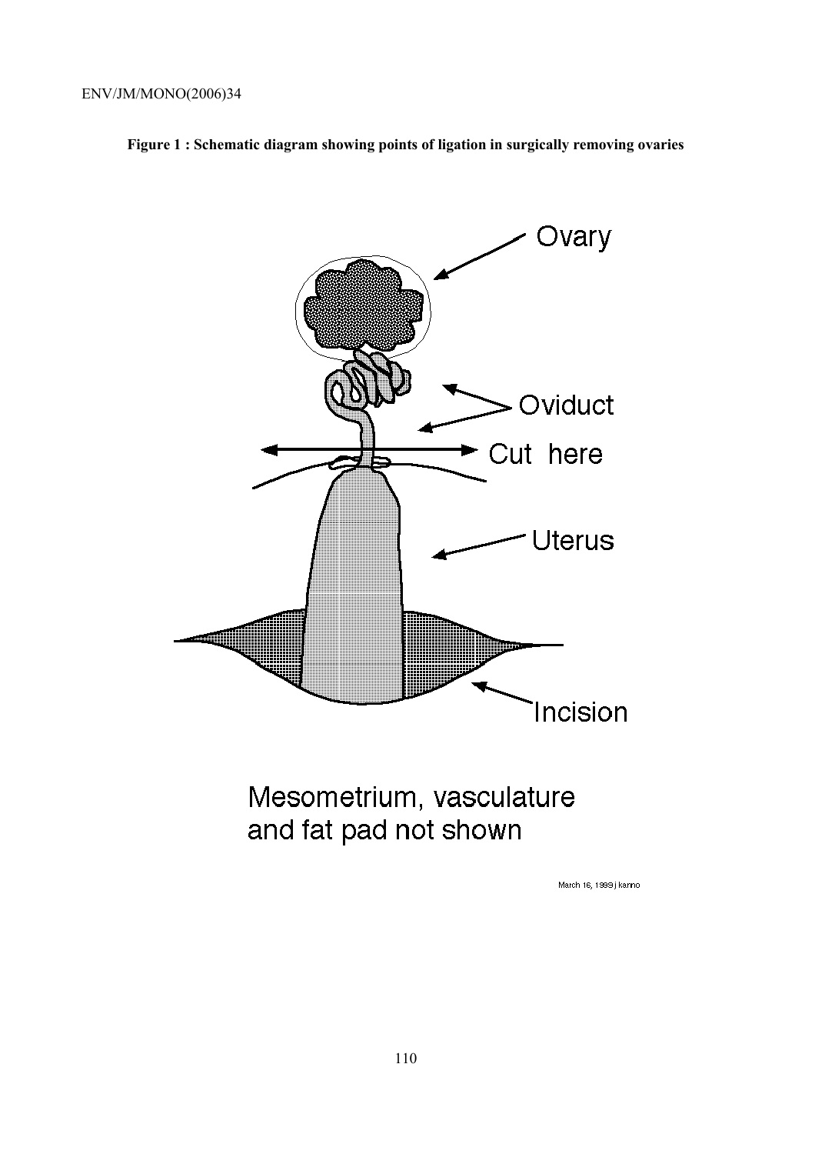

**Figure 1 : Schematic diagram showing points of ligation in surgically removing ovaries** 

Mesometrium, vasculature and fat pad not shown

March 16, 1999 j karno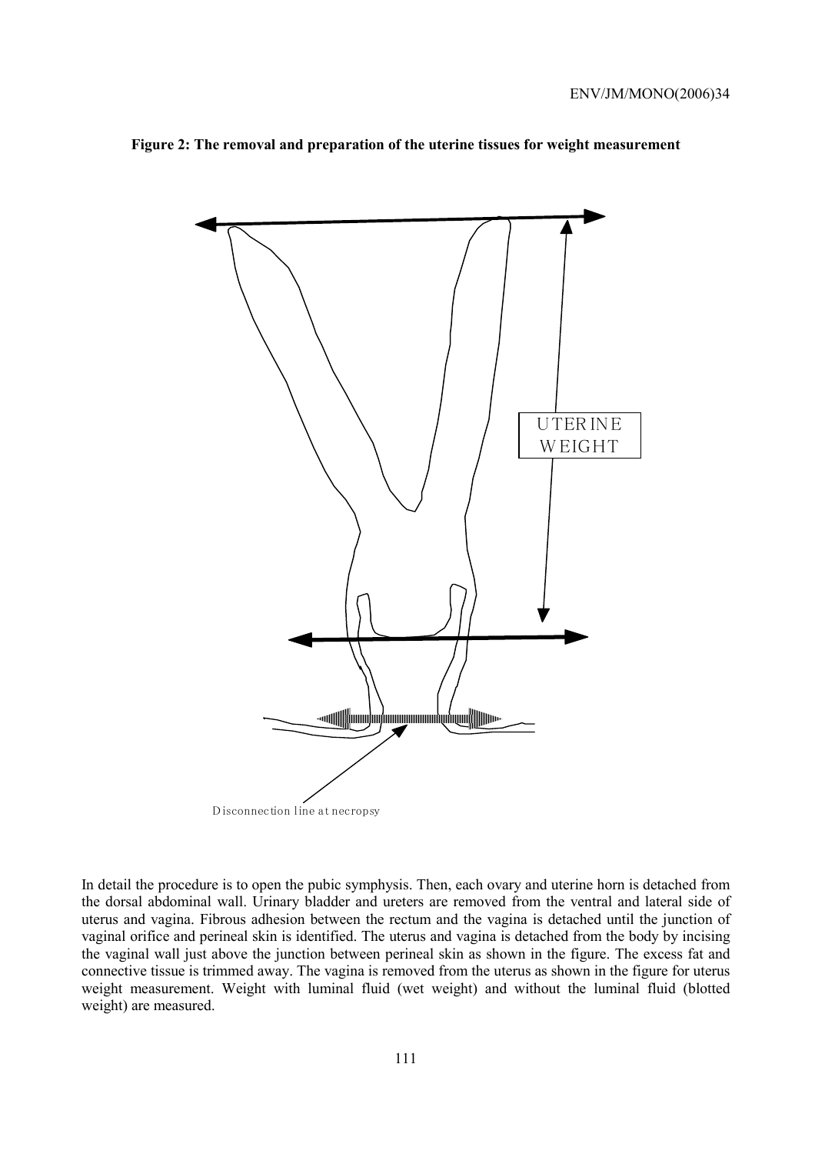

**Figure 2: The removal and preparation of the uterine tissues for weight measurement** 

In detail the procedure is to open the pubic symphysis. Then, each ovary and uterine horn is detached from the dorsal abdominal wall. Urinary bladder and ureters are removed from the ventral and lateral side of uterus and vagina. Fibrous adhesion between the rectum and the vagina is detached until the junction of vaginal orifice and perineal skin is identified. The uterus and vagina is detached from the body by incising the vaginal wall just above the junction between perineal skin as shown in the figure. The excess fat and connective tissue is trimmed away. The vagina is removed from the uterus as shown in the figure for uterus weight measurement. Weight with luminal fluid (wet weight) and without the luminal fluid (blotted weight) are measured.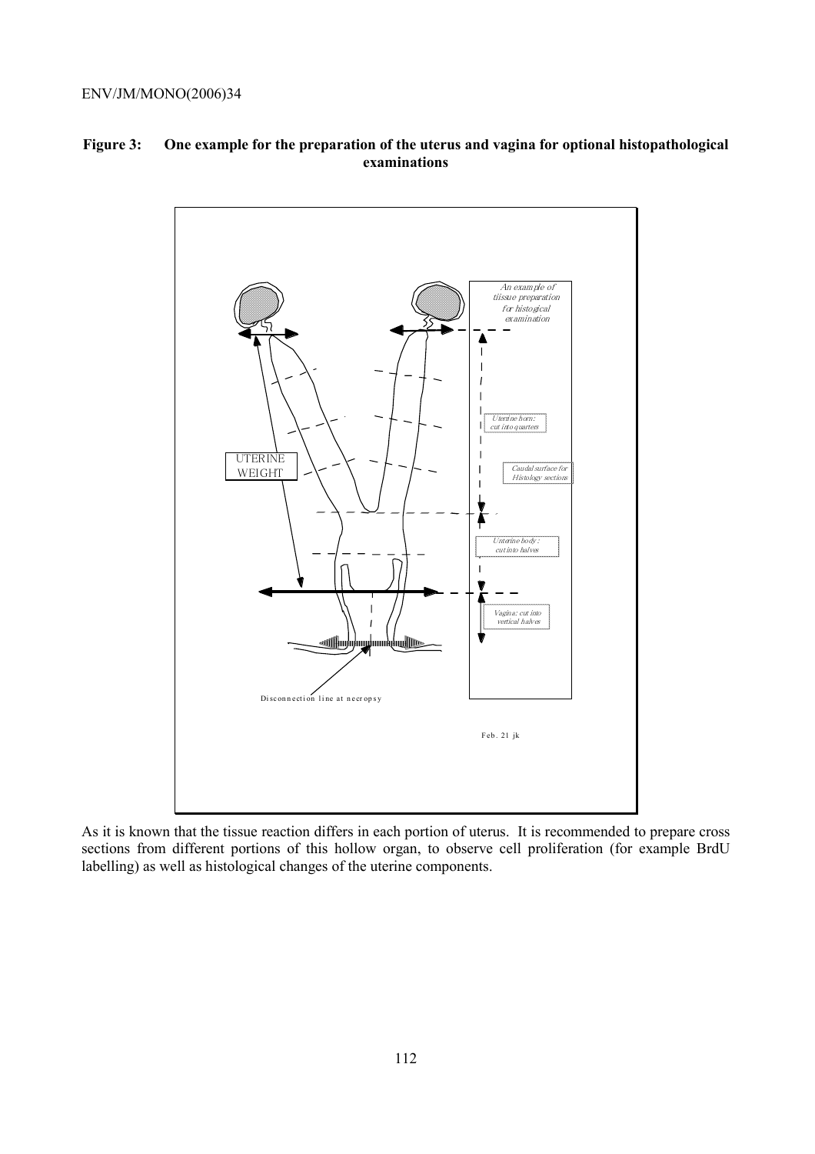

**Figure 3: One example for the preparation of the uterus and vagina for optional histopathological examinations**

As it is known that the tissue reaction differs in each portion of uterus. It is recommended to prepare cross sections from different portions of this hollow organ, to observe cell proliferation (for example BrdU labelling) as well as histological changes of the uterine components.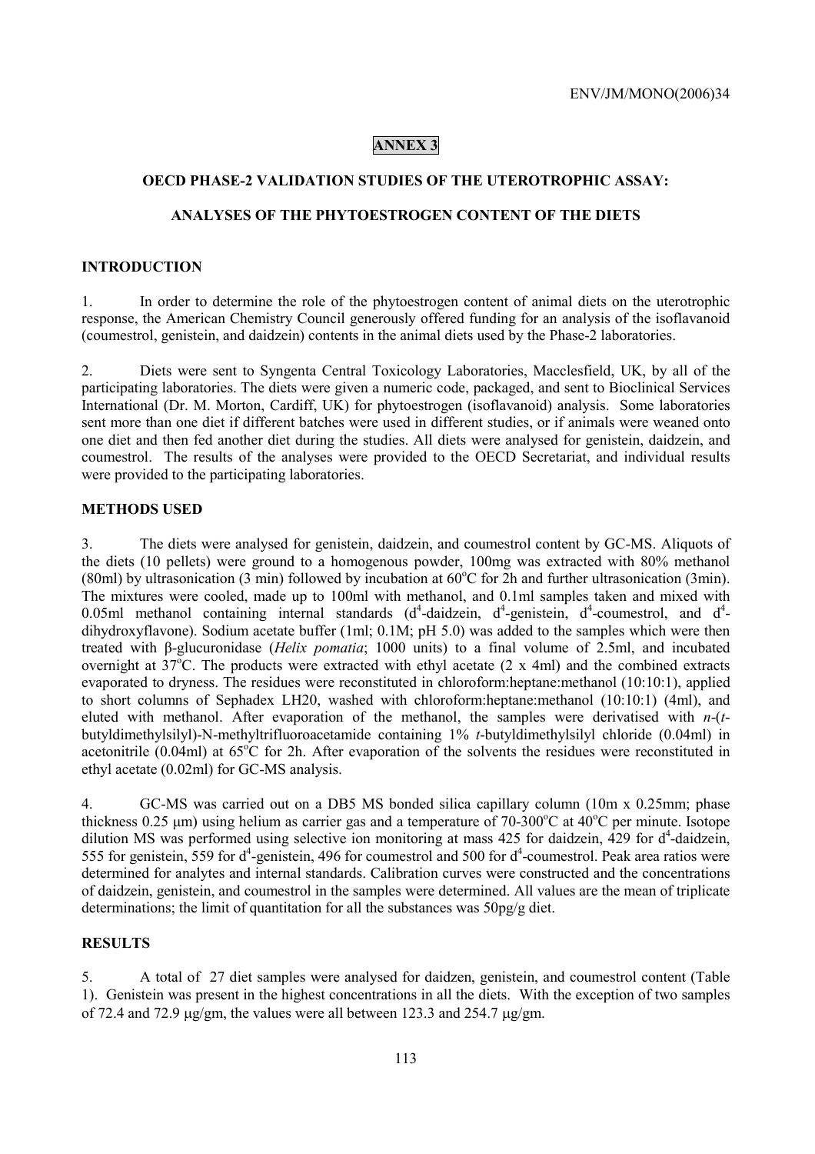# **ANNEX 3**

### **OECD PHASE-2 VALIDATION STUDIES OF THE UTEROTROPHIC ASSAY:**

### **ANALYSES OF THE PHYTOESTROGEN CONTENT OF THE DIETS**

### **INTRODUCTION**

1. In order to determine the role of the phytoestrogen content of animal diets on the uterotrophic response, the American Chemistry Council generously offered funding for an analysis of the isoflavanoid (coumestrol, genistein, and daidzein) contents in the animal diets used by the Phase-2 laboratories.

2. Diets were sent to Syngenta Central Toxicology Laboratories, Macclesfield, UK, by all of the participating laboratories. The diets were given a numeric code, packaged, and sent to Bioclinical Services International (Dr. M. Morton, Cardiff, UK) for phytoestrogen (isoflavanoid) analysis. Some laboratories sent more than one diet if different batches were used in different studies, or if animals were weaned onto one diet and then fed another diet during the studies. All diets were analysed for genistein, daidzein, and coumestrol. The results of the analyses were provided to the OECD Secretariat, and individual results were provided to the participating laboratories.

### **METHODS USED**

3. The diets were analysed for genistein, daidzein, and coumestrol content by GC-MS. Aliquots of the diets (10 pellets) were ground to a homogenous powder, 100mg was extracted with 80% methanol (80ml) by ultrasonication (3 min) followed by incubation at  $60^{\circ}$ C for 2h and further ultrasonication (3min). The mixtures were cooled, made up to 100ml with methanol, and 0.1ml samples taken and mixed with 0.05ml methanol containing internal standards  $(d^4$ -daidzein,  $d^4$ -genistein,  $d^4$ -coumestrol, and  $d^4$ dihydroxyflavone). Sodium acetate buffer (1ml; 0.1M; pH 5.0) was added to the samples which were then treated with β-glucuronidase (*Helix pomatia*; 1000 units) to a final volume of 2.5ml, and incubated overnight at  $37^{\circ}$ C. The products were extracted with ethyl acetate (2 x 4ml) and the combined extracts evaporated to dryness. The residues were reconstituted in chloroform:heptane:methanol (10:10:1), applied to short columns of Sephadex LH20, washed with chloroform:heptane:methanol (10:10:1) (4ml), and eluted with methanol. After evaporation of the methanol, the samples were derivatised with *n*-(*t*butyldimethylsilyl)-N-methyltrifluoroacetamide containing 1% *t*-butyldimethylsilyl chloride (0.04ml) in acetonitrile  $(0.04$ ml) at  $65^{\circ}$ C for 2h. After evaporation of the solvents the residues were reconstituted in ethyl acetate (0.02ml) for GC-MS analysis.

4. GC-MS was carried out on a DB5 MS bonded silica capillary column (10m x 0.25mm; phase thickness 0.25  $\mu$ m) using helium as carrier gas and a temperature of 70-300°C at 40°C per minute. Isotope dilution MS was performed using selective ion monitoring at mass 425 for daidzein,  $\overline{4}29$  for  $d^4$ -daidzein, 555 for genistein, 559 for  $d^4$ -genistein, 496 for coumestrol and 500 for  $d^4$ -coumestrol. Peak area ratios were determined for analytes and internal standards. Calibration curves were constructed and the concentrations of daidzein, genistein, and coumestrol in the samples were determined. All values are the mean of triplicate determinations; the limit of quantitation for all the substances was 50pg/g diet.

### **RESULTS**

5. A total of 27 diet samples were analysed for daidzen, genistein, and coumestrol content (Table 1). Genistein was present in the highest concentrations in all the diets. With the exception of two samples of 72.4 and 72.9  $\mu$ g/gm, the values were all between 123.3 and 254.7  $\mu$ g/gm.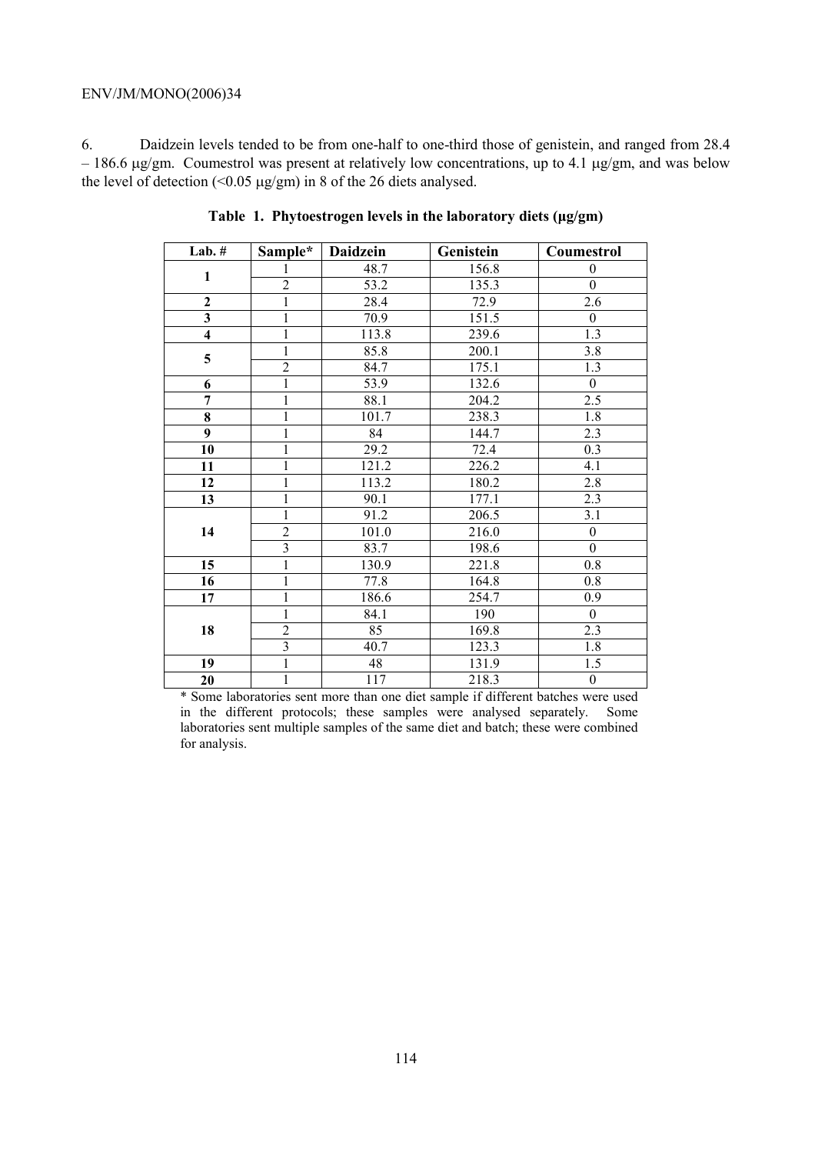6. Daidzein levels tended to be from one-half to one-third those of genistein, and ranged from 28.4  $-186.6 \text{ µg/gm}$ . Coumestrol was present at relatively low concentrations, up to 4.1  $\mu$ g/gm, and was below the level of detection (<0.05 µg/gm) in 8 of the 26 diets analysed.

| Lab. $#$                | Sample*        | <b>Daidzein</b> | Genistein | Coumestrol       |
|-------------------------|----------------|-----------------|-----------|------------------|
| $\mathbf{1}$            | 1              | 48.7            | 156.8     | $\boldsymbol{0}$ |
|                         | $\overline{2}$ | 53.2            | 135.3     | $\mathbf{0}$     |
| $\overline{\mathbf{c}}$ | $\mathbf{1}$   | 28.4            | 72.9      | 2.6              |
| $\overline{\mathbf{3}}$ | $\mathbf{1}$   | 70.9            | 151.5     | $\boldsymbol{0}$ |
| $\overline{\mathbf{4}}$ | $\mathbf{1}$   | 113.8           | 239.6     | 1.3              |
| 5                       | $\mathbf{1}$   | 85.8            | 200.1     | 3.8              |
|                         | $\overline{2}$ | 84.7            | 175.1     | 1.3              |
| 6                       | $\mathbf{1}$   | 53.9            | 132.6     | $\boldsymbol{0}$ |
| 7                       | $\mathbf{1}$   | 88.1            | 204.2     | 2.5              |
| 8                       | $\mathbf{1}$   | 101.7           | 238.3     | 1.8              |
| 9                       | $\mathbf{1}$   | 84              | 144.7     | 2.3              |
| 10                      | $\mathbf{1}$   | 29.2            | 72.4      | 0.3              |
| 11                      | $\mathbf{1}$   | 121.2           | 226.2     | 4.1              |
| 12                      | $\mathbf{1}$   | 113.2           | 180.2     | 2.8              |
| 13                      | $\mathbf{1}$   | 90.1            | 177.1     | 2.3              |
|                         | $\mathbf{1}$   | 91.2            | 206.5     | 3.1              |
| 14                      | $\overline{2}$ | 101.0           | 216.0     | $\boldsymbol{0}$ |
|                         | $\overline{3}$ | 83.7            | 198.6     | $\mathbf{0}$     |
| 15                      | $\mathbf{1}$   | 130.9           | 221.8     | 0.8              |
| 16                      | $\mathbf{1}$   | 77.8            | 164.8     | 0.8              |
| 17                      | $\overline{1}$ | 186.6           | 254.7     | 0.9              |
|                         | 1              | 84.1            | 190       | $\boldsymbol{0}$ |
| 18                      | $\overline{2}$ | 85              | 169.8     | 2.3              |
|                         | $\overline{3}$ | 40.7            | 123.3     | 1.8              |
| 19                      | $\overline{1}$ | 48              | 131.9     | 1.5              |
| 20                      | $\mathbf{1}$   | 117             | 218.3     | $\boldsymbol{0}$ |

**Table 1. Phytoestrogen levels in the laboratory diets (µg/gm)** 

\* Some laboratories sent more than one diet sample if different batches were used in the different protocols; these samples were analysed separately. Some laboratories sent multiple samples of the same diet and batch; these were combined for analysis.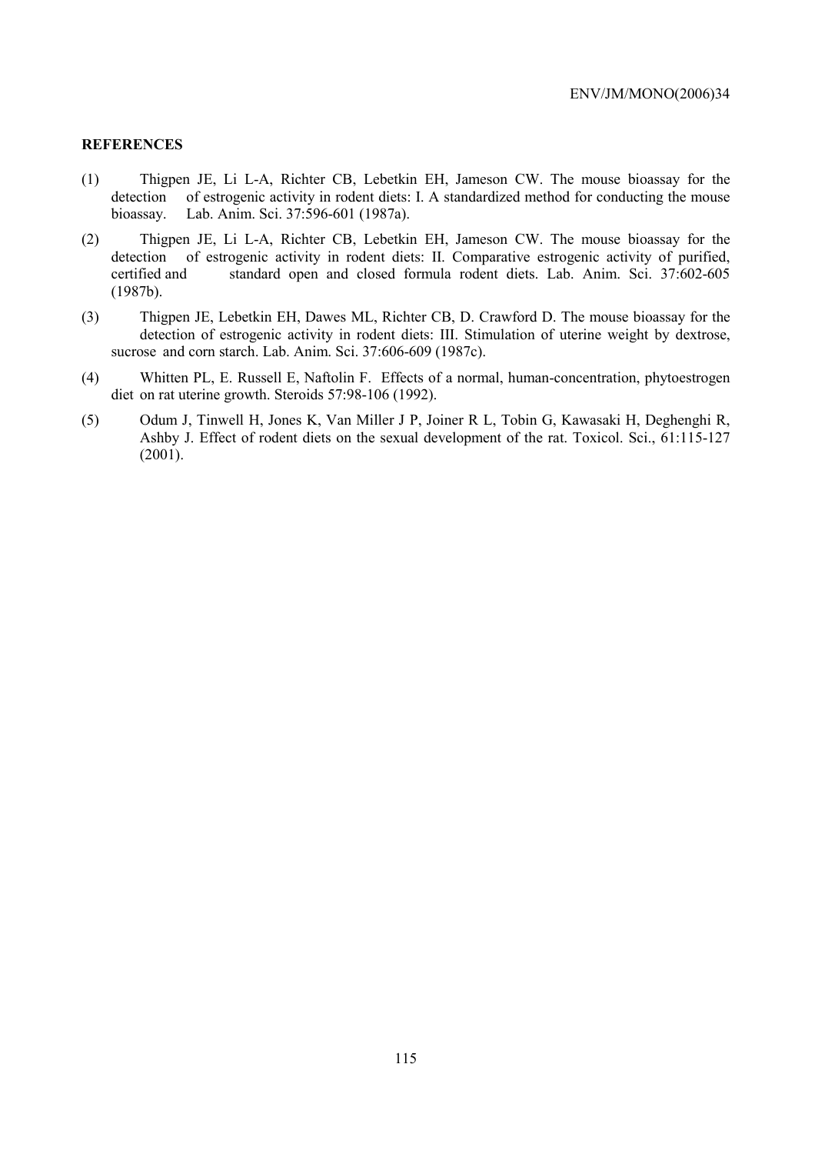### **REFERENCES**

- (1) Thigpen JE, Li L-A, Richter CB, Lebetkin EH, Jameson CW. The mouse bioassay for the detection of estrogenic activity in rodent diets: I. A standardized method for conducting the mouse bioassay. Lab. Anim. Sci. 37:596-601 (1987a).
- (2) Thigpen JE, Li L-A, Richter CB, Lebetkin EH, Jameson CW. The mouse bioassay for the detection of estrogenic activity in rodent diets: II. Comparative estrogenic activity of purified, certified and standard open and closed formula rodent diets. Lab. Anim. Sci. 37:602-605 (1987b).
- (3) Thigpen JE, Lebetkin EH, Dawes ML, Richter CB, D. Crawford D. The mouse bioassay for the detection of estrogenic activity in rodent diets: III. Stimulation of uterine weight by dextrose, sucrose and corn starch. Lab. Anim. Sci. 37:606-609 (1987c).
- (4) Whitten PL, E. Russell E, Naftolin F. Effects of a normal, human-concentration, phytoestrogen diet on rat uterine growth. Steroids 57:98-106 (1992).
- (5) Odum J, Tinwell H, Jones K, Van Miller J P, Joiner R L, Tobin G, Kawasaki H, Deghenghi R, Ashby J. Effect of rodent diets on the sexual development of the rat. Toxicol. Sci., 61:115-127 (2001).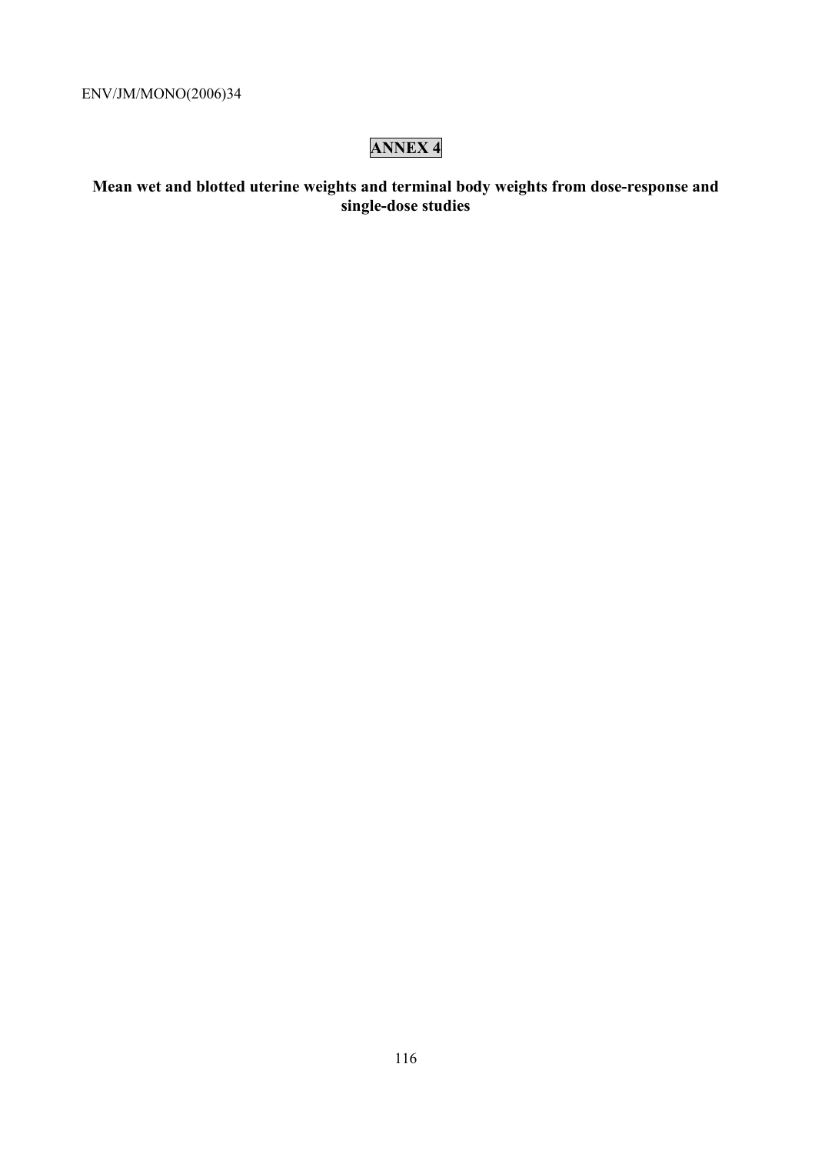# **ANNEX 4**

# **Mean wet and blotted uterine weights and terminal body weights from dose-response and single-dose studies**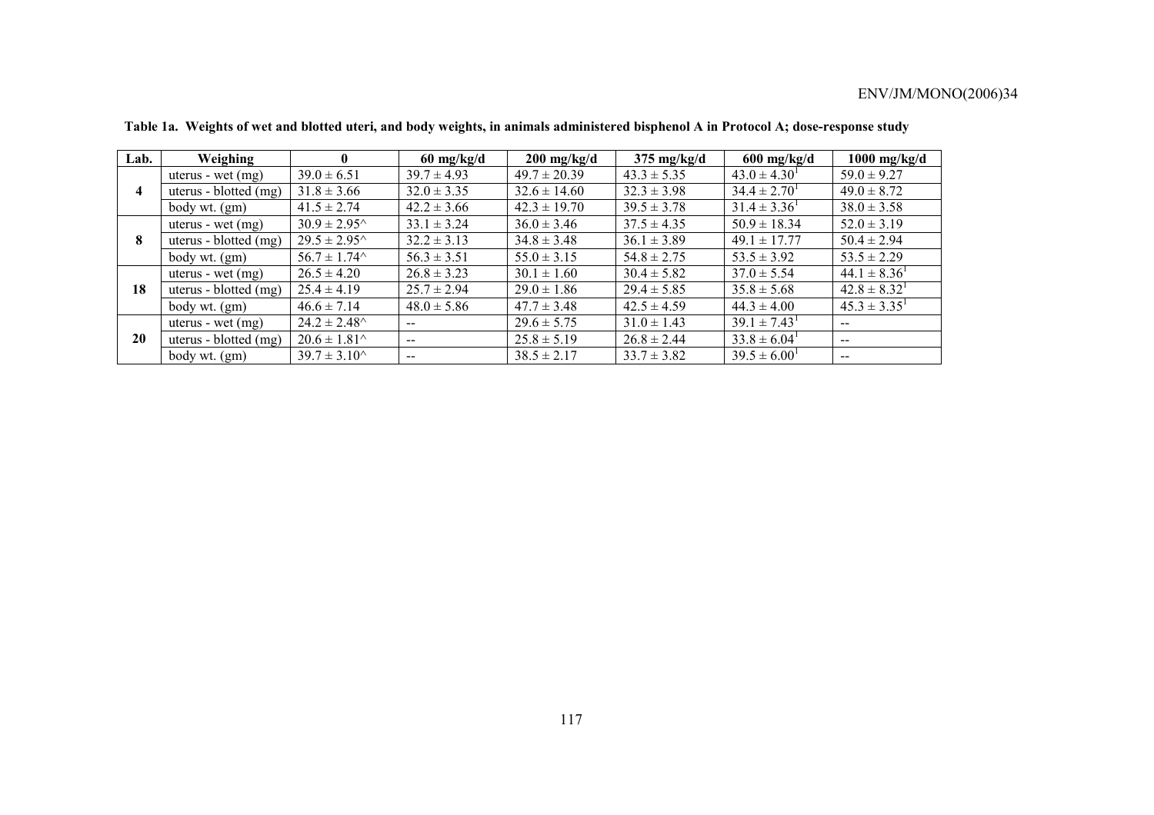| Lab.                    | Weighing              |                                                | $60 \text{ mg/kg/d}$                           | $200 \text{ mg/kg/d}$ | $375 \text{ mg/kg/d}$ | $600$ mg/kg/d                | $1000$ mg/kg/d                                 |
|-------------------------|-----------------------|------------------------------------------------|------------------------------------------------|-----------------------|-----------------------|------------------------------|------------------------------------------------|
|                         | uterus - wet $(mg)$   | $39.0 \pm 6.51$                                | $39.7 \pm 4.93$                                | $49.7 \pm 20.39$      | $43.3 \pm 5.35$       | $43.0 \pm 4.30^1$            | $59.0 \pm 9.27$                                |
| $\overline{\mathbf{4}}$ | uterus - blotted (mg) | $31.8 \pm 3.66$                                | $32.0 \pm 3.35$                                | $32.6 \pm 14.60$      | $32.3 \pm 3.98$       | $34.4 \pm 2.70$ <sup>1</sup> | $49.0 \pm 8.72$                                |
|                         | body wt. (gm)         | $41.5 \pm 2.74$                                | $42.2 \pm 3.66$                                | $42.3 \pm 19.70$      | $39.5 \pm 3.78$       | $31.4 \pm 3.36^1$            | $38.0 \pm 3.58$                                |
|                         | uterus - wet $(mg)$   | $30.9 \pm 2.95$                                | $33.1 \pm 3.24$                                | $36.0 \pm 3.46$       | $37.5 \pm 4.35$       | $50.9 \pm 18.34$             | $52.0 \pm 3.19$                                |
| 8                       | uterus - blotted (mg) | $29.5 \pm 2.95^{\circ}$                        | $32.2 \pm 3.13$                                | $34.8 \pm 3.48$       | $36.1 \pm 3.89$       | $49.1 \pm 17.77$             | $50.4 \pm 2.94$                                |
|                         | body wt. (gm)         | $56.7 \pm 1.74$                                | $56.3 \pm 3.51$                                | $55.0 \pm 3.15$       | $54.8 \pm 2.75$       | $53.5 \pm 3.92$              | $53.5 \pm 2.29$                                |
|                         | uterus - wet $(mg)$   | $26.5 \pm 4.20$                                | $26.8 \pm 3.23$                                | $30.1 \pm 1.60$       | $30.4 \pm 5.82$       | $37.0 \pm 5.54$              | $44.1 \pm 8.36^1$                              |
| 18                      | uterus - blotted (mg) | $25.4 \pm 4.19$                                | $25.7 \pm 2.94$                                | $29.0 \pm 1.86$       | $29.4 \pm 5.85$       | $35.8 \pm 5.68$              | $42.8 \pm 8.32$                                |
|                         | body wt. (gm)         | $46.6 \pm 7.14$                                | $48.0 \pm 5.86$                                | $47.7 \pm 3.48$       | $42.5 \pm 4.59$       | $44.3 \pm 4.00$              | $45.3 \pm 3.35$ <sup>1</sup>                   |
|                         | uterus - wet $(mg)$   | $24.2 \pm 2.48$                                | $\hspace{0.1mm}-\hspace{0.1mm}-\hspace{0.1mm}$ | $29.6 \pm 5.75$       | $31.0 \pm 1.43$       | $39.1 \pm 7.43^1$            |                                                |
| 20                      | uterus - blotted (mg) | $20.6 \pm 1.81$ <sup><math>\wedge</math></sup> | $\hspace{0.1mm}-\hspace{0.1mm}-\hspace{0.1mm}$ | $25.8 \pm 5.19$       | $26.8 \pm 2.44$       | $33.8 \pm 6.04^1$            | $\hspace{0.1mm}-\hspace{0.1mm}-\hspace{0.1mm}$ |
|                         | body wt. (gm)         | $39.7 \pm 3.10^{\circ}$                        | $\overline{\phantom{m}}$                       | $38.5 \pm 2.17$       | $33.7 \pm 3.82$       | $39.5 \pm 6.00^1$            | $\overline{\phantom{m}}$                       |

**Table 1a. Weights of wet and blotted uteri, and body weights, in animals administered bisphenol A in Protocol A; dose-response study**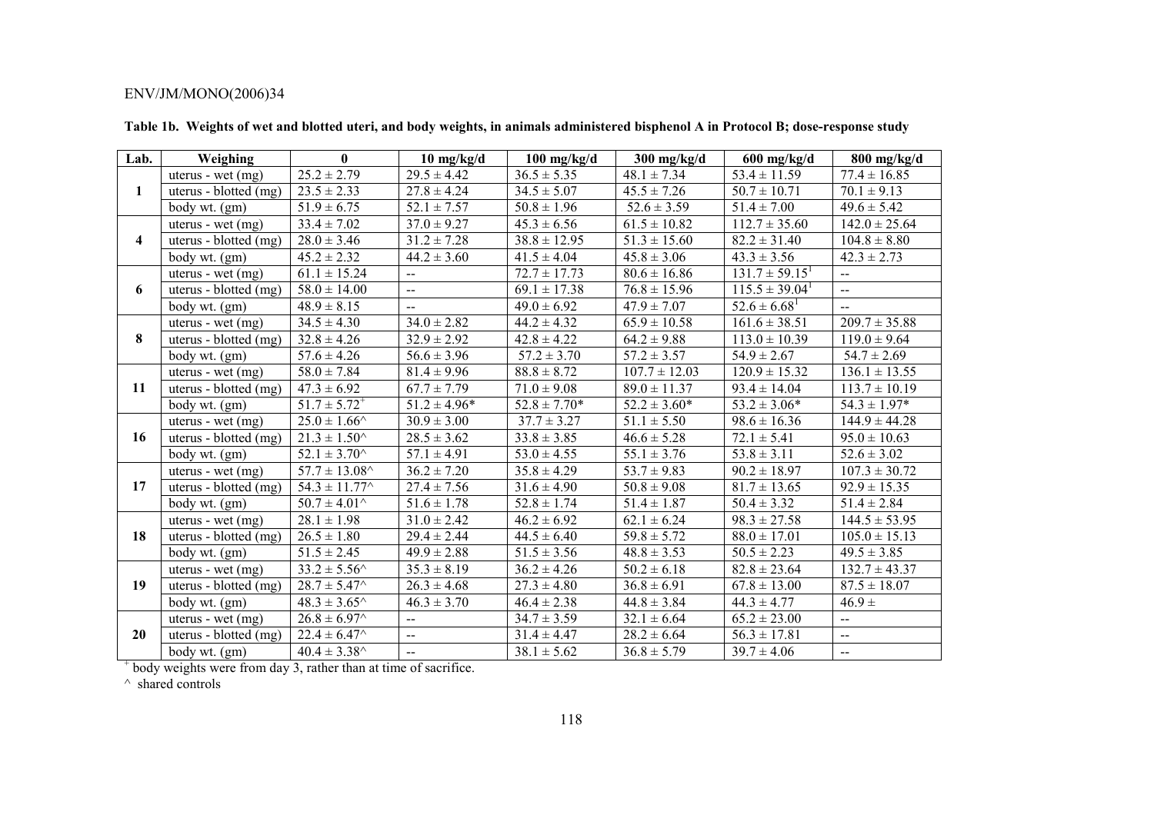| Lab.                    | Weighing                          | $\mathbf{0}$                                   | $10 \text{ mg/kg/d}$                          | $100$ mg/kg/d              | $300$ mg/kg/d              | $600$ mg/kg/d       | $800$ mg/kg/d                |
|-------------------------|-----------------------------------|------------------------------------------------|-----------------------------------------------|----------------------------|----------------------------|---------------------|------------------------------|
|                         | uterus - wet (mg)                 | $25.2 \pm 2.79$                                | $29.5 \pm 4.42$                               | $36.5 \pm 5.35$            | $48.1 \pm 7.34$            | $53.4 \pm 11.59$    | $\overline{77.4} \pm 16.85$  |
| 1                       | uterus - blotted (mg)             | $23.5 \pm 2.33$                                | $27.8 \pm 4.24$                               | $34.5 \pm 5.07$            | $45.5 \pm 7.26$            | $50.7 \pm 10.71$    | $70.1 \pm 9.13$              |
|                         | body wt. (gm)                     | $51.9 \pm 6.75$                                | $52.1 \pm 7.57$                               | $50.8 \pm 1.96$            | $\overline{52.6} \pm 3.59$ | $51.4 \pm 7.00$     | $\overline{49.6} \pm 5.42$   |
|                         | $uterus - wet (mg)$               | $33.4 \pm 7.02$                                | $37.0 \pm 9.27$                               | $45.3 \pm 6.56$            | $61.5 \pm 10.82$           | $112.7 \pm 35.60$   | $142.0 \pm 25.64$            |
| $\overline{\mathbf{4}}$ | uterus - blotted (mg)             | $28.0 \pm 3.46$                                | $31.2 \pm 7.28$                               | $38.8 \pm 12.95$           | $51.3 \pm 15.60$           | $82.2 \pm 31.40$    | $104.8 \pm 8.80$             |
|                         | body wt. (gm)                     | $\overline{45.2} \pm 2.32$                     | $44.2 \pm 3.60$                               | $41.5 \pm 4.04$            | $45.8 \pm 3.06$            | $43.3 \pm 3.56$     | $42.3 \pm 2.73$              |
|                         | $uterus - wet (mg)$               | $61.1 \pm 15.24$                               | $\mathbf{u}$                                  | $72.7 \pm 17.73$           | $80.6 \pm 16.86$           | $131.7 \pm 59.15^1$ | н.                           |
| 6                       | uterus - blotted (mg)             | $58.0 \pm 14.00$                               | $\sim$ $\sim$                                 | $69.1 \pm 17.38$           | $76.8 \pm 15.96$           | $115.5 \pm 39.04^1$ | $\mathcal{L}_{\mathcal{L}}$  |
|                         | body wt. (gm)                     | $48.9 \pm 8.15$                                | --                                            | $49.0 \pm 6.92$            | $47.9 \pm 7.07$            | $52.6 \pm 6.68^1$   | ш.,                          |
|                         | $uterus - wet (mg)$               | $34.5 \pm 4.30$                                | $34.0 \pm 2.82$                               | $44.2 \pm 4.32$            | $65.9 \pm 10.58$           | $161.6 \pm 38.51$   | $209.7 \pm 35.88$            |
| 8                       | uterus - blotted (mg)             | $\overline{32.8} \pm 4.26$                     | $\overline{32.9} \pm 2.92$                    | $42.8 \pm 4.22$            | $64.2 \pm 9.88$            | $113.0 \pm 10.39$   | $119.0 \pm 9.64$             |
|                         | body wt. (gm)                     | $57.6 \pm 4.26$                                | $56.6 \pm 3.96$                               | $57.2 \pm 3.70$            | $57.2 \pm 3.57$            | $54.9 \pm 2.67$     | $54.7 \pm 2.69$              |
|                         | $uterus - wet (mg)$               | $58.0 \pm 7.84$                                | $81.4 \pm 9.96$                               | $\overline{88.8} \pm 8.72$ | $107.7 \pm 12.03$          | $120.9 \pm 15.32$   | $136.1 \pm 13.55$            |
| 11                      | uterus - blotted (mg)             | $47.3 \pm 6.92$                                | $67.7 \pm 7.79$                               | $71.0 \pm 9.08$            | $89.0 \pm 11.37$           | $93.4 \pm 14.04$    | $113.7 \pm 10.19$            |
|                         | body wt. (gm)                     | $51.7 \pm 5.72$ <sup>+</sup>                   | $51.2 \pm 4.96*$                              | $52.8 \pm 7.70*$           | $52.2 \pm 3.60*$           | $53.2 \pm 3.06*$    | $54.3 \pm 1.97*$             |
|                         | $uterus - wet (mg)$               | $25.0 \pm 1.66^{\circ}$                        | $30.9 \pm 3.00$                               | $37.7 \pm 3.27$            | $51.1 \pm 5.50$            | $98.6 \pm 16.36$    | $144.9 \pm 44.28$            |
| 16                      | uterus - blotted (mg)             | $21.3 \pm 1.50^{\circ}$                        | $28.5 \pm 3.62$                               | $33.8 \pm 3.85$            | $46.6 \pm 5.28$            | $72.1 \pm 5.41$     | $95.0 \pm 10.63$             |
|                         | $\overline{\text{body}}$ wt. (gm) | $52.1 \pm 3.70$ <sup><math>\land</math></sup>  | $57.1 \pm 4.91$                               | $53.0 \pm 4.55$            | $55.1 \pm 3.76$            | $53.8 \pm 3.11$     | $52.6 \pm 3.02$              |
|                         | $uterus - wet (mg)$               | $57.7 \pm 13.08^{\circ}$                       | $36.2 \pm 7.20$                               | $35.8 \pm 4.29$            | $53.7 \pm 9.83$            | $90.2 \pm 18.97$    | $107.3 \pm 30.72$            |
| 17                      | uterus - blotted (mg)             | $54.3 \pm 11.77$ <sup><math>\circ</math></sup> | $27.4 \pm 7.56$                               | $31.6 \pm 4.90$            | $50.8 \pm 9.08$            | $81.7 \pm 13.65$    | $92.9 \pm 15.35$             |
|                         | body wt. (gm)                     | $50.7 \pm 4.01$ <sup><math>\land</math></sup>  | $51.6 \pm 1.78$                               | $52.8 \pm 1.74$            | $51.4 \pm 1.87$            | $50.4 \pm 3.32$     | $51.4 \pm 2.84$              |
|                         | $uterus - wet (mg)$               | $28.1 \pm 1.98$                                | $31.0 \pm 2.42$                               | $46.2 \pm 6.92$            | $62.1 \pm 6.24$            | $98.3 \pm 27.58$    | $144.5 \pm 53.95$            |
| 18                      | uterus - blotted (mg)             | $26.5 \pm 1.80$                                | $29.4 \pm 2.44$                               | $44.5 \pm 6.40$            | $59.8 \pm 5.72$            | $88.0 \pm 17.01$    | $105.0 \pm 15.13$            |
|                         | body wt. (gm)                     | $51.5 \pm 2.45$                                | $49.9 \pm 2.88$                               | $51.5 \pm 3.56$            | $\overline{48.8} \pm 3.53$ | $50.5 \pm 2.23$     | $49.5 \pm 3.85$              |
|                         | $uterus - wet (mg)$               | $33.2 \pm 5.56^{\circ}$                        | $35.3 \pm 8.19$                               | $36.2 \pm 4.26$            | $50.2 \pm 6.18$            | $82.8 \pm 23.64$    | $\overline{132.7} \pm 43.37$ |
| 19                      | uterus - blotted (mg)             | $28.7 \pm 5.47^{\circ}$                        | $26.3 \pm 4.68$                               | $27.3 \pm 4.80$            | $36.8 \pm 6.91$            | $67.8 \pm 13.00$    | $87.5 \pm 18.07$             |
|                         | body wt. (gm)                     | $48.3 \pm 3.65$                                | $46.3 \pm 3.70$                               | $46.4 \pm 2.38$            | $44.8 \pm 3.84$            | $44.3 \pm 4.77$     | $46.9 \pm$                   |
|                         | uterus - wet (mg)                 | $26.8 \pm 6.97$ <sup><math>\land</math></sup>  | $\sim$ $\sim$                                 | $34.7 \pm 3.59$            | $32.1 \pm 6.64$            | $65.2 \pm 23.00$    | $\sim$ $\sim$                |
| 20                      | uterus - blotted (mg)             | $22.4 \pm 6.47$                                | $\overline{a}$                                | $31.4 \pm 4.47$            | $28.2 \pm 6.64$            | $56.3 \pm 17.81$    | $\overline{a}$               |
|                         | body wt. (gm)                     | $40.4 \pm 3.38$ ^                              | $\mathord{\hspace{1pt}\text{--}\hspace{1pt}}$ | $38.1 \pm 5.62$            | $36.8 \pm 5.79$            | $39.7 \pm 4.06$     | $\overline{\phantom{a}}$     |

# **Table 1b. Weights of wet and blotted uteri, and body weights, in animals administered bisphenol A in Protocol B; dose-response study**

+ body weights were from day 3, rather than at time of sacrifice.

^ shared controls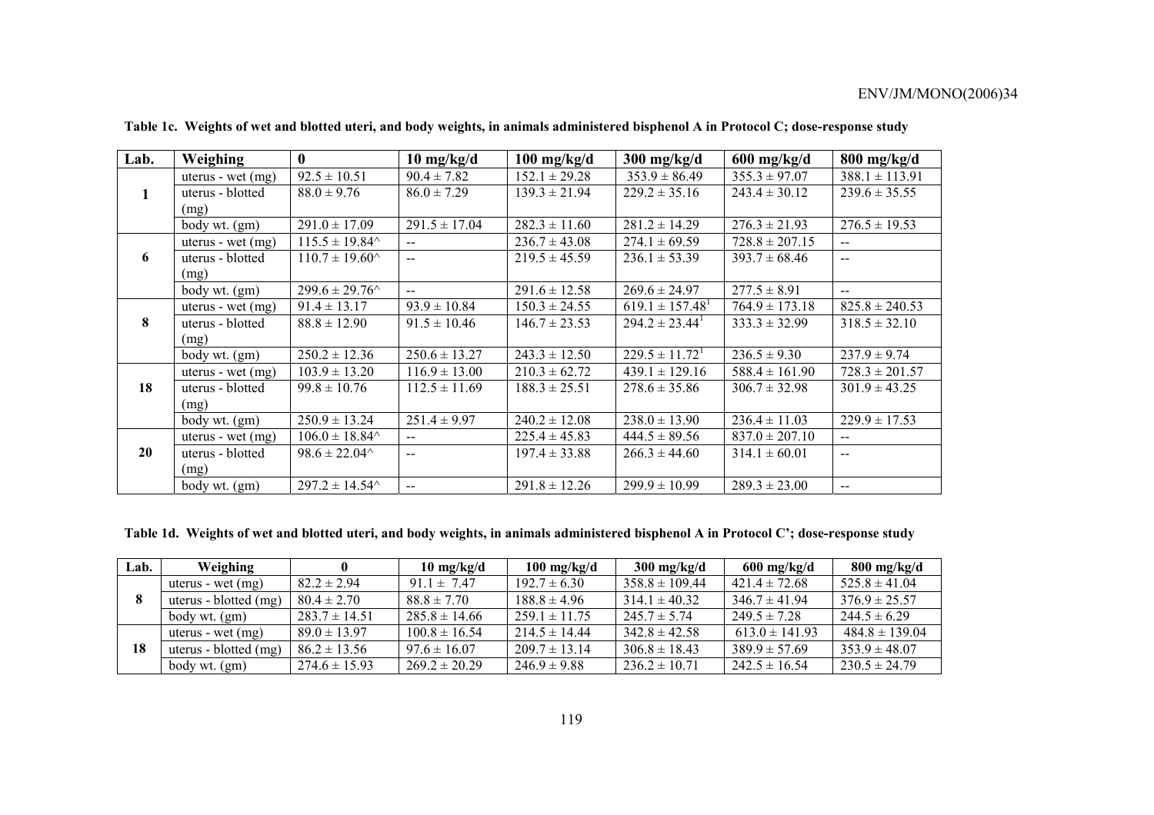| Lab. | Weighing            |                                                 | $10$ mg/kg/d             | $100$ mg/kg/d     | $300$ mg/kg/d                  | $600$ mg/kg/d      | $800$ mg/kg/d            |
|------|---------------------|-------------------------------------------------|--------------------------|-------------------|--------------------------------|--------------------|--------------------------|
|      | $uterus - wet (mg)$ | $92.5 \pm 10.51$                                | $90.4 \pm 7.82$          | $152.1 \pm 29.28$ | $353.9 \pm 86.49$              | $355.3 \pm 97.07$  | $388.1 \pm 113.91$       |
| 1    | uterus - blotted    | $88.0 \pm 9.76$                                 | $86.0 \pm 7.29$          | $139.3 \pm 21.94$ | $229.2 \pm 35.16$              | $243.4 \pm 30.12$  | $239.6 \pm 35.55$        |
|      | (mg)                |                                                 |                          |                   |                                |                    |                          |
|      | body wt. (gm)       | $291.0 \pm 17.09$                               | $291.5 \pm 17.04$        | $282.3 \pm 11.60$ | $281.2 \pm 14.29$              | $276.3 \pm 21.93$  | $276.5 \pm 19.53$        |
|      | uterus - wet $(mg)$ | $115.5 \pm 19.84^{\circ}$                       |                          | $236.7 \pm 43.08$ | $274.1 \pm 69.59$              | $728.8 \pm 207.15$ |                          |
| 6    | uterus - blotted    | $110.7 \pm 19.60^{\circ}$                       | $\sim$ $\sim$            | $219.5 \pm 45.59$ | $236.1 \pm 53.39$              | $393.7 \pm 68.46$  | $- -$                    |
|      | (mg)                |                                                 |                          |                   |                                |                    |                          |
|      | body wt. (gm)       | $299.6 \pm 29.76$                               | $\sim$ $\sim$            | $291.6 \pm 12.58$ | $269.6 \pm 24.97$              | $277.5 \pm 8.91$   | $- -$                    |
|      | uterus - wet $(mg)$ | $91.4 \pm 13.17$                                | $93.9 \pm 10.84$         | $150.3 \pm 24.55$ | $619.1 \pm 157.48^1$           | $764.9 \pm 173.18$ | $825.8 \pm 240.53$       |
| 8    | uterus - blotted    | $88.8 \pm 12.90$                                | $91.5 \pm 10.46$         | $146.7 \pm 23.53$ | $294.2 \pm 23.44$              | $333.3 \pm 32.99$  | $318.5 \pm 32.10$        |
|      | (mg)                |                                                 |                          |                   |                                |                    |                          |
|      | body wt. (gm)       | $250.2 \pm 12.36$                               | $250.6 \pm 13.27$        | $243.3 \pm 12.50$ | $229.5 \pm 11.72$ <sup>1</sup> | $236.5 \pm 9.30$   | $237.9 \pm 9.74$         |
|      | uterus - wet $(mg)$ | $103.9 \pm 13.20$                               | $116.9 \pm 13.00$        | $210.3 \pm 62.72$ | $439.1 \pm 129.16$             | $588.4 \pm 161.90$ | $728.3 \pm 201.57$       |
| 18   | uterus - blotted    | $99.8 \pm 10.76$                                | $112.5 \pm 11.69$        | $188.3 \pm 25.51$ | $278.6 \pm 35.86$              | $306.7 \pm 32.98$  | $301.9 \pm 43.25$        |
|      | (mg)                |                                                 |                          |                   |                                |                    |                          |
|      | body wt. (gm)       | $250.9 \pm 13.24$                               | $251.4 \pm 9.97$         | $240.2 \pm 12.08$ | $238.0 \pm 13.90$              | $236.4 \pm 11.03$  | $229.9 \pm 17.53$        |
|      | $uterus - wet (mg)$ | $106.0 \pm 18.84$ <sup><math>\land</math></sup> | $\hspace{0.05cm}$        | $225.4 \pm 45.83$ | $444.5 \pm 89.56$              | $837.0 \pm 207.10$ | $- -$                    |
| 20   | uterus - blotted    | $98.6 \pm 22.04^{\circ}$                        | $\overline{\phantom{a}}$ | $197.4 \pm 33.88$ | $266.3 \pm 44.60$              | $314.1 \pm 60.01$  | $\overline{\phantom{a}}$ |
|      | (mg)                |                                                 |                          |                   |                                |                    |                          |
|      | body wt. (gm)       | $297.2 \pm 14.54^{\circ}$                       | $\mathbf{u}$             | $291.8 \pm 12.26$ | $299.9 \pm 10.99$              | $289.3 \pm 23.00$  | $\qquad \qquad -$        |

**Table 1c. Weights of wet and blotted uteri, and body weights, in animals administered bisphenol A in Protocol C; dose-response study** 

### Table 1d. Weights of wet and blotted uteri, and body weights, in animals administered bisphenol A in Protocol C'; dose-response study

| Lab. | Weighing              |                   | $10 \text{ mg/kg/d}$ | $100 \text{ mg/kg/d}$ | $300 \text{ mg/kg/d}$ | $600 \text{ mg/kg/d}$ | $800 \; \text{mg/kg/d}$ |
|------|-----------------------|-------------------|----------------------|-----------------------|-----------------------|-----------------------|-------------------------|
|      | uterus - wet $(mg)$   | $82.2 \pm 2.94$   | $91.1 \pm 7.47$      | $192.7 \pm 6.30$      | $358.8 \pm 109.44$    | $421.4 \pm 72.68$     | $525.8 \pm 41.04$       |
|      | uterus - blotted (mg) | $80.4 \pm 2.70$   | $88.8 \pm 7.70$      | $188.8 \pm 4.96$      | $314.1 \pm 40.32$     | $346.7 \pm 41.94$     | $376.9 \pm 25.57$       |
|      | body wt. (gm)         | $283.7 \pm 14.51$ | $285.8 \pm 14.66$    | $259.1 \pm 11.75$     | $245.7 \pm 5.74$      | $249.5 \pm 7.28$      | $244.5 \pm 6.29$        |
|      | uterus - wet $(mg)$   | $89.0 \pm 13.97$  | $100.8 \pm 16.54$    | $214.5 \pm 14.44$     | $342.8 \pm 42.58$     | $613.0 \pm 141.93$    | $484.8 \pm 139.04$      |
| 18   | uterus - blotted (mg) | $86.2 \pm 13.56$  | $97.6 \pm 16.07$     | $209.7 \pm 13.14$     | $306.8 \pm 18.43$     | $389.9 \pm 57.69$     | $353.9 \pm 48.07$       |
|      | body wt. (gm)         | $274.6 \pm 15.93$ | $269.2 \pm 20.29$    | $246.9 \pm 9.88$      | $236.2 \pm 10.71$     | $242.5 \pm 16.54$     | $230.5 \pm 24.79$       |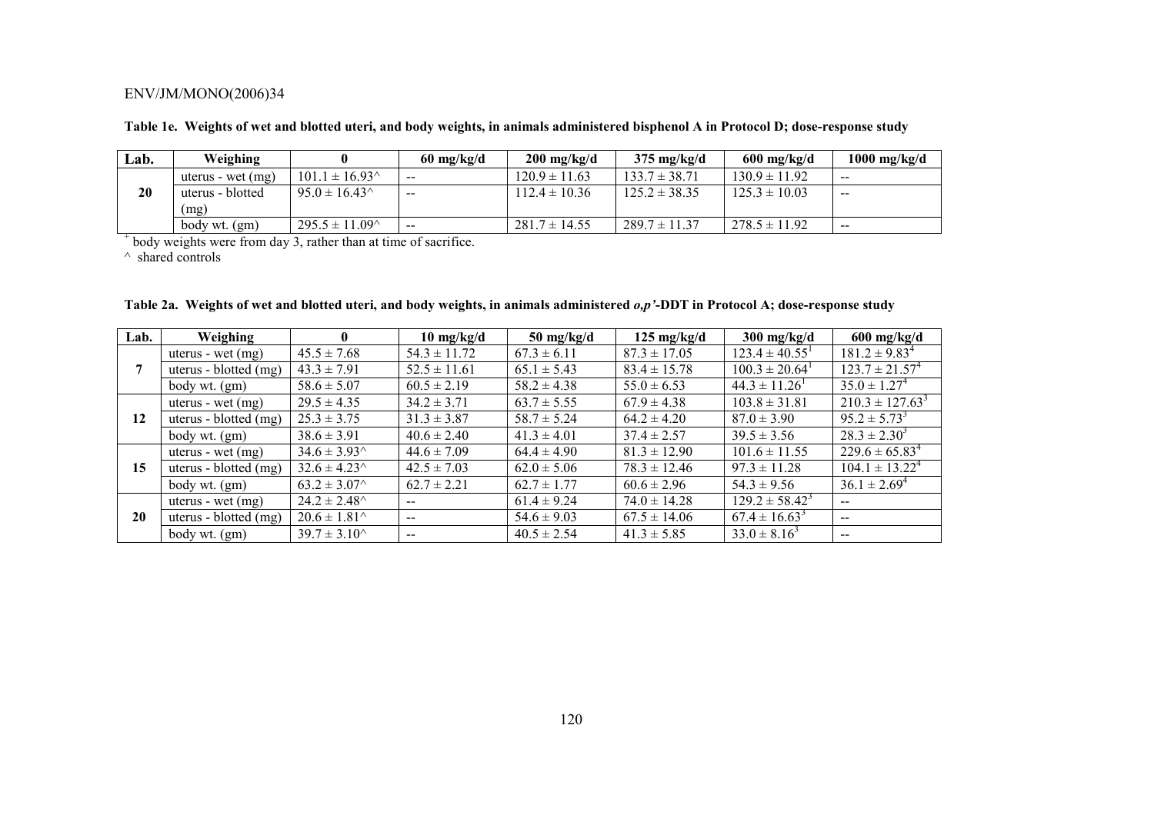| Lab. | $\mathbf{v}$<br>∕eighing |                                                          | $60 \text{ mg/kg/d}$ | $200$ mg/kg/d | $375 \text{ mg/kg/d}$ | $600$ mg/kg/d | $1000$ mg/kg/d |
|------|--------------------------|----------------------------------------------------------|----------------------|---------------|-----------------------|---------------|----------------|
|      | (mg)<br>uterus - wet     | 16.03 <sup>0</sup><br>101.1<br>$-$<br>10.73<br><b>__</b> | $- -$                | L∠U.J         | 207<br>30.7<br>.      | 130.9         | $- -$          |

|  | Table 1e. Weights of wet and blotted uteri, and body weights, in animals administered bisphenol A in Protocol D; dose-response study |  |  |
|--|--------------------------------------------------------------------------------------------------------------------------------------|--|--|
|  |                                                                                                                                      |  |  |

|    |                   |                   | - -                                            |                   |                   |                   |            |
|----|-------------------|-------------------|------------------------------------------------|-------------------|-------------------|-------------------|------------|
|    | uterus - wet (mg) | $101.1 \pm 16.93$ | $\hspace{0.1mm}-\hspace{0.1mm}-\hspace{0.1mm}$ | $120.9 \pm 11.63$ | $133.7 \pm 38.71$ | $130.9 \pm 11.92$ | $\sim$ $-$ |
| 20 | uterus - blotted  | $95.0 \pm 16.43$  | $- -$                                          | $112.4 \pm 10.36$ | $125.2 \pm 38.35$ | $125.3 \pm 10.03$ | $\sim$ $-$ |
|    | (mg)              |                   |                                                |                   |                   |                   |            |
|    | body wt. (gm)     | $295.5 \pm 11.09$ | $\hspace{0.1mm}-\hspace{0.1mm}-\hspace{0.1mm}$ | $281.7 \pm 14.55$ | $289.7 \pm 11.37$ | $278.5 \pm 11.92$ | $\sim$ $-$ |

+ body weights were from day 3, rather than at time of sacrifice.

^ shared controls

| Table 2a. Weights of wet and blotted uteri, and body weights, in animals administered o,p'-DDT in Protocol A; dose-response study |  |  |
|-----------------------------------------------------------------------------------------------------------------------------------|--|--|
|                                                                                                                                   |  |  |

| Lab. | Weighing              | $\mathbf{0}$                                   | $10 \text{ mg/kg/d}$                           | $50 \text{ mg/kg/d}$ | $125 \text{ mg/kg/d}$ | $300$ mg/kg/d                 | $600$ mg/kg/d                                  |
|------|-----------------------|------------------------------------------------|------------------------------------------------|----------------------|-----------------------|-------------------------------|------------------------------------------------|
|      | uterus - wet $(mg)$   | $45.5 \pm 7.68$                                | $54.3 \pm 11.72$                               | $67.3 \pm 6.11$      | $87.3 \pm 17.05$      | $123.4 \pm 40.55^1$           | $181.2 \pm 9.83^4$                             |
| 7    | uterus - blotted (mg) | $43.3 \pm 7.91$                                | $52.5 \pm 11.61$                               | $65.1 \pm 5.43$      | $83.4 \pm 15.78$      | $100.3 \pm 20.64^{\text{T}}$  | $123.7 \pm 21.57^4$                            |
|      | body wt. (gm)         | $58.6 \pm 5.07$                                | $60.5 \pm 2.19$                                | $58.2 \pm 4.38$      | $55.0 \pm 6.53$       | $44.3 \pm 11.26$ <sup>1</sup> | $35.0 \pm 1.27^4$                              |
|      | uterus - wet $(mg)$   | $29.5 \pm 4.35$                                | $34.2 \pm 3.71$                                | $63.7 \pm 5.55$      | $67.9 \pm 4.38$       | $103.8 \pm 31.81$             | $210.3 \pm 127.63^3$                           |
| 12   | uterus - blotted (mg) | $25.3 \pm 3.75$                                | $31.3 \pm 3.87$                                | $58.7 \pm 5.24$      | $64.2 \pm 4.20$       | $87.0 \pm 3.90$               | $95.2 \pm 5.73^3$                              |
|      | body wt. (gm)         | $38.6 \pm 3.91$                                | $40.6 \pm 2.40$                                | $41.3 \pm 4.01$      | $37.4 \pm 2.57$       | $39.5 \pm 3.56$               | $28.3 \pm 2.30^3$                              |
|      | uterus - wet $(mg)$   | $34.6 \pm 3.93$                                | $44.6 \pm 7.09$                                | $64.4 \pm 4.90$      | $81.3 \pm 12.90$      | $101.6 \pm 11.55$             | $229.6 \pm 65.83^4$                            |
| 15   | uterus - blotted (mg) | $32.6 \pm 4.23$                                | $42.5 \pm 7.03$                                | $62.0 \pm 5.06$      | $78.3 \pm 12.46$      | $97.3 \pm 11.28$              | $104.1 \pm 13.22^4$                            |
|      | body wt. (gm)         | $63.2 \pm 3.07$                                | $62.7 \pm 2.21$                                | $62.7 \pm 1.77$      | $60.6 \pm 2.96$       | $54.3 \pm 9.56$               | $36.1 \pm 2.69^4$                              |
|      | uterus - wet $(mg)$   | $24.2 \pm 2.48$ <sup><math>\wedge</math></sup> | $\hspace{0.1mm}-\hspace{0.1mm}-\hspace{0.1mm}$ | $61.4 \pm 9.24$      | $74.0 \pm 14.28$      | $129.2 \pm 58.42^3$           |                                                |
| 20   | uterus - blotted (mg) | $20.6 \pm 1.81$ <sup><math>\wedge</math></sup> | $\overline{\phantom{m}}$                       | $54.6 \pm 9.03$      | $67.5 \pm 14.06$      | $67.4 \pm 16.63^3$            | $\hspace{0.1mm}-\hspace{0.1mm}-\hspace{0.1mm}$ |
|      | body wt. (gm)         | $39.7 \pm 3.10^{\circ}$                        | $\overline{\phantom{m}}$                       | $40.5 \pm 2.54$      | $41.3 \pm 5.85$       | $33.0 \pm 8.16^3$             |                                                |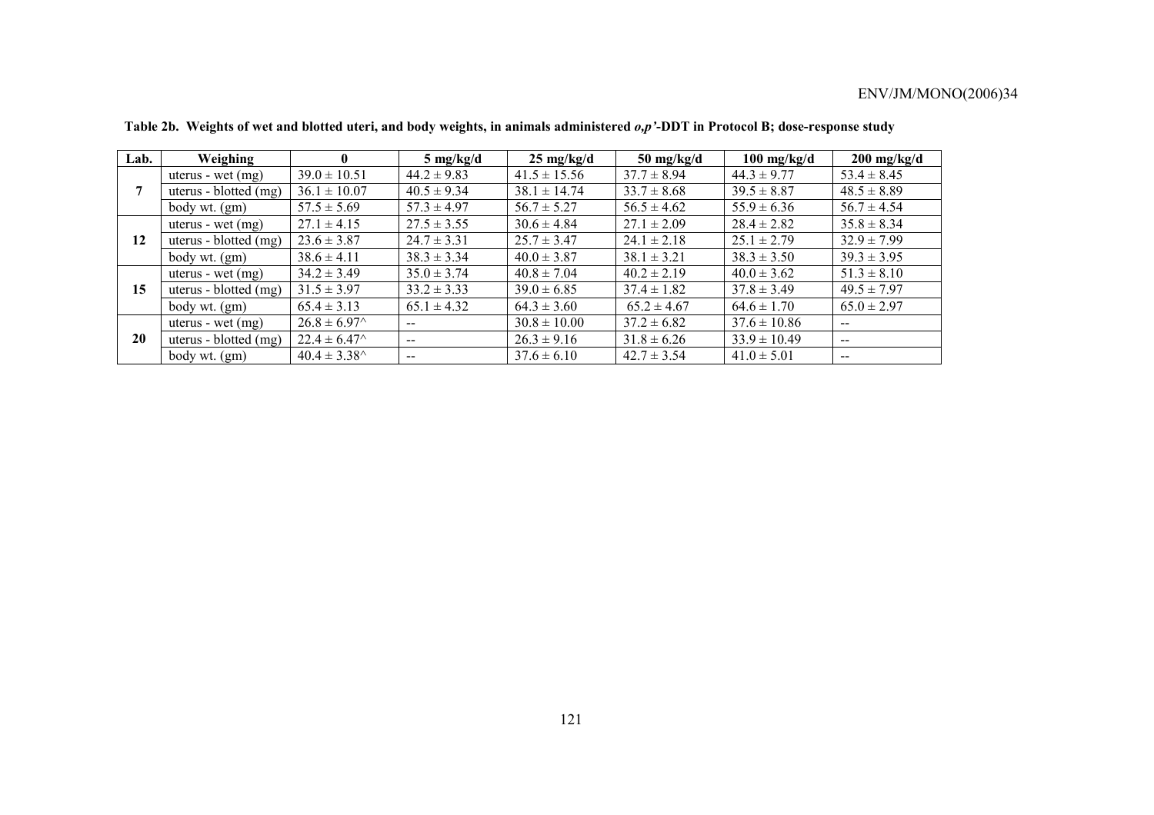| Lab. | Weighing              |                         | $5 \text{ mg/kg/d}$      | $25 \text{ mg/kg/d}$ | $50 \text{ mg/kg/d}$ | $100$ mg/kg/d    | $200 \text{ mg/kg/d}$ |
|------|-----------------------|-------------------------|--------------------------|----------------------|----------------------|------------------|-----------------------|
|      | uterus - wet $(mg)$   | $39.0 \pm 10.51$        | $44.2 \pm 9.83$          | $41.5 \pm 15.56$     | $37.7 \pm 8.94$      | $44.3 \pm 9.77$  | $53.4 \pm 8.45$       |
| 7    | uterus - blotted (mg) | $36.1 \pm 10.07$        | $40.5 \pm 9.34$          | $38.1 \pm 14.74$     | $33.7 \pm 8.68$      | $39.5 \pm 8.87$  | $48.5 \pm 8.89$       |
|      | body wt. (gm)         | $57.5 \pm 5.69$         | $57.3 \pm 4.97$          | $56.7 \pm 5.27$      | $56.5 \pm 4.62$      | $55.9 \pm 6.36$  | $56.7 \pm 4.54$       |
|      | uterus - wet $(mg)$   | $27.1 \pm 4.15$         | $27.5 \pm 3.55$          | $30.6 \pm 4.84$      | $27.1 \pm 2.09$      | $28.4 \pm 2.82$  | $35.8 \pm 8.34$       |
| 12   | uterus - blotted (mg) | $23.6 \pm 3.87$         | $24.7 \pm 3.31$          | $25.7 \pm 3.47$      | $24.1 \pm 2.18$      | $25.1 \pm 2.79$  | $32.9 \pm 7.99$       |
|      | body wt. (gm)         | $38.6 \pm 4.11$         | $38.3 \pm 3.34$          | $40.0 \pm 3.87$      | $38.1 \pm 3.21$      | $38.3 \pm 3.50$  | $39.3 \pm 3.95$       |
|      | uterus - wet $(mg)$   | $34.2 \pm 3.49$         | $35.0 \pm 3.74$          | $40.8 \pm 7.04$      | $40.2 \pm 2.19$      | $40.0 \pm 3.62$  | $51.3 \pm 8.10$       |
| 15   | uterus - blotted (mg) | $31.5 \pm 3.97$         | $33.2 \pm 3.33$          | $39.0 \pm 6.85$      | $37.4 \pm 1.82$      | $37.8 \pm 3.49$  | $49.5 \pm 7.97$       |
|      | body wt. (gm)         | $65.4 \pm 3.13$         | $65.1 \pm 4.32$          | $64.3 \pm 3.60$      | $65.2 \pm 4.67$      | $64.6 \pm 1.70$  | $65.0 \pm 2.97$       |
|      | uterus - wet $(mg)$   | $26.8 \pm 6.97$         | $- -$                    | $30.8 \pm 10.00$     | $37.2 \pm 6.82$      | $37.6 \pm 10.86$ |                       |
| 20   | uterus - blotted (mg) | $22.4 \pm 6.47^{\circ}$ | $\sim$                   | $26.3 \pm 9.16$      | $31.8 \pm 6.26$      | $33.9 \pm 10.49$ | $- -$                 |
|      | body wt. (gm)         | $40.4 \pm 3.38$         | $\overline{\phantom{m}}$ | $37.6 \pm 6.10$      | $42.7 \pm 3.54$      | $41.0 \pm 5.01$  | $- -$                 |

Table 2b. Weights of wet and blotted uteri, and body weights, in animals administered  $o, p'$ -DDT in Protocol B; dose-response study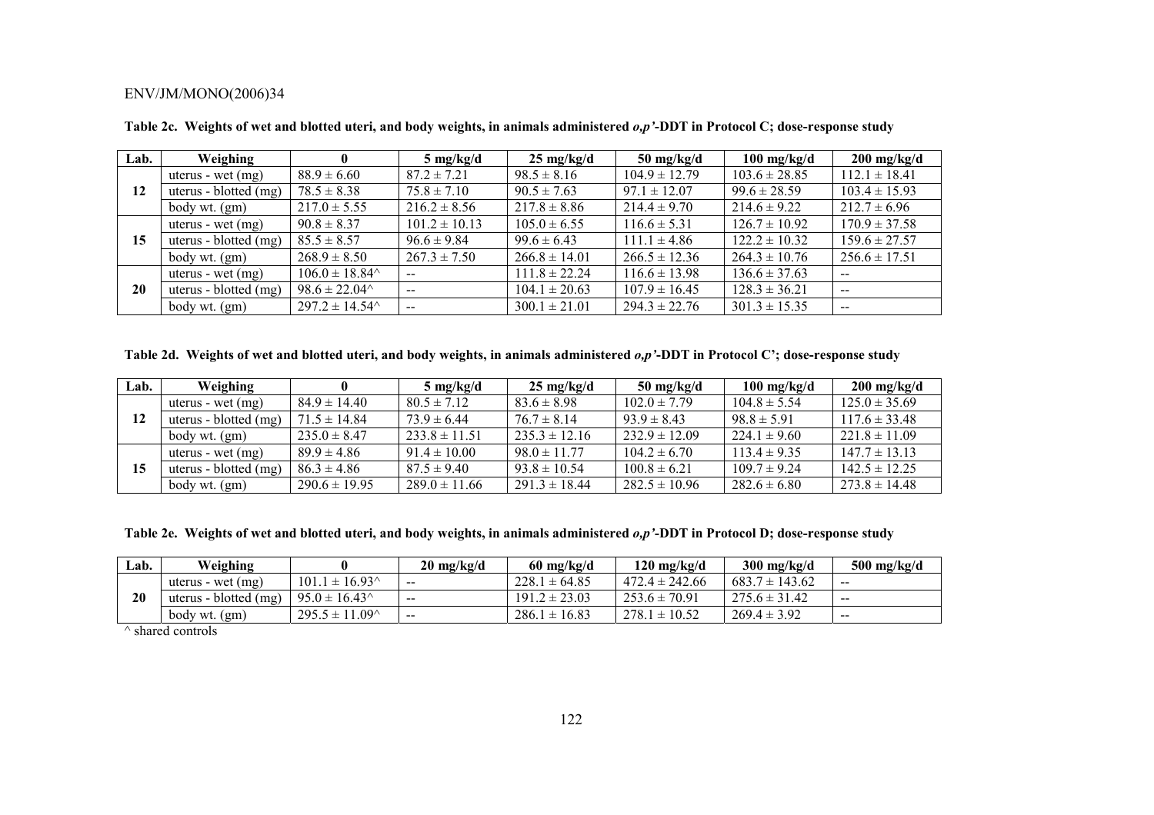| Lab. | Weighing              | $\mathbf{0}$              | $5 \text{ mg/kg/d}$ | $25 \text{ mg/kg/d}$ | $50 \text{ mg/kg/d}$ | $100 \text{ mg/kg/d}$ | $200 \text{ mg/kg/d}$    |
|------|-----------------------|---------------------------|---------------------|----------------------|----------------------|-----------------------|--------------------------|
|      | uterus - wet $(mg)$   | $88.9 \pm 6.60$           | $87.2 \pm 7.21$     | $98.5 \pm 8.16$      | $104.9 \pm 12.79$    | $103.6 \pm 28.85$     | $112.1 \pm 18.41$        |
| 12   | uterus - blotted (mg) | $78.5 \pm 8.38$           | $75.8 \pm 7.10$     | $90.5 \pm 7.63$      | $97.1 \pm 12.07$     | $99.6 \pm 28.59$      | $103.4 \pm 15.93$        |
|      | body wt. (gm)         | $217.0 \pm 5.55$          | $216.2 \pm 8.56$    | $217.8 \pm 8.86$     | $214.4 \pm 9.70$     | $214.6 \pm 9.22$      | $212.7 \pm 6.96$         |
|      | uterus - wet $(mg)$   | $90.8 \pm 8.37$           | $101.2 \pm 10.13$   | $105.0 \pm 6.55$     | $116.6 \pm 5.31$     | $126.7 \pm 10.92$     | $170.9 \pm 37.58$        |
| 15   | uterus - blotted (mg) | $85.5 \pm 8.57$           | $96.6 \pm 9.84$     | $99.6 \pm 6.43$      | $111.1 \pm 4.86$     | $122.2 \pm 10.32$     | $159.6 \pm 27.57$        |
|      | body wt. (gm)         | $268.9 \pm 8.50$          | $267.3 \pm 7.50$    | $266.8 \pm 14.01$    | $266.5 \pm 12.36$    | $264.3 \pm 10.76$     | $256.6 \pm 17.51$        |
|      | uterus - wet $(mg)$   | $106.0 \pm 18.84^{\circ}$ | $- -$               | $111.8 \pm 22.24$    | $116.6 \pm 13.98$    | $136.6 \pm 37.63$     | $\overline{\phantom{m}}$ |
| 20   | uterus - blotted (mg) | $98.6 \pm 22.04^{\circ}$  | $\sim$ $\sim$       | $104.1 \pm 20.63$    | $107.9 \pm 16.45$    | $128.3 \pm 36.21$     | $\overline{\phantom{m}}$ |
|      | body wt. $(gm)$       | $297.2 \pm 14.54^{\circ}$ | $\sim$ $\sim$       | $300.1 \pm 21.01$    | $294.3 \pm 22.76$    | $301.3 \pm 15.35$     | $- -$                    |

**Table 2c. Weights of wet and blotted uteri, and body weights, in animals administered** *o,p<sup>í</sup>***-DDT in Protocol C; dose-response study** 

### Table 2d. Weights of wet and blotted uteri, and body weights, in animals administered  $o, p'$ -DDT in Protocol C'; dose-response study

| Lab. | Weighing              |                   | $5 \text{ mg/kg/d}$ | $25 \text{ mg/kg/d}$ | $50 \text{ mg/kg/d}$ | $100 \text{ mg/kg/d}$ | $200 \text{ mg/kg/d}$ |
|------|-----------------------|-------------------|---------------------|----------------------|----------------------|-----------------------|-----------------------|
|      | uterus - wet (mg)     | $84.9 \pm 14.40$  | $80.5 \pm 7.12$     | $83.6 \pm 8.98$      | $102.0 \pm 7.79$     | $104.8 \pm 5.54$      | $125.0 \pm 35.69$     |
| 12   | uterus - blotted (mg) | $71.5 \pm 14.84$  | $73.9 \pm 6.44$     | $76.7 \pm 8.14$      | $93.9 \pm 8.43$      | $98.8 \pm 5.91$       | $117.6 \pm 33.48$     |
|      | body wt. (gm)         | $235.0 \pm 8.47$  | $233.8 \pm 11.51$   | $235.3 \pm 12.16$    | $232.9 \pm 12.09$    | $224.1 \pm 9.60$      | $221.8 \pm 11.09$     |
|      | uterus - wet $(mg)$   | $89.9 \pm 4.86$   | $91.4 \pm 10.00$    | $98.0 \pm 11.77$     | $104.2 \pm 6.70$     | $113.4 \pm 9.35$      | $147.7 \pm 13.13$     |
| 15   | uterus - blotted (mg) | $86.3 \pm 4.86$   | $87.5 \pm 9.40$     | $93.8 \pm 10.54$     | $100.8 \pm 6.21$     | $109.7 \pm 9.24$      | $142.5 \pm 12.25$     |
|      | body wt. (gm)         | $290.6 \pm 19.95$ | $289.0 \pm 11.66$   | $291.3 \pm 18.44$    | $282.5 \pm 10.96$    | $282.6 \pm 6.80$      | $273.8 \pm 14.48$     |

| Table 2e. Weights of wet and blotted uteri, and body weights, in animals administered o,p'-DDT in Protocol D; dose-response study |  |  |
|-----------------------------------------------------------------------------------------------------------------------------------|--|--|
|                                                                                                                                   |  |  |

| Lab. | Weighing              |                           | $20 \text{ mg/kg/d}$                           | $60 \text{ mg/kg/d}$      | $120 \text{ mg/kg/d}$ | $300$ mg/kg/d      | $500$ mg/kg/d |
|------|-----------------------|---------------------------|------------------------------------------------|---------------------------|-----------------------|--------------------|---------------|
|      | uterus - wet (mg)     | $101.1 \pm 16.93^{\circ}$ | $\overline{\phantom{m}}$                       | 228.1<br>± 64.85          | $472.4 \pm 242.66$    | $683.7 \pm 143.62$ | $\sim$        |
| 20   | uterus - blotted (mg) | $95.0 \pm 16.43^{\circ}$  | $\hspace{0.1mm}-\hspace{0.1mm}-\hspace{0.1mm}$ | $191.2 \pm 23.03$         | $253.6 \pm 70.91$     | $275.6 \pm 31.42$  | $\sim$        |
|      | body wt. (gm)         | $295.5 \pm 11.09$         | $\hspace{0.1mm}-\hspace{0.1mm}-\hspace{0.1mm}$ | : 16.83<br>286.1<br>$\pm$ | $278.1 \pm 10.52$     | $269.4 \pm 3.92$   | $\sim$        |

 $\land$  shared controls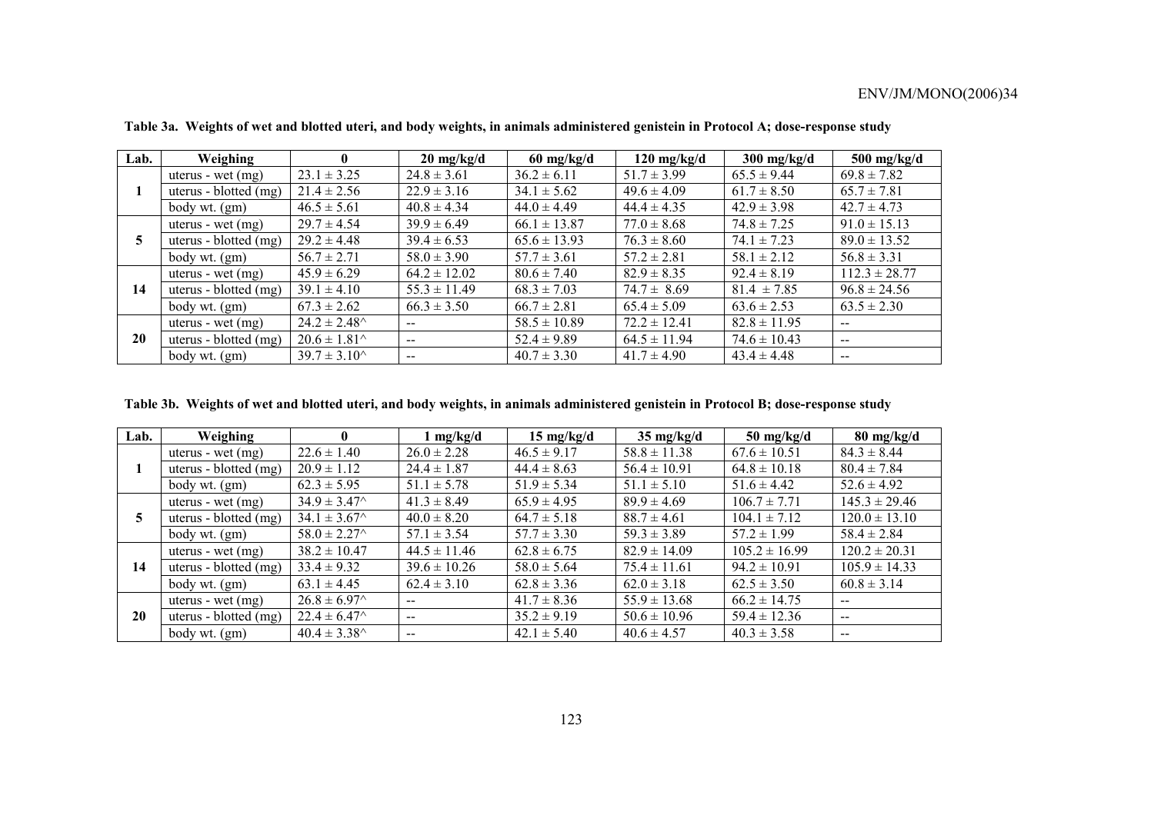| Lab. | Weighing                |                                                | $20 \text{ mg/kg/d}$                           | $60 \text{ mg/kg/d}$ | $120 \text{ mg/kg/d}$ | $300 \text{ mg/kg/d}$ | $500$ mg/kg/d     |
|------|-------------------------|------------------------------------------------|------------------------------------------------|----------------------|-----------------------|-----------------------|-------------------|
|      | uterus - wet $(mg)$     | $23.1 \pm 3.25$                                | $24.8 \pm 3.61$                                | $36.2 \pm 6.11$      | $51.7 \pm 3.99$       | $65.5 \pm 9.44$       | $69.8 \pm 7.82$   |
|      | uterus - blotted (mg)   | $21.4 \pm 2.56$                                | $22.9 \pm 3.16$                                | $34.1 \pm 5.62$      | $49.6 \pm 4.09$       | $61.7 \pm 8.50$       | $65.7 \pm 7.81$   |
|      | body wt. (gm)           | $46.5 \pm 5.61$                                | $40.8 \pm 4.34$                                | $44.0 \pm 4.49$      | $44.4 \pm 4.35$       | $42.9 \pm 3.98$       | $42.7 \pm 4.73$   |
|      | uterus - wet $(mg)$     | $29.7 \pm 4.54$                                | $39.9 \pm 6.49$                                | $66.1 \pm 13.87$     | $77.0 \pm 8.68$       | $74.8 \pm 7.25$       | $91.0 \pm 15.13$  |
| 5    | uterus - blotted (mg)   | $29.2 \pm 4.48$                                | $39.4 \pm 6.53$                                | $65.6 \pm 13.93$     | $76.3 \pm 8.60$       | $74.1 \pm 7.23$       | $89.0 \pm 13.52$  |
|      | body wt. (gm)           | $56.7 \pm 2.71$                                | $58.0 \pm 3.90$                                | $57.7 \pm 3.61$      | $57.2 \pm 2.81$       | $58.1 \pm 2.12$       | $56.8 \pm 3.31$   |
|      | uterus - wet $(mg)$     | $45.9 \pm 6.29$                                | $64.2 \pm 12.02$                               | $80.6 \pm 7.40$      | $82.9 \pm 8.35$       | $92.4 \pm 8.19$       | $112.3 \pm 28.77$ |
| 14   | $uterus - blotted (mg)$ | $39.1 \pm 4.10$                                | $55.3 \pm 11.49$                               | $68.3 \pm 7.03$      | $74.7 \pm 8.69$       | $81.4 \pm 7.85$       | $96.8 \pm 24.56$  |
|      | body wt. (gm)           | $67.3 \pm 2.62$                                | $66.3 \pm 3.50$                                | $66.7 \pm 2.81$      | $65.4 \pm 5.09$       | $63.6 \pm 2.53$       | $63.5 \pm 2.30$   |
|      | uterus - wet $(mg)$     | $24.2 \pm 2.48$ <sup><math>\wedge</math></sup> |                                                | $58.5 \pm 10.89$     | $72.2 \pm 12.41$      | $82.8 \pm 11.95$      |                   |
| 20   | uterus - blotted (mg)   | $20.6 \pm 1.81^{\circ}$                        | $\overline{\phantom{m}}$                       | $52.4 \pm 9.89$      | $64.5 \pm 11.94$      | $74.6 \pm 10.43$      | $- -$             |
|      | body wt. (gm)           | $39.7 \pm 3.10^{\circ}$                        | $\hspace{0.1mm}-\hspace{0.1mm}-\hspace{0.1mm}$ | $40.7 \pm 3.30$      | $41.7 \pm 4.90$       | $43.4 \pm 4.48$       | $- -$             |

**Table 3a. Weights of wet and blotted uteri, and body weights, in animals administered genistein in Protocol A; dose-response study** 

#### **Table 3b. Weights of wet and blotted uteri, and body weights, in animals administered genistein in Protocol B; dose-response study**

| Lab. | Weighing              | 0                            | mg/kg/d                  | $15 \text{ mg/kg/d}$ | $35 \text{ mg/kg/d}$ | $50 \text{ mg/kg/d}$ | $80 \text{ mg/kg/d}$ |
|------|-----------------------|------------------------------|--------------------------|----------------------|----------------------|----------------------|----------------------|
|      | uterus - wet $(mg)$   | $22.6 \pm 1.40$              | $26.0 \pm 2.28$          | $46.5 \pm 9.17$      | $58.8 \pm 11.38$     | $67.6 \pm 10.51$     | $84.3 \pm 8.44$      |
| L    | uterus - blotted (mg) | $20.9 \pm 1.12$              | $24.4 \pm 1.87$          | $44.4 \pm 8.63$      | $56.4 \pm 10.91$     | $64.8 \pm 10.18$     | $80.4 \pm 7.84$      |
|      | body wt. (gm)         | $62.3 \pm 5.95$              | $51.1 \pm 5.78$          | $51.9 \pm 5.34$      | $51.1 \pm 5.10$      | $51.6 \pm 4.42$      | $52.6 \pm 4.92$      |
|      | uterus - wet $(mg)$   | $34.9 \pm 3.47$ <sup>^</sup> | $41.3 \pm 8.49$          | $65.9 \pm 4.95$      | $89.9 \pm 4.69$      | $106.7 \pm 7.71$     | $145.3 \pm 29.46$    |
| 5    | uterus - blotted (mg) | $34.1 \pm 3.67$              | $40.0 \pm 8.20$          | $64.7 \pm 5.18$      | $88.7 \pm 4.61$      | $104.1 \pm 7.12$     | $120.0 \pm 13.10$    |
|      | body wt. (gm)         | $58.0 \pm 2.27$              | $57.1 \pm 3.54$          | $57.7 \pm 3.30$      | $59.3 \pm 3.89$      | $57.2 \pm 1.99$      | $58.4 \pm 2.84$      |
|      | uterus - wet $(mg)$   | $38.2 \pm 10.47$             | $44.5 \pm 11.46$         | $62.8 \pm 6.75$      | $82.9 \pm 14.09$     | $105.2 \pm 16.99$    | $120.2 \pm 20.31$    |
| 14   | uterus - blotted (mg) | $33.4 \pm 9.32$              | $39.6 \pm 10.26$         | $58.0 \pm 5.64$      | $75.4 \pm 11.61$     | $94.2 \pm 10.91$     | $105.9 \pm 14.33$    |
|      | body wt. (gm)         | $63.1 \pm 4.45$              | $62.4 \pm 3.10$          | $62.8 \pm 3.36$      | $62.0 \pm 3.18$      | $62.5 \pm 3.50$      | $60.8 \pm 3.14$      |
|      | uterus - wet $(mg)$   | $26.8 \pm 6.97$              | $- -$                    | $41.7 \pm 8.36$      | $55.9 \pm 13.68$     | $66.2 \pm 14.75$     | --                   |
| 20   | uterus - blotted (mg) | $22.4 \pm 6.47$              | $\overline{\phantom{m}}$ | $35.2 \pm 9.19$      | $50.6 \pm 10.96$     | $59.4 \pm 12.36$     | $- -$                |
|      | body wt. (gm)         | $40.4 \pm 3.38$              | $- -$                    | $42.1 \pm 5.40$      | $40.6 \pm 4.57$      | $40.3 \pm 3.58$      | --                   |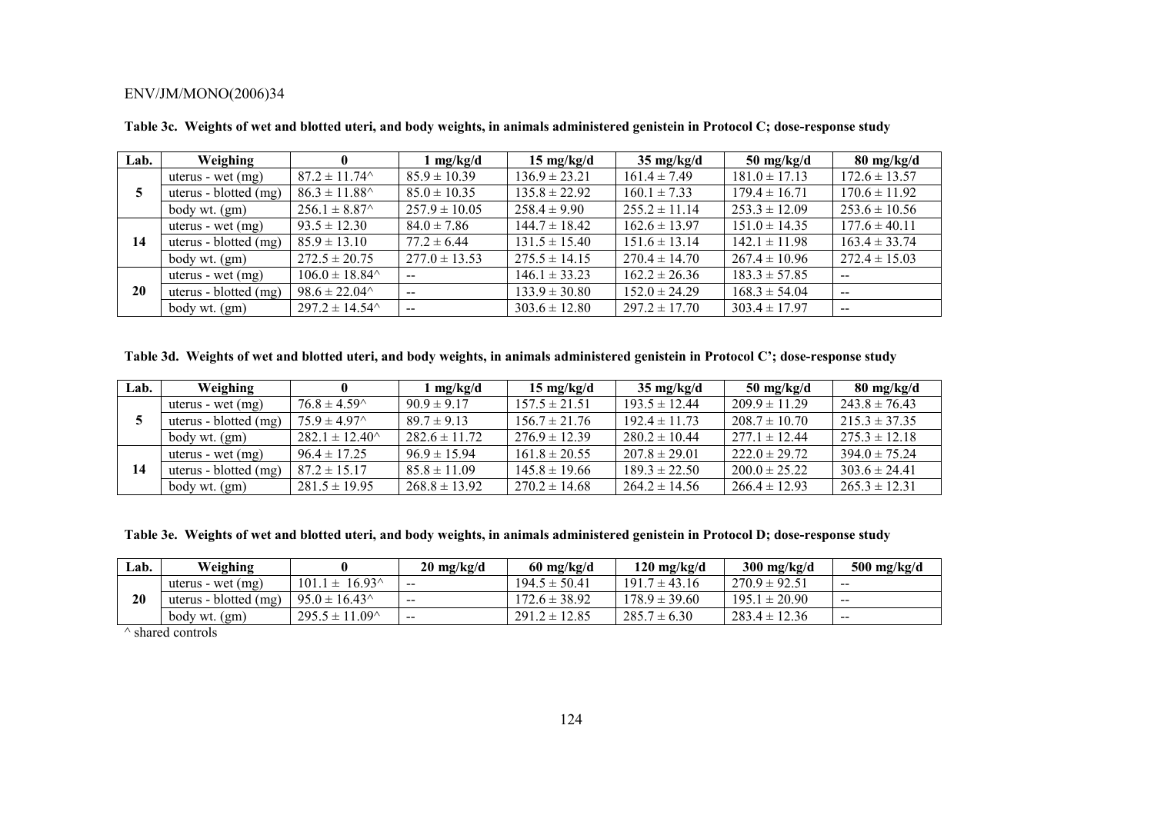| Lab. | Weighing              | $\mathbf{0}$                                   | $\ln \frac{mg}{kg/d}$ | $15 \text{ mg/kg/d}$ | $35 \text{ mg/kg/d}$ | $50 \text{ mg/kg/d}$ | $80 \text{ mg/kg/d}$                           |
|------|-----------------------|------------------------------------------------|-----------------------|----------------------|----------------------|----------------------|------------------------------------------------|
|      | uterus - wet $(mg)$   | $87.2 \pm 11.74$ <sup><math>\land</math></sup> | $85.9 \pm 10.39$      | $136.9 \pm 23.21$    | $161.4 \pm 7.49$     | $181.0 \pm 17.13$    | $172.6 \pm 13.57$                              |
| 5    | uterus - blotted (mg) | $86.3 \pm 11.88$ <sup><math>\land</math></sup> | $85.0 \pm 10.35$      | $135.8 \pm 22.92$    | $160.1 \pm 7.33$     | $179.4 \pm 16.71$    | $170.6 \pm 11.92$                              |
|      | body wt. (gm)         | $256.1 \pm 8.87$                               | $257.9 \pm 10.05$     | $258.4 \pm 9.90$     | $255.2 \pm 11.14$    | $253.3 \pm 12.09$    | $253.6 \pm 10.56$                              |
|      | uterus - wet $(mg)$   | $93.5 \pm 12.30$                               | $84.0 \pm 7.86$       | $144.7 \pm 18.42$    | $162.6 \pm 13.97$    | $151.0 \pm 14.35$    | $177.6 \pm 40.11$                              |
| 14   | uterus - blotted (mg) | $85.9 \pm 13.10$                               | $77.2 \pm 6.44$       | $131.5 \pm 15.40$    | $151.6 \pm 13.14$    | $142.1 \pm 11.98$    | $163.4 \pm 33.74$                              |
|      | body wt. (gm)         | $272.5 \pm 20.75$                              | $277.0 \pm 13.53$     | $275.5 \pm 14.15$    | $270.4 \pm 14.70$    | $267.4 \pm 10.96$    | $272.4 \pm 15.03$                              |
|      | uterus - wet $(mg)$   | $106.0 \pm 18.84^{\circ}$                      | $\sim$                | $146.1 \pm 33.23$    | $162.2 \pm 26.36$    | $183.3 \pm 57.85$    | $\hspace{0.1mm}-\hspace{0.1mm}-\hspace{0.1mm}$ |
| 20   | uterus - blotted (mg) | $98.6 \pm 22.04^{\circ}$                       | $\sim$ $-$            | $133.9 \pm 30.80$    | $152.0 \pm 24.29$    | $168.3 \pm 54.04$    | $\overline{\phantom{m}}$                       |
|      | body wt. (gm)         | $297.2 \pm 14.54^{\circ}$                      | $- -$                 | $303.6 \pm 12.80$    | $297.2 \pm 17.70$    | $303.4 \pm 17.97$    | $- -$                                          |

**Table 3c. Weights of wet and blotted uteri, and body weights, in animals administered genistein in Protocol C; dose-response study** 

#### Table 3d. Weights of wet and blotted uteri, and body weights, in animals administered genistein in Protocol C'; dose-response study

| Lab. | <b>Weighing</b>       |                                               | 1 mg/kg/d         | $15 \text{ mg/kg/d}$ | $35 \text{ mg/kg/d}$ | $50 \text{ mg/kg/d}$ | $80 \text{ mg/kg/d}$ |
|------|-----------------------|-----------------------------------------------|-------------------|----------------------|----------------------|----------------------|----------------------|
|      | uterus - wet $(mg)$   | $76.8 \pm 4.59$ <sup><math>\circ</math></sup> | $90.9 \pm 9.17$   | $157.5 \pm 21.51$    | $193.5 \pm 12.44$    | $209.9 \pm 11.29$    | $243.8 \pm 76.43$    |
|      | uterus - blotted (mg) | $75.9 \pm 4.97$ <sup><math>\circ</math></sup> | $89.7 \pm 9.13$   | $156.7 \pm 21.76$    | $192.4 \pm 11.73$    | $208.7 \pm 10.70$    | $215.3 \pm 37.35$    |
|      | body wt. (gm)         | $282.1 \pm 12.40^{\circ}$                     | $282.6 \pm 11.72$ | $276.9 \pm 12.39$    | $280.2 \pm 10.44$    | $277.1 \pm 12.44$    | $275.3 \pm 12.18$    |
| 14   | uterus - wet $(mg)$   | $96.4 \pm 17.25$                              | $96.9 \pm 15.94$  | $161.8 \pm 20.55$    | $207.8 \pm 29.01$    | $222.0 \pm 29.72$    | $394.0 \pm 75.24$    |
|      | uterus - blotted (mg) | $87.2 \pm 15.17$                              | $85.8 \pm 11.09$  | $145.8 \pm 19.66$    | $189.3 \pm 22.50$    | $200.0 \pm 25.22$    | $303.6 \pm 24.41$    |
|      | body wt. (gm)         | $281.5 \pm 19.95$                             | $268.8 \pm 13.92$ | $270.2 \pm 14.68$    | $264.2 \pm 14.56$    | $266.4 \pm 12.93$    | $265.3 \pm 12.31$    |

| Table 3e. Weights of wet and blotted uteri, and body weights, in animals administered genistein in Protocol D; dose-response study |  |  |
|------------------------------------------------------------------------------------------------------------------------------------|--|--|
|                                                                                                                                    |  |  |

| Lab. | Weighing              |                           | $20 \text{ mg/kg/d}$                           | $60 \text{ mg/kg/d}$ | $120 \text{ mg/kg/d}$ | $300 \text{ mg/kg/d}$ | $500$ mg/kg/d                                  |
|------|-----------------------|---------------------------|------------------------------------------------|----------------------|-----------------------|-----------------------|------------------------------------------------|
| 20   | uterus - wet (mg)     | $101.1 \pm 16.93^{\circ}$ | $\hspace{0.05cm} \cdots$                       | $194.5 \pm 50.41$    | $191.7 \pm 43.16$     | $270.9 \pm 92.51$     | $\hspace{0.1mm}-\hspace{0.1mm}-\hspace{0.1mm}$ |
|      | uterus - blotted (mg) | $95.0 \pm 16.43$          | $\sim$                                         | $172.6 \pm 38.92$    | $178.9 \pm 39.60$     | $195.1 \pm 20.90$     | $\sim$                                         |
|      | body wt.<br>(gm)      | $295.5 \pm 11.09$         | $\hspace{0.1mm}-\hspace{0.1mm}-\hspace{0.1mm}$ | $291.2 \pm 12.85$    | $285.7 \pm 6.30$      | $283.4 \pm 12.36$     | $\sim$                                         |

 $\land$  shared controls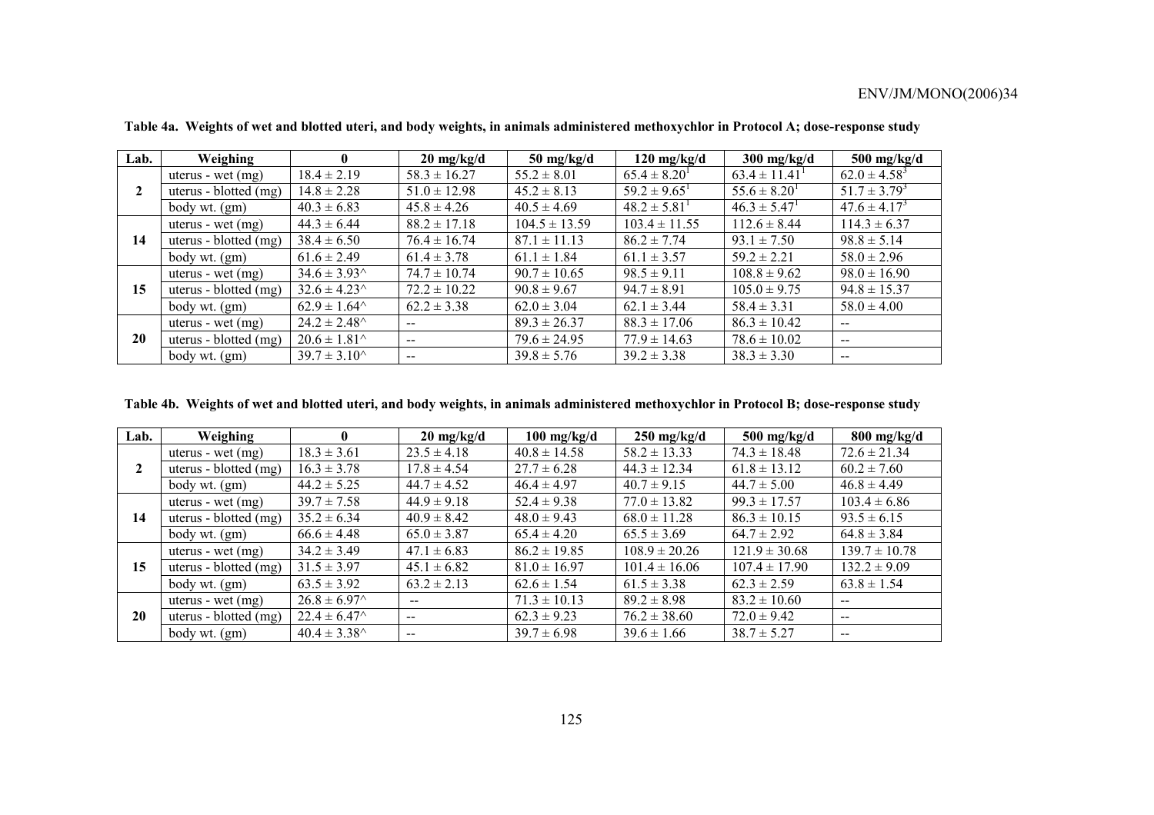| Lab. | <b>Weighing</b>       |                                                | $20 \text{ mg/kg/d}$ | $50 \text{ mg/kg/d}$ | $120 \text{ mg/kg/d}$ | $300 \text{ mg/kg/d}$ | $500$ mg/kg/d       |
|------|-----------------------|------------------------------------------------|----------------------|----------------------|-----------------------|-----------------------|---------------------|
|      | uterus - wet $(mg)$   | $18.4 \pm 2.19$                                | $58.3 \pm 16.27$     | $55.2 \pm 8.01$      | $65.4 \pm 8.20^1$     | $63.4 \pm 11.41$      | $62.0 \pm 4.58^3$   |
| 2    | uterus - blotted (mg) | $14.8 \pm 2.28$                                | $51.0 \pm 12.98$     | $45.2 \pm 8.13$      | $59.2 \pm 9.65$       | $55.6 \pm 8.20^1$     | $51.7 \pm 3.79^3$   |
|      | body wt. (gm)         | $40.3 \pm 6.83$                                | $45.8 \pm 4.26$      | $40.5 \pm 4.69$      | $48.2 \pm 5.81$       | $46.3 \pm 5.47$       | $47.6 \pm 4.17^{3}$ |
|      | uterus - wet $(mg)$   | $44.3 \pm 6.44$                                | $88.2 \pm 17.18$     | $104.5 \pm 13.59$    | $103.4 \pm 11.55$     | $112.6 \pm 8.44$      | $114.3 \pm 6.37$    |
| 14   | uterus - blotted (mg) | $38.4 \pm 6.50$                                | $76.4 \pm 16.74$     | $87.1 \pm 11.13$     | $86.2 \pm 7.74$       | $93.1 \pm 7.50$       | $98.8 \pm 5.14$     |
|      | body wt. (gm)         | $61.6 \pm 2.49$                                | $61.4 \pm 3.78$      | $61.1 \pm 1.84$      | $61.1 \pm 3.57$       | $59.2 \pm 2.21$       | $58.0 \pm 2.96$     |
|      | uterus - wet $(mg)$   | $34.6 \pm 3.93$                                | $74.7 \pm 10.74$     | $90.7 \pm 10.65$     | $98.5 \pm 9.11$       | $108.8 \pm 9.62$      | $98.0 \pm 16.90$    |
| 15   | uterus - blotted (mg) | $32.6 \pm 4.23$                                | $72.2 \pm 10.22$     | $90.8 \pm 9.67$      | $94.7 \pm 8.91$       | $105.0 \pm 9.75$      | $94.8 \pm 15.37$    |
|      | body wt. (gm)         | $62.9 \pm 1.64$                                | $62.2 \pm 3.38$      | $62.0 \pm 3.04$      | $62.1 \pm 3.44$       | $58.4 \pm 3.31$       | $58.0 \pm 4.00$     |
|      | uterus - wet $(mg)$   | $24.2 \pm 2.48$                                |                      | $89.3 \pm 26.37$     | $88.3 \pm 17.06$      | $86.3 \pm 10.42$      |                     |
| 20   | uterus - blotted (mg) | $20.6 \pm 1.81$ <sup><math>\wedge</math></sup> | $- -$                | $79.6 \pm 24.95$     | $77.9 \pm 14.63$      | $78.6 \pm 10.02$      | $- -$               |
|      | body wt. (gm)         | $39.7 \pm 3.10^{\circ}$                        | $- -$                | $39.8 \pm 5.76$      | $39.2 \pm 3.38$       | $38.3 \pm 3.30$       | $-$                 |

**Table 4a. Weights of wet and blotted uteri, and body weights, in animals administered methoxychlor in Protocol A; dose-response study** 

#### **Table 4b. Weights of wet and blotted uteri, and body weights, in animals administered methoxychlor in Protocol B; dose-response study**

| Lab.         | Weighing              | 0                                             | $20 \text{ mg/kg/d}$     | $100$ mg/kg/d    | $250 \text{ mg/kg/d}$ | $500 \text{ mg/kg/d}$ | $800$ mg/kg/d                                  |
|--------------|-----------------------|-----------------------------------------------|--------------------------|------------------|-----------------------|-----------------------|------------------------------------------------|
|              | uterus - wet $(mg)$   | $18.3 \pm 3.61$                               | $23.5 \pm 4.18$          | $40.8 \pm 14.58$ | $58.2 \pm 13.33$      | $74.3 \pm 18.48$      | $72.6 \pm 21.34$                               |
| $\mathbf{2}$ | uterus - blotted (mg) | $16.3 \pm 3.78$                               | $17.8 \pm 4.54$          | $27.7 \pm 6.28$  | $44.3 \pm 12.34$      | $61.8 \pm 13.12$      | $60.2 \pm 7.60$                                |
|              | body wt. (gm)         | $44.2 \pm 5.25$                               | $44.7 \pm 4.52$          | $46.4 \pm 4.97$  | $40.7 \pm 9.15$       | $44.7 \pm 5.00$       | $46.8 \pm 4.49$                                |
|              | uterus - wet $(mg)$   | $39.7 \pm 7.58$                               | $44.9 \pm 9.18$          | $52.4 \pm 9.38$  | $77.0 \pm 13.82$      | $99.3 \pm 17.57$      | $103.4 \pm 6.86$                               |
| 14           | uterus - blotted (mg) | $35.2 \pm 6.34$                               | $40.9 \pm 8.42$          | $48.0 \pm 9.43$  | $68.0 \pm 11.28$      | $86.3 \pm 10.15$      | $93.5 \pm 6.15$                                |
|              | body wt. (gm)         | $66.6 \pm 4.48$                               | $65.0 \pm 3.87$          | $65.4 \pm 4.20$  | $65.5 \pm 3.69$       | $64.7 \pm 2.92$       | $64.8 \pm 3.84$                                |
|              | uterus - wet $(mg)$   | $34.2 \pm 3.49$                               | $47.1 \pm 6.83$          | $86.2 \pm 19.85$ | $108.9 \pm 20.26$     | $121.9 \pm 30.68$     | $139.7 \pm 10.78$                              |
| 15           | uterus - blotted (mg) | $31.5 \pm 3.97$                               | $45.1 \pm 6.82$          | $81.0 \pm 16.97$ | $101.4 \pm 16.06$     | $107.4 \pm 17.90$     | $132.2 \pm 9.09$                               |
|              | body wt. (gm)         | $63.5 \pm 3.92$                               | $63.2 \pm 2.13$          | $62.6 \pm 1.54$  | $61.5 \pm 3.38$       | $62.3 \pm 2.59$       | $63.8 \pm 1.54$                                |
|              | uterus - wet $(mg)$   | $26.8 \pm 6.97$                               | $\overline{\phantom{m}}$ | $71.3 \pm 10.13$ | $89.2 \pm 8.98$       | $83.2 \pm 10.60$      | --                                             |
| 20           | uterus - blotted (mg) | $22.4 \pm 6.47$ <sup><math>\land</math></sup> | $\overline{\phantom{m}}$ | $62.3 \pm 9.23$  | $76.2 \pm 38.60$      | $72.0 \pm 9.42$       | $\hspace{0.1mm}-\hspace{0.1mm}-\hspace{0.1mm}$ |
|              | body wt. (gm)         | $40.4 \pm 3.38$                               | $- -$                    | $39.7 \pm 6.98$  | $39.6 \pm 1.66$       | $38.7 \pm 5.27$       | --                                             |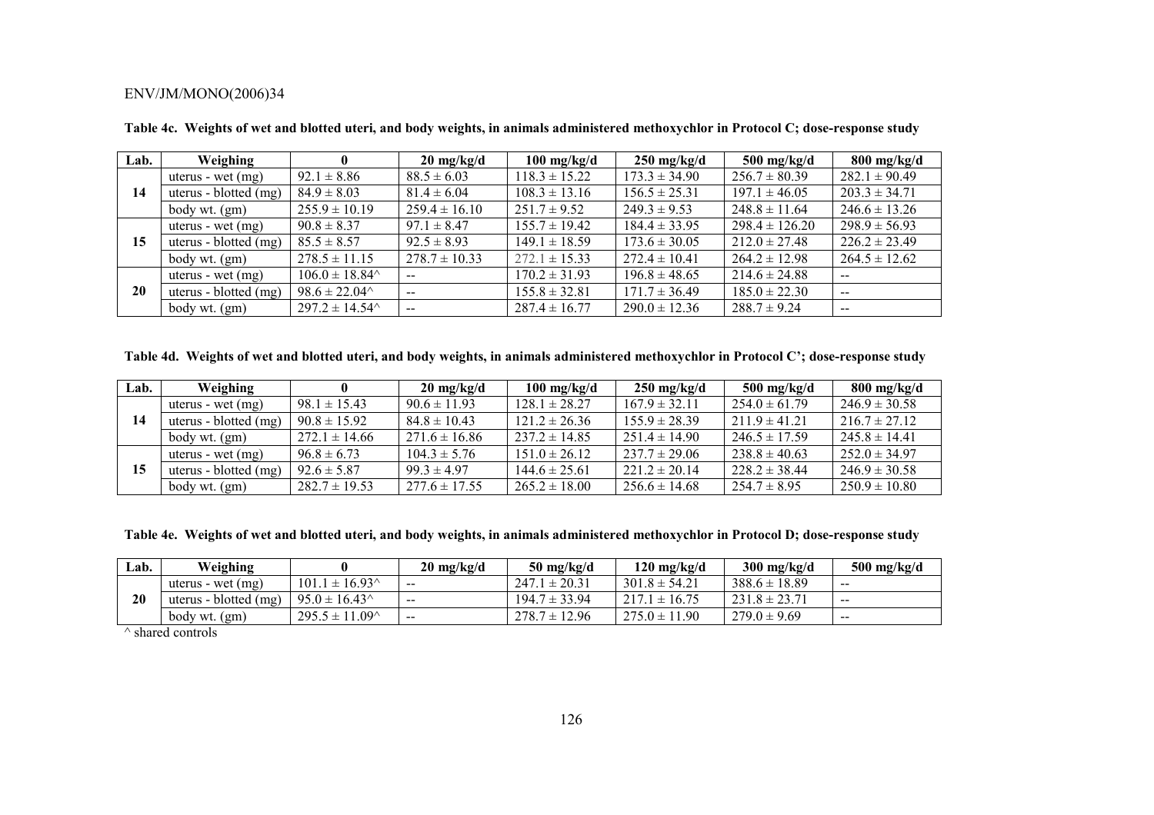| Lab. | Weighing              |                           | $20 \text{ mg/kg/d}$     | $100 \text{ mg/kg/d}$ | $250 \text{ mg/kg/d}$ | $500$ mg/kg/d      | $800$ mg/kg/d            |
|------|-----------------------|---------------------------|--------------------------|-----------------------|-----------------------|--------------------|--------------------------|
|      | uterus - wet $(mg)$   | $92.1 \pm 8.86$           | $88.5 \pm 6.03$          | $118.3 \pm 15.22$     | $173.3 \pm 34.90$     | $256.7 \pm 80.39$  | $282.1 \pm 90.49$        |
| 14   | uterus - blotted (mg) | $84.9 \pm 8.03$           | $81.4 \pm 6.04$          | $108.3 \pm 13.16$     | $156.5 \pm 25.31$     | $197.1 \pm 46.05$  | $203.3 \pm 34.71$        |
|      | body wt. (gm)         | $255.9 \pm 10.19$         | $259.4 \pm 16.10$        | $251.7 \pm 9.52$      | $249.3 \pm 9.53$      | $248.8 \pm 11.64$  | $246.6 \pm 13.26$        |
|      | uterus - wet $(mg)$   | $90.8 \pm 8.37$           | $97.1 \pm 8.47$          | $155.7 \pm 19.42$     | $184.4 \pm 33.95$     | $298.4 \pm 126.20$ | $298.9 \pm 56.93$        |
| 15   | uterus - blotted (mg) | $85.5 \pm 8.57$           | $92.5 \pm 8.93$          | $149.1 \pm 18.59$     | $173.6 \pm 30.05$     | $212.0 \pm 27.48$  | $226.2 \pm 23.49$        |
|      | body wt. (gm)         | $278.5 \pm 11.15$         | $278.7 \pm 10.33$        | $272.1 \pm 15.33$     | $272.4 \pm 10.41$     | $264.2 \pm 12.98$  | $264.5 \pm 12.62$        |
|      | uterus - wet $(mg)$   | $106.0 \pm 18.84^{\circ}$ | $\sim$ $\sim$            | $170.2 \pm 31.93$     | $196.8 \pm 48.65$     | $214.6 \pm 24.88$  | $- -$                    |
| 20   | uterus - blotted (mg) | $98.6 \pm 22.04^{\circ}$  | $\overline{\phantom{m}}$ | $155.8 \pm 32.81$     | $171.7 \pm 36.49$     | $185.0 \pm 22.30$  | $\overline{\phantom{m}}$ |
|      | body wt. (gm)         | $297.2 \pm 14.54^{\circ}$ | $\overline{\phantom{m}}$ | $287.4 \pm 16.77$     | $290.0 \pm 12.36$     | $288.7 \pm 9.24$   | $\overline{\phantom{m}}$ |

**Table 4c. Weights of wet and blotted uteri, and body weights, in animals administered methoxychlor in Protocol C; dose-response study** 

#### Table 4d. Weights of wet and blotted uteri, and body weights, in animals administered methoxychlor in Protocol C'; dose-response study

| Lab. | Weighing              |                   | $20 \text{ mg/kg/d}$ | $100 \text{ mg/kg/d}$ | $250 \text{ mg/kg/d}$ | $500 \text{ mg/kg/d}$ | $800 \text{ mg/kg/d}$ |
|------|-----------------------|-------------------|----------------------|-----------------------|-----------------------|-----------------------|-----------------------|
|      | uterus - wet (mg)     | $98.1 \pm 15.43$  | $90.6 \pm 11.93$     | $128.1 \pm 28.27$     | $167.9 \pm 32.11$     | $254.0 \pm 61.79$     | $246.9 \pm 30.58$     |
| 14   | uterus - blotted (mg) | $90.8 \pm 15.92$  | $84.8 \pm 10.43$     | $121.2 \pm 26.36$     | $155.9 \pm 28.39$     | $211.9 \pm 41.21$     | $216.7 \pm 27.12$     |
|      | body wt. (gm)         | $272.1 \pm 14.66$ | $271.6 \pm 16.86$    | $237.2 \pm 14.85$     | $251.4 \pm 14.90$     | $246.5 \pm 17.59$     | $245.8 \pm 14.41$     |
|      | uterus - wet (mg)     | $96.8 \pm 6.73$   | $104.3 \pm 5.76$     | $151.0 \pm 26.12$     | $237.7 \pm 29.06$     | $238.8 \pm 40.63$     | $252.0 \pm 34.97$     |
| 15   | uterus - blotted (mg) | $92.6 \pm 5.87$   | $99.3 \pm 4.97$      | $144.6 \pm 25.61$     | $221.2 \pm 20.14$     | $228.2 \pm 38.44$     | $246.9 \pm 30.58$     |
|      | body wt. (gm)         | $282.7 \pm 19.53$ | $277.6 \pm 17.55$    | $265.2 \pm 18.00$     | $256.6 \pm 14.68$     | $254.7 \pm 8.95$      | $250.9 \pm 10.80$     |

|  | Table 4e. Weights of wet and blotted uteri, and body weights, in animals administered methoxychlor in Protocol D: dose-response study |  |
|--|---------------------------------------------------------------------------------------------------------------------------------------|--|
|  |                                                                                                                                       |  |

| Lab. | Weighing              |                           | $20 \text{ mg/kg/d}$ | $50 \text{ mg/kg/d}$ | $120 \text{ mg/kg/d}$ | $300 \text{ mg/kg/d}$ | $500$ mg/kg/d |
|------|-----------------------|---------------------------|----------------------|----------------------|-----------------------|-----------------------|---------------|
| 20   | uterus - wet (mg)     | $101.1 \pm 16.93^{\circ}$ | $- -$                | $247.1 \pm 20.31$    | $301.8 \pm 54.21$     | $388.6 \pm 18.89$     | $\sim$        |
|      | uterus - blotted (mg) | $95.0 \pm 16.43$          | --                   | $194.7 \pm 33.94$    | $217.1 \pm 16.75$     | $231.8 \pm 23.71$     | $\sim$        |
|      | body wt. (gm)         | $295.5 \pm 11.09$         | $- -$                | $278.7 \pm 12.96$    | $275.0 \pm 11.90$     | $279.0 \pm 9.69$      | $\sim$        |

 $\land$  shared controls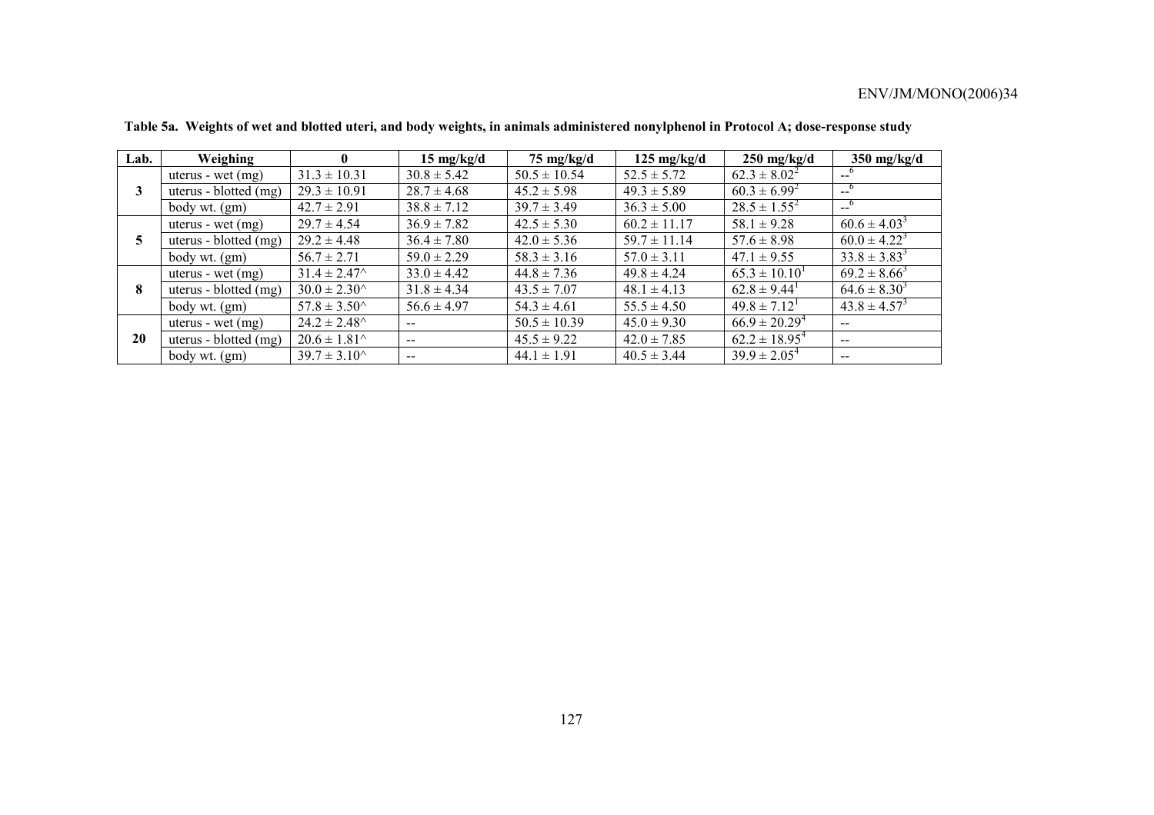| Lab. | Weighing              |                                                | $15 \text{ mg/kg/d}$                           | $75 \text{ mg/kg/d}$ | $125 \text{ mg/kg/d}$ | $250 \text{ mg/kg/d}$        | $350$ mg/kg/d            |
|------|-----------------------|------------------------------------------------|------------------------------------------------|----------------------|-----------------------|------------------------------|--------------------------|
|      | uterus - wet $(mg)$   | $31.3 \pm 10.31$                               | $30.8 \pm 5.42$                                | $50.5 \pm 10.54$     | $52.5 \pm 5.72$       | $62.3 \pm 8.02^2$            | $- -$                    |
| 3    | uterus - blotted (mg) | $29.3 \pm 10.91$                               | $28.7 \pm 4.68$                                | $45.2 \pm 5.98$      | $49.3 \pm 5.89$       | $60.3 \pm 6.99^2$            | $\overline{a}$           |
|      | body wt. (gm)         | $42.7 \pm 2.91$                                | $38.8 \pm 7.12$                                | $39.7 \pm 3.49$      | $36.3 \pm 5.00$       | $28.5 \pm 1.55^2$            | $\sigma$<br>$- -$        |
|      | uterus - wet $(mg)$   | $29.7 \pm 4.54$                                | $36.9 \pm 7.82$                                | $42.5 \pm 5.30$      | $60.2 \pm 11.17$      | $58.1 \pm 9.28$              | $60.6 \pm 4.03^3$        |
| 5    | uterus - blotted (mg) | $29.2 \pm 4.48$                                | $36.4 \pm 7.80$                                | $42.0 \pm 5.36$      | $59.7 \pm 11.14$      | $57.6 \pm 8.98$              | $60.0 \pm 4.22^3$        |
|      | body wt. (gm)         | $56.7 \pm 2.71$                                | $59.0 \pm 2.29$                                | $58.3 \pm 3.16$      | $57.0 \pm 3.11$       | $47.1 \pm 9.55$              | $33.8 \pm 3.83^3$        |
|      | uterus - wet $(mg)$   | $31.4 \pm 2.47$ <sup><math>\circ</math></sup>  | $33.0 \pm 4.42$                                | $44.8 \pm 7.36$      | $49.8 \pm 4.24$       | $65.3 \pm 10.10^1$           | $69.2 \pm 8.66^3$        |
| 8    | uterus - blotted (mg) | $30.0 \pm 2.30$ <sup><math>\land</math></sup>  | $31.8 \pm 4.34$                                | $43.5 \pm 7.07$      | $48.1 \pm 4.13$       | $62.8 \pm 9.44$              | $64.6 \pm 8.30^3$        |
|      | body wt. (gm)         | $57.8 \pm 3.50^{\circ}$                        | $56.6 \pm 4.97$                                | $54.3 \pm 4.61$      | $55.5 \pm 4.50$       | $49.8 \pm 7.12$ <sup>1</sup> | $43.8 \pm 4.57^3$        |
|      | uterus - wet $(mg)$   | $24.2 \pm 2.48$ <sup><math>\wedge</math></sup> |                                                | $50.5 \pm 10.39$     | $45.0 \pm 9.30$       | $66.9 \pm 20.29^4$           |                          |
| 20   | uterus - blotted (mg) | $20.6 \pm 1.81$ <sup><math>\wedge</math></sup> | $\overline{\phantom{m}}$                       | $45.5 \pm 9.22$      | $42.0 \pm 7.85$       | $62.2 \pm 18.95^4$           | $- -$                    |
|      | body wt. (gm)         | $39.7 \pm 3.10^{\circ}$                        | $\hspace{0.1mm}-\hspace{0.1mm}-\hspace{0.1mm}$ | $44.1 \pm 1.91$      | $40.5 \pm 3.44$       | $39.9 \pm 2.05^4$            | $\overline{\phantom{m}}$ |

**Table 5a. Weights of wet and blotted uteri, and body weights, in animals administered nonylphenol in Protocol A; dose-response study**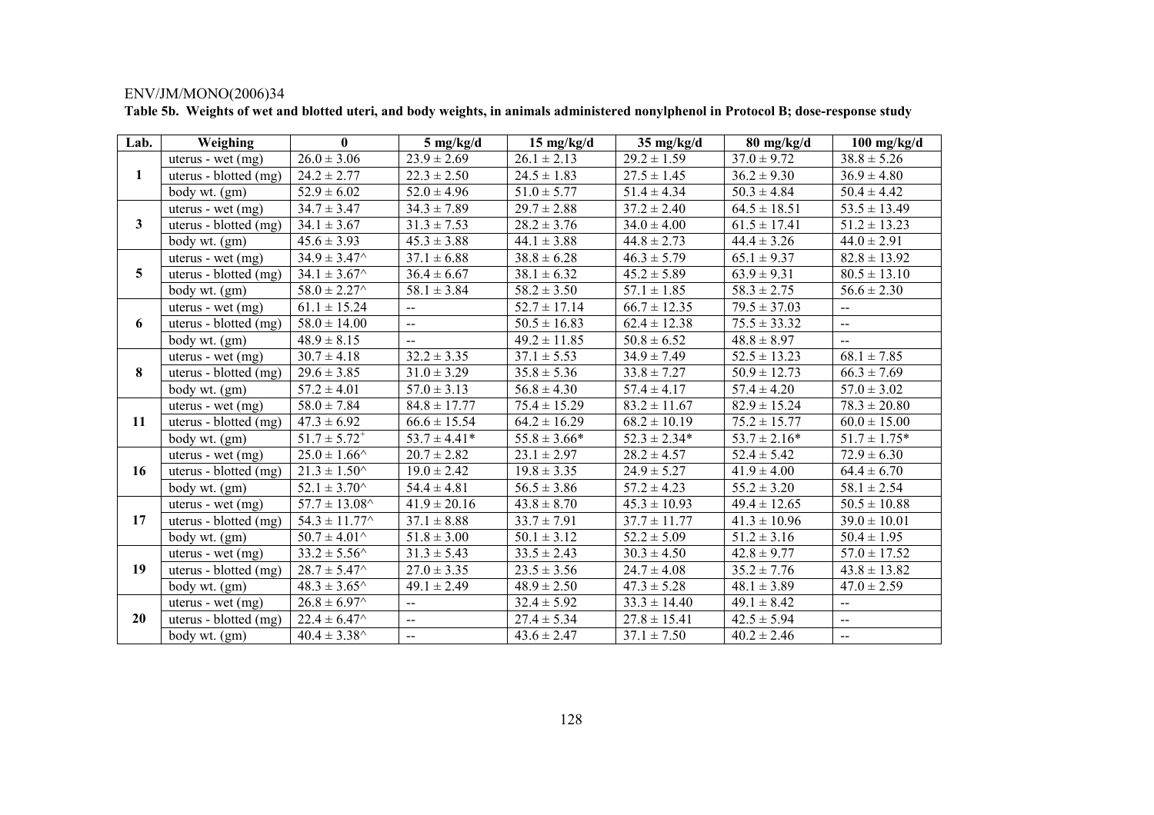| Lab.         | Weighing              | 0                                              | $5$ mg/kg/d                 | $15 \text{ mg/kg/d}$ | $35 \text{ mg/kg/d}$ | $80$ mg/kg/d     | $100$ mg/kg/d               |
|--------------|-----------------------|------------------------------------------------|-----------------------------|----------------------|----------------------|------------------|-----------------------------|
|              | $uterus - wet (mg)$   | $26.0 \pm 3.06$                                | $23.9 \pm 2.69$             | $26.1 \pm 2.13$      | $29.2 \pm 1.59$      | $37.0 \pm 9.72$  | $38.8 \pm 5.26$             |
| $\mathbf{1}$ | uterus - blotted (mg) | $24.2 \pm 2.77$                                | $22.3 \pm 2.50$             | $24.5 \pm 1.83$      | $27.5 \pm 1.45$      | $36.2 \pm 9.30$  | $36.9 \pm 4.80$             |
|              | body wt. (gm)         | $52.9 \pm 6.02$                                | $52.0 \pm 4.96$             | $51.0 \pm 5.77$      | $51.4 \pm 4.34$      | $50.3 \pm 4.84$  | $50.4 \pm 4.42$             |
|              | uterus - wet (mg)     | $34.7 \pm 3.47$                                | $34.3 \pm 7.89$             | $29.7 \pm 2.88$      | $37.2 \pm 2.40$      | $64.5 \pm 18.51$ | $53.5 \pm 13.49$            |
| 3            | uterus - blotted (mg) | $34.1 \pm 3.67$                                | $31.3 \pm 7.53$             | $28.2 \pm 3.76$      | $34.0 \pm 4.00$      | $61.5 \pm 17.41$ | $51.2 \pm 13.23$            |
|              | body wt. (gm)         | $45.6 \pm 3.93$                                | $45.3 \pm 3.88$             | $44.1 \pm 3.88$      | $44.8 \pm 2.73$      | $44.4 \pm 3.26$  | $44.0 \pm 2.91$             |
|              | $uterus - wet (mg)$   | $34.9 \pm 3.47$                                | $37.1 \pm 6.88$             | $38.8 \pm 6.28$      | $46.3 \pm 5.79$      | $65.1 \pm 9.37$  | $82.8 \pm 13.92$            |
| 5            | uterus - blotted (mg) | $34.1 \pm 3.67$                                | $36.4 \pm 6.67$             | $38.1 \pm 6.32$      | $45.2 \pm 5.89$      | $63.9 \pm 9.31$  | $80.5 \pm 13.10$            |
|              | body wt. (gm)         | $58.0 \pm 2.27$                                | $58.1 \pm 3.84$             | $58.2 \pm 3.50$      | $57.1 \pm 1.85$      | $58.3 \pm 2.75$  | $56.6 \pm 2.30$             |
|              | uterus - wet $(mg)$   | $61.1 \pm 15.24$                               | $\mathcal{L}_{\mathcal{F}}$ | $52.7 \pm 17.14$     | $66.7 \pm 12.35$     | $79.5 \pm 37.03$ | $\mathcal{L}_{\mathcal{F}}$ |
| 6            | uterus - blotted (mg) | $58.0 \pm 14.00$                               | $\overline{a}$              | $50.5 \pm 16.83$     | $62.4 \pm 12.38$     | $75.5 \pm 33.32$ | $\mathbf{L}$                |
|              | body wt. (gm)         | $48.9 \pm 8.15$                                | $\overline{\phantom{a}}$    | $49.2 \pm 11.85$     | $50.8 \pm 6.52$      | $48.8 \pm 8.97$  | $\mathcal{L}_{\mathcal{F}}$ |
|              | uterus - wet $(mg)$   | $30.7 \pm 4.18$                                | $32.2 \pm 3.35$             | $37.1 \pm 5.53$      | $34.9 \pm 7.49$      | $52.5 \pm 13.23$ | $68.1 \pm 7.85$             |
| 8            | uterus - blotted (mg) | $29.6 \pm 3.85$                                | $31.0 \pm 3.29$             | $35.8 \pm 5.36$      | $33.8 \pm 7.27$      | $50.9 \pm 12.73$ | $66.3 \pm 7.69$             |
|              | body wt. (gm)         | $57.2 \pm 4.01$                                | $57.0 \pm 3.13$             | $56.8 \pm 4.30$      | $57.4 \pm 4.17$      | $57.4 \pm 4.20$  | $57.0 \pm 3.02$             |
|              | uterus - wet $(mg)$   | $58.0 \pm 7.84$                                | $84.8 \pm 17.77$            | $75.4 \pm 15.29$     | $83.2 \pm 11.67$     | $82.9 \pm 15.24$ | $78.3 \pm 20.80$            |
| 11           | uterus - blotted (mg) | $47.3 \pm 6.92$                                | $66.6 \pm 15.54$            | $64.2 \pm 16.29$     | $68.2 \pm 10.19$     | $75.2 \pm 15.77$ | $60.0 \pm 15.00$            |
|              | body wt. (gm)         | $51.7 \pm 5.72$ <sup>+</sup>                   | $53.7 \pm 4.41*$            | $55.8 \pm 3.66*$     | $52.3 \pm 2.34*$     | $53.7 \pm 2.16*$ | $51.7 \pm 1.75*$            |
|              | uterus - wet $(mg)$   | $25.0 \pm 1.66^{\circ}$                        | $20.7 \pm 2.82$             | $23.1 \pm 2.97$      | $28.2 \pm 4.57$      | $52.4 \pm 5.42$  | $72.9 \pm 6.30$             |
| 16           | uterus - blotted (mg) | $21.3 \pm 1.50^{\circ}$                        | $19.0 \pm 2.42$             | $19.8 \pm 3.35$      | $24.9 \pm 5.27$      | $41.9 \pm 4.00$  | $64.4 \pm 6.70$             |
|              | body wt. (gm)         | $52.1 \pm 3.70$                                | $54.4 \pm 4.81$             | $56.5 \pm 3.86$      | $57.2 \pm 4.23$      | $55.2 \pm 3.20$  | $58.1 \pm 2.54$             |
|              | uterus - wet $(mg)$   | $57.7 \pm 13.08^{\circ}$                       | $41.9 \pm 20.16$            | $43.8 \pm 8.70$      | $45.3 \pm 10.93$     | $49.4 \pm 12.65$ | $50.5 \pm 10.88$            |
| 17           | uterus - blotted (mg) | $54.3 \pm 11.77$ <sup><math>\land</math></sup> | $37.1 \pm 8.88$             | $33.7 \pm 7.91$      | $37.7 \pm 11.77$     | $41.3 \pm 10.96$ | $39.0 \pm 10.01$            |
|              | body wt. (gm)         | $50.7 \pm 4.01^{\circ}$                        | $51.8 \pm 3.00$             | $50.1 \pm 3.12$      | $52.2 \pm 5.09$      | $51.2 \pm 3.16$  | $50.4 \pm 1.95$             |
|              | $uterus - wet (mg)$   | $33.2 \pm 5.56^{\circ}$                        | $31.3 \pm 5.43$             | $33.5 \pm 2.43$      | $30.3 \pm 4.50$      | $42.8 \pm 9.77$  | $57.0 \pm 17.52$            |
| 19           | uterus - blotted (mg) | $28.7 \pm 5.47$                                | $27.0 \pm 3.35$             | $23.5 \pm 3.56$      | $24.7 \pm 4.08$      | $35.2 \pm 7.76$  | $43.8 \pm 13.82$            |
|              | body wt. (gm)         | $48.3 \pm 3.65$                                | $49.1 \pm 2.49$             | $48.9 \pm 2.50$      | $47.3 \pm 5.28$      | $48.1 \pm 3.89$  | $47.0 \pm 2.59$             |
|              | $uterus - wet (mg)$   | $26.8 \pm 6.97$                                | $\sim$                      | $32.4 \pm 5.92$      | $33.3 \pm 14.40$     | $49.1 \pm 8.42$  | $\overline{\phantom{a}}$    |
| 20           | uterus - blotted (mg) | $22.4 \pm 6.47$ <sup><math>\land</math></sup>  | $\sim$ $\sim$               | $27.4 \pm 5.34$      | $27.8 \pm 15.41$     | $42.5 \pm 5.94$  | $\overline{\phantom{a}}$    |
|              | body wt. (gm)         | $40.4 \pm 3.38$ ^                              |                             | $43.6 \pm 2.47$      | $37.1 \pm 7.50$      | $40.2 \pm 2.46$  | $\overline{\phantom{a}}$    |

**Table 5b. Weights of wet and blotted uteri, and body weights, in animals administered nonylphenol in Protocol B; dose-response study**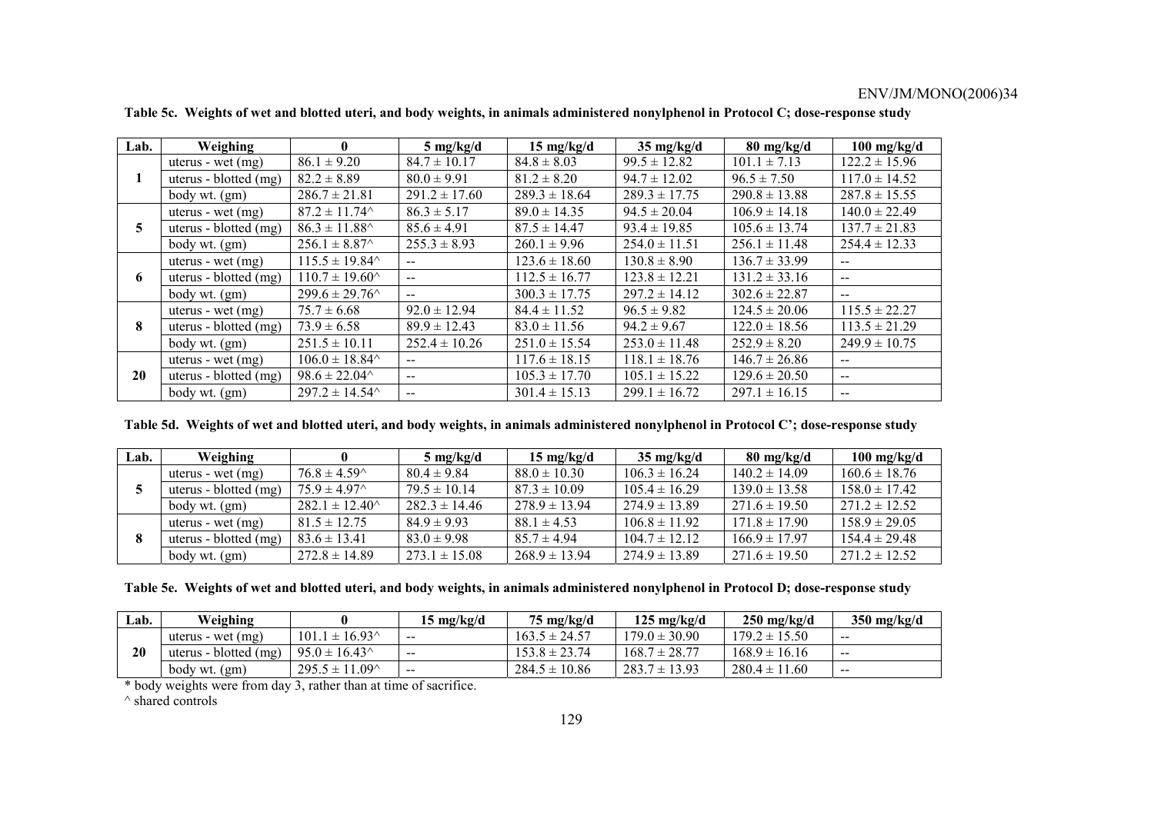| Lab. | Weighing              |                                                 | $5 \text{ mg/kg/d}$ | $15 \text{ mg/kg/d}$ | $35 \text{ mg/kg/d}$ | $80 \text{ mg/kg/d}$ | $100$ mg/kg/d     |
|------|-----------------------|-------------------------------------------------|---------------------|----------------------|----------------------|----------------------|-------------------|
|      | uterus - wet $(mg)$   | $86.1 \pm 9.20$                                 | $84.7 \pm 10.17$    | $84.8 \pm 8.03$      | $99.5 \pm 12.82$     | $101.1 \pm 7.13$     | $122.2 \pm 15.96$ |
|      | uterus - blotted (mg) | $82.2 \pm 8.89$                                 | $80.0 \pm 9.91$     | $81.2 \pm 8.20$      | $94.7 \pm 12.02$     | $96.5 \pm 7.50$      | $117.0 \pm 14.52$ |
|      | body wt. (gm)         | $286.7 \pm 21.81$                               | $291.2 \pm 17.60$   | $289.3 \pm 18.64$    | $289.3 \pm 17.75$    | $290.8 \pm 13.88$    | $287.8 \pm 15.55$ |
|      | uterus - wet $(mg)$   | $87.2 \pm 11.74$ <sup><math>\land</math></sup>  | $86.3 \pm 5.17$     | $89.0 \pm 14.35$     | $94.5 \pm 20.04$     | $106.9 \pm 14.18$    | $140.0 \pm 22.49$ |
| 5    | uterus - blotted (mg) | $86.3 \pm 11.88$ <sup><math>\land</math></sup>  | $85.6 \pm 4.91$     | $87.5 \pm 14.47$     | $93.4 \pm 19.85$     | $105.6 \pm 13.74$    | $137.7 \pm 21.83$ |
|      | body wt. (gm)         | $256.1 \pm 8.87$                                | $255.3 \pm 8.93$    | $260.1 \pm 9.96$     | $254.0 \pm 11.51$    | $256.1 \pm 11.48$    | $254.4 \pm 12.33$ |
|      | uterus - wet $(mg)$   | $115.5 \pm 19.84^{\circ}$                       |                     | $123.6 \pm 18.60$    | $130.8 \pm 8.90$     | $136.7 \pm 33.99$    |                   |
| 6    | uterus - blotted (mg) | $110.7 \pm 19.60^{\circ}$                       | $\qquad \qquad -$   | $112.5 \pm 16.77$    | $123.8 \pm 12.21$    | $131.2 \pm 33.16$    | $-$               |
|      | body wt. (gm)         | $299.6 \pm 29.76$                               | $- -$               | $300.3 \pm 17.75$    | $297.2 \pm 14.12$    | $302.6 \pm 22.87$    | $-$               |
|      | uterus - wet $(mg)$   | $75.7 \pm 6.68$                                 | $92.0 \pm 12.94$    | $84.4 \pm 11.52$     | $96.5 \pm 9.82$      | $124.5 \pm 20.06$    | $115.5 \pm 22.27$ |
| 8    | uterus - blotted (mg) | $73.9 \pm 6.58$                                 | $89.9 \pm 12.43$    | $83.0 \pm 11.56$     | $94.2 \pm 9.67$      | $122.0 \pm 18.56$    | $113.5 \pm 21.29$ |
|      | body wt. (gm)         | $251.5 \pm 10.11$                               | $252.4 \pm 10.26$   | $251.0 \pm 15.54$    | $253.0 \pm 11.48$    | $252.9 \pm 8.20$     | $249.9 \pm 10.75$ |
|      | uterus - wet $(mg)$   | $106.0 \pm 18.84$ <sup><math>\land</math></sup> | --                  | $117.6 \pm 18.15$    | $118.1 \pm 18.76$    | $146.7 \pm 26.86$    |                   |
| 20   | uterus - blotted (mg) | $98.6 \pm 22.04^{\circ}$                        | $\sim$ $\sim$       | $105.3 \pm 17.70$    | $105.1 \pm 15.22$    | $129.6 \pm 20.50$    | $\sim$ $\sim$     |
|      | body wt. (gm)         | $297.2 \pm 14.54^{\circ}$                       |                     | $301.4 \pm 15.13$    | $299.1 \pm 16.72$    | $297.1 \pm 16.15$    | $-$               |

**Table 5c. Weights of wet and blotted uteri, and body weights, in animals administered nonylphenol in Protocol C; dose-response study** 

### Table 5d. Weights of wet and blotted uteri, and body weights, in animals administered nonylphenol in Protocol C'; dose-response study

| Lab. | Weighing              |                                               | $5 \text{ mg/kg/d}$ | 15 mg/kg/d        | $35 \text{ mg/kg/d}$ | $80 \text{ mg/kg/d}$ | $100 \text{ mg/kg/d}$ |
|------|-----------------------|-----------------------------------------------|---------------------|-------------------|----------------------|----------------------|-----------------------|
|      | uterus - wet $(mg)$   | $76.8 \pm 4.59$ <sup><math>\land</math></sup> | $80.4 \pm 9.84$     | $88.0 \pm 10.30$  | $106.3 \pm 16.24$    | $140.2 \pm 14.09$    | $160.6 \pm 18.76$     |
|      | uterus - blotted (mg) | $75.9 \pm 4.97$ <sup><math>\circ</math></sup> | $79.5 \pm 10.14$    | $87.3 \pm 10.09$  | $105.4 \pm 16.29$    | $139.0 \pm 13.58$    | $158.0 \pm 17.42$     |
|      | body wt. (gm)         | $282.1 \pm 12.40^{\circ}$                     | $282.3 \pm 14.46$   | $278.9 \pm 13.94$ | $274.9 \pm 13.89$    | $271.6 \pm 19.50$    | $271.2 \pm 12.52$     |
|      | uterus - wet $(mg)$   | $81.5 \pm 12.75$                              | $84.9 \pm 9.93$     | $88.1 \pm 4.53$   | $106.8 \pm 11.92$    | $171.8 \pm 17.90$    | $158.9 \pm 29.05$     |
|      | uterus - blotted (mg) | $83.6 \pm 13.41$                              | $83.0 \pm 9.98$     | $85.7 \pm 4.94$   | $104.7 \pm 12.12$    | $166.9 \pm 17.97$    | $154.4 \pm 29.48$     |
|      | body wt. (gm)         | $272.8 \pm 14.89$                             | $273.1 \pm 15.08$   | $268.9 \pm 13.94$ | $274.9 \pm 13.89$    | $271.6 \pm 19.50$    | $271.2 \pm 12.52$     |

#### **Table 5e. Weights of wet and blotted uteri, and body weights, in animals administered nonylphenol in Protocol D; dose-response study**

| Lab. | Weighing              |                                                 | 15 mg/kg/d                                     | $75 \text{ mg/kg/d}$ | $125 \text{ mg/kg/d}$ | $250 \text{ mg/kg/d}$ | $350 \text{ mg/kg/d}$                 |
|------|-----------------------|-------------------------------------------------|------------------------------------------------|----------------------|-----------------------|-----------------------|---------------------------------------|
| 20   | uterus - wet (mg)     | $101.1 \pm 16.93$                               | $\sim$ $-$                                     | $163.5 \pm 24.57$    | $179.0 \pm 30.90$     | $179.2 \pm 15.50$     | $- -$                                 |
|      | uterus - blotted (mg) | $95.0 \pm 16.43^{\circ}$                        | $\hspace{0.1mm}-\hspace{0.1mm}-\hspace{0.1mm}$ | $153.8 \pm 23.74$    | $168.7 \pm 28.77$     | $168.9 \pm 16.16$     | $\hspace{0.05cm}$ – $\hspace{0.05cm}$ |
|      | (gm)<br>body wt.      | $295.5 \pm 11.09$ <sup><math>\land</math></sup> | $\hspace{0.1mm}-\hspace{0.1mm}-\hspace{0.1mm}$ | $284.5 \pm 10.86$    | $283.7 \pm 13.93$     | $280.4 \pm 11.60$     | $\sim$ $\sim$                         |

\* body weights were from day 3, rather than at time of sacrifice.

 $\land$  shared controls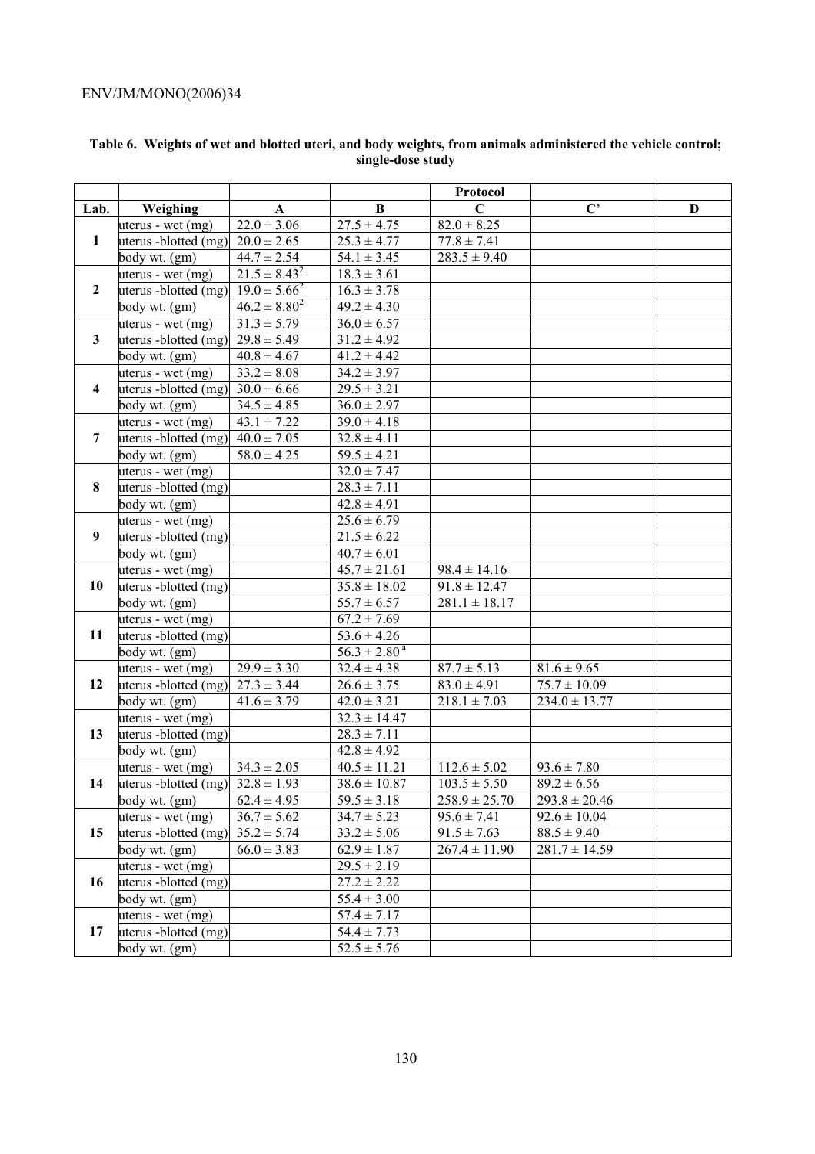|                         |                        |                   |                         | Protocol                    |                       |   |
|-------------------------|------------------------|-------------------|-------------------------|-----------------------------|-----------------------|---|
| Lab.                    | Weighing               | A                 | B                       | $\mathbf C$                 | $\mathbf{C}^{\prime}$ | D |
|                         | uterus - wet (mg)      | $22.0 \pm 3.06$   | $27.5 \pm 4.75$         | $82.0 \pm 8.25$             |                       |   |
| $\mathbf{1}$            | uterus -blotted (mg)   | $20.0 \pm 2.65$   | $25.3 \pm 4.77$         | $77.8 \pm 7.41$             |                       |   |
|                         | body wt. (gm)          | $44.7 \pm 2.54$   | $54.1 \pm 3.45$         | $283.5 \pm 9.40$            |                       |   |
|                         | uterus - wet (mg)      | $21.5 \pm 8.43^2$ | $18.3 \pm 3.61$         |                             |                       |   |
| $\overline{2}$          | uterus -blotted $(mg)$ | $19.0 \pm 5.66^2$ | $16.3 \pm 3.78$         |                             |                       |   |
|                         | body wt. (gm)          | $46.2 \pm 8.80^2$ | $49.2 \pm 4.30$         |                             |                       |   |
|                         | $uterus - wet (mg)$    | $31.3 \pm 5.79$   | $36.0 \pm 6.57$         |                             |                       |   |
| $\mathbf{3}$            | uterus -blotted (mg)   | $29.8 \pm 5.49$   | $31.2 \pm 4.92$         |                             |                       |   |
|                         | body wt. (gm)          | $40.8 \pm 4.67$   | $41.2 \pm 4.42$         |                             |                       |   |
|                         | $uterus - wet (mg)$    | $33.2 \pm 8.08$   | $34.2 \pm 3.97$         |                             |                       |   |
| $\overline{\mathbf{4}}$ | uterus -blotted (mg)   | $30.0 \pm 6.66$   | $29.5 \pm 3.21$         |                             |                       |   |
|                         | body wt. (gm)          | $34.5 \pm 4.85$   | $36.0 \pm 2.97$         |                             |                       |   |
| $\overline{7}$          | uterus - wet (mg)      | $43.1 \pm 7.22$   | $39.0 \pm 4.18$         |                             |                       |   |
|                         | uterus -blotted (mg)   | $40.0 \pm 7.05$   | $32.8 \pm 4.11$         |                             |                       |   |
|                         | body wt. (gm)          | $58.0 \pm 4.25$   | $59.5 \pm 4.21$         |                             |                       |   |
|                         | $uterus - wet (mg)$    |                   | $32.0 \pm 7.47$         |                             |                       |   |
| 8                       | uterus -blotted (mg)   |                   | $28.3 \pm 7.11$         |                             |                       |   |
|                         | body wt. (gm)          |                   | $42.8 \pm 4.91$         |                             |                       |   |
| 9                       | $uterus - wet (mg)$    |                   | $25.6 \pm 6.79$         |                             |                       |   |
|                         | uterus -blotted (mg)   |                   | $21.5 \pm 6.22$         |                             |                       |   |
|                         | body wt. (gm)          |                   | $40.7 \pm 6.01$         |                             |                       |   |
|                         | $uterus - wet (mg)$    |                   | $45.7 \pm 21.61$        | $98.4 \pm 14.16$            |                       |   |
| 10                      | uterus -blotted (mg)   |                   | $35.8 \pm 18.02$        | $91.8 \pm 12.47$            |                       |   |
|                         | body wt. (gm)          |                   | $55.7 \pm 6.57$         | $281.1 \pm 18.17$           |                       |   |
|                         | $uterus - wet (mg)$    |                   | $67.2 \pm 7.69$         |                             |                       |   |
| 11                      | uterus -blotted (mg)   |                   | $53.6 \pm 4.26$         |                             |                       |   |
|                         | body wt. (gm)          |                   | $56.3 \pm 2.80^{\circ}$ |                             |                       |   |
|                         | uterus - wet (mg)      | $29.9 \pm 3.30$   | $32.4 \pm 4.38$         | $87.7 \pm 5.13$             | $81.6 \pm 9.65$       |   |
| 12                      | uterus -blotted (mg)   | $27.3 \pm 3.44$   | $26.6 \pm 3.75$         | $83.0 \pm 4.91$             | $75.7 \pm 10.09$      |   |
|                         | body wt. (gm)          | $41.6 \pm 3.79$   | $42.0 \pm 3.21$         | $218.1 \pm 7.03$            | $234.0 \pm 13.77$     |   |
|                         | uterus - wet (mg)      |                   | $32.3 \pm 14.47$        |                             |                       |   |
| 13                      | uterus -blotted $(mg)$ |                   | $28.3 \pm 7.11$         |                             |                       |   |
|                         | body wt. (gm)          |                   | $42.8 \pm 4.92$         |                             |                       |   |
|                         | uterus - wet (mg)      | $34.3 \pm 2.05$   | $40.5 \pm 11.21$        | $112.6 \pm 5.02$            | $93.6 \pm 7.80$       |   |
| 14                      | uterus -blotted $(mg)$ | $32.8 \pm 1.93$   | $38.6 \pm 10.87$        | $\overline{103.5} \pm 5.50$ | $89.2 \pm 6.56$       |   |
|                         | body wt. (gm)          | $62.4 \pm 4.95$   | $59.5 \pm 3.18$         | $258.9 \pm 25.70$           | $293.8 \pm 20.46$     |   |
|                         | $uterus - wet (mg)$    | $36.7 \pm 5.62$   | $34.7 \pm 5.23$         | $95.6 \pm 7.41$             | $92.6 \pm 10.04$      |   |
| 15                      | uterus -blotted (mg)   | $35.2 \pm 5.74$   | $33.2 \pm 5.06$         | $91.5 \pm 7.63$             | $88.5 \pm 9.40$       |   |
|                         | body wt. (gm)          | $66.0 \pm 3.83$   | $62.9 \pm 1.87$         | $267.4 \pm 11.90$           | $281.7 \pm 14.59$     |   |
|                         | uterus - wet $(mg)$    |                   | $29.5 \pm 2.19$         |                             |                       |   |
| 16                      | uterus -blotted (mg)   |                   | $27.2 \pm 2.22$         |                             |                       |   |
|                         | body wt. (gm)          |                   | $55.4 \pm 3.00$         |                             |                       |   |
|                         | $uterus - wet (mg)$    |                   | $57.4 \pm 7.17$         |                             |                       |   |
| 17                      | uterus -blotted (mg)   |                   | $54.4 \pm 7.73$         |                             |                       |   |
|                         | body wt. (gm)          |                   | $52.5 \pm 5.76$         |                             |                       |   |

#### **Table 6. Weights of wet and blotted uteri, and body weights, from animals administered the vehicle control; single-dose study**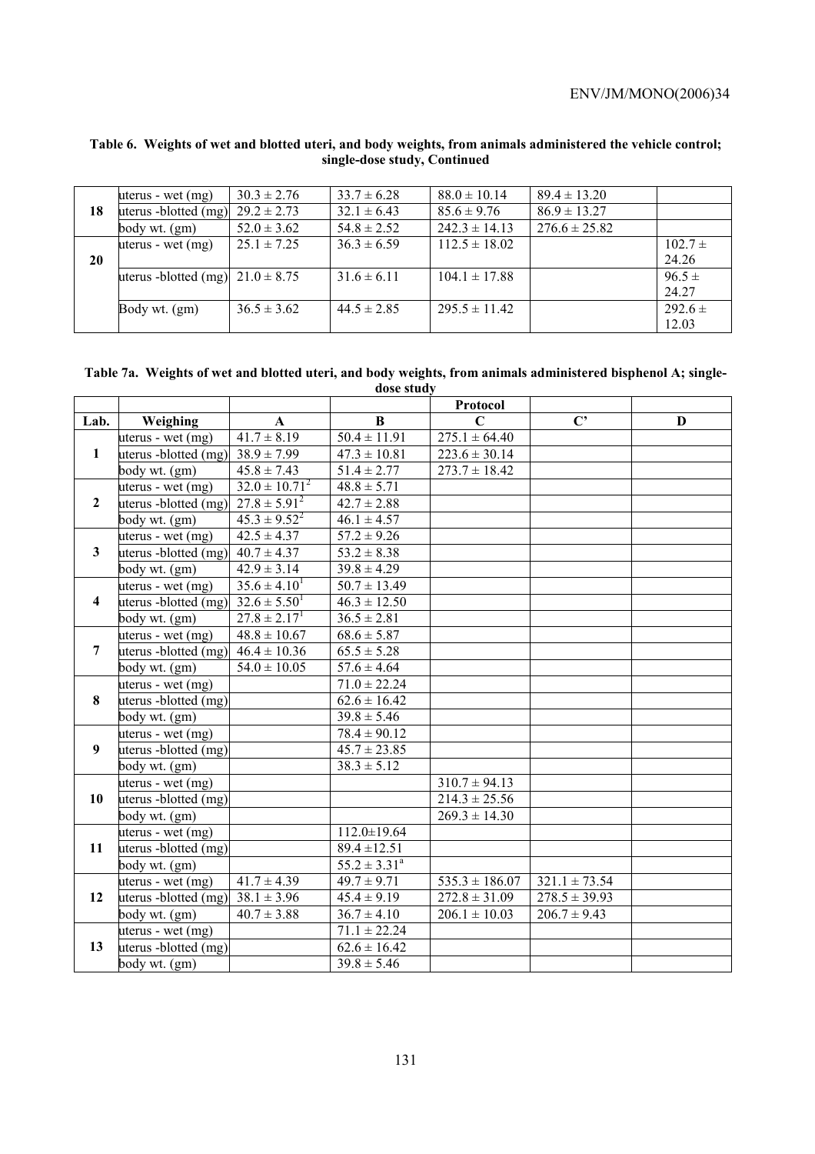|    | uterus - wet $(mg)$                  | $30.3 \pm 2.76$ | $33.7 \pm 6.28$ | $88.0 \pm 10.14$  | $89.4 \pm 13.20$  |             |
|----|--------------------------------------|-----------------|-----------------|-------------------|-------------------|-------------|
| 18 | uterus -blotted (mg) $29.2 \pm 2.73$ |                 | $32.1 \pm 6.43$ | $85.6 \pm 9.76$   | $86.9 \pm 13.27$  |             |
|    | body wt. (gm)                        | $52.0 \pm 3.62$ | $54.8 \pm 2.52$ | $242.3 \pm 14.13$ | $276.6 \pm 25.82$ |             |
|    | uterus - wet $(mg)$                  | $25.1 \pm 7.25$ | $36.3 \pm 6.59$ | $112.5 \pm 18.02$ |                   | $102.7 \pm$ |
| 20 |                                      |                 |                 |                   |                   | 24.26       |
|    | uterus -blotted (mg) $21.0 \pm 8.75$ |                 | $31.6 \pm 6.11$ | $104.1 \pm 17.88$ |                   | $96.5 \pm$  |
|    |                                      |                 |                 |                   |                   | 24.27       |
|    | Body wt. (gm)                        | $36.5 \pm 3.62$ | $44.5 \pm 2.85$ | $295.5 \pm 11.42$ |                   | $292.6 \pm$ |
|    |                                      |                 |                 |                   |                   | 12.03       |

### **Table 6. Weights of wet and blotted uteri, and body weights, from animals administered the vehicle control; single-dose study, Continued**

**Table 7a. Weights of wet and blotted uteri, and body weights, from animals administered bisphenol A; single-**

|                         |                         |                              | dose study        |                    |                   |              |  |  |  |  |  |  |  |
|-------------------------|-------------------------|------------------------------|-------------------|--------------------|-------------------|--------------|--|--|--|--|--|--|--|
|                         |                         |                              |                   | Protocol           |                   |              |  |  |  |  |  |  |  |
| Lab.                    | Weighing                | $\mathbf{A}$                 | $\bf{B}$          | $\mathbf C$        | $\overline{C'}$   | $\mathbf{D}$ |  |  |  |  |  |  |  |
|                         | uterus - wet (mg)       | $41.7 \pm 8.19$              | $50.4 \pm 11.91$  | $275.1 \pm 64.40$  |                   |              |  |  |  |  |  |  |  |
| $\mathbf{1}$            | uterus -blotted (mg)    | $38.9 \pm 7.99$              | $47.3 \pm 10.81$  | $223.6 \pm 30.14$  |                   |              |  |  |  |  |  |  |  |
|                         | body wt. (gm)           | $45.8 \pm 7.43$              | $51.4 \pm 2.77$   | $273.7 \pm 18.42$  |                   |              |  |  |  |  |  |  |  |
|                         | uterus - wet $(mg)$     | $32.0 \pm 10.71^2$           | $48.8 \pm 5.71$   |                    |                   |              |  |  |  |  |  |  |  |
| $\overline{2}$          | uterus -blotted (mg)    | $27.8 \pm 5.91^2$            | $42.7 \pm 2.88$   |                    |                   |              |  |  |  |  |  |  |  |
|                         | body wt. (gm)           | $45.3 \pm 9.52^2$            | $46.1 \pm 4.57$   |                    |                   |              |  |  |  |  |  |  |  |
|                         | $uterus - wet (mg)$     | $42.5 \pm 4.37$              | $57.2 \pm 9.26$   |                    |                   |              |  |  |  |  |  |  |  |
| $\mathbf{3}$            | uterus -blotted (mg)    | $40.7 \pm 4.37$              | $53.2 \pm 8.38$   |                    |                   |              |  |  |  |  |  |  |  |
|                         | body wt. (gm)           | $42.9 \pm 3.14$              | $39.8 \pm 4.29$   |                    |                   |              |  |  |  |  |  |  |  |
|                         | $uterus - wet (mg)$     | $35.6 \pm 4.10^1$            | $50.7 \pm 13.49$  |                    |                   |              |  |  |  |  |  |  |  |
| $\overline{\mathbf{4}}$ | uterus -blotted (mg)    | $32.6 \pm 5.50^1$            | $46.3 \pm 12.50$  |                    |                   |              |  |  |  |  |  |  |  |
|                         | body wt. (gm)           | $27.8 \pm 2.17$ <sup>1</sup> | $36.5 \pm 2.81$   |                    |                   |              |  |  |  |  |  |  |  |
|                         | uterus - wet (mg)       | $48.8 \pm 10.67$             | $68.6 \pm 5.87$   |                    |                   |              |  |  |  |  |  |  |  |
| 7                       | uterus -blotted (mg)    | $46.4 \pm 10.36$             | $65.5 \pm 5.28$   |                    |                   |              |  |  |  |  |  |  |  |
|                         | body wt. (gm)           | $54.0 \pm 10.05$             | $57.6 \pm 4.64$   |                    |                   |              |  |  |  |  |  |  |  |
|                         | uterus - wet $(mg)$     |                              | $71.0 \pm 22.24$  |                    |                   |              |  |  |  |  |  |  |  |
| 8                       | uterus -blotted (mg)    |                              | $62.6 \pm 16.42$  |                    |                   |              |  |  |  |  |  |  |  |
|                         | body wt. (gm)           |                              | $39.8 \pm 5.46$   |                    |                   |              |  |  |  |  |  |  |  |
|                         | uterus - wet $(mg)$     |                              | $78.4 \pm 90.12$  |                    |                   |              |  |  |  |  |  |  |  |
| 9                       | $uterus - blotted (mg)$ |                              | $45.7 \pm 23.85$  |                    |                   |              |  |  |  |  |  |  |  |
|                         | body wt. (gm)           |                              | $38.3 \pm 5.12$   |                    |                   |              |  |  |  |  |  |  |  |
|                         | uterus - wet $(mg)$     |                              |                   | $310.7 \pm 94.13$  |                   |              |  |  |  |  |  |  |  |
| 10                      | uterus -blotted (mg)    |                              |                   | $214.3 \pm 25.56$  |                   |              |  |  |  |  |  |  |  |
|                         | body wt. (gm)           |                              |                   | $269.3 \pm 14.30$  |                   |              |  |  |  |  |  |  |  |
|                         | uterus - wet $(mg)$     |                              | $112.0 \pm 19.64$ |                    |                   |              |  |  |  |  |  |  |  |
| 11                      | uterus -blotted (mg)    |                              | $89.4 \pm 12.51$  |                    |                   |              |  |  |  |  |  |  |  |
|                         | body wt. (gm)           |                              | $55.2 \pm 3.31^a$ |                    |                   |              |  |  |  |  |  |  |  |
|                         | uterus - wet $(mg)$     | $41.7 \pm 4.39$              | $49.7 \pm 9.71$   | $535.3 \pm 186.07$ | $321.1 \pm 73.54$ |              |  |  |  |  |  |  |  |
| 12                      | uterus -blotted (mg)    | $38.1 \pm 3.96$              | $45.4 \pm 9.19$   | $272.8 \pm 31.09$  | $278.5 \pm 39.93$ |              |  |  |  |  |  |  |  |
|                         | body wt. (gm)           | $40.7 \pm 3.88$              | $36.7 \pm 4.10$   | $206.1 \pm 10.03$  | $206.7 \pm 9.43$  |              |  |  |  |  |  |  |  |
|                         | uterus - wet $(mg)$     |                              | $71.1 \pm 22.24$  |                    |                   |              |  |  |  |  |  |  |  |
| 13                      | uterus -blotted (mg)    |                              | $62.6 \pm 16.42$  |                    |                   |              |  |  |  |  |  |  |  |
|                         | body wt. (gm)           |                              | $39.8 \pm 5.46$   |                    |                   |              |  |  |  |  |  |  |  |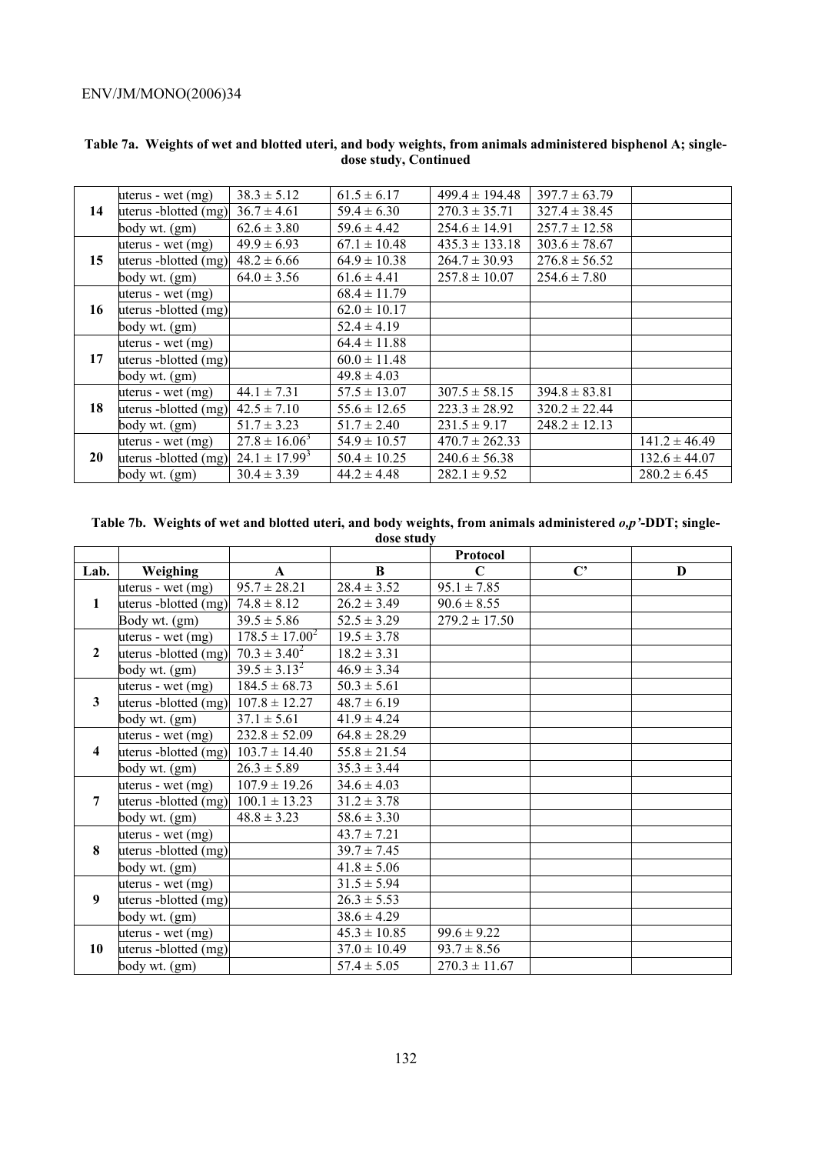| uterus - wet $(mg)$ | $38.3 \pm 5.12$      | $61.5 \pm 6.17$                                                                                                                              | $499.4 \pm 194.48$ | $397.7 \pm 63.79$ |                   |
|---------------------|----------------------|----------------------------------------------------------------------------------------------------------------------------------------------|--------------------|-------------------|-------------------|
|                     | $36.7 \pm 4.61$      | $59.4 \pm 6.30$                                                                                                                              | $270.3 \pm 35.71$  | $327.4 \pm 38.45$ |                   |
| body wt. (gm)       | $62.6 \pm 3.80$      | $59.6 \pm 4.42$                                                                                                                              | $254.6 \pm 14.91$  | $257.7 \pm 12.58$ |                   |
| $uterus - wet (mg)$ | $49.9 \pm 6.93$      | $67.1 \pm 10.48$                                                                                                                             | $435.3 \pm 133.18$ | $303.6 \pm 78.67$ |                   |
|                     | $48.2 \pm 6.66$      | $64.9 \pm 10.38$                                                                                                                             | $264.7 \pm 30.93$  | $276.8 \pm 56.52$ |                   |
| body wt. (gm)       | $64.0 \pm 3.56$      | $61.6 \pm 4.41$                                                                                                                              | $257.8 \pm 10.07$  | $254.6 \pm 7.80$  |                   |
| $uterus - wet (mg)$ |                      | $68.4 \pm 11.79$                                                                                                                             |                    |                   |                   |
|                     |                      | $62.0 \pm 10.17$                                                                                                                             |                    |                   |                   |
| body wt. (gm)       |                      | $52.4 \pm 4.19$                                                                                                                              |                    |                   |                   |
| $uterus - wet (mg)$ |                      | $64.4 \pm 11.88$                                                                                                                             |                    |                   |                   |
|                     |                      | $60.0 \pm 11.48$                                                                                                                             |                    |                   |                   |
| body wt. (gm)       |                      | $49.8 \pm 4.03$                                                                                                                              |                    |                   |                   |
| $uterus - wet (mg)$ | $44.1 \pm 7.31$      | $57.5 \pm 13.07$                                                                                                                             | $307.5 \pm 58.15$  | $394.8 \pm 83.81$ |                   |
|                     | $42.5 \pm 7.10$      | $55.6 \pm 12.65$                                                                                                                             | $223.3 \pm 28.92$  | $320.2 \pm 22.44$ |                   |
| body wt. (gm)       | $51.7 \pm 3.23$      | $51.7 \pm 2.40$                                                                                                                              | $231.5 \pm 9.17$   | $248.2 \pm 12.13$ |                   |
| $uterus - wet (mg)$ | $27.8 \pm 16.06^3$   | $54.9 \pm 10.57$                                                                                                                             | $470.7 \pm 262.33$ |                   | $141.2 \pm 46.49$ |
|                     | $24.1 \pm 17.99^{3}$ | $50.4 \pm 10.25$                                                                                                                             | $240.6 \pm 56.38$  |                   | $132.6 \pm 44.07$ |
| body wt. (gm)       | $30.4 \pm 3.39$      | $44.2 \pm 4.48$                                                                                                                              | $282.1 \pm 9.52$   |                   | $280.2 \pm 6.45$  |
|                     |                      | uterus -blotted (mg)<br>uterus -blotted (mg)<br>uterus -blotted (mg)<br>uterus -blotted (mg)<br>uterus -blotted (mg)<br>uterus -blotted (mg) |                    |                   |                   |

### **Table 7a. Weights of wet and blotted uteri, and body weights, from animals administered bisphenol A; singledose study, Continued**

# Table 7b. Weights of wet and blotted uteri, and body weights, from animals administered  $\rho, p'$ -DDT; single-

| dose study              |                      |                     |                             |                              |                        |   |
|-------------------------|----------------------|---------------------|-----------------------------|------------------------------|------------------------|---|
|                         |                      |                     |                             | Protocol                     |                        |   |
| Lab.                    | Weighing             | A                   | B                           | $\mathbf C$                  | $\mathbf{C}^{\bullet}$ | D |
|                         | uterus - wet (mg)    | $95.7 \pm 28.21$    | $28.4 \pm 3.52$             | $95.1 \pm 7.85$              |                        |   |
| 1                       | uterus -blotted (mg) | $74.8 \pm 8.12$     | $\overline{26.2} \pm 3.49$  | $90.6 \pm 8.55$              |                        |   |
|                         | Body wt. (gm)        | $39.5 \pm 5.86$     | $52.5 \pm 3.29$             | $\overline{279.2} \pm 17.50$ |                        |   |
|                         | uterus - wet (mg)    | $178.5 \pm 17.00^2$ | $19.5 \pm 3.78$             |                              |                        |   |
| $\overline{2}$          | uterus -blotted (mg) | $70.3 \pm 3.40^2$   | $18.2 \pm 3.31$             |                              |                        |   |
|                         | body wt. (gm)        | $39.5 \pm 3.13^2$   | $46.9 \pm 3.34$             |                              |                        |   |
|                         | uterus - wet (mg)    | $184.5 \pm 68.73$   | $50.3 \pm 5.61$             |                              |                        |   |
| 3                       | uterus -blotted (mg) | $107.8 \pm 12.27$   | $48.7 \pm 6.19$             |                              |                        |   |
|                         | body wt. (gm)        | $37.1 \pm 5.61$     | $41.9 \pm 4.24$             |                              |                        |   |
|                         | uterus - wet (mg)    | $232.8 \pm 52.09$   | $\overline{64.8} \pm 28.29$ |                              |                        |   |
| $\overline{\mathbf{4}}$ | uterus -blotted (mg) | $103.7 \pm 14.40$   | $55.8 \pm 21.54$            |                              |                        |   |
|                         | body wt. (gm)        | $26.3 \pm 5.89$     | $35.3 \pm 3.44$             |                              |                        |   |
|                         | uterus - wet (mg)    | $107.9 \pm 19.26$   | $34.6 \pm 4.03$             |                              |                        |   |
| 7                       | uterus -blotted (mg) | $100.1 \pm 13.23$   | $31.2 \pm 3.78$             |                              |                        |   |
|                         | body wt. (gm)        | $48.8 \pm 3.23$     | $\overline{58.6} \pm 3.30$  |                              |                        |   |
|                         | uterus - wet (mg)    |                     | $43.7 \pm 7.21$             |                              |                        |   |
| 8                       | uterus -blotted (mg) |                     | $39.7 \pm 7.45$             |                              |                        |   |
|                         | body wt. (gm)        |                     | $41.8 \pm 5.06$             |                              |                        |   |
|                         | uterus - wet (mg)    |                     | $31.5 \pm 5.94$             |                              |                        |   |
| 9                       | uterus -blotted (mg) |                     | $26.3 \pm 5.53$             |                              |                        |   |
|                         | body wt. (gm)        |                     | $38.6 \pm 4.29$             |                              |                        |   |
|                         | uterus - wet (mg)    |                     | $45.3 \pm 10.85$            | $99.6 \pm 9.22$              |                        |   |
| 10                      | uterus -blotted (mg) |                     | $37.0 \pm 10.49$            | $93.7 \pm 8.56$              |                        |   |
|                         | body wt. (gm)        |                     | $57.4 \pm 5.05$             | $270.3 \pm 11.67$            |                        |   |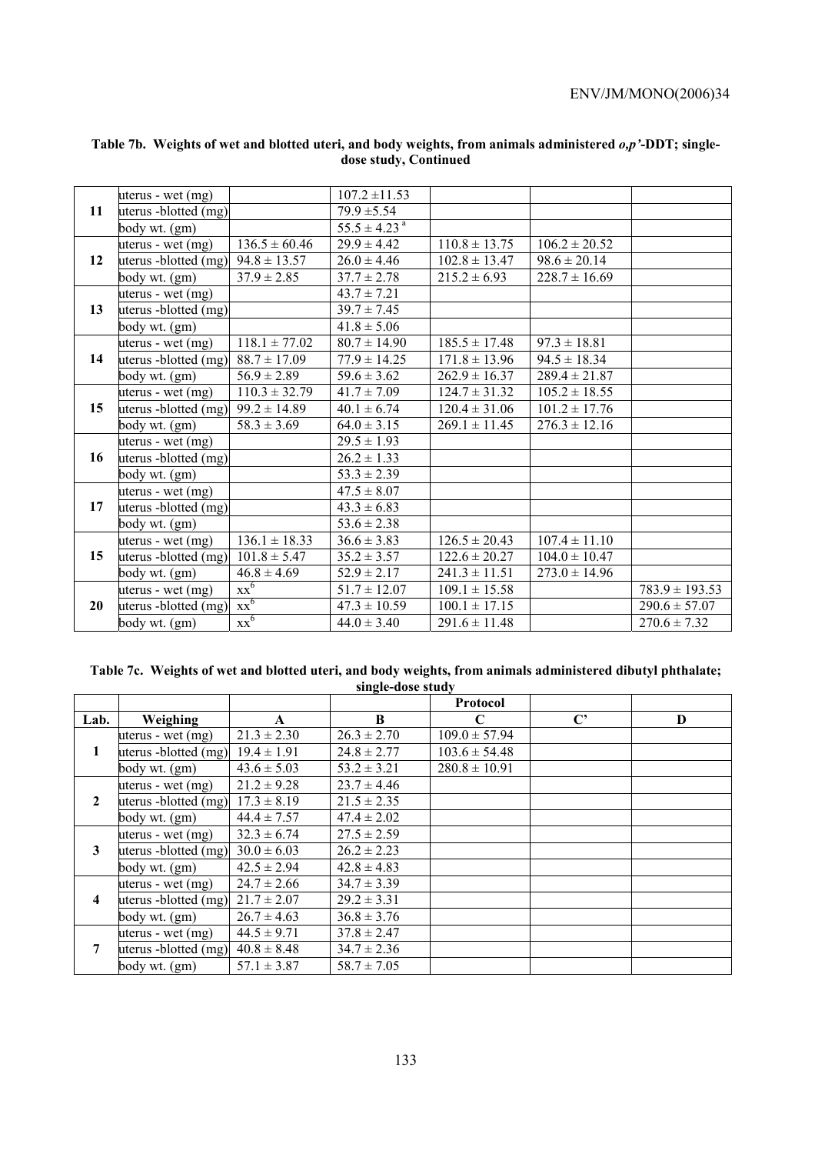|    | uterus - wet (mg)    |                              | $107.2 \pm 11.53$            |                   |                   |                    |
|----|----------------------|------------------------------|------------------------------|-------------------|-------------------|--------------------|
| 11 | uterus -blotted (mg) |                              | $79.9 \pm 5.54$              |                   |                   |                    |
|    | body wt. (gm)        |                              | $55.5 \pm 4.23$ <sup>a</sup> |                   |                   |                    |
| 12 | uterus - wet (mg)    | $136.5 \pm 60.46$            | $29.9 \pm 4.42$              | $110.8 \pm 13.75$ | $106.2 \pm 20.52$ |                    |
|    | uterus -blotted (mg) | $94.8 \pm 13.57$             | $26.0 \pm 4.46$              | $102.8 \pm 13.47$ | $98.6 \pm 20.14$  |                    |
|    | body wt. (gm)        | $37.9 \pm 2.85$              | $37.7 \pm 2.78$              | $215.2 \pm 6.93$  | $228.7 \pm 16.69$ |                    |
|    | uterus - wet (mg)    |                              | $43.7 \pm 7.21$              |                   |                   |                    |
| 13 | uterus -blotted (mg) |                              | $39.7 \pm 7.45$              |                   |                   |                    |
|    | body wt. (gm)        |                              | $41.8 \pm 5.06$              |                   |                   |                    |
|    | uterus - wet (mg)    | $118.1 \pm 77.02$            | $80.7 \pm 14.90$             | $185.5 \pm 17.48$ | $97.3 \pm 18.81$  |                    |
| 14 | uterus -blotted (mg) | $88.7 \pm 17.09$             | $77.9 \pm 14.25$             | $171.8 \pm 13.96$ | $94.5 \pm 18.34$  |                    |
|    | body wt. (gm)        | $56.9 \pm 2.89$              | $59.6 \pm 3.62$              | $262.9 \pm 16.37$ | $289.4 \pm 21.87$ |                    |
|    | uterus - wet (mg)    | $110.3 \pm 32.79$            | $41.7 \pm 7.09$              | $124.7 \pm 31.32$ | $105.2 \pm 18.55$ |                    |
| 15 | uterus -blotted (mg) | $99.2 \pm 14.89$             | $40.1 \pm 6.74$              | $120.4 \pm 31.06$ | $101.2 \pm 17.76$ |                    |
|    | body wt. (gm)        | $58.3 \pm 3.69$              | $64.0 \pm 3.15$              | $269.1 \pm 11.45$ | $276.3 \pm 12.16$ |                    |
|    | uterus - wet (mg)    |                              | $29.5 \pm 1.93$              |                   |                   |                    |
| 16 | uterus -blotted (mg) |                              | $26.2 \pm 1.33$              |                   |                   |                    |
|    | body wt. (gm)        |                              | $53.3 \pm 2.39$              |                   |                   |                    |
|    | uterus - wet (mg)    |                              | $47.5 \pm 8.07$              |                   |                   |                    |
| 17 | uterus -blotted (mg) |                              | $43.3 \pm 6.83$              |                   |                   |                    |
|    | body wt. (gm)        |                              | $53.6 \pm 2.38$              |                   |                   |                    |
|    | uterus - wet (mg)    | $\overline{136.1} \pm 18.33$ | $36.6 \pm 3.83$              | $126.5 \pm 20.43$ | $107.4 \pm 11.10$ |                    |
| 15 | uterus -blotted (mg) | $101.8 \pm 5.47$             | $35.2 \pm 3.57$              | $122.6 \pm 20.27$ | $104.0 \pm 10.47$ |                    |
|    | body wt. (gm)        | $46.8 \pm 4.69$              | $52.9 \pm 2.17$              | $241.3 \pm 11.51$ | $273.0 \pm 14.96$ |                    |
|    | uterus - wet (mg)    | $XX^6$                       | $51.7 \pm 12.07$             | $109.1 \pm 15.58$ |                   | $783.9 \pm 193.53$ |
| 20 | uterus -blotted (mg) | $XX^6$                       | $47.3 \pm 10.59$             | $100.1 \pm 17.15$ |                   | $290.6 \pm 57.07$  |
|    | body wt. (gm)        | $XX^6$                       | $44.0 \pm 3.40$              | $291.6 \pm 11.48$ |                   | $270.6 \pm 7.32$   |

### Table 7b. Weights of wet and blotted uteri, and body weights, from animals administered  $o, p'$ -DDT; single**dose study, Continued**

**Table 7c. Weights of wet and blotted uteri, and body weights, from animals administered dibutyl phthalate; single-dose study** 

|      |                      |                 |                 | Protocol          |                        |   |
|------|----------------------|-----------------|-----------------|-------------------|------------------------|---|
| Lab. | Weighing             | $\mathbf{A}$    | B               | C                 | $\mathbf{C}^{\bullet}$ | D |
|      | uterus - wet $(mg)$  | $21.3 \pm 2.30$ | $26.3 \pm 2.70$ | $109.0 \pm 57.94$ |                        |   |
| 1    | uterus -blotted (mg) | $19.4 \pm 1.91$ | $24.8 \pm 2.77$ | $103.6 \pm 54.48$ |                        |   |
|      | body wt. (gm)        | $43.6 \pm 5.03$ | $53.2 \pm 3.21$ | $280.8 \pm 10.91$ |                        |   |
|      | uterus - wet (mg)    | $21.2 \pm 9.28$ | $23.7 \pm 4.46$ |                   |                        |   |
| 2    | uterus -blotted (mg) | $17.3 \pm 8.19$ | $21.5 \pm 2.35$ |                   |                        |   |
|      | body wt. (gm)        | $44.4 \pm 7.57$ | $47.4 \pm 2.02$ |                   |                        |   |
|      | uterus - wet (mg)    | $32.3 \pm 6.74$ | $27.5 \pm 2.59$ |                   |                        |   |
| 3    | uterus -blotted (mg) | $30.0 \pm 6.03$ | $26.2 \pm 2.23$ |                   |                        |   |
|      | body wt. (gm)        | $42.5 \pm 2.94$ | $42.8 \pm 4.83$ |                   |                        |   |
|      | $uterus - wet (mg)$  | $24.7 \pm 2.66$ | $34.7 \pm 3.39$ |                   |                        |   |
| 4    | uterus -blotted (mg) | $21.7 \pm 2.07$ | $29.2 \pm 3.31$ |                   |                        |   |
|      | body wt. (gm)        | $26.7 \pm 4.63$ | $36.8 \pm 3.76$ |                   |                        |   |
| 7    | $uterus - wet (mg)$  | $44.5 \pm 9.71$ | $37.8 \pm 2.47$ |                   |                        |   |
|      | uterus -blotted (mg) | $40.8 \pm 8.48$ | $34.7 \pm 2.36$ |                   |                        |   |
|      | body wt. (gm)        | $57.1 \pm 3.87$ | $58.7 \pm 7.05$ |                   |                        |   |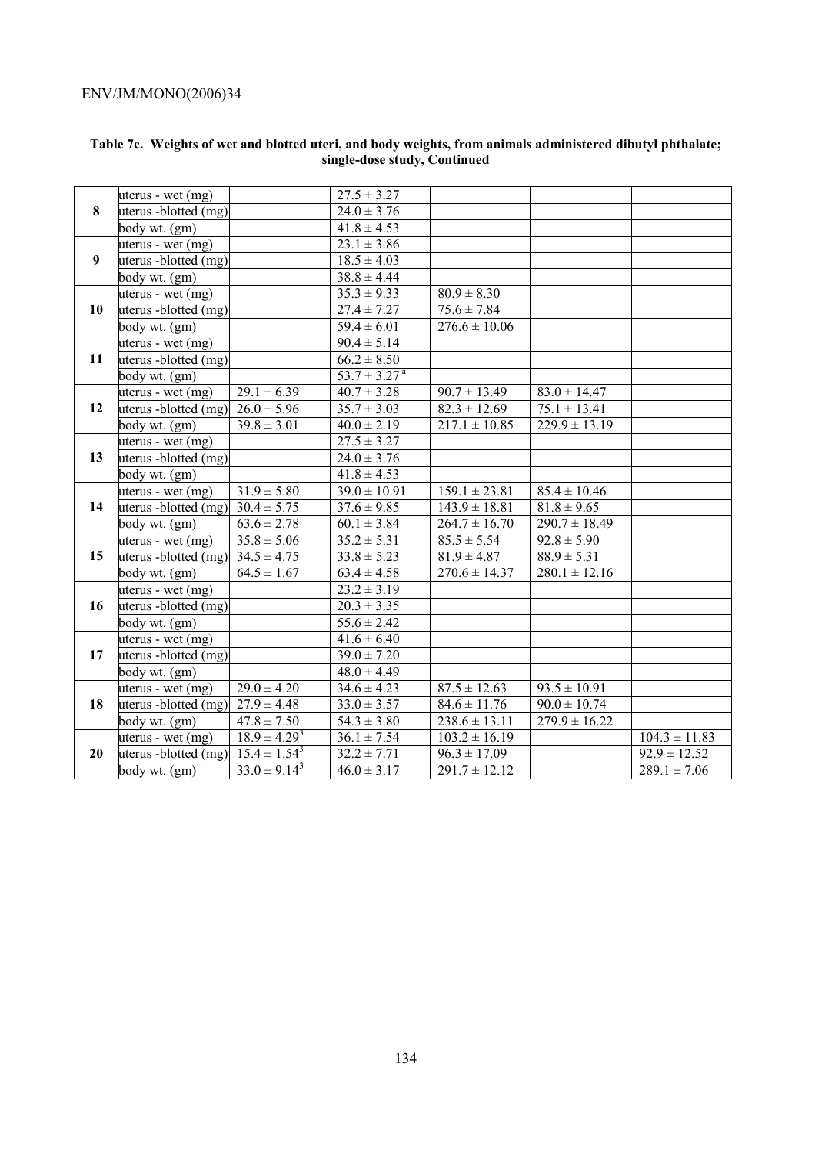|                  | $uterus - wet (mg)$  |                     | $27.5 \pm 3.27$              |                             |                   |                   |
|------------------|----------------------|---------------------|------------------------------|-----------------------------|-------------------|-------------------|
| 8                | uterus -blotted (mg) |                     | $24.0 \pm 3.76$              |                             |                   |                   |
|                  | body wt. (gm)        |                     | $41.8 \pm 4.53$              |                             |                   |                   |
|                  | $uterus - wet (mg)$  |                     | $23.1 \pm 3.86$              |                             |                   |                   |
| $\boldsymbol{9}$ | uterus -blotted (mg) |                     | $18.5 \pm 4.03$              |                             |                   |                   |
|                  | body wt. (gm)        |                     | $38.8 \pm 4.44$              |                             |                   |                   |
|                  | $uterus - wet (mg)$  |                     | $35.3 \pm 9.33$              | $80.9 \pm 8.30$             |                   |                   |
| 10               | uterus -blotted (mg) |                     | $27.4 \pm 7.27$              | $75.6 \pm 7.84$             |                   |                   |
|                  | body wt. (gm)        |                     | $59.4 \pm 6.01$              | $276.6 \pm 10.06$           |                   |                   |
|                  | uterus - wet (mg)    |                     | $90.4 \pm 5.14$              |                             |                   |                   |
| 11               | uterus -blotted (mg) |                     | $66.2 \pm 8.50$              |                             |                   |                   |
|                  | body wt. (gm)        |                     | $53.7 \pm 3.27$ <sup>a</sup> |                             |                   |                   |
|                  | $uterus - wet (mg)$  | $29.1 \pm 6.39$     | $40.7 \pm 3.28$              | $90.7 \pm 13.49$            | $83.0 \pm 14.47$  |                   |
| 12               | uterus -blotted (mg) | $26.0 \pm 5.96$     | $35.7 \pm 3.03$              | $82.3 \pm 12.69$            | $75.1 \pm 13.41$  |                   |
|                  | body wt. (gm)        | $39.8 \pm 3.01$     | $40.0 \pm 2.19$              | $217.1 \pm 10.85$           | $229.9 \pm 13.19$ |                   |
|                  | $uterus - wet (mg)$  |                     | $27.5 \pm 3.27$              |                             |                   |                   |
| 13               | uterus -blotted (mg) |                     | $24.0 \pm 3.76$              |                             |                   |                   |
|                  | body wt. (gm)        |                     | $41.8 \pm 4.53$              |                             |                   |                   |
|                  | $uterus - wet (mg)$  | $31.9 \pm 5.80$     | $39.0 \pm 10.91$             | $159.1 \pm 23.81$           | $85.4 \pm 10.46$  |                   |
| 14               | uterus -blotted (mg) | $30.4 \pm 5.75$     | $37.6 \pm 9.85$              | $143.9 \pm 18.81$           | $81.8 \pm 9.65$   |                   |
|                  | body wt. (gm)        | $63.6 \pm 2.78$     | $60.1 \pm 3.84$              | $264.7 \pm 16.70$           | $290.7 \pm 18.49$ |                   |
|                  | $uterus - wet (mg)$  | $35.8 \pm 5.06$     | $35.2 \pm 5.31$              | $85.5 \pm 5.54$             | $92.8 \pm 5.90$   |                   |
| 15               | uterus -blotted (mg) | $34.5 \pm 4.75$     | $33.8 \pm 5.23$              | $81.9 \pm 4.87$             | $88.9 \pm 5.31$   |                   |
|                  | body wt. (gm)        | $64.5 \pm 1.67$     | $63.4 \pm 4.58$              | $270.6 \pm 14.37$           | $280.1 \pm 12.16$ |                   |
|                  | $uterus - wet (mg)$  |                     | $23.2 \pm 3.19$              |                             |                   |                   |
| 16               | uterus -blotted (mg) |                     | $20.3 \pm 3.35$              |                             |                   |                   |
|                  | body wt. (gm)        |                     | $55.6 \pm 2.42$              |                             |                   |                   |
|                  | $uterus - wet (mg)$  |                     | $41.6 \pm 6.40$              |                             |                   |                   |
| 17               | uterus -blotted (mg) |                     | $39.0 \pm 7.20$              |                             |                   |                   |
|                  | body wt. (gm)        |                     | $48.0 \pm 4.49$              |                             |                   |                   |
|                  | $uterus - wet (mg)$  | $29.0 \pm 4.20$     | $34.6 \pm 4.23$              | $87.5 \pm 12.63$            | $93.5 \pm 10.91$  |                   |
| 18               | uterus -blotted (mg) | $27.9 \pm 4.48$     | $33.0 \pm 3.57$              | $84.6 \pm 11.76$            | $90.0 \pm 10.74$  |                   |
|                  | body wt. (gm)        | $47.8 \pm 7.50$     | $54.3 \pm 3.80$              | $238.6 \pm 13.11$           | $279.9 \pm 16.22$ |                   |
|                  | $uterus - wet (mg)$  | $18.9 \pm 4.29^{3}$ | $36.1 \pm 7.54$              | $103.2 \pm 16.19$           |                   | $104.3 \pm 11.83$ |
| 20               | uterus -blotted (mg) | $15.4 \pm 1.54^3$   | $32.2 \pm 7.71$              | $\overline{96.3} \pm 17.09$ |                   | $92.9 \pm 12.52$  |
|                  | body wt. (gm)        | $33.0 \pm 9.14^3$   | $46.0 \pm 3.17$              | $291.7 \pm 12.12$           |                   | $289.1 \pm 7.06$  |

#### **Table 7c. Weights of wet and blotted uteri, and body weights, from animals administered dibutyl phthalate; single-dose study, Continued**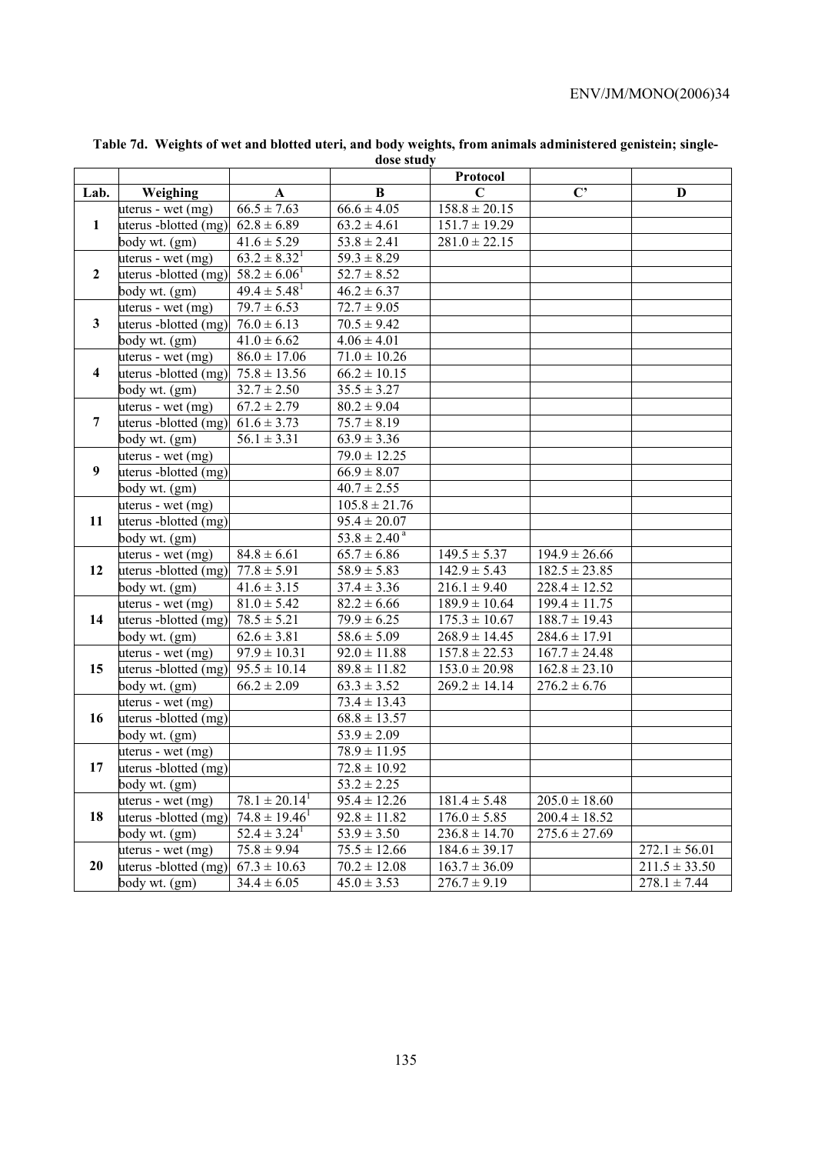|                         |                      |                                         |                             | Protocol          |                              |                   |
|-------------------------|----------------------|-----------------------------------------|-----------------------------|-------------------|------------------------------|-------------------|
| Lab.                    | Weighing             | A                                       | B                           | $\mathbf C$       | $\mathbf{C}^{\bullet}$       | D                 |
|                         | uterus - wet (mg)    | $66.5 \pm 7.63$                         | $66.6 \pm 4.05$             | $158.8 \pm 20.15$ |                              |                   |
| $\mathbf{1}$            | uterus -blotted (mg) | $62.8 \pm 6.89$                         | $63.2 \pm 4.61$             | $151.7 \pm 19.29$ |                              |                   |
|                         | body wt. (gm)        | $41.6 \pm 5.29$                         | $53.8 \pm 2.41$             | $281.0 \pm 22.15$ |                              |                   |
|                         | uterus - wet (mg)    | $63.2 \pm 8.32^1$                       | $59.3 \pm 8.29$             |                   |                              |                   |
| $\overline{2}$          | uterus -blotted (mg) | $58.2 \pm 6.06$ <sup>1</sup>            | $52.7 \pm 8.52$             |                   |                              |                   |
|                         | body wt. (gm)        | $49.4 \pm 5.\overline{48}$ <sup>1</sup> | $46.2 \pm 6.37$             |                   |                              |                   |
|                         | uterus - wet (mg)    | $79.7 \pm 6.53$                         | $72.7 \pm 9.05$             |                   |                              |                   |
| $\mathbf{3}$            | uterus -blotted (mg) | $76.0 \pm 6.13$                         | $70.5 \pm 9.42$             |                   |                              |                   |
|                         | body wt. (gm)        | $41.0 \pm 6.62$                         | $4.06 \pm 4.01$             |                   |                              |                   |
|                         | uterus - wet (mg)    | $86.0 \pm 17.06$                        | $71.0 \pm 10.26$            |                   |                              |                   |
| $\overline{\mathbf{4}}$ | uterus -blotted (mg) | $75.8 \pm 13.56$                        | $66.2 \pm 10.15$            |                   |                              |                   |
|                         | body wt. (gm)        | $32.7 \pm 2.50$                         | $35.5 \pm 3.27$             |                   |                              |                   |
|                         | uterus - wet (mg)    | $67.2 \pm 2.79$                         | $80.2 \pm 9.04$             |                   |                              |                   |
| $\overline{7}$          | uterus -blotted (mg) | $61.6 \pm 3.73$                         | $75.7 \pm 8.19$             |                   |                              |                   |
|                         | body wt. (gm)        | $56.1 \pm 3.31$                         | $63.9 \pm 3.36$             |                   |                              |                   |
| 9                       | uterus - wet (mg)    |                                         | $79.0 \pm 12.25$            |                   |                              |                   |
|                         | uterus -blotted (mg) |                                         | $66.9 \pm 8.07$             |                   |                              |                   |
|                         | body wt. (gm)        |                                         | $40.7 \pm 2.55$             |                   |                              |                   |
|                         | uterus - wet (mg)    |                                         | $105.8 \pm 21.76$           |                   |                              |                   |
| 11                      | uterus -blotted (mg) |                                         | $95.4 \pm 20.07$            |                   |                              |                   |
|                         | body wt. (gm)        |                                         | $53.8 \pm 2.40^{\text{ a}}$ |                   |                              |                   |
|                         | uterus - wet (mg)    | $84.8 \pm 6.61$                         | $65.7 \pm 6.86$             | $149.5 \pm 5.37$  | $194.9 \pm 26.66$            |                   |
| 12                      | uterus -blotted (mg) | $77.8 \pm 5.91$                         | $58.9 \pm 5.83$             | $142.9 \pm 5.43$  | $182.5 \pm 23.85$            |                   |
|                         | body wt. (gm)        | $41.6 \pm 3.15$                         | $37.4 \pm 3.36$             | $216.1 \pm 9.40$  | $228.4 \pm 12.52$            |                   |
|                         | uterus - wet (mg)    | $81.0 \pm 5.42$                         | $82.2 \pm 6.66$             | $189.9 \pm 10.64$ | $199.4 \pm 11.75$            |                   |
| 14                      | uterus -blotted (mg) | $78.5 \pm 5.21$                         | $79.9 \pm 6.25$             | $175.3 \pm 10.67$ | $188.7 \pm 19.43$            |                   |
|                         | body wt. (gm)        | $62.6 \pm 3.81$                         | $58.6 \pm 5.09$             | $268.9 \pm 14.45$ | $284.6 \pm 17.91$            |                   |
|                         | uterus - wet $(mg)$  | $97.9 \pm 10.31$                        | $92.0 \pm 11.88$            | $157.8 \pm 22.53$ | $167.7 \pm 24.48$            |                   |
| 15                      | uterus -blotted (mg) | $95.5 \pm 10.14$                        | $89.8 \pm 11.82$            | $153.0 \pm 20.98$ | $\overline{162.8} \pm 23.10$ |                   |
|                         | body wt. (gm)        | $66.2 \pm 2.09$                         | $63.3 \pm 3.52$             | $269.2 \pm 14.14$ | $276.2 \pm 6.76$             |                   |
|                         | uterus - wet $(mg)$  |                                         | $73.4 \pm 13.43$            |                   |                              |                   |
| 16                      | uterus -blotted (mg) |                                         | $68.8 \pm 13.57$            |                   |                              |                   |
|                         | body wt. (gm)        |                                         | $53.9 \pm 2.09$             |                   |                              |                   |
|                         | uterus - wet (mg)    |                                         | $78.9 \pm 11.95$            |                   |                              |                   |
| 17                      | uterus -blotted (mg) |                                         | $72.8 \pm 10.92$            |                   |                              |                   |
|                         | body wt. (gm)        |                                         | $53.2 \pm 2.25$             |                   |                              |                   |
|                         | $uterus - wet (mg)$  | $78.1 \pm 20.14$ <sup>T</sup>           | $95.4 \pm 12.26$            | $181.4 \pm 5.48$  | $205.0 \pm 18.60$            |                   |
| 18                      | uterus -blotted (mg) | $74.8 \pm 19.46$ <sup>1</sup>           | $92.8 \pm 11.82$            | $176.0 \pm 5.85$  | $200.4 \pm 18.52$            |                   |
|                         | body wt. (gm)        | $52.4 \pm 3.24$ <sup>T</sup>            | $53.9 \pm 3.50$             | $236.8 \pm 14.70$ | $275.6 \pm 27.69$            |                   |
|                         | uterus - wet (mg)    | $75.8 \pm 9.94$                         | $75.5 \pm 12.66$            | $184.6 \pm 39.17$ |                              | $272.1 \pm 56.01$ |
| 20                      | uterus -blotted (mg) | $67.3 \pm 10.63$                        | $70.2 \pm 12.08$            | $163.7 \pm 36.09$ |                              | $211.5 \pm 33.50$ |
|                         | body wt. (gm)        | $34.4 \pm 6.05$                         | $45.0 \pm 3.53$             | $276.7 \pm 9.19$  |                              | $278.1 \pm 7.44$  |

**Table 7d. Weights of wet and blotted uteri, and body weights, from animals administered genistein; singledose study**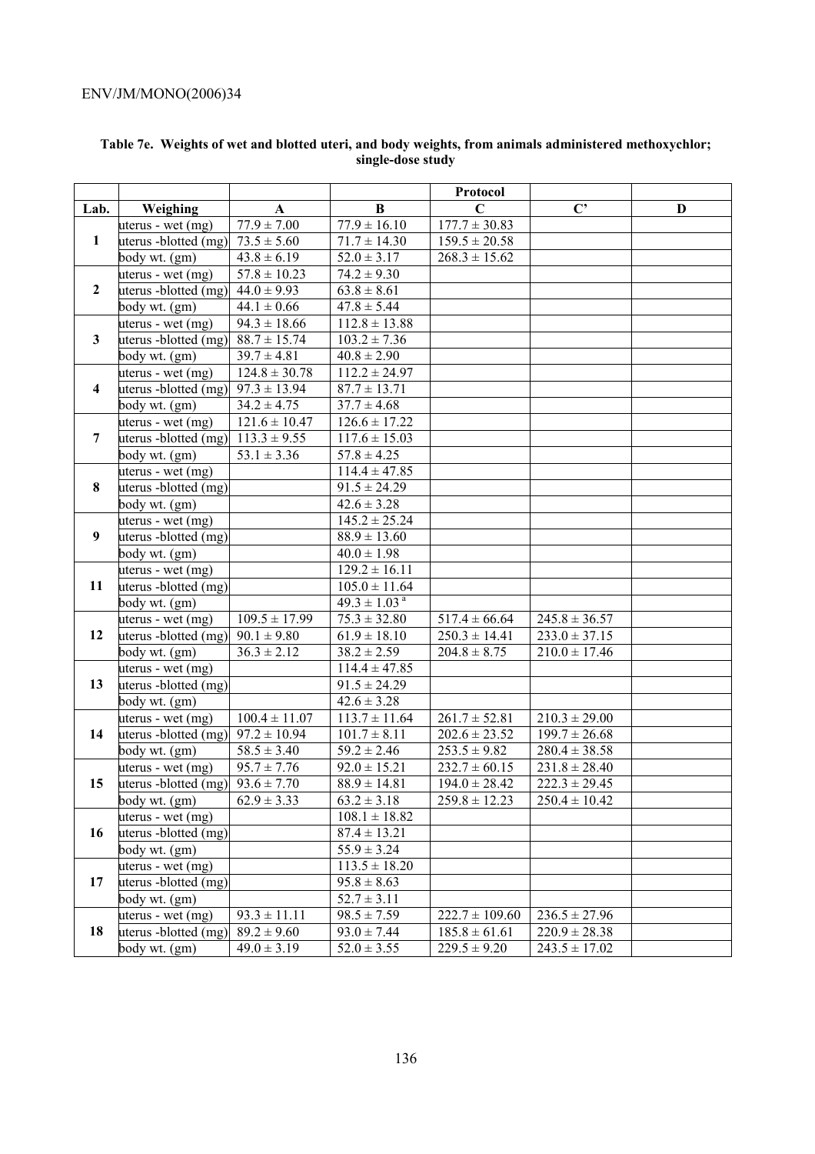|                         |                                   |                             |                                | Protocol                     |                              |   |
|-------------------------|-----------------------------------|-----------------------------|--------------------------------|------------------------------|------------------------------|---|
| Lab.                    | Weighing                          | A                           | B                              | $\mathbf C$                  | $\mathbf{C}^{\bullet}$       | D |
|                         | uterus - wet (mg)                 | $77.9 \pm 7.00$             | $77.9 \pm 16.10$               | $177.7 \pm 30.83$            |                              |   |
| $\mathbf{1}$            | uterus -blotted (mg)              | $73.5 \pm 5.60$             | $71.7 \pm 14.30$               | $\overline{159.5} \pm 20.58$ |                              |   |
|                         | body wt. (gm)                     | $43.8 \pm 6.19$             | $52.0 \pm 3.17$                | $\overline{268.3} \pm 15.62$ |                              |   |
| $\overline{2}$          | uterus - wet (mg)                 | $57.8 \pm 10.23$            | $74.2 \pm 9.30$                |                              |                              |   |
|                         | uterus -blotted (mg)              | $44.0 \pm 9.93$             | $63.8 \pm 8.61$                |                              |                              |   |
|                         | body wt. (gm)                     | $44.1 \pm 0.66$             | $47.8 \pm 5.44$                |                              |                              |   |
|                         | uterus - wet (mg)                 | $94.3 \pm 18.66$            | $112.8 \pm 13.88$              |                              |                              |   |
| $\mathbf{3}$            | uterus -blotted (mg)              | $88.7 \pm 15.74$            | $103.2 \pm 7.36$               |                              |                              |   |
|                         | body wt. (gm)                     | $39.7 \pm 4.81$             | $40.8 \pm 2.90$                |                              |                              |   |
|                         | uterus - wet (mg)                 | $124.8 \pm 30.78$           | $112.2 \pm 24.97$              |                              |                              |   |
| $\overline{\mathbf{4}}$ | uterus -blotted (mg)              | $97.3 \pm 13.94$            | $87.7 \pm 13.71$               |                              |                              |   |
|                         | body wt. (gm)                     | $34.2 \pm 4.75$             | $37.7 \pm 4.68$                |                              |                              |   |
|                         | $uterus - wet (mg)$               | $121.6 \pm 10.47$           | $126.6 \pm 17.22$              |                              |                              |   |
| $\overline{7}$          | uterus -blotted (mg)              | $113.3 \pm 9.55$            | $117.6 \pm 15.03$              |                              |                              |   |
|                         | body wt. (gm)                     | $53.1 \pm 3.36$             | $57.8 \pm 4.25$                |                              |                              |   |
|                         | $uterus - wet (mg)$               |                             | $114.4 \pm 47.85$              |                              |                              |   |
| 8                       | uterus -blotted (mg)              |                             | $91.5 \pm 24.29$               |                              |                              |   |
|                         | body wt. (gm)                     |                             | $42.6 \pm 3.28$                |                              |                              |   |
| 9                       | uterus - wet (mg)                 |                             | $145.2 \pm 25.24$              |                              |                              |   |
|                         | uterus -blotted (mg)              |                             | $88.9 \pm 13.60$               |                              |                              |   |
|                         | body wt. (gm)                     |                             | $40.0 \pm 1.98$                |                              |                              |   |
|                         | $uterus - wet (mg)$               |                             | $129.2 \pm 16.11$              |                              |                              |   |
| 11                      | uterus -blotted (mg)              |                             | $105.0 \pm 11.64$              |                              |                              |   |
|                         | body wt. (gm)                     |                             | $49.3 \pm 1.03^{\overline{a}}$ |                              |                              |   |
|                         | $uterus - wet (mg)$               | $109.5 \pm 17.99$           | $75.3 \pm 32.80$               | $517.4 \pm 66.64$            | $\overline{2}45.8 \pm 36.57$ |   |
| 12                      | uterus -blotted (mg)              | $90.1 \pm 9.80$             | $61.9 \pm 18.10$               | $250.3 \pm 14.41$            | $233.0 \pm 37.15$            |   |
|                         | body wt. (gm)                     | $36.3 \pm 2.12$             | $38.2 \pm 2.59$                | $204.8 \pm 8.75$             | $210.0 \pm 17.46$            |   |
|                         | uterus - wet (mg)                 |                             | $114.4 \pm 47.85$              |                              |                              |   |
| 13                      | uterus -blotted (mg)              |                             | $91.5 \pm 24.29$               |                              |                              |   |
|                         | body wt. (gm)                     |                             | $42.6 \pm 3.28$                |                              |                              |   |
|                         | $uterus - wet (mg)$               | $100.4 \pm 11.07$           | $113.7 \pm 11.64$              | $261.7 \pm 52.81$            | $210.3 \pm 29.00$            |   |
| 14                      | uterus -blotted $\overline{(mg)}$ | $\overline{97.2} \pm 10.94$ | $101.7 \pm 8.11$               | $202.6 \pm 23.52$            | $199.7 \pm 26.68$            |   |
|                         | body wt. (gm)                     | $58.5 \pm 3.\overline{40}$  | $59.2 \pm 2.\overline{46}$     | $253.5 \pm 9.82$             | $280.4 \pm 38.58$            |   |
|                         | uterus - wet (mg)                 | $95.7 \pm 7.76$             | $92.0 \pm 15.21$               | $232.7 \pm 60.15$            | $231.8 \pm 28.40$            |   |
| 15                      | uterus -blotted (mg)              | $93.6 \pm 7.70$             | $88.9 \pm 14.81$               | $194.0 \pm 28.42$            | $222.3 \pm 29.45$            |   |
|                         | body wt. (gm)                     | $62.9 \pm 3.33$             | $63.2 \pm 3.18$                | $259.8 \pm 12.23$            | $250.4 \pm 10.42$            |   |
|                         | $uterus - wet (mg)$               |                             | $108.1 \pm 18.82$              |                              |                              |   |
| 16                      | uterus -blotted (mg)              |                             | $87.4 \pm 13.21$               |                              |                              |   |
|                         | body wt. (gm)                     |                             | $55.9 \pm 3.24$                |                              |                              |   |
|                         | $uterus - wet (mg)$               |                             | $113.5 \pm 18.20$              |                              |                              |   |
| 17                      | uterus -blotted (mg)              |                             | $95.8 \pm 8.63$                |                              |                              |   |
|                         | body wt. (gm)                     |                             | $52.7 \pm 3.11$                |                              |                              |   |
|                         | uterus - wet $(mg)$               | $93.3 \pm 11.11$            | $98.5 \pm 7.59$                | $222.7 \pm 109.60$           | $236.5 \pm 27.96$            |   |
| 18                      | uterus -blotted (mg)              | $89.2 \pm 9.60$             | $93.0 \pm 7.44$                | $185.8 \pm 61.61$            | $220.9 \pm 28.38$            |   |
|                         | $body$ wt. $(gm)$                 | $49.0 \pm 3.19$             | $52.0 \pm 3.55$                | $229.5 \pm 9.20$             | $\overline{243.5} \pm 17.02$ |   |

#### **Table 7e. Weights of wet and blotted uteri, and body weights, from animals administered methoxychlor; single-dose study**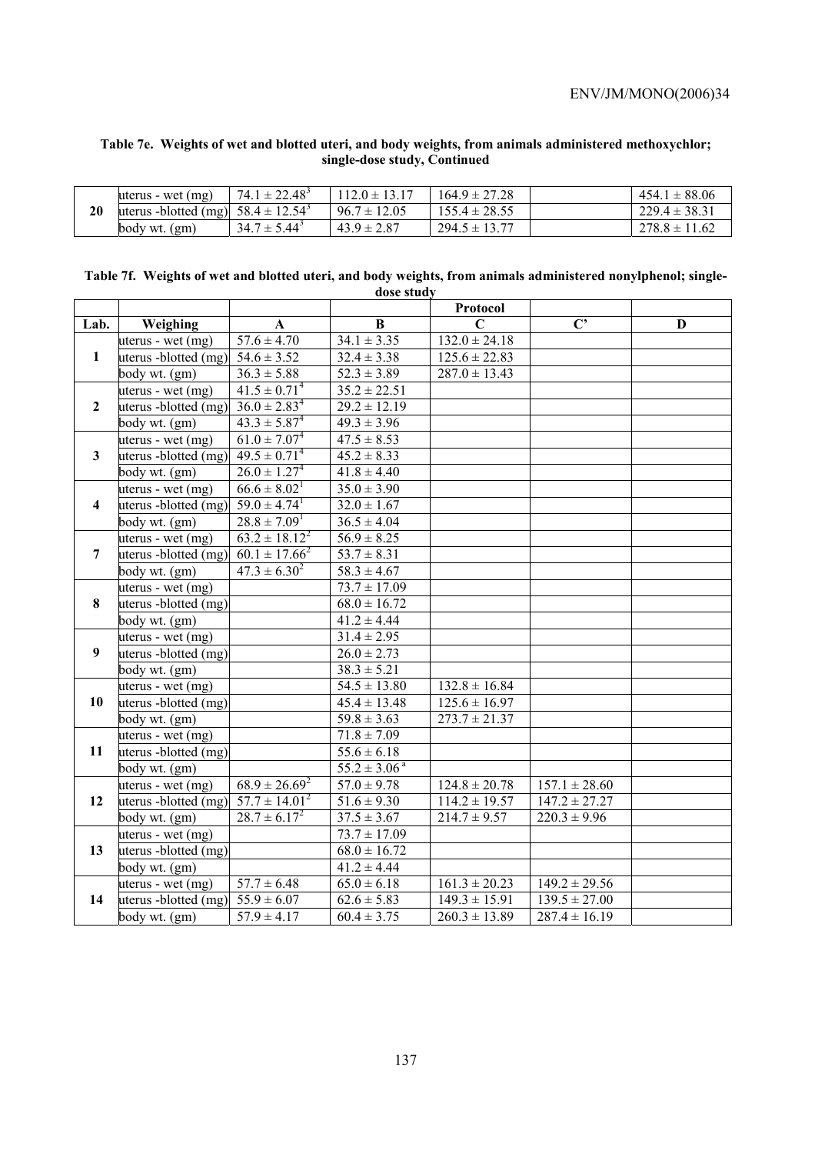| 20 | uterus - wet (mg)                       | $74.1 \pm 22.48^3$ | $112.0 \pm 13.17$ | $164.9 \pm 27.28$ | $454.1 \pm 88.06$ |
|----|-----------------------------------------|--------------------|-------------------|-------------------|-------------------|
|    | uterus -blotted (mg) $58.4 \pm 12.54^3$ |                    | $96.7 \pm 12.05$  | $155.4 \pm 28.55$ | $229.4 \pm 38.31$ |
|    | body wt.<br>(g <sub>m</sub> )           | $34.7 \pm 5.44^3$  | $43.9 \pm 2.87$   | $294.5 \pm 13.77$ | $278.8 \pm 11.62$ |

#### **Table 7e. Weights of wet and blotted uteri, and body weights, from animals administered methoxychlor; single-dose study, Continued**

| Table 7f. Weights of wet and blotted uteri, and body weights, from animals administered nonylphenol; single- |  |
|--------------------------------------------------------------------------------------------------------------|--|
| dose study                                                                                                   |  |

|                         |                      |                              |                            | Protocol                     |                   |   |
|-------------------------|----------------------|------------------------------|----------------------------|------------------------------|-------------------|---|
| Lab.                    | Weighing             | A                            | $\bf{B}$                   | $\mathbf C$                  | $\overline{C'}$   | D |
|                         | uterus - wet $(mg)$  | $57.6 \pm 4.70$              | $34.1 \pm 3.35$            | $132.0 \pm 24.18$            |                   |   |
| $\mathbf{1}$            | uterus -blotted (mg) | $54.6 \pm 3.52$              | $32.4 \pm 3.38$            | $125.6 \pm 22.83$            |                   |   |
|                         | $body$ wt. $(gm)$    | $36.3 \pm 5.88$              | $52.3 \pm 3.89$            | $287.0 \pm 13.43$            |                   |   |
|                         | uterus - wet $(mg)$  | $41.5 \pm 0.71^4$            | $35.2 \pm 22.51$           |                              |                   |   |
| $\overline{2}$          | uterus -blotted (mg) | $36.0 \pm 2.83^4$            | $29.2 \pm 12.19$           |                              |                   |   |
|                         | body wt. (gm)        | $43.3 \pm 5.87^4$            | $49.3 \pm 3.96$            |                              |                   |   |
|                         | uterus - wet $(mg)$  | $61.0 \pm 7.07^4$            | $47.5 \pm 8.53$            |                              |                   |   |
| $\mathbf{3}$            | uterus -blotted (mg) | $49.5 \pm 0.71^{4}$          | $45.2 \pm 8.33$            |                              |                   |   |
|                         | body wt. (gm)        | $26.0 \pm 1.27^4$            | $41.8 \pm 4.40$            |                              |                   |   |
|                         | uterus - wet $(mg)$  | $66.6 \pm 8.02^1$            | $35.0 \pm 3.90$            |                              |                   |   |
| $\overline{\mathbf{4}}$ | uterus -blotted (mg) | $59.0 \pm 4.74$ <sup>1</sup> | $32.0 \pm 1.67$            |                              |                   |   |
|                         | body wt. (gm)        | $28.8 \pm 7.09$ <sup>1</sup> | $36.5 \pm 4.04$            |                              |                   |   |
|                         | uterus - wet $(mg)$  | $63.2 \pm 18.12^2$           | $56.9 \pm 8.25$            |                              |                   |   |
| $\overline{7}$          | uterus -blotted (mg) | $60.1 \pm 17.66^2$           | $53.7 \pm 8.31$            |                              |                   |   |
|                         | body wt. (gm)        | $47.3 \pm 6.30^{2}$          | $58.3 \pm 4.67$            |                              |                   |   |
|                         | uterus - wet $(mg)$  |                              | $73.7 \pm 17.09$           |                              |                   |   |
| 8                       | uterus -blotted (mg) |                              | $68.0 \pm 16.72$           |                              |                   |   |
|                         | body wt. (gm)        |                              | $41.2 \pm 4.44$            |                              |                   |   |
|                         | uterus - wet $(mg)$  |                              | $31.4 \pm 2.95$            |                              |                   |   |
| 9                       | uterus -blotted (mg) |                              | $26.0 \pm 2.73$            |                              |                   |   |
|                         | body wt. $(gm)$      |                              | $38.3 \pm 5.21$            |                              |                   |   |
|                         | $uterus - wet (mg)$  |                              | $54.5 \pm 13.80$           | $\overline{132.8} \pm 16.84$ |                   |   |
| 10                      | uterus -blotted (mg) |                              | $45.4 \pm 13.48$           | $\overline{125.6} \pm 16.97$ |                   |   |
|                         | $body$ wt. $(gm)$    |                              | $59.8 \pm 3.63$            | $273.7 \pm 21.37$            |                   |   |
|                         | uterus - wet $(mg)$  |                              | $71.8 \pm 7.09$            |                              |                   |   |
| 11                      | uterus -blotted (mg) |                              | $55.6 \pm 6.18$            |                              |                   |   |
|                         | body wt. (gm)        |                              | $55.2 \pm 3.06^{\text{a}}$ |                              |                   |   |
|                         | $uterus - wet (mg)$  | $68.9 \pm 26.69^2$           | $57.0 \pm 9.78$            | $124.8 \pm 20.78$            | $157.1 \pm 28.60$ |   |
| 12                      | uterus -blotted (mg) | $57.7 \pm 14.01^2$           | $51.6 \pm 9.30$            | $114.2 \pm 19.57$            | $147.2 \pm 27.27$ |   |
|                         | body wt. (gm)        | $28.7 \pm 6.17^2$            | $37.5 \pm 3.67$            | $214.7 \pm 9.57$             | $220.3 \pm 9.96$  |   |
|                         | uterus - wet (mg)    |                              | $73.7 \pm 17.09$           |                              |                   |   |
| 13                      | uterus -blotted (mg) |                              | $68.0 \pm 16.72$           |                              |                   |   |
|                         | body wt. (gm)        |                              | $41.2 \pm 4.44$            |                              |                   |   |
|                         | $uterus - wet (mg)$  | $57.7 \pm 6.48$              | $65.0 \pm 6.18$            | $161.3 \pm 20.23$            | $149.2 \pm 29.56$ |   |
| 14                      | uterus -blotted (mg) | $55.9 \pm 6.07$              | $62.6 \pm 5.83$            | $149.3 \pm 15.91$            | $139.5 \pm 27.00$ |   |
|                         | body wt. (gm)        | $57.9 \pm 4.17$              | $60.4 \pm 3.75$            | $260.3 \pm 13.89$            | $287.4 \pm 16.19$ |   |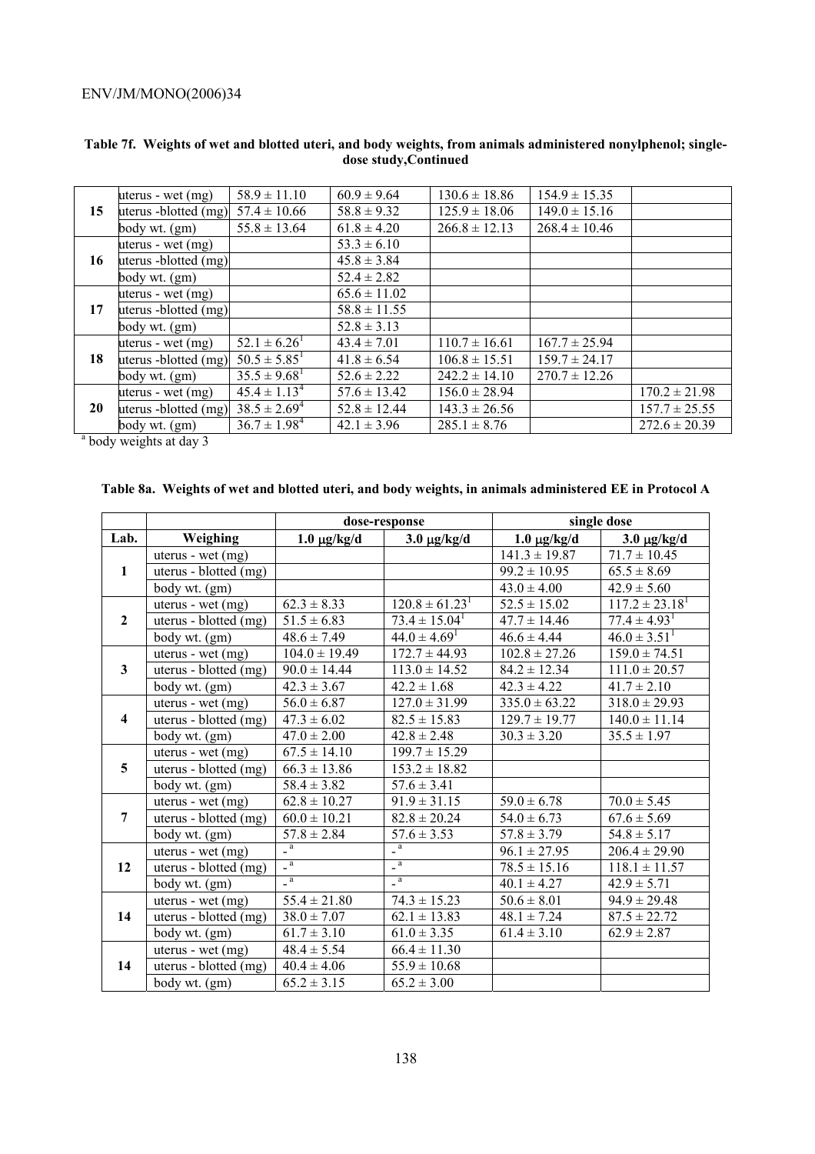|    | uterus - wet $(mg)$                | $58.9 \pm 11.10$    | $60.9 \pm 9.64$  | $130.6 \pm 18.86$ | $154.9 \pm 15.35$ |                   |
|----|------------------------------------|---------------------|------------------|-------------------|-------------------|-------------------|
| 15 | uterus -blotted $(mg)$             | $57.4 \pm 10.66$    | $58.8 \pm 9.32$  | $125.9 \pm 18.06$ | $149.0 \pm 15.16$ |                   |
|    | body wt. (gm)                      | $55.8 \pm 13.64$    | $61.8 \pm 4.20$  | $266.8 \pm 12.13$ | $268.4 \pm 10.46$ |                   |
|    | uterus - wet $(mg)$                |                     | $53.3 \pm 6.10$  |                   |                   |                   |
| 16 | uterus -blotted (mg)               |                     | $45.8 \pm 3.84$  |                   |                   |                   |
|    | body wt. (gm)                      |                     | $52.4 \pm 2.82$  |                   |                   |                   |
|    | $uterus - wet (mg)$                |                     | $65.6 \pm 11.02$ |                   |                   |                   |
| 17 | uterus -blotted (mg)               |                     | $58.8 \pm 11.55$ |                   |                   |                   |
|    | body wt. (gm)                      |                     | $52.8 \pm 3.13$  |                   |                   |                   |
|    | uterus - wet $(mg)$                | $52.1 \pm 6.26^1$   | $43.4 \pm 7.01$  | $110.7 \pm 16.61$ | $167.7 \pm 25.94$ |                   |
| 18 | uterus -blotted (mg)               | $50.5 \pm 5.85^1$   | $41.8 \pm 6.54$  | $106.8 \pm 15.51$ | $159.7 \pm 24.17$ |                   |
|    | body wt. (gm)                      | $35.5 \pm 9.68^1$   | $52.6 \pm 2.22$  | $242.2 \pm 14.10$ | $270.7 \pm 12.26$ |                   |
|    | $uterus - wet (mg)$                | $45.4 \pm 1.13^4$   | $57.6 \pm 13.42$ | $156.0 \pm 28.94$ |                   | $170.2 \pm 21.98$ |
| 20 | uterus -blotted (mg)               | $38.5 \pm 2.69^4$   | $52.8 \pm 12.44$ | $143.3 \pm 26.56$ |                   | $157.7 \pm 25.55$ |
|    | body wt. (gm)                      | $36.7 \pm 1.98^{4}$ | $42.1 \pm 3.96$  | $285.1 \pm 8.76$  |                   | $272.6 \pm 20.39$ |
|    | <sup>a</sup> hody woights of day 2 |                     |                  |                   |                   |                   |

### **Table 7f. Weights of wet and blotted uteri, and body weights, from animals administered nonylphenol; singledose study,Continued**

<sup>a</sup> body weights at day 3

# **Table 8a. Weights of wet and blotted uteri, and body weights, in animals administered EE in Protocol A**

|                         |                       | dose-response            |                              |                   | single dose         |
|-------------------------|-----------------------|--------------------------|------------------------------|-------------------|---------------------|
| Lab.                    | Weighing              | $1.0 \mu g/kg/d$         | $3.0 \mu g/kg/d$             | $1.0 \mu g/kg/d$  | $3.0 \mu g/kg/d$    |
|                         | uterus - wet $(mg)$   |                          |                              | $141.3 \pm 19.87$ | $71.7 \pm 10.45$    |
| $\mathbf{1}$            | uterus - blotted (mg) |                          |                              | $99.2 \pm 10.95$  | $65.5 \pm 8.69$     |
|                         | body wt. (gm)         |                          |                              | $43.0 \pm 4.00$   | $42.9 \pm 5.60$     |
|                         | $uterus - wet (mg)$   | $62.3 \pm 8.33$          | $120.8 \pm 61.23^1$          | $52.5 \pm 15.02$  | $117.2 \pm 23.18^1$ |
| $\overline{2}$          | uterus - blotted (mg) | $51.5 \pm 6.83$          | $73.4 \pm 15.04^1$           | $47.7 \pm 14.46$  | $77.4 \pm 4.93^1$   |
|                         | body wt. (gm)         | $48.6 \pm 7.49$          | $44.0 \pm 4.69$ <sup>1</sup> | $46.6 \pm 4.44$   | $46.0 \pm 3.51^1$   |
|                         | $uterus - wet (mg)$   | $104.0 \pm 19.49$        | $172.7 \pm 44.93$            | $102.8 \pm 27.26$ | $159.0 \pm 74.51$   |
| 3                       | uterus - blotted (mg) | $90.0 \pm 14.44$         | $113.0 \pm 14.52$            | $84.2 \pm 12.34$  | $111.0 \pm 20.57$   |
|                         | body wt. (gm)         | $42.3 \pm 3.67$          | $42.2 \pm 1.68$              | $42.3 \pm 4.22$   | $41.7 \pm 2.10$     |
|                         | $uterus - wet (mg)$   | $56.0 \pm 6.87$          | $127.0 \pm 31.99$            | $335.0 \pm 63.22$ | $318.0 \pm 29.93$   |
| $\overline{\mathbf{4}}$ | uterus - blotted (mg) | $47.3 \pm 6.02$          | $82.5 \pm 15.83$             | $129.7 \pm 19.77$ | $140.0 \pm 11.14$   |
|                         | body wt. (gm)         | $47.0 \pm 2.00$          | $42.8 \pm 2.48$              | $30.3 \pm 3.20$   | $35.5 \pm 1.97$     |
|                         | $uterus - wet (mg)$   | $67.5 \pm 14.10$         | $199.7 \pm 15.29$            |                   |                     |
| 5                       | uterus - blotted (mg) | $66.3 \pm 13.86$         | $153.2 \pm 18.82$            |                   |                     |
|                         | body wt. (gm)         | $58.4 \pm 3.82$          | $57.6 \pm 3.41$              |                   |                     |
|                         | uterus - wet $(mg)$   | $62.8 \pm 10.27$         | $91.9 \pm 31.15$             | $59.0 \pm 6.78$   | $70.0 \pm 5.45$     |
| $\overline{7}$          | uterus - blotted (mg) | $60.0 \pm 10.21$         | $82.8 \pm 20.24$             | $54.0 \pm 6.73$   | $67.6 \pm 5.69$     |
|                         | body wt. (gm)         | $57.8 \pm 2.84$          | $57.6 \pm 3.53$              | $57.8 \pm 3.79$   | $54.8 \pm 5.17$     |
|                         | $uterus - wet (mg)$   | $\overline{a}$           | $\mathbf{a}$                 | $96.1 \pm 27.95$  | $206.4 \pm 29.90$   |
| 12                      | uterus - blotted (mg) | $\sqrt{a}$               | $\overline{a}$               | $78.5 \pm 15.16$  | $118.1 \pm 11.57$   |
|                         | body wt. (gm)         | $\overline{\phantom{a}}$ | a                            | $40.1 \pm 4.27$   | $42.9 \pm 5.71$     |
|                         | uterus - wet (mg)     | $55.4 \pm 21.80$         | $74.3 \pm 15.23$             | $50.6 \pm 8.01$   | $94.9 \pm 29.48$    |
| 14                      | uterus - blotted (mg) | $38.0 \pm 7.07$          | $62.1 \pm 13.83$             | $48.1 \pm 7.24$   | $87.5 \pm 22.72$    |
|                         | body wt. (gm)         | $61.7 \pm 3.10$          | $61.0 \pm 3.35$              | $61.4 \pm 3.10$   | $62.9 \pm 2.87$     |
|                         | $uterus - wet (mg)$   | $48.4 \pm 5.54$          | $66.4 \pm 11.30$             |                   |                     |
| 14                      | uterus - blotted (mg) | $40.4 \pm 4.06$          | $55.9 \pm 10.68$             |                   |                     |
|                         | body wt. (gm)         | $65.2 \pm 3.15$          | $65.2 \pm 3.00$              |                   |                     |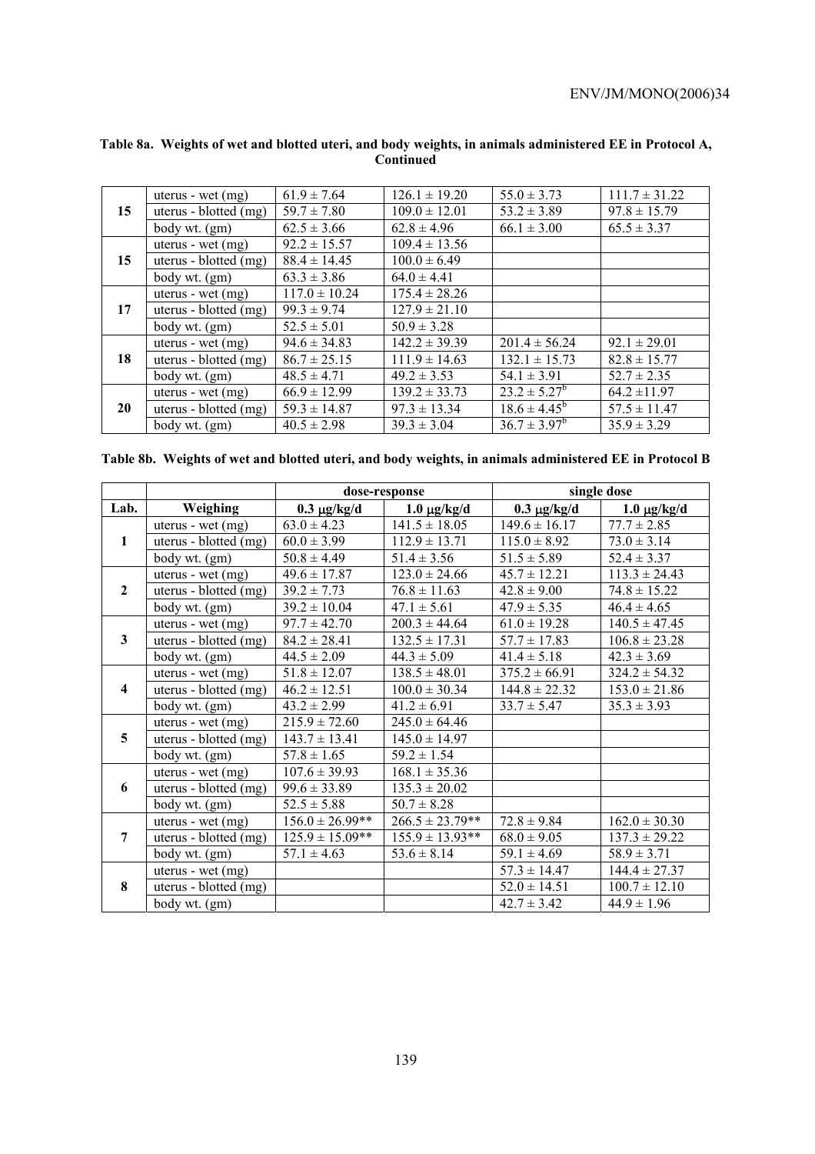|    | uterus - wet $(mg)$   | $61.9 \pm 7.64$   | $126.1 \pm 19.20$ | $55.0 \pm 3.73$         | $111.7 \pm 31.22$ |
|----|-----------------------|-------------------|-------------------|-------------------------|-------------------|
| 15 | uterus - blotted (mg) | $59.7 \pm 7.80$   | $109.0 \pm 12.01$ | $53.2 \pm 3.89$         | $97.8 \pm 15.79$  |
|    | body wt. (gm)         | $62.5 \pm 3.66$   | $62.8 \pm 4.96$   | $66.1 \pm 3.00$         | $65.5 \pm 3.37$   |
|    | uterus - wet $(mg)$   | $92.2 \pm 15.57$  | $109.4 \pm 13.56$ |                         |                   |
| 15 | uterus - blotted (mg) | $88.4 \pm 14.45$  | $100.0 \pm 6.49$  |                         |                   |
|    | body wt. (gm)         | $63.3 \pm 3.86$   | $64.0 \pm 4.41$   |                         |                   |
|    | uterus - wet $(mg)$   | $117.0 \pm 10.24$ | $175.4 \pm 28.26$ |                         |                   |
| 17 | uterus - blotted (mg) | $99.3 \pm 9.74$   | $127.9 \pm 21.10$ |                         |                   |
|    | body wt. (gm)         | $52.5 \pm 5.01$   | $50.9 \pm 3.28$   |                         |                   |
|    | uterus - wet $(mg)$   | $94.6 \pm 34.83$  | $142.2 \pm 39.39$ | $201.4 \pm 56.24$       | $92.1 \pm 29.01$  |
| 18 | uterus - blotted (mg) | $86.7 \pm 25.15$  | $111.9 \pm 14.63$ | $132.1 \pm 15.73$       | $82.8 \pm 15.77$  |
|    | body wt. (gm)         | $48.5 \pm 4.71$   | $49.2 \pm 3.53$   | $54.1 \pm 3.91$         | $52.7 \pm 2.35$   |
|    | uterus - wet $(mg)$   | $66.9 \pm 12.99$  | $139.2 \pm 33.73$ | $23.2 \pm 5.27^{\circ}$ | $64.2 \pm 11.97$  |
| 20 | uterus - blotted (mg) | $59.3 \pm 14.87$  | $97.3 \pm 13.34$  | $18.6 \pm 4.45^b$       | $57.5 \pm 11.47$  |
|    | body wt. (gm)         | $40.5 \pm 2.98$   | $39.3 \pm 3.04$   | $36.7 \pm 3.97^b$       | $35.9 \pm 3.29$   |

### **Table 8a. Weights of wet and blotted uteri, and body weights, in animals administered EE in Protocol A, Continued**

**Table 8b. Weights of wet and blotted uteri, and body weights, in animals administered EE in Protocol B** 

|                         |                       | dose-response       |                     | single dose       |                   |
|-------------------------|-----------------------|---------------------|---------------------|-------------------|-------------------|
| Lab.                    | <b>Weighing</b>       | $0.3 \mu g/kg/d$    | $1.0 \mu g/kg/d$    | $0.3 \mu g/kg/d$  | $1.0 \mu g/kg/d$  |
| $\mathbf{1}$            | $uterus - wet (mg)$   | $63.0 \pm 4.23$     | $141.5 \pm 18.05$   | $149.6 \pm 16.17$ | $77.7 \pm 2.85$   |
|                         | uterus - blotted (mg) | $60.0 \pm 3.99$     | $112.9 \pm 13.71$   | $115.0 \pm 8.92$  | $73.0 \pm 3.14$   |
|                         | body wt. (gm)         | $50.8 \pm 4.49$     | $51.4 \pm 3.56$     | $51.5 \pm 5.89$   | $52.4 \pm 3.37$   |
|                         | $uterus - wet (mg)$   | $49.6 \pm 17.87$    | $123.0 \pm 24.66$   | $45.7 \pm 12.21$  | $113.3 \pm 24.43$ |
| $\overline{2}$          | uterus - blotted (mg) | $39.2 \pm 7.73$     | $76.8 \pm 11.63$    | $42.8 \pm 9.00$   | $74.8 \pm 15.22$  |
|                         | body wt. (gm)         | $39.2 \pm 10.04$    | $47.1 \pm 5.61$     | $47.9 \pm 5.35$   | $46.4 \pm 4.65$   |
|                         | uterus - wet (mg)     | $97.7 \pm 42.70$    | $200.3 \pm 44.64$   | $61.0 \pm 19.28$  | $140.5 \pm 47.45$ |
| $\mathbf{3}$            | uterus - blotted (mg) | $84.2 \pm 28.41$    | $132.5 \pm 17.31$   | $57.7 \pm 17.83$  | $106.8 \pm 23.28$ |
|                         | body wt. (gm)         | $44.5 \pm 2.09$     | $44.3 \pm 5.09$     | $41.4 \pm 5.18$   | $42.3 \pm 3.69$   |
| $\overline{\mathbf{4}}$ | uterus - wet $(mg)$   | $51.8 \pm 12.07$    | $138.5 \pm 48.01$   | $375.2 \pm 66.91$ | $324.2 \pm 54.32$ |
|                         | uterus - blotted (mg) | $46.2 \pm 12.51$    | $100.0 \pm 30.34$   | $144.8 \pm 22.32$ | $153.0 \pm 21.86$ |
|                         | body wt. (gm)         | $43.2 \pm 2.99$     | $41.2 \pm 6.91$     | $33.7 \pm 5.47$   | $35.3 \pm 3.93$   |
|                         | uterus - wet $(mg)$   | $215.9 \pm 72.60$   | $245.0 \pm 64.46$   |                   |                   |
| 5                       | uterus - blotted (mg) | $143.7 \pm 13.41$   | $145.0 \pm 14.97$   |                   |                   |
|                         | body wt. (gm)         | $57.8 \pm 1.65$     | $59.2 \pm 1.54$     |                   |                   |
|                         | uterus - wet (mg)     | $107.6 \pm 39.93$   | $168.1 \pm 35.36$   |                   |                   |
| 6                       | uterus - blotted (mg) | $99.6 \pm 33.89$    | $135.3 \pm 20.02$   |                   |                   |
|                         | body wt. (gm)         | $52.5 \pm 5.88$     | $50.7 \pm 8.28$     |                   |                   |
| 7                       | uterus - wet (mg)     | $156.0 \pm 26.99**$ | $266.5 \pm 23.79**$ | $72.8 \pm 9.84$   | $162.0 \pm 30.30$ |
|                         | uterus - blotted (mg) | $125.9 \pm 15.09**$ | $155.9 \pm 13.93**$ | $68.0 \pm 9.05$   | $137.3 \pm 29.22$ |
|                         | body wt. (gm)         | $57.1 \pm 4.63$     | $53.6 \pm 8.14$     | $59.1 \pm 4.69$   | $58.9 \pm 3.71$   |
|                         | uterus - wet (mg)     |                     |                     | $57.3 \pm 14.47$  | $144.4 \pm 27.37$ |
| 8                       | uterus - blotted (mg) |                     |                     | $52.0 \pm 14.51$  | $100.7 \pm 12.10$ |
|                         | body wt. (gm)         |                     |                     | $42.7 \pm 3.42$   | $44.9 \pm 1.96$   |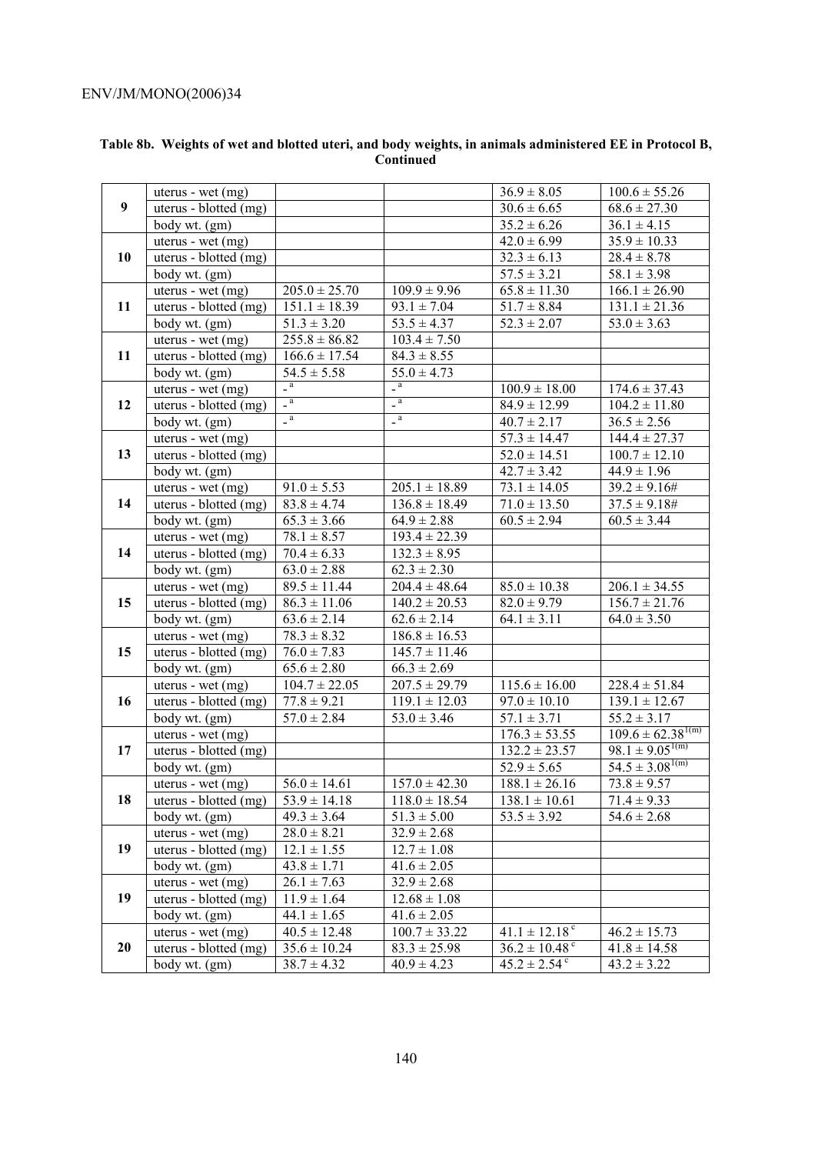|                  | $uterus - wet (mg)$               |                          |                          | $36.9 \pm 8.05$               | $100.6 \pm 55.26$               |
|------------------|-----------------------------------|--------------------------|--------------------------|-------------------------------|---------------------------------|
| $\boldsymbol{9}$ | uterus - blotted (mg)             |                          |                          | $30.6 \pm 6.65$               | $68.6 \pm 27.30$                |
|                  | body wt. (gm)                     |                          |                          | $35.2 \pm 6.26$               | $36.1 \pm 4.15$                 |
|                  | uterus - wet (mg)                 |                          |                          | $42.0 \pm 6.99$               | $35.9 \pm 10.33$                |
| 10               | uterus - blotted (mg)             |                          |                          | $32.3 \pm 6.13$               | $28.4 \pm 8.78$                 |
|                  | $\overline{\text{body}}$ wt. (gm) |                          |                          | $57.5 \pm 3.21$               | $58.1 \pm 3.98$                 |
|                  | uterus - wet (mg)                 | $205.0 \pm 25.70$        | $109.9 \pm 9.96$         | $65.8 \pm 11.30$              | $166.1 \pm 26.90$               |
| 11               | uterus - blotted (mg)             | $151.1 \pm 18.39$        | $93.1 \pm 7.04$          | $51.7 \pm 8.84$               | $131.1 \pm 21.36$               |
|                  | body wt. (gm)                     | $51.3 \pm 3.20$          | $53.5 \pm 4.37$          | $52.3 \pm 2.07$               | $53.0 \pm 3.63$                 |
|                  | $uterus - wet (mg)$               | $255.8 \pm 86.82$        | $103.4 \pm 7.50$         |                               |                                 |
| 11               | uterus - blotted (mg)             | $166.6 \pm 17.54$        | $84.3 \pm 8.55$          |                               |                                 |
|                  | body wt. (gm)                     | $54.5 \pm 5.58$          | $55.0 \pm 4.73$          |                               |                                 |
|                  | $uterus - wet (mg)$               | a                        | $\sqrt{a}$               | $100.9 \pm 18.00$             | $174.6 \pm 37.43$               |
| 12               | uterus - blotted (mg)             | $\overline{\phantom{a}}$ | $\overline{\phantom{a}}$ | $84.9 \pm 12.99$              | $104.2 \pm 11.80$               |
|                  | body wt. (gm)                     | $\alpha$                 | $\overline{\phantom{a}}$ | $40.7 \pm 2.17$               | $36.5 \pm 2.56$                 |
|                  | $uterus - wet (mg)$               |                          |                          | $57.3 \pm 14.47$              | $144.4 \pm 27.37$               |
| 13               | uterus - blotted (mg)             |                          |                          | $52.0 \pm 14.51$              | $100.7 \pm 12.10$               |
|                  | body wt. (gm)                     |                          |                          | $42.7 \pm 3.42$               | $44.9 \pm 1.96$                 |
|                  | $uterus - wet (mg)$               | $91.0 \pm 5.53$          | $205.1 \pm 18.89$        | $73.1 \pm 14.05$              | $39.2 \pm 9.16#$                |
| 14               | uterus - blotted (mg)             | $83.8 \pm 4.74$          | $136.8 \pm 18.49$        | $71.0 \pm 13.50$              | $37.5 \pm 9.18$ #               |
|                  | body wt. (gm)                     | $65.3 \pm 3.66$          | $64.9 \pm 2.88$          | $60.5 \pm 2.94$               | $60.5 \pm 3.44$                 |
| 14               | $uterus - wet (mg)$               | $78.1 \pm 8.57$          | $193.4 \pm 22.39$        |                               |                                 |
|                  | uterus - blotted (mg)             | $70.4 \pm 6.33$          | $132.3 \pm 8.95$         |                               |                                 |
|                  | body wt. (gm)                     | $63.0 \pm 2.88$          | $62.3 \pm 2.30$          |                               |                                 |
|                  | $uterus - wet (mg)$               | $89.5 \pm 11.44$         | $204.4 \pm 48.64$        | $85.0 \pm 10.38$              | $206.1 \pm 34.55$               |
| 15               | uterus - blotted (mg)             | $86.3 \pm 11.06$         | $140.2 \pm 20.53$        | $82.0 \pm 9.79$               | $156.7 \pm 21.76$               |
|                  | body wt. (gm)                     | $63.6 \pm 2.14$          | $62.6 \pm 2.14$          | $64.1 \pm 3.11$               | $64.0 \pm 3.50$                 |
|                  | $uterus - wet (mg)$               | $78.3 \pm 8.32$          | $186.8 \pm 16.53$        |                               |                                 |
| 15               | uterus - blotted (mg)             | $76.0 \pm 7.83$          | $145.7 \pm 11.46$        |                               |                                 |
|                  | body wt. (gm)                     | $65.6 \pm 2.80$          | $66.3 \pm 2.69$          |                               |                                 |
|                  | uterus - wet $(mg)$               | $104.7 \pm 22.05$        | $207.5 \pm 29.79$        | $\overline{115.6} \pm 16.00$  | $228.4 \pm 51.84$               |
| 16               | uterus - blotted (mg)             | $77.8 \pm 9.21$          | $119.1 \pm 12.03$        | $97.0 \pm 10.10$              | $139.1 \pm 12.67$               |
|                  | body wt. (gm)                     | $57.0 \pm 2.84$          | $53.0 \pm 3.46$          | $57.1 \pm 3.71$               | $55.2 \pm 3.17$                 |
|                  | uterus - wet $(mg)$               |                          |                          | $176.3 \pm 53.55$             | $109.6 \pm 62.38^{\text{1(m)}}$ |
| 17               | uterus - blotted (mg)             |                          |                          | $132.2 \pm 23.57$             | $98.1 \pm 9.05^{1(m)}$          |
|                  | $\overline{\text{body}}$ wt. (gm) |                          |                          | $52.9 \pm 5.65$               | $54.5 \pm 3.08^{1(m)}$          |
| 18               | $uterus - wet (mg)$               | $56.0 \pm 14.61$         | $157.0 \pm 42.30$        | $188.1 \pm 26.16$             | $\overline{73.8} \pm 9.57$      |
|                  | uterus - blotted (mg)             | $53.9 \pm 14.18$         | $118.0 \pm 18.54$        | $138.1 \pm 10.61$             | $71.4 \pm 9.33$                 |
|                  | body wt. (gm)                     | $49.3 \pm 3.64$          | $51.3 \pm 5.00$          | $53.5 \pm 3.92$               | $54.6 \pm 2.68$                 |
| 19               | $uterus - wet (mg)$               | $28.0 \pm 8.21$          | $32.9 \pm 2.68$          |                               |                                 |
|                  | uterus - blotted (mg)             | $12.1 \pm 1.55$          | $12.7 \pm 1.08$          |                               |                                 |
|                  | $\overline{\text{body}}$ wt. (gm) | $43.8 \pm 1.71$          | $41.6 \pm 2.05$          |                               |                                 |
|                  | $uterus - wet (mg)$               | $26.1 \pm 7.63$          | $32.9 \pm 2.68$          |                               |                                 |
| 19               | uterus - blotted (mg)             | $11.9 \pm 1.64$          | $12.68 \pm 1.08$         |                               |                                 |
|                  | $\overline{\text{body}}$ wt. (gm) | $44.1 \pm 1.65$          | $41.6 \pm 2.05$          |                               |                                 |
| 20               | $uterus - wet (mg)$               | $40.5 \pm 12.48$         | $100.7 \pm 33.22$        | $41.1 \pm 12.18$ <sup>c</sup> | $46.2 \pm 15.73$                |
|                  | uterus - blotted (mg)             | $35.6 \pm 10.24$         | $83.3 \pm 25.98$         | $36.2 \pm 10.48$ <sup>c</sup> | $41.8 \pm 14.58$                |
|                  | body wt. (gm)                     | $38.7 \pm 4.32$          | $40.9 \pm 4.23$          | $45.2 \pm 2.54$ <sup>c</sup>  | $43.2 \pm 3.22$                 |

### **Table 8b. Weights of wet and blotted uteri, and body weights, in animals administered EE in Protocol B, Continued**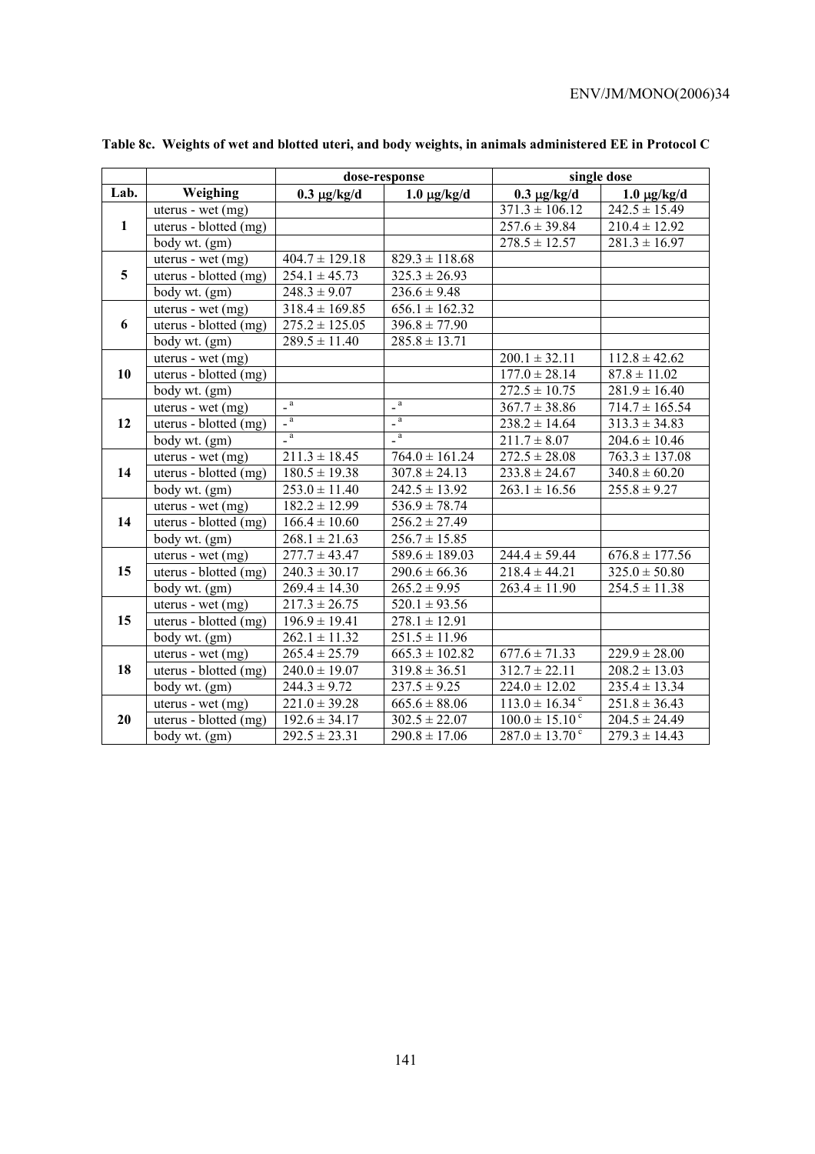|              |                              | dose-response                 |                          | single dose                    |                              |
|--------------|------------------------------|-------------------------------|--------------------------|--------------------------------|------------------------------|
| Lab.         | Weighing                     | $0.3 \mu g/kg/d$              | $1.0 \mu g/kg/d$         | $0.3 \mu g/kg/d$               | $1.0 \mu g/kg/d$             |
|              | $uterus - wet (mg)$          |                               |                          | $371.3 \pm 106.12$             | $\overline{242.5} \pm 15.49$ |
| $\mathbf{1}$ | uterus - blotted (mg)        |                               |                          | $257.6 \pm 39.84$              | $210.4 \pm 12.92$            |
|              | body wt. (gm)                |                               |                          | $278.5 \pm 12.57$              | $281.3 \pm 16.97$            |
|              | uterus - wet (mg)            | $\overline{404.7 \pm 129.18}$ | $829.3 \pm 118.68$       |                                |                              |
| 5            | uterus - blotted (mg)        | $254.1 \pm 45.73$             | $325.3 \pm 26.93$        |                                |                              |
|              | body wt. (gm)                | $248.3 \pm 9.07$              | $236.6 \pm 9.48$         |                                |                              |
|              | $uterus - wet (mg)$          | $318.4 \pm 169.85$            | $656.1 \pm 162.32$       |                                |                              |
| 6            | uterus - blotted (mg)        | $275.2 \pm 125.05$            | $396.8 \pm 77.90$        |                                |                              |
|              | body wt. (gm)                | $289.5 \pm 11.40$             | $285.8 \pm 13.71$        |                                |                              |
|              | uterus - wet (mg)            |                               |                          | $200.1 \pm 32.11$              | $112.8 \pm 42.62$            |
| 10           | uterus - blotted (mg)        |                               |                          | $177.0 \pm 28.14$              | $87.8 \pm 11.02$             |
|              | $\overline{body}$ wt. $(gm)$ |                               |                          | $272.5 \pm 10.75$              | $281.9 \pm 16.40$            |
|              | $uterus - wet (mg)$          | $\overline{\phantom{a}}$      | $\overline{\phantom{a}}$ | $367.7 \pm 38.86$              | $714.7 \pm 165.54$           |
| 12           | uterus - blotted (mg)        | $\overline{a}$                | $\sqrt{a}$               | $238.2 \pm 14.64$              | $313.3 \pm 34.83$            |
|              | body wt. (gm)                | $\overline{a}$                | $\overline{\phantom{a}}$ | $211.7 \pm 8.07$               | $204.6 \pm 10.46$            |
|              | $uterus - wet (mg)$          | $211.3 \pm 18.45$             | $764.0 \pm 161.24$       | $272.5 \pm 28.08$              | $763.3 \pm 137.08$           |
| 14           | uterus - blotted (mg)        | $180.5 \pm 19.38$             | $307.8 \pm 24.13$        | $233.8 \pm 24.67$              | $340.8 \pm 60.20$            |
|              | body wt. (gm)                | $253.0 \pm 11.40$             | $242.5 \pm 13.92$        | $263.1 \pm 16.56$              | $255.8 \pm 9.27$             |
|              | uterus - wet (mg)            | $182.2 \pm 12.99$             | $536.9 \pm 78.74$        |                                |                              |
| 14           | uterus - blotted (mg)        | $166.4 \pm 10.60$             | $256.2 \pm 27.49$        |                                |                              |
|              | body wt. (gm)                | $268.1 \pm 21.63$             | $256.7 \pm 15.85$        |                                |                              |
| 15           | $uterus - wet (mg)$          | $277.7 \pm 43.47$             | $589.6 \pm 189.03$       | $244.4 \pm 59.44$              | $676.8 \pm 177.56$           |
|              | uterus - blotted (mg)        | $240.3 \pm 30.17$             | $290.6 \pm 66.36$        | $218.4 \pm 44.21$              | $325.0 \pm 50.80$            |
|              | body wt. (gm)                | $269.4 \pm 14.30$             | $265.2 \pm 9.95$         | $263.4 \pm 11.90$              | $254.5 \pm 11.38$            |
| 15           | uterus - wet (mg)            | $217.3 \pm 26.75$             | $520.1 \pm 93.56$        |                                |                              |
|              | uterus - blotted (mg)        | $196.9 \pm 19.41$             | $278.1 \pm 12.91$        |                                |                              |
|              | body wt. (gm)                | $262.1 \pm 11.32$             | $251.5 \pm 11.96$        |                                |                              |
| 18           | $uterus - wet (mg)$          | $265.4 \pm 25.79$             | $665.3 \pm 102.82$       | $677.6 \pm 71.33$              | $229.9 \pm 28.00$            |
|              | uterus - blotted (mg)        | $240.0 \pm 19.07$             | $319.8 \pm 36.51$        | $312.7 \pm 22.11$              | $208.2 \pm 13.03$            |
|              | body wt. (gm)                | $244.3 \pm 9.72$              | $237.5 \pm 9.25$         | $224.0 \pm 12.02$              | $235.4 \pm 13.34$            |
|              | $uterus - wet (mg)$          | $221.0 \pm 39.28$             | $665.6 \pm 88.06$        | $113.0 \pm 16.34$ <sup>c</sup> | $251.8 \pm 36.43$            |
| 20           | uterus - blotted (mg)        | $192.6 \pm 34.17$             | $302.5 \pm 22.07$        | $100.0 \pm 15.10^{\circ}$      | $204.5 \pm 24.49$            |
|              | body wt. (gm)                | $\overline{292.5} \pm 23.31$  | $290.8 \pm 17.06$        | $287.0 \pm 13.70$ <sup>c</sup> | $279.3 \pm 14.43$            |

# **Table 8c. Weights of wet and blotted uteri, and body weights, in animals administered EE in Protocol C**